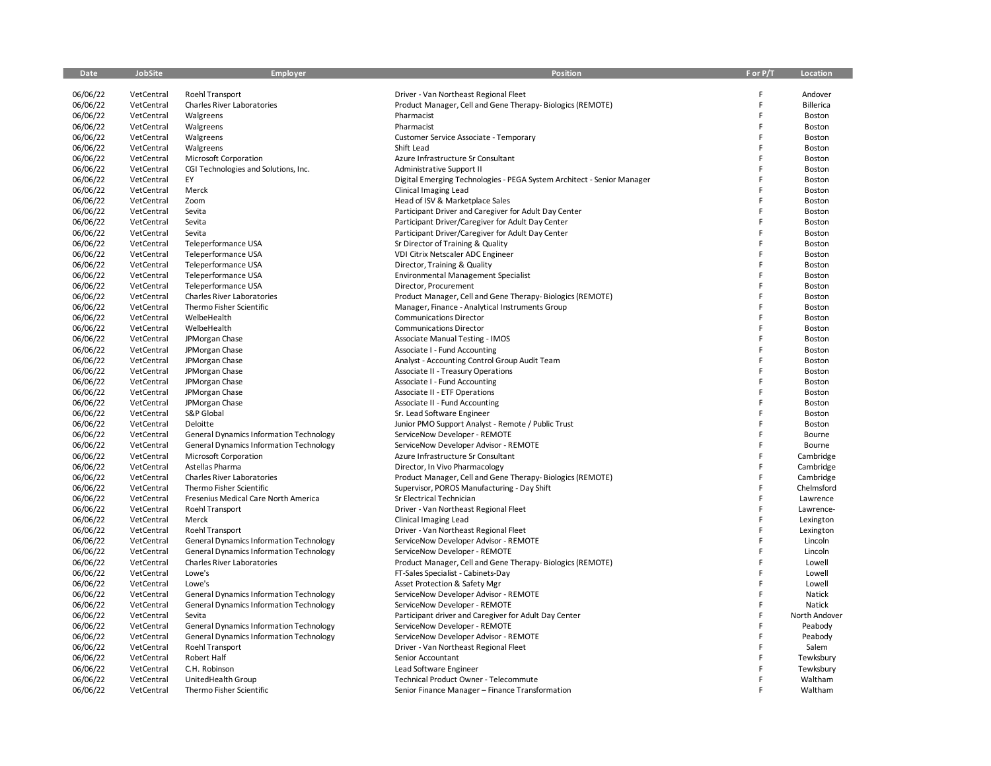| Date                 | <b>JobSite</b>           | Employer                                                                                         | Position                                                                | F or P/T | Location               |
|----------------------|--------------------------|--------------------------------------------------------------------------------------------------|-------------------------------------------------------------------------|----------|------------------------|
|                      |                          |                                                                                                  |                                                                         |          |                        |
| 06/06/22             | VetCentral               | Roehl Transport                                                                                  | Driver - Van Northeast Regional Fleet                                   | F        | Andover                |
| 06/06/22             | VetCentral               | Charles River Laboratories                                                                       | Product Manager, Cell and Gene Therapy- Biologics (REMOTE)              | F        | <b>Billerica</b>       |
| 06/06/22             | VetCentral               | Walgreens                                                                                        | Pharmacist                                                              | F        | Boston                 |
| 06/06/22             | VetCentral               | Walgreens                                                                                        | Pharmacist                                                              | F        | Boston                 |
| 06/06/22             | VetCentral               | Walgreens                                                                                        | Customer Service Associate - Temporary                                  | F        | Boston                 |
| 06/06/22             | VetCentral               | Walgreens                                                                                        | Shift Lead                                                              | F        | Boston                 |
| 06/06/22             | VetCentral               | Microsoft Corporation                                                                            | Azure Infrastructure Sr Consultant                                      | F        | Boston                 |
| 06/06/22             | VetCentral               | CGI Technologies and Solutions, Inc.                                                             | Administrative Support II                                               | F        | Boston                 |
| 06/06/22             | VetCentral               | EY                                                                                               | Digital Emerging Technologies - PEGA System Architect - Senior Manager  | F        | Boston                 |
| 06/06/22             | VetCentral               | Merck                                                                                            | Clinical Imaging Lead                                                   | F        | Boston                 |
| 06/06/22             | VetCentral               | Zoom                                                                                             | Head of ISV & Marketplace Sales                                         | F        | Boston                 |
| 06/06/22             | VetCentral               | Sevita                                                                                           | Participant Driver and Caregiver for Adult Day Center                   | F        | Boston                 |
| 06/06/22             | VetCentral               | Sevita                                                                                           | Participant Driver/Caregiver for Adult Day Center                       | F        | Boston                 |
| 06/06/22             | VetCentral               | Sevita                                                                                           | Participant Driver/Caregiver for Adult Day Center                       | F        | Boston                 |
| 06/06/22             | VetCentral               | Teleperformance USA                                                                              | Sr Director of Training & Quality                                       | F        | Boston                 |
| 06/06/22             | VetCentral               | Teleperformance USA                                                                              | VDI Citrix Netscaler ADC Engineer                                       | F        | Boston                 |
| 06/06/22             | VetCentral               | Teleperformance USA                                                                              | Director, Training & Quality                                            | F        | Boston                 |
| 06/06/22             | VetCentral               | Teleperformance USA                                                                              | <b>Environmental Management Specialist</b>                              | F        | Boston                 |
| 06/06/22             | VetCentral               | Teleperformance USA                                                                              | Director, Procurement                                                   | F        | Boston                 |
|                      |                          |                                                                                                  |                                                                         | F        |                        |
| 06/06/22             | VetCentral               | <b>Charles River Laboratories</b>                                                                | Product Manager, Cell and Gene Therapy-Biologics (REMOTE)               | F        | Boston                 |
| 06/06/22<br>06/06/22 | VetCentral               | Thermo Fisher Scientific                                                                         | Manager, Finance - Analytical Instruments Group                         | F        | Boston                 |
|                      | VetCentral<br>VetCentral | WelbeHealth<br>WelbeHealth                                                                       | <b>Communications Director</b><br><b>Communications Director</b>        | F        | Boston                 |
| 06/06/22             | VetCentral               |                                                                                                  |                                                                         | F        | Boston<br>Boston       |
| 06/06/22<br>06/06/22 | VetCentral               | JPMorgan Chase                                                                                   | <b>Associate Manual Testing - IMOS</b><br>Associate I - Fund Accounting | F        | Boston                 |
|                      |                          | JPMorgan Chase                                                                                   |                                                                         | F        |                        |
| 06/06/22<br>06/06/22 | VetCentral               | JPMorgan Chase                                                                                   | Analyst - Accounting Control Group Audit Team                           | F        | Boston                 |
|                      | VetCentral               | JPMorgan Chase                                                                                   | Associate II - Treasury Operations                                      | F        | Boston                 |
| 06/06/22             | VetCentral<br>VetCentral | JPMorgan Chase                                                                                   | Associate I - Fund Accounting                                           | F        | Boston                 |
| 06/06/22             | VetCentral               | JPMorgan Chase                                                                                   | <b>Associate II - ETF Operations</b>                                    | F        | Boston                 |
| 06/06/22             |                          | JPMorgan Chase                                                                                   | Associate II - Fund Accounting                                          | F        | Boston                 |
| 06/06/22             | VetCentral<br>VetCentral | S&P Global<br>Deloitte                                                                           | Sr. Lead Software Engineer                                              | F        | Boston                 |
| 06/06/22<br>06/06/22 | VetCentral               |                                                                                                  | Junior PMO Support Analyst - Remote / Public Trust                      | F        | Boston<br>Bourne       |
| 06/06/22             | VetCentral               | <b>General Dynamics Information Technology</b><br><b>General Dynamics Information Technology</b> | ServiceNow Developer - REMOTE<br>ServiceNow Developer Advisor - REMOTE  | F        | Bourne                 |
| 06/06/22             | VetCentral               | <b>Microsoft Corporation</b>                                                                     | Azure Infrastructure Sr Consultant                                      | F        | Cambridge              |
| 06/06/22             | VetCentral               | Astellas Pharma                                                                                  | Director, In Vivo Pharmacology                                          | F        | Cambridge              |
| 06/06/22             | VetCentral               | <b>Charles River Laboratories</b>                                                                | Product Manager, Cell and Gene Therapy-Biologics (REMOTE)               | F        | Cambridge              |
| 06/06/22             | VetCentral               | Thermo Fisher Scientific                                                                         | Supervisor, POROS Manufacturing - Day Shift                             | F        | Chelmsford             |
| 06/06/22             | VetCentral               | Fresenius Medical Care North America                                                             | Sr Electrical Technician                                                | F        | Lawrence               |
| 06/06/22             | VetCentral               | <b>Roehl Transport</b>                                                                           | Driver - Van Northeast Regional Fleet                                   | F        | Lawrence-              |
| 06/06/22             | VetCentral               | Merck                                                                                            | Clinical Imaging Lead                                                   | F        |                        |
| 06/06/22             | VetCentral               | Roehl Transport                                                                                  | Driver - Van Northeast Regional Fleet                                   | F        | Lexington<br>Lexington |
| 06/06/22             | VetCentral               | <b>General Dynamics Information Technology</b>                                                   | ServiceNow Developer Advisor - REMOTE                                   | F        | Lincoln                |
| 06/06/22             | VetCentral               | <b>General Dynamics Information Technology</b>                                                   | ServiceNow Developer - REMOTE                                           | F        | Lincoln                |
| 06/06/22             | VetCentral               | <b>Charles River Laboratories</b>                                                                | Product Manager, Cell and Gene Therapy- Biologics (REMOTE)              | F        | Lowell                 |
| 06/06/22             | VetCentral               | Lowe's                                                                                           | FT-Sales Specialist - Cabinets-Day                                      | F        | Lowell                 |
| 06/06/22             | VetCentral               | Lowe's                                                                                           | Asset Protection & Safety Mgr                                           | F        | Lowell                 |
| 06/06/22             | VetCentral               | <b>General Dynamics Information Technology</b>                                                   | ServiceNow Developer Advisor - REMOTE                                   | F        | Natick                 |
| 06/06/22             | VetCentral               | <b>General Dynamics Information Technology</b>                                                   | ServiceNow Developer - REMOTE                                           | F        | Natick                 |
| 06/06/22             | VetCentral               | Sevita                                                                                           | Participant driver and Caregiver for Adult Day Center                   | F        | North Andover          |
| 06/06/22             | VetCentral               | <b>General Dynamics Information Technology</b>                                                   | ServiceNow Developer - REMOTE                                           | F        | Peabody                |
| 06/06/22             | VetCentral               | <b>General Dynamics Information Technology</b>                                                   | ServiceNow Developer Advisor - REMOTE                                   | F        | Peabody                |
| 06/06/22             | VetCentral               | <b>Roehl Transport</b>                                                                           | Driver - Van Northeast Regional Fleet                                   | F        | Salem                  |
| 06/06/22             | VetCentral               | Robert Half                                                                                      | Senior Accountant                                                       | F        | Tewksbury              |
| 06/06/22             | VetCentral               | C.H. Robinson                                                                                    | Lead Software Engineer                                                  | F        | Tewksbury              |
| 06/06/22             | VetCentral               | UnitedHealth Group                                                                               | Technical Product Owner - Telecommute                                   | F        | Waltham                |
| 06/06/22             | VetCentral               | Thermo Fisher Scientific                                                                         | Senior Finance Manager - Finance Transformation                         | F        | Waltham                |
|                      |                          |                                                                                                  |                                                                         |          |                        |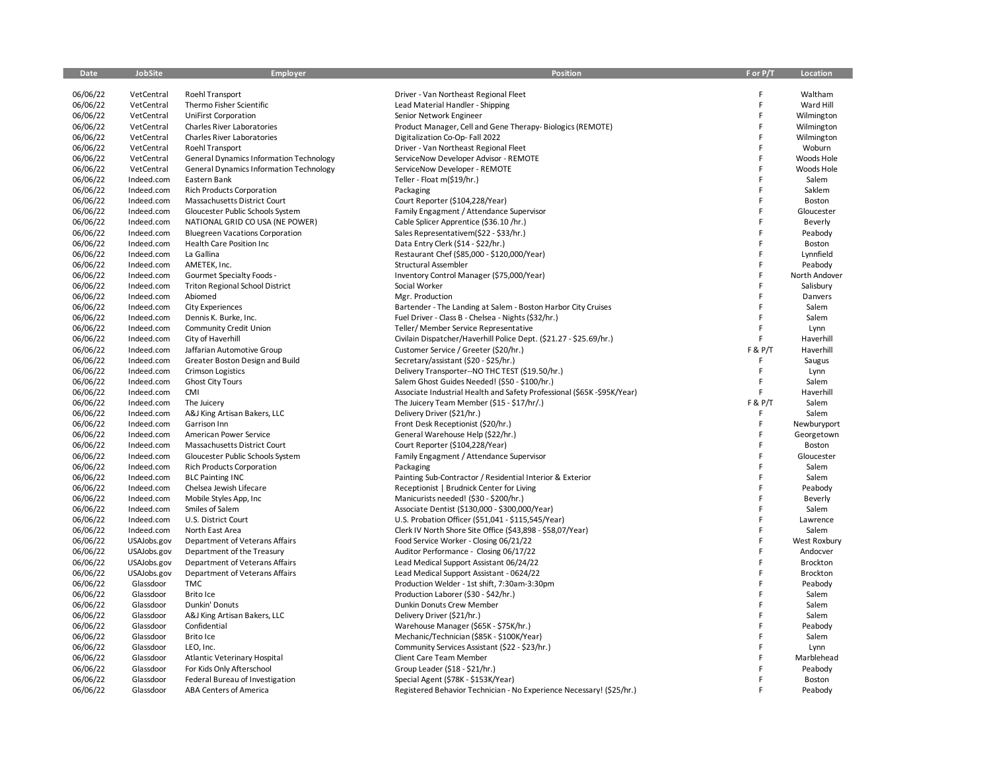| Date     | <b>JobSite</b> | <b>Employer</b>                                | <b>Position</b>                                                         | For P/T | Location      |
|----------|----------------|------------------------------------------------|-------------------------------------------------------------------------|---------|---------------|
|          |                |                                                |                                                                         |         |               |
| 06/06/22 | VetCentral     | Roehl Transport                                | Driver - Van Northeast Regional Fleet                                   | F       | Waltham       |
| 06/06/22 | VetCentral     | Thermo Fisher Scientific                       | Lead Material Handler - Shipping                                        | F       | Ward Hill     |
| 06/06/22 | VetCentral     | <b>UniFirst Corporation</b>                    | Senior Network Engineer                                                 | F       | Wilmington    |
| 06/06/22 | VetCentral     | Charles River Laboratories                     | Product Manager, Cell and Gene Therapy-Biologics (REMOTE)               | F       | Wilmington    |
| 06/06/22 | VetCentral     | <b>Charles River Laboratories</b>              | Digitalization Co-Op-Fall 2022                                          | F       | Wilmington    |
| 06/06/22 | VetCentral     | Roehl Transport                                | Driver - Van Northeast Regional Fleet                                   | F       | Woburn        |
| 06/06/22 | VetCentral     | <b>General Dynamics Information Technology</b> | ServiceNow Developer Advisor - REMOTE                                   | F       | Woods Hole    |
| 06/06/22 | VetCentral     | <b>General Dynamics Information Technology</b> | ServiceNow Developer - REMOTE                                           | F       | Woods Hole    |
| 06/06/22 | Indeed.com     | Eastern Bank                                   | Teller - Float m(\$19/hr.)                                              | F       | Salem         |
| 06/06/22 | Indeed.com     | <b>Rich Products Corporation</b>               | Packaging                                                               | F       | Saklem        |
| 06/06/22 | Indeed.com     | Massachusetts District Court                   | Court Reporter (\$104,228/Year)                                         | F       | Boston        |
| 06/06/22 | Indeed.com     | Gloucester Public Schools System               | Family Engagment / Attendance Supervisor                                | F       | Gloucester    |
| 06/06/22 | Indeed.com     | NATIONAL GRID CO USA (NE POWER)                | Cable Splicer Apprentice (\$36.10 /hr.)                                 | F       | Beverly       |
| 06/06/22 | Indeed.com     | <b>Bluegreen Vacations Corporation</b>         | Sales Representativem(\$22 - \$33/hr.)                                  | F       | Peabody       |
| 06/06/22 | Indeed.com     | Health Care Position Inc                       | Data Entry Clerk (\$14 - \$22/hr.)                                      | F       | Boston        |
| 06/06/22 | Indeed.com     | La Gallina                                     | Restaurant Chef (\$85,000 - \$120,000/Year)                             | F       | Lynnfield     |
| 06/06/22 | Indeed.com     | AMETEK, Inc.                                   | Structural Assembler                                                    | F       | Peabody       |
| 06/06/22 | Indeed.com     | Gourmet Specialty Foods -                      | Inventory Control Manager (\$75,000/Year)                               | F       | North Andover |
| 06/06/22 | Indeed.com     | <b>Triton Regional School District</b>         | Social Worker                                                           | F       | Salisbury     |
| 06/06/22 | Indeed.com     | Abiomed                                        | Mgr. Production                                                         | F       | Danvers       |
| 06/06/22 | Indeed.com     | <b>City Experiences</b>                        | Bartender - The Landing at Salem - Boston Harbor City Cruises           | F       | Salem         |
| 06/06/22 | Indeed.com     | Dennis K. Burke, Inc.                          | Fuel Driver - Class B - Chelsea - Nights (\$32/hr.)                     | F       | Salem         |
| 06/06/22 | Indeed.com     | Community Credit Union                         | Teller/ Member Service Representative                                   | F       | Lynn          |
| 06/06/22 | Indeed.com     | City of Haverhill                              | Civilain Dispatcher/Haverhill Police Dept. (\$21.27 - \$25.69/hr.)      | F       | Haverhill     |
| 06/06/22 | Indeed.com     | Jaffarian Automotive Group                     | Customer Service / Greeter (\$20/hr.)                                   | F & P/T | Haverhill     |
| 06/06/22 | Indeed.com     | Greater Boston Design and Build                | Secretary/assistant (\$20 - \$25/hr.)                                   | F       | Saugus        |
| 06/06/22 | Indeed.com     | <b>Crimson Logistics</b>                       | Delivery Transporter--NO THC TEST (\$19.50/hr.)                         | F       | Lynn          |
| 06/06/22 | Indeed.com     | <b>Ghost City Tours</b>                        | Salem Ghost Guides Needed! (\$50 - \$100/hr.)                           | F       | Salem         |
| 06/06/22 | Indeed.com     | <b>CMI</b>                                     | Associate Industrial Health and Safety Professional (\$65K -\$95K/Year) | F       | Haverhill     |
| 06/06/22 | Indeed.com     | The Juicery                                    | The Juicery Team Member (\$15 - \$17/hr/.)                              | F & P/T | Salem         |
| 06/06/22 | Indeed.com     | A&J King Artisan Bakers, LLC                   | Delivery Driver (\$21/hr.)                                              | F       | Salem         |
| 06/06/22 | Indeed.com     | Garrison Inn                                   | Front Desk Receptionist (\$20/hr.)                                      | F       | Newburyport   |
| 06/06/22 | Indeed.com     | American Power Service                         | General Warehouse Help (\$22/hr.)                                       | F       | Georgetown    |
| 06/06/22 | Indeed.com     | Massachusetts District Court                   | Court Reporter (\$104,228/Year)                                         | F       | Boston        |
| 06/06/22 | Indeed.com     | Gloucester Public Schools System               | Family Engagment / Attendance Supervisor                                | F       | Gloucester    |
| 06/06/22 | Indeed.com     | <b>Rich Products Corporation</b>               |                                                                         | F       | Salem         |
| 06/06/22 | Indeed.com     |                                                | Packaging                                                               | F       | Salem         |
|          |                | <b>BLC Painting INC</b>                        | Painting Sub-Contractor / Residential Interior & Exterior               | F       |               |
| 06/06/22 | Indeed.com     | Chelsea Jewish Lifecare                        | Receptionist   Brudnick Center for Living                               |         | Peabody       |
| 06/06/22 | Indeed.com     | Mobile Styles App, Inc.                        | Manicurists needed! (\$30 - \$200/hr.)                                  | F<br>F  | Beverly       |
| 06/06/22 | Indeed.com     | Smiles of Salem                                | Associate Dentist (\$130,000 - \$300,000/Year)                          | F       | Salem         |
| 06/06/22 | Indeed.com     | U.S. District Court                            | U.S. Probation Officer (\$51,041 - \$115,545/Year)                      | F       | Lawrence      |
| 06/06/22 | Indeed.com     | North East Area                                | Clerk IV North Shore Site Office (\$43,898 - \$58,07/Year)              | F       | Salem         |
| 06/06/22 | USAJobs.gov    | Department of Veterans Affairs                 | Food Service Worker - Closing 06/21/22                                  |         | West Roxbury  |
| 06/06/22 | USAJobs.gov    | Department of the Treasury                     | Auditor Performance - Closing 06/17/22                                  | F       | Andocver      |
| 06/06/22 | USAJobs.gov    | Department of Veterans Affairs                 | Lead Medical Support Assistant 06/24/22                                 | F       | Brockton      |
| 06/06/22 | USAJobs.gov    | Department of Veterans Affairs                 | Lead Medical Support Assistant - 0624/22                                | F       | Brockton      |
| 06/06/22 | Glassdoor      | <b>TMC</b>                                     | Production Welder - 1st shift, 7:30am-3:30pm                            | F       | Peabody       |
| 06/06/22 | Glassdoor      | <b>Brito Ice</b>                               | Production Laborer (\$30 - \$42/hr.)                                    | F       | Salem         |
| 06/06/22 | Glassdoor      | Dunkin' Donuts                                 | Dunkin Donuts Crew Member                                               | F       | Salem         |
| 06/06/22 | Glassdoor      | A&J King Artisan Bakers, LLC                   | Delivery Driver (\$21/hr.)                                              | F       | Salem         |
| 06/06/22 | Glassdoor      | Confidential                                   | Warehouse Manager (\$65K - \$75K/hr.)                                   | F       | Peabody       |
| 06/06/22 | Glassdoor      | <b>Brito Ice</b>                               | Mechanic/Technician (\$85K - \$100K/Year)                               | F       | Salem         |
| 06/06/22 | Glassdoor      | LEO, Inc.                                      | Community Services Assistant (\$22 - \$23/hr.)                          | F       | Lynn          |
| 06/06/22 | Glassdoor      | <b>Atlantic Veterinary Hospital</b>            | Client Care Team Member                                                 | F       | Marblehead    |
| 06/06/22 | Glassdoor      | For Kids Only Afterschool                      | Group Leader (\$18 - \$21/hr.)                                          | F       | Peabody       |
| 06/06/22 | Glassdoor      | Federal Bureau of Investigation                | Special Agent (\$78K - \$153K/Year)                                     | F       | Boston        |
| 06/06/22 | Glassdoor      | ABA Centers of America                         | Registered Behavior Technician - No Experience Necessary! (\$25/hr.)    | F       | Peabody       |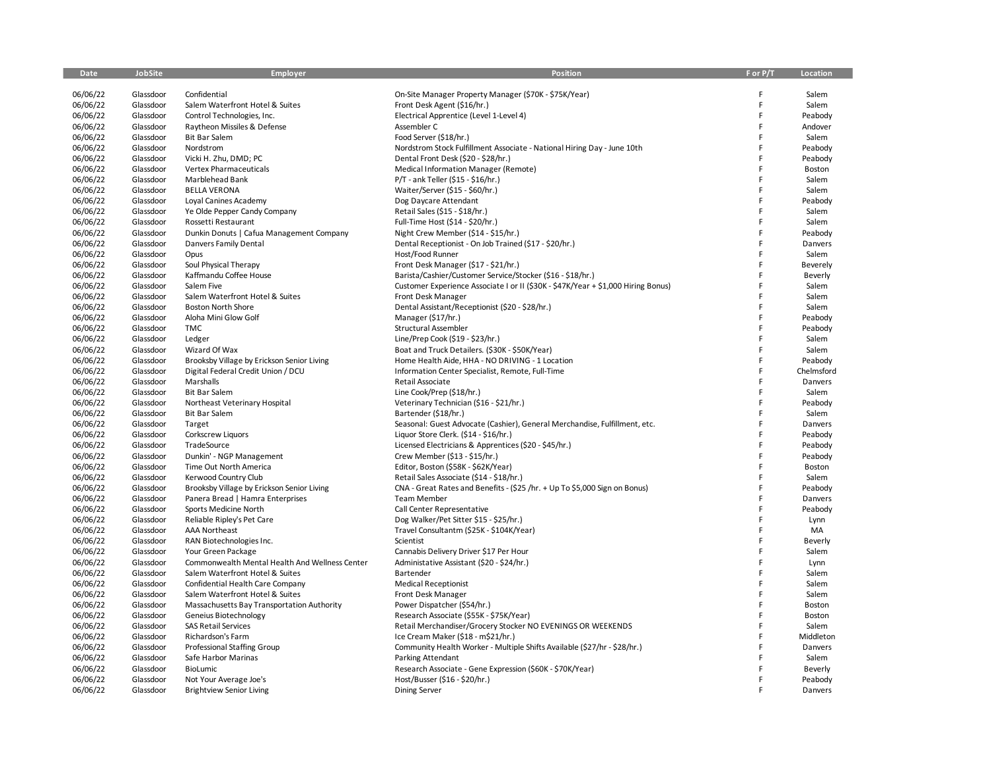| Date     | JobSite   | <b>Employer</b>                                | <b>Position</b>                                                                   | F or P/T    | Location   |
|----------|-----------|------------------------------------------------|-----------------------------------------------------------------------------------|-------------|------------|
|          |           |                                                |                                                                                   |             |            |
| 06/06/22 | Glassdoor | Confidential                                   | On-Site Manager Property Manager (\$70K - \$75K/Year)                             | F           | Salem      |
| 06/06/22 | Glassdoor | Salem Waterfront Hotel & Suites                | Front Desk Agent (\$16/hr.)                                                       | F           | Salem      |
| 06/06/22 | Glassdoor | Control Technologies, Inc.                     | Electrical Apprentice (Level 1-Level 4)                                           | F           | Peabody    |
| 06/06/22 | Glassdoor | Raytheon Missiles & Defense                    | Assembler C                                                                       | F           | Andover    |
| 06/06/22 | Glassdoor | <b>Bit Bar Salem</b>                           | Food Server (\$18/hr.)                                                            | F           | Salem      |
| 06/06/22 | Glassdoor | Nordstrom                                      | Nordstrom Stock Fulfillment Associate - National Hiring Day - June 10th           | F           | Peabody    |
| 06/06/22 | Glassdoor | Vicki H. Zhu, DMD; PC                          | Dental Front Desk (\$20 - \$28/hr.)                                               | F           | Peabody    |
| 06/06/22 | Glassdoor | Vertex Pharmaceuticals                         | Medical Information Manager (Remote)                                              | F           | Boston     |
| 06/06/22 | Glassdoor | Marblehead Bank                                | P/T - ank Teller (\$15 - \$16/hr.)                                                | F           | Salem      |
| 06/06/22 | Glassdoor | <b>BELLA VERONA</b>                            | Waiter/Server (\$15 - \$60/hr.)                                                   | F           | Salem      |
| 06/06/22 | Glassdoor | Loyal Canines Academy                          | Dog Daycare Attendant                                                             | F           | Peabody    |
| 06/06/22 | Glassdoor | Ye Olde Pepper Candy Company                   | Retail Sales (\$15 - \$18/hr.)                                                    | F           | Salem      |
| 06/06/22 | Glassdoor | Rossetti Restaurant                            | Full-Time Host (\$14 - \$20/hr.)                                                  | F           | Salem      |
| 06/06/22 | Glassdoor | Dunkin Donuts   Cafua Management Company       | Night Crew Member (\$14 - \$15/hr.)                                               | E           | Peabody    |
| 06/06/22 | Glassdoor | Danvers Family Dental                          | Dental Receptionist - On Job Trained (\$17 - \$20/hr.)                            | F           | Danvers    |
| 06/06/22 | Glassdoor | Opus                                           | Host/Food Runner                                                                  | F           | Salem      |
| 06/06/22 | Glassdoor | Soul Physical Therapy                          | Front Desk Manager (\$17 - \$21/hr.)                                              | E           | Beverely   |
| 06/06/22 | Glassdoor | Kaffmandu Coffee House                         | Barista/Cashier/Customer Service/Stocker (\$16 - \$18/hr.)                        | F           | Beverly    |
| 06/06/22 | Glassdoor | Salem Five                                     | Customer Experience Associate I or II (\$30K - \$47K/Year + \$1,000 Hiring Bonus) | F           | Salem      |
| 06/06/22 | Glassdoor | Salem Waterfront Hotel & Suites                | Front Desk Manager                                                                | F           | Salem      |
| 06/06/22 | Glassdoor | <b>Boston North Shore</b>                      | Dental Assistant/Receptionist (\$20 - \$28/hr.)                                   | F           | Salem      |
| 06/06/22 | Glassdoor | Aloha Mini Glow Golf                           | Manager (\$17/hr.)                                                                | F           | Peabody    |
| 06/06/22 | Glassdoor | <b>TMC</b>                                     | Structural Assembler                                                              | E           | Peabody    |
| 06/06/22 | Glassdoor | Ledger                                         | Line/Prep Cook (\$19 - \$23/hr.)                                                  | F           | Salem      |
| 06/06/22 | Glassdoor | Wizard Of Wax                                  | Boat and Truck Detailers. (\$30K - \$50K/Year)                                    | F           | Salem      |
| 06/06/22 | Glassdoor | Brooksby Village by Erickson Senior Living     | Home Health Aide, HHA - NO DRIVING - 1 Location                                   | F           | Peabody    |
| 06/06/22 | Glassdoor | Digital Federal Credit Union / DCU             | Information Center Specialist, Remote, Full-Time                                  | F           | Chelmsford |
| 06/06/22 | Glassdoor | Marshalls                                      | Retail Associate                                                                  | F           | Danvers    |
| 06/06/22 | Glassdoor | <b>Bit Bar Salem</b>                           | Line Cook/Prep (\$18/hr.)                                                         | E           | Salem      |
| 06/06/22 | Glassdoor | Northeast Veterinary Hospital                  | Veterinary Technician (\$16 - \$21/hr.)                                           | F           | Peabody    |
| 06/06/22 | Glassdoor | <b>Bit Bar Salem</b>                           | Bartender (\$18/hr.)                                                              | F           | Salem      |
| 06/06/22 | Glassdoor | Target                                         | Seasonal: Guest Advocate (Cashier), General Merchandise, Fulfillment, etc.        | F           | Danvers    |
| 06/06/22 | Glassdoor | Corkscrew Liquors                              | Liquor Store Clerk. (\$14 - \$16/hr.)                                             | F           | Peabody    |
| 06/06/22 | Glassdoor | TradeSource                                    | Licensed Electricians & Apprentices (\$20 - \$45/hr.)                             | F           | Peabody    |
| 06/06/22 | Glassdoor | Dunkin' - NGP Management                       | Crew Member (\$13 - \$15/hr.)                                                     | F           | Peabody    |
| 06/06/22 | Glassdoor | Time Out North America                         | Editor, Boston (\$58K - \$62K/Year)                                               | F           | Boston     |
| 06/06/22 | Glassdoor | Kerwood Country Club                           | Retail Sales Associate (\$14 - \$18/hr.)                                          | F           | Salem      |
| 06/06/22 | Glassdoor | Brooksby Village by Erickson Senior Living     | CNA - Great Rates and Benefits - (\$25 /hr. + Up To \$5,000 Sign on Bonus)        | E           | Peabody    |
| 06/06/22 | Glassdoor | Panera Bread   Hamra Enterprises               | <b>Team Member</b>                                                                | F           | Danvers    |
| 06/06/22 | Glassdoor | Sports Medicine North                          | Call Center Representative                                                        | F           | Peabody    |
| 06/06/22 | Glassdoor | Reliable Ripley's Pet Care                     | Dog Walker/Pet Sitter \$15 - \$25/hr.)                                            | $\mathsf F$ | Lynn       |
| 06/06/22 | Glassdoor | <b>AAA Northeast</b>                           | Travel Consultantm (\$25K - \$104K/Year)                                          | F           | MA         |
| 06/06/22 | Glassdoor | RAN Biotechnologies Inc.                       | Scientist                                                                         | F           | Beverly    |
| 06/06/22 | Glassdoor | Your Green Package                             | Cannabis Delivery Driver \$17 Per Hour                                            | F           | Salem      |
| 06/06/22 | Glassdoor | Commonwealth Mental Health And Wellness Center | Administative Assistant (\$20 - \$24/hr.)                                         | F           | Lynn       |
| 06/06/22 | Glassdoor | Salem Waterfront Hotel & Suites                | Bartender                                                                         | F           | Salem      |
| 06/06/22 | Glassdoor | Confidential Health Care Company               | <b>Medical Receptionist</b>                                                       | F           | Salem      |
| 06/06/22 | Glassdoor | Salem Waterfront Hotel & Suites                | Front Desk Manager                                                                | F           | Salem      |
| 06/06/22 | Glassdoor | Massachusetts Bay Transportation Authority     | Power Dispatcher (\$54/hr.)                                                       | F           | Boston     |
| 06/06/22 | Glassdoor | Geneius Biotechnology                          | Research Associate (\$55K - \$75K/Year)                                           | F           | Boston     |
| 06/06/22 | Glassdoor | <b>SAS Retail Services</b>                     | Retail Merchandiser/Grocery Stocker NO EVENINGS OR WEEKENDS                       | F           | Salem      |
| 06/06/22 | Glassdoor | Richardson's Farm                              | Ice Cream Maker (\$18 - m\$21/hr.)                                                | F           | Middleton  |
| 06/06/22 | Glassdoor | Professional Staffing Group                    | Community Health Worker - Multiple Shifts Available (\$27/hr - \$28/hr.)          | F           | Danvers    |
| 06/06/22 | Glassdoor | Safe Harbor Marinas                            | Parking Attendant                                                                 | F           | Salem      |
| 06/06/22 | Glassdoor | BioLumic                                       | Research Associate - Gene Expression (\$60K - \$70K/Year)                         | F           | Beverly    |
| 06/06/22 | Glassdoor | Not Your Average Joe's                         | Host/Busser (\$16 - \$20/hr.)                                                     | F           | Peabody    |
| 06/06/22 | Glassdoor | <b>Brightview Senior Living</b>                | Dining Server                                                                     | F           | Danvers    |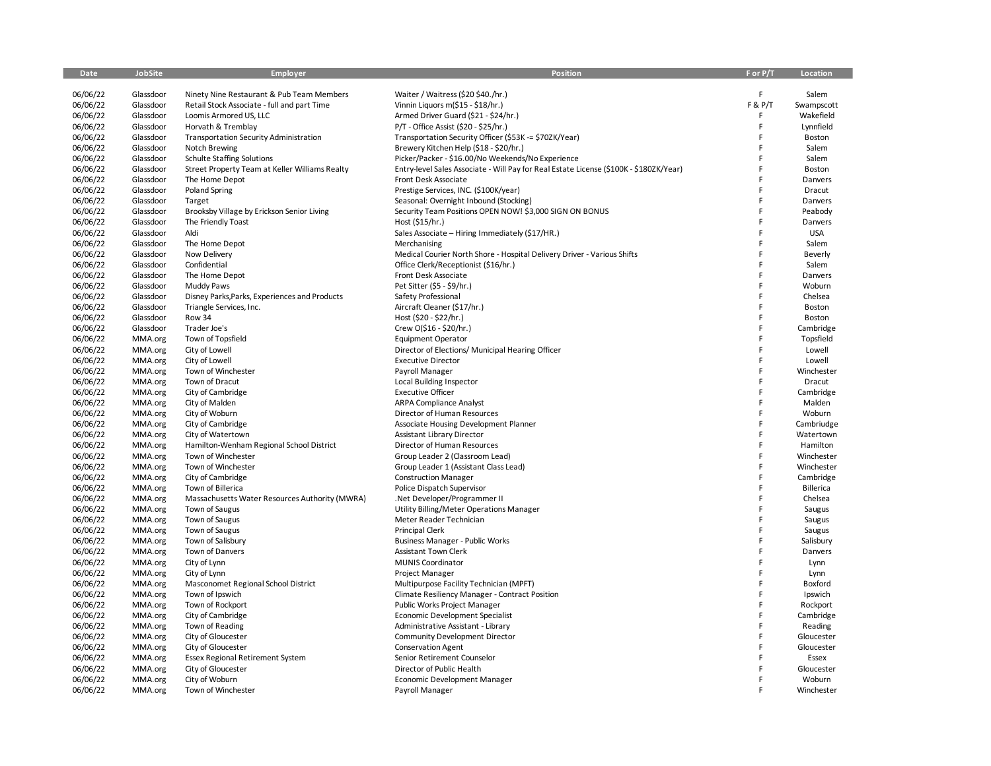| <b>Date</b> | JobSite   | Employer                                       | Position                                                                               | F or P/T | Location             |
|-------------|-----------|------------------------------------------------|----------------------------------------------------------------------------------------|----------|----------------------|
|             |           |                                                |                                                                                        |          |                      |
| 06/06/22    | Glassdoor | Ninety Nine Restaurant & Pub Team Members      | Waiter / Waitress (\$20 \$40./hr.)                                                     | F        | Salem                |
| 06/06/22    | Glassdoor | Retail Stock Associate - full and part Time    | Vinnin Liquors m(\$15 - \$18/hr.)                                                      | F & P/T  | Swampscott           |
| 06/06/22    | Glassdoor | Loomis Armored US, LLC                         | Armed Driver Guard (\$21 - \$24/hr.)                                                   | F        | Wakefield            |
| 06/06/22    | Glassdoor | Horvath & Tremblay                             | P/T - Office Assist (\$20 - \$25/hr.)                                                  | F        | Lynnfield            |
| 06/06/22    | Glassdoor | <b>Transportation Security Administration</b>  | Transportation Security Officer (\$53K -= \$70ZK/Year)                                 | F        | Boston               |
| 06/06/22    | Glassdoor | Notch Brewing                                  | Brewery Kitchen Help (\$18 - \$20/hr.)                                                 | F        | Salem                |
| 06/06/22    | Glassdoor | <b>Schulte Staffing Solutions</b>              | Picker/Packer - \$16.00/No Weekends/No Experience                                      | F        | Salem                |
| 06/06/22    | Glassdoor | Street Property Team at Keller Williams Realty | Entry-level Sales Associate - Will Pay for Real Estate License (\$100K - \$180ZK/Year) | F        | Boston               |
| 06/06/22    | Glassdoor | The Home Depot                                 | Front Desk Associate                                                                   | F        | Danvers              |
| 06/06/22    | Glassdoor | Poland Spring                                  | Prestige Services, INC. (\$100K/year)                                                  | F        | Dracut               |
| 06/06/22    | Glassdoor | Target                                         | Seasonal: Overnight Inbound (Stocking)                                                 | F        | Danvers              |
| 06/06/22    | Glassdoor | Brooksby Village by Erickson Senior Living     | Security Team Positions OPEN NOW! \$3,000 SIGN ON BONUS                                | F        | Peabody              |
| 06/06/22    | Glassdoor | The Friendly Toast                             | Host (\$15/hr.)                                                                        | F        | Danvers              |
| 06/06/22    | Glassdoor | Aldi                                           | Sales Associate - Hiring Immediately (\$17/HR.)                                        | F        | <b>USA</b>           |
| 06/06/22    | Glassdoor | The Home Depot                                 | Merchanising                                                                           | F        | Salem                |
| 06/06/22    | Glassdoor | Now Delivery                                   | Medical Courier North Shore - Hospital Delivery Driver - Various Shifts                | F        | Beverly              |
| 06/06/22    | Glassdoor | Confidential                                   | Office Clerk/Receptionist (\$16/hr.)                                                   | F        | Salem                |
| 06/06/22    | Glassdoor | The Home Depot                                 | Front Desk Associate                                                                   | F        | Danvers              |
| 06/06/22    | Glassdoor | Muddy Paws                                     | Pet Sitter (\$5 - \$9/hr.)                                                             | F        | Woburn               |
| 06/06/22    | Glassdoor | Disney Parks, Parks, Experiences and Products  | Safety Professional                                                                    | F        | Chelsea              |
| 06/06/22    | Glassdoor | Triangle Services, Inc.                        | Aircraft Cleaner (\$17/hr.)                                                            | F        | Boston               |
| 06/06/22    | Glassdoor | Row 34                                         | Host (\$20 - \$22/hr.)                                                                 | F        | Boston               |
| 06/06/22    | Glassdoor | Trader Joe's                                   | Crew O(\$16 - \$20/hr.)                                                                | F        | Cambridge            |
| 06/06/22    | MMA.org   | Town of Topsfield                              | <b>Equipment Operator</b>                                                              | F        | Topsfield            |
| 06/06/22    | MMA.org   | City of Lowell                                 | Director of Elections/ Municipal Hearing Officer                                       | F        | Lowell               |
| 06/06/22    |           |                                                | <b>Executive Director</b>                                                              | F        |                      |
| 06/06/22    | MMA.org   | City of Lowell<br>Town of Winchester           |                                                                                        | F        | Lowell<br>Winchester |
|             | MMA.org   |                                                | Payroll Manager                                                                        | F        |                      |
| 06/06/22    | MMA.org   | Town of Dracut                                 | Local Building Inspector                                                               | F        | Dracut               |
| 06/06/22    | MMA.org   | City of Cambridge                              | <b>Executive Officer</b>                                                               | F        | Cambridge            |
| 06/06/22    | MMA.org   | City of Malden                                 | <b>ARPA Compliance Analyst</b>                                                         |          | Malden               |
| 06/06/22    | MMA.org   | City of Woburn                                 | Director of Human Resources                                                            | F<br>F   | Woburn               |
| 06/06/22    | MMA.org   | City of Cambridge                              | Associate Housing Development Planner                                                  |          | Cambriudge           |
| 06/06/22    | MMA.org   | City of Watertown                              | <b>Assistant Library Director</b>                                                      | F        | Watertown            |
| 06/06/22    | MMA.org   | Hamilton-Wenham Regional School District       | Director of Human Resources                                                            | F        | Hamilton             |
| 06/06/22    | MMA.org   | Town of Winchester                             | Group Leader 2 (Classroom Lead)                                                        | F        | Winchester           |
| 06/06/22    | MMA.org   | Town of Winchester                             | Group Leader 1 (Assistant Class Lead)                                                  | F        | Winchester           |
| 06/06/22    | MMA.org   | City of Cambridge                              | <b>Construction Manager</b>                                                            | F        | Cambridge            |
| 06/06/22    | MMA.org   | Town of Billerica                              | Police Dispatch Supervisor                                                             | F        | Billerica            |
| 06/06/22    | MMA.org   | Massachusetts Water Resources Authority (MWRA) | .Net Developer/Programmer II                                                           | F        | Chelsea              |
| 06/06/22    | MMA.org   | Town of Saugus                                 | Utility Billing/Meter Operations Manager                                               | F        | Saugus               |
| 06/06/22    | MMA.org   | Town of Saugus                                 | Meter Reader Technician                                                                | F        | Saugus               |
| 06/06/22    | MMA.org   | Town of Saugus                                 | Principal Clerk                                                                        | F        | Saugus               |
| 06/06/22    | MMA.org   | Town of Salisbury                              | <b>Business Manager - Public Works</b>                                                 | F        | Salisbury            |
| 06/06/22    | MMA.org   | Town of Danvers                                | <b>Assistant Town Clerk</b>                                                            | F        | Danvers              |
| 06/06/22    | MMA.org   | City of Lynn                                   | <b>MUNIS Coordinator</b>                                                               | F        | Lynn                 |
| 06/06/22    | MMA.org   | City of Lynn                                   | Project Manager                                                                        | F        | Lynn                 |
| 06/06/22    | MMA.org   | Masconomet Regional School District            | Multipurpose Facility Technician (MPFT)                                                | F        | Boxford              |
| 06/06/22    | MMA.org   | Town of Ipswich                                | Climate Resiliency Manager - Contract Position                                         | F        | Ipswich              |
| 06/06/22    | MMA.org   | Town of Rockport                               | Public Works Project Manager                                                           | F        | Rockport             |
| 06/06/22    | MMA.org   | City of Cambridge                              | <b>Economic Development Specialist</b>                                                 | F        | Cambridge            |
| 06/06/22    | MMA.org   | Town of Reading                                | Administrative Assistant - Library                                                     | F        | Reading              |
| 06/06/22    | MMA.org   | City of Gloucester                             | Community Development Director                                                         | F        | Gloucester           |
| 06/06/22    | MMA.org   | City of Gloucester                             | <b>Conservation Agent</b>                                                              | F        | Gloucester           |
| 06/06/22    | MMA.org   | <b>Essex Regional Retirement System</b>        | Senior Retirement Counselor                                                            | F        | Essex                |
| 06/06/22    | MMA.org   | City of Gloucester                             | Director of Public Health                                                              | F        | Gloucester           |
| 06/06/22    | MMA.org   | City of Woburn                                 | Economic Development Manager                                                           |          | Woburn               |
| 06/06/22    | MMA.org   | Town of Winchester                             | Payroll Manager                                                                        |          | Winchester           |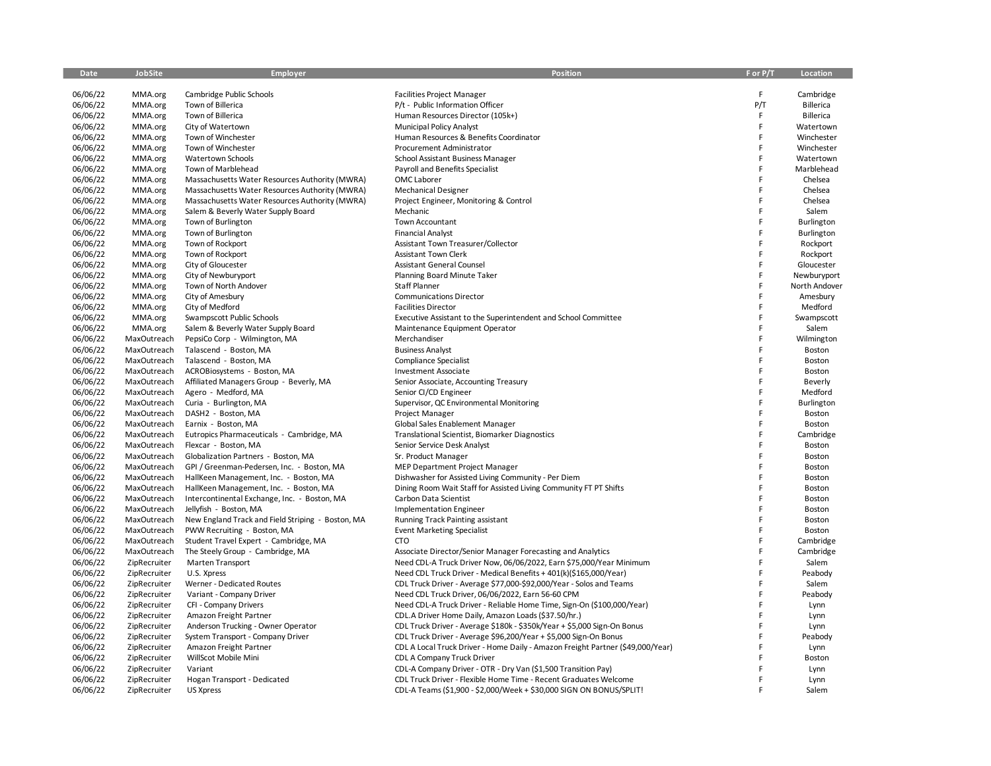| Date     | <b>JobSite</b> | <b>Employer</b>                                   | <b>Position</b>                                                                | F or P/T | Location         |
|----------|----------------|---------------------------------------------------|--------------------------------------------------------------------------------|----------|------------------|
|          |                |                                                   |                                                                                |          |                  |
| 06/06/22 | MMA.org        | Cambridge Public Schools                          | <b>Facilities Project Manager</b>                                              | F        | Cambridge        |
| 06/06/22 | MMA.org        | Town of Billerica                                 | P/t - Public Information Officer                                               | P/T      | <b>Billerica</b> |
| 06/06/22 | MMA.org        | Town of Billerica                                 | Human Resources Director (105k+)                                               | F        | Billerica        |
| 06/06/22 | MMA.org        | City of Watertown                                 | <b>Municipal Policy Analyst</b>                                                | F        | Watertown        |
| 06/06/22 | MMA.org        | Town of Winchester                                | Human Resources & Benefits Coordinator                                         | F        | Winchester       |
| 06/06/22 | MMA.org        | Town of Winchester                                | Procurement Administrator                                                      | F        | Winchester       |
| 06/06/22 | MMA.org        | Watertown Schools                                 | School Assistant Business Manager                                              | F        | Watertown        |
| 06/06/22 | MMA.org        | Town of Marblehead                                | Payroll and Benefits Specialist                                                | F        | Marblehead       |
| 06/06/22 | MMA.org        | Massachusetts Water Resources Authority (MWRA)    | OMC Laborer                                                                    |          | Chelsea          |
| 06/06/22 | MMA.org        | Massachusetts Water Resources Authority (MWRA)    | <b>Mechanical Designer</b>                                                     | F        | Chelsea          |
| 06/06/22 | MMA.org        | Massachusetts Water Resources Authority (MWRA)    | Project Engineer, Monitoring & Control                                         | F        | Chelsea          |
| 06/06/22 | MMA.org        | Salem & Beverly Water Supply Board                | Mechanic                                                                       | F        | Salem            |
| 06/06/22 | MMA.org        | Town of Burlington                                | Town Accountant                                                                | F        | Burlington       |
| 06/06/22 | MMA.org        | Town of Burlington                                | <b>Financial Analyst</b>                                                       | F        | Burlington       |
| 06/06/22 | MMA.org        | Town of Rockport                                  | Assistant Town Treasurer/Collector                                             | F        | Rockport         |
| 06/06/22 | MMA.org        | Town of Rockport                                  | <b>Assistant Town Clerk</b>                                                    | F        | Rockport         |
| 06/06/22 | MMA.org        | City of Gloucester                                | <b>Assistant General Counsel</b>                                               | F        | Gloucester       |
| 06/06/22 | MMA.org        | City of Newburyport                               | Planning Board Minute Taker                                                    | F        | Newburyport      |
| 06/06/22 | MMA.org        | Town of North Andover                             | Staff Planner                                                                  | F        | North Andover    |
| 06/06/22 | MMA.org        | City of Amesbury                                  | <b>Communications Director</b>                                                 |          | Amesbury         |
| 06/06/22 | MMA.org        | City of Medford                                   | <b>Facilities Director</b>                                                     | F        | Medford          |
| 06/06/22 | MMA.org        | Swampscott Public Schools                         | Executive Assistant to the Superintendent and School Committee                 | F        | Swampscott       |
| 06/06/22 | MMA.org        | Salem & Beverly Water Supply Board                | Maintenance Equipment Operator                                                 | F        | Salem            |
| 06/06/22 | MaxOutreach    | PepsiCo Corp - Wilmington, MA                     | Merchandiser                                                                   | F        | Wilmington       |
| 06/06/22 | MaxOutreach    | Talascend - Boston, MA                            | <b>Business Analyst</b>                                                        | F        | Boston           |
| 06/06/22 | MaxOutreach    | Talascend - Boston, MA                            | Compliance Specialist                                                          | F        | Boston           |
| 06/06/22 | MaxOutreach    | ACROBiosystems - Boston, MA                       | <b>Investment Associate</b>                                                    | E        | Boston           |
| 06/06/22 | MaxOutreach    | Affiliated Managers Group - Beverly, MA           | Senior Associate, Accounting Treasury                                          | F        | Beverly          |
| 06/06/22 | MaxOutreach    | Agero - Medford, MA                               | Senior CI/CD Engineer                                                          | E        | Medford          |
| 06/06/22 | MaxOutreach    | Curia - Burlington, MA                            | Supervisor, QC Environmental Monitoring                                        | F        | Burlington       |
| 06/06/22 | MaxOutreach    | DASH2 - Boston, MA                                | Project Manager                                                                |          | Boston           |
| 06/06/22 | MaxOutreach    | Earnix - Boston, MA                               | Global Sales Enablement Manager                                                | F        | Boston           |
| 06/06/22 | MaxOutreach    | Eutropics Pharmaceuticals - Cambridge, MA         | Translational Scientist, Biomarker Diagnostics                                 | F        | Cambridge        |
| 06/06/22 | MaxOutreach    | Flexcar - Boston, MA                              | Senior Service Desk Analyst                                                    | F        | Boston           |
| 06/06/22 | MaxOutreach    | Globalization Partners - Boston, MA               | Sr. Product Manager                                                            | F        | Boston           |
| 06/06/22 | MaxOutreach    | GPI / Greenman-Pedersen, Inc. - Boston, MA        | MEP Department Project Manager                                                 | F        | Boston           |
| 06/06/22 | MaxOutreach    | HallKeen Management, Inc. - Boston, MA            | Dishwasher for Assisted Living Community - Per Diem                            | F        | Boston           |
| 06/06/22 | MaxOutreach    | HallKeen Management, Inc. - Boston, MA            | Dining Room Wait Staff for Assisted Living Community FT PT Shifts              | F        | Boston           |
| 06/06/22 | MaxOutreach    | Intercontinental Exchange, Inc. - Boston, MA      | Carbon Data Scientist                                                          | F        | Boston           |
| 06/06/22 | MaxOutreach    | Jellyfish - Boston, MA                            | <b>Implementation Engineer</b>                                                 | E        | Boston           |
| 06/06/22 | MaxOutreach    | New England Track and Field Striping - Boston, MA | Running Track Painting assistant                                               | F        | Boston           |
| 06/06/22 | MaxOutreach    | PWW Recruiting - Boston, MA                       | <b>Event Marketing Specialist</b>                                              |          | Boston           |
| 06/06/22 | MaxOutreach    | Student Travel Expert - Cambridge, MA             | <b>CTO</b>                                                                     | F        | Cambridge        |
| 06/06/22 | MaxOutreach    | The Steely Group - Cambridge, MA                  | Associate Director/Senior Manager Forecasting and Analytics                    | F        | Cambridge        |
| 06/06/22 | ZipRecruiter   | Marten Transport                                  | Need CDL-A Truck Driver Now, 06/06/2022, Earn \$75,000/Year Minimum            | F        | Salem            |
| 06/06/22 | ZipRecruiter   | U.S. Xpress                                       | Need CDL Truck Driver - Medical Benefits + 401(k)(\$165,000/Year)              | F        | Peabody          |
| 06/06/22 | ZipRecruiter   | Werner - Dedicated Routes                         | CDL Truck Driver - Average \$77,000-\$92,000/Year - Solos and Teams            | F        | Salem            |
| 06/06/22 | ZipRecruiter   | Variant - Company Driver                          | Need CDL Truck Driver, 06/06/2022, Earn 56-60 CPM                              | F        | Peabody          |
| 06/06/22 | ZipRecruiter   | CFI - Company Drivers                             | Need CDL-A Truck Driver - Reliable Home Time, Sign-On (\$100,000/Year)         | E        | Lynn             |
| 06/06/22 | ZipRecruiter   | Amazon Freight Partner                            | CDL.A Driver Home Daily, Amazon Loads (\$37.50/hr.)                            | F        | Lynn             |
| 06/06/22 | ZipRecruiter   | Anderson Trucking - Owner Operator                | CDL Truck Driver - Average \$180k - \$350k/Year + \$5,000 Sign-On Bonus        | F        | Lynn             |
| 06/06/22 | ZipRecruiter   | System Transport - Company Driver                 | CDL Truck Driver - Average \$96,200/Year + \$5,000 Sign-On Bonus               | F        | Peabody          |
| 06/06/22 | ZipRecruiter   | Amazon Freight Partner                            | CDL A Local Truck Driver - Home Daily - Amazon Freight Partner (\$49,000/Year) |          | Lynn             |
| 06/06/22 | ZipRecruiter   | WillScot Mobile Mini                              | CDL A Company Truck Driver                                                     |          | Boston           |
| 06/06/22 | ZipRecruiter   | Variant                                           | CDL-A Company Driver - OTR - Dry Van (\$1,500 Transition Pay)                  |          | Lynn             |
| 06/06/22 | ZipRecruiter   | Hogan Transport - Dedicated                       | CDL Truck Driver - Flexible Home Time - Recent Graduates Welcome               | F        | Lynn             |
| 06/06/22 | ZipRecruiter   | US Xpress                                         | CDL-A Teams (\$1,900 - \$2,000/Week + \$30,000 SIGN ON BONUS/SPLIT!            | F        | Salem            |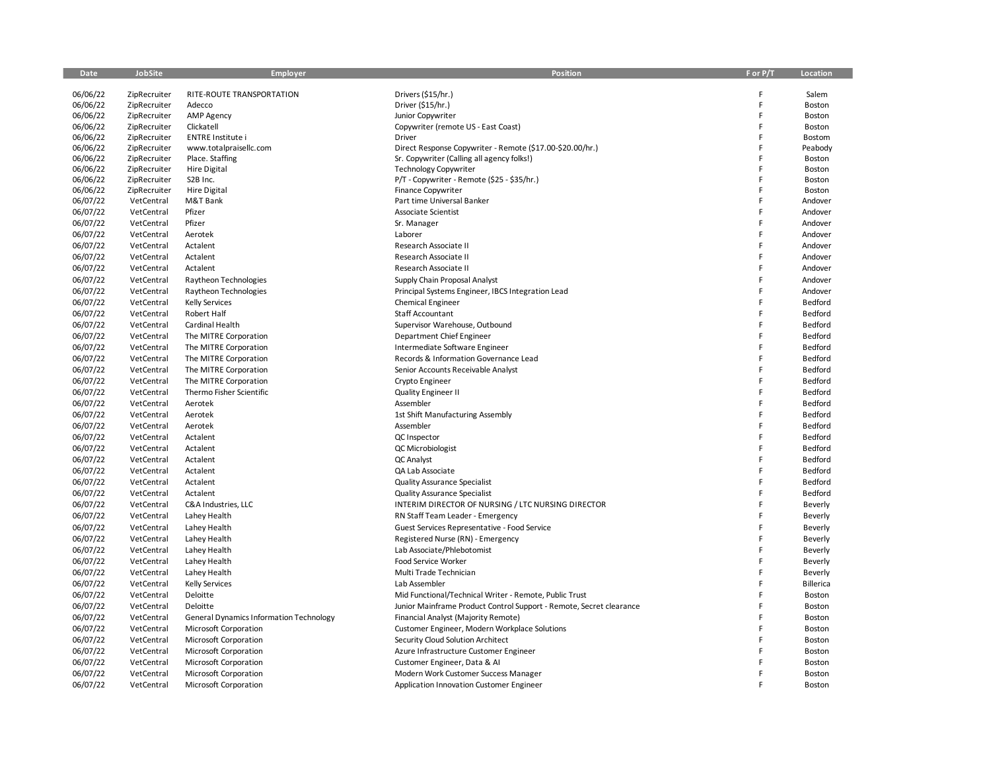| Date     | JobSite      | Employer                                       | Position                                                            | F or P/T | Location         |
|----------|--------------|------------------------------------------------|---------------------------------------------------------------------|----------|------------------|
|          |              |                                                |                                                                     |          |                  |
| 06/06/22 | ZipRecruiter | RITE-ROUTE TRANSPORTATION                      | Drivers (\$15/hr.)                                                  | F        | Salem            |
| 06/06/22 | ZipRecruiter | Adecco                                         | Driver (\$15/hr.)                                                   | F        | Boston           |
| 06/06/22 | ZipRecruiter | <b>AMP Agency</b>                              | Junior Copywriter                                                   | F        | Boston           |
| 06/06/22 | ZipRecruiter | Clickatell                                     | Copywriter (remote US - East Coast)                                 | F        | Boston           |
| 06/06/22 | ZipRecruiter | <b>ENTRE Institute i</b>                       | <b>Driver</b>                                                       | F        | Bostom           |
| 06/06/22 | ZipRecruiter | www.totalpraisellc.com                         | Direct Response Copywriter - Remote (\$17.00-\$20.00/hr.)           | F        | Peabody          |
| 06/06/22 | ZipRecruiter | Place. Staffing                                | Sr. Copywriter (Calling all agency folks!)                          | F        | Boston           |
| 06/06/22 | ZipRecruiter | Hire Digital                                   | <b>Technology Copywriter</b>                                        | F        | Boston           |
| 06/06/22 | ZipRecruiter | S2B Inc.                                       | P/T - Copywriter - Remote (\$25 - \$35/hr.)                         | F        | Boston           |
| 06/06/22 | ZipRecruiter | <b>Hire Digital</b>                            | <b>Finance Copywriter</b>                                           | F        | Boston           |
| 06/07/22 | VetCentral   | M&T Bank                                       | Part time Universal Banker                                          | F        | Andover          |
| 06/07/22 | VetCentral   | Pfizer                                         | Associate Scientist                                                 | F        | Andover          |
| 06/07/22 | VetCentral   | Pfizer                                         | Sr. Manager                                                         | F        | Andover          |
| 06/07/22 | VetCentral   | Aerotek                                        | Laborer                                                             | F        | Andover          |
| 06/07/22 | VetCentral   | Actalent                                       | Research Associate II                                               | F        | Andover          |
| 06/07/22 | VetCentral   | Actalent                                       | Research Associate II                                               | F        | Andover          |
| 06/07/22 | VetCentral   | Actalent                                       | Research Associate II                                               | F        | Andover          |
| 06/07/22 | VetCentral   | Raytheon Technologies                          | Supply Chain Proposal Analyst                                       | F        | Andover          |
| 06/07/22 | VetCentral   | Raytheon Technologies                          | Principal Systems Engineer, IBCS Integration Lead                   | F        | Andover          |
| 06/07/22 | VetCentral   | <b>Kelly Services</b>                          | Chemical Engineer                                                   | F        | Bedford          |
| 06/07/22 | VetCentral   | Robert Half                                    | Staff Accountant                                                    | F        | Bedford          |
| 06/07/22 | VetCentral   | Cardinal Health                                | Supervisor Warehouse, Outbound                                      | F        | Bedford          |
| 06/07/22 | VetCentral   | The MITRE Corporation                          | Department Chief Engineer                                           | F        | Bedford          |
| 06/07/22 | VetCentral   | The MITRE Corporation                          | Intermediate Software Engineer                                      | F        | Bedford          |
| 06/07/22 | VetCentral   | The MITRE Corporation                          | Records & Information Governance Lead                               | F        | Bedford          |
| 06/07/22 | VetCentral   | The MITRE Corporation                          | Senior Accounts Receivable Analyst                                  | F        | Bedford          |
| 06/07/22 | VetCentral   | The MITRE Corporation                          | Crypto Engineer                                                     | F        | Bedford          |
| 06/07/22 | VetCentral   | Thermo Fisher Scientific                       | <b>Quality Engineer II</b>                                          | F        | Bedford          |
| 06/07/22 | VetCentral   | Aerotek                                        | Assembler                                                           | F        | Bedford          |
| 06/07/22 | VetCentral   | Aerotek                                        | 1st Shift Manufacturing Assembly                                    | F        | Bedford          |
| 06/07/22 | VetCentral   | Aerotek                                        | Assembler                                                           | F        | Bedford          |
| 06/07/22 | VetCentral   | Actalent                                       | QC Inspector                                                        | F        | Bedford          |
| 06/07/22 | VetCentral   | Actalent                                       | QC Microbiologist                                                   | F        | Bedford          |
| 06/07/22 | VetCentral   | Actalent                                       | QC Analyst                                                          | F        | Bedford          |
| 06/07/22 | VetCentral   | Actalent                                       | QA Lab Associate                                                    | F        | Bedford          |
| 06/07/22 | VetCentral   | Actalent                                       | <b>Quality Assurance Specialist</b>                                 | F        | Bedford          |
| 06/07/22 | VetCentral   | Actalent                                       | <b>Quality Assurance Specialist</b>                                 | F        | Bedford          |
| 06/07/22 | VetCentral   | C&A Industries, LLC                            | INTERIM DIRECTOR OF NURSING / LTC NURSING DIRECTOR                  | F        | Beverly          |
| 06/07/22 | VetCentral   | Lahey Health                                   | RN Staff Team Leader - Emergency                                    | F        | Beverly          |
| 06/07/22 | VetCentral   | Lahey Health                                   | Guest Services Representative - Food Service                        | F        | Beverly          |
| 06/07/22 | VetCentral   | Lahey Health                                   | Registered Nurse (RN) - Emergency                                   | F        | Beverly          |
| 06/07/22 | VetCentral   | Lahey Health                                   | Lab Associate/Phlebotomist                                          | F        | Beverly          |
| 06/07/22 | VetCentral   | Lahey Health                                   | Food Service Worker                                                 | F        | Beverly          |
| 06/07/22 | VetCentral   | Lahey Health                                   | Multi Trade Technician                                              | F        | Beverly          |
| 06/07/22 | VetCentral   | <b>Kelly Services</b>                          | Lab Assembler                                                       | F        | <b>Billerica</b> |
| 06/07/22 | VetCentral   | Deloitte                                       | Mid Functional/Technical Writer - Remote, Public Trust              | F        | Boston           |
| 06/07/22 | VetCentral   | Deloitte                                       | Junior Mainframe Product Control Support - Remote, Secret clearance | F        | Boston           |
| 06/07/22 | VetCentral   | <b>General Dynamics Information Technology</b> | Financial Analyst (Majority Remote)                                 | F        | Boston           |
| 06/07/22 | VetCentral   | Microsoft Corporation                          | Customer Engineer, Modern Workplace Solutions                       | F        | Boston           |
| 06/07/22 | VetCentral   | Microsoft Corporation                          | Security Cloud Solution Architect                                   | F        | Boston           |
| 06/07/22 | VetCentral   | <b>Microsoft Corporation</b>                   | Azure Infrastructure Customer Engineer                              | F        | Boston           |
| 06/07/22 | VetCentral   | <b>Microsoft Corporation</b>                   | Customer Engineer, Data & Al                                        | F        | Boston           |
| 06/07/22 | VetCentral   | <b>Microsoft Corporation</b>                   | Modern Work Customer Success Manager                                | F        | Boston           |
| 06/07/22 | VetCentral   | <b>Microsoft Corporation</b>                   | Application Innovation Customer Engineer                            | F        | Boston           |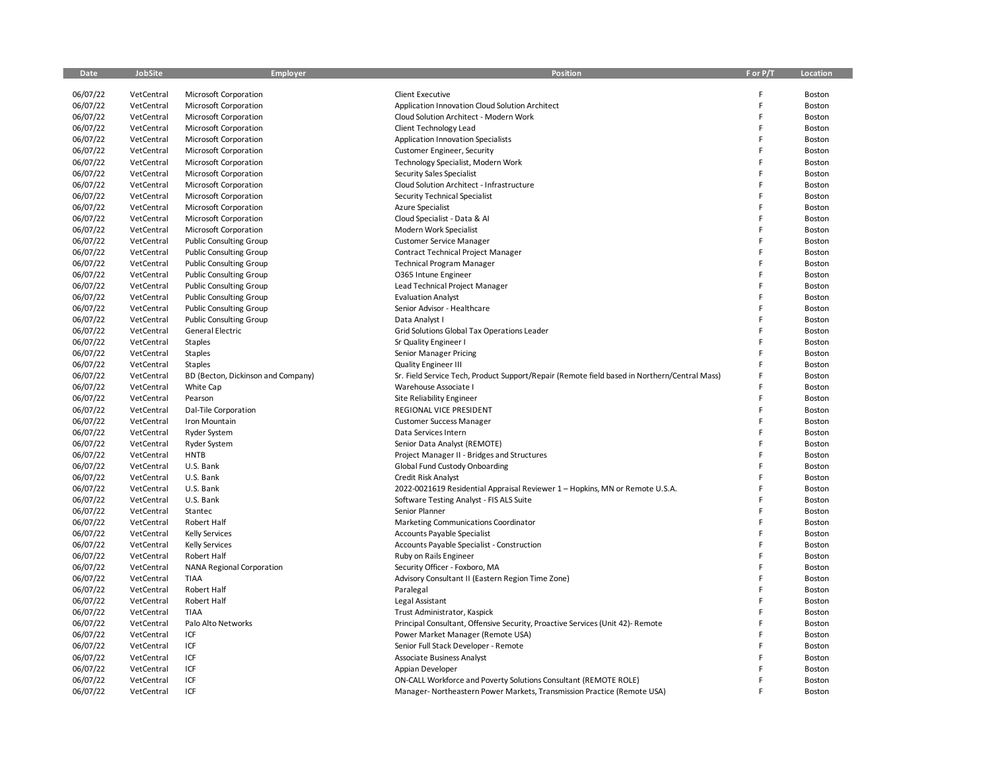| Date     | JobSite    | Employer                           | Position                                                                                     | F or P/T | Location |
|----------|------------|------------------------------------|----------------------------------------------------------------------------------------------|----------|----------|
|          |            |                                    |                                                                                              |          |          |
| 06/07/22 | VetCentral | Microsoft Corporation              | <b>Client Executive</b>                                                                      | F        | Boston   |
| 06/07/22 | VetCentral | Microsoft Corporation              | Application Innovation Cloud Solution Architect                                              | F        | Boston   |
| 06/07/22 | VetCentral | Microsoft Corporation              | Cloud Solution Architect - Modern Work                                                       | E        | Boston   |
| 06/07/22 | VetCentral | Microsoft Corporation              | Client Technology Lead                                                                       | Ë        | Boston   |
| 06/07/22 | VetCentral | Microsoft Corporation              | <b>Application Innovation Specialists</b>                                                    | F        | Boston   |
| 06/07/22 | VetCentral | Microsoft Corporation              | Customer Engineer, Security                                                                  | Þ        | Boston   |
| 06/07/22 | VetCentral | Microsoft Corporation              | Technology Specialist, Modern Work                                                           | Ë        | Boston   |
| 06/07/22 | VetCentral | Microsoft Corporation              | Security Sales Specialist                                                                    | F        | Boston   |
| 06/07/22 | VetCentral | Microsoft Corporation              | Cloud Solution Architect - Infrastructure                                                    | Þ        | Boston   |
| 06/07/22 | VetCentral | Microsoft Corporation              | Security Technical Specialist                                                                | Ë        | Boston   |
| 06/07/22 | VetCentral | Microsoft Corporation              | <b>Azure Specialist</b>                                                                      | F        | Boston   |
| 06/07/22 | VetCentral | Microsoft Corporation              | Cloud Specialist - Data & Al                                                                 | Ė        | Boston   |
| 06/07/22 | VetCentral | Microsoft Corporation              | Modern Work Specialist                                                                       | Ë        | Boston   |
| 06/07/22 | VetCentral | <b>Public Consulting Group</b>     | <b>Customer Service Manager</b>                                                              | F        | Boston   |
| 06/07/22 | VetCentral | <b>Public Consulting Group</b>     | Contract Technical Project Manager                                                           | E        | Boston   |
| 06/07/22 | VetCentral | <b>Public Consulting Group</b>     | <b>Technical Program Manager</b>                                                             | Ë        | Boston   |
| 06/07/22 | VetCentral | <b>Public Consulting Group</b>     | 0365 Intune Engineer                                                                         | F        | Boston   |
| 06/07/22 | VetCentral | <b>Public Consulting Group</b>     | Lead Technical Project Manager                                                               |          | Boston   |
| 06/07/22 | VetCentral | <b>Public Consulting Group</b>     | <b>Evaluation Analyst</b>                                                                    | Ë        | Boston   |
| 06/07/22 | VetCentral | <b>Public Consulting Group</b>     | Senior Advisor - Healthcare                                                                  | Ë        | Boston   |
| 06/07/22 | VetCentral | <b>Public Consulting Group</b>     | Data Analyst I                                                                               |          | Boston   |
| 06/07/22 | VetCentral | <b>General Electric</b>            | Grid Solutions Global Tax Operations Leader                                                  | Ë        | Boston   |
| 06/07/22 | VetCentral | <b>Staples</b>                     | Sr Quality Engineer I                                                                        | Ë        | Boston   |
| 06/07/22 | VetCentral | <b>Staples</b>                     | Senior Manager Pricing                                                                       | E        | Boston   |
| 06/07/22 | VetCentral | <b>Staples</b>                     | <b>Quality Engineer III</b>                                                                  | F        | Boston   |
| 06/07/22 | VetCentral | BD (Becton, Dickinson and Company) | Sr. Field Service Tech, Product Support/Repair (Remote field based in Northern/Central Mass) | F        | Boston   |
| 06/07/22 | VetCentral | White Cap                          | Warehouse Associate I                                                                        | Ë        | Boston   |
| 06/07/22 | VetCentral | Pearson                            | Site Reliability Engineer                                                                    | Ë        | Boston   |
| 06/07/22 | VetCentral | Dal-Tile Corporation               | REGIONAL VICE PRESIDENT                                                                      | Ë        | Boston   |
| 06/07/22 | VetCentral | Iron Mountain                      | <b>Customer Success Manager</b>                                                              | Ë        | Boston   |
| 06/07/22 | VetCentral | Ryder System                       | Data Services Intern                                                                         | Ë        | Boston   |
| 06/07/22 | VetCentral | Ryder System                       | Senior Data Analyst (REMOTE)                                                                 | Ë        | Boston   |
| 06/07/22 | VetCentral | <b>HNTB</b>                        | Project Manager II - Bridges and Structures                                                  | Ë        | Boston   |
| 06/07/22 | VetCentral | U.S. Bank                          | Global Fund Custody Onboarding                                                               | Ë        | Boston   |
| 06/07/22 | VetCentral | U.S. Bank                          | Credit Risk Analyst                                                                          | Ė        | Boston   |
| 06/07/22 | VetCentral | U.S. Bank                          | 2022-0021619 Residential Appraisal Reviewer 1 - Hopkins, MN or Remote U.S.A.                 | Ë        | Boston   |
| 06/07/22 | VetCentral | U.S. Bank                          | Software Testing Analyst - FIS ALS Suite                                                     | Ë        | Boston   |
| 06/07/22 | VetCentral | Stantec                            | Senior Planner                                                                               | Ë        | Boston   |
| 06/07/22 | VetCentral | Robert Half                        | Marketing Communications Coordinator                                                         | Ë        | Boston   |
| 06/07/22 | VetCentral | <b>Kelly Services</b>              | <b>Accounts Payable Specialist</b>                                                           | Ë        | Boston   |
| 06/07/22 | VetCentral | <b>Kelly Services</b>              | Accounts Payable Specialist - Construction                                                   | Ë        | Boston   |
| 06/07/22 | VetCentral | Robert Half                        | Ruby on Rails Engineer                                                                       | F        | Boston   |
| 06/07/22 | VetCentral | <b>NANA Regional Corporation</b>   | Security Officer - Foxboro, MA                                                               | E        | Boston   |
| 06/07/22 | VetCentral | <b>TIAA</b>                        | Advisory Consultant II (Eastern Region Time Zone)                                            | Ë        | Boston   |
| 06/07/22 | VetCentral | <b>Robert Half</b>                 | Paralegal                                                                                    | Ë        | Boston   |
| 06/07/22 | VetCentral | Robert Half                        | Legal Assistant                                                                              | E        | Boston   |
| 06/07/22 | VetCentral | <b>TIAA</b>                        | Trust Administrator, Kaspick                                                                 | Ë        | Boston   |
| 06/07/22 | VetCentral | Palo Alto Networks                 | Principal Consultant, Offensive Security, Proactive Services (Unit 42)- Remote               | Ë        | Boston   |
| 06/07/22 | VetCentral | ICF                                | Power Market Manager (Remote USA)                                                            | Ë        | Boston   |
| 06/07/22 | VetCentral | ICF                                | Senior Full Stack Developer - Remote                                                         | E        | Boston   |
| 06/07/22 | VetCentral | ICF                                | Associate Business Analyst                                                                   | Ë        | Boston   |
| 06/07/22 | VetCentral | ICF                                | Appian Developer                                                                             | Ë        | Boston   |
| 06/07/22 | VetCentral | ICF                                | ON-CALL Workforce and Poverty Solutions Consultant (REMOTE ROLE)                             | Ë        | Boston   |
| 06/07/22 | VetCentral | ICF                                | Manager-Northeastern Power Markets, Transmission Practice (Remote USA)                       |          | Boston   |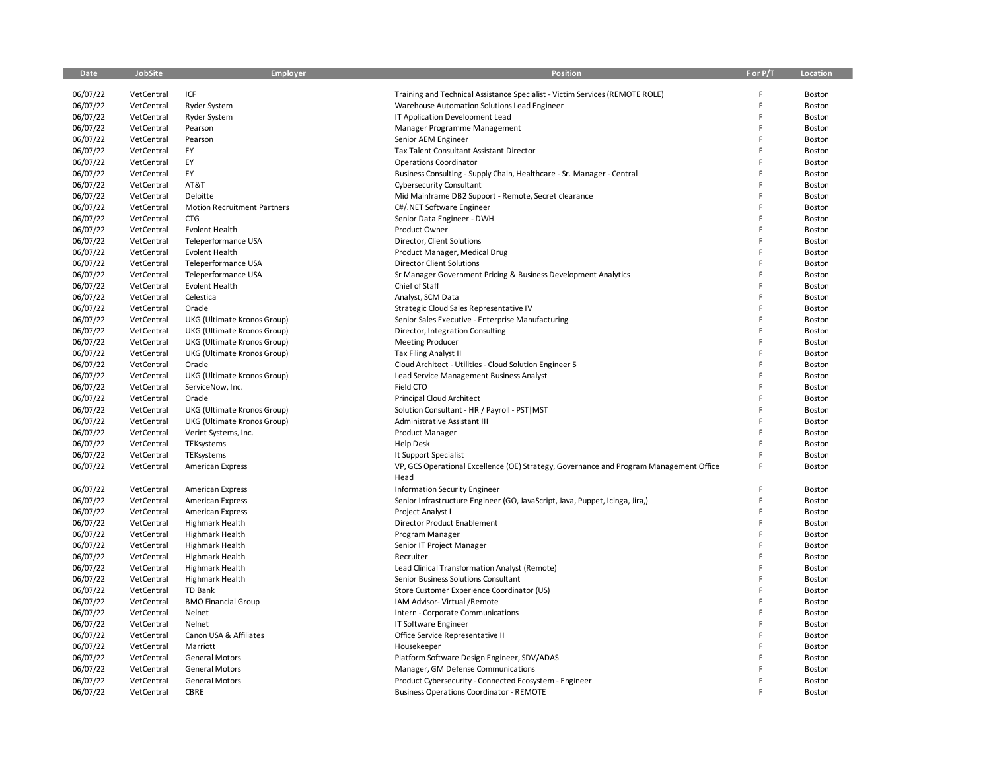| Date     | JobSite    | Employer                           | Position                                                                                       | F or P/T | Location |
|----------|------------|------------------------------------|------------------------------------------------------------------------------------------------|----------|----------|
| 06/07/22 | VetCentral | ICF                                | Training and Technical Assistance Specialist - Victim Services (REMOTE ROLE)                   |          | Boston   |
| 06/07/22 | VetCentral | Ryder System                       | Warehouse Automation Solutions Lead Engineer                                                   | F        | Boston   |
| 06/07/22 | VetCentral | Ryder System                       | IT Application Development Lead                                                                | F        | Boston   |
| 06/07/22 | VetCentral | Pearson                            | Manager Programme Management                                                                   |          | Boston   |
| 06/07/22 | VetCentral | Pearson                            | Senior AEM Engineer                                                                            |          | Boston   |
| 06/07/22 | VetCentral | EY                                 | Tax Talent Consultant Assistant Director                                                       |          | Boston   |
| 06/07/22 | VetCentral | EY                                 | <b>Operations Coordinator</b>                                                                  |          | Boston   |
| 06/07/22 | VetCentral | EY                                 | Business Consulting - Supply Chain, Healthcare - Sr. Manager - Central                         |          | Boston   |
| 06/07/22 | VetCentral | AT&T                               | <b>Cybersecurity Consultant</b>                                                                |          | Boston   |
| 06/07/22 | VetCentral | Deloitte                           | Mid Mainframe DB2 Support - Remote, Secret clearance                                           |          | Boston   |
| 06/07/22 | VetCentral | <b>Motion Recruitment Partners</b> | C#/.NET Software Engineer                                                                      |          | Boston   |
| 06/07/22 | VetCentral | <b>CTG</b>                         | Senior Data Engineer - DWH                                                                     |          | Boston   |
| 06/07/22 | VetCentral | Evolent Health                     | Product Owner                                                                                  |          | Boston   |
| 06/07/22 | VetCentral | Teleperformance USA                | Director, Client Solutions                                                                     |          | Boston   |
| 06/07/22 | VetCentral | Evolent Health                     | Product Manager, Medical Drug                                                                  |          | Boston   |
| 06/07/22 | VetCentral | Teleperformance USA                | <b>Director Client Solutions</b>                                                               |          | Boston   |
| 06/07/22 | VetCentral | Teleperformance USA                | Sr Manager Government Pricing & Business Development Analytics                                 |          | Boston   |
| 06/07/22 | VetCentral | <b>Evolent Health</b>              | Chief of Staff                                                                                 |          | Boston   |
| 06/07/22 | VetCentral | Celestica                          | Analyst, SCM Data                                                                              |          | Boston   |
| 06/07/22 | VetCentral | Oracle                             | Strategic Cloud Sales Representative IV                                                        |          | Boston   |
| 06/07/22 | VetCentral | UKG (Ultimate Kronos Group)        | Senior Sales Executive - Enterprise Manufacturing                                              |          | Boston   |
| 06/07/22 | VetCentral | UKG (Ultimate Kronos Group)        | Director, Integration Consulting                                                               |          | Boston   |
| 06/07/22 | VetCentral | UKG (Ultimate Kronos Group)        | <b>Meeting Producer</b>                                                                        |          | Boston   |
| 06/07/22 | VetCentral | UKG (Ultimate Kronos Group)        | <b>Tax Filing Analyst II</b>                                                                   |          | Boston   |
| 06/07/22 | VetCentral | Oracle                             | Cloud Architect - Utilities - Cloud Solution Engineer 5                                        |          | Boston   |
| 06/07/22 | VetCentral | UKG (Ultimate Kronos Group)        | Lead Service Management Business Analyst                                                       |          | Boston   |
| 06/07/22 | VetCentral | ServiceNow, Inc.                   | Field CTO                                                                                      |          | Boston   |
| 06/07/22 | VetCentral | Oracle                             | <b>Principal Cloud Architect</b>                                                               |          | Boston   |
| 06/07/22 | VetCentral | UKG (Ultimate Kronos Group)        | Solution Consultant - HR / Payroll - PST   MST                                                 | F        | Boston   |
| 06/07/22 | VetCentral | UKG (Ultimate Kronos Group)        | Administrative Assistant III                                                                   |          | Boston   |
| 06/07/22 | VetCentral | Verint Systems, Inc.               | <b>Product Manager</b>                                                                         |          | Boston   |
| 06/07/22 | VetCentral | TEKsystems                         | <b>Help Desk</b>                                                                               | E        | Boston   |
| 06/07/22 | VetCentral | TEKsystems                         | It Support Specialist                                                                          |          | Boston   |
| 06/07/22 | VetCentral | American Express                   | VP, GCS Operational Excellence (OE) Strategy, Governance and Program Management Office<br>Head |          | Boston   |
| 06/07/22 | VetCentral | American Express                   | <b>Information Security Engineer</b>                                                           |          | Boston   |
| 06/07/22 | VetCentral | <b>American Express</b>            | Senior Infrastructure Engineer (GO, JavaScript, Java, Puppet, Icinga, Jira,)                   |          | Boston   |
| 06/07/22 | VetCentral | <b>American Express</b>            | Project Analyst I                                                                              |          | Boston   |
| 06/07/22 | VetCentral | Highmark Health                    | <b>Director Product Enablement</b>                                                             |          | Boston   |
| 06/07/22 | VetCentral | Highmark Health                    | Program Manager                                                                                |          | Boston   |
| 06/07/22 | VetCentral | Highmark Health                    | Senior IT Project Manager                                                                      |          | Boston   |
| 06/07/22 | VetCentral | Highmark Health                    | Recruiter                                                                                      |          | Boston   |
| 06/07/22 | VetCentral | Highmark Health                    | Lead Clinical Transformation Analyst (Remote)                                                  | Е        | Boston   |
| 06/07/22 | VetCentral | Highmark Health                    | Senior Business Solutions Consultant                                                           |          | Boston   |
| 06/07/22 | VetCentral | <b>TD Bank</b>                     | Store Customer Experience Coordinator (US)                                                     |          | Boston   |
| 06/07/22 | VetCentral | <b>BMO Financial Group</b>         | IAM Advisor- Virtual /Remote                                                                   | Е        | Boston   |
| 06/07/22 | VetCentral | Nelnet                             | Intern - Corporate Communications                                                              |          | Boston   |
| 06/07/22 | VetCentral | Nelnet                             | <b>IT Software Engineer</b>                                                                    |          | Boston   |
| 06/07/22 | VetCentral | Canon USA & Affiliates             | Office Service Representative II                                                               |          | Boston   |
| 06/07/22 | VetCentral | Marriott                           | Housekeeper                                                                                    |          | Boston   |
| 06/07/22 | VetCentral | <b>General Motors</b>              | Platform Software Design Engineer, SDV/ADAS                                                    |          | Boston   |
| 06/07/22 | VetCentral | <b>General Motors</b>              | Manager, GM Defense Communications                                                             |          | Boston   |
| 06/07/22 | VetCentral | <b>General Motors</b>              | Product Cybersecurity - Connected Ecosystem - Engineer                                         |          | Boston   |
| 06/07/22 | VetCentral | CBRE                               | <b>Business Operations Coordinator - REMOTE</b>                                                |          | Boston   |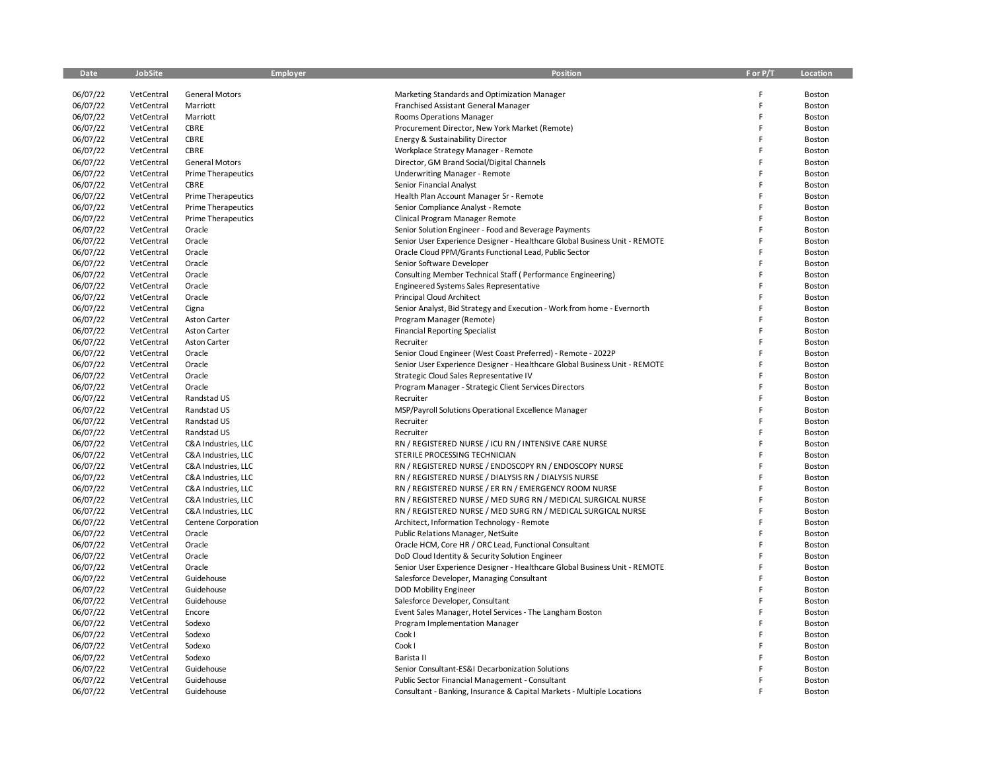| Date     | JobSite    | <b>Employer</b>           | Position                                                                   | F or P/T | Location |
|----------|------------|---------------------------|----------------------------------------------------------------------------|----------|----------|
| 06/07/22 | VetCentral | <b>General Motors</b>     | Marketing Standards and Optimization Manager                               |          | Boston   |
| 06/07/22 | VetCentral | Marriott                  | Franchised Assistant General Manager                                       | F        | Boston   |
| 06/07/22 | VetCentral | Marriott                  | Rooms Operations Manager                                                   | E        | Boston   |
| 06/07/22 | VetCentral | CBRE                      | Procurement Director, New York Market (Remote)                             |          | Boston   |
| 06/07/22 | VetCentral | CBRE                      | Energy & Sustainability Director                                           |          | Boston   |
| 06/07/22 | VetCentral | CBRE                      | Workplace Strategy Manager - Remote                                        |          | Boston   |
| 06/07/22 | VetCentral | <b>General Motors</b>     | Director, GM Brand Social/Digital Channels                                 |          | Boston   |
| 06/07/22 | VetCentral | <b>Prime Therapeutics</b> | <b>Underwriting Manager - Remote</b>                                       |          | Boston   |
| 06/07/22 | VetCentral | CBRE                      | Senior Financial Analyst                                                   |          | Boston   |
| 06/07/22 | VetCentral | <b>Prime Therapeutics</b> | Health Plan Account Manager Sr - Remote                                    |          | Boston   |
| 06/07/22 | VetCentral | <b>Prime Therapeutics</b> | Senior Compliance Analyst - Remote                                         |          | Boston   |
| 06/07/22 | VetCentral | Prime Therapeutics        | Clinical Program Manager Remote                                            |          | Boston   |
| 06/07/22 | VetCentral | Oracle                    | Senior Solution Engineer - Food and Beverage Payments                      |          | Boston   |
| 06/07/22 | VetCentral | Oracle                    | Senior User Experience Designer - Healthcare Global Business Unit - REMOTE |          | Boston   |
| 06/07/22 | VetCentral | Oracle                    | Oracle Cloud PPM/Grants Functional Lead, Public Sector                     |          | Boston   |
| 06/07/22 | VetCentral | Oracle                    | Senior Software Developer                                                  |          | Boston   |
| 06/07/22 | VetCentral | Oracle                    | Consulting Member Technical Staff (Performance Engineering)                |          | Boston   |
| 06/07/22 | VetCentral | Oracle                    | Engineered Systems Sales Representative                                    |          | Boston   |
| 06/07/22 | VetCentral | Oracle                    | <b>Principal Cloud Architect</b>                                           |          | Boston   |
| 06/07/22 | VetCentral | Cigna                     | Senior Analyst, Bid Strategy and Execution - Work from home - Evernorth    |          | Boston   |
| 06/07/22 | VetCentral | Aston Carter              | Program Manager (Remote)                                                   |          | Boston   |
| 06/07/22 | VetCentral | <b>Aston Carter</b>       | <b>Financial Reporting Specialist</b>                                      |          | Boston   |
| 06/07/22 | VetCentral | Aston Carter              | Recruiter                                                                  | E        | Boston   |
| 06/07/22 | VetCentral | Oracle                    | Senior Cloud Engineer (West Coast Preferred) - Remote - 2022P              |          | Boston   |
| 06/07/22 | VetCentral | Oracle                    | Senior User Experience Designer - Healthcare Global Business Unit - REMOTE |          | Boston   |
| 06/07/22 | VetCentral | Oracle                    | Strategic Cloud Sales Representative IV                                    | Е        | Boston   |
| 06/07/22 | VetCentral | Oracle                    | Program Manager - Strategic Client Services Directors                      |          | Boston   |
| 06/07/22 | VetCentral | Randstad US               | Recruiter                                                                  |          | Boston   |
| 06/07/22 | VetCentral | Randstad US               | MSP/Payroll Solutions Operational Excellence Manager                       |          | Boston   |
| 06/07/22 | VetCentral | Randstad US               | Recruiter                                                                  |          | Boston   |
| 06/07/22 | VetCentral | Randstad US               | Recruiter                                                                  |          | Boston   |
| 06/07/22 | VetCentral | C&A Industries, LLC       | RN / REGISTERED NURSE / ICU RN / INTENSIVE CARE NURSE                      | E        | Boston   |
| 06/07/22 | VetCentral | C&A Industries, LLC       | STERILE PROCESSING TECHNICIAN                                              |          | Boston   |
| 06/07/22 | VetCentral | C&A Industries, LLC       | RN / REGISTERED NURSE / ENDOSCOPY RN / ENDOSCOPY NURSE                     |          | Boston   |
| 06/07/22 | VetCentral | C&A Industries, LLC       | RN / REGISTERED NURSE / DIALYSIS RN / DIALYSIS NURSE                       | E        | Boston   |
| 06/07/22 | VetCentral | C&A Industries, LLC       | RN / REGISTERED NURSE / ER RN / EMERGENCY ROOM NURSE                       |          | Boston   |
| 06/07/22 | VetCentral | C&A Industries, LLC       | RN / REGISTERED NURSE / MED SURG RN / MEDICAL SURGICAL NURSE               |          | Boston   |
| 06/07/22 | VetCentral | C&A Industries, LLC       | RN / REGISTERED NURSE / MED SURG RN / MEDICAL SURGICAL NURSE               |          | Boston   |
| 06/07/22 | VetCentral | Centene Corporation       | Architect, Information Technology - Remote                                 |          | Boston   |
| 06/07/22 | VetCentral | Oracle                    | <b>Public Relations Manager, NetSuite</b>                                  |          | Boston   |
| 06/07/22 | VetCentral | Oracle                    | Oracle HCM, Core HR / ORC Lead, Functional Consultant                      |          | Boston   |
| 06/07/22 | VetCentral | Oracle                    | DoD Cloud Identity & Security Solution Engineer                            |          | Boston   |
| 06/07/22 | VetCentral | Oracle                    | Senior User Experience Designer - Healthcare Global Business Unit - REMOTE |          | Boston   |
| 06/07/22 | VetCentral | Guidehouse                | Salesforce Developer, Managing Consultant                                  |          | Boston   |
| 06/07/22 | VetCentral | Guidehouse                | DOD Mobility Engineer                                                      |          | Boston   |
| 06/07/22 | VetCentral | Guidehouse                | Salesforce Developer, Consultant                                           |          | Boston   |
| 06/07/22 | VetCentral | Encore                    | Event Sales Manager, Hotel Services - The Langham Boston                   | Е        | Boston   |
| 06/07/22 | VetCentral | Sodexo                    | Program Implementation Manager                                             |          | Boston   |
| 06/07/22 | VetCentral | Sodexo                    | Cook I                                                                     |          | Boston   |
| 06/07/22 | VetCentral | Sodexo                    | Cook I                                                                     |          | Boston   |
| 06/07/22 | VetCentral | Sodexo                    | Barista II                                                                 |          | Boston   |
| 06/07/22 | VetCentral | Guidehouse                | Senior Consultant-ES&I Decarbonization Solutions                           |          | Boston   |
| 06/07/22 | VetCentral | Guidehouse                | Public Sector Financial Management - Consultant                            |          | Boston   |
| 06/07/22 | VetCentral | Guidehouse                | Consultant - Banking, Insurance & Capital Markets - Multiple Locations     |          | Boston   |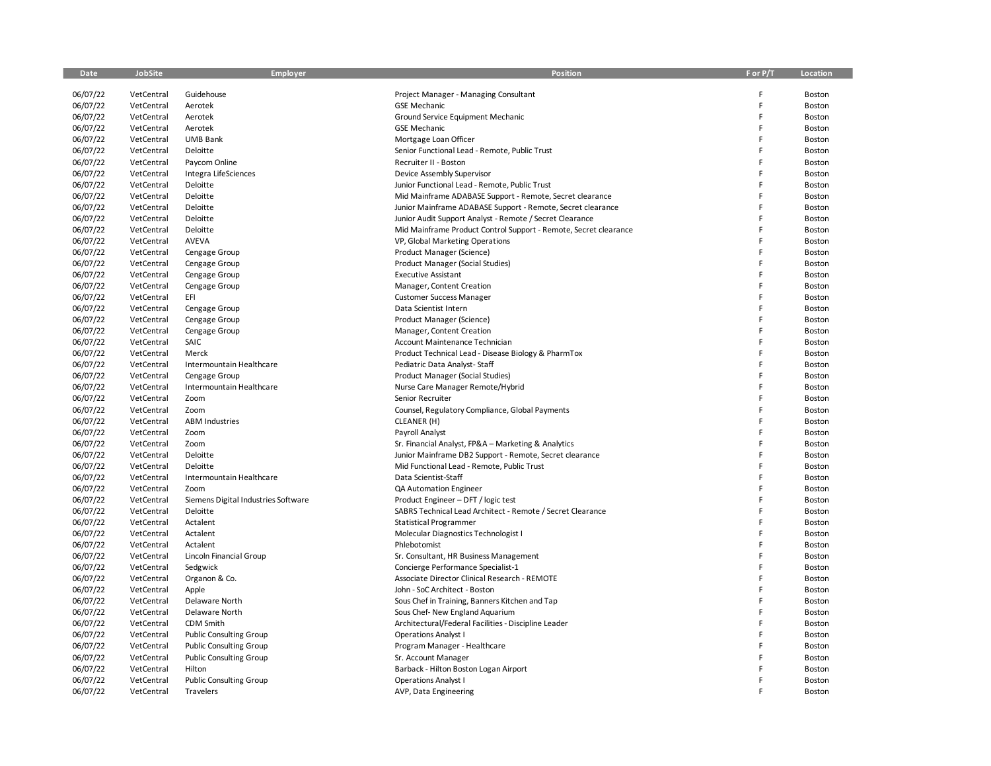| Date                 | JobSite                  | Employer                            | Position                                                               | F or P/T | Location         |
|----------------------|--------------------------|-------------------------------------|------------------------------------------------------------------------|----------|------------------|
|                      |                          |                                     |                                                                        | Ë        |                  |
| 06/07/22<br>06/07/22 | VetCentral<br>VetCentral | Guidehouse                          | Project Manager - Managing Consultant                                  | F        | Boston           |
| 06/07/22             | VetCentral               | Aerotek<br>Aerotek                  | <b>GSE Mechanic</b><br>Ground Service Equipment Mechanic               | E        | Boston<br>Boston |
| 06/07/22             | VetCentral               | Aerotek                             | <b>GSE Mechanic</b>                                                    |          | Boston           |
| 06/07/22             | VetCentral               | <b>UMB Bank</b>                     |                                                                        | F        | Boston           |
| 06/07/22             | VetCentral               | Deloitte                            | Mortgage Loan Officer<br>Senior Functional Lead - Remote, Public Trust |          | Boston           |
| 06/07/22             | VetCentral               | Paycom Online                       | Recruiter II - Boston                                                  |          | Boston           |
| 06/07/22             | VetCentral               | Integra LifeSciences                | Device Assembly Supervisor                                             |          | Boston           |
| 06/07/22             | VetCentral               | Deloitte                            | Junior Functional Lead - Remote, Public Trust                          |          | Boston           |
| 06/07/22             | VetCentral               | Deloitte                            | Mid Mainframe ADABASE Support - Remote, Secret clearance               |          | Boston           |
| 06/07/22             | VetCentral               | Deloitte                            | Junior Mainframe ADABASE Support - Remote, Secret clearance            |          | Boston           |
| 06/07/22             | VetCentral               | Deloitte                            | Junior Audit Support Analyst - Remote / Secret Clearance               |          | Boston           |
| 06/07/22             | VetCentral               | Deloitte                            | Mid Mainframe Product Control Support - Remote, Secret clearance       |          | Boston           |
| 06/07/22             | VetCentral               | AVEVA                               | VP, Global Marketing Operations                                        | F        | Boston           |
| 06/07/22             | VetCentral               | Cengage Group                       | Product Manager (Science)                                              |          | Boston           |
| 06/07/22             | VetCentral               | Cengage Group                       | Product Manager (Social Studies)                                       |          | Boston           |
| 06/07/22             | VetCentral               | Cengage Group                       | <b>Executive Assistant</b>                                             |          | Boston           |
| 06/07/22             | VetCentral               | Cengage Group                       |                                                                        |          | Boston           |
| 06/07/22             | VetCentral               | EFI                                 | Manager, Content Creation<br><b>Customer Success Manager</b>           |          | Boston           |
|                      | VetCentral               |                                     | Data Scientist Intern                                                  |          | Boston           |
| 06/07/22             |                          | Cengage Group                       |                                                                        |          |                  |
| 06/07/22             | VetCentral               | Cengage Group                       | Product Manager (Science)                                              |          | Boston           |
| 06/07/22             | VetCentral               | Cengage Group                       | Manager, Content Creation                                              | F        | Boston           |
| 06/07/22             | VetCentral               | SAIC                                | Account Maintenance Technician                                         |          | Boston           |
| 06/07/22             | VetCentral               | Merck                               | Product Technical Lead - Disease Biology & PharmTox                    |          | Boston           |
| 06/07/22             | VetCentral               | Intermountain Healthcare            | Pediatric Data Analyst-Staff                                           |          | Boston           |
| 06/07/22             | VetCentral               | Cengage Group                       | Product Manager (Social Studies)                                       |          | Boston           |
| 06/07/22             | VetCentral               | Intermountain Healthcare            | Nurse Care Manager Remote/Hybrid                                       |          | Boston           |
| 06/07/22             | VetCentral               | Zoom                                | Senior Recruiter                                                       |          | Boston           |
| 06/07/22             | VetCentral               | Zoom                                | Counsel, Regulatory Compliance, Global Payments                        |          | Boston           |
| 06/07/22             | VetCentral               | <b>ABM Industries</b>               | CLEANER (H)                                                            |          | Boston           |
| 06/07/22             | VetCentral               | Zoom                                | Payroll Analyst                                                        |          | Boston           |
| 06/07/22             | VetCentral               | Zoom                                | Sr. Financial Analyst, FP&A - Marketing & Analytics                    |          | Boston           |
| 06/07/22             | VetCentral               | Deloitte                            | Junior Mainframe DB2 Support - Remote, Secret clearance                |          | Boston           |
| 06/07/22             | VetCentral               | Deloitte                            | Mid Functional Lead - Remote, Public Trust                             |          | Boston           |
| 06/07/22             | VetCentral               | Intermountain Healthcare            | Data Scientist-Staff                                                   |          | Boston           |
| 06/07/22             | VetCentral               | Zoom                                | QA Automation Engineer                                                 |          | Boston           |
| 06/07/22             | VetCentral               | Siemens Digital Industries Software | Product Engineer - DFT / logic test                                    |          | Boston           |
| 06/07/22             | VetCentral               | Deloitte                            | SABRS Technical Lead Architect - Remote / Secret Clearance             |          | Boston           |
| 06/07/22             | VetCentral               | Actalent                            | <b>Statistical Programmer</b>                                          |          | Boston           |
| 06/07/22             | VetCentral               | Actalent                            | Molecular Diagnostics Technologist I                                   |          | Boston           |
| 06/07/22             | VetCentral               | Actalent                            | Phlebotomist                                                           |          | Boston           |
| 06/07/22             | VetCentral               | Lincoln Financial Group             | Sr. Consultant, HR Business Management                                 |          | Boston           |
| 06/07/22             | VetCentral               | Sedgwick                            | Concierge Performance Specialist-1                                     |          | Boston           |
| 06/07/22             | VetCentral               | Organon & Co.                       | Associate Director Clinical Research - REMOTE                          |          | Boston           |
| 06/07/22             | VetCentral               | Apple                               | John - SoC Architect - Boston                                          |          | Boston           |
| 06/07/22             | VetCentral               | Delaware North                      | Sous Chef in Training, Banners Kitchen and Tap                         |          | Boston           |
| 06/07/22             | VetCentral               | Delaware North                      | Sous Chef- New England Aquarium                                        |          | Boston           |
| 06/07/22             | VetCentral               | CDM Smith                           | Architectural/Federal Facilities - Discipline Leader                   |          | Boston           |
| 06/07/22             | VetCentral               | <b>Public Consulting Group</b>      | <b>Operations Analyst I</b>                                            |          | Boston           |
| 06/07/22             | VetCentral               | <b>Public Consulting Group</b>      | Program Manager - Healthcare                                           |          | Boston           |
| 06/07/22             | VetCentral               | <b>Public Consulting Group</b>      | Sr. Account Manager                                                    |          | Boston           |
| 06/07/22             | VetCentral               | Hilton                              | Barback - Hilton Boston Logan Airport                                  |          | Boston           |
| 06/07/22             | VetCentral               | <b>Public Consulting Group</b>      | <b>Operations Analyst I</b>                                            |          | Boston           |
| 06/07/22             | VetCentral               | Travelers                           | AVP, Data Engineering                                                  |          | Boston           |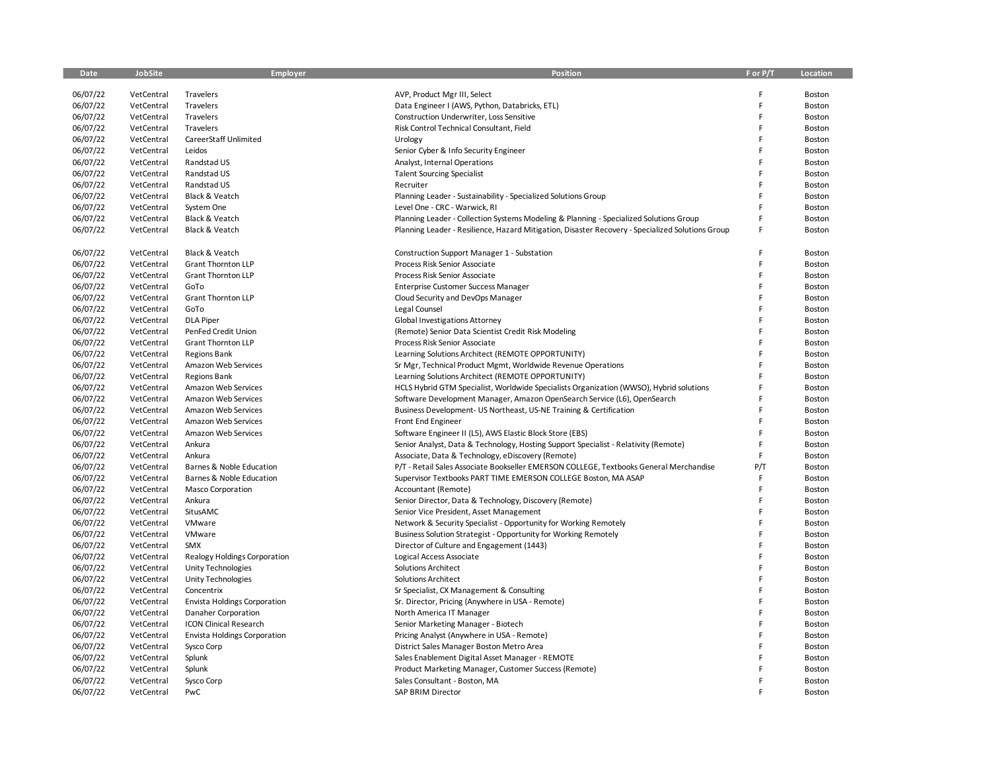| Date                 | JobSite                  | <b>Employer</b>                     | <b>Position</b>                                                                                  | F or P/T | Location         |
|----------------------|--------------------------|-------------------------------------|--------------------------------------------------------------------------------------------------|----------|------------------|
|                      |                          |                                     |                                                                                                  | F        |                  |
| 06/07/22             | VetCentral               | Travelers                           | AVP, Product Mgr III, Select                                                                     | F        | Boston           |
| 06/07/22             | VetCentral               | Travelers                           | Data Engineer I (AWS, Python, Databricks, ETL)                                                   | F        | Boston           |
| 06/07/22             | VetCentral               | Travelers<br><b>Travelers</b>       | Construction Underwriter, Loss Sensitive                                                         | F        | Boston           |
| 06/07/22<br>06/07/22 | VetCentral<br>VetCentral | CareerStaff Unlimited               | Risk Control Technical Consultant, Field                                                         | E        | Boston<br>Boston |
| 06/07/22             |                          | Leidos                              | Urology                                                                                          | F        | Boston           |
|                      | VetCentral<br>VetCentral | Randstad US                         | Senior Cyber & Info Security Engineer                                                            | F        |                  |
| 06/07/22             |                          |                                     | Analyst, Internal Operations                                                                     | Ë        | Boston           |
| 06/07/22<br>06/07/22 | VetCentral<br>VetCentral | Randstad US<br>Randstad US          | <b>Talent Sourcing Specialist</b><br>Recruiter                                                   | Ë        | Boston<br>Boston |
|                      |                          |                                     |                                                                                                  | p        | Boston           |
| 06/07/22             | VetCentral               | Black & Veatch                      | Planning Leader - Sustainability - Specialized Solutions Group                                   | E        |                  |
| 06/07/22             | VetCentral               | System One<br>Black & Veatch        | Level One - CRC - Warwick, RI                                                                    | F        | Boston           |
| 06/07/22             | VetCentral<br>VetCentral | Black & Veatch                      | Planning Leader - Collection Systems Modeling & Planning - Specialized Solutions Group           | E        | Boston<br>Boston |
| 06/07/22             |                          |                                     | Planning Leader - Resilience, Hazard Mitigation, Disaster Recovery - Specialized Solutions Group |          |                  |
| 06/07/22             | VetCentral               | Black & Veatch                      | Construction Support Manager 1 - Substation                                                      | F        | Boston           |
| 06/07/22             | VetCentral               | <b>Grant Thornton LLP</b>           | Process Risk Senior Associate                                                                    | F        | Boston           |
| 06/07/22             | VetCentral               | <b>Grant Thornton LLP</b>           | Process Risk Senior Associate                                                                    | F        | Boston           |
| 06/07/22             | VetCentral               | GoTo                                | Enterprise Customer Success Manager                                                              | F        | Boston           |
| 06/07/22             | VetCentral               | <b>Grant Thornton LLP</b>           | Cloud Security and DevOps Manager                                                                | F        | Boston           |
| 06/07/22             | VetCentral               | GoTo                                | Legal Counsel                                                                                    | Ë        | Boston           |
| 06/07/22             | VetCentral               | <b>DLA Piper</b>                    | Global Investigations Attorney                                                                   | Ë        | Boston           |
| 06/07/22             | VetCentral               | PenFed Credit Union                 | (Remote) Senior Data Scientist Credit Risk Modeling                                              |          | Boston           |
| 06/07/22             | VetCentral               | <b>Grant Thornton LLP</b>           | Process Risk Senior Associate                                                                    | E        | Boston           |
| 06/07/22             | VetCentral               | <b>Regions Bank</b>                 | Learning Solutions Architect (REMOTE OPPORTUNITY)                                                | Ë        | Boston           |
| 06/07/22             | VetCentral               | Amazon Web Services                 | Sr Mgr, Technical Product Mgmt, Worldwide Revenue Operations                                     |          | Boston           |
| 06/07/22             | VetCentral               | <b>Regions Bank</b>                 | Learning Solutions Architect (REMOTE OPPORTUNITY)                                                | E        | Boston           |
| 06/07/22             | VetCentral               | Amazon Web Services                 | HCLS Hybrid GTM Specialist, Worldwide Specialists Organization (WWSO), Hybrid solutions          |          | Boston           |
| 06/07/22             | VetCentral               | Amazon Web Services                 | Software Development Manager, Amazon OpenSearch Service (L6), OpenSearch                         |          | Boston           |
| 06/07/22             | VetCentral               | Amazon Web Services                 | Business Development- US Northeast, US-NE Training & Certification                               | Ë        | Boston           |
| 06/07/22             | VetCentral               | Amazon Web Services                 | Front End Engineer                                                                               | Ë        | Boston           |
| 06/07/22             | VetCentral               | Amazon Web Services                 | Software Engineer II (L5), AWS Elastic Block Store (EBS)                                         | Ė        | Boston           |
| 06/07/22             | VetCentral               | Ankura                              | Senior Analyst, Data & Technology, Hosting Support Specialist - Relativity (Remote)              | Ë        | Boston           |
| 06/07/22             | VetCentral               | Ankura                              | Associate, Data & Technology, eDiscovery (Remote)                                                | F        | Boston           |
| 06/07/22             | VetCentral               | Barnes & Noble Education            | P/T - Retail Sales Associate Bookseller EMERSON COLLEGE, Textbooks General Merchandise           | P/T      | Boston           |
| 06/07/22             | VetCentral               | Barnes & Noble Education            | Supervisor Textbooks PART TIME EMERSON COLLEGE Boston, MA ASAP                                   | F        | Boston           |
| 06/07/22             | VetCentral               | <b>Masco Corporation</b>            | Accountant (Remote)                                                                              | F        | Boston           |
| 06/07/22             | VetCentral               | Ankura                              | Senior Director, Data & Technology, Discovery (Remote)                                           | E        | Boston           |
| 06/07/22             | VetCentral               | SitusAMC                            | Senior Vice President, Asset Management                                                          | E        | Boston           |
| 06/07/22             | VetCentral               | VMware                              | Network & Security Specialist - Opportunity for Working Remotely                                 | Ë        | Boston           |
| 06/07/22             | VetCentral               | VMware                              | Business Solution Strategist - Opportunity for Working Remotely                                  | E        | Boston           |
| 06/07/22             | VetCentral               | SMX                                 | Director of Culture and Engagement (1443)                                                        | Ë        | Boston           |
| 06/07/22             | VetCentral               | <b>Realogy Holdings Corporation</b> | Logical Access Associate                                                                         | Ë        | Boston           |
| 06/07/22             | VetCentral               | Unity Technologies                  | <b>Solutions Architect</b>                                                                       | Ë        | Boston           |
| 06/07/22             | VetCentral               | Unity Technologies                  | <b>Solutions Architect</b>                                                                       | Ë        | Boston           |
| 06/07/22             | VetCentral               | Concentrix                          | Sr Specialist, CX Management & Consulting                                                        | Ë        | Boston           |
| 06/07/22             | VetCentral               | <b>Envista Holdings Corporation</b> | Sr. Director, Pricing (Anywhere in USA - Remote)                                                 | Ë        | Boston           |
| 06/07/22             | VetCentral               | Danaher Corporation                 | North America IT Manager                                                                         | E        | Boston           |
| 06/07/22             | VetCentral               | <b>ICON Clinical Research</b>       | Senior Marketing Manager - Biotech                                                               | F        | Boston           |
| 06/07/22             | VetCentral               | <b>Envista Holdings Corporation</b> | Pricing Analyst (Anywhere in USA - Remote)                                                       | Ë        | Boston           |
| 06/07/22             | VetCentral               | Sysco Corp                          | District Sales Manager Boston Metro Area                                                         | E        | Boston           |
| 06/07/22             | VetCentral               | Splunk                              | Sales Enablement Digital Asset Manager - REMOTE                                                  |          | Boston           |
| 06/07/22             | VetCentral               | Splunk                              | Product Marketing Manager, Customer Success (Remote)                                             | F        | Boston           |
| 06/07/22             | VetCentral               | Sysco Corp                          | Sales Consultant - Boston, MA                                                                    | F        | Boston           |
| 06/07/22             | VetCentral               | PwC                                 | SAP BRIM Director                                                                                | F        | Boston           |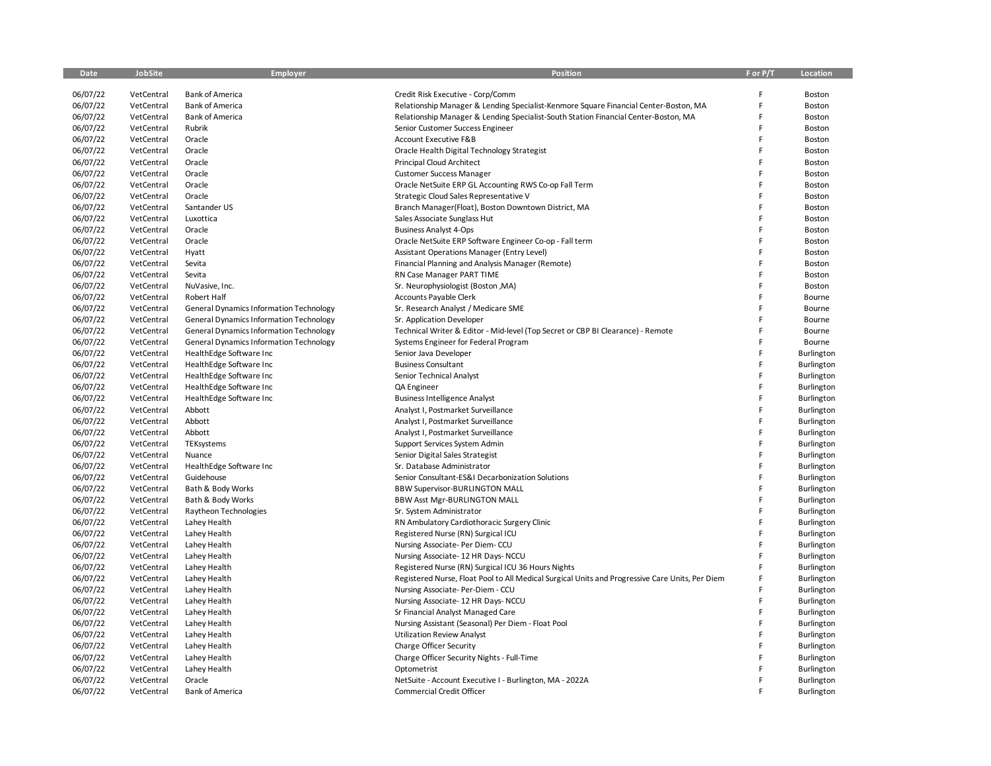| Date     | JobSite    | Employer                                       | Position                                                                                        | F or P/T | Location   |
|----------|------------|------------------------------------------------|-------------------------------------------------------------------------------------------------|----------|------------|
|          |            |                                                |                                                                                                 |          |            |
| 06/07/22 | VetCentral | <b>Bank of America</b>                         | Credit Risk Executive - Corp/Comm                                                               | F        | Boston     |
| 06/07/22 | VetCentral | <b>Bank of America</b>                         | Relationship Manager & Lending Specialist-Kenmore Square Financial Center-Boston, MA            | F        | Boston     |
| 06/07/22 | VetCentral | <b>Bank of America</b>                         | Relationship Manager & Lending Specialist-South Station Financial Center-Boston, MA             | F        | Boston     |
| 06/07/22 | VetCentral | Rubrik                                         | Senior Customer Success Engineer                                                                | F        | Boston     |
| 06/07/22 | VetCentral | Oracle                                         | <b>Account Executive F&amp;B</b>                                                                | F        | Boston     |
| 06/07/22 | VetCentral | Oracle                                         | Oracle Health Digital Technology Strategist                                                     | F        | Boston     |
| 06/07/22 | VetCentral | Oracle                                         | <b>Principal Cloud Architect</b>                                                                | F        | Boston     |
| 06/07/22 | VetCentral | Oracle                                         | <b>Customer Success Manager</b>                                                                 | F        | Boston     |
| 06/07/22 | VetCentral | Oracle                                         | Oracle NetSuite ERP GL Accounting RWS Co-op Fall Term                                           | F        | Boston     |
| 06/07/22 | VetCentral | Oracle                                         | Strategic Cloud Sales Representative V                                                          | F        | Boston     |
| 06/07/22 | VetCentral | Santander US                                   | Branch Manager (Float), Boston Downtown District, MA                                            | F        | Boston     |
| 06/07/22 | VetCentral | Luxottica                                      | Sales Associate Sunglass Hut                                                                    | F        | Boston     |
| 06/07/22 | VetCentral | Oracle                                         | <b>Business Analyst 4-Ops</b>                                                                   | F        | Boston     |
| 06/07/22 | VetCentral | Oracle                                         | Oracle NetSuite ERP Software Engineer Co-op - Fall term                                         | F        | Boston     |
| 06/07/22 | VetCentral | Hyatt                                          | Assistant Operations Manager (Entry Level)                                                      | F        | Boston     |
| 06/07/22 | VetCentral | Sevita                                         | Financial Planning and Analysis Manager (Remote)                                                | F        | Boston     |
| 06/07/22 | VetCentral | Sevita                                         | RN Case Manager PART TIME                                                                       | F        | Boston     |
| 06/07/22 | VetCentral | NuVasive, Inc.                                 | Sr. Neurophysiologist (Boston , MA)                                                             | F        | Boston     |
| 06/07/22 | VetCentral | Robert Half                                    | <b>Accounts Payable Clerk</b>                                                                   | F        | Bourne     |
| 06/07/22 | VetCentral | <b>General Dynamics Information Technology</b> | Sr. Research Analyst / Medicare SME                                                             | F        | Bourne     |
| 06/07/22 | VetCentral | <b>General Dynamics Information Technology</b> | Sr. Application Developer                                                                       | F        | Bourne     |
| 06/07/22 | VetCentral | <b>General Dynamics Information Technology</b> | Technical Writer & Editor - Mid-level (Top Secret or CBP BI Clearance) - Remote                 | F        | Bourne     |
| 06/07/22 | VetCentral | <b>General Dynamics Information Technology</b> | Systems Engineer for Federal Program                                                            | F        | Bourne     |
| 06/07/22 | VetCentral | HealthEdge Software Inc                        | Senior Java Developer                                                                           | F        | Burlington |
| 06/07/22 | VetCentral | HealthEdge Software Inc                        | <b>Business Consultant</b>                                                                      | F        | Burlington |
| 06/07/22 | VetCentral | HealthEdge Software Inc                        | Senior Technical Analyst                                                                        | F        | Burlington |
| 06/07/22 | VetCentral | HealthEdge Software Inc                        | QA Engineer                                                                                     | F        | Burlington |
| 06/07/22 | VetCentral | HealthEdge Software Inc                        | <b>Business Intelligence Analyst</b>                                                            | F        | Burlington |
| 06/07/22 | VetCentral | Abbott                                         | Analyst I, Postmarket Surveillance                                                              | F        | Burlington |
| 06/07/22 | VetCentral | Abbott                                         | Analyst I, Postmarket Surveillance                                                              | F        | Burlington |
| 06/07/22 | VetCentral | Abbott                                         | Analyst I, Postmarket Surveillance                                                              | F        | Burlington |
| 06/07/22 | VetCentral | TEKsystems                                     | Support Services System Admin                                                                   | F        | Burlington |
| 06/07/22 | VetCentral | Nuance                                         | Senior Digital Sales Strategist                                                                 | F        | Burlington |
| 06/07/22 | VetCentral | HealthEdge Software Inc                        | Sr. Database Administrator                                                                      | F        | Burlington |
| 06/07/22 | VetCentral | Guidehouse                                     | Senior Consultant-ES&I Decarbonization Solutions                                                | F        | Burlington |
| 06/07/22 | VetCentral | Bath & Body Works                              | <b>BBW Supervisor-BURLINGTON MALL</b>                                                           | F        | Burlington |
| 06/07/22 | VetCentral | Bath & Body Works                              | <b>BBW Asst Mgr-BURLINGTON MALL</b>                                                             | F        | Burlington |
| 06/07/22 | VetCentral | Raytheon Technologies                          | Sr. System Administrator                                                                        | F        | Burlington |
| 06/07/22 | VetCentral | Lahey Health                                   | RN Ambulatory Cardiothoracic Surgery Clinic                                                     | F        | Burlington |
| 06/07/22 | VetCentral | Lahey Health                                   | Registered Nurse (RN) Surgical ICU                                                              | F        | Burlington |
| 06/07/22 | VetCentral | Lahey Health                                   | Nursing Associate- Per Diem- CCU                                                                | F        | Burlington |
| 06/07/22 | VetCentral | Lahey Health                                   | Nursing Associate- 12 HR Days- NCCU                                                             | F        | Burlington |
| 06/07/22 | VetCentral | Lahey Health                                   | Registered Nurse (RN) Surgical ICU 36 Hours Nights                                              | F        | Burlington |
| 06/07/22 | VetCentral | Lahey Health                                   | Registered Nurse, Float Pool to All Medical Surgical Units and Progressive Care Units, Per Diem | F        | Burlington |
| 06/07/22 | VetCentral | Lahey Health                                   | Nursing Associate- Per-Diem - CCU                                                               | F        | Burlington |
| 06/07/22 | VetCentral | Lahey Health                                   | Nursing Associate- 12 HR Days- NCCU                                                             | F        | Burlington |
| 06/07/22 | VetCentral | Lahey Health                                   | Sr Financial Analyst Managed Care                                                               | F        | Burlington |
| 06/07/22 | VetCentral | Lahey Health                                   | Nursing Assistant (Seasonal) Per Diem - Float Pool                                              | F        | Burlington |
| 06/07/22 | VetCentral | Lahey Health                                   | <b>Utilization Review Analyst</b>                                                               | F        | Burlington |
| 06/07/22 | VetCentral | Lahey Health                                   | Charge Officer Security                                                                         | F        | Burlington |
| 06/07/22 | VetCentral | Lahey Health                                   | Charge Officer Security Nights - Full-Time                                                      | F        | Burlington |
| 06/07/22 | VetCentral | Lahey Health                                   | Optometrist                                                                                     | F        | Burlington |
| 06/07/22 | VetCentral | Oracle                                         | NetSuite - Account Executive I - Burlington, MA - 2022A                                         | F        | Burlington |
| 06/07/22 | VetCentral | <b>Bank of America</b>                         | <b>Commercial Credit Officer</b>                                                                | F        | Burlington |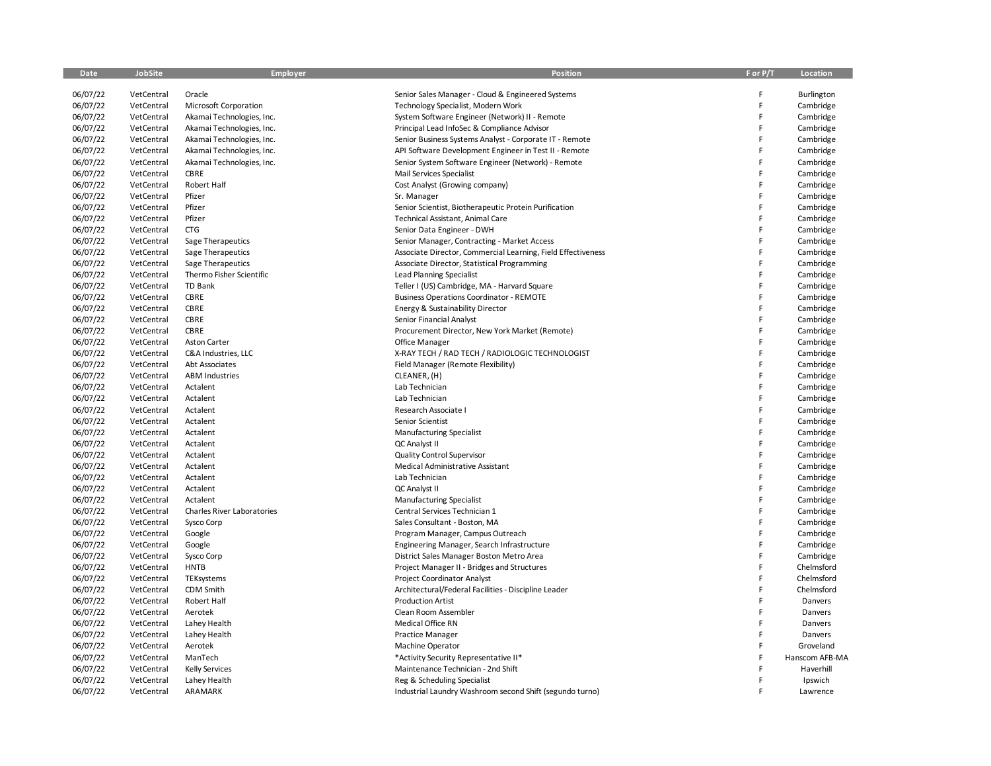| <b>Date</b>          | <b>JobSite</b>           | Employer                   | <b>Position</b>                                                                     | F or P/T    | Location                 |
|----------------------|--------------------------|----------------------------|-------------------------------------------------------------------------------------|-------------|--------------------------|
| 06/07/22             | VetCentral               | Oracle                     | Senior Sales Manager - Cloud & Engineered Systems                                   | F           | Burlington               |
| 06/07/22             | VetCentral               | Microsoft Corporation      | Technology Specialist, Modern Work                                                  | F           | Cambridge                |
| 06/07/22             | VetCentral               | Akamai Technologies, Inc.  | System Software Engineer (Network) II - Remote                                      | F           | Cambridge                |
| 06/07/22             | VetCentral               | Akamai Technologies, Inc.  | Principal Lead InfoSec & Compliance Advisor                                         | F           | Cambridge                |
| 06/07/22             | VetCentral               | Akamai Technologies, Inc.  | Senior Business Systems Analyst - Corporate IT - Remote                             | F           | Cambridge                |
| 06/07/22             | VetCentral               | Akamai Technologies, Inc.  | API Software Development Engineer in Test II - Remote                               | F           | Cambridge                |
| 06/07/22             | VetCentral               | Akamai Technologies, Inc.  | Senior System Software Engineer (Network) - Remote                                  | F           | Cambridge                |
| 06/07/22             | VetCentral               | CBRE                       | Mail Services Specialist                                                            | F           | Cambridge                |
| 06/07/22             | VetCentral               | Robert Half                | Cost Analyst (Growing company)                                                      | F           | Cambridge                |
| 06/07/22             | VetCentral               | Pfizer                     | Sr. Manager                                                                         | F           | Cambridge                |
| 06/07/22             | VetCentral               | Pfizer                     | Senior Scientist, Biotherapeutic Protein Purification                               | F           | Cambridge                |
| 06/07/22             | VetCentral               | Pfizer                     | Technical Assistant, Animal Care                                                    | F           | Cambridge                |
| 06/07/22             | VetCentral               | <b>CTG</b>                 | Senior Data Engineer - DWH                                                          | F           | Cambridge                |
| 06/07/22             | VetCentral               | Sage Therapeutics          | Senior Manager, Contracting - Market Access                                         | F           | Cambridge                |
| 06/07/22             | VetCentral               | Sage Therapeutics          | Associate Director, Commercial Learning, Field Effectiveness                        | F           | Cambridge                |
| 06/07/22             | VetCentral               | Sage Therapeutics          | Associate Director, Statistical Programming                                         | F           | Cambridge                |
| 06/07/22             | VetCentral               | Thermo Fisher Scientific   | <b>Lead Planning Specialist</b>                                                     | F           | Cambridge                |
| 06/07/22             | VetCentral               | <b>TD Bank</b>             | Teller I (US) Cambridge, MA - Harvard Square                                        | F           | Cambridge                |
| 06/07/22             | VetCentral               | CBRE                       | <b>Business Operations Coordinator - REMOTE</b>                                     | $\mathsf F$ | Cambridge                |
| 06/07/22             | VetCentral               | CBRE                       | Energy & Sustainability Director                                                    | F           | Cambridge                |
| 06/07/22             | VetCentral               | CBRE                       | Senior Financial Analyst                                                            | F           | Cambridge                |
| 06/07/22             | VetCentral               | CBRE                       | Procurement Director, New York Market (Remote)                                      | F           | Cambridge                |
| 06/07/22             | VetCentral               | <b>Aston Carter</b>        | Office Manager                                                                      | F           | Cambridge                |
| 06/07/22             | VetCentral               | C&A Industries, LLC        | X-RAY TECH / RAD TECH / RADIOLOGIC TECHNOLOGIST                                     | F           | Cambridge                |
| 06/07/22             | VetCentral               | Abt Associates             | Field Manager (Remote Flexibility)                                                  | $\mathsf F$ | Cambridge                |
| 06/07/22             | VetCentral               | <b>ABM Industries</b>      | CLEANER, (H)                                                                        | F           | Cambridge                |
| 06/07/22             | VetCentral               | Actalent                   | Lab Technician                                                                      | F           | Cambridge                |
| 06/07/22             | VetCentral               | Actalent                   | Lab Technician                                                                      | F           | Cambridge                |
| 06/07/22             | VetCentral               | Actalent                   | Research Associate I                                                                | F           | Cambridge                |
| 06/07/22             | VetCentral               | Actalent                   | Senior Scientist                                                                    | F           | Cambridge                |
| 06/07/22             | VetCentral               | Actalent                   | <b>Manufacturing Specialist</b>                                                     | F           | Cambridge                |
| 06/07/22             | VetCentral               | Actalent                   | QC Analyst II                                                                       | F           | Cambridge                |
| 06/07/22             | VetCentral               | Actalent                   | <b>Quality Control Supervisor</b>                                                   | F           | Cambridge                |
| 06/07/22             | VetCentral               | Actalent                   | Medical Administrative Assistant                                                    | F           | Cambridge                |
| 06/07/22             | VetCentral               | Actalent                   | Lab Technician                                                                      | F           | Cambridge                |
| 06/07/22             | VetCentral               | Actalent                   | QC Analyst II                                                                       | F           | Cambridge                |
| 06/07/22             | VetCentral               | Actalent                   | <b>Manufacturing Specialist</b>                                                     | F           | Cambridge                |
| 06/07/22             | VetCentral               | Charles River Laboratories | Central Services Technician 1                                                       | F           | Cambridge                |
| 06/07/22             | VetCentral               | Sysco Corp                 | Sales Consultant - Boston, MA                                                       | F           | Cambridge                |
| 06/07/22             | VetCentral               | Google                     | Program Manager, Campus Outreach                                                    | F<br>F      | Cambridge                |
| 06/07/22             | VetCentral               | Google                     | Engineering Manager, Search Infrastructure                                          | F           | Cambridge                |
| 06/07/22             | VetCentral               | Sysco Corp                 | District Sales Manager Boston Metro Area                                            | F           | Cambridge                |
| 06/07/22             | VetCentral               | <b>HNTB</b>                | Project Manager II - Bridges and Structures                                         | F           | Chelmsford               |
| 06/07/22<br>06/07/22 | VetCentral<br>VetCentral | TEKsystems<br>CDM Smith    | Project Coordinator Analyst<br>Architectural/Federal Facilities - Discipline Leader | F           | Chelmsford<br>Chelmsford |
|                      |                          | Robert Half                | <b>Production Artist</b>                                                            | F           | Danvers                  |
| 06/07/22<br>06/07/22 | VetCentral<br>VetCentral | Aerotek                    | Clean Room Assembler                                                                | F           | Danvers                  |
| 06/07/22             | VetCentral               | Lahey Health               | Medical Office RN                                                                   | F           | Danvers                  |
| 06/07/22             | VetCentral               | Lahey Health               | Practice Manager                                                                    | F           | Danvers                  |
| 06/07/22             | VetCentral               | Aerotek                    | Machine Operator                                                                    | F           | Groveland                |
| 06/07/22             | VetCentral               | ManTech                    | *Activity Security Representative II*                                               | F           | Hanscom AFB-MA           |
| 06/07/22             | VetCentral               | <b>Kelly Services</b>      | Maintenance Technician - 2nd Shift                                                  | $\mathsf F$ | Haverhill                |
| 06/07/22             | VetCentral               | Lahey Health               | Reg & Scheduling Specialist                                                         | F           | Ipswich                  |
| 06/07/22             | VetCentral               | ARAMARK                    | Industrial Laundry Washroom second Shift (segundo turno)                            | E           | Lawrence                 |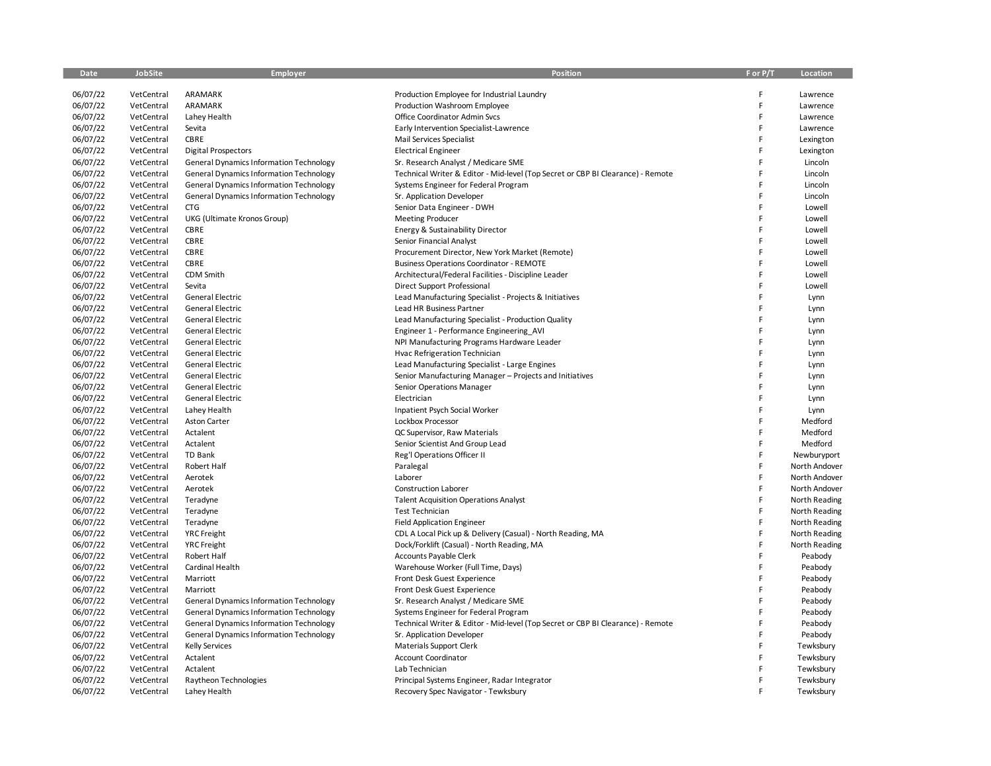| Date                 | <b>JobSite</b>           | <b>Employer</b>                                | <b>Position</b>                                                                 | F or P/T | Location             |
|----------------------|--------------------------|------------------------------------------------|---------------------------------------------------------------------------------|----------|----------------------|
|                      | VetCentral               | <b>ARAMARK</b>                                 |                                                                                 | F        |                      |
| 06/07/22<br>06/07/22 | VetCentral               | ARAMARK                                        | Production Employee for Industrial Laundry<br>Production Washroom Employee      | F        | Lawrence<br>Lawrence |
| 06/07/22             | VetCentral               | Lahey Health                                   | Office Coordinator Admin Svcs                                                   | F        | Lawrence             |
| 06/07/22             | VetCentral               | Sevita                                         |                                                                                 | F        | Lawrence             |
| 06/07/22             |                          | CBRE                                           | Early Intervention Specialist-Lawrence                                          | F        |                      |
| 06/07/22             | VetCentral<br>VetCentral |                                                | Mail Services Specialist                                                        | F        | Lexington            |
|                      |                          | <b>Digital Prospectors</b>                     | <b>Electrical Engineer</b>                                                      | F        | Lexington            |
| 06/07/22             | VetCentral               | <b>General Dynamics Information Technology</b> | Sr. Research Analyst / Medicare SME                                             | F        | Lincoln              |
| 06/07/22             | VetCentral               | <b>General Dynamics Information Technology</b> | Technical Writer & Editor - Mid-level (Top Secret or CBP BI Clearance) - Remote | F        | Lincoln              |
| 06/07/22             | VetCentral               | <b>General Dynamics Information Technology</b> | Systems Engineer for Federal Program                                            | F        | Lincoln              |
| 06/07/22             | VetCentral               | <b>General Dynamics Information Technology</b> | Sr. Application Developer                                                       | F        | Lincoln              |
| 06/07/22             | VetCentral               | <b>CTG</b>                                     | Senior Data Engineer - DWH                                                      | F        | Lowell               |
| 06/07/22             | VetCentral               | UKG (Ultimate Kronos Group)                    | <b>Meeting Producer</b>                                                         | F        | Lowell               |
| 06/07/22             | VetCentral               | CBRE                                           | Energy & Sustainability Director                                                |          | Lowell               |
| 06/07/22             | VetCentral               | CBRE                                           | Senior Financial Analyst                                                        | F        | Lowell               |
| 06/07/22             | VetCentral               | CBRE                                           | Procurement Director, New York Market (Remote)                                  | F        | Lowell               |
| 06/07/22             | VetCentral               | CBRE                                           | <b>Business Operations Coordinator - REMOTE</b>                                 | F        | Lowell               |
| 06/07/22             | VetCentral               | CDM Smith                                      | Architectural/Federal Facilities - Discipline Leader                            | F        | Lowell               |
| 06/07/22             | VetCentral               | Sevita                                         | Direct Support Professional                                                     | F        | Lowell               |
| 06/07/22             | VetCentral               | General Electric                               | Lead Manufacturing Specialist - Projects & Initiatives                          | F        | Lynn                 |
| 06/07/22             | VetCentral               | <b>General Electric</b>                        | Lead HR Business Partner                                                        | F        | Lynn                 |
| 06/07/22             | VetCentral               | General Electric                               | Lead Manufacturing Specialist - Production Quality                              | F        | Lynn                 |
| 06/07/22             | VetCentral               | <b>General Electric</b>                        | Engineer 1 - Performance Engineering AVI                                        | F        | Lynn                 |
| 06/07/22             | VetCentral               | General Electric                               | NPI Manufacturing Programs Hardware Leader                                      | E        | Lynn                 |
| 06/07/22             | VetCentral               | <b>General Electric</b>                        | Hvac Refrigeration Technician                                                   | F        | Lynn                 |
| 06/07/22             | VetCentral               | <b>General Electric</b>                        | Lead Manufacturing Specialist - Large Engines                                   | F        | Lynn                 |
| 06/07/22             | VetCentral               | <b>General Electric</b>                        | Senior Manufacturing Manager - Projects and Initiatives                         | F        | Lynn                 |
| 06/07/22             | VetCentral               | <b>General Electric</b>                        | Senior Operations Manager                                                       | F        | Lynn                 |
| 06/07/22             | VetCentral               | <b>General Electric</b>                        | Electrician                                                                     | F        | Lynn                 |
| 06/07/22             | VetCentral               | Lahey Health                                   | Inpatient Psych Social Worker                                                   | F        | Lynn                 |
| 06/07/22             | VetCentral               | <b>Aston Carter</b>                            | Lockbox Processor                                                               | F        | Medford              |
| 06/07/22             | VetCentral               | Actalent                                       | QC Supervisor, Raw Materials                                                    | F        | Medford              |
| 06/07/22             | VetCentral               | Actalent                                       | Senior Scientist And Group Lead                                                 | F        | Medford              |
| 06/07/22             | VetCentral               | TD Bank                                        | Reg'l Operations Officer II                                                     | F        | Newburyport          |
| 06/07/22             | VetCentral               | Robert Half                                    | Paralegal                                                                       | F        | North Andover        |
| 06/07/22             | VetCentral               | Aerotek                                        | Laborer                                                                         | F        | North Andover        |
| 06/07/22             | VetCentral               | Aerotek                                        | Construction Laborer                                                            | F        | North Andover        |
| 06/07/22             | VetCentral               | Teradyne                                       | <b>Talent Acquisition Operations Analyst</b>                                    | F        | North Reading        |
| 06/07/22             | VetCentral               | Teradyne                                       | <b>Test Technician</b>                                                          | F        | North Reading        |
| 06/07/22             | VetCentral               | Teradyne                                       | <b>Field Application Engineer</b>                                               | F        | North Reading        |
| 06/07/22             | VetCentral               | <b>YRC</b> Freight                             | CDL A Local Pick up & Delivery (Casual) - North Reading, MA                     | F        | North Reading        |
| 06/07/22             | VetCentral               | <b>YRC</b> Freight                             | Dock/Forklift (Casual) - North Reading, MA                                      | F        | North Reading        |
| 06/07/22             | VetCentral               | Robert Half                                    | Accounts Payable Clerk                                                          | F        | Peabody              |
| 06/07/22             | VetCentral               | Cardinal Health                                | Warehouse Worker (Full Time, Days)                                              | F        | Peabody              |
| 06/07/22             | VetCentral               | Marriott                                       | Front Desk Guest Experience                                                     | F        | Peabody              |
| 06/07/22             | VetCentral               | Marriott                                       | Front Desk Guest Experience                                                     | F        | Peabody              |
| 06/07/22             | VetCentral               | <b>General Dynamics Information Technology</b> | Sr. Research Analyst / Medicare SME                                             | F        | Peabody              |
| 06/07/22             | VetCentral               | <b>General Dynamics Information Technology</b> | Systems Engineer for Federal Program                                            | F        | Peabody              |
| 06/07/22             | VetCentral               | <b>General Dynamics Information Technology</b> | Technical Writer & Editor - Mid-level (Top Secret or CBP BI Clearance) - Remote | F        | Peabody              |
| 06/07/22             | VetCentral               | <b>General Dynamics Information Technology</b> | Sr. Application Developer                                                       | F        | Peabody              |
| 06/07/22             | VetCentral               | <b>Kelly Services</b>                          | Materials Support Clerk                                                         | F        | Tewksbury            |
| 06/07/22             | VetCentral               | Actalent                                       | Account Coordinator                                                             | F        | Tewksbury            |
| 06/07/22             | VetCentral               | Actalent                                       | Lab Technician                                                                  | F        | Tewksbury            |
| 06/07/22             | VetCentral               | Raytheon Technologies                          | Principal Systems Engineer, Radar Integrator                                    | F        | Tewksbury            |
| 06/07/22             | VetCentral               | Lahey Health                                   | Recovery Spec Navigator - Tewksbury                                             | F        | Tewksbury            |
|                      |                          |                                                |                                                                                 |          |                      |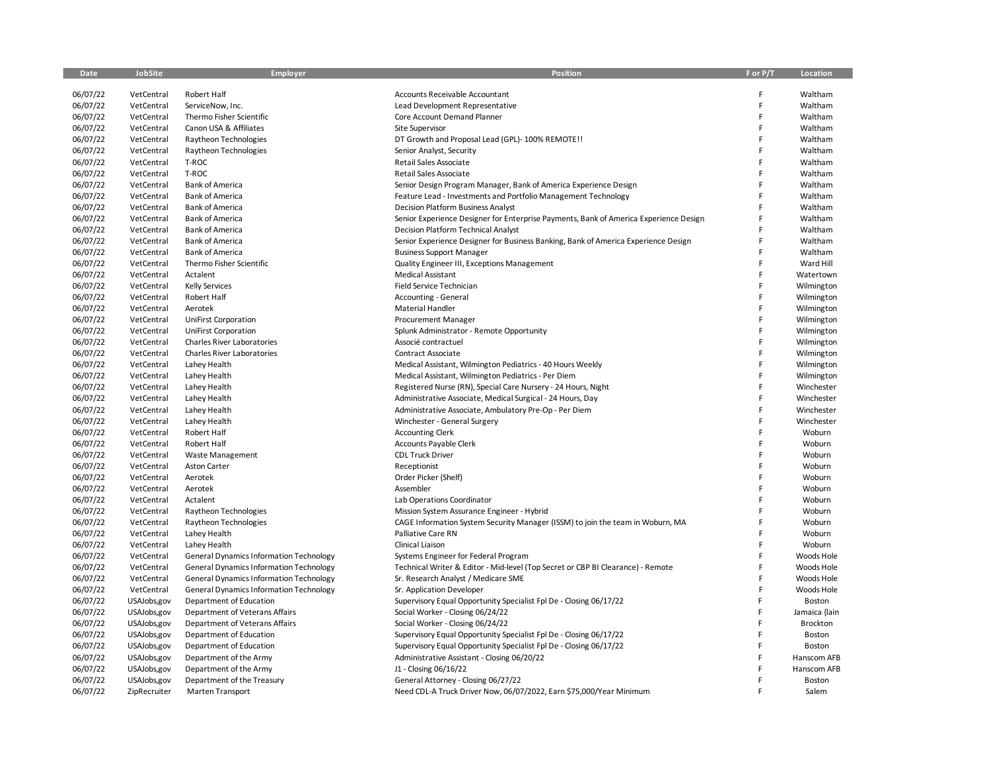| Date     | JobSite      | Employer                                       | <b>Position</b>                                                                       | F or P/T | Location      |
|----------|--------------|------------------------------------------------|---------------------------------------------------------------------------------------|----------|---------------|
|          |              |                                                |                                                                                       |          |               |
| 06/07/22 | VetCentral   | Robert Half                                    | Accounts Receivable Accountant                                                        | F        | Waltham       |
| 06/07/22 | VetCentral   | ServiceNow, Inc.                               | Lead Development Representative                                                       | F.       | Waltham       |
| 06/07/22 | VetCentral   | Thermo Fisher Scientific                       | Core Account Demand Planner                                                           | F        | Waltham       |
| 06/07/22 | VetCentral   | Canon USA & Affiliates                         | Site Supervisor                                                                       | F        | Waltham       |
| 06/07/22 | VetCentral   | Raytheon Technologies                          | DT Growth and Proposal Lead (GPL)- 100% REMOTE!!                                      | F        | Waltham       |
| 06/07/22 | VetCentral   | Raytheon Technologies                          | Senior Analyst, Security                                                              | F        | Waltham       |
| 06/07/22 | VetCentral   | T-ROC                                          | Retail Sales Associate                                                                | F        | Waltham       |
| 06/07/22 | VetCentral   | T-ROC                                          | Retail Sales Associate                                                                | F        | Waltham       |
| 06/07/22 | VetCentral   | <b>Bank of America</b>                         | Senior Design Program Manager, Bank of America Experience Design                      | F        | Waltham       |
| 06/07/22 | VetCentral   | <b>Bank of America</b>                         | Feature Lead - Investments and Portfolio Management Technology                        | F        | Waltham       |
| 06/07/22 | VetCentral   | <b>Bank of America</b>                         | Decision Platform Business Analyst                                                    | F        | Waltham       |
| 06/07/22 | VetCentral   | <b>Bank of America</b>                         | Senior Experience Designer for Enterprise Payments, Bank of America Experience Design | F        | Waltham       |
| 06/07/22 | VetCentral   | <b>Bank of America</b>                         | Decision Platform Technical Analyst                                                   | Ë        | Waltham       |
| 06/07/22 | VetCentral   | <b>Bank of America</b>                         | Senior Experience Designer for Business Banking, Bank of America Experience Design    | F        | Waltham       |
| 06/07/22 | VetCentral   | <b>Bank of America</b>                         | <b>Business Support Manager</b>                                                       | F        | Waltham       |
| 06/07/22 | VetCentral   | Thermo Fisher Scientific                       | Quality Engineer III, Exceptions Management                                           | F        | Ward Hill     |
| 06/07/22 | VetCentral   | Actalent                                       | <b>Medical Assistant</b>                                                              | F.       | Watertown     |
| 06/07/22 | VetCentral   | <b>Kelly Services</b>                          | Field Service Technician                                                              | F        | Wilmington    |
| 06/07/22 | VetCentral   | Robert Half                                    | Accounting - General                                                                  | F        | Wilmington    |
| 06/07/22 | VetCentral   | Aerotek                                        | Material Handler                                                                      | F        | Wilmington    |
| 06/07/22 | VetCentral   | UniFirst Corporation                           | <b>Procurement Manager</b>                                                            | F        | Wilmington    |
| 06/07/22 | VetCentral   | <b>UniFirst Corporation</b>                    | Splunk Administrator - Remote Opportunity                                             | F        | Wilmington    |
| 06/07/22 | VetCentral   | Charles River Laboratories                     | Associé contractuel                                                                   | F        | Wilmington    |
| 06/07/22 | VetCentral   | <b>Charles River Laboratories</b>              | Contract Associate                                                                    | F        | Wilmington    |
| 06/07/22 | VetCentral   | Lahey Health                                   | Medical Assistant, Wilmington Pediatrics - 40 Hours Weekly                            | F        | Wilmington    |
| 06/07/22 | VetCentral   | Lahey Health                                   | Medical Assistant, Wilmington Pediatrics - Per Diem                                   | F        | Wilmington    |
| 06/07/22 | VetCentral   | Lahey Health                                   | Registered Nurse (RN), Special Care Nursery - 24 Hours, Night                         | F        | Winchester    |
| 06/07/22 | VetCentral   | Lahey Health                                   | Administrative Associate, Medical Surgical - 24 Hours, Day                            | F        | Winchester    |
| 06/07/22 | VetCentral   | Lahey Health                                   | Administrative Associate, Ambulatory Pre-Op - Per Diem                                | F        | Winchester    |
| 06/07/22 | VetCentral   | Lahey Health                                   | Winchester - General Surgery                                                          | F        | Winchester    |
| 06/07/22 | VetCentral   | Robert Half                                    | <b>Accounting Clerk</b>                                                               | F        | Woburn        |
| 06/07/22 | VetCentral   | Robert Half                                    | <b>Accounts Payable Clerk</b>                                                         | F        | Woburn        |
| 06/07/22 | VetCentral   | <b>Waste Management</b>                        | <b>CDL Truck Driver</b>                                                               | F        | Woburn        |
| 06/07/22 | VetCentral   | <b>Aston Carter</b>                            | Receptionist                                                                          | F        | Woburn        |
| 06/07/22 | VetCentral   | Aerotek                                        | Order Picker (Shelf)                                                                  | F        | Woburn        |
| 06/07/22 | VetCentral   | Aerotek                                        | Assembler                                                                             | F        | Woburn        |
| 06/07/22 | VetCentral   | Actalent                                       | Lab Operations Coordinator                                                            | F        | Woburn        |
| 06/07/22 | VetCentral   | Raytheon Technologies                          | Mission System Assurance Engineer - Hybrid                                            | Ë        | Woburn        |
| 06/07/22 | VetCentral   | Raytheon Technologies                          | CAGE Information System Security Manager (ISSM) to join the team in Woburn, MA        | F        | Woburn        |
| 06/07/22 | VetCentral   | Lahey Health                                   | Palliative Care RN                                                                    | F        | Woburn        |
| 06/07/22 | VetCentral   | Lahey Health                                   | Clinical Liaison                                                                      | F        | Woburn        |
| 06/07/22 | VetCentral   | <b>General Dynamics Information Technology</b> | Systems Engineer for Federal Program                                                  | F        | Woods Hole    |
| 06/07/22 | VetCentral   | <b>General Dynamics Information Technology</b> | Technical Writer & Editor - Mid-level (Top Secret or CBP BI Clearance) - Remote       | F        | Woods Hole    |
| 06/07/22 | VetCentral   | <b>General Dynamics Information Technology</b> | Sr. Research Analyst / Medicare SME                                                   | F        | Woods Hole    |
| 06/07/22 | VetCentral   | <b>General Dynamics Information Technology</b> | Sr. Application Developer                                                             | F        | Woods Hole    |
| 06/07/22 | USAJobs, gov | Department of Education                        | Supervisory Equal Opportunity Specialist Fpl De - Closing 06/17/22                    | F        | Boston        |
| 06/07/22 | USAJobs,gov  | Department of Veterans Affairs                 | Social Worker - Closing 06/24/22                                                      | Ë        | Jamaica {lain |
| 06/07/22 | USAJobs,gov  | Department of Veterans Affairs                 | Social Worker - Closing 06/24/22                                                      | Ë        | Brockton      |
| 06/07/22 | USAJobs,gov  | Department of Education                        | Supervisory Equal Opportunity Specialist Fpl De - Closing 06/17/22                    | F        | Boston        |
| 06/07/22 | USAJobs, gov | Department of Education                        | Supervisory Equal Opportunity Specialist Fpl De - Closing 06/17/22                    | Ë        | Boston        |
| 06/07/22 | USAJobs, gov | Department of the Army                         | Administrative Assistant - Closing 06/20/22                                           | F        | Hanscom AFB   |
| 06/07/22 | USAJobs, gov | Department of the Army                         | J1 - Closing 06/16/22                                                                 | F        | Hanscom AFB   |
| 06/07/22 | USAJobs,gov  | Department of the Treasury                     | General Attorney - Closing 06/27/22                                                   | E        | Boston        |
| 06/07/22 | ZipRecruiter | <b>Marten Transport</b>                        | Need CDL-A Truck Driver Now, 06/07/2022, Earn \$75,000/Year Minimum                   |          | Salem         |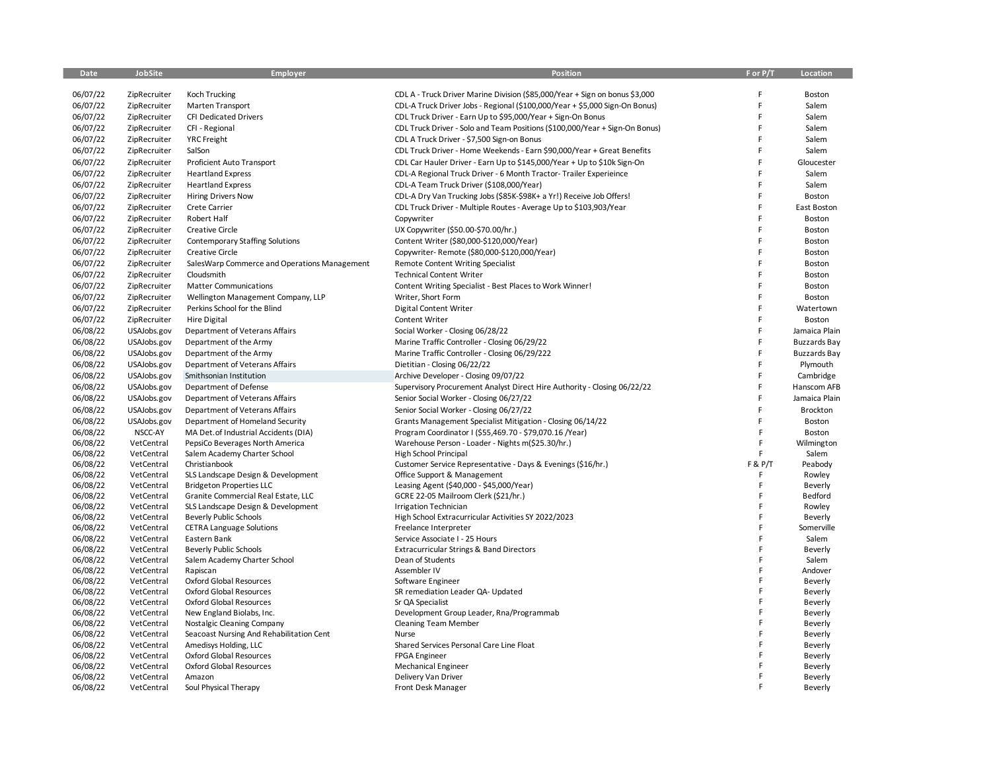| Date                 | JobSite                  | Employer                                     | <b>Position</b>                                                                       | F or P/T | Location            |
|----------------------|--------------------------|----------------------------------------------|---------------------------------------------------------------------------------------|----------|---------------------|
| 06/07/22             | ZipRecruiter             | Koch Trucking                                | CDL A - Truck Driver Marine Division (\$85,000/Year + Sign on bonus \$3,000           | F        | Boston              |
| 06/07/22             | ZipRecruiter             | Marten Transport                             | CDL-A Truck Driver Jobs - Regional (\$100,000/Year + \$5,000 Sign-On Bonus)           | F        | Salem               |
| 06/07/22             | ZipRecruiter             | <b>CFI Dedicated Drivers</b>                 | CDL Truck Driver - Earn Up to \$95,000/Year + Sign-On Bonus                           | F        | Salem               |
| 06/07/22             | ZipRecruiter             | CFI - Regional                               | CDL Truck Driver - Solo and Team Positions (\$100,000/Year + Sign-On Bonus)           | F        | Salem               |
| 06/07/22             | ZipRecruiter             | <b>YRC</b> Freight                           | CDL A Truck Driver - \$7,500 Sign-on Bonus                                            | F        | Salem               |
| 06/07/22             | ZipRecruiter             | SalSon                                       | CDL Truck Driver - Home Weekends - Earn \$90,000/Year + Great Benefits                | F        | Salem               |
| 06/07/22             | ZipRecruiter             | Proficient Auto Transport                    | CDL Car Hauler Driver - Earn Up to \$145,000/Year + Up to \$10k Sign-On               | F        | Gloucester          |
| 06/07/22             | ZipRecruiter             | <b>Heartland Express</b>                     | CDL-A Regional Truck Driver - 6 Month Tractor- Trailer Experieince                    | F        | Salem               |
| 06/07/22             | ZipRecruiter             | <b>Heartland Express</b>                     | CDL-A Team Truck Driver (\$108,000/Year)                                              | F        | Salem               |
| 06/07/22             | ZipRecruiter             | <b>Hiring Drivers Now</b>                    | CDL-A Dry Van Trucking Jobs (\$85K-\$98K+ a Yr!) Receive Job Offers!                  | F        | Boston              |
| 06/07/22             | ZipRecruiter             | <b>Crete Carrier</b>                         | CDL Truck Driver - Multiple Routes - Average Up to \$103,903/Year                     | F        | East Boston         |
| 06/07/22             | ZipRecruiter             | Robert Half                                  | Copywriter                                                                            | F        | Boston              |
| 06/07/22             | ZipRecruiter             | Creative Circle                              | UX Copywriter (\$50.00-\$70.00/hr.)                                                   | F        | Boston              |
| 06/07/22             | ZipRecruiter             | <b>Contemporary Staffing Solutions</b>       | Content Writer (\$80,000-\$120,000/Year)                                              | F        | Boston              |
| 06/07/22             | ZipRecruiter             | Creative Circle                              | Copywriter-Remote (\$80,000-\$120,000/Year)                                           | F        | Boston              |
| 06/07/22             | ZipRecruiter             | SalesWarp Commerce and Operations Management | <b>Remote Content Writing Specialist</b>                                              | F        | Boston              |
| 06/07/22             | ZipRecruiter             | Cloudsmith                                   | <b>Technical Content Writer</b>                                                       | F        | Boston              |
| 06/07/22             | ZipRecruiter             | <b>Matter Communications</b>                 | Content Writing Specialist - Best Places to Work Winner!                              | F        | Boston              |
| 06/07/22             | ZipRecruiter             | Wellington Management Company, LLP           | Writer, Short Form                                                                    | F        | Boston              |
| 06/07/22             | ZipRecruiter             | Perkins School for the Blind                 | Digital Content Writer                                                                | F        | Watertown           |
| 06/07/22             | ZipRecruiter             | <b>Hire Digital</b>                          | Content Writer                                                                        | F        | Boston              |
| 06/08/22             | USAJobs.gov              | Department of Veterans Affairs               | Social Worker - Closing 06/28/22                                                      | F        | Jamaica Plain       |
| 06/08/22             | USAJobs.gov              | Department of the Army                       | Marine Traffic Controller - Closing 06/29/22                                          | F        | <b>Buzzards Bay</b> |
| 06/08/22             | USAJobs.gov              | Department of the Army                       | Marine Traffic Controller - Closing 06/29/222                                         | F        | <b>Buzzards Bay</b> |
| 06/08/22             | USAJobs.gov              | Department of Veterans Affairs               | Dietitian - Closing 06/22/22                                                          | F        | Plymouth            |
| 06/08/22             | USAJobs.gov              | Smithsonian Institution                      | Archive Developer - Closing 09/07/22                                                  | F        | Cambridge           |
| 06/08/22             | USAJobs.gov              | Department of Defense                        | Supervisory Procurement Analyst Direct Hire Authority - Closing 06/22/22              | F        | Hanscom AFB         |
| 06/08/22             | USAJobs.gov              | Department of Veterans Affairs               | Senior Social Worker - Closing 06/27/22                                               | F        | Jamaica Plain       |
| 06/08/22             | USAJobs.gov              | Department of Veterans Affairs               | Senior Social Worker - Closing 06/27/22                                               | F        | Brockton            |
| 06/08/22             | USAJobs.gov              | Department of Homeland Security              | Grants Management Specialist Mitigation - Closing 06/14/22                            | F        | Boston              |
| 06/08/22             | NSCC-AY                  | MA Det. of Industrial Accidents (DIA)        | Program Coordinator I (\$55,469.70 - \$79,070.16 /Year)                               | F        | Boston              |
| 06/08/22             | VetCentral               | PepsiCo Beverages North America              | Warehouse Person - Loader - Nights m(\$25.30/hr.)                                     | F        | Wilmington          |
| 06/08/22             | VetCentral               | Salem Academy Charter School                 | High School Principal                                                                 | F        | Salem               |
| 06/08/22             | VetCentral               | Christianbook                                | Customer Service Representative - Days & Evenings (\$16/hr.)                          | F & P/T  | Peabody             |
| 06/08/22             | VetCentral               | SLS Landscape Design & Development           | Office Support & Management                                                           |          | Rowley              |
| 06/08/22             | VetCentral               | <b>Bridgeton Properties LLC</b>              | Leasing Agent (\$40,000 - \$45,000/Year)                                              | F        | Beverly             |
| 06/08/22             | VetCentral               | Granite Commercial Real Estate, LLC          | GCRE 22-05 Mailroom Clerk (\$21/hr.)                                                  | F        | Bedford             |
| 06/08/22             | VetCentral               | SLS Landscape Design & Development           | <b>Irrigation Technician</b>                                                          |          | Rowley              |
| 06/08/22             | VetCentral               | <b>Beverly Public Schools</b>                | High School Extracurricular Activities SY 2022/2023                                   |          | Beverly             |
| 06/08/22             | VetCentral               | <b>CETRA Language Solutions</b>              | Freelance Interpreter                                                                 |          | Somerville          |
| 06/08/22<br>06/08/22 | VetCentral<br>VetCentral | Eastern Bank<br>Beverly Public Schools       | Service Associate I - 25 Hours<br><b>Extracurricular Strings &amp; Band Directors</b> |          | Salem<br>Beverly    |
| 06/08/22             | VetCentral               | Salem Academy Charter School                 | Dean of Students                                                                      |          | Salem               |
| 06/08/22             | VetCentral               | Rapiscan                                     | Assembler IV                                                                          |          | Andover             |
| 06/08/22             | VetCentral               | Oxford Global Resources                      | Software Engineer                                                                     |          | Beverly             |
| 06/08/22             | VetCentral               | <b>Oxford Global Resources</b>               | SR remediation Leader QA- Updated                                                     |          | Beverly             |
| 06/08/22             | VetCentral               | <b>Oxford Global Resources</b>               | Sr QA Specialist                                                                      |          | Beverly             |
| 06/08/22             | VetCentral               | New England Biolabs, Inc.                    | Development Group Leader, Rna/Programmab                                              |          | Beverly             |
| 06/08/22             | VetCentral               | Nostalgic Cleaning Company                   | Cleaning Team Member                                                                  |          | Beverly             |
| 06/08/22             | VetCentral               | Seacoast Nursing And Rehabilitation Cent     | Nurse                                                                                 |          | Beverly             |
| 06/08/22             | VetCentral               | Amedisys Holding, LLC                        | Shared Services Personal Care Line Float                                              |          | Beverly             |
| 06/08/22             | VetCentral               | Oxford Global Resources                      | <b>FPGA Engineer</b>                                                                  |          | Beverly             |
| 06/08/22             | VetCentral               | Oxford Global Resources                      | <b>Mechanical Engineer</b>                                                            |          | Beverly             |
| 06/08/22             | VetCentral               | Amazon                                       | Delivery Van Driver                                                                   |          | Beverly             |
| 06/08/22             | VetCentral               | Soul Physical Therapy                        | Front Desk Manager                                                                    | F        | Beverly             |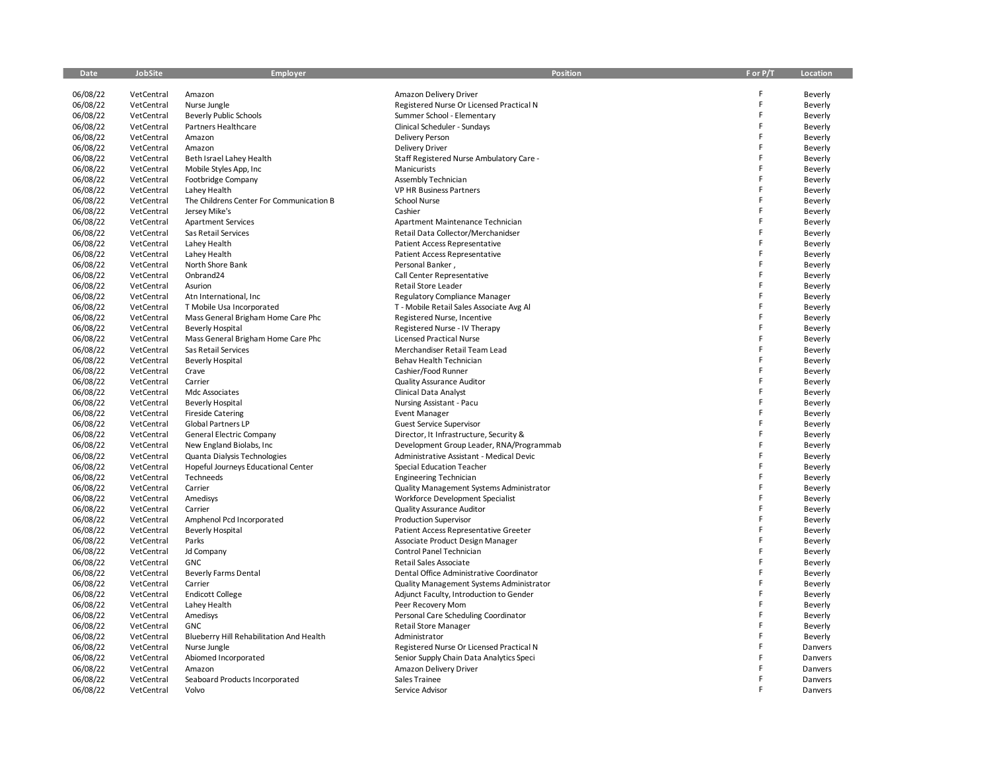| Date     | JobSite    | Employer                                 | Position                                 | F or P/T | Location |
|----------|------------|------------------------------------------|------------------------------------------|----------|----------|
|          |            |                                          |                                          |          |          |
| 06/08/22 | VetCentral | Amazon                                   | Amazon Delivery Driver                   | F        | Beverly  |
| 06/08/22 | VetCentral | Nurse Jungle                             | Registered Nurse Or Licensed Practical N | F        | Beverly  |
| 06/08/22 | VetCentral | <b>Beverly Public Schools</b>            | Summer School - Elementary               | F        | Beverly  |
| 06/08/22 | VetCentral | Partners Healthcare                      | Clinical Scheduler - Sundays             | F        | Beverly  |
| 06/08/22 | VetCentral | Amazon                                   | Delivery Person                          | F        | Beverly  |
| 06/08/22 | VetCentral | Amazon                                   | <b>Delivery Driver</b>                   | F        | Beverly  |
| 06/08/22 | VetCentral | Beth Israel Lahey Health                 | Staff Registered Nurse Ambulatory Care - | F        | Beverly  |
| 06/08/22 | VetCentral | Mobile Styles App, Inc.                  | Manicurists                              | F        | Beverly  |
| 06/08/22 | VetCentral | Footbridge Company                       | Assembly Technician                      | F        | Beverly  |
|          |            |                                          |                                          | F        |          |
| 06/08/22 | VetCentral | Lahey Health                             | VP HR Business Partners                  | F        | Beverly  |
| 06/08/22 | VetCentral | The Childrens Center For Communication B | <b>School Nurse</b>                      | F        | Beverly  |
| 06/08/22 | VetCentral | Jersey Mike's                            | Cashier                                  | F        | Beverly  |
| 06/08/22 | VetCentral | <b>Apartment Services</b>                | Apartment Maintenance Technician         |          | Beverly  |
| 06/08/22 | VetCentral | Sas Retail Services                      | Retail Data Collector/Merchanidser       | F        | Beverly  |
| 06/08/22 | VetCentral | Lahey Health                             | <b>Patient Access Representative</b>     | F        | Beverly  |
| 06/08/22 | VetCentral | Lahey Health                             | Patient Access Representative            | F        | Beverly  |
| 06/08/22 | VetCentral | North Shore Bank                         | Personal Banker,                         | F        | Beverly  |
| 06/08/22 | VetCentral | Onbrand24                                | Call Center Representative               | F        | Beverly  |
| 06/08/22 | VetCentral | Asurion                                  | Retail Store Leader                      | F        | Beverly  |
| 06/08/22 | VetCentral | Atn International, Inc.                  | Regulatory Compliance Manager            | F        | Beverly  |
| 06/08/22 | VetCentral | T Mobile Usa Incorporated                | T - Mobile Retail Sales Associate Avg Al | F        | Beverly  |
| 06/08/22 | VetCentral | Mass General Brigham Home Care Phc       | Registered Nurse, Incentive              | F        | Beverly  |
| 06/08/22 | VetCentral | <b>Beverly Hospital</b>                  | Registered Nurse - IV Therapy            | F        | Beverly  |
| 06/08/22 | VetCentral | Mass General Brigham Home Care Phc       | <b>Licensed Practical Nurse</b>          | F        | Beverly  |
| 06/08/22 | VetCentral | Sas Retail Services                      | Merchandiser Retail Team Lead            | F        | Beverly  |
| 06/08/22 | VetCentral | <b>Beverly Hospital</b>                  | Behav Health Technician                  | F        | Beverly  |
| 06/08/22 | VetCentral | Crave                                    | Cashier/Food Runner                      | F        | Beverly  |
| 06/08/22 | VetCentral | Carrier                                  | <b>Quality Assurance Auditor</b>         | F        | Beverly  |
| 06/08/22 | VetCentral | Mdc Associates                           | Clinical Data Analyst                    | F        | Beverly  |
| 06/08/22 | VetCentral | <b>Beverly Hospital</b>                  | Nursing Assistant - Pacu                 | F        | Beverly  |
| 06/08/22 | VetCentral | <b>Fireside Catering</b>                 | <b>Event Manager</b>                     | F        | Beverly  |
| 06/08/22 | VetCentral | <b>Global Partners LP</b>                | <b>Guest Service Supervisor</b>          | F        | Beverly  |
| 06/08/22 | VetCentral | General Electric Company                 | Director, It Infrastructure, Security &  | F        | Beverly  |
| 06/08/22 | VetCentral | New England Biolabs, Inc.                | Development Group Leader, RNA/Programmab | F        | Beverly  |
| 06/08/22 | VetCentral | Quanta Dialysis Technologies             | Administrative Assistant - Medical Devic | F        | Beverly  |
| 06/08/22 | VetCentral | Hopeful Journeys Educational Center      | Special Education Teacher                | F        | Beverly  |
|          |            |                                          |                                          | F        |          |
| 06/08/22 | VetCentral | Techneeds                                | <b>Engineering Technician</b>            | F        | Beverly  |
| 06/08/22 | VetCentral | Carrier                                  | Quality Management Systems Administrator | F        | Beverly  |
| 06/08/22 | VetCentral | Amedisys                                 | Workforce Development Specialist         | F        | Beverly  |
| 06/08/22 | VetCentral | Carrier                                  | <b>Quality Assurance Auditor</b>         | F        | Beverly  |
| 06/08/22 | VetCentral | Amphenol Pcd Incorporated                | <b>Production Supervisor</b>             | F        | Beverly  |
| 06/08/22 | VetCentral | <b>Beverly Hospital</b>                  | Patient Access Representative Greeter    |          | Beverly  |
| 06/08/22 | VetCentral | Parks                                    | Associate Product Design Manager         | F        | Beverly  |
| 06/08/22 | VetCentral | Jd Company                               | Control Panel Technician                 | F        | Beverly  |
| 06/08/22 | VetCentral | GNC                                      | Retail Sales Associate                   | F        | Beverly  |
| 06/08/22 | VetCentral | <b>Beverly Farms Dental</b>              | Dental Office Administrative Coordinator | F        | Beverly  |
| 06/08/22 | VetCentral | Carrier                                  | Quality Management Systems Administrator | F        | Beverly  |
| 06/08/22 | VetCentral | <b>Endicott College</b>                  | Adjunct Faculty, Introduction to Gender  | F        | Beverly  |
| 06/08/22 | VetCentral | Lahey Health                             | Peer Recovery Mom                        | F        | Beverly  |
| 06/08/22 | VetCentral | Amedisys                                 | Personal Care Scheduling Coordinator     | F        | Beverly  |
| 06/08/22 | VetCentral | <b>GNC</b>                               | <b>Retail Store Manager</b>              | F        | Beverly  |
| 06/08/22 | VetCentral | Blueberry Hill Rehabilitation And Health | Administrator                            | F        | Beverly  |
| 06/08/22 | VetCentral | Nurse Jungle                             | Registered Nurse Or Licensed Practical N | F        | Danvers  |
| 06/08/22 | VetCentral | Abiomed Incorporated                     | Senior Supply Chain Data Analytics Speci | F        | Danvers  |
| 06/08/22 | VetCentral | Amazon                                   | Amazon Delivery Driver                   | F        | Danvers  |
| 06/08/22 | VetCentral | Seaboard Products Incorporated           | Sales Trainee                            | F        | Danvers  |
| 06/08/22 | VetCentral | Volvo                                    | Service Advisor                          | F        | Danvers  |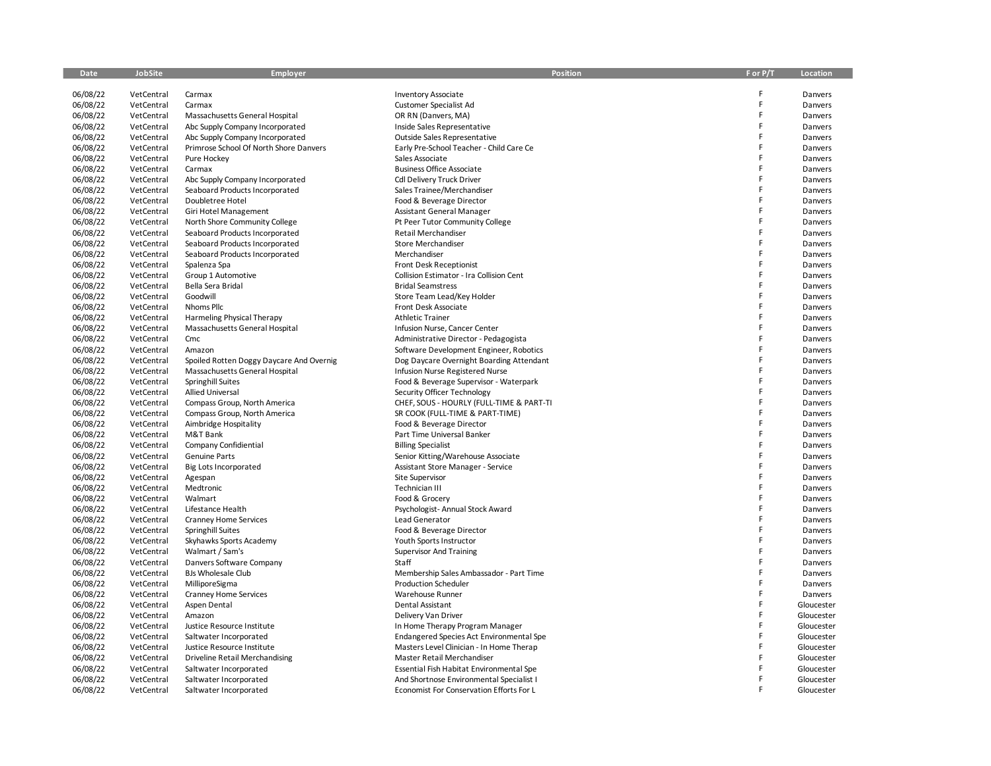| <b>Date</b>          | JobSite    | Employer                                                                   | <b>Position</b>                                 | F or P/T | Location   |
|----------------------|------------|----------------------------------------------------------------------------|-------------------------------------------------|----------|------------|
|                      |            |                                                                            |                                                 |          |            |
| 06/08/22             | VetCentral | Carmax                                                                     | <b>Inventory Associate</b>                      | F        | Danvers    |
| 06/08/22             | VetCentral | Carmax                                                                     | Customer Specialist Ad                          | F        | Danvers    |
| 06/08/22             | VetCentral | Massachusetts General Hospital                                             | OR RN (Danvers, MA)                             | F        | Danvers    |
| 06/08/22             | VetCentral | Abc Supply Company Incorporated                                            | Inside Sales Representative                     | F        | Danvers    |
| 06/08/22             | VetCentral | Abc Supply Company Incorporated                                            | Outside Sales Representative                    | F        | Danvers    |
| 06/08/22             | VetCentral | Primrose School Of North Shore Danvers                                     | Early Pre-School Teacher - Child Care Ce        | F        | Danvers    |
| 06/08/22             | VetCentral | Pure Hockey                                                                | Sales Associate                                 | F        | Danvers    |
| 06/08/22             | VetCentral | Carmax                                                                     | <b>Business Office Associate</b>                | F        | Danvers    |
| 06/08/22             | VetCentral | Abc Supply Company Incorporated                                            | Cdl Delivery Truck Driver                       | F        | Danvers    |
| 06/08/22             | VetCentral | Seaboard Products Incorporated                                             | Sales Trainee/Merchandiser                      | F        | Danvers    |
| 06/08/22             | VetCentral | Doubletree Hotel                                                           | Food & Beverage Director                        | F        | Danvers    |
| 06/08/22             | VetCentral | Giri Hotel Management                                                      | Assistant General Manager                       | F        | Danvers    |
| 06/08/22             | VetCentral | North Shore Community College                                              | Pt Peer Tutor Community College                 | F        | Danvers    |
| 06/08/22             | VetCentral | Seaboard Products Incorporated                                             | Retail Merchandiser                             | F        | Danvers    |
| 06/08/22             | VetCentral | Seaboard Products Incorporated                                             | Store Merchandiser                              | F        | Danvers    |
| 06/08/22             | VetCentral | Seaboard Products Incorporated                                             | Merchandiser                                    | F        | Danvers    |
| 06/08/22             | VetCentral | Spalenza Spa                                                               | <b>Front Desk Receptionist</b>                  | F        | Danvers    |
| 06/08/22             | VetCentral | Group 1 Automotive                                                         | Collision Estimator - Ira Collision Cent        | F        | Danvers    |
| 06/08/22             | VetCentral | Bella Sera Bridal                                                          | <b>Bridal Seamstress</b>                        | F        | Danvers    |
| 06/08/22             | VetCentral | Goodwill                                                                   | Store Team Lead/Key Holder                      | F        | Danvers    |
| 06/08/22             | VetCentral | Nhoms Pllc                                                                 | Front Desk Associate                            | F        | Danvers    |
| 06/08/22             | VetCentral | Harmeling Physical Therapy                                                 | <b>Athletic Trainer</b>                         | F        | Danvers    |
| 06/08/22             | VetCentral | Massachusetts General Hospital                                             | Infusion Nurse, Cancer Center                   | F        | Danvers    |
| 06/08/22             | VetCentral | Cmc                                                                        | Administrative Director - Pedagogista           | F        | Danvers    |
| 06/08/22             | VetCentral | Amazon                                                                     | Software Development Engineer, Robotics         | F        | Danvers    |
|                      |            |                                                                            |                                                 | F        |            |
| 06/08/22<br>06/08/22 | VetCentral | Spoiled Rotten Doggy Daycare And Overnig<br>Massachusetts General Hospital | Dog Daycare Overnight Boarding Attendant        | F        | Danvers    |
|                      | VetCentral |                                                                            | Infusion Nurse Registered Nurse                 | F        | Danvers    |
| 06/08/22             | VetCentral | Springhill Suites                                                          | Food & Beverage Supervisor - Waterpark          | F        | Danvers    |
| 06/08/22             | VetCentral | <b>Allied Universal</b>                                                    | Security Officer Technology                     | F        | Danvers    |
| 06/08/22             | VetCentral | Compass Group, North America                                               | CHEF, SOUS - HOURLY (FULL-TIME & PART-TI        | F        | Danvers    |
| 06/08/22             | VetCentral | Compass Group, North America                                               | SR COOK (FULL-TIME & PART-TIME)                 | F        | Danvers    |
| 06/08/22             | VetCentral | Aimbridge Hospitality                                                      | Food & Beverage Director                        |          | Danvers    |
| 06/08/22             | VetCentral | M&T Bank                                                                   | Part Time Universal Banker                      | F        | Danvers    |
| 06/08/22             | VetCentral | Company Confidiential                                                      | <b>Billing Specialist</b>                       | F        | Danvers    |
| 06/08/22             | VetCentral | Genuine Parts                                                              | Senior Kitting/Warehouse Associate              | F        | Danvers    |
| 06/08/22             | VetCentral | Big Lots Incorporated                                                      | Assistant Store Manager - Service               | F        | Danvers    |
| 06/08/22             | VetCentral | Agespan                                                                    | Site Supervisor                                 | F        | Danvers    |
| 06/08/22             | VetCentral | Medtronic                                                                  | Technician III                                  | F        | Danvers    |
| 06/08/22             | VetCentral | Walmart                                                                    | Food & Grocery                                  | F        | Danvers    |
| 06/08/22             | VetCentral | Lifestance Health                                                          | Psychologist-Annual Stock Award                 | F        | Danvers    |
| 06/08/22             | VetCentral | <b>Cranney Home Services</b>                                               | Lead Generator                                  | F        | Danvers    |
| 06/08/22             | VetCentral | Springhill Suites                                                          | Food & Beverage Director                        | F        | Danvers    |
| 06/08/22             | VetCentral | Skyhawks Sports Academy                                                    | Youth Sports Instructor                         | F        | Danvers    |
| 06/08/22             | VetCentral | Walmart / Sam's                                                            | <b>Supervisor And Training</b>                  | F        | Danvers    |
| 06/08/22             | VetCentral | Danvers Software Company                                                   | Staff                                           | F        | Danvers    |
| 06/08/22             | VetCentral | <b>BJs Wholesale Club</b>                                                  | Membership Sales Ambassador - Part Time         | F        | Danvers    |
| 06/08/22             | VetCentral | MilliporeSigma                                                             | <b>Production Scheduler</b>                     | F        | Danvers    |
| 06/08/22             | VetCentral | <b>Cranney Home Services</b>                                               | Warehouse Runner                                | F        | Danvers    |
| 06/08/22             | VetCentral | Aspen Dental                                                               | <b>Dental Assistant</b>                         | F        | Gloucester |
| 06/08/22             | VetCentral | Amazon                                                                     | Delivery Van Driver                             | F        | Gloucester |
| 06/08/22             | VetCentral | Justice Resource Institute                                                 | In Home Therapy Program Manager                 | F        | Gloucester |
| 06/08/22             | VetCentral | Saltwater Incorporated                                                     | <b>Endangered Species Act Environmental Spe</b> | F        | Gloucester |
| 06/08/22             | VetCentral | Justice Resource Institute                                                 | Masters Level Clinician - In Home Therap        | F        | Gloucester |
| 06/08/22             | VetCentral | Driveline Retail Merchandising                                             | Master Retail Merchandiser                      | F        | Gloucester |
| 06/08/22             | VetCentral | Saltwater Incorporated                                                     | Essential Fish Habitat Environmental Spe        | F        | Gloucester |
| 06/08/22             | VetCentral | Saltwater Incorporated                                                     | And Shortnose Environmental Specialist I        | F        | Gloucester |
| 06/08/22             | VetCentral | Saltwater Incorporated                                                     | Economist For Conservation Efforts For L        | F        | Gloucester |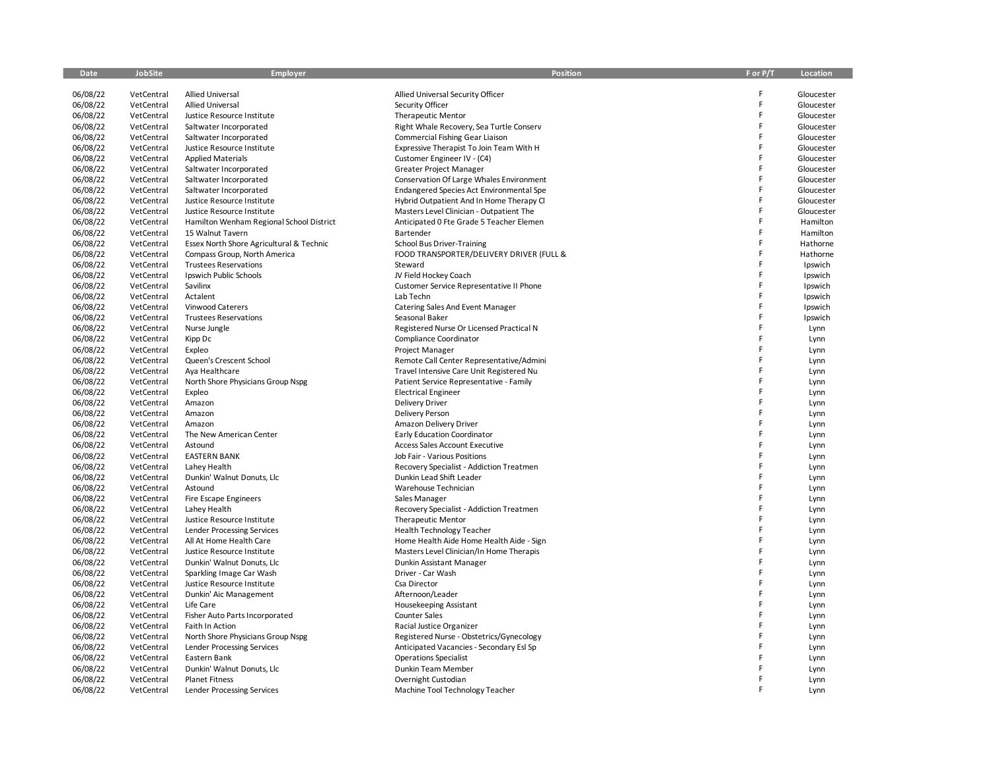| Date     | JobSite    | Employer                                 | <b>Position</b>                                 | F or P/T | Location     |
|----------|------------|------------------------------------------|-------------------------------------------------|----------|--------------|
|          |            |                                          |                                                 |          |              |
| 06/08/22 | VetCentral | <b>Allied Universal</b>                  | Allied Universal Security Officer               | F        | Gloucester   |
| 06/08/22 | VetCentral | <b>Allied Universal</b>                  | Security Officer                                | F        | Gloucester   |
| 06/08/22 | VetCentral | Justice Resource Institute               | <b>Therapeutic Mentor</b>                       | F        | Gloucester   |
| 06/08/22 | VetCentral | Saltwater Incorporated                   | Right Whale Recovery, Sea Turtle Conserv        | F        | Gloucester   |
| 06/08/22 | VetCentral | Saltwater Incorporated                   | <b>Commercial Fishing Gear Liaison</b>          | F        | Gloucester   |
| 06/08/22 | VetCentral | Justice Resource Institute               | Expressive Therapist To Join Team With H        | F        | Gloucester   |
| 06/08/22 | VetCentral | <b>Applied Materials</b>                 | Customer Engineer IV - (C4)                     | F        | Gloucester   |
| 06/08/22 | VetCentral | Saltwater Incorporated                   | Greater Project Manager                         | F        | Gloucester   |
| 06/08/22 | VetCentral | Saltwater Incorporated                   | Conservation Of Large Whales Environment        | F        | Gloucester   |
|          |            |                                          |                                                 | F        |              |
| 06/08/22 | VetCentral | Saltwater Incorporated                   | <b>Endangered Species Act Environmental Spe</b> | F        | Gloucester   |
| 06/08/22 | VetCentral | Justice Resource Institute               | Hybrid Outpatient And In Home Therapy Cl        | F        | Gloucester   |
| 06/08/22 | VetCentral | Justice Resource Institute               | Masters Level Clinician - Outpatient The        |          | Gloucester   |
| 06/08/22 | VetCentral | Hamilton Wenham Regional School District | Anticipated 0 Fte Grade 5 Teacher Elemen        | F        | Hamilton     |
| 06/08/22 | VetCentral | 15 Walnut Tavern                         | Bartender                                       | F        | Hamilton     |
| 06/08/22 | VetCentral | Essex North Shore Agricultural & Technic | School Bus Driver-Training                      | F        | Hathorne     |
| 06/08/22 | VetCentral | Compass Group, North America             | FOOD TRANSPORTER/DELIVERY DRIVER (FULL &        | F        | Hathorne     |
| 06/08/22 | VetCentral | <b>Trustees Reservations</b>             | Steward                                         | F        | Ipswich      |
| 06/08/22 | VetCentral | Ipswich Public Schools                   | JV Field Hockey Coach                           | F        | Ipswich      |
| 06/08/22 | VetCentral | Savilinx                                 | Customer Service Representative II Phone        | F        | Ipswich      |
| 06/08/22 | VetCentral | Actalent                                 | Lab Techn                                       | F        | Ipswich      |
| 06/08/22 | VetCentral | Vinwood Caterers                         | Catering Sales And Event Manager                | F        | Ipswich      |
| 06/08/22 | VetCentral | <b>Trustees Reservations</b>             | Seasonal Baker                                  | F        | Ipswich      |
| 06/08/22 | VetCentral | Nurse Jungle                             | Registered Nurse Or Licensed Practical N        | F        | Lynn         |
| 06/08/22 | VetCentral | Kipp Dc                                  | Compliance Coordinator                          | F        | Lynn         |
| 06/08/22 | VetCentral | Expleo                                   | Project Manager                                 | F        | Lynn         |
| 06/08/22 | VetCentral | Queen's Crescent School                  | Remote Call Center Representative/Admini        | F        | Lynn         |
| 06/08/22 | VetCentral | Aya Healthcare                           | Travel Intensive Care Unit Registered Nu        | F        | Lynn         |
| 06/08/22 | VetCentral | North Shore Physicians Group Nspg        | Patient Service Representative - Family         | F        | Lynn         |
| 06/08/22 | VetCentral | Expleo                                   | <b>Electrical Engineer</b>                      | F        | Lynn         |
| 06/08/22 | VetCentral | Amazon                                   | <b>Delivery Driver</b>                          | F        | Lynn         |
| 06/08/22 | VetCentral | Amazon                                   | Delivery Person                                 | F        | Lynn         |
| 06/08/22 | VetCentral | Amazon                                   | Amazon Delivery Driver                          | F        | Lynn         |
| 06/08/22 | VetCentral | The New American Center                  | Early Education Coordinator                     | F        | Lynn         |
| 06/08/22 | VetCentral | Astound                                  | <b>Access Sales Account Executive</b>           | F        | Lynn         |
| 06/08/22 | VetCentral | <b>EASTERN BANK</b>                      | Job Fair - Various Positions                    | F        | Lynn         |
| 06/08/22 | VetCentral | Lahey Health                             | Recovery Specialist - Addiction Treatmen        | F        | Lynn         |
| 06/08/22 | VetCentral | Dunkin' Walnut Donuts, Llc               | Dunkin Lead Shift Leader                        | F        | Lynn         |
| 06/08/22 | VetCentral | Astound                                  | Warehouse Technician                            | F        | Lynn         |
| 06/08/22 | VetCentral | Fire Escape Engineers                    | Sales Manager                                   | F        | Lynn         |
| 06/08/22 | VetCentral | Lahey Health                             | Recovery Specialist - Addiction Treatmen        | F        | Lynn         |
| 06/08/22 |            |                                          |                                                 | F        |              |
| 06/08/22 | VetCentral | Justice Resource Institute               | <b>Therapeutic Mentor</b>                       | F        | Lynn<br>Lynn |
| 06/08/22 | VetCentral | <b>Lender Processing Services</b>        | <b>Health Technology Teacher</b>                | F        |              |
|          | VetCentral | All At Home Health Care                  | Home Health Aide Home Health Aide - Sign        | F        | Lynn         |
| 06/08/22 | VetCentral | Justice Resource Institute               | Masters Level Clinician/In Home Therapis        | F        | Lynn         |
| 06/08/22 | VetCentral | Dunkin' Walnut Donuts, Llc               | Dunkin Assistant Manager                        | F        | Lynn         |
| 06/08/22 | VetCentral | Sparkling Image Car Wash                 | Driver - Car Wash                               | F        | Lynn         |
| 06/08/22 | VetCentral | Justice Resource Institute               | Csa Director                                    | F        | Lynn         |
| 06/08/22 | VetCentral | Dunkin' Aic Management                   | Afternoon/Leader                                | F        | Lynn         |
| 06/08/22 | VetCentral | Life Care                                | Housekeeping Assistant                          | F        | Lynn         |
| 06/08/22 | VetCentral | Fisher Auto Parts Incorporated           | <b>Counter Sales</b>                            |          | Lynn         |
| 06/08/22 | VetCentral | Faith In Action                          | Racial Justice Organizer                        | F        | Lynn         |
| 06/08/22 | VetCentral | North Shore Physicians Group Nspg        | Registered Nurse - Obstetrics/Gynecology        | F        | Lynn         |
| 06/08/22 | VetCentral | <b>Lender Processing Services</b>        | Anticipated Vacancies - Secondary Esl Sp        | F        | Lynn         |
| 06/08/22 | VetCentral | Eastern Bank                             | <b>Operations Specialist</b>                    | F        | Lynn         |
| 06/08/22 | VetCentral | Dunkin' Walnut Donuts, Llc               | Dunkin Team Member                              | F        | Lynn         |
| 06/08/22 | VetCentral | <b>Planet Fitness</b>                    | Overnight Custodian                             | F        | Lynn         |
| 06/08/22 | VetCentral | Lender Processing Services               | Machine Tool Technology Teacher                 | F        | Lynn         |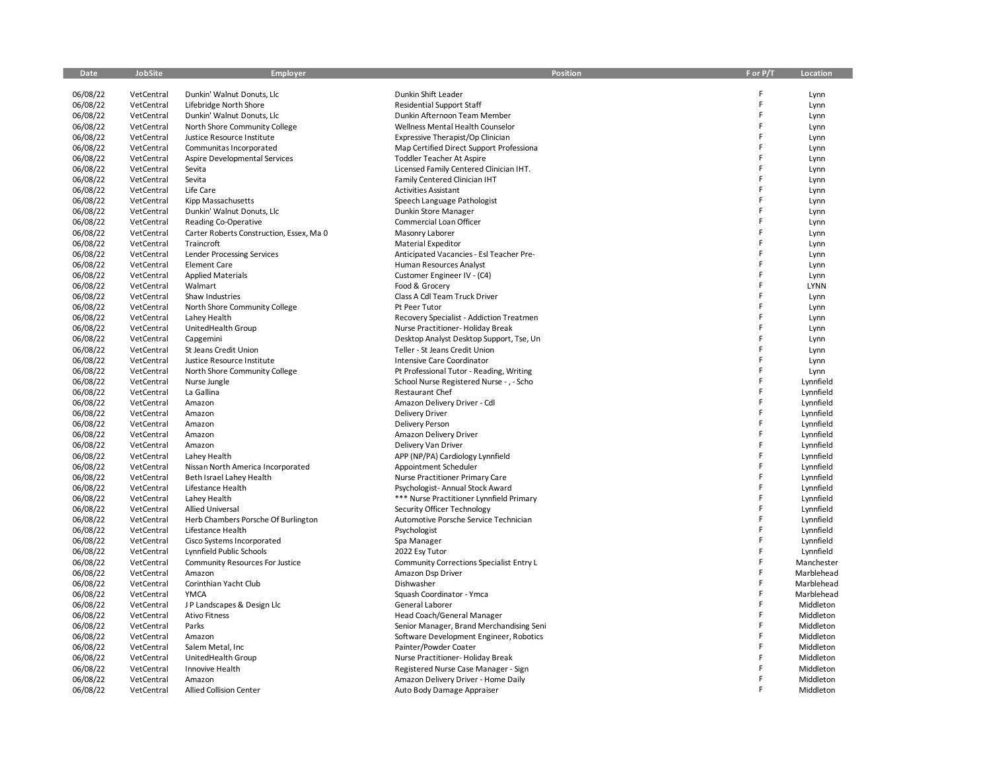| Date                 | JobSite    | <b>Employer</b>                          | <b>Position</b>                          | F or P/T | Location   |
|----------------------|------------|------------------------------------------|------------------------------------------|----------|------------|
|                      |            |                                          |                                          |          |            |
| 06/08/22             | VetCentral | Dunkin' Walnut Donuts, Llc               | Dunkin Shift Leader                      | F        | Lynn       |
| 06/08/22             | VetCentral | Lifebridge North Shore                   | <b>Residential Support Staff</b>         | F        | Lynn       |
| 06/08/22             | VetCentral | Dunkin' Walnut Donuts, Llc               | Dunkin Afternoon Team Member             | F        | Lynn       |
| 06/08/22             | VetCentral | North Shore Community College            | Wellness Mental Health Counselor         | F        | Lynn       |
| 06/08/22             | VetCentral | Justice Resource Institute               | Expressive Therapist/Op Clinician        | F        | Lynn       |
| 06/08/22             | VetCentral | Communitas Incorporated                  | Map Certified Direct Support Professiona | F        | Lynn       |
| 06/08/22             | VetCentral | Aspire Developmental Services            | Toddler Teacher At Aspire                | F        | Lynn       |
| 06/08/22             | VetCentral | Sevita                                   | Licensed Family Centered Clinician IHT.  | F        | Lynn       |
| 06/08/22             | VetCentral | Sevita                                   | Family Centered Clinician IHT            | F        | Lynn       |
| 06/08/22             | VetCentral | Life Care                                | <b>Activities Assistant</b>              | F        | Lynn       |
| 06/08/22             | VetCentral | Kipp Massachusetts                       | Speech Language Pathologist              | F        | Lynn       |
| 06/08/22             | VetCentral | Dunkin' Walnut Donuts, Llc               | Dunkin Store Manager                     | F        | Lynn       |
| 06/08/22             | VetCentral | Reading Co-Operative                     | Commercial Loan Officer                  | F        | Lynn       |
| 06/08/22             | VetCentral | Carter Roberts Construction, Essex, Ma 0 | Masonry Laborer                          | F        | Lynn       |
| 06/08/22             | VetCentral | Traincroft                               | <b>Material Expeditor</b>                | F        | Lynn       |
| 06/08/22             | VetCentral | <b>Lender Processing Services</b>        | Anticipated Vacancies - Esl Teacher Pre- | F        | Lynn       |
| 06/08/22             | VetCentral | <b>Element Care</b>                      | Human Resources Analyst                  | F        | Lynn       |
| 06/08/22             | VetCentral | <b>Applied Materials</b>                 | Customer Engineer IV - (C4)              | F        | Lynn       |
| 06/08/22             | VetCentral | Walmart                                  | Food & Grocery                           | F        | LYNN       |
| 06/08/22             | VetCentral | Shaw Industries                          | Class A Cdl Team Truck Driver            | F        | Lynn       |
| 06/08/22             | VetCentral | North Shore Community College            | Pt Peer Tutor                            | F        | Lynn       |
| 06/08/22             | VetCentral | Lahey Health                             | Recovery Specialist - Addiction Treatmen | F        | Lynn       |
| 06/08/22             | VetCentral | UnitedHealth Group                       | Nurse Practitioner- Holiday Break        | F        | Lynn       |
| 06/08/22             | VetCentral | Capgemini                                | Desktop Analyst Desktop Support, Tse, Un | F        | Lynn       |
| 06/08/22             | VetCentral | St Jeans Credit Union                    | Teller - St Jeans Credit Union           | F        | Lynn       |
| 06/08/22             | VetCentral | Justice Resource Institute               | Intensive Care Coordinator               | F        | Lynn       |
| 06/08/22             | VetCentral | North Shore Community College            | Pt Professional Tutor - Reading, Writing | F        | Lynn       |
| 06/08/22             | VetCentral | Nurse Jungle                             | School Nurse Registered Nurse - , - Scho | F        | Lynnfield  |
| 06/08/22             | VetCentral | La Gallina                               | Restaurant Chef                          | F        | Lynnfield  |
| 06/08/22             | VetCentral | Amazon                                   | Amazon Delivery Driver - Cdl             | F        | Lynnfield  |
| 06/08/22             | VetCentral | Amazon                                   | <b>Delivery Driver</b>                   | F        | Lynnfield  |
| 06/08/22             | VetCentral | Amazon                                   | Delivery Person                          | F        | Lynnfield  |
| 06/08/22             | VetCentral | Amazon                                   | Amazon Delivery Driver                   | F        | Lynnfield  |
| 06/08/22             | VetCentral | Amazon                                   | Delivery Van Driver                      | F        | Lynnfield  |
| 06/08/22             | VetCentral | Lahey Health                             | APP (NP/PA) Cardiology Lynnfield         | F        | Lynnfield  |
| 06/08/22             | VetCentral | Nissan North America Incorporated        | Appointment Scheduler                    | F        | Lynnfield  |
| 06/08/22             | VetCentral | Beth Israel Lahey Health                 | Nurse Practitioner Primary Care          | F        | Lynnfield  |
| 06/08/22             | VetCentral | Lifestance Health                        | Psychologist-Annual Stock Award          | F        | Lynnfield  |
| 06/08/22             | VetCentral | Lahey Health                             | *** Nurse Practitioner Lynnfield Primary | F        | Lynnfield  |
|                      | VetCentral | <b>Allied Universal</b>                  | Security Officer Technology              | F        | Lynnfield  |
| 06/08/22             | VetCentral | Herb Chambers Porsche Of Burlington      |                                          | F        | Lynnfield  |
| 06/08/22<br>06/08/22 | VetCentral | Lifestance Health                        | Automotive Porsche Service Technician    | F        | Lynnfield  |
|                      | VetCentral |                                          | Psychologist                             | F        | Lynnfield  |
| 06/08/22             |            | Cisco Systems Incorporated               | Spa Manager                              | F        |            |
| 06/08/22             | VetCentral | Lynnfield Public Schools                 | 2022 Esy Tutor                           | F        | Lynnfield  |
| 06/08/22             | VetCentral | Community Resources For Justice          | Community Corrections Specialist Entry L | F        | Manchester |
| 06/08/22             | VetCentral | Amazon                                   | Amazon Dsp Driver                        | F        | Marblehead |
| 06/08/22             | VetCentral | Corinthian Yacht Club                    | Dishwasher                               | F        | Marblehead |
| 06/08/22             | VetCentral | <b>YMCA</b>                              | Squash Coordinator - Ymca                | F        | Marblehead |
| 06/08/22             | VetCentral | JP Landscapes & Design Llc               | General Laborer                          | F        | Middleton  |
| 06/08/22             | VetCentral | <b>Ativo Fitness</b>                     | Head Coach/General Manager               | F        | Middleton  |
| 06/08/22             | VetCentral | Parks                                    | Senior Manager, Brand Merchandising Seni | F        | Middleton  |
| 06/08/22             | VetCentral | Amazon                                   | Software Development Engineer, Robotics  | F        | Middleton  |
| 06/08/22             | VetCentral | Salem Metal, Inc.                        | Painter/Powder Coater                    |          | Middleton  |
| 06/08/22             | VetCentral | UnitedHealth Group                       | Nurse Practitioner- Holiday Break        | F        | Middleton  |
| 06/08/22             | VetCentral | Innovive Health                          | Registered Nurse Case Manager - Sign     | F        | Middleton  |
| 06/08/22             | VetCentral | Amazon                                   | Amazon Delivery Driver - Home Daily      | F        | Middleton  |
| 06/08/22             | VetCentral | <b>Allied Collision Center</b>           | Auto Body Damage Appraiser               | F        | Middleton  |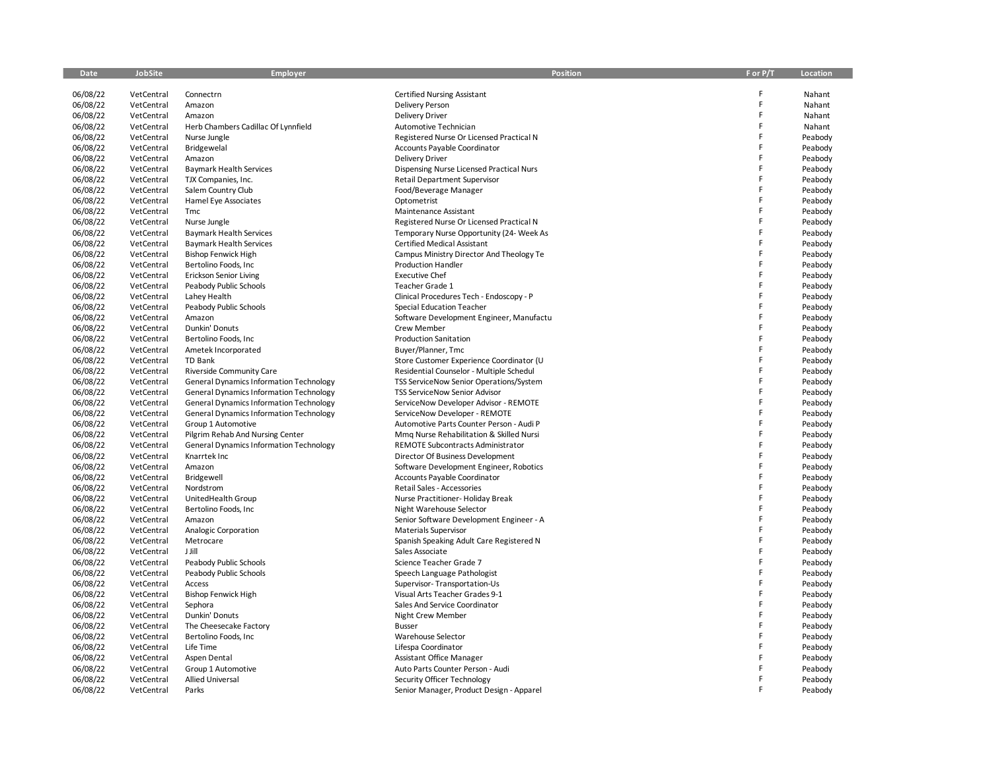| Date                 | <b>JobSite</b>           | <b>Employer</b>                                | <b>Position</b>                          | For P/T | Location           |
|----------------------|--------------------------|------------------------------------------------|------------------------------------------|---------|--------------------|
|                      |                          |                                                |                                          |         |                    |
| 06/08/22             | VetCentral               | Connectrn                                      | <b>Certified Nursing Assistant</b>       | F       | Nahant             |
| 06/08/22             | VetCentral               | Amazon                                         | <b>Delivery Person</b>                   | F       | Nahant             |
| 06/08/22             | VetCentral               | Amazon                                         | <b>Delivery Driver</b>                   | F       | Nahant             |
| 06/08/22             | VetCentral               | Herb Chambers Cadillac Of Lynnfield            | Automotive Technician                    | F       | Nahant             |
| 06/08/22             | VetCentral               | Nurse Jungle                                   | Registered Nurse Or Licensed Practical N | F       | Peabody            |
| 06/08/22             | VetCentral               | Bridgewelal                                    | Accounts Payable Coordinator             | F       | Peabody            |
| 06/08/22             | VetCentral               | Amazon                                         | <b>Delivery Driver</b>                   | F       | Peabody            |
| 06/08/22             | VetCentral               | <b>Baymark Health Services</b>                 | Dispensing Nurse Licensed Practical Nurs | F       | Peabody            |
| 06/08/22             | VetCentral               | TJX Companies, Inc.                            | <b>Retail Department Supervisor</b>      | F       | Peabody            |
| 06/08/22             | VetCentral               | Salem Country Club                             | Food/Beverage Manager                    | F       | Peabody            |
| 06/08/22             | VetCentral               | Hamel Eye Associates                           | Optometrist                              | F       | Peabody            |
| 06/08/22             | VetCentral               | Tmc                                            | Maintenance Assistant                    | F       | Peabody            |
| 06/08/22             | VetCentral               | Nurse Jungle                                   | Registered Nurse Or Licensed Practical N | F       | Peabody            |
| 06/08/22             | VetCentral               | Baymark Health Services                        | Temporary Nurse Opportunity (24- Week As | F       | Peabody            |
| 06/08/22             | VetCentral               | <b>Baymark Health Services</b>                 | <b>Certified Medical Assistant</b>       | F       | Peabody            |
| 06/08/22             | VetCentral               | <b>Bishop Fenwick High</b>                     | Campus Ministry Director And Theology Te | F       | Peabody            |
| 06/08/22             | VetCentral               | Bertolino Foods, Inc.                          | <b>Production Handler</b>                | F       | Peabody            |
| 06/08/22             | VetCentral               | <b>Erickson Senior Living</b>                  | <b>Executive Chef</b>                    | F       | Peabody            |
| 06/08/22             | VetCentral               | Peabody Public Schools                         | Teacher Grade 1                          | F       | Peabody            |
| 06/08/22             | VetCentral               | Lahey Health                                   | Clinical Procedures Tech - Endoscopy - P | F       | Peabody            |
| 06/08/22             | VetCentral               | Peabody Public Schools                         | Special Education Teacher                | F       | Peabody            |
| 06/08/22             | VetCentral               | Amazon                                         | Software Development Engineer, Manufactu | F       | Peabody            |
| 06/08/22             | VetCentral               | Dunkin' Donuts                                 | Crew Member                              | F       | Peabody            |
| 06/08/22             | VetCentral               | Bertolino Foods, Inc                           | <b>Production Sanitation</b>             | F       | Peabody            |
| 06/08/22             | VetCentral               | Ametek Incorporated                            | Buyer/Planner, Tmc                       | F       | Peabody            |
| 06/08/22             | VetCentral               | TD Bank                                        | Store Customer Experience Coordinator (U | F       | Peabody            |
| 06/08/22             | VetCentral               | Riverside Community Care                       | Residential Counselor - Multiple Schedul | F       | Peabody            |
| 06/08/22             | VetCentral               | <b>General Dynamics Information Technology</b> | TSS ServiceNow Senior Operations/System  | F<br>F  | Peabody            |
| 06/08/22             | VetCentral               | <b>General Dynamics Information Technology</b> | <b>TSS ServiceNow Senior Advisor</b>     | F       | Peabody            |
| 06/08/22             | VetCentral               | <b>General Dynamics Information Technology</b> | ServiceNow Developer Advisor - REMOTE    |         | Peabody            |
| 06/08/22             | VetCentral               | <b>General Dynamics Information Technology</b> | ServiceNow Developer - REMOTE            | F<br>F  | Peabody            |
| 06/08/22             | VetCentral               | Group 1 Automotive                             | Automotive Parts Counter Person - Audi P | F       | Peabody            |
| 06/08/22             | VetCentral               | Pilgrim Rehab And Nursing Center               | Mmg Nurse Rehabilitation & Skilled Nursi | F       | Peabody            |
| 06/08/22             | VetCentral               | <b>General Dynamics Information Technology</b> | <b>REMOTE Subcontracts Administrator</b> | F       | Peabody            |
| 06/08/22             | VetCentral               | Knarrtek Inc                                   | Director Of Business Development         | F       | Peabody            |
| 06/08/22             | VetCentral               | Amazon                                         | Software Development Engineer, Robotics  | F       | Peabody            |
| 06/08/22             | VetCentral               | Bridgewell                                     | Accounts Payable Coordinator             | F       | Peabody            |
| 06/08/22             | VetCentral               | Nordstrom                                      | Retail Sales - Accessories               | F       | Peabody            |
| 06/08/22             | VetCentral               | UnitedHealth Group                             | Nurse Practitioner- Holiday Break        | F       | Peabody            |
| 06/08/22             | VetCentral               | Bertolino Foods, Inc                           | Night Warehouse Selector                 | F       | Peabody            |
| 06/08/22             | VetCentral               | Amazon                                         | Senior Software Development Engineer - A | F       | Peabody            |
| 06/08/22             | VetCentral               | Analogic Corporation                           | Materials Supervisor                     | F       | Peabody            |
| 06/08/22             | VetCentral               | Metrocare                                      | Spanish Speaking Adult Care Registered N | F       | Peabody            |
| 06/08/22             | VetCentral               | J Jill                                         | Sales Associate                          | F       | Peabody            |
| 06/08/22             | VetCentral               | Peabody Public Schools                         | Science Teacher Grade 7                  | F       | Peabody            |
| 06/08/22             | VetCentral               | Peabody Public Schools                         | Speech Language Pathologist              | F       | Peabody            |
| 06/08/22<br>06/08/22 | VetCentral               | Access                                         | Supervisor-Transportation-Us             | F       | Peabody            |
|                      | VetCentral               | <b>Bishop Fenwick High</b>                     | Visual Arts Teacher Grades 9-1           | F       | Peabody            |
| 06/08/22             | VetCentral               | Sephora                                        | Sales And Service Coordinator            | F       | Peabody            |
| 06/08/22<br>06/08/22 | VetCentral<br>VetCentral | Dunkin' Donuts<br>The Cheesecake Factory       | Night Crew Member<br><b>Busser</b>       | F       | Peabody<br>Peabody |
|                      |                          |                                                | Warehouse Selector                       | F       |                    |
| 06/08/22<br>06/08/22 | VetCentral<br>VetCentral | Bertolino Foods, Inc<br>Life Time              | Lifespa Coordinator                      | F       | Peabody            |
| 06/08/22             | VetCentral               | Aspen Dental                                   | <b>Assistant Office Manager</b>          | F       | Peabody<br>Peabody |
| 06/08/22             | VetCentral               | Group 1 Automotive                             | Auto Parts Counter Person - Audi         | F       | Peabody            |
| 06/08/22             | VetCentral               | <b>Allied Universal</b>                        | Security Officer Technology              | F       |                    |
| 06/08/22             | VetCentral               | Parks                                          | Senior Manager, Product Design - Apparel | E       | Peabody<br>Peabody |
|                      |                          |                                                |                                          |         |                    |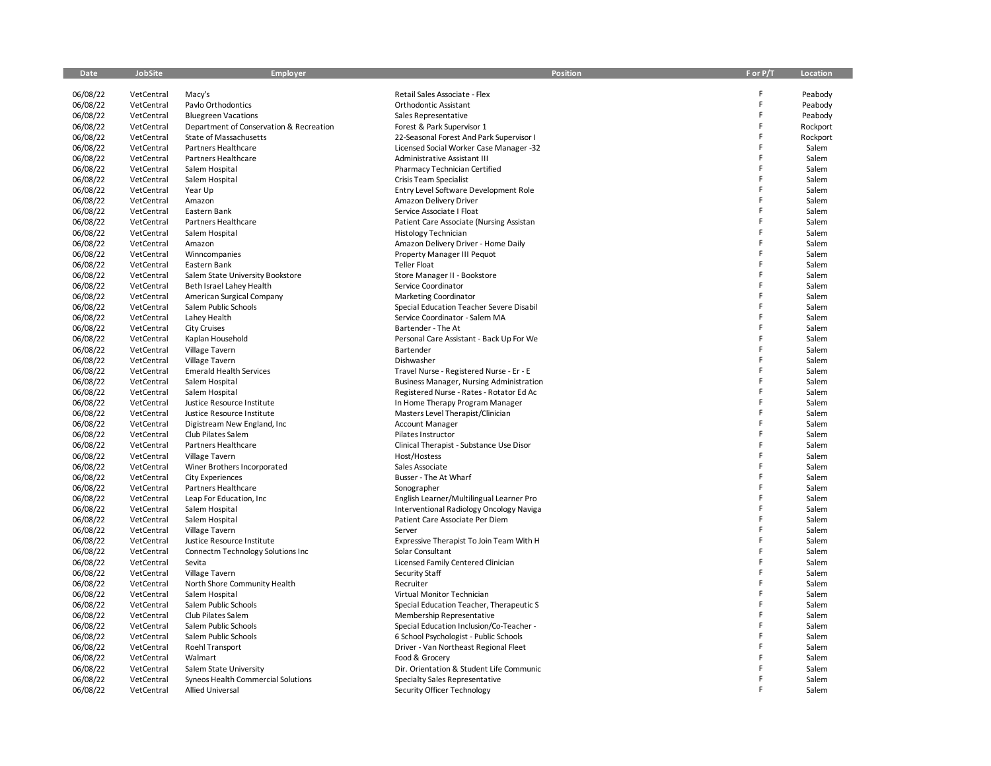| Date     | JobSite    | Employer                                | Position                                        | F or P/T | Location |
|----------|------------|-----------------------------------------|-------------------------------------------------|----------|----------|
|          |            |                                         |                                                 |          |          |
| 06/08/22 | VetCentral | Macy's                                  | Retail Sales Associate - Flex                   | F        | Peabody  |
| 06/08/22 | VetCentral | Pavlo Orthodontics                      | Orthodontic Assistant                           | F        | Peabody  |
| 06/08/22 | VetCentral | <b>Bluegreen Vacations</b>              | Sales Representative                            | F        | Peabody  |
| 06/08/22 | VetCentral | Department of Conservation & Recreation | Forest & Park Supervisor 1                      | F        | Rockport |
| 06/08/22 | VetCentral | State of Massachusetts                  | 22-Seasonal Forest And Park Supervisor I        | F        | Rockport |
| 06/08/22 | VetCentral | Partners Healthcare                     | Licensed Social Worker Case Manager -32         | F        | Salem    |
| 06/08/22 | VetCentral | Partners Healthcare                     | Administrative Assistant III                    | F        | Salem    |
| 06/08/22 | VetCentral | Salem Hospital                          | Pharmacy Technician Certified                   | F        | Salem    |
| 06/08/22 | VetCentral | Salem Hospital                          | Crisis Team Specialist                          | F        | Salem    |
|          | VetCentral |                                         |                                                 | F        |          |
| 06/08/22 |            | Year Up                                 | Entry Level Software Development Role           | F        | Salem    |
| 06/08/22 | VetCentral | Amazon                                  | Amazon Delivery Driver                          | F        | Salem    |
| 06/08/22 | VetCentral | Eastern Bank                            | Service Associate I Float                       |          | Salem    |
| 06/08/22 | VetCentral | Partners Healthcare                     | Patient Care Associate (Nursing Assistan        | F        | Salem    |
| 06/08/22 | VetCentral | Salem Hospital                          | Histology Technician                            | F        | Salem    |
| 06/08/22 | VetCentral | Amazon                                  | Amazon Delivery Driver - Home Daily             | F        | Salem    |
| 06/08/22 | VetCentral | Winncompanies                           | Property Manager III Pequot                     | F        | Salem    |
| 06/08/22 | VetCentral | Eastern Bank                            | <b>Teller Float</b>                             | F        | Salem    |
| 06/08/22 | VetCentral | Salem State University Bookstore        | Store Manager II - Bookstore                    | F        | Salem    |
| 06/08/22 | VetCentral | Beth Israel Lahey Health                | Service Coordinator                             | F        | Salem    |
| 06/08/22 | VetCentral | American Surgical Company               | Marketing Coordinator                           | F        | Salem    |
| 06/08/22 | VetCentral | Salem Public Schools                    | Special Education Teacher Severe Disabil        | F        | Salem    |
| 06/08/22 | VetCentral | Lahey Health                            | Service Coordinator - Salem MA                  | F        | Salem    |
| 06/08/22 | VetCentral | <b>City Cruises</b>                     | Bartender - The At                              | F        | Salem    |
| 06/08/22 | VetCentral | Kaplan Household                        | Personal Care Assistant - Back Up For We        | F        | Salem    |
| 06/08/22 | VetCentral | Village Tavern                          | Bartender                                       | F        | Salem    |
| 06/08/22 | VetCentral | Village Tavern                          | Dishwasher                                      | F        | Salem    |
| 06/08/22 | VetCentral | <b>Emerald Health Services</b>          | Travel Nurse - Registered Nurse - Er - E        | F        | Salem    |
| 06/08/22 | VetCentral | Salem Hospital                          | <b>Business Manager, Nursing Administration</b> | F        | Salem    |
| 06/08/22 | VetCentral | Salem Hospital                          | Registered Nurse - Rates - Rotator Ed Ac        | F        | Salem    |
| 06/08/22 | VetCentral | Justice Resource Institute              | In Home Therapy Program Manager                 | F        | Salem    |
| 06/08/22 | VetCentral | Justice Resource Institute              | Masters Level Therapist/Clinician               | F        | Salem    |
| 06/08/22 | VetCentral | Digistream New England, Inc.            | <b>Account Manager</b>                          | F        | Salem    |
| 06/08/22 | VetCentral | Club Pilates Salem                      | Pilates Instructor                              | F        | Salem    |
| 06/08/22 | VetCentral | Partners Healthcare                     | Clinical Therapist - Substance Use Disor        | F        | Salem    |
| 06/08/22 | VetCentral | Village Tavern                          | Host/Hostess                                    | F        | Salem    |
| 06/08/22 | VetCentral | Winer Brothers Incorporated             | Sales Associate                                 | F        | Salem    |
| 06/08/22 | VetCentral | <b>City Experiences</b>                 | Busser - The At Wharf                           | F        | Salem    |
|          | VetCentral | Partners Healthcare                     |                                                 | F        | Salem    |
| 06/08/22 |            |                                         | Sonographer                                     | F        |          |
| 06/08/22 | VetCentral | Leap For Education, Inc.                | English Learner/Multilingual Learner Pro        | F        | Salem    |
| 06/08/22 | VetCentral | Salem Hospital                          | Interventional Radiology Oncology Naviga        | F        | Salem    |
| 06/08/22 | VetCentral | Salem Hospital                          | Patient Care Associate Per Diem                 | F        | Salem    |
| 06/08/22 | VetCentral | Village Tavern                          | Server                                          | F        | Salem    |
| 06/08/22 | VetCentral | Justice Resource Institute              | Expressive Therapist To Join Team With H        | F        | Salem    |
| 06/08/22 | VetCentral | Connectm Technology Solutions Inc       | Solar Consultant                                | F        | Salem    |
| 06/08/22 | VetCentral | Sevita                                  | Licensed Family Centered Clinician              |          | Salem    |
| 06/08/22 | VetCentral | Village Tavern                          | Security Staff                                  | F        | Salem    |
| 06/08/22 | VetCentral | North Shore Community Health            | Recruiter                                       | F        | Salem    |
| 06/08/22 | VetCentral | Salem Hospital                          | Virtual Monitor Technician                      | F        | Salem    |
| 06/08/22 | VetCentral | Salem Public Schools                    | Special Education Teacher, Therapeutic S        | F        | Salem    |
| 06/08/22 | VetCentral | Club Pilates Salem                      | Membership Representative                       | F        | Salem    |
| 06/08/22 | VetCentral | Salem Public Schools                    | Special Education Inclusion/Co-Teacher -        | F        | Salem    |
| 06/08/22 | VetCentral | Salem Public Schools                    | 6 School Psychologist - Public Schools          | F        | Salem    |
| 06/08/22 | VetCentral | Roehl Transport                         | Driver - Van Northeast Regional Fleet           | F        | Salem    |
| 06/08/22 | VetCentral | Walmart                                 | Food & Grocery                                  | F        | Salem    |
| 06/08/22 | VetCentral | Salem State University                  | Dir. Orientation & Student Life Communic        | F        | Salem    |
| 06/08/22 | VetCentral | Syneos Health Commercial Solutions      | Specialty Sales Representative                  | F        | Salem    |
| 06/08/22 | VetCentral | <b>Allied Universal</b>                 | Security Officer Technology                     |          | Salem    |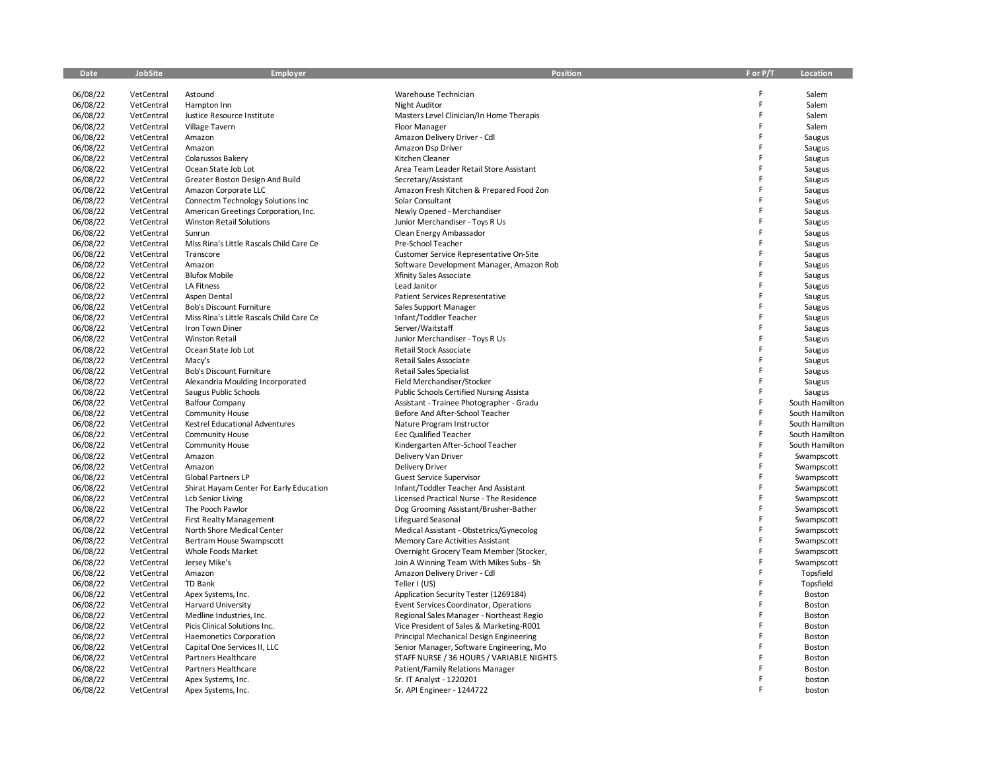| Date                 | <b>JobSite</b>           | <b>Employer</b>                                              | <b>Position</b>                                                                     | For P/T | Location                 |
|----------------------|--------------------------|--------------------------------------------------------------|-------------------------------------------------------------------------------------|---------|--------------------------|
|                      |                          |                                                              |                                                                                     |         |                          |
| 06/08/22             | VetCentral               | Astound                                                      | Warehouse Technician                                                                | F       | Salem                    |
| 06/08/22             | VetCentral               | Hampton Inn                                                  | <b>Night Auditor</b>                                                                | F       | Salem                    |
| 06/08/22             | VetCentral               | Justice Resource Institute                                   | Masters Level Clinician/In Home Therapis                                            | F       | Salem                    |
| 06/08/22             | VetCentral               | Village Tavern                                               | Floor Manager                                                                       | F       | Salem                    |
| 06/08/22             | VetCentral               | Amazon                                                       | Amazon Delivery Driver - Cdl                                                        | F       | Saugus                   |
| 06/08/22             | VetCentral               | Amazon                                                       | Amazon Dsp Driver                                                                   | F       | Saugus                   |
| 06/08/22             | VetCentral               | Colarussos Bakery                                            | Kitchen Cleaner                                                                     | F       | Saugus                   |
| 06/08/22             | VetCentral               | Ocean State Job Lot                                          | Area Team Leader Retail Store Assistant                                             | F       | Saugus                   |
| 06/08/22             | VetCentral               | Greater Boston Design And Build                              | Secretary/Assistant                                                                 | F       | Saugus                   |
| 06/08/22             | VetCentral               | Amazon Corporate LLC                                         | Amazon Fresh Kitchen & Prepared Food Zon                                            | F       | Saugus                   |
| 06/08/22             | VetCentral               | Connectm Technology Solutions Inc                            | Solar Consultant                                                                    | F       | Saugus                   |
| 06/08/22             | VetCentral               | American Greetings Corporation, Inc.                         | Newly Opened - Merchandiser                                                         | F       | Saugus                   |
| 06/08/22             | VetCentral               | <b>Winston Retail Solutions</b>                              | Junior Merchandiser - Toys R Us                                                     | F       | Saugus                   |
| 06/08/22             | VetCentral               | Sunrun                                                       | Clean Energy Ambassador                                                             | F       | Saugus                   |
| 06/08/22             | VetCentral               | Miss Rina's Little Rascals Child Care Ce                     | Pre-School Teacher                                                                  | F       | Saugus                   |
| 06/08/22             | VetCentral               | Transcore                                                    | Customer Service Representative On-Site                                             | F       | Saugus                   |
| 06/08/22             | VetCentral               | Amazon                                                       | Software Development Manager, Amazon Rob                                            | F       | Saugus                   |
| 06/08/22             | VetCentral               | <b>Blufox Mobile</b>                                         | Xfinity Sales Associate                                                             | F       | Saugus                   |
| 06/08/22             | VetCentral               | LA Fitness                                                   | Lead Janitor                                                                        | F       | Saugus                   |
| 06/08/22             | VetCentral               | Aspen Dental                                                 | Patient Services Representative                                                     | F       | Saugus                   |
| 06/08/22             | VetCentral               | Bob's Discount Furniture                                     | Sales Support Manager                                                               | F       | Saugus                   |
| 06/08/22             | VetCentral               | Miss Rina's Little Rascals Child Care Ce                     | Infant/Toddler Teacher                                                              | F<br>F  | Saugus                   |
| 06/08/22             | VetCentral               | Iron Town Diner                                              | Server/Waitstaff                                                                    | F       | Saugus                   |
| 06/08/22             | VetCentral               | <b>Winston Retail</b>                                        | Junior Merchandiser - Toys R Us                                                     |         | Saugus                   |
| 06/08/22             | VetCentral               | Ocean State Job Lot                                          | Retail Stock Associate                                                              | F<br>F  | Saugus                   |
| 06/08/22             | VetCentral               | Macy's                                                       | Retail Sales Associate                                                              | F       | Saugus                   |
| 06/08/22             | VetCentral               | Bob's Discount Furniture                                     | <b>Retail Sales Specialist</b>                                                      |         | Saugus                   |
| 06/08/22             | VetCentral               | Alexandria Moulding Incorporated                             | Field Merchandiser/Stocker                                                          | F<br>F  | Saugus                   |
| 06/08/22             | VetCentral               | Saugus Public Schools                                        | Public Schools Certified Nursing Assista                                            | F       | Saugus                   |
| 06/08/22             | VetCentral               | <b>Balfour Company</b>                                       | Assistant - Trainee Photographer - Gradu                                            | F       | South Hamilton           |
| 06/08/22             | VetCentral               | Community House                                              | Before And After-School Teacher                                                     | F       | South Hamilton           |
| 06/08/22             | VetCentral               | Kestrel Educational Adventures                               | Nature Program Instructor                                                           | F       | South Hamilton           |
| 06/08/22             | VetCentral               | <b>Community House</b>                                       | Eec Qualified Teacher                                                               | F       | South Hamilton           |
| 06/08/22             | VetCentral               | Community House                                              | Kindergarten After-School Teacher                                                   | F       | South Hamilton           |
| 06/08/22             | VetCentral               | Amazon                                                       | Delivery Van Driver                                                                 | F       | Swampscott               |
| 06/08/22             | VetCentral               | Amazon                                                       | <b>Delivery Driver</b>                                                              | F       | Swampscott               |
| 06/08/22             | VetCentral               | Global Partners LP                                           | Guest Service Supervisor                                                            | F       | Swampscott               |
| 06/08/22             | VetCentral               | Shirat Hayam Center For Early Education                      | Infant/Toddler Teacher And Assistant                                                | F       | Swampscott               |
| 06/08/22             | VetCentral               | <b>Lcb Senior Living</b><br>The Pooch Pawlor                 | Licensed Practical Nurse - The Residence                                            | F       | Swampscott               |
| 06/08/22             | VetCentral<br>VetCentral |                                                              | Dog Grooming Assistant/Brusher-Bather                                               | F       | Swampscott               |
| 06/08/22             | VetCentral               | <b>First Realty Management</b><br>North Shore Medical Center | Lifeguard Seasonal                                                                  | F       | Swampscott               |
| 06/08/22<br>06/08/22 | VetCentral               | Bertram House Swampscott                                     | Medical Assistant - Obstetrics/Gynecolog                                            | F       | Swampscott               |
|                      |                          |                                                              | Memory Care Activities Assistant                                                    | F       | Swampscott               |
| 06/08/22<br>06/08/22 | VetCentral<br>VetCentral | Whole Foods Market<br>Jersey Mike's                          | Overnight Grocery Team Member (Stocker,<br>Join A Winning Team With Mikes Subs - Sh | F       | Swampscott<br>Swampscott |
| 06/08/22             | VetCentral               | Amazon                                                       |                                                                                     | F       | Topsfield                |
| 06/08/22             | VetCentral               | <b>TD Bank</b>                                               | Amazon Delivery Driver - Cdl<br>Teller I (US)                                       | F       | Topsfield                |
| 06/08/22             | VetCentral               | Apex Systems, Inc.                                           | Application Security Tester (1269184)                                               | F       | Boston                   |
| 06/08/22             | VetCentral               | <b>Harvard University</b>                                    | Event Services Coordinator, Operations                                              | F       | Boston                   |
| 06/08/22             | VetCentral               | Medline Industries, Inc.                                     | Regional Sales Manager - Northeast Regio                                            | F       | Boston                   |
| 06/08/22             | VetCentral               | Picis Clinical Solutions Inc.                                | Vice President of Sales & Marketing-R001                                            | F       | Boston                   |
| 06/08/22             | VetCentral               | <b>Haemonetics Corporation</b>                               | Principal Mechanical Design Engineering                                             | F       | Boston                   |
| 06/08/22             | VetCentral               | Capital One Services II, LLC                                 | Senior Manager, Software Engineering, Mo                                            | F       | Boston                   |
| 06/08/22             | VetCentral               | Partners Healthcare                                          | STAFF NURSE / 36 HOURS / VARIABLE NIGHTS                                            | F       | Boston                   |
| 06/08/22             | VetCentral               | Partners Healthcare                                          | Patient/Family Relations Manager                                                    | F       | Boston                   |
| 06/08/22             | VetCentral               | Apex Systems, Inc.                                           | Sr. IT Analyst - 1220201                                                            | F       | boston                   |
| 06/08/22             | VetCentral               | Apex Systems, Inc.                                           | Sr. API Engineer - 1244722                                                          | F       | boston                   |
|                      |                          |                                                              |                                                                                     |         |                          |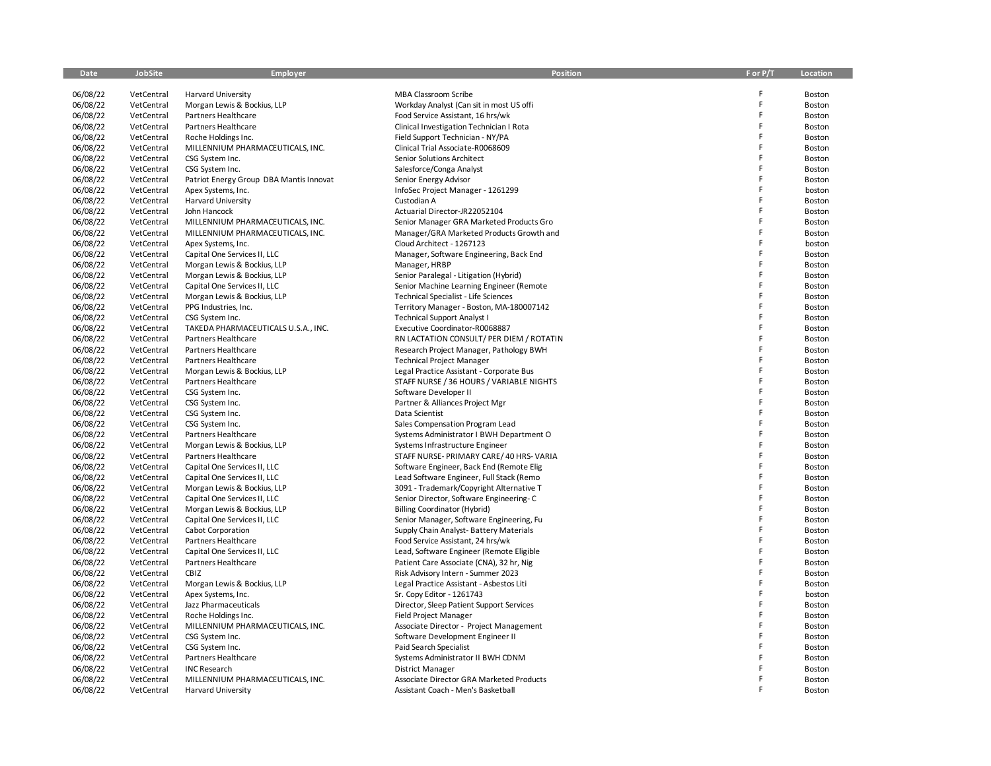| <b>Date</b> | JobSite    | Employer                                | Position                                    | F or P/T | Location |
|-------------|------------|-----------------------------------------|---------------------------------------------|----------|----------|
|             |            |                                         |                                             |          |          |
| 06/08/22    | VetCentral | <b>Harvard University</b>               | MBA Classroom Scribe                        | F        | Boston   |
| 06/08/22    | VetCentral | Morgan Lewis & Bockius, LLP             | Workday Analyst (Can sit in most US offi    | F        | Boston   |
| 06/08/22    | VetCentral | Partners Healthcare                     | Food Service Assistant, 16 hrs/wk           | F        | Boston   |
| 06/08/22    | VetCentral | Partners Healthcare                     | Clinical Investigation Technician I Rota    | F        | Boston   |
| 06/08/22    | VetCentral | Roche Holdings Inc.                     | Field Support Technician - NY/PA            | F        | Boston   |
| 06/08/22    | VetCentral | MILLENNIUM PHARMACEUTICALS, INC.        | Clinical Trial Associate-R0068609           | F        | Boston   |
| 06/08/22    | VetCentral | CSG System Inc.                         | Senior Solutions Architect                  | F        | Boston   |
| 06/08/22    | VetCentral | CSG System Inc.                         | Salesforce/Conga Analyst                    | F        | Boston   |
| 06/08/22    | VetCentral | Patriot Energy Group DBA Mantis Innovat | Senior Energy Advisor                       | F        | Boston   |
| 06/08/22    | VetCentral | Apex Systems, Inc.                      | InfoSec Project Manager - 1261299           | F        | boston   |
| 06/08/22    | VetCentral | <b>Harvard University</b>               | Custodian A                                 | F        | Boston   |
| 06/08/22    | VetCentral | John Hancock                            | Actuarial Director-JR22052104               | F        | Boston   |
| 06/08/22    | VetCentral | MILLENNIUM PHARMACEUTICALS, INC.        | Senior Manager GRA Marketed Products Gro    | F        | Boston   |
| 06/08/22    | VetCentral | MILLENNIUM PHARMACEUTICALS, INC.        | Manager/GRA Marketed Products Growth and    | F        | Boston   |
| 06/08/22    | VetCentral | Apex Systems, Inc.                      | Cloud Architect - 1267123                   | F        | boston   |
| 06/08/22    | VetCentral | Capital One Services II, LLC            | Manager, Software Engineering, Back End     | F        | Boston   |
| 06/08/22    | VetCentral | Morgan Lewis & Bockius, LLP             | Manager, HRBP                               | F        | Boston   |
| 06/08/22    | VetCentral | Morgan Lewis & Bockius, LLP             | Senior Paralegal - Litigation (Hybrid)      | F        | Boston   |
| 06/08/22    | VetCentral | Capital One Services II, LLC            | Senior Machine Learning Engineer (Remote    | F        | Boston   |
| 06/08/22    | VetCentral | Morgan Lewis & Bockius, LLP             | <b>Technical Specialist - Life Sciences</b> | F        | Boston   |
| 06/08/22    | VetCentral | PPG Industries, Inc.                    | Territory Manager - Boston, MA-180007142    | F        | Boston   |
| 06/08/22    | VetCentral | CSG System Inc.                         | <b>Technical Support Analyst I</b>          | F        | Boston   |
| 06/08/22    | VetCentral | TAKEDA PHARMACEUTICALS U.S.A., INC.     | Executive Coordinator-R0068887              | F        | Boston   |
| 06/08/22    | VetCentral | Partners Healthcare                     | RN LACTATION CONSULT/ PER DIEM / ROTATIN    | F        | Boston   |
| 06/08/22    | VetCentral | Partners Healthcare                     | Research Project Manager, Pathology BWH     | F        | Boston   |
| 06/08/22    | VetCentral | Partners Healthcare                     | <b>Technical Project Manager</b>            | F        | Boston   |
| 06/08/22    | VetCentral | Morgan Lewis & Bockius, LLP             | Legal Practice Assistant - Corporate Bus    | F        | Boston   |
| 06/08/22    | VetCentral | Partners Healthcare                     | STAFF NURSE / 36 HOURS / VARIABLE NIGHTS    | F        | Boston   |
| 06/08/22    | VetCentral | CSG System Inc.                         | Software Developer II                       | F        |          |
|             | VetCentral |                                         |                                             | F        | Boston   |
| 06/08/22    |            | CSG System Inc.                         | Partner & Alliances Project Mgr             | F        | Boston   |
| 06/08/22    | VetCentral | CSG System Inc.                         | Data Scientist                              | F        | Boston   |
| 06/08/22    | VetCentral | CSG System Inc.                         | Sales Compensation Program Lead             | F        | Boston   |
| 06/08/22    | VetCentral | Partners Healthcare                     | Systems Administrator I BWH Department O    | F        | Boston   |
| 06/08/22    | VetCentral | Morgan Lewis & Bockius, LLP             | Systems Infrastructure Engineer             | F        | Boston   |
| 06/08/22    | VetCentral | Partners Healthcare                     | STAFF NURSE- PRIMARY CARE/40 HRS-VARIA      | F        | Boston   |
| 06/08/22    | VetCentral | Capital One Services II, LLC            | Software Engineer, Back End (Remote Elig    | F        | Boston   |
| 06/08/22    | VetCentral | Capital One Services II, LLC            | Lead Software Engineer, Full Stack (Remo    | F        | Boston   |
| 06/08/22    | VetCentral | Morgan Lewis & Bockius, LLP             | 3091 - Trademark/Copyright Alternative T    | F        | Boston   |
| 06/08/22    | VetCentral | Capital One Services II, LLC            | Senior Director, Software Engineering-C     |          | Boston   |
| 06/08/22    | VetCentral | Morgan Lewis & Bockius, LLP             | Billing Coordinator (Hybrid)                | F        | Boston   |
| 06/08/22    | VetCentral | Capital One Services II, LLC            | Senior Manager, Software Engineering, Fu    | F        | Boston   |
| 06/08/22    | VetCentral | Cabot Corporation                       | Supply Chain Analyst-Battery Materials      | F        | Boston   |
| 06/08/22    | VetCentral | Partners Healthcare                     | Food Service Assistant, 24 hrs/wk           | F        | Boston   |
| 06/08/22    | VetCentral | Capital One Services II, LLC            | Lead, Software Engineer (Remote Eligible    | F        | Boston   |
| 06/08/22    | VetCentral | Partners Healthcare                     | Patient Care Associate (CNA), 32 hr, Nig    | F        | Boston   |
| 06/08/22    | VetCentral | CBIZ                                    | Risk Advisory Intern - Summer 2023          | F        | Boston   |
| 06/08/22    | VetCentral | Morgan Lewis & Bockius, LLP             | Legal Practice Assistant - Asbestos Liti    | F        | Boston   |
| 06/08/22    | VetCentral | Apex Systems, Inc.                      | Sr. Copy Editor - 1261743                   | F        | boston   |
| 06/08/22    | VetCentral | Jazz Pharmaceuticals                    | Director, Sleep Patient Support Services    | F        | Boston   |
| 06/08/22    | VetCentral | Roche Holdings Inc.                     | <b>Field Project Manager</b>                | F        | Boston   |
| 06/08/22    | VetCentral | MILLENNIUM PHARMACEUTICALS, INC.        | Associate Director - Project Management     | F        | Boston   |
| 06/08/22    | VetCentral | CSG System Inc.                         | Software Development Engineer II            | F        | Boston   |
| 06/08/22    | VetCentral | CSG System Inc.                         | Paid Search Specialist                      | F        | Boston   |
| 06/08/22    | VetCentral | Partners Healthcare                     | Systems Administrator II BWH CDNM           | F        | Boston   |
| 06/08/22    | VetCentral | <b>INC Research</b>                     | <b>District Manager</b>                     |          | Boston   |
| 06/08/22    | VetCentral | MILLENNIUM PHARMACEUTICALS, INC.        | Associate Director GRA Marketed Products    | F        | Boston   |
| 06/08/22    | VetCentral | <b>Harvard University</b>               | Assistant Coach - Men's Basketball          | F        | Boston   |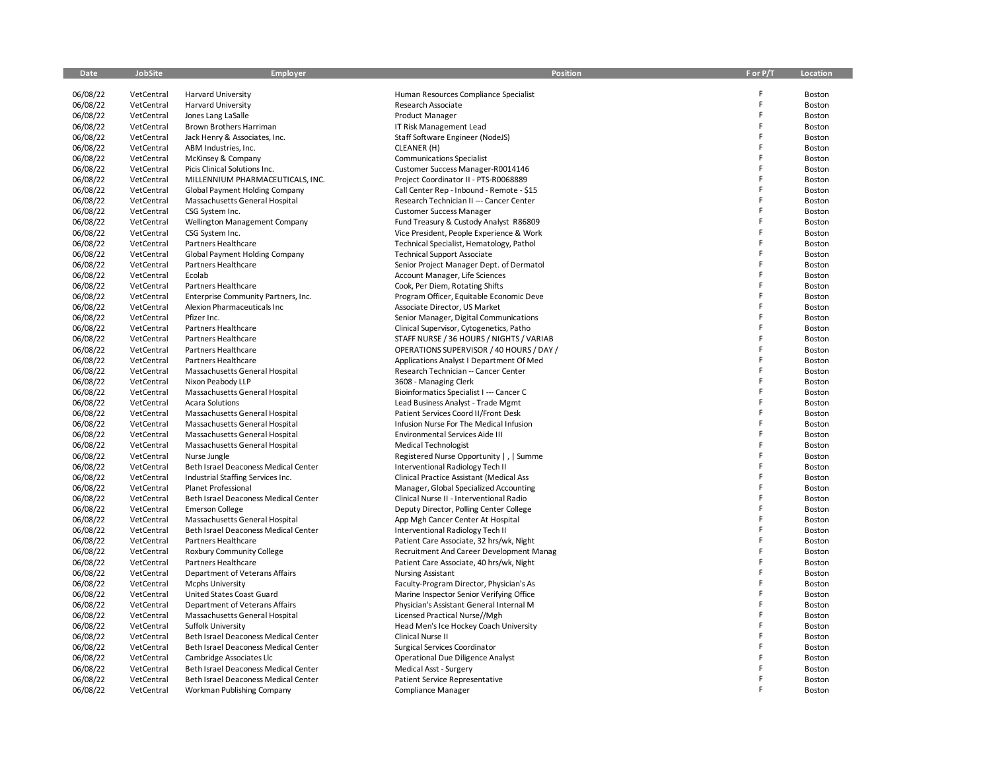| Date                 | <b>JobSite</b>           | <b>Employer</b>                                       | Position                                                                             | F or P/T | Location         |
|----------------------|--------------------------|-------------------------------------------------------|--------------------------------------------------------------------------------------|----------|------------------|
|                      |                          |                                                       |                                                                                      |          |                  |
| 06/08/22             | VetCentral               | <b>Harvard University</b>                             | Human Resources Compliance Specialist                                                | F        | Boston           |
| 06/08/22             | VetCentral               | <b>Harvard University</b>                             | Research Associate                                                                   | F        | Boston           |
| 06/08/22             | VetCentral               | Jones Lang LaSalle                                    | <b>Product Manager</b>                                                               | F        | Boston           |
| 06/08/22             | VetCentral               | Brown Brothers Harriman                               | IT Risk Management Lead                                                              | F<br>F   | Boston           |
| 06/08/22             | VetCentral               | Jack Henry & Associates, Inc.                         | Staff Software Engineer (NodeJS)                                                     |          | Boston           |
| 06/08/22             | VetCentral               | ABM Industries, Inc.                                  | CLEANER (H)                                                                          | F        | Boston           |
| 06/08/22             | VetCentral               | McKinsey & Company                                    | <b>Communications Specialist</b>                                                     | F<br>F   | Boston           |
| 06/08/22             | VetCentral               | Picis Clinical Solutions Inc.                         | Customer Success Manager-R0014146                                                    | F        | Boston           |
| 06/08/22             | VetCentral               | MILLENNIUM PHARMACEUTICALS, INC.                      | Project Coordinator II - PTS-R0068889                                                |          | Boston           |
| 06/08/22             | VetCentral               | Global Payment Holding Company                        | Call Center Rep - Inbound - Remote - \$15                                            | F<br>F   | Boston           |
| 06/08/22             | VetCentral               | Massachusetts General Hospital                        | Research Technician II --- Cancer Center                                             | F        | Boston           |
| 06/08/22             | VetCentral               | CSG System Inc.                                       | <b>Customer Success Manager</b>                                                      | F        | Boston           |
| 06/08/22             | VetCentral               | Wellington Management Company                         | Fund Treasury & Custody Analyst R86809                                               | F        | Boston           |
| 06/08/22             | VetCentral               | CSG System Inc.                                       | Vice President, People Experience & Work                                             | E        | Boston           |
| 06/08/22             | VetCentral               | Partners Healthcare                                   | Technical Specialist, Hematology, Pathol                                             | E        | Boston           |
| 06/08/22             | VetCentral               | Global Payment Holding Company                        | <b>Technical Support Associate</b>                                                   | F        | Boston           |
| 06/08/22             | VetCentral               | Partners Healthcare                                   | Senior Project Manager Dept. of Dermatol                                             | F        | Boston           |
| 06/08/22             | VetCentral               | Ecolab                                                | Account Manager, Life Sciences                                                       | F        | Boston           |
| 06/08/22             | VetCentral               | Partners Healthcare                                   | Cook, Per Diem, Rotating Shifts                                                      | E        | Boston           |
| 06/08/22             | VetCentral               | Enterprise Community Partners, Inc.                   | Program Officer, Equitable Economic Deve                                             | F        | Boston           |
| 06/08/22             | VetCentral               | Alexion Pharmaceuticals Inc<br>Pfizer Inc.            | Associate Director, US Market                                                        | F        | Boston           |
| 06/08/22             | VetCentral               |                                                       | Senior Manager, Digital Communications                                               | F        | Boston           |
| 06/08/22             | VetCentral               | Partners Healthcare<br>Partners Healthcare            | Clinical Supervisor, Cytogenetics, Patho                                             | F        | Boston           |
| 06/08/22<br>06/08/22 | VetCentral<br>VetCentral | Partners Healthcare                                   | STAFF NURSE / 36 HOURS / NIGHTS / VARIAB<br>OPERATIONS SUPERVISOR / 40 HOURS / DAY / | F        | Boston<br>Boston |
| 06/08/22             |                          |                                                       |                                                                                      | F        |                  |
| 06/08/22             | VetCentral<br>VetCentral | Partners Healthcare<br>Massachusetts General Hospital | Applications Analyst I Department Of Med<br>Research Technician -- Cancer Center     | E        | Boston<br>Boston |
| 06/08/22             | VetCentral               | Nixon Peabody LLP                                     | 3608 - Managing Clerk                                                                | F        | Boston           |
| 06/08/22             | VetCentral               | Massachusetts General Hospital                        | Bioinformatics Specialist I --- Cancer C                                             | F        | Boston           |
| 06/08/22             | VetCentral               | <b>Acara Solutions</b>                                | Lead Business Analyst - Trade Mgmt                                                   | F        | Boston           |
| 06/08/22             | VetCentral               | Massachusetts General Hospital                        | Patient Services Coord II/Front Desk                                                 | F        | Boston           |
| 06/08/22             | VetCentral               | Massachusetts General Hospital                        | Infusion Nurse For The Medical Infusion                                              | F        | Boston           |
| 06/08/22             | VetCentral               | Massachusetts General Hospital                        | Environmental Services Aide III                                                      | F        | Boston           |
| 06/08/22             | VetCentral               | Massachusetts General Hospital                        | <b>Medical Technologist</b>                                                          | F        | Boston           |
| 06/08/22             | VetCentral               | Nurse Jungle                                          | Registered Nurse Opportunity  ,   Summe                                              | F        | Boston           |
| 06/08/22             | VetCentral               | Beth Israel Deaconess Medical Center                  | Interventional Radiology Tech II                                                     | F        | Boston           |
| 06/08/22             | VetCentral               | Industrial Staffing Services Inc.                     | Clinical Practice Assistant (Medical Ass                                             | F        | Boston           |
| 06/08/22             | VetCentral               | Planet Professional                                   | Manager, Global Specialized Accounting                                               | F        | Boston           |
| 06/08/22             | VetCentral               | Beth Israel Deaconess Medical Center                  | Clinical Nurse II - Interventional Radio                                             | F        | Boston           |
| 06/08/22             | VetCentral               | <b>Emerson College</b>                                | Deputy Director, Polling Center College                                              | E        | Boston           |
| 06/08/22             | VetCentral               | Massachusetts General Hospital                        | App Mgh Cancer Center At Hospital                                                    | F        | Boston           |
| 06/08/22             | VetCentral               | Beth Israel Deaconess Medical Center                  | Interventional Radiology Tech II                                                     | F        | Boston           |
| 06/08/22             | VetCentral               | Partners Healthcare                                   | Patient Care Associate, 32 hrs/wk, Night                                             | F        | Boston           |
| 06/08/22             | VetCentral               | Roxbury Community College                             | Recruitment And Career Development Manag                                             | F        | Boston           |
| 06/08/22             | VetCentral               | Partners Healthcare                                   | Patient Care Associate, 40 hrs/wk, Night                                             | F        | Boston           |
| 06/08/22             | VetCentral               | Department of Veterans Affairs                        | <b>Nursing Assistant</b>                                                             | F        | Boston           |
| 06/08/22             | VetCentral               | <b>Mcphs University</b>                               | Faculty-Program Director, Physician's As                                             | F        | Boston           |
| 06/08/22             | VetCentral               | United States Coast Guard                             | Marine Inspector Senior Verifying Office                                             | F        | Boston           |
| 06/08/22             | VetCentral               | Department of Veterans Affairs                        | Physician's Assistant General Internal M                                             | E        | Boston           |
| 06/08/22             | VetCentral               | Massachusetts General Hospital                        | Licensed Practical Nurse//Mgh                                                        | F        | Boston           |
| 06/08/22             | VetCentral               | Suffolk University                                    | Head Men's Ice Hockey Coach University                                               | E        | Boston           |
| 06/08/22             | VetCentral               | Beth Israel Deaconess Medical Center                  | Clinical Nurse II                                                                    | E        | Boston           |
| 06/08/22             | VetCentral               | Beth Israel Deaconess Medical Center                  | Surgical Services Coordinator                                                        | F        | Boston           |
| 06/08/22             | VetCentral               | Cambridge Associates Llc                              | <b>Operational Due Diligence Analyst</b>                                             | F        | Boston           |
| 06/08/22             | VetCentral               | Beth Israel Deaconess Medical Center                  | Medical Asst - Surgery                                                               |          | Boston           |
| 06/08/22             | VetCentral               | Beth Israel Deaconess Medical Center                  | Patient Service Representative                                                       | F        | Boston           |
| 06/08/22             | VetCentral               | Workman Publishing Company                            | Compliance Manager                                                                   |          | Boston           |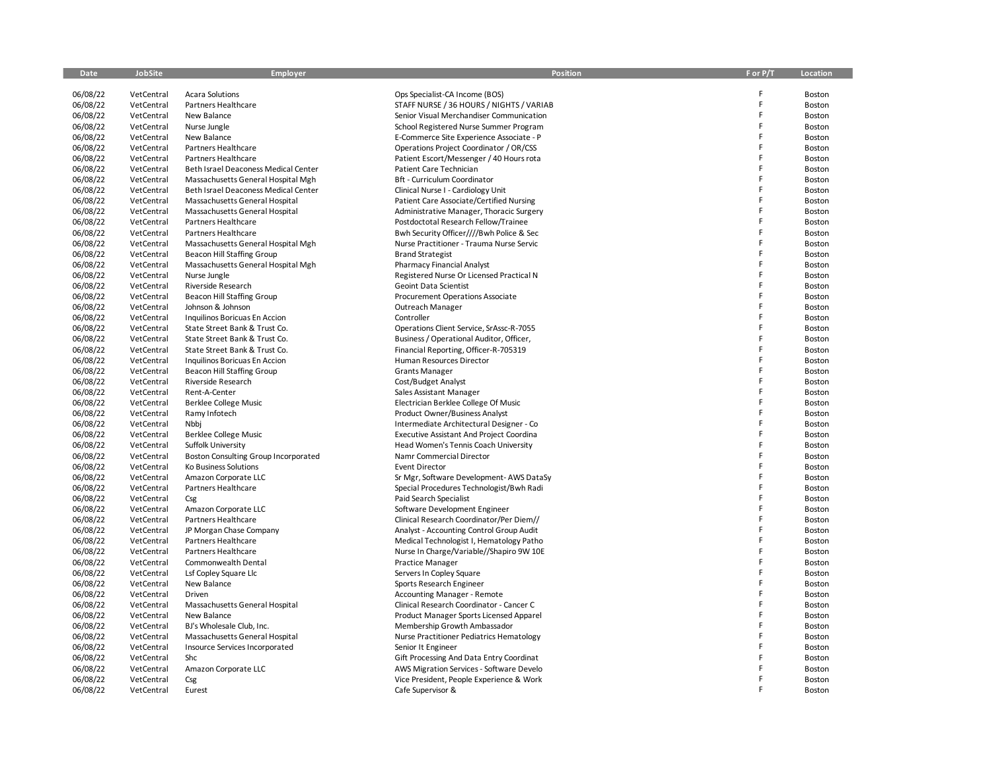| <b>Date</b>          | <b>JobSite</b>           | Employer                                                                   | Position                                                | F or P/T | Location         |
|----------------------|--------------------------|----------------------------------------------------------------------------|---------------------------------------------------------|----------|------------------|
|                      |                          |                                                                            |                                                         |          |                  |
| 06/08/22             | VetCentral               | <b>Acara Solutions</b>                                                     | Ops Specialist-CA Income (BOS)                          | F        | Boston           |
| 06/08/22             | VetCentral               | Partners Healthcare                                                        | STAFF NURSE / 36 HOURS / NIGHTS / VARIAB                | F        | Boston           |
| 06/08/22             | VetCentral               | New Balance                                                                | Senior Visual Merchandiser Communication                | F        | Boston           |
| 06/08/22             | VetCentral               | Nurse Jungle                                                               | School Registered Nurse Summer Program                  | F        | Boston           |
| 06/08/22             | VetCentral               | New Balance                                                                | E-Commerce Site Experience Associate - P                | Ë        | Boston           |
| 06/08/22             | VetCentral               | Partners Healthcare                                                        | Operations Project Coordinator / OR/CSS                 | Ë        | Boston           |
| 06/08/22<br>06/08/22 | VetCentral               | Partners Healthcare                                                        | Patient Escort/Messenger / 40 Hours rota                | Ë        | Boston           |
| 06/08/22             | VetCentral<br>VetCentral | Beth Israel Deaconess Medical Center<br>Massachusetts General Hospital Mgh | Patient Care Technician<br>Bft - Curriculum Coordinator | Ë        | Boston<br>Boston |
| 06/08/22             | VetCentral               | Beth Israel Deaconess Medical Center                                       | Clinical Nurse I - Cardiology Unit                      | F        | Boston           |
| 06/08/22             | VetCentral               | Massachusetts General Hospital                                             | Patient Care Associate/Certified Nursing                | F        | Boston           |
| 06/08/22             | VetCentral               | Massachusetts General Hospital                                             | Administrative Manager, Thoracic Surgery                | E        | Boston           |
| 06/08/22             | VetCentral               | Partners Healthcare                                                        | Postdoctotal Research Fellow/Trainee                    | Ë        | Boston           |
| 06/08/22             | VetCentral               | Partners Healthcare                                                        | Bwh Security Officer////Bwh Police & Sec                | F        | Boston           |
| 06/08/22             | VetCentral               | Massachusetts General Hospital Mgh                                         | Nurse Practitioner - Trauma Nurse Servic                | Ë        | Boston           |
| 06/08/22             | VetCentral               | Beacon Hill Staffing Group                                                 | <b>Brand Strategist</b>                                 | Ë        | Boston           |
| 06/08/22             | VetCentral               | Massachusetts General Hospital Mgh                                         | Pharmacy Financial Analyst                              | Ë        | Boston           |
| 06/08/22             | VetCentral               | Nurse Jungle                                                               | Registered Nurse Or Licensed Practical N                | F        | Boston           |
| 06/08/22             | VetCentral               | Riverside Research                                                         | Geoint Data Scientist                                   | Ė        | Boston           |
| 06/08/22             | VetCentral               | Beacon Hill Staffing Group                                                 | Procurement Operations Associate                        | F        | Boston           |
| 06/08/22             | VetCentral               | Johnson & Johnson                                                          | Outreach Manager                                        | Ė        | Boston           |
| 06/08/22             | VetCentral               | Inquilinos Boricuas En Accion                                              | Controller                                              | F        | Boston           |
| 06/08/22             | VetCentral               | State Street Bank & Trust Co.                                              | Operations Client Service, SrAssc-R-7055                | E        | Boston           |
| 06/08/22             | VetCentral               | State Street Bank & Trust Co.                                              | Business / Operational Auditor, Officer,                | Ë        | Boston           |
| 06/08/22             | VetCentral               | State Street Bank & Trust Co.                                              | Financial Reporting, Officer-R-705319                   | F        | Boston           |
| 06/08/22             | VetCentral               | Inquilinos Boricuas En Accion                                              | Human Resources Director                                | Ë        | Boston           |
| 06/08/22             | VetCentral               | Beacon Hill Staffing Group                                                 | <b>Grants Manager</b>                                   | F        | Boston           |
| 06/08/22             | VetCentral               | Riverside Research                                                         | Cost/Budget Analyst                                     | F        | Boston           |
| 06/08/22             | VetCentral               | Rent-A-Center                                                              | Sales Assistant Manager                                 | F        | Boston           |
| 06/08/22             | VetCentral               | Berklee College Music                                                      | Electrician Berklee College Of Music                    | F        | Boston           |
| 06/08/22             | VetCentral               | Ramy Infotech                                                              | Product Owner/Business Analyst                          | F        | Boston           |
| 06/08/22             | VetCentral               | Nbbj                                                                       | Intermediate Architectural Designer - Co                | F        | Boston           |
| 06/08/22             | VetCentral               | <b>Berklee College Music</b>                                               | <b>Executive Assistant And Project Coordina</b>         | Ë        | Boston           |
| 06/08/22             | VetCentral               | Suffolk University                                                         | Head Women's Tennis Coach University                    | Ë        | Boston           |
| 06/08/22             | VetCentral               | Boston Consulting Group Incorporated                                       | Namr Commercial Director                                | Ë        | Boston           |
| 06/08/22             | VetCentral               | Ko Business Solutions                                                      | <b>Event Director</b>                                   | E        | Boston           |
| 06/08/22             | VetCentral               | Amazon Corporate LLC                                                       | Sr Mgr, Software Development-AWS DataSy                 | F        | Boston           |
| 06/08/22             | VetCentral               | Partners Healthcare                                                        | Special Procedures Technologist/Bwh Radi                | Ë        | Boston           |
| 06/08/22             | VetCentral               | Csg                                                                        | Paid Search Specialist                                  | F        | Boston           |
| 06/08/22             | VetCentral               | Amazon Corporate LLC                                                       | Software Development Engineer                           | Ë        | Boston           |
| 06/08/22             | VetCentral               | Partners Healthcare                                                        | Clinical Research Coordinator/Per Diem//                | Ë        | Boston           |
| 06/08/22             | VetCentral               | JP Morgan Chase Company                                                    | Analyst - Accounting Control Group Audit                | Ë        | Boston           |
| 06/08/22             | VetCentral               | Partners Healthcare                                                        | Medical Technologist I, Hematology Patho                | Ë        | Boston           |
| 06/08/22             | VetCentral               | Partners Healthcare                                                        | Nurse In Charge/Variable//Shapiro 9W 10E                | F        | Boston           |
| 06/08/22             | VetCentral               | Commonwealth Dental                                                        | <b>Practice Manager</b>                                 | Ë        | Boston           |
| 06/08/22             | VetCentral               | Lsf Copley Square Llc                                                      | Servers In Copley Square                                | Ë        | Boston           |
| 06/08/22             | VetCentral               | New Balance                                                                | Sports Research Engineer                                | F        | Boston           |
| 06/08/22             | VetCentral               | Driven                                                                     | <b>Accounting Manager - Remote</b>                      | Ë        | Boston           |
| 06/08/22             | VetCentral               | Massachusetts General Hospital                                             | Clinical Research Coordinator - Cancer C                | Ë        | Boston           |
| 06/08/22             | VetCentral               | New Balance                                                                | Product Manager Sports Licensed Apparel                 | F        | Boston           |
| 06/08/22             | VetCentral               | BJ's Wholesale Club, Inc.                                                  | Membership Growth Ambassador                            | F        | Boston           |
| 06/08/22             | VetCentral               | Massachusetts General Hospital                                             | Nurse Practitioner Pediatrics Hematology                | F<br>Ë   | Boston           |
| 06/08/22             | VetCentral               | Insource Services Incorporated                                             | Senior It Engineer                                      | F        | Boston           |
| 06/08/22             | VetCentral               | Shc                                                                        | Gift Processing And Data Entry Coordinat                | Ë        | Boston           |
| 06/08/22             | VetCentral               | Amazon Corporate LLC                                                       | AWS Migration Services - Software Develo                | F        | Boston           |
| 06/08/22             | VetCentral               | Csg                                                                        | Vice President, People Experience & Work                | F        | Boston           |
| 06/08/22             | VetCentral               | Eurest                                                                     | Cafe Supervisor &                                       |          | Boston           |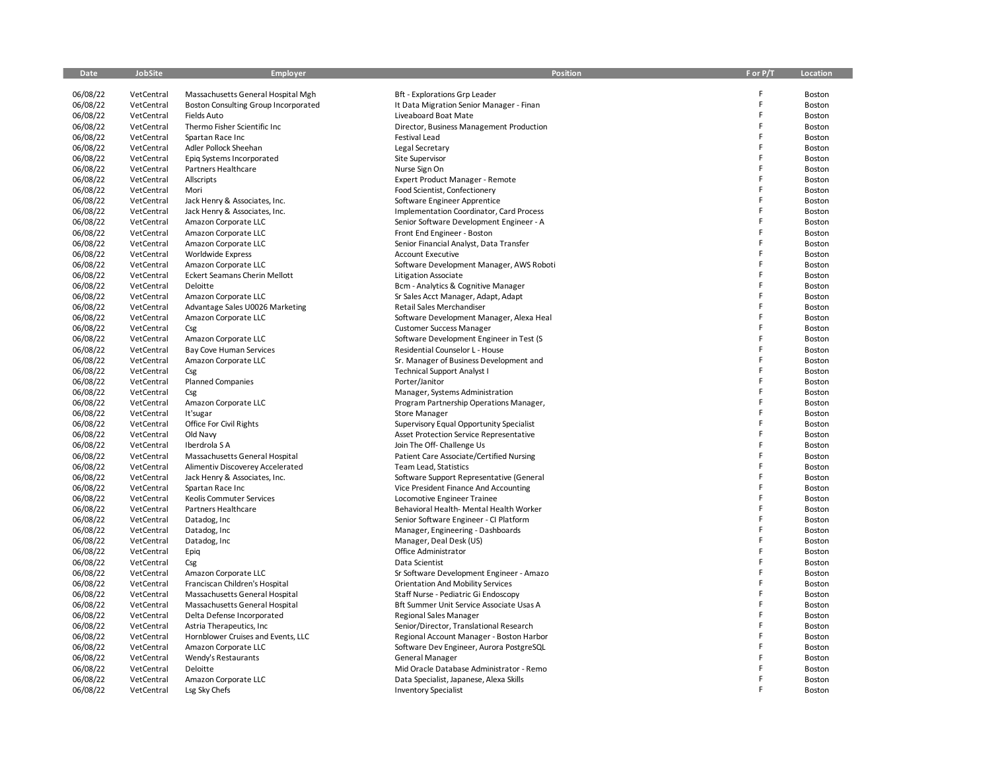| Date     | JobSite    | Employer                             | Position                                 | F or P/T | Location         |
|----------|------------|--------------------------------------|------------------------------------------|----------|------------------|
|          |            |                                      |                                          |          |                  |
| 06/08/22 | VetCentral | Massachusetts General Hospital Mgh   | <b>Bft - Explorations Grp Leader</b>     | F        | Boston           |
| 06/08/22 | VetCentral | Boston Consulting Group Incorporated | It Data Migration Senior Manager - Finan | F        | Boston           |
| 06/08/22 | VetCentral | Fields Auto                          | Liveaboard Boat Mate                     | F        | Boston           |
| 06/08/22 | VetCentral | Thermo Fisher Scientific Inc         | Director, Business Management Production | F        | Boston           |
| 06/08/22 | VetCentral | Spartan Race Inc                     | Festival Lead                            | F        | Boston           |
| 06/08/22 | VetCentral | Adler Pollock Sheehan                | Legal Secretary                          | F        | Boston           |
| 06/08/22 | VetCentral | Epig Systems Incorporated            | Site Supervisor                          | F        | Boston           |
| 06/08/22 | VetCentral | <b>Partners Healthcare</b>           | Nurse Sign On                            | F        | Boston           |
| 06/08/22 | VetCentral | Allscripts                           | Expert Product Manager - Remote          | F        | Boston           |
| 06/08/22 | VetCentral | Mori                                 | Food Scientist, Confectionery            | F        | Boston           |
| 06/08/22 | VetCentral | Jack Henry & Associates, Inc.        | Software Engineer Apprentice             | F        | Boston           |
| 06/08/22 | VetCentral | Jack Henry & Associates, Inc.        | Implementation Coordinator, Card Process | F        | Boston           |
| 06/08/22 | VetCentral | Amazon Corporate LLC                 | Senior Software Development Engineer - A | F        | Boston           |
| 06/08/22 | VetCentral | Amazon Corporate LLC                 | Front End Engineer - Boston              | F        | Boston           |
| 06/08/22 | VetCentral | Amazon Corporate LLC                 | Senior Financial Analyst, Data Transfer  | F        | Boston           |
| 06/08/22 | VetCentral | Worldwide Express                    | <b>Account Executive</b>                 | F        | Boston           |
| 06/08/22 | VetCentral | Amazon Corporate LLC                 | Software Development Manager, AWS Roboti | F        | Boston           |
| 06/08/22 | VetCentral | <b>Eckert Seamans Cherin Mellott</b> | Litigation Associate                     | F        | Boston           |
| 06/08/22 | VetCentral | Deloitte                             | Bcm - Analytics & Cognitive Manager      | F        | Boston           |
| 06/08/22 | VetCentral | Amazon Corporate LLC                 | Sr Sales Acct Manager, Adapt, Adapt      | F        | Boston           |
| 06/08/22 | VetCentral | Advantage Sales U0026 Marketing      | Retail Sales Merchandiser                | F        | Boston           |
| 06/08/22 | VetCentral | Amazon Corporate LLC                 | Software Development Manager, Alexa Heal | F        | Boston           |
| 06/08/22 | VetCentral | Csg                                  | <b>Customer Success Manager</b>          | F        | Boston           |
| 06/08/22 | VetCentral | Amazon Corporate LLC                 | Software Development Engineer in Test (S | F        | Boston           |
| 06/08/22 | VetCentral | <b>Bay Cove Human Services</b>       | Residential Counselor L - House          | F        | Boston           |
| 06/08/22 | VetCentral | Amazon Corporate LLC                 | Sr. Manager of Business Development and  | F        | Boston           |
| 06/08/22 | VetCentral | Csg                                  | <b>Technical Support Analyst I</b>       | F        | Boston           |
| 06/08/22 | VetCentral | <b>Planned Companies</b>             | Porter/Janitor                           | F        | Boston           |
| 06/08/22 | VetCentral | Csg                                  | Manager, Systems Administration          | F        | Boston           |
| 06/08/22 | VetCentral | Amazon Corporate LLC                 | Program Partnership Operations Manager,  | F        | Boston           |
| 06/08/22 | VetCentral | It'sugar                             | <b>Store Manager</b>                     | F        | Boston           |
| 06/08/22 | VetCentral | Office For Civil Rights              | Supervisory Equal Opportunity Specialist | F        | Boston           |
| 06/08/22 | VetCentral | Old Navy                             | Asset Protection Service Representative  | F        | Boston           |
| 06/08/22 | VetCentral | Iberdrola S A                        | Join The Off- Challenge Us               | F        | Boston           |
| 06/08/22 | VetCentral | Massachusetts General Hospital       | Patient Care Associate/Certified Nursing | F        | Boston           |
| 06/08/22 | VetCentral | Alimentiv Discoverey Accelerated     | Team Lead, Statistics                    | F        | Boston           |
| 06/08/22 | VetCentral | Jack Henry & Associates, Inc.        | Software Support Representative (General | F        | Boston           |
| 06/08/22 | VetCentral | Spartan Race Inc                     | Vice President Finance And Accounting    | F        | Boston           |
| 06/08/22 | VetCentral | Keolis Commuter Services             | Locomotive Engineer Trainee              | F        | Boston           |
| 06/08/22 | VetCentral | Partners Healthcare                  | Behavioral Health- Mental Health Worker  | F        | Boston           |
| 06/08/22 | VetCentral | Datadog, Inc                         | Senior Software Engineer - CI Platform   | F        | Boston           |
| 06/08/22 | VetCentral | Datadog, Inc                         | Manager, Engineering - Dashboards        | F        | Boston           |
| 06/08/22 | VetCentral |                                      | Manager, Deal Desk (US)                  | F        | Boston           |
| 06/08/22 | VetCentral | Datadog, Inc                         | Office Administrator                     | F        |                  |
|          | VetCentral | Epiq                                 | Data Scientist                           | F        | Boston<br>Boston |
| 06/08/22 |            | Csg                                  |                                          | F        |                  |
| 06/08/22 | VetCentral | Amazon Corporate LLC                 | Sr Software Development Engineer - Amazo | F        | Boston           |
| 06/08/22 | VetCentral | Franciscan Children's Hospital       | <b>Orientation And Mobility Services</b> | F        | Boston           |
| 06/08/22 | VetCentral | Massachusetts General Hospital       | Staff Nurse - Pediatric Gi Endoscopy     | F        | Boston           |
| 06/08/22 | VetCentral | Massachusetts General Hospital       | Bft Summer Unit Service Associate Usas A | F        | Boston           |
| 06/08/22 | VetCentral | Delta Defense Incorporated           | <b>Regional Sales Manager</b>            | F        | Boston           |
| 06/08/22 | VetCentral | Astria Therapeutics, Inc.            | Senior/Director, Translational Research  | F        | Boston           |
| 06/08/22 | VetCentral | Hornblower Cruises and Events, LLC   | Regional Account Manager - Boston Harbor | F        | Boston           |
| 06/08/22 | VetCentral | Amazon Corporate LLC                 | Software Dev Engineer, Aurora PostgreSQL | F        | Boston           |
| 06/08/22 | VetCentral | Wendy's Restaurants                  | <b>General Manager</b>                   |          | Boston           |
| 06/08/22 | VetCentral | Deloitte                             | Mid Oracle Database Administrator - Remo | F<br>F   | Boston           |
| 06/08/22 | VetCentral | Amazon Corporate LLC                 | Data Specialist, Japanese, Alexa Skills  |          | Boston           |
| 06/08/22 | VetCentral | Lsg Sky Chefs                        | <b>Inventory Specialist</b>              | F        | Boston           |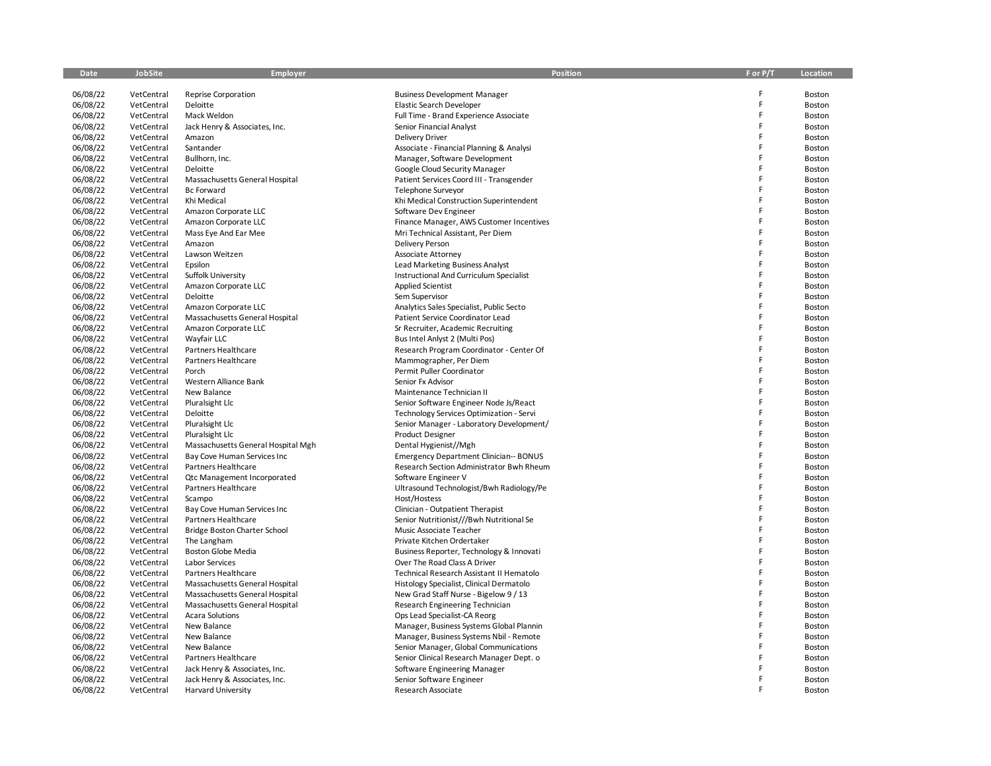| Date                 | <b>JobSite</b>           | <b>Employer</b>                                    | <b>Position</b>                                                                           | For P/T | Location         |
|----------------------|--------------------------|----------------------------------------------------|-------------------------------------------------------------------------------------------|---------|------------------|
|                      |                          |                                                    |                                                                                           |         |                  |
| 06/08/22             | VetCentral               | <b>Reprise Corporation</b>                         | <b>Business Development Manager</b>                                                       | F       | Boston           |
| 06/08/22             | VetCentral               | Deloitte                                           | Elastic Search Developer                                                                  | F       | Boston           |
| 06/08/22             | VetCentral               | Mack Weldon                                        | Full Time - Brand Experience Associate                                                    | F       | Boston           |
| 06/08/22             | VetCentral               | Jack Henry & Associates, Inc.                      | Senior Financial Analyst                                                                  | F       | Boston           |
| 06/08/22             | VetCentral               | Amazon                                             | <b>Delivery Driver</b>                                                                    | F       | Boston           |
| 06/08/22             | VetCentral               | Santander                                          | Associate - Financial Planning & Analysi                                                  | F       | Boston           |
| 06/08/22             | VetCentral               | Bullhorn, Inc.                                     | Manager, Software Development                                                             | F       | Boston           |
| 06/08/22             | VetCentral               | Deloitte                                           | Google Cloud Security Manager                                                             | F       | Boston           |
| 06/08/22             | VetCentral               | Massachusetts General Hospital                     | Patient Services Coord III - Transgender                                                  | F       | Boston           |
| 06/08/22             | VetCentral               | <b>Bc Forward</b>                                  | Telephone Surveyor                                                                        | F       | Boston           |
| 06/08/22             | VetCentral               | Khi Medical                                        | Khi Medical Construction Superintendent                                                   | F       | Boston           |
| 06/08/22             | VetCentral               | Amazon Corporate LLC                               | Software Dev Engineer                                                                     | F       | Boston           |
| 06/08/22             | VetCentral               | Amazon Corporate LLC                               | Finance Manager, AWS Customer Incentives                                                  | F       | Boston           |
| 06/08/22             | VetCentral               | Mass Eye And Ear Mee                               | Mri Technical Assistant, Per Diem                                                         | F<br>F  | Boston           |
| 06/08/22             | VetCentral               | Amazon                                             | <b>Delivery Person</b>                                                                    |         | Boston           |
| 06/08/22             | VetCentral               | Lawson Weitzen                                     | Associate Attorney                                                                        | F       | Boston           |
| 06/08/22             | VetCentral               | Epsilon                                            | <b>Lead Marketing Business Analyst</b>                                                    | F       | Boston           |
| 06/08/22             | VetCentral               | Suffolk University                                 | Instructional And Curriculum Specialist                                                   | F       | Boston           |
| 06/08/22             | VetCentral               | Amazon Corporate LLC                               | <b>Applied Scientist</b>                                                                  | F<br>F  | Boston           |
| 06/08/22             | VetCentral               | Deloitte                                           | Sem Supervisor                                                                            | F       | Boston           |
| 06/08/22             | VetCentral               | Amazon Corporate LLC                               | Analytics Sales Specialist, Public Secto                                                  |         | Boston           |
| 06/08/22             | VetCentral               | Massachusetts General Hospital                     | Patient Service Coordinator Lead                                                          | F<br>F  | Boston           |
| 06/08/22             | VetCentral               | Amazon Corporate LLC                               | Sr Recruiter, Academic Recruiting                                                         | F       | Boston           |
| 06/08/22             | VetCentral               | Wayfair LLC                                        | Bus Intel Anlyst 2 (Multi Pos)                                                            | F       | Boston           |
| 06/08/22             | VetCentral               | Partners Healthcare                                | Research Program Coordinator - Center Of                                                  | F       | Boston           |
| 06/08/22             | VetCentral               | Partners Healthcare                                | Mammographer, Per Diem                                                                    | F       | Boston           |
| 06/08/22             | VetCentral               | Porch                                              | Permit Puller Coordinator                                                                 | F       | Boston           |
| 06/08/22             | VetCentral               | Western Alliance Bank                              | Senior Fx Advisor                                                                         | F       | Boston           |
| 06/08/22             | VetCentral               | New Balance                                        | Maintenance Technician II                                                                 | F       | Boston           |
| 06/08/22             | VetCentral               | Pluralsight Llc                                    | Senior Software Engineer Node Js/React                                                    | F       | Boston           |
| 06/08/22             | VetCentral               | Deloitte                                           | Technology Services Optimization - Servi                                                  | F       | Boston           |
| 06/08/22             | VetCentral               | Pluralsight Llc                                    | Senior Manager - Laboratory Development/                                                  | F       | Boston           |
| 06/08/22             | VetCentral               | Pluralsight Llc                                    | <b>Product Designer</b>                                                                   | F       | Boston           |
| 06/08/22             | VetCentral               | Massachusetts General Hospital Mgh                 | Dental Hygienist//Mgh                                                                     | F       | Boston           |
| 06/08/22<br>06/08/22 | VetCentral<br>VetCentral | Bay Cove Human Services Inc<br>Partners Healthcare | <b>Emergency Department Clinician-- BONUS</b><br>Research Section Administrator Bwh Rheum | F       | Boston<br>Boston |
| 06/08/22             | VetCentral               | Qtc Management Incorporated                        | Software Engineer V                                                                       | F       | Boston           |
| 06/08/22             | VetCentral               | Partners Healthcare                                | Ultrasound Technologist/Bwh Radiology/Pe                                                  | F       | Boston           |
| 06/08/22             | VetCentral               | Scampo                                             | Host/Hostess                                                                              | F       | Boston           |
| 06/08/22             | VetCentral               | Bay Cove Human Services Inc                        | Clinician - Outpatient Therapist                                                          | F       | Boston           |
| 06/08/22             | VetCentral               | Partners Healthcare                                | Senior Nutritionist///Bwh Nutritional Se                                                  | F       | Boston           |
| 06/08/22             | VetCentral               | Bridge Boston Charter School                       | Music Associate Teacher                                                                   | E       | Boston           |
| 06/08/22             | VetCentral               | The Langham                                        | Private Kitchen Ordertaker                                                                | F       | Boston           |
| 06/08/22             | VetCentral               | <b>Boston Globe Media</b>                          | Business Reporter, Technology & Innovati                                                  | F       | Boston           |
| 06/08/22             | VetCentral               | <b>Labor Services</b>                              | Over The Road Class A Driver                                                              | F       | Boston           |
| 06/08/22             | VetCentral               | Partners Healthcare                                | Technical Research Assistant II Hematolo                                                  | F       | Boston           |
| 06/08/22             | VetCentral               | Massachusetts General Hospital                     | Histology Specialist, Clinical Dermatolo                                                  | F       | Boston           |
| 06/08/22             | VetCentral               | Massachusetts General Hospital                     | New Grad Staff Nurse - Bigelow 9 / 13                                                     | F       | Boston           |
| 06/08/22             | VetCentral               | Massachusetts General Hospital                     | Research Engineering Technician                                                           | E       | Boston           |
| 06/08/22             | VetCentral               | <b>Acara Solutions</b>                             | Ops Lead Specialist-CA Reorg                                                              | F       | Boston           |
| 06/08/22             | VetCentral               | New Balance                                        | Manager, Business Systems Global Plannin                                                  | F       | Boston           |
| 06/08/22             | VetCentral               | New Balance                                        | Manager, Business Systems Nbil - Remote                                                   | F       | Boston           |
| 06/08/22             | VetCentral               | New Balance                                        | Senior Manager, Global Communications                                                     | E       | Boston           |
| 06/08/22             | VetCentral               | Partners Healthcare                                | Senior Clinical Research Manager Dept. o                                                  | F       | Boston           |
| 06/08/22             | VetCentral               | Jack Henry & Associates, Inc.                      | Software Engineering Manager                                                              | F       | Boston           |
| 06/08/22             | VetCentral               | Jack Henry & Associates, Inc.                      | Senior Software Engineer                                                                  | F       | Boston           |
| 06/08/22             | VetCentral               | <b>Harvard University</b>                          | Research Associate                                                                        | F       | Boston           |
|                      |                          |                                                    |                                                                                           |         |                  |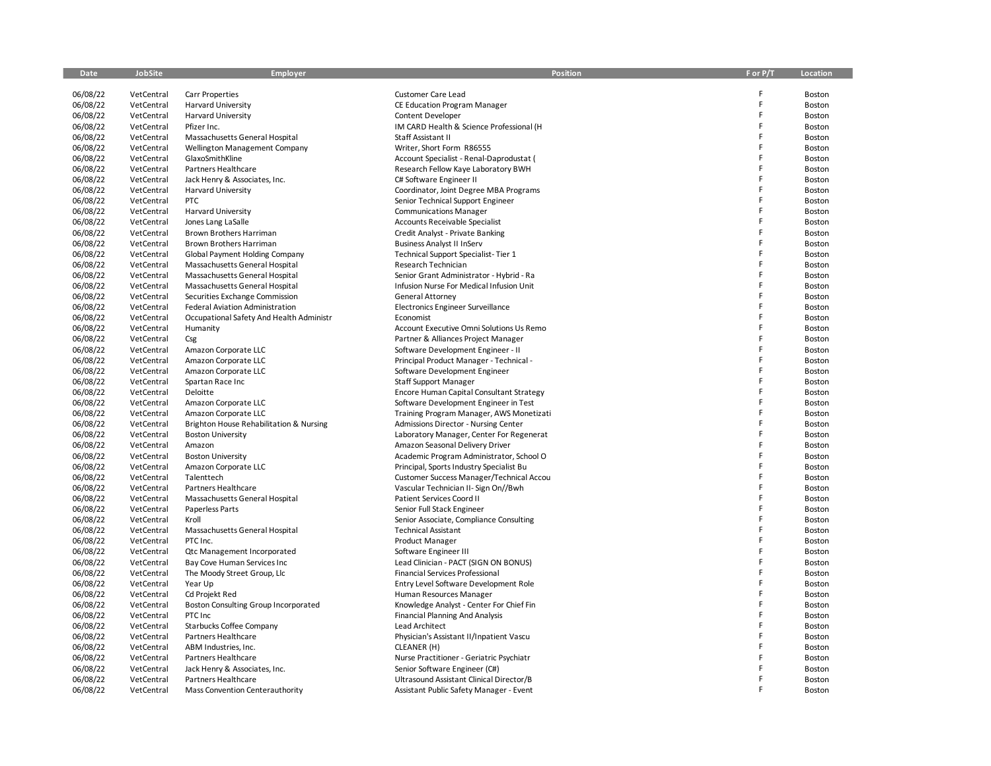| Date     | <b>JobSite</b> | Employer                                 | Position                                 | F or P/T | Location |
|----------|----------------|------------------------------------------|------------------------------------------|----------|----------|
|          |                |                                          |                                          |          |          |
| 06/08/22 | VetCentral     | Carr Properties                          | Customer Care Lead                       | F        | Boston   |
| 06/08/22 | VetCentral     | <b>Harvard University</b>                | CE Education Program Manager             | F        | Boston   |
| 06/08/22 | VetCentral     | <b>Harvard University</b>                | <b>Content Developer</b>                 | F        | Boston   |
| 06/08/22 | VetCentral     | Pfizer Inc.                              | IM CARD Health & Science Professional (H | F        | Boston   |
| 06/08/22 | VetCentral     | Massachusetts General Hospital           | Staff Assistant II                       | F        | Boston   |
| 06/08/22 | VetCentral     | Wellington Management Company            | Writer, Short Form R86555                | F        | Boston   |
| 06/08/22 | VetCentral     | GlaxoSmithKline                          | Account Specialist - Renal-Daprodustat ( | F        | Boston   |
|          |                |                                          |                                          | F        |          |
| 06/08/22 | VetCentral     | Partners Healthcare                      | Research Fellow Kaye Laboratory BWH      | F        | Boston   |
| 06/08/22 | VetCentral     | Jack Henry & Associates, Inc.            | C# Software Engineer II                  | F        | Boston   |
| 06/08/22 | VetCentral     | <b>Harvard University</b>                | Coordinator, Joint Degree MBA Programs   | F        | Boston   |
| 06/08/22 | VetCentral     | <b>PTC</b>                               | Senior Technical Support Engineer        |          | Boston   |
| 06/08/22 | VetCentral     | Harvard University                       | <b>Communications Manager</b>            | F        | Boston   |
| 06/08/22 | VetCentral     | Jones Lang LaSalle                       | Accounts Receivable Specialist           | F        | Boston   |
| 06/08/22 | VetCentral     | Brown Brothers Harriman                  | Credit Analyst - Private Banking         | F        | Boston   |
| 06/08/22 | VetCentral     | Brown Brothers Harriman                  | <b>Business Analyst II InServ</b>        | F        | Boston   |
| 06/08/22 | VetCentral     | Global Payment Holding Company           | Technical Support Specialist-Tier 1      | F        | Boston   |
| 06/08/22 | VetCentral     | Massachusetts General Hospital           | Research Technician                      | F        | Boston   |
| 06/08/22 | VetCentral     | Massachusetts General Hospital           | Senior Grant Administrator - Hybrid - Ra | F        | Boston   |
| 06/08/22 | VetCentral     | Massachusetts General Hospital           | Infusion Nurse For Medical Infusion Unit | F        | Boston   |
| 06/08/22 | VetCentral     | Securities Exchange Commission           | General Attorney                         | F        | Boston   |
| 06/08/22 | VetCentral     | <b>Federal Aviation Administration</b>   | Electronics Engineer Surveillance        | F        | Boston   |
| 06/08/22 | VetCentral     | Occupational Safety And Health Administr | Economist                                | F        | Boston   |
| 06/08/22 | VetCentral     | Humanity                                 | Account Executive Omni Solutions Us Remo |          | Boston   |
| 06/08/22 | VetCentral     | Csg                                      | Partner & Alliances Project Manager      | F        | Boston   |
| 06/08/22 | VetCentral     | Amazon Corporate LLC                     | Software Development Engineer - II       | F        | Boston   |
| 06/08/22 | VetCentral     | Amazon Corporate LLC                     | Principal Product Manager - Technical -  | F        | Boston   |
| 06/08/22 | VetCentral     | Amazon Corporate LLC                     | Software Development Engineer            | F        | Boston   |
|          |                |                                          |                                          | F        |          |
| 06/08/22 | VetCentral     | Spartan Race Inc                         | <b>Staff Support Manager</b>             | F        | Boston   |
| 06/08/22 | VetCentral     | Deloitte                                 | Encore Human Capital Consultant Strategy | F        | Boston   |
| 06/08/22 | VetCentral     | Amazon Corporate LLC                     | Software Development Engineer in Test    |          | Boston   |
| 06/08/22 | VetCentral     | Amazon Corporate LLC                     | Training Program Manager, AWS Monetizati | F        | Boston   |
| 06/08/22 | VetCentral     | Brighton House Rehabilitation & Nursing  | Admissions Director - Nursing Center     | F        | Boston   |
| 06/08/22 | VetCentral     | <b>Boston University</b>                 | Laboratory Manager, Center For Regenerat | F        | Boston   |
| 06/08/22 | VetCentral     | Amazon                                   | Amazon Seasonal Delivery Driver          | F        | Boston   |
| 06/08/22 | VetCentral     | <b>Boston University</b>                 | Academic Program Administrator, School O | F        | Boston   |
| 06/08/22 | VetCentral     | Amazon Corporate LLC                     | Principal, Sports Industry Specialist Bu | F        | Boston   |
| 06/08/22 | VetCentral     | Talenttech                               | Customer Success Manager/Technical Accou | F        | Boston   |
| 06/08/22 | VetCentral     | Partners Healthcare                      | Vascular Technician II- Sign On//Bwh     |          | Boston   |
| 06/08/22 | VetCentral     | Massachusetts General Hospital           | Patient Services Coord II                | F        | Boston   |
| 06/08/22 | VetCentral     | Paperless Parts                          | Senior Full Stack Engineer               | F        | Boston   |
| 06/08/22 | VetCentral     | Kroll                                    | Senior Associate, Compliance Consulting  | F        | Boston   |
| 06/08/22 | VetCentral     | Massachusetts General Hospital           | <b>Technical Assistant</b>               | F        | Boston   |
| 06/08/22 | VetCentral     | PTC Inc.                                 | <b>Product Manager</b>                   | F        | Boston   |
| 06/08/22 | VetCentral     | <b>Qtc Management Incorporated</b>       | Software Engineer III                    | F        | Boston   |
| 06/08/22 | VetCentral     | Bay Cove Human Services Inc              | Lead Clinician - PACT (SIGN ON BONUS)    | F        | Boston   |
| 06/08/22 | VetCentral     | The Moody Street Group, Llc              | Financial Services Professional          | F        | Boston   |
| 06/08/22 | VetCentral     | Year Up                                  | Entry Level Software Development Role    | F        | Boston   |
| 06/08/22 | VetCentral     | Cd Projekt Red                           | Human Resources Manager                  | F        | Boston   |
| 06/08/22 | VetCentral     |                                          |                                          |          | Boston   |
|          |                | Boston Consulting Group Incorporated     | Knowledge Analyst - Center For Chief Fin | F        |          |
| 06/08/22 | VetCentral     | PTC Inc                                  | <b>Financial Planning And Analysis</b>   | F        | Boston   |
| 06/08/22 | VetCentral     | Starbucks Coffee Company                 | <b>Lead Architect</b>                    | F        | Boston   |
| 06/08/22 | VetCentral     | Partners Healthcare                      | Physician's Assistant II/Inpatient Vascu |          | Boston   |
| 06/08/22 | VetCentral     | ABM Industries, Inc.                     | CLEANER (H)                              |          | Boston   |
| 06/08/22 | VetCentral     | Partners Healthcare                      | Nurse Practitioner - Geriatric Psychiatr | F        | Boston   |
| 06/08/22 | VetCentral     | Jack Henry & Associates, Inc.            | Senior Software Engineer (C#)            |          | Boston   |
| 06/08/22 | VetCentral     | Partners Healthcare                      | Ultrasound Assistant Clinical Director/B | F        | Boston   |
| 06/08/22 | VetCentral     | Mass Convention Centerauthority          | Assistant Public Safety Manager - Event  |          | Boston   |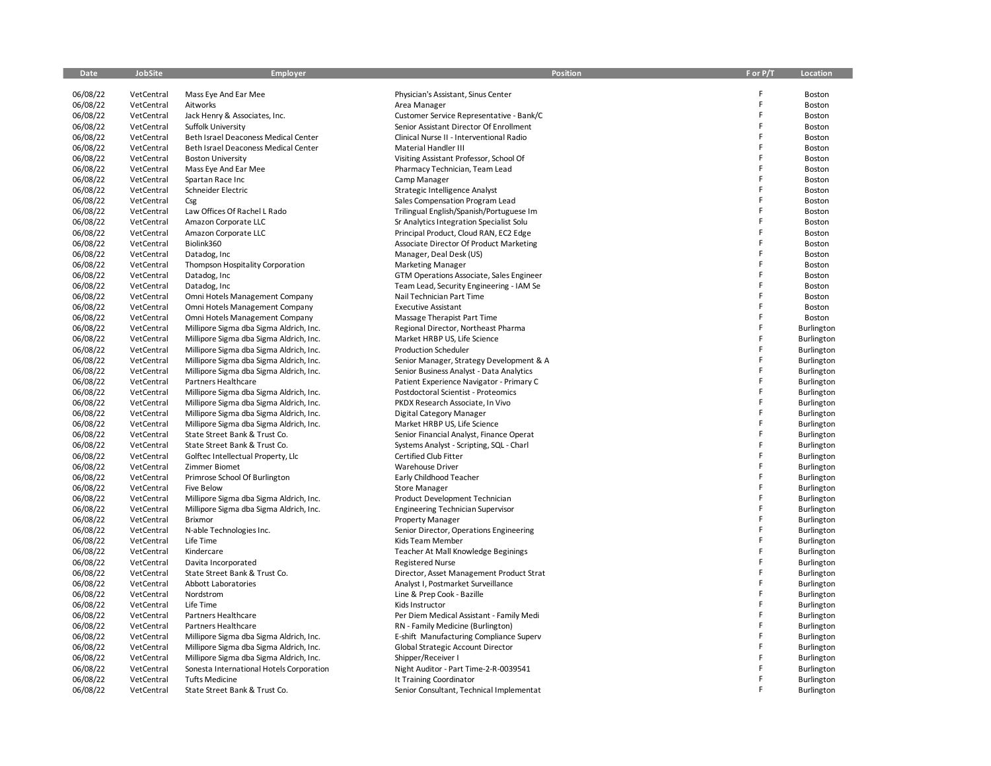| Date                 | <b>JobSite</b>           | <b>Employer</b>                                                                    | <b>Position</b>                                                                 | F or P/T    | Location                 |
|----------------------|--------------------------|------------------------------------------------------------------------------------|---------------------------------------------------------------------------------|-------------|--------------------------|
|                      |                          |                                                                                    |                                                                                 |             |                          |
| 06/08/22             | VetCentral               | Mass Eye And Ear Mee                                                               | Physician's Assistant, Sinus Center                                             | F           | Boston                   |
| 06/08/22             | VetCentral               | Aitworks                                                                           | Area Manager                                                                    | F           | Boston                   |
| 06/08/22             | VetCentral               | Jack Henry & Associates, Inc.                                                      | Customer Service Representative - Bank/C                                        | F           | Boston                   |
| 06/08/22             | VetCentral               | Suffolk University                                                                 | Senior Assistant Director Of Enrollment                                         | F           | Boston                   |
| 06/08/22             | VetCentral               | Beth Israel Deaconess Medical Center                                               | Clinical Nurse II - Interventional Radio                                        | F           | Boston                   |
| 06/08/22             | VetCentral               | Beth Israel Deaconess Medical Center                                               | Material Handler III                                                            | F           | Boston                   |
| 06/08/22             | VetCentral               | <b>Boston University</b>                                                           | Visiting Assistant Professor, School Of                                         | F           | Boston                   |
| 06/08/22             | VetCentral               | Mass Eye And Ear Mee                                                               | Pharmacy Technician, Team Lead                                                  | F           | Boston                   |
| 06/08/22             | VetCentral               | Spartan Race Inc                                                                   | Camp Manager                                                                    | F           | Boston                   |
| 06/08/22             | VetCentral               | Schneider Electric                                                                 | Strategic Intelligence Analyst                                                  | F           | Boston                   |
| 06/08/22             | VetCentral               | Csg                                                                                | Sales Compensation Program Lead                                                 | F           | Boston                   |
| 06/08/22             | VetCentral               | Law Offices Of Rachel L Rado                                                       | Trilingual English/Spanish/Portuguese Im                                        | F           | Boston                   |
| 06/08/22             | VetCentral               | Amazon Corporate LLC                                                               | Sr Analytics Integration Specialist Solu                                        | E           | Boston                   |
| 06/08/22             | VetCentral               | Amazon Corporate LLC                                                               | Principal Product, Cloud RAN, EC2 Edge                                          | F           | Boston                   |
| 06/08/22             | VetCentral               | Biolink360                                                                         | Associate Director Of Product Marketing                                         | F           | Boston                   |
| 06/08/22             | VetCentral               | Datadog, Inc                                                                       | Manager, Deal Desk (US)                                                         | F<br>F      | Boston                   |
| 06/08/22             | VetCentral               | Thompson Hospitality Corporation                                                   | <b>Marketing Manager</b>                                                        | E           | Boston                   |
| 06/08/22             | VetCentral               | Datadog, Inc                                                                       | GTM Operations Associate, Sales Engineer                                        | F           | <b>Boston</b>            |
| 06/08/22             | VetCentral               | Datadog, Inc                                                                       | Team Lead, Security Engineering - IAM Se                                        | F           | Boston                   |
| 06/08/22             | VetCentral               | Omni Hotels Management Company                                                     | Nail Technician Part Time                                                       | F           | Boston                   |
| 06/08/22             | VetCentral               | Omni Hotels Management Company                                                     | <b>Executive Assistant</b>                                                      | F           | Boston                   |
| 06/08/22             | VetCentral               | Omni Hotels Management Company                                                     | Massage Therapist Part Time                                                     | F           | Boston                   |
| 06/08/22             | VetCentral               | Millipore Sigma dba Sigma Aldrich, Inc.                                            | Regional Director, Northeast Pharma                                             | F           | Burlington               |
| 06/08/22             | VetCentral               | Millipore Sigma dba Sigma Aldrich, Inc.                                            | Market HRBP US, Life Science                                                    | F           | Burlington               |
| 06/08/22             | VetCentral               | Millipore Sigma dba Sigma Aldrich, Inc.                                            | <b>Production Scheduler</b>                                                     | F           | Burlington               |
| 06/08/22             | VetCentral               | Millipore Sigma dba Sigma Aldrich, Inc.                                            | Senior Manager, Strategy Development & A                                        | F           | Burlington               |
| 06/08/22             | VetCentral               | Millipore Sigma dba Sigma Aldrich, Inc.                                            | Senior Business Analyst - Data Analytics                                        | F           | Burlington               |
| 06/08/22             | VetCentral<br>VetCentral | Partners Healthcare                                                                | Patient Experience Navigator - Primary C<br>Postdoctoral Scientist - Proteomics | F           | Burlington               |
| 06/08/22<br>06/08/22 | VetCentral               | Millipore Sigma dba Sigma Aldrich, Inc.<br>Millipore Sigma dba Sigma Aldrich, Inc. | PKDX Research Associate, In Vivo                                                | F           | Burlington<br>Burlington |
| 06/08/22             | VetCentral               | Millipore Sigma dba Sigma Aldrich, Inc.                                            | Digital Category Manager                                                        | F           | Burlington               |
| 06/08/22             | VetCentral               | Millipore Sigma dba Sigma Aldrich, Inc.                                            | Market HRBP US, Life Science                                                    | F           | Burlington               |
| 06/08/22             | VetCentral               | State Street Bank & Trust Co.                                                      | Senior Financial Analyst, Finance Operat                                        | $\mathsf F$ | Burlington               |
| 06/08/22             | VetCentral               | State Street Bank & Trust Co.                                                      | Systems Analyst - Scripting, SQL - Charl                                        | F           | Burlington               |
| 06/08/22             | VetCentral               | Golftec Intellectual Property, Llc                                                 | Certified Club Fitter                                                           | F           | Burlington               |
| 06/08/22             | VetCentral               | Zimmer Biomet                                                                      | Warehouse Driver                                                                | F           | Burlington               |
| 06/08/22             | VetCentral               | Primrose School Of Burlington                                                      | Early Childhood Teacher                                                         | F           | Burlington               |
| 06/08/22             | VetCentral               | <b>Five Below</b>                                                                  | <b>Store Manager</b>                                                            | F           | Burlington               |
| 06/08/22             | VetCentral               | Millipore Sigma dba Sigma Aldrich, Inc.                                            | Product Development Technician                                                  | F           | Burlington               |
| 06/08/22             | VetCentral               | Millipore Sigma dba Sigma Aldrich, Inc.                                            | <b>Engineering Technician Supervisor</b>                                        | F           | Burlington               |
| 06/08/22             | VetCentral               | <b>Brixmor</b>                                                                     | <b>Property Manager</b>                                                         | F           | Burlington               |
| 06/08/22             | VetCentral               | N-able Technologies Inc.                                                           | Senior Director, Operations Engineering                                         | F           | Burlington               |
| 06/08/22             | VetCentral               | Life Time                                                                          | Kids Team Member                                                                | F           | Burlington               |
| 06/08/22             | VetCentral               | Kindercare                                                                         | Teacher At Mall Knowledge Beginings                                             | F           | Burlington               |
| 06/08/22             | VetCentral               | Davita Incorporated                                                                | <b>Registered Nurse</b>                                                         | F           | Burlington               |
| 06/08/22             | VetCentral               | State Street Bank & Trust Co.                                                      | Director, Asset Management Product Strat                                        | F           | Burlington               |
| 06/08/22             | VetCentral               | Abbott Laboratories                                                                | Analyst I, Postmarket Surveillance                                              | F           | Burlington               |
| 06/08/22             | VetCentral               | Nordstrom                                                                          | Line & Prep Cook - Bazille                                                      | F           | Burlington               |
| 06/08/22             | VetCentral               | Life Time                                                                          | Kids Instructor                                                                 | F           | Burlington               |
| 06/08/22             | VetCentral               | Partners Healthcare                                                                | Per Diem Medical Assistant - Family Medi                                        | F           | Burlington               |
| 06/08/22             | VetCentral               | Partners Healthcare                                                                | RN - Family Medicine (Burlington)                                               | F           | Burlington               |
| 06/08/22             | VetCentral               | Millipore Sigma dba Sigma Aldrich, Inc.                                            | E-shift Manufacturing Compliance Superv                                         | F           | Burlington               |
| 06/08/22             | VetCentral               | Millipore Sigma dba Sigma Aldrich, Inc.                                            | Global Strategic Account Director                                               | F           | Burlington               |
| 06/08/22             | VetCentral               | Millipore Sigma dba Sigma Aldrich, Inc.                                            | Shipper/Receiver I                                                              | F           | Burlington               |
| 06/08/22             | VetCentral               | Sonesta International Hotels Corporation                                           | Night Auditor - Part Time-2-R-0039541                                           | F           | Burlington               |
| 06/08/22             | VetCentral               | <b>Tufts Medicine</b>                                                              | It Training Coordinator                                                         | F           | Burlington               |
| 06/08/22             | VetCentral               | State Street Bank & Trust Co.                                                      | Senior Consultant, Technical Implementat                                        | E           | Burlington               |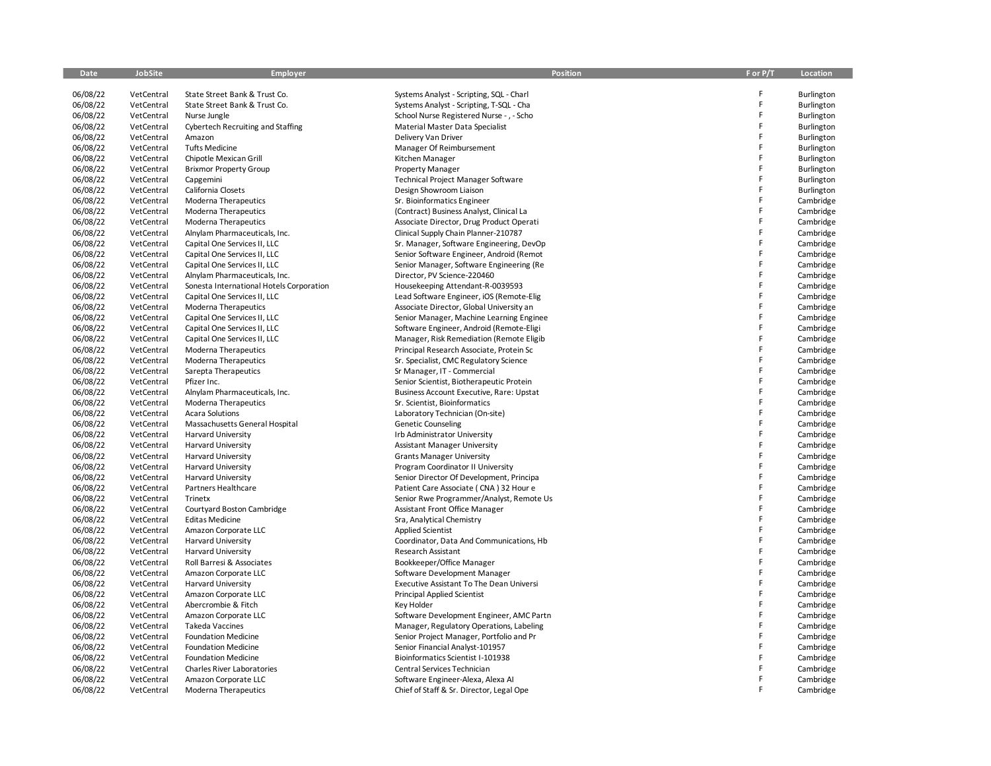| Date     | <b>JobSite</b> | <b>Employer</b>                          | Position                                        | F or P/T | Location   |
|----------|----------------|------------------------------------------|-------------------------------------------------|----------|------------|
|          |                |                                          |                                                 |          |            |
| 06/08/22 | VetCentral     | State Street Bank & Trust Co.            | Systems Analyst - Scripting, SQL - Charl        | F        | Burlington |
| 06/08/22 | VetCentral     | State Street Bank & Trust Co.            | Systems Analyst - Scripting, T-SQL - Cha        | F        | Burlington |
| 06/08/22 | VetCentral     | Nurse Jungle                             | School Nurse Registered Nurse - , - Scho        | F        | Burlington |
| 06/08/22 | VetCentral     | <b>Cybertech Recruiting and Staffing</b> | Material Master Data Specialist                 | F        | Burlington |
| 06/08/22 | VetCentral     | Amazon                                   | Delivery Van Driver                             | F        | Burlington |
| 06/08/22 | VetCentral     | <b>Tufts Medicine</b>                    | Manager Of Reimbursement                        | F        | Burlington |
| 06/08/22 | VetCentral     | Chipotle Mexican Grill                   | Kitchen Manager                                 | F        | Burlington |
| 06/08/22 | VetCentral     | <b>Brixmor Property Group</b>            | <b>Property Manager</b>                         | F        | Burlington |
| 06/08/22 | VetCentral     |                                          | <b>Technical Project Manager Software</b>       | F        | Burlington |
|          |                | Capgemini                                |                                                 | F        |            |
| 06/08/22 | VetCentral     | California Closets                       | Design Showroom Liaison                         | F        | Burlington |
| 06/08/22 | VetCentral     | Moderna Therapeutics                     | Sr. Bioinformatics Engineer                     | F        | Cambridge  |
| 06/08/22 | VetCentral     | Moderna Therapeutics                     | (Contract) Business Analyst, Clinical La        | F        | Cambridge  |
| 06/08/22 | VetCentral     | Moderna Therapeutics                     | Associate Director, Drug Product Operati        |          | Cambridge  |
| 06/08/22 | VetCentral     | Alnylam Pharmaceuticals, Inc.            | Clinical Supply Chain Planner-210787            | F        | Cambridge  |
| 06/08/22 | VetCentral     | Capital One Services II, LLC             | Sr. Manager, Software Engineering, DevOp        | F        | Cambridge  |
| 06/08/22 | VetCentral     | Capital One Services II, LLC             | Senior Software Engineer, Android (Remot        | F        | Cambridge  |
| 06/08/22 | VetCentral     | Capital One Services II, LLC             | Senior Manager, Software Engineering (Re        | F        | Cambridge  |
| 06/08/22 | VetCentral     | Alnylam Pharmaceuticals, Inc.            | Director, PV Science-220460                     | F        | Cambridge  |
| 06/08/22 | VetCentral     | Sonesta International Hotels Corporation | Housekeeping Attendant-R-0039593                | F        | Cambridge  |
| 06/08/22 | VetCentral     | Capital One Services II, LLC             | Lead Software Engineer, iOS (Remote-Elig        | F        | Cambridge  |
| 06/08/22 | VetCentral     | Moderna Therapeutics                     | Associate Director, Global University an        | F        | Cambridge  |
| 06/08/22 | VetCentral     | Capital One Services II, LLC             | Senior Manager, Machine Learning Enginee        | F        | Cambridge  |
| 06/08/22 | VetCentral     | Capital One Services II, LLC             | Software Engineer, Android (Remote-Eligi        | F        | Cambridge  |
| 06/08/22 | VetCentral     | Capital One Services II, LLC             | Manager, Risk Remediation (Remote Eligib        | F        | Cambridge  |
| 06/08/22 | VetCentral     | Moderna Therapeutics                     | Principal Research Associate, Protein Sc        | F        | Cambridge  |
| 06/08/22 | VetCentral     | Moderna Therapeutics                     | Sr. Specialist, CMC Regulatory Science          | F        | Cambridge  |
| 06/08/22 | VetCentral     | Sarepta Therapeutics                     | Sr Manager, IT - Commercial                     | F        | Cambridge  |
| 06/08/22 | VetCentral     | Pfizer Inc.                              | Senior Scientist, Biotherapeutic Protein        | F        | Cambridge  |
| 06/08/22 | VetCentral     | Alnylam Pharmaceuticals, Inc.            | <b>Business Account Executive, Rare: Upstat</b> | F        | Cambridge  |
| 06/08/22 | VetCentral     | Moderna Therapeutics                     | Sr. Scientist, Bioinformatics                   | F        | Cambridge  |
| 06/08/22 | VetCentral     | <b>Acara Solutions</b>                   | Laboratory Technician (On-site)                 | F        | Cambridge  |
| 06/08/22 | VetCentral     | Massachusetts General Hospital           | <b>Genetic Counseling</b>                       | F        | Cambridge  |
| 06/08/22 | VetCentral     | <b>Harvard University</b>                | Irb Administrator University                    | F        | Cambridge  |
| 06/08/22 | VetCentral     | <b>Harvard University</b>                | <b>Assistant Manager University</b>             | F        | Cambridge  |
| 06/08/22 | VetCentral     | <b>Harvard University</b>                | <b>Grants Manager University</b>                | F        | Cambridge  |
| 06/08/22 | VetCentral     | <b>Harvard University</b>                | Program Coordinator II University               | F        | Cambridge  |
|          | VetCentral     |                                          |                                                 | F        |            |
| 06/08/22 |                | <b>Harvard University</b>                | Senior Director Of Development, Principa        | F        | Cambridge  |
| 06/08/22 | VetCentral     | Partners Healthcare                      | Patient Care Associate (CNA) 32 Hour e          | F        | Cambridge  |
| 06/08/22 | VetCentral     | Trinetx                                  | Senior Rwe Programmer/Analyst, Remote Us        | F        | Cambridge  |
| 06/08/22 | VetCentral     | Courtyard Boston Cambridge               | Assistant Front Office Manager                  | F        | Cambridge  |
| 06/08/22 | VetCentral     | <b>Editas Medicine</b>                   | Sra, Analytical Chemistry                       |          | Cambridge  |
| 06/08/22 | VetCentral     | Amazon Corporate LLC                     | <b>Applied Scientist</b>                        | F        | Cambridge  |
| 06/08/22 | VetCentral     | <b>Harvard University</b>                | Coordinator, Data And Communications, Hb        | F        | Cambridge  |
| 06/08/22 | VetCentral     | <b>Harvard University</b>                | Research Assistant                              | F        | Cambridge  |
| 06/08/22 | VetCentral     | Roll Barresi & Associates                | Bookkeeper/Office Manager                       | F        | Cambridge  |
| 06/08/22 | VetCentral     | Amazon Corporate LLC                     | Software Development Manager                    | F        | Cambridge  |
| 06/08/22 | VetCentral     | <b>Harvard University</b>                | Executive Assistant To The Dean Universi        | F        | Cambridge  |
| 06/08/22 | VetCentral     | Amazon Corporate LLC                     | <b>Principal Applied Scientist</b>              | F        | Cambridge  |
| 06/08/22 | VetCentral     | Abercrombie & Fitch                      | Key Holder                                      | F        | Cambridge  |
| 06/08/22 | VetCentral     | Amazon Corporate LLC                     | Software Development Engineer, AMC Partn        | F        | Cambridge  |
| 06/08/22 | VetCentral     | <b>Takeda Vaccines</b>                   | Manager, Regulatory Operations, Labeling        | F        | Cambridge  |
| 06/08/22 | VetCentral     | <b>Foundation Medicine</b>               | Senior Project Manager, Portfolio and Pr        | F        | Cambridge  |
| 06/08/22 | VetCentral     | <b>Foundation Medicine</b>               | Senior Financial Analyst-101957                 | F        | Cambridge  |
| 06/08/22 | VetCentral     | <b>Foundation Medicine</b>               | Bioinformatics Scientist I-101938               | F        | Cambridge  |
| 06/08/22 | VetCentral     | Charles River Laboratories               | Central Services Technician                     | F        | Cambridge  |
| 06/08/22 | VetCentral     | Amazon Corporate LLC                     | Software Engineer-Alexa, Alexa Al               | F        | Cambridge  |
| 06/08/22 | VetCentral     | <b>Moderna Therapeutics</b>              | Chief of Staff & Sr. Director, Legal Ope        | F        | Cambridge  |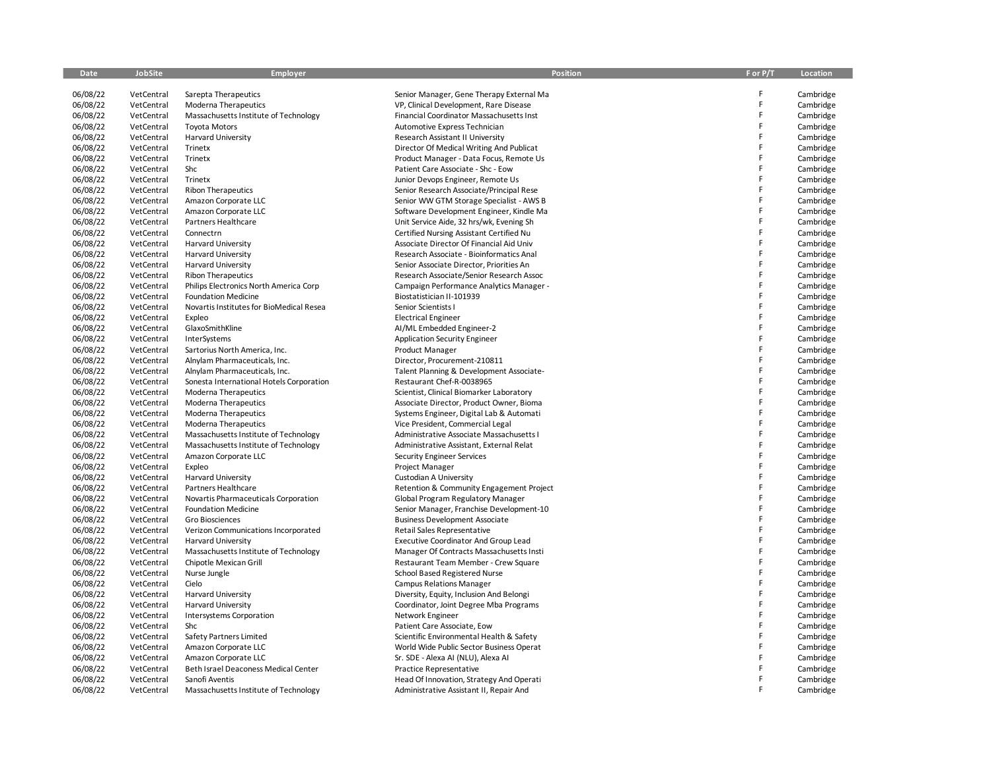| Date                 | JobSite                  | Employer                                 | <b>Position</b>                                      | F or P/T | Location               |
|----------------------|--------------------------|------------------------------------------|------------------------------------------------------|----------|------------------------|
| 06/08/22             | VetCentral               | Sarepta Therapeutics                     | Senior Manager, Gene Therapy External Ma             |          | Cambridge              |
| 06/08/22             | VetCentral               | Moderna Therapeutics                     | VP, Clinical Development, Rare Disease               | F        | Cambridge              |
| 06/08/22             | VetCentral               | Massachusetts Institute of Technology    | Financial Coordinator Massachusetts Inst             | F        | Cambridge              |
| 06/08/22             | VetCentral               | <b>Toyota Motors</b>                     | Automotive Express Technician                        | F        | Cambridge              |
| 06/08/22             | VetCentral               | <b>Harvard University</b>                | Research Assistant II University                     |          | Cambridge              |
| 06/08/22             | VetCentral               | Trinetx                                  | Director Of Medical Writing And Publicat             | F        | Cambridge              |
| 06/08/22             | VetCentral               | Trinetx                                  | Product Manager - Data Focus, Remote Us              | F        | Cambridge              |
| 06/08/22             | VetCentral               | Shc                                      | Patient Care Associate - Shc - Eow                   | F        | Cambridge              |
| 06/08/22             | VetCentral               | Trinetx                                  | Junior Devops Engineer, Remote Us                    | F        | Cambridge              |
| 06/08/22             | VetCentral               | <b>Ribon Therapeutics</b>                | Senior Research Associate/Principal Rese             | F        | Cambridge              |
| 06/08/22             | VetCentral               | Amazon Corporate LLC                     | Senior WW GTM Storage Specialist - AWS B             | F        | Cambridge              |
| 06/08/22             | VetCentral               | Amazon Corporate LLC                     | Software Development Engineer, Kindle Ma             | F        | Cambridge              |
| 06/08/22             | VetCentral               | Partners Healthcare                      | Unit Service Aide, 32 hrs/wk, Evening Sh             | F        | Cambridge              |
| 06/08/22             | VetCentral               | Connectrn                                | Certified Nursing Assistant Certified Nu             | F        | Cambridge              |
| 06/08/22             | VetCentral               | <b>Harvard University</b>                | Associate Director Of Financial Aid Univ             | F        | Cambridge              |
| 06/08/22             | VetCentral               | <b>Harvard University</b>                | Research Associate - Bioinformatics Anal             | F        | Cambridge              |
| 06/08/22             | VetCentral               | <b>Harvard University</b>                | Senior Associate Director, Priorities An             |          | Cambridge              |
| 06/08/22             | VetCentral               | <b>Ribon Therapeutics</b>                | Research Associate/Senior Research Assoc             | F        | Cambridge              |
| 06/08/22             | VetCentral               | Philips Electronics North America Corp   | Campaign Performance Analytics Manager -             | E        | Cambridge              |
| 06/08/22             | VetCentral               | <b>Foundation Medicine</b>               | Biostatistician II-101939                            |          | Cambridge              |
| 06/08/22             | VetCentral               | Novartis Institutes for BioMedical Resea | Senior Scientists I                                  | F        | Cambridge              |
| 06/08/22             | VetCentral               | Expleo                                   | <b>Electrical Engineer</b>                           | F        | Cambridge              |
| 06/08/22             | VetCentral               | GlaxoSmithKline                          | AI/ML Embedded Engineer-2                            | E        | Cambridge              |
| 06/08/22             | VetCentral               | InterSystems                             | <b>Application Security Engineer</b>                 |          | Cambridge              |
| 06/08/22             | VetCentral               | Sartorius North America, Inc.            | <b>Product Manager</b>                               | F        | Cambridge              |
| 06/08/22             | VetCentral               | Alnylam Pharmaceuticals, Inc.            | Director, Procurement-210811                         |          | Cambridge              |
| 06/08/22             | VetCentral               | Alnylam Pharmaceuticals, Inc.            | Talent Planning & Development Associate-             |          | Cambridge              |
| 06/08/22             | VetCentral               | Sonesta International Hotels Corporation | Restaurant Chef-R-0038965                            |          | Cambridge              |
| 06/08/22             | VetCentral               | Moderna Therapeutics                     | Scientist, Clinical Biomarker Laboratory             | F        | Cambridge              |
| 06/08/22             | VetCentral               | Moderna Therapeutics                     | Associate Director, Product Owner, Bioma             | F        | Cambridge              |
| 06/08/22             | VetCentral               | Moderna Therapeutics                     | Systems Engineer, Digital Lab & Automati             | F        | Cambridge              |
| 06/08/22             | VetCentral               | Moderna Therapeutics                     | Vice President, Commercial Legal                     | E        | Cambridge              |
| 06/08/22             | VetCentral               | Massachusetts Institute of Technology    | Administrative Associate Massachusetts I             | F        | Cambridge              |
| 06/08/22             | VetCentral<br>VetCentral | Massachusetts Institute of Technology    | Administrative Assistant, External Relat             | F        | Cambridge<br>Cambridge |
| 06/08/22<br>06/08/22 | VetCentral               | Amazon Corporate LLC<br>Expleo           | <b>Security Engineer Services</b><br>Project Manager | F        | Cambridge              |
| 06/08/22             | VetCentral               | <b>Harvard University</b>                | Custodian A University                               | E        | Cambridge              |
| 06/08/22             | VetCentral               | Partners Healthcare                      | Retention & Community Engagement Project             | F        | Cambridge              |
| 06/08/22             | VetCentral               | Novartis Pharmaceuticals Corporation     | Global Program Regulatory Manager                    | E        | Cambridge              |
| 06/08/22             | VetCentral               | <b>Foundation Medicine</b>               | Senior Manager, Franchise Development-10             | F        | Cambridge              |
| 06/08/22             | VetCentral               | <b>Gro Biosciences</b>                   | <b>Business Development Associate</b>                | E        | Cambridge              |
| 06/08/22             | VetCentral               | Verizon Communications Incorporated      | Retail Sales Representative                          | F        | Cambridge              |
| 06/08/22             | VetCentral               | <b>Harvard University</b>                | Executive Coordinator And Group Lead                 | E        | Cambridge              |
| 06/08/22             | VetCentral               | Massachusetts Institute of Technology    | Manager Of Contracts Massachusetts Insti             |          | Cambridge              |
| 06/08/22             | VetCentral               | Chipotle Mexican Grill                   | Restaurant Team Member - Crew Square                 | E        | Cambridge              |
| 06/08/22             | VetCentral               | Nurse Jungle                             | School Based Registered Nurse                        | E        | Cambridge              |
| 06/08/22             | VetCentral               | Cielo                                    | <b>Campus Relations Manager</b>                      |          | Cambridge              |
| 06/08/22             | VetCentral               | <b>Harvard University</b>                | Diversity, Equity, Inclusion And Belongi             | E        | Cambridge              |
| 06/08/22             | VetCentral               | <b>Harvard University</b>                | Coordinator, Joint Degree Mba Programs               |          | Cambridge              |
| 06/08/22             | VetCentral               | Intersystems Corporation                 | Network Engineer                                     | E        | Cambridge              |
| 06/08/22             | VetCentral               | Shc                                      | Patient Care Associate, Eow                          |          | Cambridge              |
| 06/08/22             | VetCentral               | Safety Partners Limited                  | Scientific Environmental Health & Safety             |          | Cambridge              |
| 06/08/22             | VetCentral               | Amazon Corporate LLC                     | World Wide Public Sector Business Operat             |          | Cambridge              |
| 06/08/22             | VetCentral               | Amazon Corporate LLC                     | Sr. SDE - Alexa AI (NLU), Alexa AI                   |          | Cambridge              |
| 06/08/22             | VetCentral               | Beth Israel Deaconess Medical Center     | Practice Representative                              |          | Cambridge              |
| 06/08/22             | VetCentral               | Sanofi Aventis                           | Head Of Innovation, Strategy And Operati             | F        | Cambridge              |
| 06/08/22             | VetCentral               | Massachusetts Institute of Technology    | Administrative Assistant II, Repair And              | E        | Cambridge              |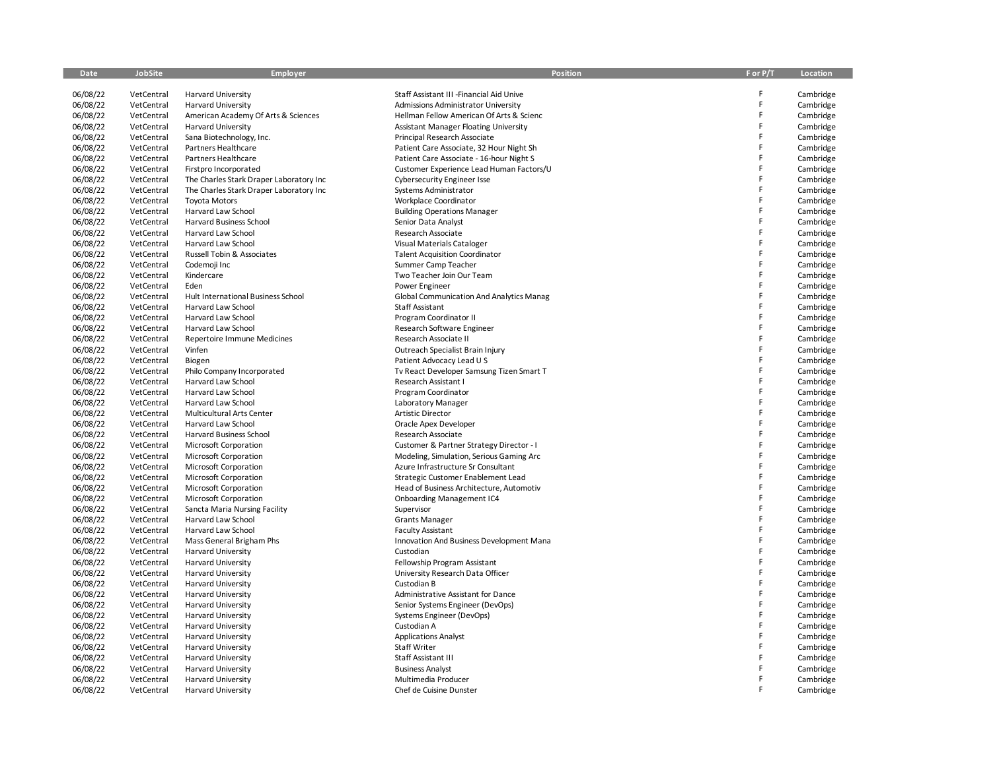| Date     | <b>JobSite</b> | Employer                                | <b>Position</b>                                 | F or P/T | Location  |
|----------|----------------|-----------------------------------------|-------------------------------------------------|----------|-----------|
|          |                |                                         |                                                 | F        |           |
| 06/08/22 | VetCentral     | <b>Harvard University</b>               | Staff Assistant III - Financial Aid Unive       | F.       | Cambridge |
| 06/08/22 | VetCentral     | <b>Harvard University</b>               | Admissions Administrator University             | F        | Cambridge |
| 06/08/22 | VetCentral     | American Academy Of Arts & Sciences     | Hellman Fellow American Of Arts & Scienc        | F        | Cambridge |
| 06/08/22 | VetCentral     | <b>Harvard University</b>               | <b>Assistant Manager Floating University</b>    | F        | Cambridge |
| 06/08/22 | VetCentral     | Sana Biotechnology, Inc.                | Principal Research Associate                    | F        | Cambridge |
| 06/08/22 | VetCentral     | Partners Healthcare                     | Patient Care Associate, 32 Hour Night Sh        | F.       | Cambridge |
| 06/08/22 | VetCentral     | Partners Healthcare                     | Patient Care Associate - 16-hour Night S        | F        | Cambridge |
| 06/08/22 | VetCentral     | Firstpro Incorporated                   | Customer Experience Lead Human Factors/U        | F        | Cambridge |
| 06/08/22 | VetCentral     | The Charles Stark Draper Laboratory Inc | <b>Cybersecurity Engineer Isse</b>              | F.       | Cambridge |
| 06/08/22 | VetCentral     | The Charles Stark Draper Laboratory Inc | Systems Administrator                           | F.       | Cambridge |
| 06/08/22 | VetCentral     | <b>Toyota Motors</b>                    | Workplace Coordinator                           | F        | Cambridge |
| 06/08/22 | VetCentral     | Harvard Law School                      | <b>Building Operations Manager</b>              |          | Cambridge |
| 06/08/22 | VetCentral     | Harvard Business School                 | Senior Data Analyst                             | F        | Cambridge |
| 06/08/22 | VetCentral     | <b>Harvard Law School</b>               | Research Associate                              | F.       | Cambridge |
| 06/08/22 | VetCentral     | Harvard Law School                      | Visual Materials Cataloger                      | F        | Cambridge |
| 06/08/22 | VetCentral     | Russell Tobin & Associates              | <b>Talent Acquisition Coordinator</b>           | F        | Cambridge |
| 06/08/22 | VetCentral     | Codemoji Inc                            | Summer Camp Teacher                             | F.       | Cambridge |
| 06/08/22 | VetCentral     | Kindercare                              | Two Teacher Join Our Team                       | F.       | Cambridge |
| 06/08/22 | VetCentral     | Eden                                    | Power Engineer                                  | F        | Cambridge |
| 06/08/22 | VetCentral     | Hult International Business School      | <b>Global Communication And Analytics Manag</b> | F        | Cambridge |
| 06/08/22 | VetCentral     | Harvard Law School                      | Staff Assistant                                 | F        | Cambridge |
| 06/08/22 | VetCentral     | <b>Harvard Law School</b>               | Program Coordinator II                          | F        | Cambridge |
| 06/08/22 | VetCentral     | Harvard Law School                      | Research Software Engineer                      | F        | Cambridge |
| 06/08/22 | VetCentral     | <b>Repertoire Immune Medicines</b>      | Research Associate II                           | F        | Cambridge |
| 06/08/22 | VetCentral     | Vinfen                                  | Outreach Specialist Brain Injury                | F        | Cambridge |
| 06/08/22 | VetCentral     | Biogen                                  | Patient Advocacy Lead U S                       | F        | Cambridge |
| 06/08/22 | VetCentral     | Philo Company Incorporated              | Tv React Developer Samsung Tizen Smart T        | F        | Cambridge |
| 06/08/22 | VetCentral     | Harvard Law School                      | Research Assistant I                            | Ë        | Cambridge |
| 06/08/22 | VetCentral     | Harvard Law School                      | Program Coordinator                             | F        | Cambridge |
| 06/08/22 | VetCentral     | Harvard Law School                      | Laboratory Manager                              | F        | Cambridge |
| 06/08/22 | VetCentral     | Multicultural Arts Center               | Artistic Director                               | F        | Cambridge |
| 06/08/22 | VetCentral     | Harvard Law School                      | Oracle Apex Developer                           | F        | Cambridge |
| 06/08/22 | VetCentral     | Harvard Business School                 | Research Associate                              | F        | Cambridge |
| 06/08/22 | VetCentral     | Microsoft Corporation                   | Customer & Partner Strategy Director - I        | F.       | Cambridge |
| 06/08/22 | VetCentral     | <b>Microsoft Corporation</b>            | Modeling, Simulation, Serious Gaming Arc        | F        | Cambridge |
| 06/08/22 | VetCentral     | Microsoft Corporation                   | Azure Infrastructure Sr Consultant              | F        | Cambridge |
| 06/08/22 | VetCentral     | Microsoft Corporation                   | Strategic Customer Enablement Lead              | F.       | Cambridge |
| 06/08/22 | VetCentral     | Microsoft Corporation                   | Head of Business Architecture, Automotiv        | F        | Cambridge |
| 06/08/22 | VetCentral     | Microsoft Corporation                   | <b>Onboarding Management IC4</b>                | F        | Cambridge |
| 06/08/22 | VetCentral     | Sancta Maria Nursing Facility           | Supervisor                                      | F        | Cambridge |
| 06/08/22 | VetCentral     | Harvard Law School                      | <b>Grants Manager</b>                           | F        | Cambridge |
| 06/08/22 | VetCentral     | Harvard Law School                      | <b>Faculty Assistant</b>                        | F.       | Cambridge |
| 06/08/22 | VetCentral     | Mass General Brigham Phs                | Innovation And Business Development Mana        | F.       | Cambridge |
| 06/08/22 | VetCentral     | <b>Harvard University</b>               | Custodian                                       | F        | Cambridge |
| 06/08/22 | VetCentral     | <b>Harvard University</b>               | Fellowship Program Assistant                    | F.       | Cambridge |
| 06/08/22 | VetCentral     | <b>Harvard University</b>               | University Research Data Officer                | F        | Cambridge |
| 06/08/22 | VetCentral     | <b>Harvard University</b>               | Custodian B                                     | F        | Cambridge |
| 06/08/22 | VetCentral     | <b>Harvard University</b>               | Administrative Assistant for Dance              | F        | Cambridge |
| 06/08/22 | VetCentral     | <b>Harvard University</b>               | Senior Systems Engineer (DevOps)                | F.       | Cambridge |
| 06/08/22 | VetCentral     | <b>Harvard University</b>               | Systems Engineer (DevOps)                       | F.       | Cambridge |
| 06/08/22 | VetCentral     | <b>Harvard University</b>               | Custodian A                                     | F.       | Cambridge |
| 06/08/22 | VetCentral     | <b>Harvard University</b>               | <b>Applications Analyst</b>                     | F        | Cambridge |
| 06/08/22 | VetCentral     | <b>Harvard University</b>               | <b>Staff Writer</b>                             | F.       | Cambridge |
| 06/08/22 | VetCentral     | <b>Harvard University</b>               | Staff Assistant III                             | F.       | Cambridge |
| 06/08/22 | VetCentral     | <b>Harvard University</b>               | <b>Business Analyst</b>                         | F        | Cambridge |
| 06/08/22 | VetCentral     | <b>Harvard University</b>               | Multimedia Producer                             | F        | Cambridge |
| 06/08/22 | VetCentral     | <b>Harvard University</b>               | Chef de Cuisine Dunster                         | F.       |           |
|          |                |                                         |                                                 |          | Cambridge |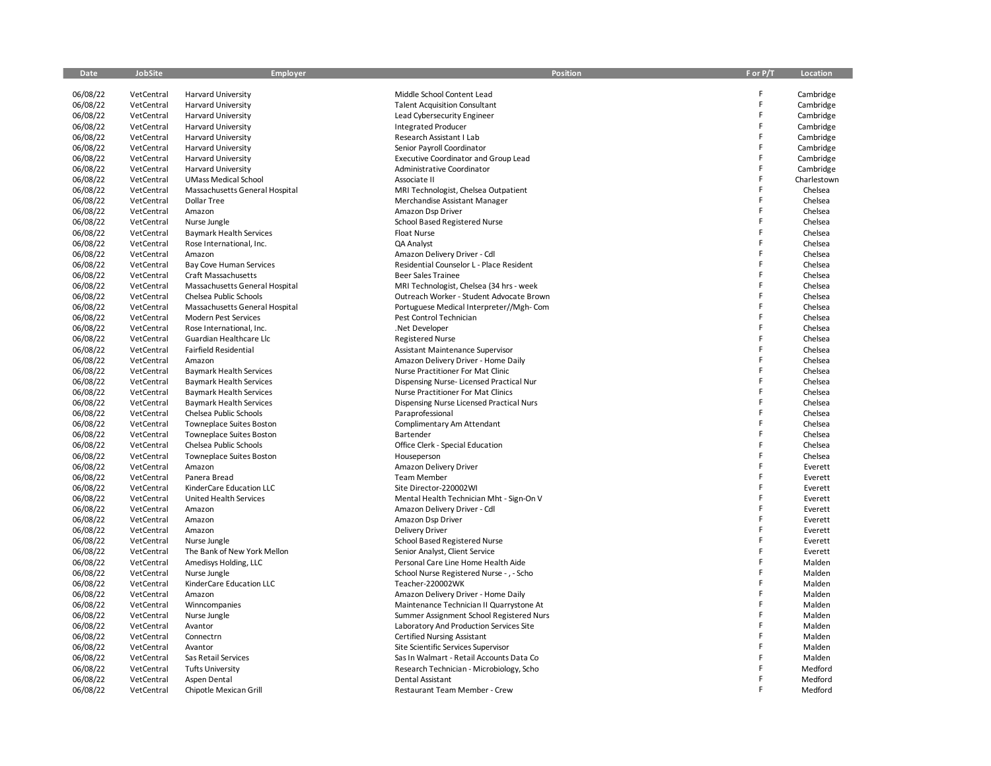| Date     | JobSite    | Employer                        | Position                                 | F or P/T | Location    |
|----------|------------|---------------------------------|------------------------------------------|----------|-------------|
|          |            |                                 |                                          |          |             |
| 06/08/22 | VetCentral | <b>Harvard University</b>       | Middle School Content Lead               | F        | Cambridge   |
| 06/08/22 | VetCentral | Harvard University              | <b>Talent Acquisition Consultant</b>     | F        | Cambridge   |
| 06/08/22 | VetCentral | <b>Harvard University</b>       | Lead Cybersecurity Engineer              | F        | Cambridge   |
| 06/08/22 | VetCentral | <b>Harvard University</b>       | <b>Integrated Producer</b>               | F        | Cambridge   |
| 06/08/22 | VetCentral | <b>Harvard University</b>       | Research Assistant I Lab                 | F        | Cambridge   |
| 06/08/22 | VetCentral | <b>Harvard University</b>       | Senior Payroll Coordinator               | F        | Cambridge   |
| 06/08/22 | VetCentral | <b>Harvard University</b>       | Executive Coordinator and Group Lead     | F        | Cambridge   |
| 06/08/22 | VetCentral | <b>Harvard University</b>       | Administrative Coordinator               | F        | Cambridge   |
| 06/08/22 | VetCentral | <b>UMass Medical School</b>     | Associate II                             | F        | Charlestown |
| 06/08/22 | VetCentral | Massachusetts General Hospital  | MRI Technologist, Chelsea Outpatient     | F        | Chelsea     |
| 06/08/22 | VetCentral | Dollar Tree                     | Merchandise Assistant Manager            | F        | Chelsea     |
| 06/08/22 | VetCentral | Amazon                          | Amazon Dsp Driver                        | F        | Chelsea     |
| 06/08/22 | VetCentral | Nurse Jungle                    | School Based Registered Nurse            | F        | Chelsea     |
| 06/08/22 | VetCentral | <b>Baymark Health Services</b>  | Float Nurse                              | F        | Chelsea     |
| 06/08/22 | VetCentral | Rose International, Inc.        | QA Analyst                               | F        | Chelsea     |
| 06/08/22 | VetCentral | Amazon                          | Amazon Delivery Driver - Cdl             | F        | Chelsea     |
| 06/08/22 | VetCentral | Bay Cove Human Services         | Residential Counselor L - Place Resident | F        | Chelsea     |
| 06/08/22 | VetCentral | Craft Massachusetts             | <b>Beer Sales Trainee</b>                | F        | Chelsea     |
| 06/08/22 | VetCentral | Massachusetts General Hospital  | MRI Technologist, Chelsea (34 hrs - week | F        | Chelsea     |
| 06/08/22 | VetCentral | Chelsea Public Schools          | Outreach Worker - Student Advocate Brown | F        | Chelsea     |
| 06/08/22 | VetCentral | Massachusetts General Hospital  | Portuguese Medical Interpreter//Mgh-Com  | F        | Chelsea     |
| 06/08/22 | VetCentral | <b>Modern Pest Services</b>     | Pest Control Technician                  | F        | Chelsea     |
| 06/08/22 | VetCentral | Rose International, Inc.        | .Net Developer                           | F        | Chelsea     |
| 06/08/22 | VetCentral | Guardian Healthcare Llc         | <b>Registered Nurse</b>                  | F        | Chelsea     |
| 06/08/22 | VetCentral | <b>Fairfield Residential</b>    | Assistant Maintenance Supervisor         | F        | Chelsea     |
| 06/08/22 | VetCentral | Amazon                          | Amazon Delivery Driver - Home Daily      | F        | Chelsea     |
| 06/08/22 | VetCentral | <b>Baymark Health Services</b>  | Nurse Practitioner For Mat Clinic        | F        | Chelsea     |
|          |            |                                 |                                          | F        |             |
| 06/08/22 | VetCentral | <b>Baymark Health Services</b>  | Dispensing Nurse-Licensed Practical Nur  | F        | Chelsea     |
| 06/08/22 | VetCentral | <b>Baymark Health Services</b>  | Nurse Practitioner For Mat Clinics       | F        | Chelsea     |
| 06/08/22 | VetCentral | Baymark Health Services         | Dispensing Nurse Licensed Practical Nurs | F        | Chelsea     |
| 06/08/22 | VetCentral | Chelsea Public Schools          | Paraprofessional                         | F        | Chelsea     |
| 06/08/22 | VetCentral | <b>Towneplace Suites Boston</b> | Complimentary Am Attendant               | F        | Chelsea     |
| 06/08/22 | VetCentral | <b>Towneplace Suites Boston</b> | Bartender                                | F        | Chelsea     |
| 06/08/22 | VetCentral | Chelsea Public Schools          | Office Clerk - Special Education         | F        | Chelsea     |
| 06/08/22 | VetCentral | <b>Towneplace Suites Boston</b> | Houseperson                              |          | Chelsea     |
| 06/08/22 | VetCentral | Amazon                          | Amazon Delivery Driver                   | F        | Everett     |
| 06/08/22 | VetCentral | Panera Bread                    | <b>Team Member</b>                       | F        | Everett     |
| 06/08/22 | VetCentral | KinderCare Education LLC        | Site Director-220002WI                   | F        | Everett     |
| 06/08/22 | VetCentral | United Health Services          | Mental Health Technician Mht - Sign-On V | F        | Everett     |
| 06/08/22 | VetCentral | Amazon                          | Amazon Delivery Driver - Cdl             | F        | Everett     |
| 06/08/22 | VetCentral | Amazon                          | Amazon Dsp Driver                        | F        | Everett     |
| 06/08/22 | VetCentral | Amazon                          | Delivery Driver                          | F        | Everett     |
| 06/08/22 | VetCentral | Nurse Jungle                    | School Based Registered Nurse            | F        | Everett     |
| 06/08/22 | VetCentral | The Bank of New York Mellon     | Senior Analyst, Client Service           | F        | Everett     |
| 06/08/22 | VetCentral | Amedisys Holding, LLC           | Personal Care Line Home Health Aide      | F        | Malden      |
| 06/08/22 | VetCentral | Nurse Jungle                    | School Nurse Registered Nurse - , - Scho | F        | Malden      |
| 06/08/22 | VetCentral | KinderCare Education LLC        | Teacher-220002WK                         | F        | Malden      |
| 06/08/22 | VetCentral | Amazon                          | Amazon Delivery Driver - Home Daily      | F        | Malden      |
| 06/08/22 | VetCentral | Winncompanies                   | Maintenance Technician II Quarrystone At | F        | Malden      |
| 06/08/22 | VetCentral | Nurse Jungle                    | Summer Assignment School Registered Nurs | F        | Malden      |
| 06/08/22 | VetCentral | Avantor                         | Laboratory And Production Services Site  | F        | Malden      |
| 06/08/22 | VetCentral | Connectrn                       | <b>Certified Nursing Assistant</b>       | F        | Malden      |
| 06/08/22 | VetCentral | Avantor                         | Site Scientific Services Supervisor      | F        | Malden      |
| 06/08/22 | VetCentral | Sas Retail Services             | Sas In Walmart - Retail Accounts Data Co | F        | Malden      |
| 06/08/22 | VetCentral | <b>Tufts University</b>         | Research Technician - Microbiology, Scho | F        | Medford     |
| 06/08/22 | VetCentral | Aspen Dental                    | Dental Assistant                         | F        | Medford     |
| 06/08/22 | VetCentral | Chipotle Mexican Grill          | Restaurant Team Member - Crew            | F        | Medford     |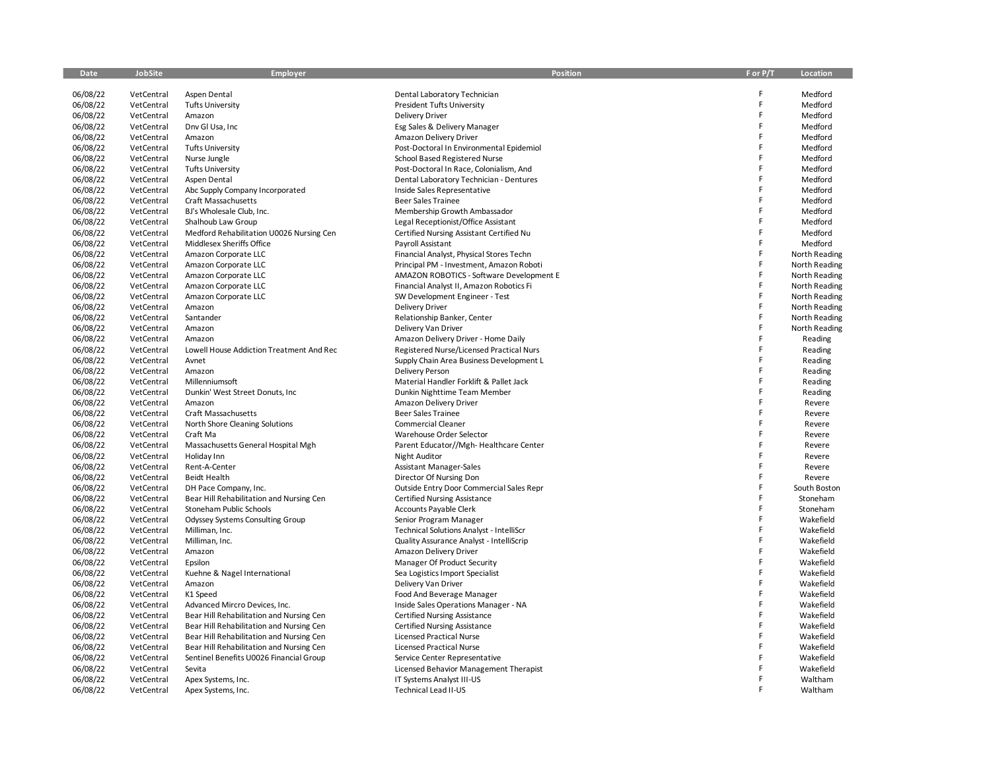| Date     | JobSite    | Employer                                 | <b>Position</b>                                               | F or P/T | Location      |
|----------|------------|------------------------------------------|---------------------------------------------------------------|----------|---------------|
|          |            |                                          |                                                               |          |               |
| 06/08/22 | VetCentral | Aspen Dental                             | Dental Laboratory Technician                                  | F        | Medford       |
| 06/08/22 | VetCentral | <b>Tufts University</b>                  | <b>President Tufts University</b>                             | F        | Medford       |
| 06/08/22 | VetCentral | Amazon                                   | <b>Delivery Driver</b>                                        | F        | Medford       |
| 06/08/22 | VetCentral | Dnv Gl Usa, Inc.                         | Esg Sales & Delivery Manager                                  | F        | Medford       |
| 06/08/22 | VetCentral | Amazon                                   | Amazon Delivery Driver                                        | Ë        | Medford       |
| 06/08/22 | VetCentral | <b>Tufts University</b>                  | Post-Doctoral In Environmental Epidemiol                      | F        | Medford       |
| 06/08/22 | VetCentral | Nurse Jungle                             | School Based Registered Nurse                                 | F        | Medford       |
| 06/08/22 | VetCentral | <b>Tufts University</b>                  | Post-Doctoral In Race, Colonialism, And                       | F        | Medford       |
| 06/08/22 | VetCentral | Aspen Dental                             | Dental Laboratory Technician - Dentures                       | F        | Medford       |
| 06/08/22 | VetCentral | Abc Supply Company Incorporated          | Inside Sales Representative                                   | F        | Medford       |
| 06/08/22 | VetCentral | Craft Massachusetts                      | <b>Beer Sales Trainee</b>                                     | F        | Medford       |
| 06/08/22 | VetCentral | BJ's Wholesale Club, Inc.                | Membership Growth Ambassador                                  | F        | Medford       |
| 06/08/22 | VetCentral | Shalhoub Law Group                       | Legal Receptionist/Office Assistant                           | F        | Medford       |
| 06/08/22 | VetCentral | Medford Rehabilitation U0026 Nursing Cen |                                                               | F        | Medford       |
| 06/08/22 | VetCentral | Middlesex Sheriffs Office                | Certified Nursing Assistant Certified Nu<br>Payroll Assistant | F        | Medford       |
|          | VetCentral |                                          |                                                               | F        |               |
| 06/08/22 |            | Amazon Corporate LLC                     | Financial Analyst, Physical Stores Techn                      | F        | North Reading |
| 06/08/22 | VetCentral | Amazon Corporate LLC                     | Principal PM - Investment, Amazon Roboti                      | F.       | North Reading |
| 06/08/22 | VetCentral | Amazon Corporate LLC                     | AMAZON ROBOTICS - Software Development E                      |          | North Reading |
| 06/08/22 | VetCentral | Amazon Corporate LLC                     | Financial Analyst II, Amazon Robotics Fi                      | F.       | North Reading |
| 06/08/22 | VetCentral | Amazon Corporate LLC                     | SW Development Engineer - Test                                | F<br>Ė.  | North Reading |
| 06/08/22 | VetCentral | Amazon                                   | <b>Delivery Driver</b>                                        |          | North Reading |
| 06/08/22 | VetCentral | Santander                                | Relationship Banker, Center                                   | F        | North Reading |
| 06/08/22 | VetCentral | Amazon                                   | Delivery Van Driver                                           | F        | North Reading |
| 06/08/22 | VetCentral | Amazon                                   | Amazon Delivery Driver - Home Daily                           | F        | Reading       |
| 06/08/22 | VetCentral | Lowell House Addiction Treatment And Rec | Registered Nurse/Licensed Practical Nurs                      | F        | Reading       |
| 06/08/22 | VetCentral | Avnet                                    | Supply Chain Area Business Development L                      | F        | Reading       |
| 06/08/22 | VetCentral | Amazon                                   | <b>Delivery Person</b>                                        | F        | Reading       |
| 06/08/22 | VetCentral | Millenniumsoft                           | Material Handler Forklift & Pallet Jack                       | F        | Reading       |
| 06/08/22 | VetCentral | Dunkin' West Street Donuts, Inc.         | Dunkin Nighttime Team Member                                  | F        | Reading       |
| 06/08/22 | VetCentral | Amazon                                   | Amazon Delivery Driver                                        | F        | Revere        |
| 06/08/22 | VetCentral | Craft Massachusetts                      | <b>Beer Sales Trainee</b>                                     | F        | Revere        |
| 06/08/22 | VetCentral | North Shore Cleaning Solutions           | Commercial Cleaner                                            | Ë        | Revere        |
| 06/08/22 | VetCentral | Craft Ma                                 | Warehouse Order Selector                                      | F        | Revere        |
| 06/08/22 | VetCentral | Massachusetts General Hospital Mgh       | Parent Educator//Mgh-Healthcare Center                        | F        | Revere        |
| 06/08/22 | VetCentral | Holiday Inn                              | Night Auditor                                                 | F        | Revere        |
| 06/08/22 | VetCentral | Rent-A-Center                            | <b>Assistant Manager-Sales</b>                                | F        | Revere        |
| 06/08/22 | VetCentral | Beidt Health                             | Director Of Nursing Don                                       | F        | Revere        |
| 06/08/22 | VetCentral | DH Pace Company, Inc.                    | Outside Entry Door Commercial Sales Repr                      | F        | South Boston  |
| 06/08/22 | VetCentral | Bear Hill Rehabilitation and Nursing Cen | <b>Certified Nursing Assistance</b>                           | F        | Stoneham      |
| 06/08/22 | VetCentral | Stoneham Public Schools                  | Accounts Payable Clerk                                        | F        | Stoneham      |
| 06/08/22 | VetCentral | <b>Odyssey Systems Consulting Group</b>  | Senior Program Manager                                        | F        | Wakefield     |
| 06/08/22 | VetCentral | Milliman, Inc.                           | Technical Solutions Analyst - IntelliScr                      | F        | Wakefield     |
| 06/08/22 | VetCentral | Milliman, Inc.                           | Quality Assurance Analyst - IntelliScrip                      | F        | Wakefield     |
| 06/08/22 | VetCentral | Amazon                                   | Amazon Delivery Driver                                        | F        | Wakefield     |
| 06/08/22 | VetCentral | Epsilon                                  | Manager Of Product Security                                   | F        | Wakefield     |
| 06/08/22 | VetCentral | Kuehne & Nagel International             | Sea Logistics Import Specialist                               | F        | Wakefield     |
| 06/08/22 | VetCentral | Amazon                                   | Delivery Van Driver                                           | F        | Wakefield     |
| 06/08/22 | VetCentral | K1 Speed                                 | Food And Beverage Manager                                     | F        | Wakefield     |
| 06/08/22 | VetCentral | Advanced Mircro Devices, Inc.            | Inside Sales Operations Manager - NA                          | F        | Wakefield     |
| 06/08/22 | VetCentral | Bear Hill Rehabilitation and Nursing Cen | <b>Certified Nursing Assistance</b>                           | F        | Wakefield     |
| 06/08/22 | VetCentral | Bear Hill Rehabilitation and Nursing Cen | <b>Certified Nursing Assistance</b>                           | F        | Wakefield     |
| 06/08/22 | VetCentral | Bear Hill Rehabilitation and Nursing Cen | <b>Licensed Practical Nurse</b>                               | F        | Wakefield     |
| 06/08/22 | VetCentral | Bear Hill Rehabilitation and Nursing Cen | <b>Licensed Practical Nurse</b>                               | F        | Wakefield     |
| 06/08/22 | VetCentral | Sentinel Benefits U0026 Financial Group  | Service Center Representative                                 | F        | Wakefield     |
| 06/08/22 | VetCentral | Sevita                                   | Licensed Behavior Management Therapist                        | F        | Wakefield     |
| 06/08/22 | VetCentral | Apex Systems, Inc.                       | IT Systems Analyst III-US                                     | F        | Waltham       |
| 06/08/22 | VetCentral | Apex Systems, Inc.                       | Technical Lead II-US                                          | E        | Waltham       |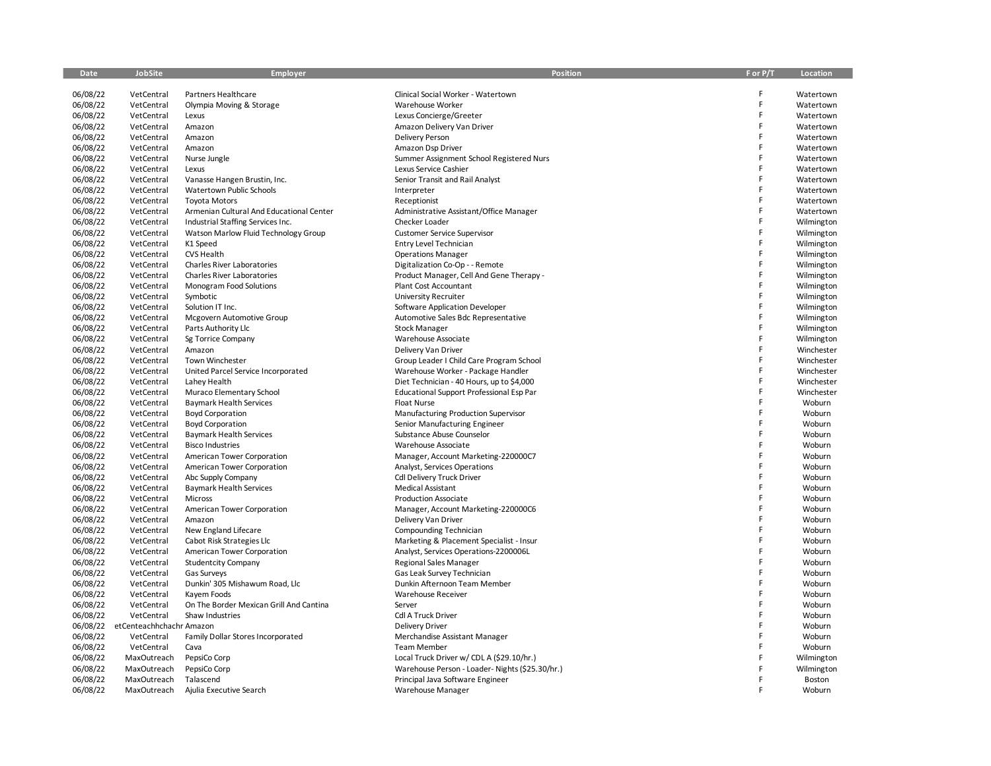| Date     | <b>JobSite</b>           | <b>Employer</b>                          | <b>Position</b>                                 | F or P/T | Location   |
|----------|--------------------------|------------------------------------------|-------------------------------------------------|----------|------------|
|          |                          |                                          |                                                 |          |            |
| 06/08/22 | VetCentral               | Partners Healthcare                      | Clinical Social Worker - Watertown              | F        | Watertown  |
| 06/08/22 | VetCentral               | Olympia Moving & Storage                 | Warehouse Worker                                | F        | Watertown  |
| 06/08/22 | VetCentral               | Lexus                                    | Lexus Concierge/Greeter                         | F        | Watertown  |
| 06/08/22 | VetCentral               | Amazon                                   | Amazon Delivery Van Driver                      | F        | Watertown  |
| 06/08/22 | VetCentral               | Amazon                                   | <b>Delivery Person</b>                          | F        | Watertown  |
| 06/08/22 | VetCentral               | Amazon                                   | Amazon Dsp Driver                               | F        | Watertown  |
| 06/08/22 | VetCentral               | Nurse Jungle                             | Summer Assignment School Registered Nurs        | F        | Watertown  |
| 06/08/22 | VetCentral               | Lexus                                    | Lexus Service Cashier                           | F        | Watertown  |
| 06/08/22 | VetCentral               | Vanasse Hangen Brustin, Inc.             | Senior Transit and Rail Analyst                 | F        | Watertown  |
| 06/08/22 | VetCentral               | Watertown Public Schools                 | Interpreter                                     | F        | Watertown  |
| 06/08/22 | VetCentral               | <b>Toyota Motors</b>                     | Receptionist                                    | F        | Watertown  |
| 06/08/22 | VetCentral               | Armenian Cultural And Educational Center | Administrative Assistant/Office Manager         | E        | Watertown  |
| 06/08/22 | VetCentral               | Industrial Staffing Services Inc.        | Checker Loader                                  | F        | Wilmington |
| 06/08/22 | VetCentral               | Watson Marlow Fluid Technology Group     | <b>Customer Service Supervisor</b>              | F        | Wilmington |
| 06/08/22 | VetCentral               | K1 Speed                                 | Entry Level Technician                          | F        | Wilmington |
| 06/08/22 | VetCentral               | <b>CVS Health</b>                        | <b>Operations Manager</b>                       | F        | Wilmington |
| 06/08/22 | VetCentral               | Charles River Laboratories               | Digitalization Co-Op - - Remote                 | F        | Wilmington |
| 06/08/22 | VetCentral               | <b>Charles River Laboratories</b>        | Product Manager, Cell And Gene Therapy -        | F        | Wilmington |
| 06/08/22 | VetCentral               | Monogram Food Solutions                  | <b>Plant Cost Accountant</b>                    | F        | Wilmington |
| 06/08/22 | VetCentral               | Symbotic                                 | University Recruiter                            | F        | Wilmington |
| 06/08/22 | VetCentral               | Solution IT Inc.                         | Software Application Developer                  | F        | Wilmington |
| 06/08/22 | VetCentral               | Mcgovern Automotive Group                | Automotive Sales Bdc Representative             | F        | Wilmington |
| 06/08/22 | VetCentral               | Parts Authority Llc                      | <b>Stock Manager</b>                            | F        | Wilmington |
| 06/08/22 | VetCentral               | Sg Torrice Company                       | Warehouse Associate                             | F        | Wilmington |
| 06/08/22 | VetCentral               | Amazon                                   | Delivery Van Driver                             | F        | Winchester |
| 06/08/22 | VetCentral               | Town Winchester                          | Group Leader I Child Care Program School        | F        | Winchester |
| 06/08/22 | VetCentral               | United Parcel Service Incorporated       | Warehouse Worker - Package Handler              | F        | Winchester |
| 06/08/22 | VetCentral               | Lahey Health                             | Diet Technician - 40 Hours, up to \$4,000       | F        | Winchester |
| 06/08/22 | VetCentral               | Muraco Elementary School                 | Educational Support Professional Esp Par        | F        | Winchester |
| 06/08/22 | VetCentral               | <b>Baymark Health Services</b>           | Float Nurse                                     | F        | Woburn     |
| 06/08/22 | VetCentral               | <b>Boyd Corporation</b>                  | Manufacturing Production Supervisor             | F        | Woburn     |
| 06/08/22 | VetCentral               | <b>Boyd Corporation</b>                  | Senior Manufacturing Engineer                   | F        | Woburn     |
| 06/08/22 | VetCentral               | <b>Baymark Health Services</b>           | Substance Abuse Counselor                       | F        | Woburn     |
| 06/08/22 | VetCentral               | <b>Bisco Industries</b>                  | Warehouse Associate                             | F        | Woburn     |
| 06/08/22 | VetCentral               | American Tower Corporation               | Manager, Account Marketing-220000C7             | F        | Woburn     |
| 06/08/22 | VetCentral               | American Tower Corporation               | Analyst, Services Operations                    | F        | Woburn     |
| 06/08/22 | VetCentral               | Abc Supply Company                       | Cdl Delivery Truck Driver                       | F        | Woburn     |
| 06/08/22 | VetCentral               | <b>Baymark Health Services</b>           | <b>Medical Assistant</b>                        | F        | Woburn     |
| 06/08/22 | VetCentral               | Micross                                  | <b>Production Associate</b>                     | F        | Woburn     |
| 06/08/22 | VetCentral               | American Tower Corporation               | Manager, Account Marketing-220000C6             | F        | Woburn     |
| 06/08/22 | VetCentral               | Amazon                                   | Delivery Van Driver                             | F        | Woburn     |
| 06/08/22 | VetCentral               | New England Lifecare                     | Compounding Technician                          | F        | Woburn     |
| 06/08/22 | VetCentral               | Cabot Risk Strategies Llc                | Marketing & Placement Specialist - Insur        | F        | Woburn     |
| 06/08/22 | VetCentral               | American Tower Corporation               | Analyst, Services Operations-2200006L           | F        | Woburn     |
| 06/08/22 | VetCentral               | <b>Studentcity Company</b>               | <b>Regional Sales Manager</b>                   | F        | Woburn     |
| 06/08/22 | VetCentral               | <b>Gas Surveys</b>                       | Gas Leak Survey Technician                      | F        | Woburn     |
| 06/08/22 | VetCentral               | Dunkin' 305 Mishawum Road, Llc           | Dunkin Afternoon Team Member                    | F        | Woburn     |
| 06/08/22 | VetCentral               | Kayem Foods                              | <b>Warehouse Receiver</b>                       | F        | Woburn     |
| 06/08/22 | VetCentral               | On The Border Mexican Grill And Cantina  | Server                                          | F        | Woburn     |
| 06/08/22 | VetCentral               | Shaw Industries                          | Cdl A Truck Driver                              | F        | Woburn     |
| 06/08/22 | etCenteachhchachr Amazon |                                          | <b>Delivery Driver</b>                          | F        | Woburn     |
| 06/08/22 | VetCentral               | Family Dollar Stores Incorporated        | Merchandise Assistant Manager                   | F        | Woburn     |
| 06/08/22 | VetCentral               | Cava                                     | <b>Team Member</b>                              | F        | Woburn     |
| 06/08/22 | MaxOutreach              | PepsiCo Corp                             | Local Truck Driver w/ CDL A (\$29.10/hr.)       | F        | Wilmington |
| 06/08/22 | MaxOutreach              | PepsiCo Corp                             | Warehouse Person - Loader- Nights (\$25.30/hr.) | F        | Wilmington |
| 06/08/22 | MaxOutreach              | Talascend                                | Principal Java Software Engineer                | F        | Boston     |
| 06/08/22 | MaxOutreach              | Ajulia Executive Search                  | Warehouse Manager                               | E        | Woburn     |
|          |                          |                                          |                                                 |          |            |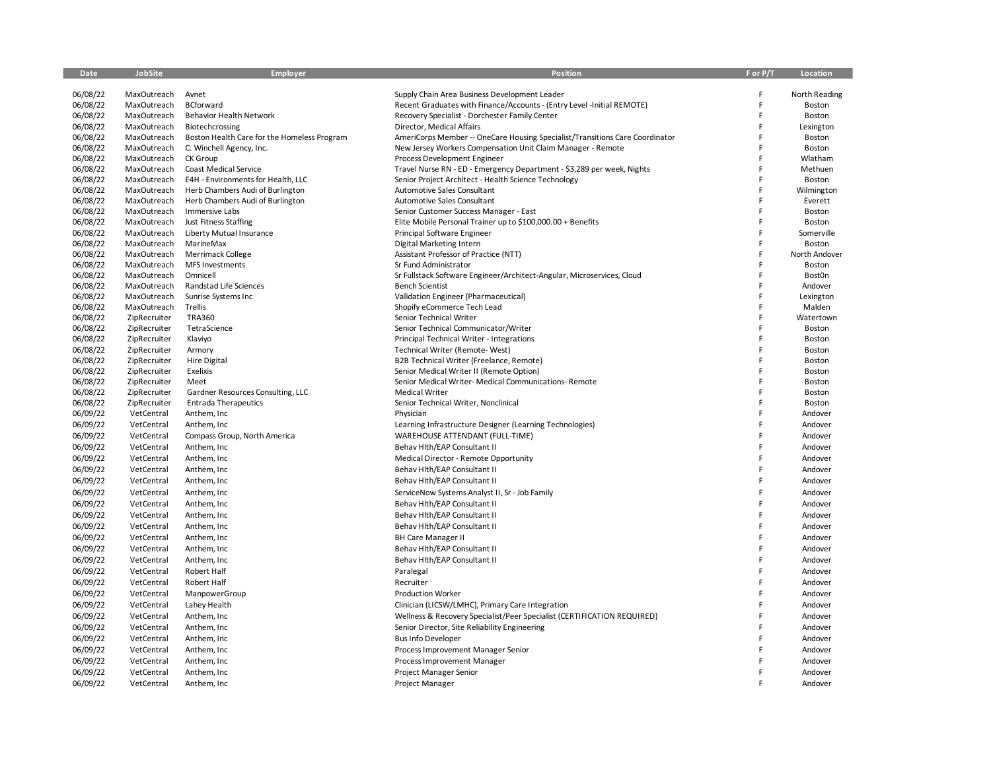| Date     | JobSite      | <b>Employer</b>                             | <b>Position</b>                                                              | F or P/T | Location      |
|----------|--------------|---------------------------------------------|------------------------------------------------------------------------------|----------|---------------|
|          |              |                                             |                                                                              |          |               |
| 06/08/22 | MaxOutreach  | Avnet                                       | Supply Chain Area Business Development Leader                                | F        | North Reading |
| 06/08/22 | MaxOutreach  | BCforward                                   | Recent Graduates with Finance/Accounts - (Entry Level -Initial REMOTE)       | F        | Boston        |
| 06/08/22 | MaxOutreach  | Behavior Health Network                     | Recovery Specialist - Dorchester Family Center                               | F        | Boston        |
| 06/08/22 | MaxOutreach  | Biotechcrossing                             | Director, Medical Affairs                                                    | F        | Lexington     |
| 06/08/22 | MaxOutreach  | Boston Health Care for the Homeless Program | AmeriCorps Member -- OneCare Housing Specialist/Transitions Care Coordinator | F        | Boston        |
| 06/08/22 | MaxOutreach  | C. Winchell Agency, Inc.                    | New Jersey Workers Compensation Unit Claim Manager - Remote                  | F        | Boston        |
| 06/08/22 | MaxOutreach  | CK Group                                    | Process Development Engineer                                                 | F        | Wlatham       |
| 06/08/22 | MaxOutreach  | <b>Coast Medical Service</b>                | Travel Nurse RN - ED - Emergency Department - \$3,289 per week, Nights       | F        | Methuen       |
| 06/08/22 | MaxOutreach  | E4H - Environments for Health, LLC          | Senior Project Architect - Health Science Technology                         | F        | Boston        |
| 06/08/22 | MaxOutreach  | Herb Chambers Audi of Burlington            | Automotive Sales Consultant                                                  | F        | Wilmington    |
| 06/08/22 | MaxOutreach  | Herb Chambers Audi of Burlington            | Automotive Sales Consultant                                                  | F        | Everett       |
| 06/08/22 | MaxOutreach  | Immersive Labs                              | Senior Customer Success Manager - East                                       | F        | Boston        |
| 06/08/22 | MaxOutreach  | Just Fitness Staffing                       | Elite Mobile Personal Trainer up to \$100,000.00 + Benefits                  | F        | Boston        |
| 06/08/22 | MaxOutreach  | Liberty Mutual Insurance                    | Principal Software Engineer                                                  | F        | Somerville    |
| 06/08/22 | MaxOutreach  | MarineMax                                   | Digital Marketing Intern                                                     | F        | Boston        |
| 06/08/22 | MaxOutreach  | Merrimack College                           | Assistant Professor of Practice (NTT)                                        | F        | North Andover |
| 06/08/22 | MaxOutreach  | <b>MFS Investments</b>                      | Sr Fund Administrator                                                        | F        | Boston        |
| 06/08/22 | MaxOutreach  | Omnicell                                    | Sr Fullstack Software Engineer/Architect-Angular, Microservices, Cloud       | F        | Bost0n        |
| 06/08/22 | MaxOutreach  | Randstad Life Sciences                      | <b>Bench Scientist</b>                                                       | F        | Andover       |
| 06/08/22 | MaxOutreach  | Sunrise Systems Inc                         | Validation Engineer (Pharmaceutical)                                         | F        | Lexington     |
| 06/08/22 | MaxOutreach  | Trellis                                     | Shopify eCommerce Tech Lead                                                  | F        | Malden        |
| 06/08/22 | ZipRecruiter | <b>TRA360</b>                               | Senior Technical Writer                                                      | F        | Watertown     |
| 06/08/22 | ZipRecruiter | TetraScience                                | Senior Technical Communicator/Writer                                         | F        | Boston        |
| 06/08/22 | ZipRecruiter | Klaviyo                                     | Principal Technical Writer - Integrations                                    | F        | Boston        |
| 06/08/22 | ZipRecruiter | Armory                                      | Technical Writer (Remote- West)                                              | F        | Boston        |
| 06/08/22 | ZipRecruiter | <b>Hire Digital</b>                         | B2B Technical Writer (Freelance, Remote)                                     | F        | Boston        |
| 06/08/22 | ZipRecruiter | Exelixis                                    | Senior Medical Writer II (Remote Option)                                     | F        | Boston        |
| 06/08/22 | ZipRecruiter | Meet                                        | Senior Medical Writer- Medical Communications- Remote                        | F        | Boston        |
| 06/08/22 | ZipRecruiter | Gardner Resources Consulting, LLC           | <b>Medical Writer</b>                                                        | F        | Boston        |
| 06/08/22 | ZipRecruiter | <b>Entrada Therapeutics</b>                 | Senior Technical Writer, Nonclinical                                         | F        | Boston        |
| 06/09/22 | VetCentral   | Anthem, Inc                                 | Physician                                                                    | F        | Andover       |
| 06/09/22 | VetCentral   | Anthem, Inc.                                | Learning Infrastructure Designer (Learning Technologies)                     | F        | Andover       |
| 06/09/22 | VetCentral   | Compass Group, North America                | WAREHOUSE ATTENDANT (FULL-TIME)                                              | F        | Andover       |
| 06/09/22 | VetCentral   | Anthem, Inc                                 | Behav Hlth/EAP Consultant II                                                 | F        | Andover       |
| 06/09/22 | VetCentral   | Anthem, Inc.                                | Medical Director - Remote Opportunity                                        | F        | Andover       |
| 06/09/22 | VetCentral   | Anthem, Inc                                 | Behav Hlth/EAP Consultant II                                                 | F        | Andover       |
| 06/09/22 | VetCentral   | Anthem, Inc                                 | Behav Hlth/EAP Consultant II                                                 | F        | Andover       |
| 06/09/22 | VetCentral   | Anthem, Inc                                 | ServiceNow Systems Analyst II, Sr - Job Family                               | F        | Andover       |
| 06/09/22 | VetCentral   | Anthem, Inc.                                | Behav Hlth/EAP Consultant II                                                 | F        | Andover       |
| 06/09/22 | VetCentral   | Anthem, Inc                                 | Behav Hlth/EAP Consultant II                                                 | F        | Andover       |
|          |              |                                             |                                                                              | F        |               |
| 06/09/22 | VetCentral   | Anthem, Inc                                 | Behav Hlth/EAP Consultant II                                                 | F        | Andover       |
| 06/09/22 | VetCentral   | Anthem, Inc.                                | <b>BH Care Manager II</b>                                                    |          | Andover       |
| 06/09/22 | VetCentral   | Anthem, Inc                                 | Behav Hlth/EAP Consultant II                                                 | F        | Andover       |
| 06/09/22 | VetCentral   | Anthem, Inc                                 | Behav Hlth/EAP Consultant II                                                 | F        | Andover       |
| 06/09/22 | VetCentral   | Robert Half                                 | Paralegal                                                                    | F        | Andover       |
| 06/09/22 | VetCentral   | Robert Half                                 | Recruiter                                                                    | F        | Andover       |
| 06/09/22 | VetCentral   | ManpowerGroup                               | <b>Production Worker</b>                                                     | F        | Andover       |
| 06/09/22 | VetCentral   | Lahey Health                                | Clinician (LICSW/LMHC), Primary Care Integration                             | F        | Andover       |
| 06/09/22 | VetCentral   | Anthem, Inc.                                | Wellness & Recovery Specialist/Peer Specialist (CERTIFICATION REQUIRED)      | F        | Andover       |
| 06/09/22 | VetCentral   | Anthem, Inc                                 | Senior Director, Site Reliability Engineering                                | F        | Andover       |
| 06/09/22 | VetCentral   | Anthem, Inc                                 | <b>Bus Info Developer</b>                                                    | F        | Andover       |
| 06/09/22 | VetCentral   | Anthem, Inc                                 | Process Improvement Manager Senior                                           | F        | Andover       |
| 06/09/22 | VetCentral   | Anthem, Inc                                 | Process Improvement Manager                                                  | F        | Andover       |
| 06/09/22 | VetCentral   | Anthem, Inc.                                | Project Manager Senior                                                       | F        | Andover       |
| 06/09/22 | VetCentral   | Anthem, Inc.                                | Project Manager                                                              | E        | Andover       |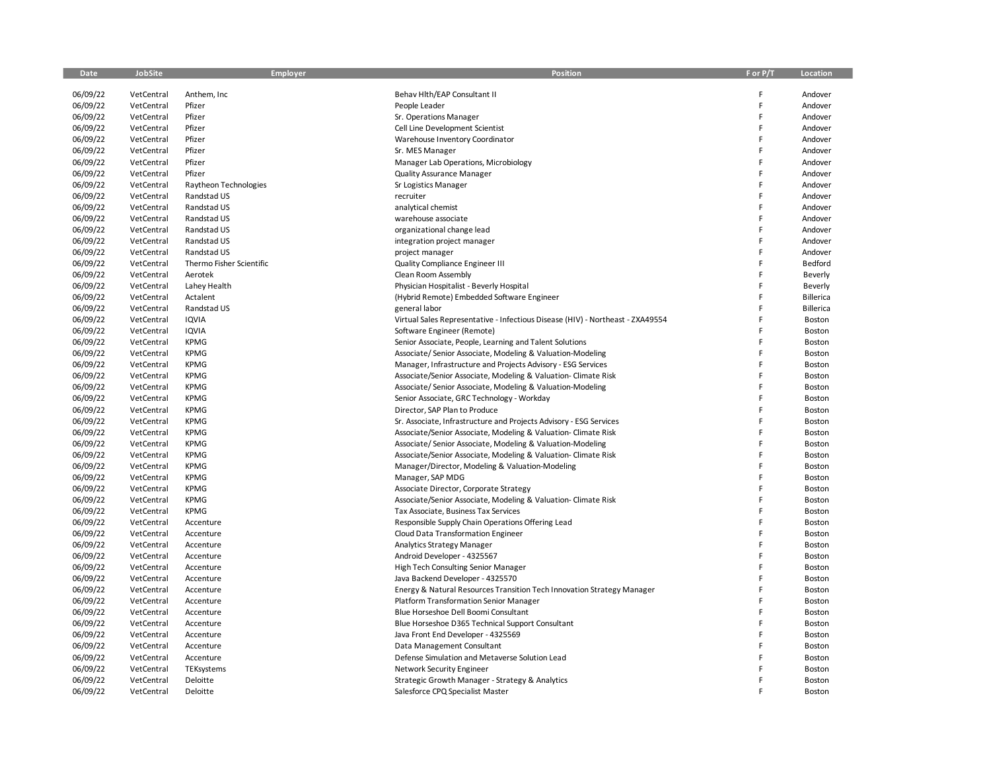| Date     | JobSite    | Employer                 | Position                                                                       | F or P/T | Location         |
|----------|------------|--------------------------|--------------------------------------------------------------------------------|----------|------------------|
|          |            |                          |                                                                                |          |                  |
| 06/09/22 | VetCentral | Anthem, Inc              | Behav Hlth/EAP Consultant II                                                   | F        | Andover          |
| 06/09/22 | VetCentral | Pfizer                   | People Leader                                                                  | F        | Andover          |
| 06/09/22 | VetCentral | Pfizer                   | Sr. Operations Manager                                                         | F        | Andover          |
| 06/09/22 | VetCentral | Pfizer                   | Cell Line Development Scientist                                                | F        | Andover          |
| 06/09/22 | VetCentral | Pfizer                   | Warehouse Inventory Coordinator                                                | F        | Andover          |
| 06/09/22 | VetCentral | Pfizer                   | Sr. MES Manager                                                                | F        | Andover          |
| 06/09/22 | VetCentral | Pfizer                   | Manager Lab Operations, Microbiology                                           | F        | Andover          |
| 06/09/22 | VetCentral | Pfizer                   | <b>Quality Assurance Manager</b>                                               | F        | Andover          |
| 06/09/22 | VetCentral | Raytheon Technologies    | Sr Logistics Manager                                                           | F        | Andover          |
| 06/09/22 | VetCentral | Randstad US              | recruiter                                                                      | F        | Andover          |
| 06/09/22 | VetCentral | Randstad US              | analytical chemist                                                             | F        | Andover          |
| 06/09/22 | VetCentral | Randstad US              | warehouse associate                                                            | F        | Andover          |
| 06/09/22 | VetCentral | Randstad US              | organizational change lead                                                     | F        | Andover          |
| 06/09/22 | VetCentral | Randstad US              | integration project manager                                                    | F        | Andover          |
| 06/09/22 | VetCentral | Randstad US              | project manager                                                                | F        | Andover          |
| 06/09/22 | VetCentral | Thermo Fisher Scientific | <b>Quality Compliance Engineer III</b>                                         | F        | Bedford          |
| 06/09/22 | VetCentral | Aerotek                  | Clean Room Assembly                                                            | F        | Beverly          |
| 06/09/22 | VetCentral |                          | Physician Hospitalist - Beverly Hospital                                       | F        |                  |
| 06/09/22 | VetCentral | Lahey Health<br>Actalent |                                                                                | F        | Beverly          |
|          |            |                          | (Hybrid Remote) Embedded Software Engineer                                     | F        | <b>Billerica</b> |
| 06/09/22 | VetCentral | Randstad US              | general labor                                                                  | F        | <b>Billerica</b> |
| 06/09/22 | VetCentral | <b>IQVIA</b>             | Virtual Sales Representative - Infectious Disease (HIV) - Northeast - ZXA49554 |          | Boston           |
| 06/09/22 | VetCentral | IQVIA                    | Software Engineer (Remote)                                                     | F        | Boston           |
| 06/09/22 | VetCentral | <b>KPMG</b>              | Senior Associate, People, Learning and Talent Solutions                        | F        | Boston           |
| 06/09/22 | VetCentral | <b>KPMG</b>              | Associate/Senior Associate, Modeling & Valuation-Modeling                      | F        | Boston           |
| 06/09/22 | VetCentral | <b>KPMG</b>              | Manager, Infrastructure and Projects Advisory - ESG Services                   | F        | Boston           |
| 06/09/22 | VetCentral | <b>KPMG</b>              | Associate/Senior Associate, Modeling & Valuation-Climate Risk                  | F        | Boston           |
| 06/09/22 | VetCentral | <b>KPMG</b>              | Associate/ Senior Associate, Modeling & Valuation-Modeling                     | F        | Boston           |
| 06/09/22 | VetCentral | <b>KPMG</b>              | Senior Associate, GRC Technology - Workday                                     | F        | Boston           |
| 06/09/22 | VetCentral | <b>KPMG</b>              | Director, SAP Plan to Produce                                                  | F        | Boston           |
| 06/09/22 | VetCentral | <b>KPMG</b>              | Sr. Associate, Infrastructure and Projects Advisory - ESG Services             | F        | Boston           |
| 06/09/22 | VetCentral | <b>KPMG</b>              | Associate/Senior Associate, Modeling & Valuation-Climate Risk                  | F        | Boston           |
| 06/09/22 | VetCentral | <b>KPMG</b>              | Associate/ Senior Associate, Modeling & Valuation-Modeling                     | F        | Boston           |
| 06/09/22 | VetCentral | <b>KPMG</b>              | Associate/Senior Associate, Modeling & Valuation-Climate Risk                  | F        | Boston           |
| 06/09/22 | VetCentral | <b>KPMG</b>              | Manager/Director, Modeling & Valuation-Modeling                                | F        | Boston           |
| 06/09/22 | VetCentral | <b>KPMG</b>              | Manager, SAP MDG                                                               | F        | Boston           |
| 06/09/22 | VetCentral | <b>KPMG</b>              | Associate Director, Corporate Strategy                                         | F        | Boston           |
| 06/09/22 | VetCentral | <b>KPMG</b>              | Associate/Senior Associate, Modeling & Valuation-Climate Risk                  | F        | Boston           |
| 06/09/22 | VetCentral | <b>KPMG</b>              | Tax Associate, Business Tax Services                                           | F        | Boston           |
| 06/09/22 | VetCentral | Accenture                | Responsible Supply Chain Operations Offering Lead                              | F        | Boston           |
| 06/09/22 | VetCentral | Accenture                | Cloud Data Transformation Engineer                                             | F        | Boston           |
| 06/09/22 | VetCentral | Accenture                | Analytics Strategy Manager                                                     | F        | Boston           |
| 06/09/22 | VetCentral | Accenture                | Android Developer - 4325567                                                    | F        | Boston           |
| 06/09/22 | VetCentral | Accenture                | High Tech Consulting Senior Manager                                            | F        | Boston           |
| 06/09/22 | VetCentral | Accenture                | Java Backend Developer - 4325570                                               | F        | Boston           |
| 06/09/22 | VetCentral | Accenture                | Energy & Natural Resources Transition Tech Innovation Strategy Manager         | F        | Boston           |
| 06/09/22 | VetCentral | Accenture                | Platform Transformation Senior Manager                                         | F        | Boston           |
| 06/09/22 | VetCentral | Accenture                | Blue Horseshoe Dell Boomi Consultant                                           | F        | Boston           |
| 06/09/22 | VetCentral | Accenture                | Blue Horseshoe D365 Technical Support Consultant                               | F        | Boston           |
| 06/09/22 | VetCentral | Accenture                | Java Front End Developer - 4325569                                             | F        | Boston           |
| 06/09/22 | VetCentral | Accenture                | Data Management Consultant                                                     | F        | Boston           |
| 06/09/22 | VetCentral | Accenture                | Defense Simulation and Metaverse Solution Lead                                 | F        | Boston           |
| 06/09/22 | VetCentral | TEKsystems               | Network Security Engineer                                                      | F        | Boston           |
| 06/09/22 | VetCentral | Deloitte                 | Strategic Growth Manager - Strategy & Analytics                                | F        | Boston           |
| 06/09/22 | VetCentral | Deloitte                 | Salesforce CPQ Specialist Master                                               | F        | Boston           |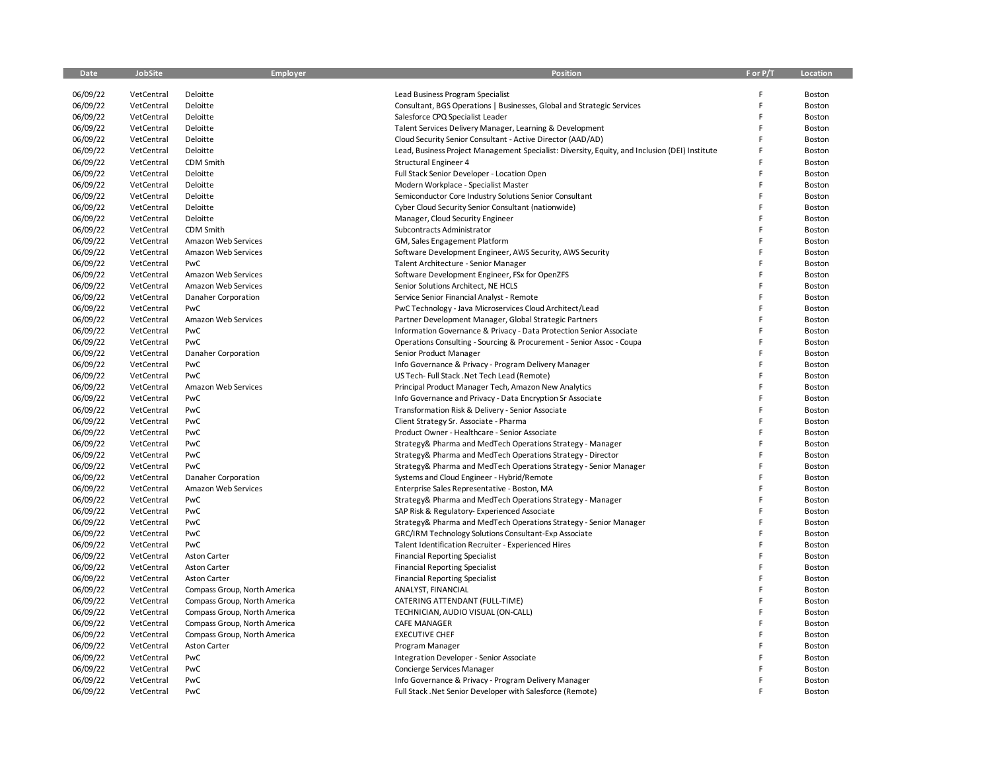| Date                 | JobSite    | <b>Employer</b>              | <b>Position</b>                                                                                            | F or P/T | Location |
|----------------------|------------|------------------------------|------------------------------------------------------------------------------------------------------------|----------|----------|
|                      | VetCentral | Deloitte                     |                                                                                                            |          | Boston   |
| 06/09/22             | VetCentral | Deloitte                     | Lead Business Program Specialist<br>Consultant, BGS Operations   Businesses, Global and Strategic Services | F        | Boston   |
| 06/09/22<br>06/09/22 | VetCentral | Deloitte                     | Salesforce CPQ Specialist Leader                                                                           |          | Boston   |
| 06/09/22             | VetCentral | Deloitte                     | Talent Services Delivery Manager, Learning & Development                                                   | F        | Boston   |
| 06/09/22             | VetCentral | Deloitte                     | Cloud Security Senior Consultant - Active Director (AAD/AD)                                                |          | Boston   |
| 06/09/22             | VetCentral | Deloitte                     | Lead, Business Project Management Specialist: Diversity, Equity, and Inclusion (DEI) Institute             |          | Boston   |
| 06/09/22             | VetCentral | CDM Smith                    | Structural Engineer 4                                                                                      |          | Boston   |
| 06/09/22             | VetCentral | Deloitte                     | Full Stack Senior Developer - Location Open                                                                |          | Boston   |
| 06/09/22             | VetCentral | Deloitte                     | Modern Workplace - Specialist Master                                                                       |          | Boston   |
| 06/09/22             | VetCentral | Deloitte                     | Semiconductor Core Industry Solutions Senior Consultant                                                    | F        | Boston   |
| 06/09/22             | VetCentral | Deloitte                     | Cyber Cloud Security Senior Consultant (nationwide)                                                        | F        | Boston   |
| 06/09/22             | VetCentral | Deloitte                     | Manager, Cloud Security Engineer                                                                           |          | Boston   |
| 06/09/22             | VetCentral | CDM Smith                    | Subcontracts Administrator                                                                                 | F        | Boston   |
| 06/09/22             | VetCentral | Amazon Web Services          | GM, Sales Engagement Platform                                                                              |          | Boston   |
| 06/09/22             | VetCentral | Amazon Web Services          | Software Development Engineer, AWS Security, AWS Security                                                  |          | Boston   |
| 06/09/22             | VetCentral | PwC                          | Talent Architecture - Senior Manager                                                                       | F        | Boston   |
| 06/09/22             | VetCentral | Amazon Web Services          | Software Development Engineer, FSx for OpenZFS                                                             |          | Boston   |
| 06/09/22             | VetCentral | Amazon Web Services          | Senior Solutions Architect, NE HCLS                                                                        |          | Boston   |
| 06/09/22             | VetCentral | Danaher Corporation          | Service Senior Financial Analyst - Remote                                                                  | F        | Boston   |
| 06/09/22             | VetCentral | PwC                          | PwC Technology - Java Microservices Cloud Architect/Lead                                                   |          | Boston   |
| 06/09/22             | VetCentral | Amazon Web Services          | Partner Development Manager, Global Strategic Partners                                                     |          | Boston   |
| 06/09/22             | VetCentral | PwC                          | Information Governance & Privacy - Data Protection Senior Associate                                        | F        | Boston   |
| 06/09/22             | VetCentral | PwC                          | Operations Consulting - Sourcing & Procurement - Senior Assoc - Coupa                                      |          | Boston   |
| 06/09/22             | VetCentral | Danaher Corporation          | Senior Product Manager                                                                                     | F        | Boston   |
| 06/09/22             | VetCentral | PwC                          | Info Governance & Privacy - Program Delivery Manager                                                       | F        | Boston   |
| 06/09/22             | VetCentral | PwC                          | US Tech- Full Stack . Net Tech Lead (Remote)                                                               |          | Boston   |
| 06/09/22             | VetCentral | Amazon Web Services          | Principal Product Manager Tech, Amazon New Analytics                                                       |          | Boston   |
| 06/09/22             | VetCentral | PwC                          | Info Governance and Privacy - Data Encryption Sr Associate                                                 | F        | Boston   |
| 06/09/22             | VetCentral | PwC                          | Transformation Risk & Delivery - Senior Associate                                                          |          | Boston   |
| 06/09/22             | VetCentral | PwC                          | Client Strategy Sr. Associate - Pharma                                                                     | F        | Boston   |
| 06/09/22             | VetCentral | PwC                          | Product Owner - Healthcare - Senior Associate                                                              | F        | Boston   |
| 06/09/22             | VetCentral | PwC                          | Strategy& Pharma and MedTech Operations Strategy - Manager                                                 |          | Boston   |
| 06/09/22             | VetCentral | PwC                          | Strategy& Pharma and MedTech Operations Strategy - Director                                                |          | Boston   |
| 06/09/22             | VetCentral | PwC                          | Strategy& Pharma and MedTech Operations Strategy - Senior Manager                                          |          | Boston   |
| 06/09/22             | VetCentral | Danaher Corporation          | Systems and Cloud Engineer - Hybrid/Remote                                                                 |          | Boston   |
| 06/09/22             | VetCentral | Amazon Web Services          | Enterprise Sales Representative - Boston, MA                                                               |          | Boston   |
| 06/09/22             | VetCentral | PwC                          | Strategy& Pharma and MedTech Operations Strategy - Manager                                                 | E        | Boston   |
| 06/09/22             | VetCentral | PwC                          | SAP Risk & Regulatory-Experienced Associate                                                                | F        | Boston   |
| 06/09/22             | VetCentral | PwC                          | Strategy& Pharma and MedTech Operations Strategy - Senior Manager                                          |          | Boston   |
| 06/09/22             | VetCentral | PwC                          | GRC/IRM Technology Solutions Consultant-Exp Associate                                                      |          | Boston   |
| 06/09/22             | VetCentral | PwC                          | Talent Identification Recruiter - Experienced Hires                                                        | E        | Boston   |
| 06/09/22             | VetCentral | <b>Aston Carter</b>          | <b>Financial Reporting Specialist</b>                                                                      | F        | Boston   |
| 06/09/22             | VetCentral | <b>Aston Carter</b>          | <b>Financial Reporting Specialist</b>                                                                      | E        | Boston   |
| 06/09/22             | VetCentral | <b>Aston Carter</b>          | <b>Financial Reporting Specialist</b>                                                                      | F        | Boston   |
| 06/09/22             | VetCentral | Compass Group, North America | ANALYST, FINANCIAL                                                                                         |          | Boston   |
| 06/09/22             | VetCentral | Compass Group, North America | CATERING ATTENDANT (FULL-TIME)                                                                             |          | Boston   |
| 06/09/22             | VetCentral | Compass Group, North America | TECHNICIAN, AUDIO VISUAL (ON-CALL)                                                                         | E        | Boston   |
| 06/09/22             | VetCentral | Compass Group, North America | <b>CAFE MANAGER</b>                                                                                        |          | Boston   |
| 06/09/22             | VetCentral | Compass Group, North America | <b>EXECUTIVE CHEF</b>                                                                                      | E        | Boston   |
| 06/09/22             | VetCentral | <b>Aston Carter</b>          | Program Manager                                                                                            | F        | Boston   |
| 06/09/22             | VetCentral | PwC                          | Integration Developer - Senior Associate                                                                   |          | Boston   |
| 06/09/22             | VetCentral | PwC                          | Concierge Services Manager                                                                                 |          | Boston   |
| 06/09/22             | VetCentral | PwC                          | Info Governance & Privacy - Program Delivery Manager                                                       | E        | Boston   |
| 06/09/22             | VetCentral | PwC                          | Full Stack . Net Senior Developer with Salesforce (Remote)                                                 |          | Boston   |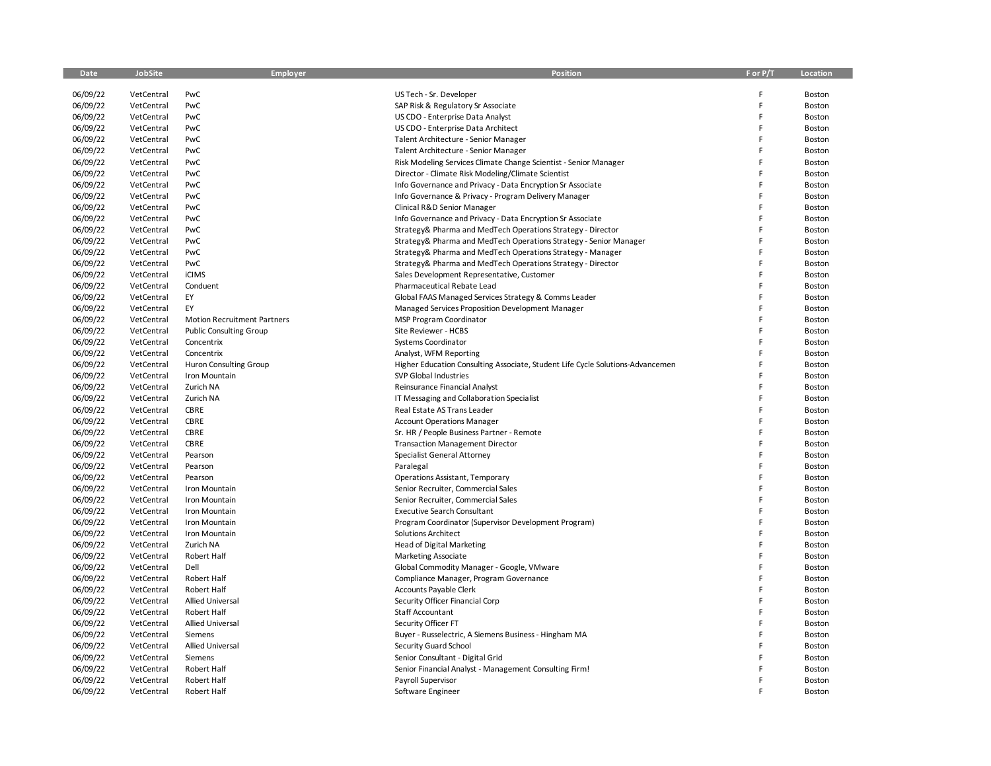| <b>Date</b>          | JobSite                  | Employer                               | Position                                                                       | F or P/T | Location         |
|----------------------|--------------------------|----------------------------------------|--------------------------------------------------------------------------------|----------|------------------|
|                      |                          |                                        |                                                                                | F        |                  |
| 06/09/22             | VetCentral               | PwC                                    | US Tech - Sr. Developer                                                        | E        | Boston           |
| 06/09/22<br>06/09/22 | VetCentral<br>VetCentral | PwC<br>PwC                             | SAP Risk & Regulatory Sr Associate<br>US CDO - Enterprise Data Analyst         | E        | Boston<br>Boston |
| 06/09/22             | VetCentral               | PwC                                    | US CDO - Enterprise Data Architect                                             |          | Boston           |
| 06/09/22             | VetCentral               | PwC                                    | Talent Architecture - Senior Manager                                           | F        | Boston           |
| 06/09/22             | VetCentral               | PwC                                    | Talent Architecture - Senior Manager                                           |          | Boston           |
| 06/09/22             | VetCentral               | PwC                                    | Risk Modeling Services Climate Change Scientist - Senior Manager               |          | Boston           |
| 06/09/22             | VetCentral               | PwC                                    | Director - Climate Risk Modeling/Climate Scientist                             |          | Boston           |
| 06/09/22             | VetCentral               | PwC                                    | Info Governance and Privacy - Data Encryption Sr Associate                     |          | Boston           |
| 06/09/22             | VetCentral               | PwC                                    | Info Governance & Privacy - Program Delivery Manager                           |          | Boston           |
| 06/09/22             | VetCentral               | PwC                                    | Clinical R&D Senior Manager                                                    | E        | Boston           |
| 06/09/22             | VetCentral               | PwC                                    | Info Governance and Privacy - Data Encryption Sr Associate                     |          | Boston           |
| 06/09/22             | VetCentral               | PwC                                    | Strategy& Pharma and MedTech Operations Strategy - Director                    |          | Boston           |
| 06/09/22             | VetCentral               | PwC                                    | Strategy& Pharma and MedTech Operations Strategy - Senior Manager              | F        | Boston           |
| 06/09/22             | VetCentral               | PwC                                    | Strategy& Pharma and MedTech Operations Strategy - Manager                     |          | Boston           |
| 06/09/22             | VetCentral               | PwC                                    | Strategy& Pharma and MedTech Operations Strategy - Director                    |          | Boston           |
| 06/09/22             | VetCentral               | <b>iCIMS</b>                           | Sales Development Representative, Customer                                     | E        | Boston           |
| 06/09/22             | VetCentral               | Conduent                               | Pharmaceutical Rebate Lead                                                     |          | Boston           |
| 06/09/22             | VetCentral               | EY                                     | Global FAAS Managed Services Strategy & Comms Leader                           |          | Boston           |
| 06/09/22             | VetCentral               | EY                                     | Managed Services Proposition Development Manager                               | E        | Boston           |
| 06/09/22             | VetCentral               | <b>Motion Recruitment Partners</b>     | <b>MSP Program Coordinator</b>                                                 |          | Boston           |
| 06/09/22             | VetCentral               | <b>Public Consulting Group</b>         | Site Reviewer - HCBS                                                           |          | Boston           |
| 06/09/22             | VetCentral               | Concentrix                             | Systems Coordinator                                                            | Е        | Boston           |
| 06/09/22             | VetCentral               | Concentrix                             | Analyst, WFM Reporting                                                         |          | Boston           |
| 06/09/22             | VetCentral               | Huron Consulting Group                 | Higher Education Consulting Associate, Student Life Cycle Solutions-Advancemen |          | Boston           |
| 06/09/22             | VetCentral               | Iron Mountain                          | SVP Global Industries                                                          |          | Boston           |
| 06/09/22             | VetCentral               | Zurich NA                              | Reinsurance Financial Analyst                                                  |          | Boston           |
| 06/09/22             | VetCentral               | Zurich NA                              | IT Messaging and Collaboration Specialist                                      |          | Boston           |
| 06/09/22             | VetCentral               | CBRE                                   | Real Estate AS Trans Leader                                                    |          | Boston           |
| 06/09/22             | VetCentral               | CBRE                                   | <b>Account Operations Manager</b>                                              |          | Boston           |
| 06/09/22             | VetCentral               | CBRE                                   | Sr. HR / People Business Partner - Remote                                      |          | Boston           |
| 06/09/22             | VetCentral               | CBRE                                   | <b>Transaction Management Director</b>                                         |          | Boston           |
| 06/09/22             | VetCentral               | Pearson                                | Specialist General Attorney                                                    |          | Boston           |
| 06/09/22             | VetCentral               | Pearson                                | Paralegal                                                                      |          | Boston           |
| 06/09/22             | VetCentral               | Pearson                                | Operations Assistant, Temporary                                                | Е        | Boston           |
| 06/09/22             | VetCentral               | Iron Mountain                          | Senior Recruiter, Commercial Sales                                             |          | Boston           |
| 06/09/22             | VetCentral               | Iron Mountain                          | Senior Recruiter, Commercial Sales                                             |          | Boston           |
| 06/09/22             | VetCentral               | Iron Mountain                          | <b>Executive Search Consultant</b>                                             |          | Boston           |
| 06/09/22             | VetCentral               | Iron Mountain                          | Program Coordinator (Supervisor Development Program)                           |          | Boston           |
| 06/09/22             | VetCentral               | Iron Mountain                          | <b>Solutions Architect</b>                                                     |          | Boston           |
| 06/09/22             | VetCentral               | Zurich NA                              | <b>Head of Digital Marketing</b>                                               |          | Boston           |
| 06/09/22             | VetCentral               | Robert Half                            | <b>Marketing Associate</b>                                                     |          | Boston           |
| 06/09/22             | VetCentral               | Dell                                   | Global Commodity Manager - Google, VMware                                      |          | Boston           |
| 06/09/22             | VetCentral               | Robert Half                            | Compliance Manager, Program Governance                                         |          | Boston           |
| 06/09/22             | VetCentral               | Robert Half                            | Accounts Payable Clerk                                                         |          | Boston           |
| 06/09/22             | VetCentral               | <b>Allied Universal</b>                | Security Officer Financial Corp                                                |          | Boston           |
| 06/09/22<br>06/09/22 | VetCentral<br>VetCentral | Robert Half<br><b>Allied Universal</b> | Staff Accountant<br>Security Officer FT                                        |          | Boston<br>Boston |
| 06/09/22             | VetCentral               | Siemens                                | Buyer - Russelectric, A Siemens Business - Hingham MA                          |          | Boston           |
| 06/09/22             | VetCentral               | <b>Allied Universal</b>                | Security Guard School                                                          |          | Boston           |
| 06/09/22             | VetCentral               | Siemens                                | Senior Consultant - Digital Grid                                               |          | Boston           |
| 06/09/22             | VetCentral               | Robert Half                            | Senior Financial Analyst - Management Consulting Firm!                         |          | Boston           |
| 06/09/22             | VetCentral               | Robert Half                            | Payroll Supervisor                                                             |          | Boston           |
| 06/09/22             | VetCentral               | Robert Half                            | Software Engineer                                                              |          | Boston           |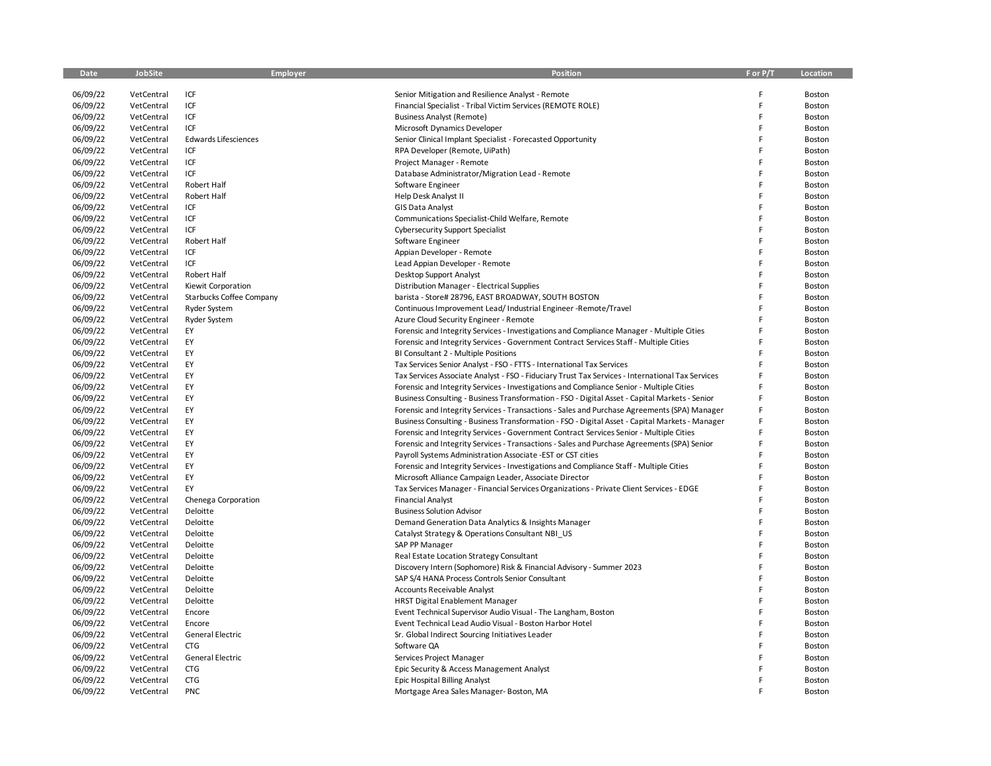| Date                 | JobSite                  | Employer                    | Position                                                                                         | F or P/T | Location         |
|----------------------|--------------------------|-----------------------------|--------------------------------------------------------------------------------------------------|----------|------------------|
|                      |                          | ICF                         |                                                                                                  | Ë        |                  |
| 06/09/22             | VetCentral               | ICF                         | Senior Mitigation and Resilience Analyst - Remote                                                | F        | Boston           |
| 06/09/22<br>06/09/22 | VetCentral<br>VetCentral | ICF                         | Financial Specialist - Tribal Victim Services (REMOTE ROLE)                                      | F        | Boston<br>Boston |
| 06/09/22             | VetCentral               | ICF                         | <b>Business Analyst (Remote)</b><br>Microsoft Dynamics Developer                                 |          | Boston           |
| 06/09/22             | VetCentral               | <b>Edwards Lifesciences</b> | Senior Clinical Implant Specialist - Forecasted Opportunity                                      | F        | Boston           |
| 06/09/22             | VetCentral               | ICF                         | RPA Developer (Remote, UiPath)                                                                   |          | Boston           |
| 06/09/22             | VetCentral               | ICF                         | Project Manager - Remote                                                                         |          | Boston           |
| 06/09/22             | VetCentral               | ICF                         | Database Administrator/Migration Lead - Remote                                                   | E        | Boston           |
| 06/09/22             | VetCentral               | Robert Half                 | Software Engineer                                                                                |          | Boston           |
| 06/09/22             | VetCentral               | Robert Half                 | Help Desk Analyst II                                                                             |          | Boston           |
| 06/09/22             | VetCentral               | ICF                         | <b>GIS Data Analyst</b>                                                                          | F        | Boston           |
| 06/09/22             | VetCentral               | ICF                         | Communications Specialist-Child Welfare, Remote                                                  |          | Boston           |
| 06/09/22             | VetCentral               | ICF                         | <b>Cybersecurity Support Specialist</b>                                                          |          | Boston           |
| 06/09/22             | VetCentral               | Robert Half                 | Software Engineer                                                                                | F        | Boston           |
| 06/09/22             | VetCentral               | ICF                         | Appian Developer - Remote                                                                        |          | Boston           |
| 06/09/22             | VetCentral               | ICF                         | Lead Appian Developer - Remote                                                                   |          | Boston           |
| 06/09/22             | VetCentral               | Robert Half                 | Desktop Support Analyst                                                                          | E        | Boston           |
| 06/09/22             | VetCentral               | Kiewit Corporation          | Distribution Manager - Electrical Supplies                                                       |          | Boston           |
| 06/09/22             | VetCentral               | Starbucks Coffee Company    | barista - Store# 28796, EAST BROADWAY, SOUTH BOSTON                                              |          | Boston           |
| 06/09/22             | VetCentral               | <b>Ryder System</b>         | Continuous Improvement Lead/Industrial Engineer -Remote/Travel                                   | E        | Boston           |
| 06/09/22             | VetCentral               | <b>Ryder System</b>         | Azure Cloud Security Engineer - Remote                                                           |          | Boston           |
| 06/09/22             | VetCentral               | EY                          | Forensic and Integrity Services - Investigations and Compliance Manager - Multiple Cities        |          | Boston           |
| 06/09/22             | VetCentral               | EY                          | Forensic and Integrity Services - Government Contract Services Staff - Multiple Cities           |          | Boston           |
| 06/09/22             | VetCentral               | EY                          | BI Consultant 2 - Multiple Positions                                                             |          | Boston           |
| 06/09/22             | VetCentral               | EY                          | Tax Services Senior Analyst - FSO - FTTS - International Tax Services                            |          | Boston           |
| 06/09/22             | VetCentral               | EY                          | Tax Services Associate Analyst - FSO - Fiduciary Trust Tax Services - International Tax Services |          | Boston           |
| 06/09/22             | VetCentral               | EY                          | Forensic and Integrity Services - Investigations and Compliance Senior - Multiple Cities         |          | Boston           |
| 06/09/22             | VetCentral               | EY                          | Business Consulting - Business Transformation - FSO - Digital Asset - Capital Markets - Senior   |          | Boston           |
| 06/09/22             | VetCentral               | EY                          | Forensic and Integrity Services - Transactions - Sales and Purchase Agreements (SPA) Manager     | F        | Boston           |
| 06/09/22             | VetCentral               | EY                          | Business Consulting - Business Transformation - FSO - Digital Asset - Capital Markets - Manager  |          | Boston           |
| 06/09/22             | VetCentral               | EY                          | Forensic and Integrity Services - Government Contract Services Senior - Multiple Cities          |          | Boston           |
| 06/09/22             | VetCentral               | EY                          | Forensic and Integrity Services - Transactions - Sales and Purchase Agreements (SPA) Senior      |          | Boston           |
| 06/09/22             | VetCentral               | EY                          | Payroll Systems Administration Associate -EST or CST cities                                      |          | Boston           |
| 06/09/22             | VetCentral               | EY                          | Forensic and Integrity Services - Investigations and Compliance Staff - Multiple Cities          |          | Boston           |
| 06/09/22             | VetCentral               | EY                          | Microsoft Alliance Campaign Leader, Associate Director                                           |          | Boston           |
| 06/09/22             | VetCentral               | EY                          | Tax Services Manager - Financial Services Organizations - Private Client Services - EDGE         |          | Boston           |
| 06/09/22             | VetCentral               | Chenega Corporation         | <b>Financial Analyst</b>                                                                         |          | Boston           |
| 06/09/22             | VetCentral               | Deloitte                    | <b>Business Solution Advisor</b>                                                                 |          | Boston           |
| 06/09/22             | VetCentral               | Deloitte                    | Demand Generation Data Analytics & Insights Manager                                              |          | Boston           |
| 06/09/22             | VetCentral               | Deloitte                    | Catalyst Strategy & Operations Consultant NBI_US                                                 |          | Boston           |
| 06/09/22             | VetCentral               | Deloitte                    | SAP PP Manager                                                                                   |          | Boston           |
| 06/09/22             | VetCentral               | Deloitte                    | Real Estate Location Strategy Consultant                                                         |          | Boston           |
| 06/09/22             | VetCentral               | Deloitte                    | Discovery Intern (Sophomore) Risk & Financial Advisory - Summer 2023                             |          | Boston           |
| 06/09/22             | VetCentral               | Deloitte                    | SAP S/4 HANA Process Controls Senior Consultant                                                  |          | Boston           |
| 06/09/22             | VetCentral               | Deloitte                    | <b>Accounts Receivable Analyst</b>                                                               |          | Boston           |
| 06/09/22             | VetCentral               | Deloitte                    | <b>HRST Digital Enablement Manager</b>                                                           |          | Boston           |
| 06/09/22             | VetCentral               | Encore                      | Event Technical Supervisor Audio Visual - The Langham, Boston                                    |          | Boston           |
| 06/09/22             | VetCentral               | Encore                      | Event Technical Lead Audio Visual - Boston Harbor Hotel                                          |          | Boston           |
| 06/09/22             | VetCentral               | <b>General Electric</b>     | Sr. Global Indirect Sourcing Initiatives Leader                                                  |          | Boston           |
| 06/09/22             | VetCentral               | <b>CTG</b>                  | Software QA                                                                                      |          | Boston           |
| 06/09/22             | VetCentral               | <b>General Electric</b>     | Services Project Manager                                                                         |          | Boston           |
| 06/09/22             | VetCentral               | <b>CTG</b>                  | Epic Security & Access Management Analyst                                                        | F        | Boston           |
| 06/09/22             | VetCentral               | <b>CTG</b>                  | Epic Hospital Billing Analyst                                                                    |          | Boston           |
| 06/09/22             | VetCentral               | <b>PNC</b>                  | Mortgage Area Sales Manager-Boston, MA                                                           |          | Boston           |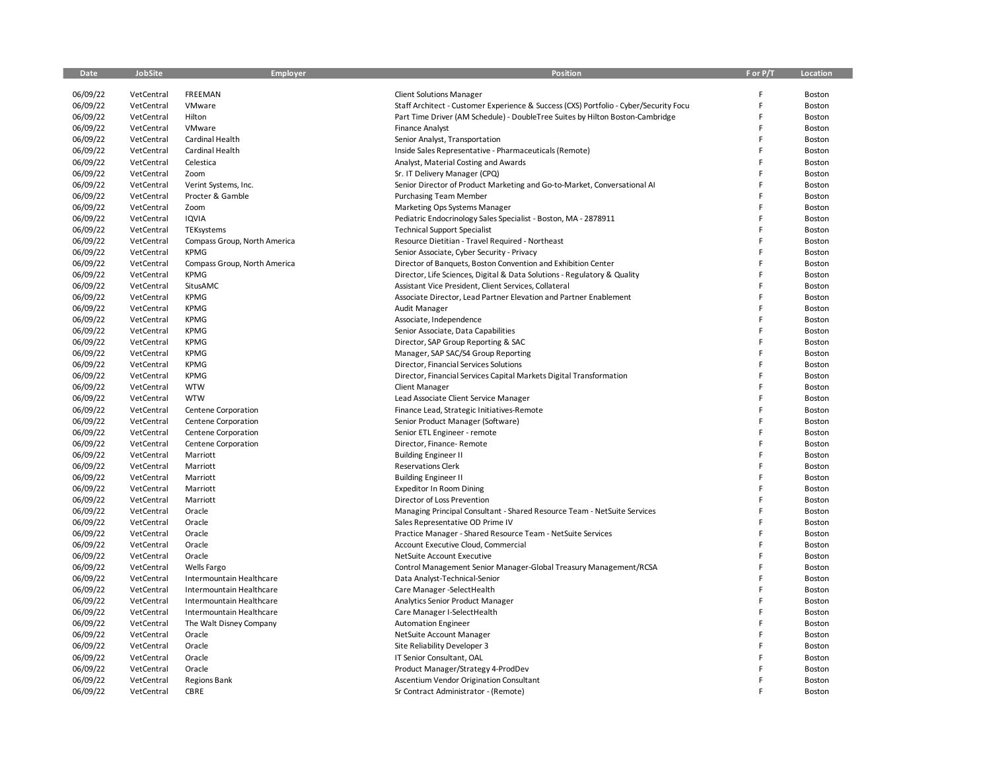| Date     | <b>JobSite</b> | Employer                     | <b>Position</b>                                                                       | F or P/T | Location |
|----------|----------------|------------------------------|---------------------------------------------------------------------------------------|----------|----------|
|          |                |                              |                                                                                       |          |          |
| 06/09/22 | VetCentral     | <b>FREEMAN</b>               | <b>Client Solutions Manager</b>                                                       | F        | Boston   |
| 06/09/22 | VetCentral     | VMware                       | Staff Architect - Customer Experience & Success (CXS) Portfolio - Cyber/Security Focu | F        | Boston   |
| 06/09/22 | VetCentral     | Hilton                       | Part Time Driver (AM Schedule) - DoubleTree Suites by Hilton Boston-Cambridge         | F        | Boston   |
| 06/09/22 | VetCentral     | VMware                       | <b>Finance Analyst</b>                                                                | F        | Boston   |
| 06/09/22 | VetCentral     | Cardinal Health              | Senior Analyst, Transportation                                                        | F        | Boston   |
| 06/09/22 | VetCentral     | Cardinal Health              | Inside Sales Representative - Pharmaceuticals (Remote)                                | F        | Boston   |
| 06/09/22 | VetCentral     | Celestica                    | Analyst, Material Costing and Awards                                                  | F        | Boston   |
| 06/09/22 | VetCentral     | Zoom                         | Sr. IT Delivery Manager (CPQ)                                                         | F        | Boston   |
| 06/09/22 | VetCentral     | Verint Systems, Inc.         | Senior Director of Product Marketing and Go-to-Market, Conversational Al              | Ë        | Boston   |
| 06/09/22 | VetCentral     | Procter & Gamble             | <b>Purchasing Team Member</b>                                                         | F        | Boston   |
| 06/09/22 | VetCentral     | Zoom                         | Marketing Ops Systems Manager                                                         | F        | Boston   |
| 06/09/22 | VetCentral     | <b>IQVIA</b>                 | Pediatric Endocrinology Sales Specialist - Boston, MA - 2878911                       | F        | Boston   |
| 06/09/22 | VetCentral     | TEKsystems                   | <b>Technical Support Specialist</b>                                                   | F        | Boston   |
| 06/09/22 | VetCentral     | Compass Group, North America | Resource Dietitian - Travel Required - Northeast                                      | F        | Boston   |
| 06/09/22 | VetCentral     | <b>KPMG</b>                  | Senior Associate, Cyber Security - Privacy                                            | F        | Boston   |
| 06/09/22 | VetCentral     | Compass Group, North America | Director of Banquets, Boston Convention and Exhibition Center                         | F        | Boston   |
| 06/09/22 | VetCentral     | <b>KPMG</b>                  | Director, Life Sciences, Digital & Data Solutions - Regulatory & Quality              | F        | Boston   |
| 06/09/22 | VetCentral     | SitusAMC                     | Assistant Vice President, Client Services, Collateral                                 | F        | Boston   |
| 06/09/22 | VetCentral     | <b>KPMG</b>                  | Associate Director, Lead Partner Elevation and Partner Enablement                     | F        | Boston   |
| 06/09/22 | VetCentral     | <b>KPMG</b>                  | Audit Manager                                                                         | F        | Boston   |
| 06/09/22 | VetCentral     | <b>KPMG</b>                  | Associate, Independence                                                               | F        | Boston   |
| 06/09/22 | VetCentral     | <b>KPMG</b>                  | Senior Associate, Data Capabilities                                                   | F        | Boston   |
| 06/09/22 | VetCentral     | <b>KPMG</b>                  | Director, SAP Group Reporting & SAC                                                   | F        | Boston   |
| 06/09/22 | VetCentral     | <b>KPMG</b>                  | Manager, SAP SAC/S4 Group Reporting                                                   | F        | Boston   |
| 06/09/22 | VetCentral     | <b>KPMG</b>                  | Director, Financial Services Solutions                                                | F        | Boston   |
| 06/09/22 | VetCentral     | <b>KPMG</b>                  | Director, Financial Services Capital Markets Digital Transformation                   | F        | Boston   |
| 06/09/22 | VetCentral     | <b>WTW</b>                   | Client Manager                                                                        | Ë        | Boston   |
| 06/09/22 | VetCentral     | <b>WTW</b>                   | Lead Associate Client Service Manager                                                 | F        | Boston   |
| 06/09/22 | VetCentral     | Centene Corporation          | Finance Lead, Strategic Initiatives-Remote                                            | F        | Boston   |
| 06/09/22 | VetCentral     | Centene Corporation          | Senior Product Manager (Software)                                                     | F        | Boston   |
| 06/09/22 | VetCentral     | Centene Corporation          | Senior ETL Engineer - remote                                                          | F        | Boston   |
| 06/09/22 | VetCentral     | Centene Corporation          | Director, Finance-Remote                                                              | F        | Boston   |
| 06/09/22 | VetCentral     | Marriott                     | <b>Building Engineer II</b>                                                           | F        | Boston   |
| 06/09/22 | VetCentral     | Marriott                     | <b>Reservations Clerk</b>                                                             | F        | Boston   |
| 06/09/22 | VetCentral     | Marriott                     | <b>Building Engineer II</b>                                                           | F        | Boston   |
| 06/09/22 | VetCentral     | Marriott                     | <b>Expeditor In Room Dining</b>                                                       | Ë        | Boston   |
| 06/09/22 | VetCentral     | Marriott                     | Director of Loss Prevention                                                           | F        | Boston   |
| 06/09/22 | VetCentral     | Oracle                       | Managing Principal Consultant - Shared Resource Team - NetSuite Services              | F        | Boston   |
| 06/09/22 | VetCentral     | Oracle                       | Sales Representative OD Prime IV                                                      | F        | Boston   |
| 06/09/22 | VetCentral     | Oracle                       | Practice Manager - Shared Resource Team - NetSuite Services                           | F        | Boston   |
| 06/09/22 | VetCentral     | Oracle                       | Account Executive Cloud, Commercial                                                   | F        | Boston   |
| 06/09/22 | VetCentral     | Oracle                       | NetSuite Account Executive                                                            | F        | Boston   |
| 06/09/22 | VetCentral     | Wells Fargo                  | Control Management Senior Manager-Global Treasury Management/RCSA                     | F        | Boston   |
| 06/09/22 | VetCentral     | Intermountain Healthcare     | Data Analyst-Technical-Senior                                                         | F        | Boston   |
| 06/09/22 | VetCentral     | Intermountain Healthcare     | Care Manager -SelectHealth                                                            | F        | Boston   |
| 06/09/22 | VetCentral     | Intermountain Healthcare     | Analytics Senior Product Manager                                                      | F        | Boston   |
| 06/09/22 | VetCentral     | Intermountain Healthcare     | Care Manager I-SelectHealth                                                           | F        | Boston   |
|          |                |                              |                                                                                       | F        |          |
| 06/09/22 | VetCentral     | The Walt Disney Company      | <b>Automation Engineer</b>                                                            | F        | Boston   |
| 06/09/22 | VetCentral     | Oracle                       | NetSuite Account Manager                                                              | F        | Boston   |
| 06/09/22 | VetCentral     | Oracle                       | Site Reliability Developer 3                                                          | F        | Boston   |
| 06/09/22 | VetCentral     | Oracle                       | IT Senior Consultant, OAL                                                             | F        | Boston   |
| 06/09/22 | VetCentral     | Oracle                       | Product Manager/Strategy 4-ProdDev                                                    | F        | Boston   |
| 06/09/22 | VetCentral     | <b>Regions Bank</b>          | Ascentium Vendor Origination Consultant                                               | F        | Boston   |
| 06/09/22 | VetCentral     | CBRE                         | Sr Contract Administrator - (Remote)                                                  |          | Boston   |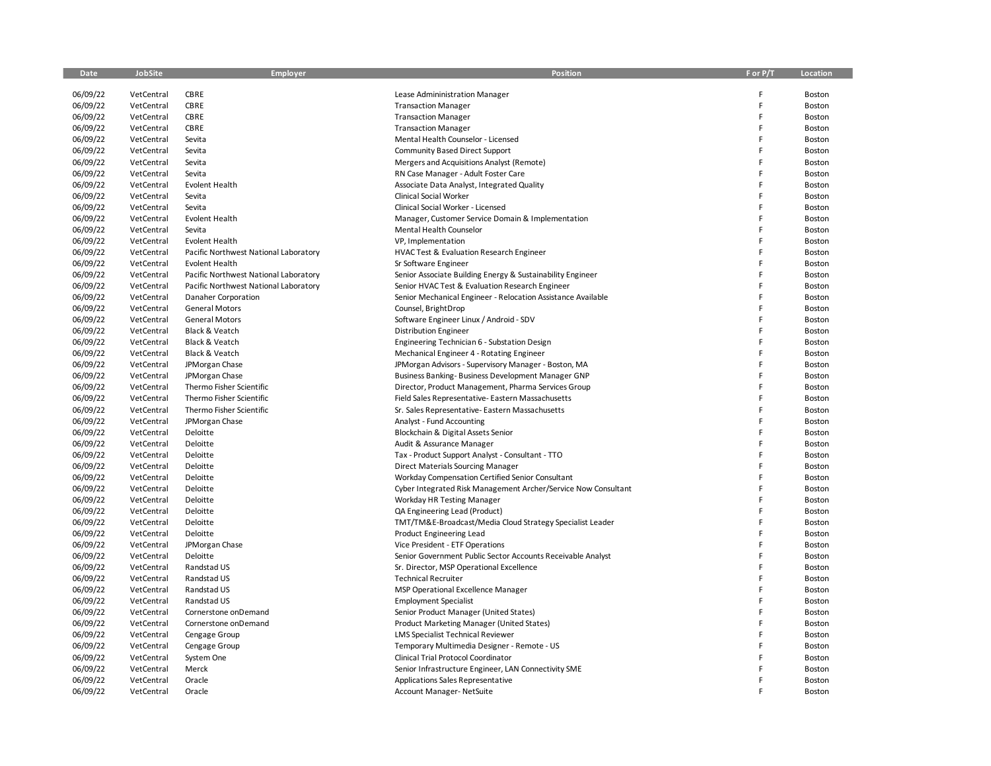| Date     | <b>JobSite</b> | <b>Employer</b>                       | Position                                                       | F or P/T | Location |
|----------|----------------|---------------------------------------|----------------------------------------------------------------|----------|----------|
|          |                |                                       |                                                                |          |          |
| 06/09/22 | VetCentral     | CBRE                                  | Lease Admininistration Manager                                 | F        | Boston   |
| 06/09/22 | VetCentral     | CBRE                                  | <b>Transaction Manager</b>                                     | F        | Boston   |
| 06/09/22 | VetCentral     | CBRE                                  | <b>Transaction Manager</b>                                     | F        | Boston   |
| 06/09/22 | VetCentral     | CBRE                                  | <b>Transaction Manager</b>                                     | F        | Boston   |
| 06/09/22 | VetCentral     | Sevita                                | Mental Health Counselor - Licensed                             | F        | Boston   |
| 06/09/22 | VetCentral     | Sevita                                | Community Based Direct Support                                 | F        | Boston   |
| 06/09/22 | VetCentral     | Sevita                                | Mergers and Acquisitions Analyst (Remote)                      | F        | Boston   |
| 06/09/22 | VetCentral     | Sevita                                | RN Case Manager - Adult Foster Care                            | F        | Boston   |
| 06/09/22 | VetCentral     | <b>Evolent Health</b>                 | Associate Data Analyst, Integrated Quality                     | F        | Boston   |
| 06/09/22 | VetCentral     | Sevita                                | Clinical Social Worker                                         | F        | Boston   |
| 06/09/22 | VetCentral     | Sevita                                | Clinical Social Worker - Licensed                              | F        | Boston   |
| 06/09/22 | VetCentral     | <b>Evolent Health</b>                 | Manager, Customer Service Domain & Implementation              | F        | Boston   |
| 06/09/22 | VetCentral     | Sevita                                | Mental Health Counselor                                        | F        | Boston   |
| 06/09/22 | VetCentral     | <b>Evolent Health</b>                 | VP, Implementation                                             | F        | Boston   |
| 06/09/22 | VetCentral     | Pacific Northwest National Laboratory | HVAC Test & Evaluation Research Engineer                       | F        | Boston   |
| 06/09/22 | VetCentral     | <b>Evolent Health</b>                 | Sr Software Engineer                                           | F        | Boston   |
| 06/09/22 | VetCentral     | Pacific Northwest National Laboratory | Senior Associate Building Energy & Sustainability Engineer     | F        | Boston   |
| 06/09/22 | VetCentral     | Pacific Northwest National Laboratory | Senior HVAC Test & Evaluation Research Engineer                | F        | Boston   |
| 06/09/22 | VetCentral     | Danaher Corporation                   | Senior Mechanical Engineer - Relocation Assistance Available   | F        | Boston   |
| 06/09/22 | VetCentral     | <b>General Motors</b>                 | Counsel, BrightDrop                                            | F        | Boston   |
| 06/09/22 | VetCentral     | <b>General Motors</b>                 | Software Engineer Linux / Android - SDV                        | F        | Boston   |
| 06/09/22 | VetCentral     | Black & Veatch                        | <b>Distribution Engineer</b>                                   | F        | Boston   |
| 06/09/22 | VetCentral     | Black & Veatch                        | Engineering Technician 6 - Substation Design                   | F        | Boston   |
| 06/09/22 | VetCentral     | Black & Veatch                        | Mechanical Engineer 4 - Rotating Engineer                      | F        | Boston   |
| 06/09/22 | VetCentral     | JPMorgan Chase                        | JPMorgan Advisors - Supervisory Manager - Boston, MA           | F        | Boston   |
| 06/09/22 | VetCentral     | JPMorgan Chase                        | Business Banking-Business Development Manager GNP              | F        | Boston   |
| 06/09/22 | VetCentral     | Thermo Fisher Scientific              | Director, Product Management, Pharma Services Group            | F        | Boston   |
| 06/09/22 | VetCentral     | Thermo Fisher Scientific              | Field Sales Representative- Eastern Massachusetts              | F        | Boston   |
| 06/09/22 | VetCentral     | Thermo Fisher Scientific              | Sr. Sales Representative- Eastern Massachusetts                | F        | Boston   |
| 06/09/22 | VetCentral     | JPMorgan Chase                        | Analyst - Fund Accounting                                      | F        | Boston   |
| 06/09/22 | VetCentral     | Deloitte                              | Blockchain & Digital Assets Senior                             | F        | Boston   |
| 06/09/22 | VetCentral     | Deloitte                              | Audit & Assurance Manager                                      | F        | Boston   |
| 06/09/22 | VetCentral     | Deloitte                              | Tax - Product Support Analyst - Consultant - TTO               | F        | Boston   |
| 06/09/22 | VetCentral     | Deloitte                              | Direct Materials Sourcing Manager                              | F        | Boston   |
| 06/09/22 | VetCentral     | Deloitte                              | Workday Compensation Certified Senior Consultant               | F        | Boston   |
| 06/09/22 | VetCentral     | Deloitte                              | Cyber Integrated Risk Management Archer/Service Now Consultant | F        | Boston   |
| 06/09/22 | VetCentral     | Deloitte                              | Workday HR Testing Manager                                     | F        | Boston   |
| 06/09/22 | VetCentral     | Deloitte                              | QA Engineering Lead (Product)                                  | F        | Boston   |
| 06/09/22 | VetCentral     | Deloitte                              | TMT/TM&E-Broadcast/Media Cloud Strategy Specialist Leader      | F        | Boston   |
| 06/09/22 | VetCentral     | Deloitte                              | Product Engineering Lead                                       | F        | Boston   |
| 06/09/22 | VetCentral     | JPMorgan Chase                        | Vice President - ETF Operations                                | F        | Boston   |
| 06/09/22 | VetCentral     | Deloitte                              | Senior Government Public Sector Accounts Receivable Analyst    | F        | Boston   |
| 06/09/22 | VetCentral     | Randstad US                           | Sr. Director, MSP Operational Excellence                       | F        | Boston   |
| 06/09/22 | VetCentral     | Randstad US                           | <b>Technical Recruiter</b>                                     | F        | Boston   |
| 06/09/22 | VetCentral     | Randstad US                           | <b>MSP Operational Excellence Manager</b>                      | F        | Boston   |
| 06/09/22 | VetCentral     | Randstad US                           | <b>Employment Specialist</b>                                   | F        | Boston   |
| 06/09/22 | VetCentral     | Cornerstone onDemand                  | Senior Product Manager (United States)                         | F        | Boston   |
| 06/09/22 | VetCentral     | Cornerstone onDemand                  | Product Marketing Manager (United States)                      | F        | Boston   |
| 06/09/22 | VetCentral     | Cengage Group                         | LMS Specialist Technical Reviewer                              | F        | Boston   |
| 06/09/22 | VetCentral     | Cengage Group                         | Temporary Multimedia Designer - Remote - US                    | F        | Boston   |
| 06/09/22 | VetCentral     | System One                            | Clinical Trial Protocol Coordinator                            | F        | Boston   |
| 06/09/22 | VetCentral     | Merck                                 | Senior Infrastructure Engineer, LAN Connectivity SME           | F        | Boston   |
| 06/09/22 | VetCentral     | Oracle                                | Applications Sales Representative                              | F        | Boston   |
| 06/09/22 |                |                                       |                                                                | F        |          |
|          | VetCentral     | Oracle                                | <b>Account Manager- NetSuite</b>                               |          | Boston   |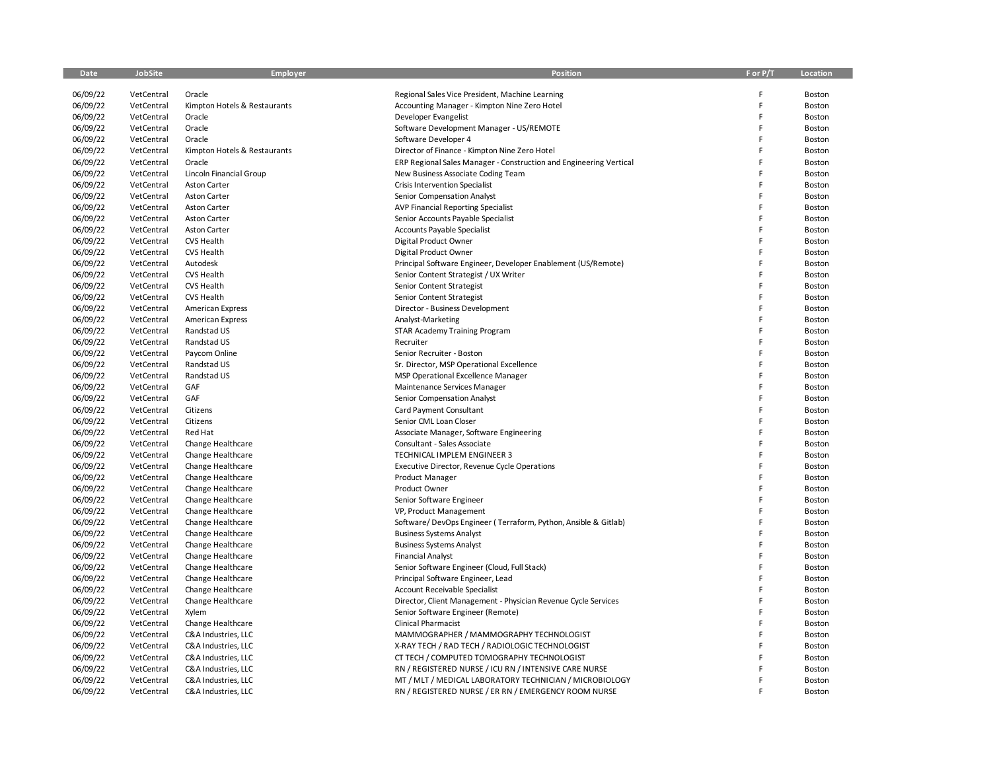| Date     | JobSite    | Employer                     | Position                                                           | F or P/T | Location |
|----------|------------|------------------------------|--------------------------------------------------------------------|----------|----------|
|          |            |                              |                                                                    |          |          |
| 06/09/22 | VetCentral | Oracle                       | Regional Sales Vice President, Machine Learning                    | F        | Boston   |
| 06/09/22 | VetCentral | Kimpton Hotels & Restaurants | Accounting Manager - Kimpton Nine Zero Hotel                       | F        | Boston   |
| 06/09/22 | VetCentral | Oracle                       | Developer Evangelist                                               | F        | Boston   |
| 06/09/22 | VetCentral | Oracle                       | Software Development Manager - US/REMOTE                           | F        | Boston   |
| 06/09/22 | VetCentral | Oracle                       | Software Developer 4                                               | F        | Boston   |
| 06/09/22 | VetCentral | Kimpton Hotels & Restaurants | Director of Finance - Kimpton Nine Zero Hotel                      | F        | Boston   |
| 06/09/22 | VetCentral | Oracle                       | ERP Regional Sales Manager - Construction and Engineering Vertical | F        | Boston   |
| 06/09/22 | VetCentral | Lincoln Financial Group      | New Business Associate Coding Team                                 | F        | Boston   |
| 06/09/22 | VetCentral | <b>Aston Carter</b>          | <b>Crisis Intervention Specialist</b>                              | F        | Boston   |
| 06/09/22 | VetCentral | <b>Aston Carter</b>          | Senior Compensation Analyst                                        | F        | Boston   |
| 06/09/22 | VetCentral | <b>Aston Carter</b>          | <b>AVP Financial Reporting Specialist</b>                          | F        | Boston   |
| 06/09/22 | VetCentral | Aston Carter                 | Senior Accounts Payable Specialist                                 | F        | Boston   |
| 06/09/22 | VetCentral | <b>Aston Carter</b>          | <b>Accounts Payable Specialist</b>                                 | F        | Boston   |
| 06/09/22 | VetCentral | <b>CVS Health</b>            | Digital Product Owner                                              | F        | Boston   |
| 06/09/22 | VetCentral | <b>CVS Health</b>            | Digital Product Owner                                              | F        | Boston   |
| 06/09/22 | VetCentral | Autodesk                     | Principal Software Engineer, Developer Enablement (US/Remote)      | F        | Boston   |
| 06/09/22 | VetCentral | <b>CVS Health</b>            | Senior Content Strategist / UX Writer                              | F        | Boston   |
| 06/09/22 | VetCentral | <b>CVS Health</b>            | Senior Content Strategist                                          | F        | Boston   |
| 06/09/22 | VetCentral | <b>CVS Health</b>            | Senior Content Strategist                                          | F        | Boston   |
| 06/09/22 | VetCentral | <b>American Express</b>      | Director - Business Development                                    | F        | Boston   |
| 06/09/22 | VetCentral | <b>American Express</b>      | Analyst-Marketing                                                  | F        | Boston   |
| 06/09/22 | VetCentral | Randstad US                  | STAR Academy Training Program                                      | F        | Boston   |
| 06/09/22 | VetCentral | Randstad US                  | Recruiter                                                          | F        | Boston   |
| 06/09/22 | VetCentral | Paycom Online                | Senior Recruiter - Boston                                          | F        | Boston   |
| 06/09/22 | VetCentral | Randstad US                  | Sr. Director, MSP Operational Excellence                           | F        | Boston   |
| 06/09/22 | VetCentral | Randstad US                  | <b>MSP Operational Excellence Manager</b>                          | F        | Boston   |
| 06/09/22 | VetCentral | GAF                          | Maintenance Services Manager                                       | F        | Boston   |
| 06/09/22 | VetCentral | GAF                          | Senior Compensation Analyst                                        | F        | Boston   |
| 06/09/22 | VetCentral | Citizens                     | Card Payment Consultant                                            | F        | Boston   |
| 06/09/22 | VetCentral | Citizens                     | Senior CML Loan Closer                                             | F        | Boston   |
| 06/09/22 | VetCentral | Red Hat                      | Associate Manager, Software Engineering                            | F        | Boston   |
| 06/09/22 | VetCentral | Change Healthcare            | Consultant - Sales Associate                                       | F        | Boston   |
| 06/09/22 | VetCentral | Change Healthcare            | TECHNICAL IMPLEM ENGINEER 3                                        | F        | Boston   |
| 06/09/22 | VetCentral | Change Healthcare            | Executive Director, Revenue Cycle Operations                       | F        | Boston   |
| 06/09/22 | VetCentral | Change Healthcare            | <b>Product Manager</b>                                             | F        | Boston   |
| 06/09/22 | VetCentral | Change Healthcare            | Product Owner                                                      | F        | Boston   |
| 06/09/22 | VetCentral | Change Healthcare            | Senior Software Engineer                                           | F        | Boston   |
| 06/09/22 | VetCentral | Change Healthcare            | VP, Product Management                                             | F        | Boston   |
| 06/09/22 | VetCentral | Change Healthcare            | Software/DevOps Engineer (Terraform, Python, Ansible & Gitlab)     | F        | Boston   |
| 06/09/22 | VetCentral | Change Healthcare            | <b>Business Systems Analyst</b>                                    | F        | Boston   |
| 06/09/22 | VetCentral | Change Healthcare            | <b>Business Systems Analyst</b>                                    | F        | Boston   |
| 06/09/22 | VetCentral | Change Healthcare            | <b>Financial Analyst</b>                                           | F        | Boston   |
| 06/09/22 | VetCentral | Change Healthcare            | Senior Software Engineer (Cloud, Full Stack)                       | F        | Boston   |
| 06/09/22 | VetCentral | Change Healthcare            | Principal Software Engineer, Lead                                  | F        | Boston   |
| 06/09/22 | VetCentral | Change Healthcare            | Account Receivable Specialist                                      | F        | Boston   |
| 06/09/22 | VetCentral | Change Healthcare            | Director, Client Management - Physician Revenue Cycle Services     | F        | Boston   |
| 06/09/22 | VetCentral | Xylem                        | Senior Software Engineer (Remote)                                  | F        | Boston   |
| 06/09/22 | VetCentral | Change Healthcare            | <b>Clinical Pharmacist</b>                                         | F        | Boston   |
| 06/09/22 | VetCentral | C&A Industries, LLC          | MAMMOGRAPHER / MAMMOGRAPHY TECHNOLOGIST                            | F        | Boston   |
| 06/09/22 | VetCentral | C&A Industries, LLC          | X-RAY TECH / RAD TECH / RADIOLOGIC TECHNOLOGIST                    | F        | Boston   |
| 06/09/22 | VetCentral | C&A Industries, LLC          | CT TECH / COMPUTED TOMOGRAPHY TECHNOLOGIST                         | F        | Boston   |
| 06/09/22 | VetCentral | C&A Industries, LLC          | RN / REGISTERED NURSE / ICU RN / INTENSIVE CARE NURSE              | F        | Boston   |
| 06/09/22 | VetCentral | C&A Industries, LLC          | MT / MLT / MEDICAL LABORATORY TECHNICIAN / MICROBIOLOGY            | F        | Boston   |
| 06/09/22 | VetCentral | C&A Industries, LLC          | RN / REGISTERED NURSE / ER RN / EMERGENCY ROOM NURSE               | F        | Boston   |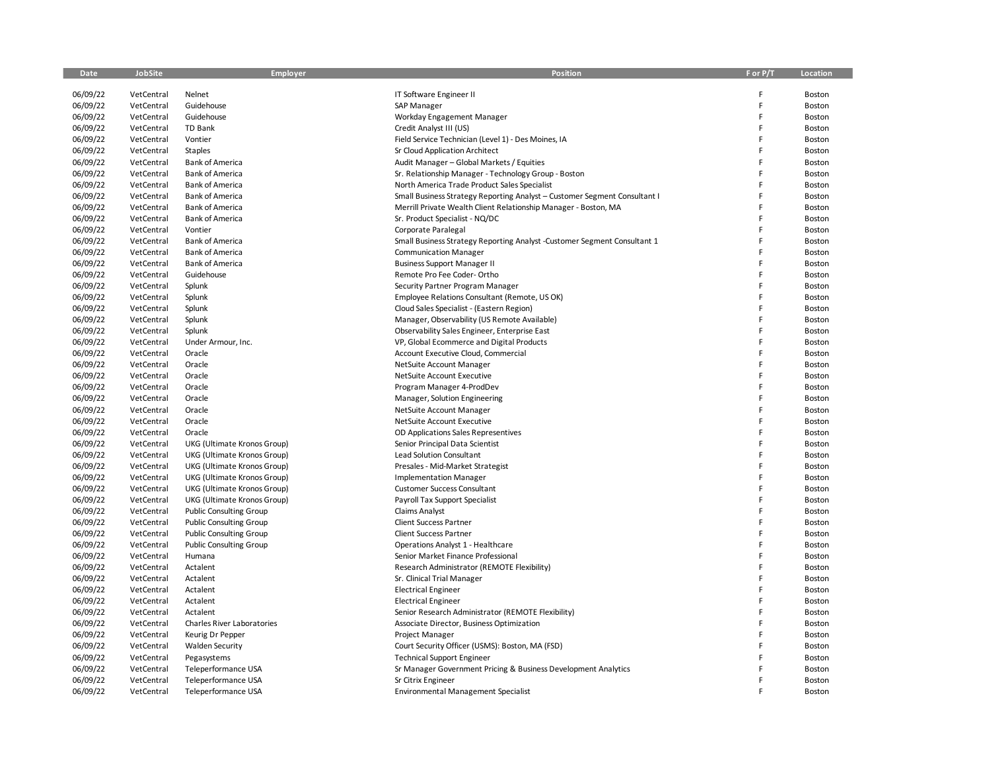| Date                 | JobSite                  | Employer                       | <b>Position</b>                                                           | F or P/T | Location         |
|----------------------|--------------------------|--------------------------------|---------------------------------------------------------------------------|----------|------------------|
|                      |                          |                                |                                                                           |          |                  |
| 06/09/22             | VetCentral               | Nelnet                         | IT Software Engineer II                                                   | F        | Boston           |
| 06/09/22             | VetCentral               | Guidehouse                     | SAP Manager                                                               | F        | Boston           |
| 06/09/22             | VetCentral               | Guidehouse                     | Workday Engagement Manager                                                | F        | Boston           |
| 06/09/22             | VetCentral               | <b>TD Bank</b>                 | Credit Analyst III (US)                                                   | F        | Boston           |
| 06/09/22             | VetCentral               | Vontier                        | Field Service Technician (Level 1) - Des Moines, IA                       | F        | Boston           |
| 06/09/22             | VetCentral               | Staples                        | Sr Cloud Application Architect                                            | F        | Boston           |
| 06/09/22             | VetCentral               | <b>Bank of America</b>         | Audit Manager - Global Markets / Equities                                 | F        | Boston           |
| 06/09/22             | VetCentral               | <b>Bank of America</b>         | Sr. Relationship Manager - Technology Group - Boston                      | F        | Boston           |
| 06/09/22             | VetCentral               | <b>Bank of America</b>         | North America Trade Product Sales Specialist                              | F        | Boston           |
| 06/09/22             | VetCentral               | <b>Bank of America</b>         | Small Business Strategy Reporting Analyst - Customer Segment Consultant I | F        | Boston           |
| 06/09/22             | VetCentral               | <b>Bank of America</b>         | Merrill Private Wealth Client Relationship Manager - Boston, MA           | F        | Boston           |
| 06/09/22             | VetCentral               | <b>Bank of America</b>         | Sr. Product Specialist - NQ/DC                                            | F        | Boston           |
| 06/09/22             | VetCentral               | Vontier                        | Corporate Paralegal                                                       | F        | Boston           |
| 06/09/22             | VetCentral               | Bank of America                | Small Business Strategy Reporting Analyst -Customer Segment Consultant 1  | F        | Boston           |
| 06/09/22             | VetCentral               | <b>Bank of America</b>         | <b>Communication Manager</b>                                              | F        | Boston           |
| 06/09/22             | VetCentral               | <b>Bank of America</b>         | <b>Business Support Manager II</b>                                        | F        | Boston           |
| 06/09/22             | VetCentral               | Guidehouse                     | Remote Pro Fee Coder- Ortho                                               | F        | Boston           |
| 06/09/22             | VetCentral               | Splunk                         | Security Partner Program Manager                                          | F        | Boston           |
| 06/09/22             | VetCentral               | Splunk                         | Employee Relations Consultant (Remote, US OK)                             | F        | Boston           |
| 06/09/22             | VetCentral               | Splunk                         | Cloud Sales Specialist - (Eastern Region)                                 | F        | Boston           |
| 06/09/22             | VetCentral               | Splunk                         | Manager, Observability (US Remote Available)                              | F        | Boston           |
| 06/09/22             | VetCentral               | Splunk                         | Observability Sales Engineer, Enterprise East                             | Ë        | Boston           |
| 06/09/22             | VetCentral               | Under Armour, Inc.             | VP, Global Ecommerce and Digital Products                                 | F        | Boston           |
| 06/09/22             | VetCentral               | Oracle                         | Account Executive Cloud, Commercial                                       | F        | Boston           |
| 06/09/22             | VetCentral               | Oracle                         | NetSuite Account Manager                                                  | F        | Boston           |
| 06/09/22             | VetCentral               | Oracle                         | NetSuite Account Executive                                                | F        | Boston           |
| 06/09/22             | VetCentral               | Oracle                         | Program Manager 4-ProdDev                                                 | F        | Boston           |
| 06/09/22             | VetCentral               | Oracle                         | Manager, Solution Engineering                                             | F        | Boston           |
| 06/09/22             | VetCentral               | Oracle                         | NetSuite Account Manager                                                  | F        | Boston           |
| 06/09/22             | VetCentral               | Oracle                         | NetSuite Account Executive                                                | Ë        | Boston           |
| 06/09/22             | VetCentral               | Oracle                         | OD Applications Sales Representives                                       | F        | Boston           |
| 06/09/22             | VetCentral               | UKG (Ultimate Kronos Group)    | Senior Principal Data Scientist                                           | F        | Boston           |
| 06/09/22             | VetCentral               | UKG (Ultimate Kronos Group)    | <b>Lead Solution Consultant</b>                                           | F        | Boston           |
| 06/09/22             | VetCentral               | UKG (Ultimate Kronos Group)    | Presales - Mid-Market Strategist                                          | F        | Boston           |
| 06/09/22             | VetCentral               | UKG (Ultimate Kronos Group)    | <b>Implementation Manager</b>                                             | F        | Boston           |
| 06/09/22             | VetCentral               | UKG (Ultimate Kronos Group)    | <b>Customer Success Consultant</b>                                        | Ë        | Boston           |
| 06/09/22             | VetCentral               | UKG (Ultimate Kronos Group)    | Payroll Tax Support Specialist                                            | F        | Boston           |
| 06/09/22             | VetCentral               | <b>Public Consulting Group</b> | <b>Claims Analyst</b>                                                     | F        | Boston           |
| 06/09/22             | VetCentral               | <b>Public Consulting Group</b> | Client Success Partner                                                    | F        | Boston           |
| 06/09/22             | VetCentral               | <b>Public Consulting Group</b> | <b>Client Success Partner</b>                                             | F        | Boston           |
| 06/09/22             |                          |                                |                                                                           | F        |                  |
|                      | VetCentral<br>VetCentral | <b>Public Consulting Group</b> | Operations Analyst 1 - Healthcare<br>Senior Market Finance Professional   | F        | Boston<br>Boston |
| 06/09/22<br>06/09/22 | VetCentral               | Humana                         | Research Administrator (REMOTE Flexibility)                               | F        |                  |
|                      |                          | Actalent                       |                                                                           | F        | Boston           |
| 06/09/22             | VetCentral               | Actalent                       | Sr. Clinical Trial Manager                                                | F        | Boston           |
| 06/09/22             | VetCentral               | Actalent                       | <b>Electrical Engineer</b>                                                | F        | Boston           |
| 06/09/22             | VetCentral               | Actalent                       | <b>Electrical Engineer</b>                                                | F        | Boston           |
| 06/09/22             | VetCentral               | Actalent                       | Senior Research Administrator (REMOTE Flexibility)                        |          | Boston           |
| 06/09/22             | VetCentral               | Charles River Laboratories     | Associate Director, Business Optimization                                 | F        | Boston           |
| 06/09/22             | VetCentral               | Keurig Dr Pepper               | Project Manager                                                           | F<br>Ë   | Boston           |
| 06/09/22             | VetCentral               | <b>Walden Security</b>         | Court Security Officer (USMS): Boston, MA (FSD)                           |          | Boston           |
| 06/09/22             | VetCentral               | Pegasystems                    | <b>Technical Support Engineer</b>                                         | F        | Boston           |
| 06/09/22             | VetCentral               | Teleperformance USA            | Sr Manager Government Pricing & Business Development Analytics            | F        | Boston           |
| 06/09/22             | VetCentral               | Teleperformance USA            | Sr Citrix Engineer                                                        | F        | Boston           |
| 06/09/22             | VetCentral               | Teleperformance USA            | <b>Environmental Management Specialist</b>                                |          | Boston           |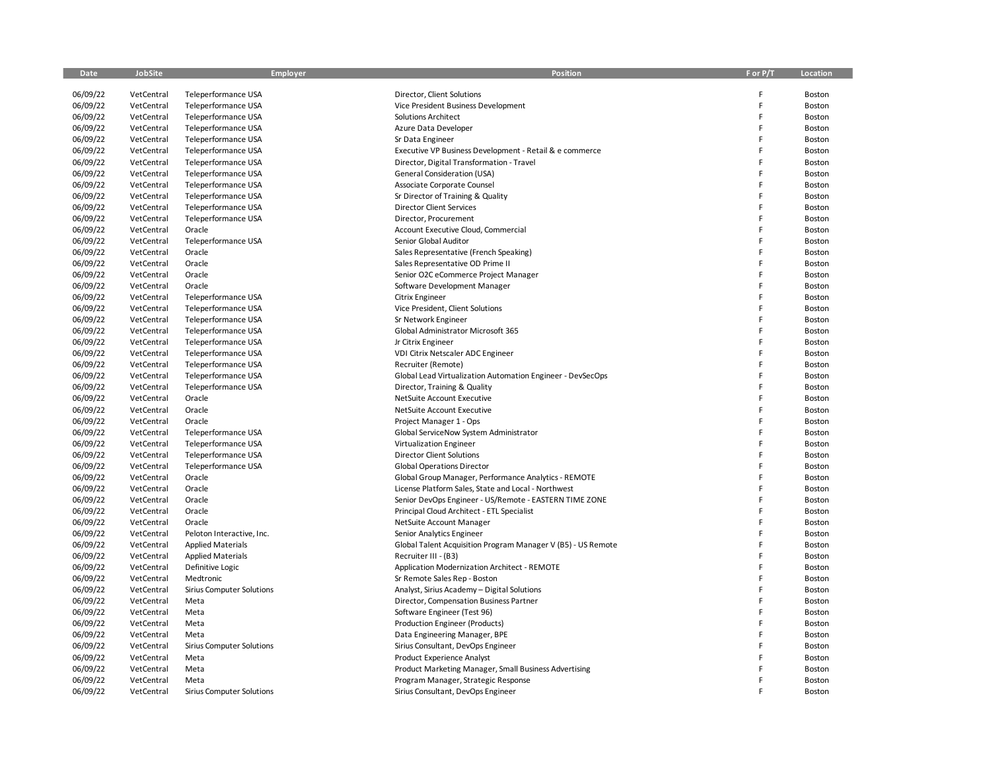| Date     | JobSite    | Employer                         | <b>Position</b>                                              | F or P/T | Location |
|----------|------------|----------------------------------|--------------------------------------------------------------|----------|----------|
|          |            |                                  |                                                              |          |          |
| 06/09/22 | VetCentral | Teleperformance USA              | Director, Client Solutions                                   | F        | Boston   |
| 06/09/22 | VetCentral | Teleperformance USA              | Vice President Business Development                          | F        | Boston   |
| 06/09/22 | VetCentral | Teleperformance USA              | <b>Solutions Architect</b>                                   | F        | Boston   |
| 06/09/22 | VetCentral | Teleperformance USA              | Azure Data Developer                                         | F        | Boston   |
| 06/09/22 | VetCentral | Teleperformance USA              | Sr Data Engineer                                             | F        | Boston   |
| 06/09/22 | VetCentral | Teleperformance USA              | Executive VP Business Development - Retail & e commerce      | F        | Boston   |
| 06/09/22 | VetCentral | Teleperformance USA              | Director, Digital Transformation - Travel                    | F        | Boston   |
| 06/09/22 | VetCentral | Teleperformance USA              | General Consideration (USA)                                  | F        | Boston   |
| 06/09/22 | VetCentral | Teleperformance USA              | Associate Corporate Counsel                                  | F        | Boston   |
| 06/09/22 | VetCentral | Teleperformance USA              | Sr Director of Training & Quality                            | F        | Boston   |
| 06/09/22 | VetCentral | Teleperformance USA              | <b>Director Client Services</b>                              | F        | Boston   |
| 06/09/22 | VetCentral | Teleperformance USA              | Director, Procurement                                        | F        | Boston   |
| 06/09/22 | VetCentral | Oracle                           | Account Executive Cloud, Commercial                          | F        | Boston   |
| 06/09/22 | VetCentral | Teleperformance USA              | Senior Global Auditor                                        | F        | Boston   |
| 06/09/22 | VetCentral | Oracle                           | Sales Representative (French Speaking)                       | F        | Boston   |
| 06/09/22 | VetCentral | Oracle                           | Sales Representative OD Prime II                             | F        | Boston   |
| 06/09/22 | VetCentral | Oracle                           | Senior O2C eCommerce Project Manager                         | F        | Boston   |
| 06/09/22 | VetCentral | Oracle                           | Software Development Manager                                 | F        | Boston   |
| 06/09/22 | VetCentral | Teleperformance USA              | <b>Citrix Engineer</b>                                       | F        | Boston   |
| 06/09/22 | VetCentral | Teleperformance USA              | Vice President, Client Solutions                             | F        | Boston   |
| 06/09/22 | VetCentral | Teleperformance USA              | Sr Network Engineer                                          | F        | Boston   |
| 06/09/22 | VetCentral | Teleperformance USA              | Global Administrator Microsoft 365                           | F        | Boston   |
| 06/09/22 | VetCentral | Teleperformance USA              | Jr Citrix Engineer                                           | F        | Boston   |
| 06/09/22 | VetCentral | Teleperformance USA              | VDI Citrix Netscaler ADC Engineer                            | F        | Boston   |
| 06/09/22 | VetCentral | Teleperformance USA              | Recruiter (Remote)                                           | F        | Boston   |
| 06/09/22 | VetCentral | Teleperformance USA              | Global Lead Virtualization Automation Engineer - DevSecOps   | F        | Boston   |
| 06/09/22 | VetCentral | Teleperformance USA              | Director, Training & Quality                                 | Ë        | Boston   |
| 06/09/22 | VetCentral | Oracle                           | NetSuite Account Executive                                   | F        | Boston   |
| 06/09/22 | VetCentral | Oracle                           | NetSuite Account Executive                                   | F        | Boston   |
| 06/09/22 | VetCentral | Oracle                           | Project Manager 1 - Ops                                      | F        | Boston   |
| 06/09/22 | VetCentral | Teleperformance USA              | Global ServiceNow System Administrator                       | F        | Boston   |
| 06/09/22 | VetCentral | Teleperformance USA              | Virtualization Engineer                                      | F        | Boston   |
| 06/09/22 | VetCentral | Teleperformance USA              | <b>Director Client Solutions</b>                             | Ë        | Boston   |
| 06/09/22 | VetCentral | Teleperformance USA              | <b>Global Operations Director</b>                            | F        | Boston   |
| 06/09/22 | VetCentral | Oracle                           | Global Group Manager, Performance Analytics - REMOTE         | F        | Boston   |
| 06/09/22 | VetCentral | Oracle                           | License Platform Sales, State and Local - Northwest          | Ë        | Boston   |
| 06/09/22 | VetCentral | Oracle                           | Senior DevOps Engineer - US/Remote - EASTERN TIME ZONE       | F        | Boston   |
| 06/09/22 | VetCentral | Oracle                           | Principal Cloud Architect - ETL Specialist                   | F        | Boston   |
| 06/09/22 | VetCentral | Oracle                           | NetSuite Account Manager                                     | F        | Boston   |
| 06/09/22 | VetCentral | Peloton Interactive, Inc.        | Senior Analytics Engineer                                    | F        | Boston   |
| 06/09/22 | VetCentral | <b>Applied Materials</b>         | Global Talent Acquisition Program Manager V (B5) - US Remote | F        | Boston   |
| 06/09/22 | VetCentral | <b>Applied Materials</b>         | Recruiter III - (B3)                                         | F        | Boston   |
| 06/09/22 | VetCentral | Definitive Logic                 | Application Modernization Architect - REMOTE                 | F        | Boston   |
| 06/09/22 | VetCentral | Medtronic                        | Sr Remote Sales Rep - Boston                                 | F        | Boston   |
| 06/09/22 | VetCentral | Sirius Computer Solutions        | Analyst, Sirius Academy - Digital Solutions                  | Ë        | Boston   |
| 06/09/22 | VetCentral | Meta                             | Director, Compensation Business Partner                      | F        | Boston   |
| 06/09/22 | VetCentral | Meta                             | Software Engineer (Test 96)                                  | F        | Boston   |
| 06/09/22 | VetCentral | Meta                             | Production Engineer (Products)                               | F        | Boston   |
| 06/09/22 | VetCentral | Meta                             | Data Engineering Manager, BPE                                | F        | Boston   |
| 06/09/22 | VetCentral | <b>Sirius Computer Solutions</b> | Sirius Consultant, DevOps Engineer                           | F        | Boston   |
| 06/09/22 | VetCentral | Meta                             | Product Experience Analyst                                   | F        | Boston   |
| 06/09/22 | VetCentral | Meta                             | Product Marketing Manager, Small Business Advertising        | F        | Boston   |
| 06/09/22 | VetCentral | Meta                             | Program Manager, Strategic Response                          | F        | Boston   |
| 06/09/22 | VetCentral | <b>Sirius Computer Solutions</b> | Sirius Consultant, DevOps Engineer                           | F        | Boston   |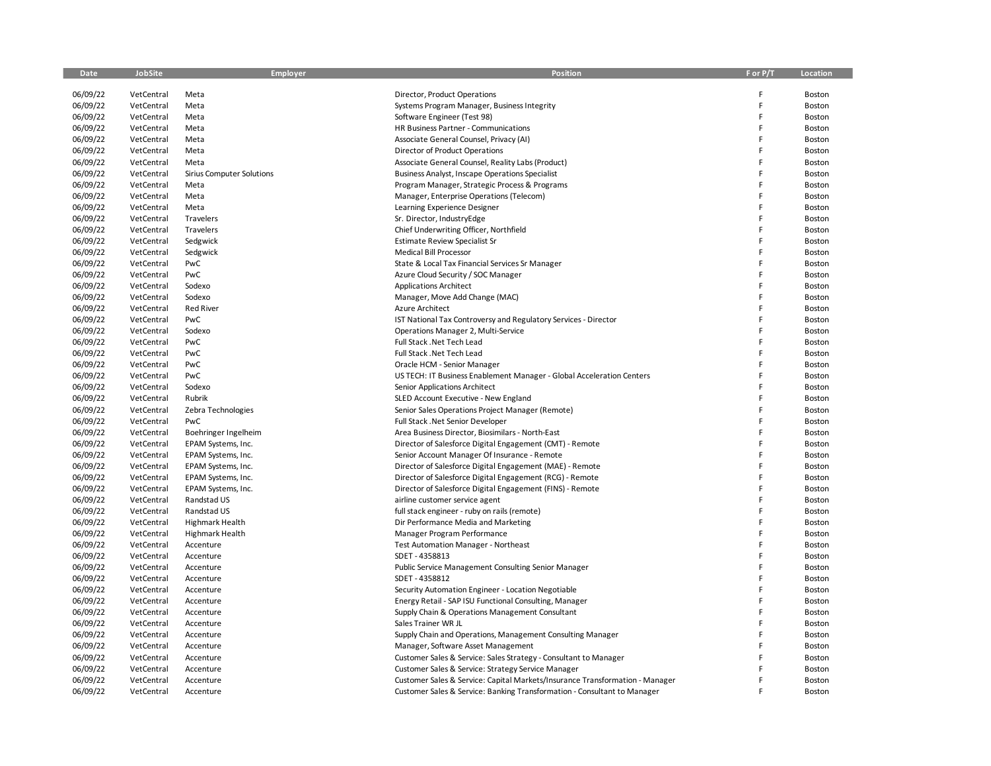| Date     | <b>JobSite</b> | Employer                         | Position                                                                     | F or P/T | Location |
|----------|----------------|----------------------------------|------------------------------------------------------------------------------|----------|----------|
|          |                |                                  |                                                                              |          |          |
| 06/09/22 | VetCentral     | Meta                             | Director, Product Operations                                                 | F        | Boston   |
| 06/09/22 | VetCentral     | Meta                             | Systems Program Manager, Business Integrity                                  | F        | Boston   |
| 06/09/22 | VetCentral     | Meta                             | Software Engineer (Test 98)                                                  | F        | Boston   |
| 06/09/22 | VetCentral     | Meta                             | HR Business Partner - Communications                                         | F        | Boston   |
| 06/09/22 | VetCentral     | Meta                             | Associate General Counsel, Privacy (AI)                                      | F        | Boston   |
| 06/09/22 | VetCentral     | Meta                             | Director of Product Operations                                               | F        | Boston   |
| 06/09/22 | VetCentral     | Meta                             | Associate General Counsel, Reality Labs (Product)                            | F        | Boston   |
| 06/09/22 | VetCentral     | <b>Sirius Computer Solutions</b> | Business Analyst, Inscape Operations Specialist                              | F        | Boston   |
| 06/09/22 | VetCentral     | Meta                             | Program Manager, Strategic Process & Programs                                | F        | Boston   |
| 06/09/22 | VetCentral     | Meta                             | Manager, Enterprise Operations (Telecom)                                     | F        | Boston   |
| 06/09/22 | VetCentral     | Meta                             | Learning Experience Designer                                                 | F        | Boston   |
| 06/09/22 | VetCentral     | Travelers                        | Sr. Director, IndustryEdge                                                   | F        | Boston   |
| 06/09/22 | VetCentral     | Travelers                        | Chief Underwriting Officer, Northfield                                       | F        | Boston   |
| 06/09/22 | VetCentral     | Sedgwick                         | <b>Estimate Review Specialist Sr</b>                                         | F        | Boston   |
| 06/09/22 | VetCentral     | Sedgwick                         | <b>Medical Bill Processor</b>                                                | F        | Boston   |
| 06/09/22 | VetCentral     | PwC                              | State & Local Tax Financial Services Sr Manager                              | F        | Boston   |
| 06/09/22 | VetCentral     | PwC                              | Azure Cloud Security / SOC Manager                                           | F        | Boston   |
| 06/09/22 | VetCentral     | Sodexo                           | <b>Applications Architect</b>                                                | F        | Boston   |
| 06/09/22 | VetCentral     | Sodexo                           | Manager, Move Add Change (MAC)                                               | F        | Boston   |
| 06/09/22 | VetCentral     | <b>Red River</b>                 | Azure Architect                                                              | F        | Boston   |
| 06/09/22 | VetCentral     | PwC                              | IST National Tax Controversy and Regulatory Services - Director              | F        | Boston   |
| 06/09/22 | VetCentral     | Sodexo                           | Operations Manager 2, Multi-Service                                          | F        | Boston   |
| 06/09/22 | VetCentral     | PwC                              | Full Stack . Net Tech Lead                                                   | F        | Boston   |
| 06/09/22 | VetCentral     | PwC                              | Full Stack . Net Tech Lead                                                   | F        | Boston   |
| 06/09/22 | VetCentral     | PwC                              | Oracle HCM - Senior Manager                                                  | F        | Boston   |
| 06/09/22 | VetCentral     | <b>PwC</b>                       | US TECH: IT Business Enablement Manager - Global Acceleration Centers        | F        | Boston   |
| 06/09/22 | VetCentral     | Sodexo                           | Senior Applications Architect                                                | F        | Boston   |
| 06/09/22 | VetCentral     | Rubrik                           | SLED Account Executive - New England                                         | F        | Boston   |
| 06/09/22 | VetCentral     | Zebra Technologies               | Senior Sales Operations Project Manager (Remote)                             | F        | Boston   |
| 06/09/22 | VetCentral     | PwC                              | Full Stack . Net Senior Developer                                            | F        | Boston   |
| 06/09/22 | VetCentral     | Boehringer Ingelheim             | Area Business Director, Biosimilars - North-East                             | F        | Boston   |
| 06/09/22 | VetCentral     | EPAM Systems, Inc.               | Director of Salesforce Digital Engagement (CMT) - Remote                     | F        | Boston   |
| 06/09/22 | VetCentral     | EPAM Systems, Inc.               | Senior Account Manager Of Insurance - Remote                                 | F        | Boston   |
| 06/09/22 | VetCentral     | EPAM Systems, Inc.               | Director of Salesforce Digital Engagement (MAE) - Remote                     | F        | Boston   |
| 06/09/22 | VetCentral     | EPAM Systems, Inc.               | Director of Salesforce Digital Engagement (RCG) - Remote                     | F        | Boston   |
| 06/09/22 | VetCentral     | EPAM Systems, Inc.               | Director of Salesforce Digital Engagement (FINS) - Remote                    | F        | Boston   |
| 06/09/22 | VetCentral     | Randstad US                      | airline customer service agent                                               | F        | Boston   |
| 06/09/22 | VetCentral     | Randstad US                      | full stack engineer - ruby on rails (remote)                                 | F        | Boston   |
| 06/09/22 | VetCentral     | Highmark Health                  | Dir Performance Media and Marketing                                          | F        | Boston   |
| 06/09/22 | VetCentral     | <b>Highmark Health</b>           | Manager Program Performance                                                  | F        | Boston   |
| 06/09/22 | VetCentral     | Accenture                        | Test Automation Manager - Northeast                                          | F        | Boston   |
| 06/09/22 | VetCentral     | Accenture                        | SDET - 4358813                                                               | F        | Boston   |
| 06/09/22 | VetCentral     | Accenture                        | Public Service Management Consulting Senior Manager                          | F        | Boston   |
| 06/09/22 | VetCentral     | Accenture                        | SDET - 4358812                                                               | F        | Boston   |
| 06/09/22 | VetCentral     | Accenture                        | Security Automation Engineer - Location Negotiable                           | F        | Boston   |
| 06/09/22 | VetCentral     | Accenture                        | Energy Retail - SAP ISU Functional Consulting, Manager                       | F        | Boston   |
| 06/09/22 | VetCentral     | Accenture                        | Supply Chain & Operations Management Consultant                              | F        | Boston   |
| 06/09/22 | VetCentral     | Accenture                        | Sales Trainer WR JL                                                          | F        | Boston   |
| 06/09/22 | VetCentral     | Accenture                        | Supply Chain and Operations, Management Consulting Manager                   | F        | Boston   |
| 06/09/22 | VetCentral     | Accenture                        | Manager, Software Asset Management                                           | F        | Boston   |
| 06/09/22 | VetCentral     | Accenture                        | Customer Sales & Service: Sales Strategy - Consultant to Manager             | F        | Boston   |
| 06/09/22 | VetCentral     | Accenture                        | Customer Sales & Service: Strategy Service Manager                           | F        | Boston   |
| 06/09/22 | VetCentral     | Accenture                        | Customer Sales & Service: Capital Markets/Insurance Transformation - Manager | F        | Boston   |
| 06/09/22 | VetCentral     | Accenture                        | Customer Sales & Service: Banking Transformation - Consultant to Manager     | F        | Boston   |
|          |                |                                  |                                                                              |          |          |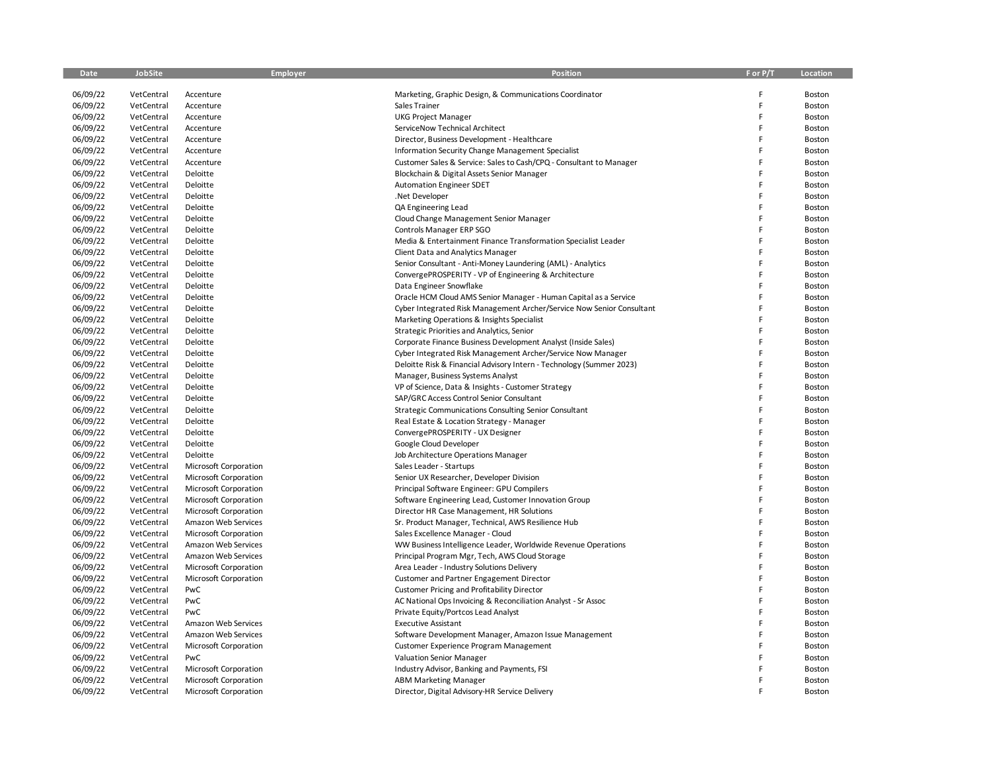| Date                 | JobSite                  | Employer                     | Position                                                              | F or P/T | Location         |
|----------------------|--------------------------|------------------------------|-----------------------------------------------------------------------|----------|------------------|
|                      |                          |                              |                                                                       | Ë        |                  |
| 06/09/22<br>06/09/22 | VetCentral               | Accenture                    | Marketing, Graphic Design, & Communications Coordinator               | F        | Boston           |
| 06/09/22             | VetCentral<br>VetCentral | Accenture                    | Sales Trainer                                                         | E        | Boston<br>Boston |
| 06/09/22             | VetCentral               | Accenture<br>Accenture       | <b>UKG Project Manager</b><br>ServiceNow Technical Architect          |          | Boston           |
| 06/09/22             | VetCentral               | Accenture                    | Director, Business Development - Healthcare                           |          | Boston           |
| 06/09/22             | VetCentral               | Accenture                    | Information Security Change Management Specialist                     |          | Boston           |
| 06/09/22             | VetCentral               | Accenture                    | Customer Sales & Service: Sales to Cash/CPQ - Consultant to Manager   |          | Boston           |
| 06/09/22             | VetCentral               | Deloitte                     | Blockchain & Digital Assets Senior Manager                            |          | Boston           |
| 06/09/22             | VetCentral               | Deloitte                     | <b>Automation Engineer SDET</b>                                       |          | Boston           |
| 06/09/22             | VetCentral               | Deloitte                     | .Net Developer                                                        |          | Boston           |
| 06/09/22             | VetCentral               | Deloitte                     | QA Engineering Lead                                                   |          | Boston           |
| 06/09/22             | VetCentral               | Deloitte                     | Cloud Change Management Senior Manager                                |          | Boston           |
| 06/09/22             | VetCentral               | Deloitte                     | Controls Manager ERP SGO                                              |          | Boston           |
| 06/09/22             | VetCentral               | Deloitte                     | Media & Entertainment Finance Transformation Specialist Leader        |          | Boston           |
| 06/09/22             | VetCentral               | Deloitte                     | Client Data and Analytics Manager                                     |          | Boston           |
| 06/09/22             | VetCentral               | Deloitte                     | Senior Consultant - Anti-Money Laundering (AML) - Analytics           |          | Boston           |
| 06/09/22             | VetCentral               | Deloitte                     | ConvergePROSPERITY - VP of Engineering & Architecture                 |          | Boston           |
| 06/09/22             | VetCentral               | Deloitte                     | Data Engineer Snowflake                                               |          | Boston           |
| 06/09/22             | VetCentral               | Deloitte                     | Oracle HCM Cloud AMS Senior Manager - Human Capital as a Service      |          | Boston           |
| 06/09/22             | VetCentral               | Deloitte                     | Cyber Integrated Risk Management Archer/Service Now Senior Consultant |          | Boston           |
| 06/09/22             | VetCentral               | Deloitte                     | Marketing Operations & Insights Specialist                            |          | Boston           |
| 06/09/22             | VetCentral               | Deloitte                     | Strategic Priorities and Analytics, Senior                            |          | Boston           |
| 06/09/22             | VetCentral               | Deloitte                     | Corporate Finance Business Development Analyst (Inside Sales)         | F        | Boston           |
| 06/09/22             | VetCentral               | Deloitte                     | Cyber Integrated Risk Management Archer/Service Now Manager           |          | Boston           |
| 06/09/22             | VetCentral               | Deloitte                     | Deloitte Risk & Financial Advisory Intern - Technology (Summer 2023)  |          | Boston           |
| 06/09/22             | VetCentral               | Deloitte                     | Manager, Business Systems Analyst                                     |          | Boston           |
| 06/09/22             | VetCentral               | Deloitte                     | VP of Science, Data & Insights - Customer Strategy                    |          | Boston           |
| 06/09/22             | VetCentral               | Deloitte                     | SAP/GRC Access Control Senior Consultant                              |          | Boston           |
| 06/09/22             | VetCentral               | Deloitte                     | Strategic Communications Consulting Senior Consultant                 |          | Boston           |
| 06/09/22             | VetCentral               | Deloitte                     | Real Estate & Location Strategy - Manager                             |          | Boston           |
| 06/09/22             | VetCentral               | Deloitte                     | ConvergePROSPERITY - UX Designer                                      |          | Boston           |
| 06/09/22             | VetCentral               | Deloitte                     | Google Cloud Developer                                                | E        | Boston           |
| 06/09/22             | VetCentral               | Deloitte                     | Job Architecture Operations Manager                                   |          | Boston           |
| 06/09/22             | VetCentral               | Microsoft Corporation        | Sales Leader - Startups                                               |          | Boston           |
| 06/09/22             | VetCentral               | Microsoft Corporation        | Senior UX Researcher, Developer Division                              |          | Boston           |
| 06/09/22             | VetCentral               | Microsoft Corporation        | Principal Software Engineer: GPU Compilers                            |          | Boston           |
| 06/09/22             | VetCentral               | Microsoft Corporation        | Software Engineering Lead, Customer Innovation Group                  |          | Boston           |
| 06/09/22             | VetCentral               | Microsoft Corporation        | Director HR Case Management, HR Solutions                             |          | Boston           |
| 06/09/22             | VetCentral               | Amazon Web Services          | Sr. Product Manager, Technical, AWS Resilience Hub                    |          | Boston           |
| 06/09/22             | VetCentral               | Microsoft Corporation        | Sales Excellence Manager - Cloud                                      |          | Boston           |
| 06/09/22             | VetCentral               | Amazon Web Services          | WW Business Intelligence Leader, Worldwide Revenue Operations         |          | Boston           |
| 06/09/22             | VetCentral               | Amazon Web Services          | Principal Program Mgr, Tech, AWS Cloud Storage                        |          | Boston           |
| 06/09/22             | VetCentral               | Microsoft Corporation        | Area Leader - Industry Solutions Delivery                             |          | Boston           |
| 06/09/22             | VetCentral               | Microsoft Corporation        | Customer and Partner Engagement Director                              |          | Boston           |
| 06/09/22             | VetCentral               | PwC                          | <b>Customer Pricing and Profitability Director</b>                    |          | Boston           |
| 06/09/22             | VetCentral               | PwC                          | AC National Ops Invoicing & Reconciliation Analyst - Sr Assoc         |          | Boston           |
| 06/09/22             | VetCentral               | <b>PwC</b>                   | Private Equity/Portcos Lead Analyst                                   |          | Boston           |
| 06/09/22             | VetCentral               | Amazon Web Services          | <b>Executive Assistant</b>                                            |          | Boston           |
| 06/09/22             | VetCentral               | Amazon Web Services          | Software Development Manager, Amazon Issue Management                 |          | Boston           |
| 06/09/22             | VetCentral               | Microsoft Corporation        | Customer Experience Program Management                                |          | Boston           |
| 06/09/22             | VetCentral               | PwC                          | <b>Valuation Senior Manager</b>                                       |          | Boston           |
| 06/09/22             | VetCentral               | Microsoft Corporation        | Industry Advisor, Banking and Payments, FSI                           |          | Boston           |
| 06/09/22             | VetCentral               | <b>Microsoft Corporation</b> | <b>ABM Marketing Manager</b>                                          |          | Boston           |
| 06/09/22             | VetCentral               | Microsoft Corporation        | Director, Digital Advisory-HR Service Delivery                        |          | Boston           |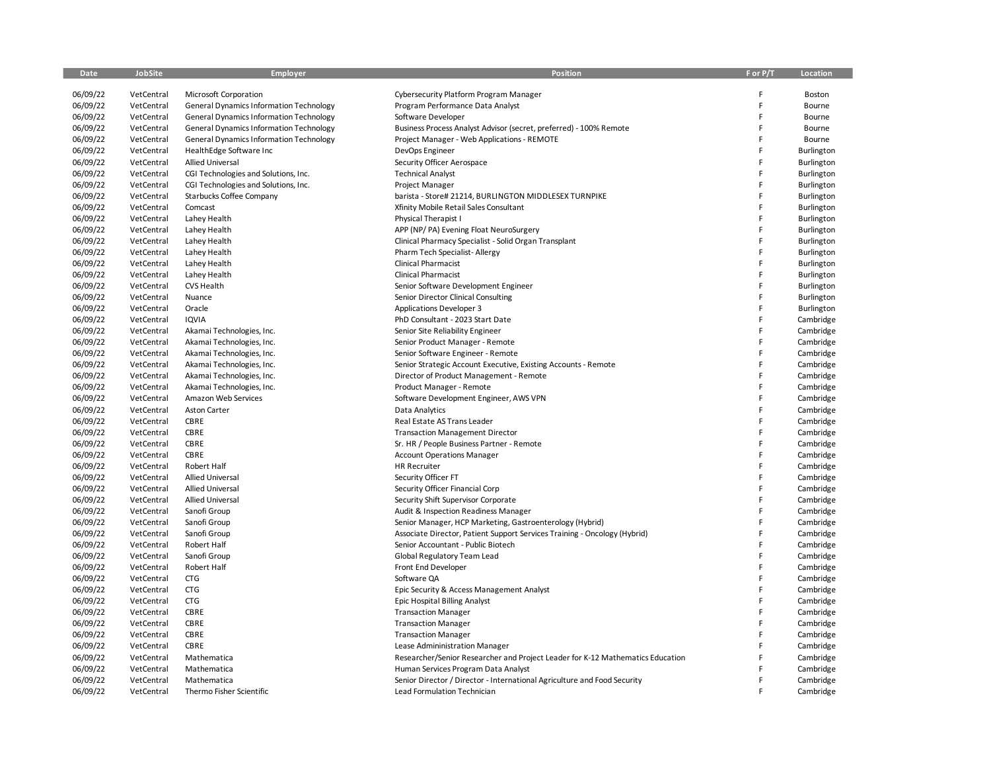| Date     | JobSite    | Employer                                       | Position                                                                                                | F or P/T | Location               |
|----------|------------|------------------------------------------------|---------------------------------------------------------------------------------------------------------|----------|------------------------|
|          |            |                                                |                                                                                                         |          |                        |
| 06/09/22 | VetCentral | Microsoft Corporation                          | Cybersecurity Platform Program Manager                                                                  | F        | Boston                 |
| 06/09/22 | VetCentral | <b>General Dynamics Information Technology</b> | Program Performance Data Analyst                                                                        | F        | Bourne                 |
| 06/09/22 | VetCentral | <b>General Dynamics Information Technology</b> | Software Developer                                                                                      | F        | Bourne                 |
| 06/09/22 | VetCentral | <b>General Dynamics Information Technology</b> | Business Process Analyst Advisor (secret, preferred) - 100% Remote                                      | F        | Bourne                 |
| 06/09/22 | VetCentral | <b>General Dynamics Information Technology</b> | Project Manager - Web Applications - REMOTE                                                             | F        | Bourne                 |
| 06/09/22 | VetCentral | HealthEdge Software Inc                        | DevOps Engineer                                                                                         | F        | Burlington             |
| 06/09/22 | VetCentral | <b>Allied Universal</b>                        | Security Officer Aerospace                                                                              | F        | Burlington             |
| 06/09/22 | VetCentral | CGI Technologies and Solutions, Inc.           | <b>Technical Analyst</b>                                                                                | F        | Burlington             |
| 06/09/22 | VetCentral | CGI Technologies and Solutions, Inc.           | Project Manager                                                                                         | F        | Burlington             |
| 06/09/22 | VetCentral | Starbucks Coffee Company                       | barista - Store# 21214, BURLINGTON MIDDLESEX TURNPIKE                                                   | F        | Burlington             |
| 06/09/22 | VetCentral | Comcast                                        | Xfinity Mobile Retail Sales Consultant                                                                  | F        | Burlington             |
| 06/09/22 | VetCentral | Lahey Health                                   | Physical Therapist I                                                                                    | F        | Burlington             |
| 06/09/22 | VetCentral | Lahey Health                                   | APP (NP/PA) Evening Float NeuroSurgery                                                                  | F        | Burlington             |
| 06/09/22 | VetCentral | Lahey Health                                   | Clinical Pharmacy Specialist - Solid Organ Transplant                                                   | F        | Burlington             |
| 06/09/22 | VetCentral | Lahey Health                                   | Pharm Tech Specialist-Allergy                                                                           | F        | Burlington             |
| 06/09/22 | VetCentral | Lahey Health                                   | <b>Clinical Pharmacist</b>                                                                              | F        | Burlington             |
| 06/09/22 | VetCentral | Lahey Health                                   | <b>Clinical Pharmacist</b>                                                                              | F        | Burlington             |
| 06/09/22 | VetCentral | <b>CVS Health</b>                              | Senior Software Development Engineer                                                                    | F        | Burlington             |
| 06/09/22 | VetCentral | Nuance                                         | Senior Director Clinical Consulting                                                                     | F        | Burlington             |
| 06/09/22 | VetCentral | Oracle                                         | <b>Applications Developer 3</b>                                                                         | F        | Burlington             |
| 06/09/22 | VetCentral | <b>IQVIA</b>                                   | PhD Consultant - 2023 Start Date                                                                        | F        | Cambridge              |
| 06/09/22 | VetCentral | Akamai Technologies, Inc.                      | Senior Site Reliability Engineer                                                                        | F        | Cambridge              |
| 06/09/22 | VetCentral | Akamai Technologies, Inc.                      | Senior Product Manager - Remote                                                                         | F        | Cambridge              |
| 06/09/22 | VetCentral | Akamai Technologies, Inc.                      | Senior Software Engineer - Remote                                                                       | F        | Cambridge              |
| 06/09/22 | VetCentral | Akamai Technologies, Inc.                      | Senior Strategic Account Executive, Existing Accounts - Remote                                          | F        | Cambridge              |
| 06/09/22 | VetCentral | Akamai Technologies, Inc.                      | Director of Product Management - Remote                                                                 | F        | Cambridge              |
| 06/09/22 | VetCentral | Akamai Technologies, Inc.                      | Product Manager - Remote                                                                                | F        | Cambridge              |
| 06/09/22 | VetCentral | Amazon Web Services                            | Software Development Engineer, AWS VPN                                                                  | F        | Cambridge              |
| 06/09/22 | VetCentral | Aston Carter                                   | Data Analytics                                                                                          | F        | Cambridge              |
| 06/09/22 | VetCentral | CBRE                                           | Real Estate AS Trans Leader                                                                             | F        | Cambridge              |
| 06/09/22 | VetCentral | CBRE                                           | <b>Transaction Management Director</b>                                                                  | F        | Cambridge              |
| 06/09/22 | VetCentral | CBRE                                           | Sr. HR / People Business Partner - Remote                                                               | F        | Cambridge              |
| 06/09/22 | VetCentral | CBRE                                           | <b>Account Operations Manager</b>                                                                       | F        | Cambridge              |
| 06/09/22 | VetCentral | Robert Half                                    | <b>HR Recruiter</b>                                                                                     | F        | Cambridge              |
| 06/09/22 | VetCentral | <b>Allied Universal</b>                        | Security Officer FT                                                                                     | F        | Cambridge              |
| 06/09/22 | VetCentral | <b>Allied Universal</b>                        | Security Officer Financial Corp                                                                         | F        | Cambridge              |
| 06/09/22 | VetCentral | <b>Allied Universal</b>                        | Security Shift Supervisor Corporate                                                                     | F        | Cambridge              |
| 06/09/22 | VetCentral | Sanofi Group                                   | Audit & Inspection Readiness Manager                                                                    | F        | Cambridge              |
| 06/09/22 | VetCentral | Sanofi Group                                   | Senior Manager, HCP Marketing, Gastroenterology (Hybrid)                                                | F        | Cambridge              |
| 06/09/22 | VetCentral | Sanofi Group                                   | Associate Director, Patient Support Services Training - Oncology (Hybrid)                               | F        | Cambridge              |
| 06/09/22 | VetCentral | Robert Half                                    | Senior Accountant - Public Biotech                                                                      | F        | Cambridge              |
| 06/09/22 | VetCentral | Sanofi Group                                   | Global Regulatory Team Lead                                                                             | F        | Cambridge              |
| 06/09/22 | VetCentral | Robert Half                                    | Front End Developer                                                                                     | F        | Cambridge              |
| 06/09/22 | VetCentral | <b>CTG</b>                                     | Software QA                                                                                             | F        | Cambridge              |
| 06/09/22 | VetCentral | <b>CTG</b>                                     | Epic Security & Access Management Analyst                                                               | F        | Cambridge              |
| 06/09/22 | VetCentral | <b>CTG</b>                                     | <b>Epic Hospital Billing Analyst</b>                                                                    | F        | Cambridge              |
| 06/09/22 | VetCentral | CBRE                                           | <b>Transaction Manager</b>                                                                              | F        | Cambridge              |
| 06/09/22 | VetCentral | CBRE                                           |                                                                                                         | F        |                        |
| 06/09/22 | VetCentral | CBRE                                           | <b>Transaction Manager</b><br><b>Transaction Manager</b>                                                | F        | Cambridge<br>Cambridge |
| 06/09/22 | VetCentral | CBRE                                           | Lease Admininistration Manager                                                                          | F        | Cambridge              |
| 06/09/22 | VetCentral | Mathematica                                    | Researcher/Senior Researcher and Project Leader for K-12 Mathematics Education                          | F        | Cambridge              |
| 06/09/22 | VetCentral | Mathematica                                    | Human Services Program Data Analyst                                                                     | F        | Cambridge              |
| 06/09/22 | VetCentral | Mathematica                                    |                                                                                                         | F        |                        |
|          | VetCentral | Thermo Fisher Scientific                       | Senior Director / Director - International Agriculture and Food Security<br>Lead Formulation Technician | F        | Cambridge              |
| 06/09/22 |            |                                                |                                                                                                         |          | Cambridge              |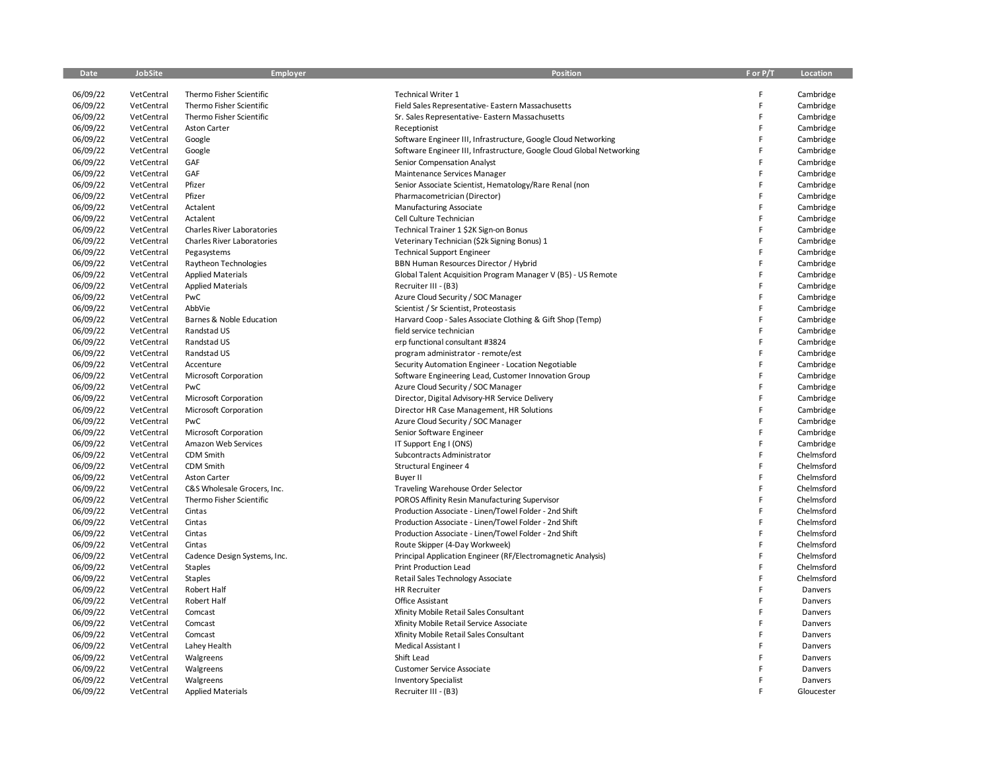| <b>Date</b>          | JobSite                  | <b>Employer</b>                                      | Position                                                                                             | F or P/T | Location               |
|----------------------|--------------------------|------------------------------------------------------|------------------------------------------------------------------------------------------------------|----------|------------------------|
|                      |                          |                                                      |                                                                                                      | F        |                        |
| 06/09/22             | VetCentral               | Thermo Fisher Scientific<br>Thermo Fisher Scientific | <b>Technical Writer 1</b>                                                                            | F        | Cambridge              |
| 06/09/22<br>06/09/22 | VetCentral<br>VetCentral | Thermo Fisher Scientific                             | Field Sales Representative- Eastern Massachusetts<br>Sr. Sales Representative- Eastern Massachusetts | F        | Cambridge<br>Cambridge |
| 06/09/22             | VetCentral               | Aston Carter                                         | Receptionist                                                                                         |          | Cambridge              |
| 06/09/22             | VetCentral               | Google                                               | Software Engineer III, Infrastructure, Google Cloud Networking                                       | E        | Cambridge              |
| 06/09/22             | VetCentral               | Google                                               | Software Engineer III, Infrastructure, Google Cloud Global Networking                                |          | Cambridge              |
| 06/09/22             | VetCentral               | GAF                                                  | Senior Compensation Analyst                                                                          |          | Cambridge              |
| 06/09/22             | VetCentral               | GAF                                                  | Maintenance Services Manager                                                                         | F        | Cambridge              |
| 06/09/22             | VetCentral               | Pfizer                                               | Senior Associate Scientist, Hematology/Rare Renal (non                                               |          | Cambridge              |
| 06/09/22             | VetCentral               | Pfizer                                               | Pharmacometrician (Director)                                                                         |          | Cambridge              |
| 06/09/22             | VetCentral               | Actalent                                             | Manufacturing Associate                                                                              | F        | Cambridge              |
| 06/09/22             | VetCentral               | Actalent                                             | Cell Culture Technician                                                                              |          | Cambridge              |
| 06/09/22             | VetCentral               | <b>Charles River Laboratories</b>                    | Technical Trainer 1 \$2K Sign-on Bonus                                                               |          | Cambridge              |
| 06/09/22             | VetCentral               | <b>Charles River Laboratories</b>                    | Veterinary Technician (\$2k Signing Bonus) 1                                                         | E        | Cambridge              |
| 06/09/22             | VetCentral               | Pegasystems                                          | <b>Technical Support Engineer</b>                                                                    |          | Cambridge              |
| 06/09/22             | VetCentral               | Raytheon Technologies                                | BBN Human Resources Director / Hybrid                                                                |          | Cambridge              |
| 06/09/22             | VetCentral               | <b>Applied Materials</b>                             | Global Talent Acquisition Program Manager V (B5) - US Remote                                         | E        | Cambridge              |
| 06/09/22             | VetCentral               | <b>Applied Materials</b>                             | Recruiter III - (B3)                                                                                 |          | Cambridge              |
| 06/09/22             | VetCentral               | PwC                                                  | Azure Cloud Security / SOC Manager                                                                   |          | Cambridge              |
| 06/09/22             | VetCentral               | AbbVie                                               | Scientist / Sr Scientist, Proteostasis                                                               | E        | Cambridge              |
| 06/09/22             | VetCentral               | Barnes & Noble Education                             | Harvard Coop - Sales Associate Clothing & Gift Shop (Temp)                                           |          | Cambridge              |
| 06/09/22             | VetCentral               | Randstad US                                          | field service technician                                                                             |          | Cambridge              |
| 06/09/22             | VetCentral               | Randstad US                                          | erp functional consultant #3824                                                                      | E        | Cambridge              |
| 06/09/22             | VetCentral               | Randstad US                                          | program administrator - remote/est                                                                   |          | Cambridge              |
| 06/09/22             | VetCentral               | Accenture                                            | Security Automation Engineer - Location Negotiable                                                   |          | Cambridge              |
| 06/09/22             | VetCentral               | Microsoft Corporation                                | Software Engineering Lead, Customer Innovation Group                                                 | E        | Cambridge              |
| 06/09/22             | VetCentral               | PwC                                                  | Azure Cloud Security / SOC Manager                                                                   |          | Cambridge              |
| 06/09/22             | VetCentral               | <b>Microsoft Corporation</b>                         | Director, Digital Advisory-HR Service Delivery                                                       |          | Cambridge              |
| 06/09/22             | VetCentral               | Microsoft Corporation                                | Director HR Case Management, HR Solutions                                                            | E        | Cambridge              |
| 06/09/22             | VetCentral               | PwC                                                  | Azure Cloud Security / SOC Manager                                                                   |          | Cambridge              |
| 06/09/22             | VetCentral               | Microsoft Corporation                                | Senior Software Engineer                                                                             |          | Cambridge              |
| 06/09/22             | VetCentral               | Amazon Web Services                                  | IT Support Eng I (ONS)                                                                               | E        | Cambridge              |
| 06/09/22             | VetCentral               | CDM Smith                                            | Subcontracts Administrator                                                                           |          | Chelmsford             |
| 06/09/22             | VetCentral               | CDM Smith                                            | Structural Engineer 4                                                                                |          | Chelmsford             |
| 06/09/22             | VetCentral               | <b>Aston Carter</b>                                  | Buyer II                                                                                             | E        | Chelmsford             |
| 06/09/22             | VetCentral               | C&S Wholesale Grocers, Inc.                          | Traveling Warehouse Order Selector                                                                   | F        | Chelmsford             |
| 06/09/22             | VetCentral               | Thermo Fisher Scientific                             | POROS Affinity Resin Manufacturing Supervisor                                                        |          | Chelmsford             |
| 06/09/22             | VetCentral               | Cintas                                               | Production Associate - Linen/Towel Folder - 2nd Shift                                                | E        | Chelmsford             |
| 06/09/22             | VetCentral               | Cintas                                               | Production Associate - Linen/Towel Folder - 2nd Shift                                                |          | Chelmsford             |
| 06/09/22             | VetCentral               | Cintas                                               | Production Associate - Linen/Towel Folder - 2nd Shift                                                |          | Chelmsford             |
| 06/09/22             | VetCentral               | Cintas                                               | Route Skipper (4-Day Workweek)                                                                       | E        | Chelmsford             |
| 06/09/22             | VetCentral               | Cadence Design Systems, Inc.                         | Principal Application Engineer (RF/Electromagnetic Analysis)                                         |          | Chelmsford             |
| 06/09/22             | VetCentral               | <b>Staples</b>                                       | <b>Print Production Lead</b>                                                                         |          | Chelmsford             |
| 06/09/22             | VetCentral               | Staples                                              | Retail Sales Technology Associate                                                                    | E        | Chelmsford             |
| 06/09/22             | VetCentral               | Robert Half                                          | <b>HR Recruiter</b>                                                                                  |          | Danvers                |
| 06/09/22             | VetCentral               | Robert Half                                          | Office Assistant                                                                                     |          | Danvers                |
| 06/09/22             | VetCentral               | Comcast                                              | Xfinity Mobile Retail Sales Consultant                                                               | E        | Danvers                |
| 06/09/22             | VetCentral               | Comcast                                              | Xfinity Mobile Retail Service Associate                                                              |          | Danvers                |
| 06/09/22             | VetCentral               | Comcast                                              | Xfinity Mobile Retail Sales Consultant                                                               |          | Danvers                |
| 06/09/22             | VetCentral               | Lahey Health                                         | Medical Assistant I                                                                                  | Е        | Danvers                |
| 06/09/22             | VetCentral               | Walgreens                                            | Shift Lead                                                                                           |          | Danvers                |
| 06/09/22             | VetCentral               | Walgreens                                            | <b>Customer Service Associate</b>                                                                    |          | Danvers                |
| 06/09/22             | VetCentral               | Walgreens                                            | <b>Inventory Specialist</b>                                                                          | E        | Danvers                |
| 06/09/22             | VetCentral               | <b>Applied Materials</b>                             | Recruiter III - (B3)                                                                                 |          | Gloucester             |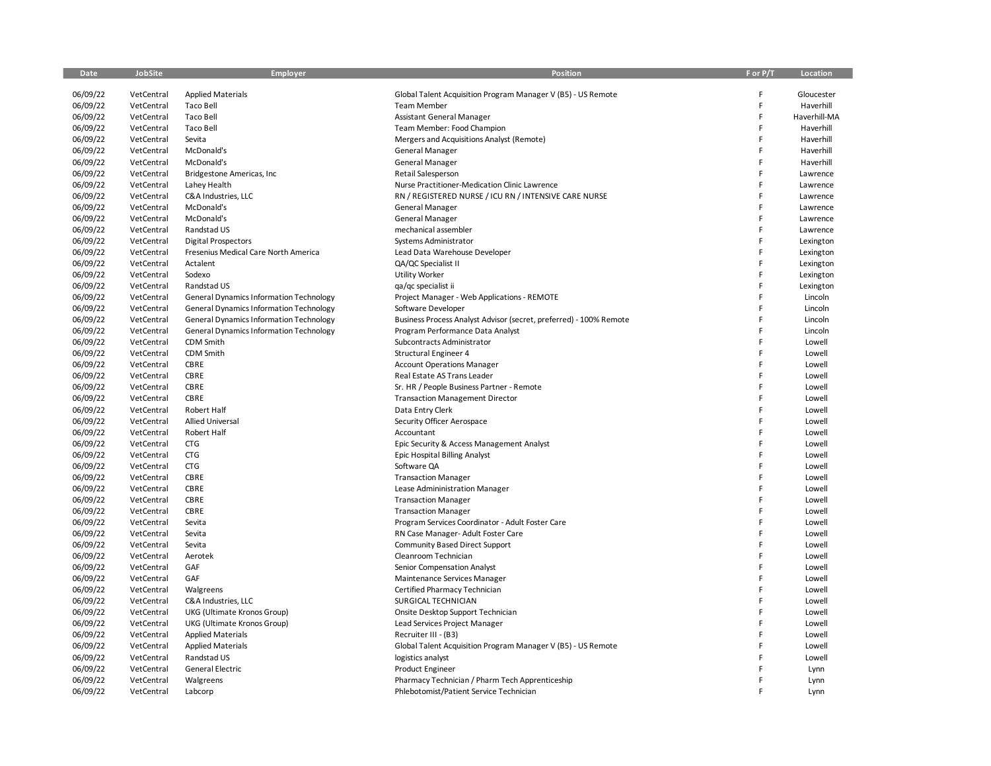| <b>Date</b> | <b>JobSite</b> | Employer                                       | Position                                                           | F or P/T | Location     |
|-------------|----------------|------------------------------------------------|--------------------------------------------------------------------|----------|--------------|
|             |                |                                                |                                                                    |          |              |
| 06/09/22    | VetCentral     | <b>Applied Materials</b>                       | Global Talent Acquisition Program Manager V (B5) - US Remote       | F        | Gloucester   |
| 06/09/22    | VetCentral     | <b>Taco Bell</b>                               | <b>Team Member</b>                                                 | F        | Haverhill    |
| 06/09/22    | VetCentral     | <b>Taco Bell</b>                               | <b>Assistant General Manager</b>                                   | F        | Haverhill-MA |
| 06/09/22    | VetCentral     | <b>Taco Bell</b>                               | Team Member: Food Champion                                         | F        | Haverhill    |
| 06/09/22    | VetCentral     | Sevita                                         | Mergers and Acquisitions Analyst (Remote)                          | F        | Haverhill    |
| 06/09/22    | VetCentral     | McDonald's                                     | General Manager                                                    | F        | Haverhill    |
| 06/09/22    | VetCentral     | McDonald's                                     | General Manager                                                    | F        | Haverhill    |
| 06/09/22    | VetCentral     | Bridgestone Americas, Inc.                     | Retail Salesperson                                                 | F        | Lawrence     |
| 06/09/22    | VetCentral     | Lahey Health                                   | Nurse Practitioner-Medication Clinic Lawrence                      | F        | Lawrence     |
| 06/09/22    | VetCentral     | C&A Industries, LLC                            | RN / REGISTERED NURSE / ICU RN / INTENSIVE CARE NURSE              | F        | Lawrence     |
| 06/09/22    | VetCentral     | McDonald's                                     | <b>General Manager</b>                                             | F        | Lawrence     |
| 06/09/22    | VetCentral     | McDonald's                                     | General Manager                                                    | F        | Lawrence     |
| 06/09/22    | VetCentral     | Randstad US                                    | mechanical assembler                                               | F        | Lawrence     |
| 06/09/22    | VetCentral     | <b>Digital Prospectors</b>                     | Systems Administrator                                              | F        | Lexington    |
| 06/09/22    | VetCentral     | Fresenius Medical Care North America           | Lead Data Warehouse Developer                                      | F        | Lexington    |
| 06/09/22    | VetCentral     | Actalent                                       | QA/QC Specialist II                                                | F        | Lexington    |
| 06/09/22    | VetCentral     | Sodexo                                         | <b>Utility Worker</b>                                              | F        | Lexington    |
| 06/09/22    | VetCentral     | Randstad US                                    | qa/qc specialist ii                                                | F        | Lexington    |
| 06/09/22    | VetCentral     | <b>General Dynamics Information Technology</b> | Project Manager - Web Applications - REMOTE                        | F        | Lincoln      |
| 06/09/22    | VetCentral     | <b>General Dynamics Information Technology</b> | Software Developer                                                 | F        | Lincoln      |
| 06/09/22    | VetCentral     | <b>General Dynamics Information Technology</b> | Business Process Analyst Advisor (secret, preferred) - 100% Remote | F        | Lincoln      |
| 06/09/22    | VetCentral     | <b>General Dynamics Information Technology</b> | Program Performance Data Analyst                                   | F        | Lincoln      |
| 06/09/22    | VetCentral     | CDM Smith                                      | Subcontracts Administrator                                         | F        | Lowell       |
| 06/09/22    | VetCentral     | CDM Smith                                      | Structural Engineer 4                                              | F        | Lowell       |
| 06/09/22    | VetCentral     | CBRE                                           | <b>Account Operations Manager</b>                                  | F        | Lowell       |
| 06/09/22    | VetCentral     | CBRE                                           | Real Estate AS Trans Leader                                        | F        | Lowell       |
| 06/09/22    | VetCentral     | <b>CBRE</b>                                    | Sr. HR / People Business Partner - Remote                          | F        | Lowell       |
| 06/09/22    | VetCentral     | CBRE                                           | <b>Transaction Management Director</b>                             | F        | Lowell       |
| 06/09/22    | VetCentral     | Robert Half                                    | Data Entry Clerk                                                   | F        | Lowell       |
| 06/09/22    | VetCentral     | <b>Allied Universal</b>                        | Security Officer Aerospace                                         | F        | Lowell       |
| 06/09/22    | VetCentral     | Robert Half                                    | Accountant                                                         | F        | Lowell       |
| 06/09/22    | VetCentral     | <b>CTG</b>                                     | Epic Security & Access Management Analyst                          | F        | Lowell       |
| 06/09/22    | VetCentral     | <b>CTG</b>                                     | Epic Hospital Billing Analyst                                      | F        | Lowell       |
| 06/09/22    | VetCentral     | <b>CTG</b>                                     | Software QA                                                        | F        | Lowell       |
| 06/09/22    | VetCentral     | CBRE                                           | <b>Transaction Manager</b>                                         | F        | Lowell       |
| 06/09/22    | VetCentral     | CBRE                                           | Lease Admininistration Manager                                     | F        | Lowell       |
| 06/09/22    | VetCentral     | CBRE                                           |                                                                    | F        |              |
| 06/09/22    | VetCentral     | CBRE                                           | <b>Transaction Manager</b>                                         | F        | Lowell       |
|             | VetCentral     |                                                | <b>Transaction Manager</b>                                         | F        | Lowell       |
| 06/09/22    |                | Sevita                                         | Program Services Coordinator - Adult Foster Care                   | F        | Lowell       |
| 06/09/22    | VetCentral     | Sevita                                         | RN Case Manager- Adult Foster Care                                 | F        | Lowell       |
| 06/09/22    | VetCentral     | Sevita                                         | Community Based Direct Support                                     | F        | Lowell       |
| 06/09/22    | VetCentral     | Aerotek                                        | Cleanroom Technician                                               |          | Lowell       |
| 06/09/22    | VetCentral     | GAF                                            | Senior Compensation Analyst                                        | F        | Lowell       |
| 06/09/22    | VetCentral     | GAF                                            | Maintenance Services Manager                                       | F        | Lowell       |
| 06/09/22    | VetCentral     | Walgreens                                      | Certified Pharmacy Technician                                      | F        | Lowell       |
| 06/09/22    | VetCentral     | C&A Industries, LLC                            | SURGICAL TECHNICIAN                                                | F        | Lowell       |
| 06/09/22    | VetCentral     | UKG (Ultimate Kronos Group)                    | Onsite Desktop Support Technician                                  | F        | Lowell       |
| 06/09/22    | VetCentral     | UKG (Ultimate Kronos Group)                    | Lead Services Project Manager                                      | F        | Lowell       |
| 06/09/22    | VetCentral     | <b>Applied Materials</b>                       | Recruiter III - (B3)                                               | F        | Lowell       |
| 06/09/22    | VetCentral     | <b>Applied Materials</b>                       | Global Talent Acquisition Program Manager V (B5) - US Remote       | F        | Lowell       |
| 06/09/22    | VetCentral     | Randstad US                                    | logistics analyst                                                  | F        | Lowell       |
| 06/09/22    | VetCentral     | General Electric                               | <b>Product Engineer</b>                                            | F        | Lynn         |
| 06/09/22    | VetCentral     | Walgreens                                      | Pharmacy Technician / Pharm Tech Apprenticeship                    | F        | Lynn         |
| 06/09/22    | VetCentral     | Labcorp                                        | Phlebotomist/Patient Service Technician                            | F        | Lynn         |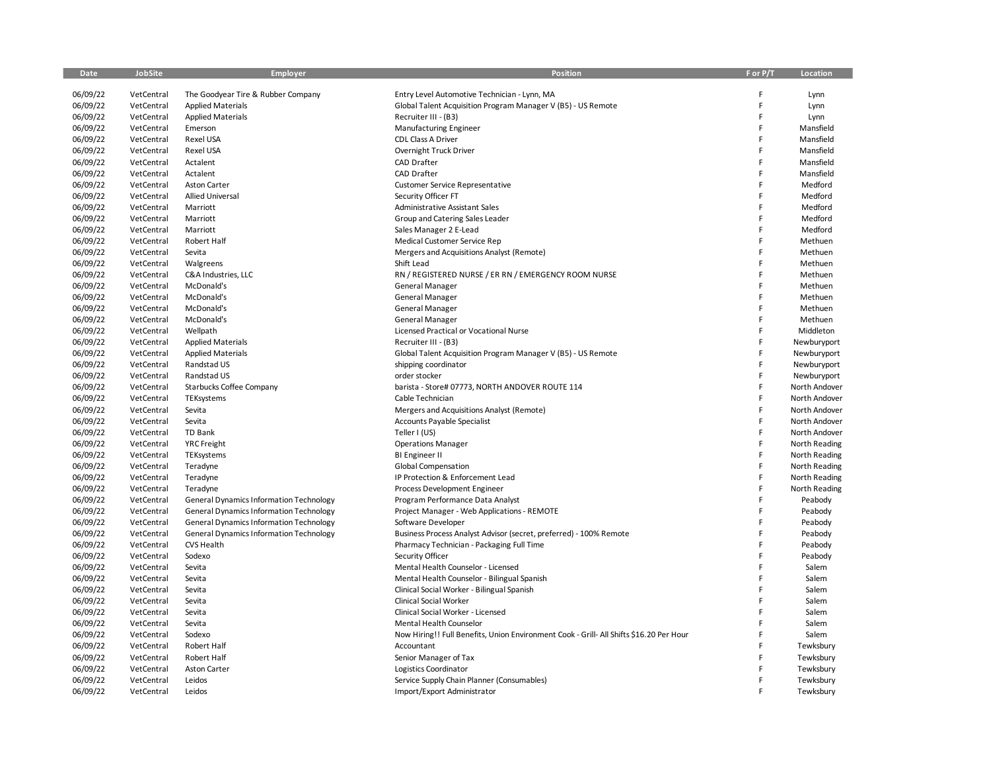| <b>Date</b> | JobSite    | <b>Employer</b>                                | Position                                                                                | F or P/T | Location      |
|-------------|------------|------------------------------------------------|-----------------------------------------------------------------------------------------|----------|---------------|
| 06/09/22    | VetCentral | The Goodyear Tire & Rubber Company             | Entry Level Automotive Technician - Lynn, MA                                            | F        | Lynn          |
| 06/09/22    | VetCentral | <b>Applied Materials</b>                       | Global Talent Acquisition Program Manager V (B5) - US Remote                            | F        | Lynn          |
| 06/09/22    | VetCentral | <b>Applied Materials</b>                       | Recruiter III - (B3)                                                                    | F        | Lynn          |
| 06/09/22    | VetCentral | Emerson                                        | <b>Manufacturing Engineer</b>                                                           | F        | Mansfield     |
| 06/09/22    | VetCentral | <b>Rexel USA</b>                               | CDL Class A Driver                                                                      | F        | Mansfield     |
| 06/09/22    | VetCentral | <b>Rexel USA</b>                               | Overnight Truck Driver                                                                  | F        | Mansfield     |
| 06/09/22    | VetCentral | Actalent                                       | CAD Drafter                                                                             | E        | Mansfield     |
| 06/09/22    | VetCentral | Actalent                                       | <b>CAD Drafter</b>                                                                      | F        | Mansfield     |
| 06/09/22    | VetCentral | <b>Aston Carter</b>                            | <b>Customer Service Representative</b>                                                  | F        | Medford       |
| 06/09/22    | VetCentral | <b>Allied Universal</b>                        | Security Officer FT                                                                     | E        | Medford       |
| 06/09/22    | VetCentral | Marriott                                       | Administrative Assistant Sales                                                          | F        | Medford       |
| 06/09/22    | VetCentral | Marriott                                       | Group and Catering Sales Leader                                                         | F        | Medford       |
| 06/09/22    | VetCentral | Marriott                                       | Sales Manager 2 E-Lead                                                                  | Ë        | Medford       |
| 06/09/22    | VetCentral | Robert Half                                    | Medical Customer Service Rep                                                            | F        | Methuen       |
| 06/09/22    | VetCentral | Sevita                                         | Mergers and Acquisitions Analyst (Remote)                                               | F        | Methuen       |
| 06/09/22    | VetCentral | Walgreens                                      | Shift Lead                                                                              | Ë        | Methuen       |
| 06/09/22    | VetCentral | C&A Industries, LLC                            | RN / REGISTERED NURSE / ER RN / EMERGENCY ROOM NURSE                                    | F        | Methuen       |
| 06/09/22    | VetCentral | McDonald's                                     | <b>General Manager</b>                                                                  | F        | Methuen       |
| 06/09/22    | VetCentral | McDonald's                                     | General Manager                                                                         | Ë        | Methuen       |
| 06/09/22    | VetCentral | McDonald's                                     | General Manager                                                                         | F        | Methuen       |
| 06/09/22    | VetCentral | McDonald's                                     | <b>General Manager</b>                                                                  | F        | Methuen       |
| 06/09/22    | VetCentral | Wellpath                                       | Licensed Practical or Vocational Nurse                                                  | F        | Middleton     |
| 06/09/22    | VetCentral | <b>Applied Materials</b>                       | Recruiter III - (B3)                                                                    | F        | Newburyport   |
| 06/09/22    | VetCentral | <b>Applied Materials</b>                       | Global Talent Acquisition Program Manager V (B5) - US Remote                            | F        | Newburyport   |
| 06/09/22    | VetCentral | Randstad US                                    | shipping coordinator                                                                    | F        | Newburyport   |
| 06/09/22    | VetCentral | Randstad US                                    | order stocker                                                                           | F        | Newburyport   |
| 06/09/22    | VetCentral | Starbucks Coffee Company                       | barista - Store# 07773, NORTH ANDOVER ROUTE 114                                         | F        | North Andover |
| 06/09/22    | VetCentral | TEKsystems                                     | Cable Technician                                                                        | F        | North Andover |
| 06/09/22    | VetCentral | Sevita                                         | Mergers and Acquisitions Analyst (Remote)                                               | F        | North Andover |
| 06/09/22    | VetCentral | Sevita                                         | Accounts Payable Specialist                                                             | F        | North Andover |
| 06/09/22    | VetCentral | TD Bank                                        | Teller I (US)                                                                           | F        | North Andover |
| 06/09/22    | VetCentral | <b>YRC</b> Freight                             | <b>Operations Manager</b>                                                               | F        | North Reading |
| 06/09/22    | VetCentral | TEKsystems                                     | <b>BI Engineer II</b>                                                                   | F        | North Reading |
| 06/09/22    | VetCentral | Teradyne                                       | Global Compensation                                                                     | E        | North Reading |
| 06/09/22    | VetCentral | Teradyne                                       | IP Protection & Enforcement Lead                                                        | F        | North Reading |
| 06/09/22    | VetCentral | Teradyne                                       | Process Development Engineer                                                            | F        | North Reading |
| 06/09/22    | VetCentral | <b>General Dynamics Information Technology</b> | Program Performance Data Analyst                                                        | F        | Peabody       |
| 06/09/22    | VetCentral | <b>General Dynamics Information Technology</b> | Project Manager - Web Applications - REMOTE                                             | F        | Peabody       |
| 06/09/22    | VetCentral | <b>General Dynamics Information Technology</b> | Software Developer                                                                      | F        | Peabody       |
| 06/09/22    | VetCentral | <b>General Dynamics Information Technology</b> | Business Process Analyst Advisor (secret, preferred) - 100% Remote                      | F        | Peabody       |
| 06/09/22    | VetCentral | <b>CVS Health</b>                              | Pharmacy Technician - Packaging Full Time                                               | F        | Peabody       |
| 06/09/22    | VetCentral | Sodexo                                         | Security Officer                                                                        | F        | Peabody       |
| 06/09/22    | VetCentral | Sevita                                         | Mental Health Counselor - Licensed                                                      | F        | Salem         |
| 06/09/22    | VetCentral | Sevita                                         | Mental Health Counselor - Bilingual Spanish                                             | F        | Salem         |
| 06/09/22    | VetCentral | Sevita                                         | Clinical Social Worker - Bilingual Spanish                                              | F        | Salem         |
| 06/09/22    | VetCentral | Sevita                                         | Clinical Social Worker                                                                  | E        | Salem         |
| 06/09/22    | VetCentral | Sevita                                         | Clinical Social Worker - Licensed                                                       | F        | Salem         |
| 06/09/22    | VetCentral | Sevita                                         | Mental Health Counselor                                                                 | E        | Salem         |
| 06/09/22    | VetCentral | Sodexo                                         | Now Hiring!! Full Benefits, Union Environment Cook - Grill- All Shifts \$16.20 Per Hour | F        | Salem         |
| 06/09/22    | VetCentral | Robert Half                                    | Accountant                                                                              | F        | Tewksbury     |
| 06/09/22    | VetCentral | Robert Half                                    | Senior Manager of Tax                                                                   | F        | Tewksbury     |
| 06/09/22    | VetCentral | Aston Carter                                   | Logistics Coordinator                                                                   | E        | Tewksbury     |
| 06/09/22    | VetCentral | Leidos                                         | Service Supply Chain Planner (Consumables)                                              | F        | Tewksbury     |
| 06/09/22    | VetCentral | Leidos                                         | Import/Export Administrator                                                             | F        | Tewksbury     |
|             |            |                                                |                                                                                         |          |               |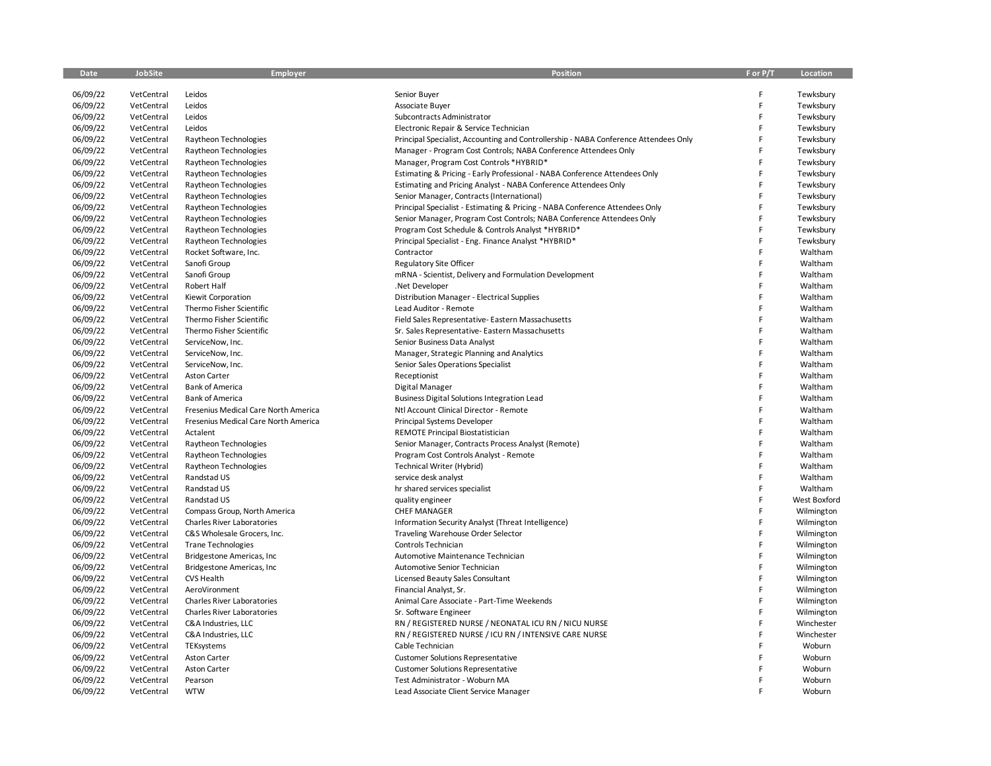| Date     | <b>JobSite</b> | <b>Employer</b>                      | Position                                                                             | For P/T | Location                 |
|----------|----------------|--------------------------------------|--------------------------------------------------------------------------------------|---------|--------------------------|
|          |                |                                      |                                                                                      |         |                          |
| 06/09/22 | VetCentral     | Leidos                               | Senior Buyer                                                                         | F       | Tewksbury                |
| 06/09/22 | VetCentral     | Leidos                               | Associate Buyer                                                                      | F       | Tewksbury                |
| 06/09/22 | VetCentral     | Leidos                               | Subcontracts Administrator                                                           | F       | Tewksbury                |
| 06/09/22 | VetCentral     | Leidos                               | Electronic Repair & Service Technician                                               | F       | Tewksbury                |
| 06/09/22 | VetCentral     | Raytheon Technologies                | Principal Specialist, Accounting and Controllership - NABA Conference Attendees Only | F       | Tewksbury                |
| 06/09/22 | VetCentral     | Raytheon Technologies                | Manager - Program Cost Controls; NABA Conference Attendees Only                      | F       | Tewksbury                |
| 06/09/22 | VetCentral     | Raytheon Technologies                | Manager, Program Cost Controls *HYBRID*                                              | F       | Tewksbury                |
| 06/09/22 | VetCentral     | Raytheon Technologies                | Estimating & Pricing - Early Professional - NABA Conference Attendees Only           | F       | Tewksbury                |
| 06/09/22 | VetCentral     | Raytheon Technologies                | Estimating and Pricing Analyst - NABA Conference Attendees Only                      | F       | Tewksbury                |
| 06/09/22 | VetCentral     | Raytheon Technologies                | Senior Manager, Contracts (International)                                            | F       | Tewksbury                |
| 06/09/22 | VetCentral     | Raytheon Technologies                | Principal Specialist - Estimating & Pricing - NABA Conference Attendees Only         | F       | Tewksbury                |
| 06/09/22 | VetCentral     | Raytheon Technologies                | Senior Manager, Program Cost Controls; NABA Conference Attendees Only                | F       | Tewksbury                |
| 06/09/22 | VetCentral     | Raytheon Technologies                | Program Cost Schedule & Controls Analyst *HYBRID*                                    | F       | Tewksbury                |
| 06/09/22 | VetCentral     | Raytheon Technologies                | Principal Specialist - Eng. Finance Analyst *HYBRID*                                 | F       | Tewksbury                |
| 06/09/22 | VetCentral     | Rocket Software, Inc.                | Contractor                                                                           | F       | Waltham                  |
| 06/09/22 | VetCentral     | Sanofi Group                         | Regulatory Site Officer                                                              | F       | Waltham                  |
| 06/09/22 | VetCentral     | Sanofi Group                         | mRNA - Scientist, Delivery and Formulation Development                               | F       | Waltham                  |
| 06/09/22 | VetCentral     | Robert Half                          | .Net Developer                                                                       | F       | Waltham                  |
| 06/09/22 | VetCentral     | Kiewit Corporation                   | Distribution Manager - Electrical Supplies                                           | F       | Waltham                  |
| 06/09/22 | VetCentral     | Thermo Fisher Scientific             | Lead Auditor - Remote                                                                | F       | Waltham                  |
| 06/09/22 | VetCentral     | Thermo Fisher Scientific             | Field Sales Representative-Eastern Massachusetts                                     | F       | Waltham                  |
| 06/09/22 | VetCentral     | Thermo Fisher Scientific             | Sr. Sales Representative- Eastern Massachusetts                                      | F       | Waltham                  |
| 06/09/22 | VetCentral     | ServiceNow, Inc.                     | Senior Business Data Analyst                                                         | F       | Waltham                  |
| 06/09/22 | VetCentral     | ServiceNow, Inc.                     | Manager, Strategic Planning and Analytics                                            | F       | Waltham                  |
| 06/09/22 | VetCentral     | ServiceNow, Inc.                     | Senior Sales Operations Specialist                                                   | F       | Waltham                  |
| 06/09/22 | VetCentral     | <b>Aston Carter</b>                  | Receptionist                                                                         | F       | Waltham                  |
| 06/09/22 | VetCentral     | <b>Bank of America</b>               | Digital Manager                                                                      | F       | Waltham                  |
| 06/09/22 | VetCentral     | <b>Bank of America</b>               | <b>Business Digital Solutions Integration Lead</b>                                   | F       | Waltham                  |
| 06/09/22 | VetCentral     | Fresenius Medical Care North America | Ntl Account Clinical Director - Remote                                               | F       | Waltham                  |
| 06/09/22 | VetCentral     | Fresenius Medical Care North America | Principal Systems Developer                                                          | F       | Waltham                  |
| 06/09/22 | VetCentral     | Actalent                             | REMOTE Principal Biostatistician                                                     | F       | Waltham                  |
| 06/09/22 | VetCentral     | Raytheon Technologies                | Senior Manager, Contracts Process Analyst (Remote)                                   | F       | Waltham                  |
| 06/09/22 | VetCentral     | Raytheon Technologies                | Program Cost Controls Analyst - Remote                                               | F       | Waltham                  |
| 06/09/22 | VetCentral     | Raytheon Technologies                | Technical Writer (Hybrid)                                                            | F       | Waltham                  |
| 06/09/22 | VetCentral     | Randstad US                          | service desk analyst                                                                 | F       | Waltham                  |
| 06/09/22 | VetCentral     | Randstad US                          | hr shared services specialist                                                        | F       | Waltham                  |
| 06/09/22 | VetCentral     | Randstad US                          | quality engineer                                                                     | F       | West Boxford             |
| 06/09/22 | VetCentral     | Compass Group, North America         | <b>CHEF MANAGER</b>                                                                  | F       | Wilmington               |
| 06/09/22 | VetCentral     | <b>Charles River Laboratories</b>    | Information Security Analyst (Threat Intelligence)                                   | F       | Wilmington               |
| 06/09/22 | VetCentral     | C&S Wholesale Grocers, Inc.          | Traveling Warehouse Order Selector                                                   | F       | Wilmington               |
| 06/09/22 | VetCentral     | <b>Trane Technologies</b>            | Controls Technician                                                                  | F       | Wilmington               |
| 06/09/22 | VetCentral     | Bridgestone Americas, Inc.           | Automotive Maintenance Technician                                                    | F       | Wilmington               |
| 06/09/22 | VetCentral     | Bridgestone Americas, Inc.           | Automotive Senior Technician                                                         | F       | Wilmington               |
| 06/09/22 | VetCentral     | <b>CVS Health</b>                    | Licensed Beauty Sales Consultant                                                     | F       | Wilmington               |
| 06/09/22 | VetCentral     | AeroVironment                        | Financial Analyst, Sr.                                                               | F       | Wilmington               |
| 06/09/22 | VetCentral     | Charles River Laboratories           | Animal Care Associate - Part-Time Weekends                                           | F       | Wilmington               |
| 06/09/22 | VetCentral     | <b>Charles River Laboratories</b>    |                                                                                      | F       |                          |
| 06/09/22 | VetCentral     | C&A Industries, LLC                  | Sr. Software Engineer<br>RN / REGISTERED NURSE / NEONATAL ICU RN / NICU NURSE        | F       | Wilmington<br>Winchester |
| 06/09/22 | VetCentral     |                                      | RN / REGISTERED NURSE / ICU RN / INTENSIVE CARE NURSE                                | F       |                          |
| 06/09/22 |                | C&A Industries, LLC                  |                                                                                      | F       | Winchester               |
|          | VetCentral     | TEKsystems                           | Cable Technician                                                                     | F       | Woburn                   |
| 06/09/22 | VetCentral     | Aston Carter                         | <b>Customer Solutions Representative</b>                                             |         | Woburn                   |
| 06/09/22 | VetCentral     | <b>Aston Carter</b>                  | <b>Customer Solutions Representative</b>                                             | F       | Woburn                   |
| 06/09/22 | VetCentral     | Pearson                              | Test Administrator - Woburn MA                                                       |         | Woburn                   |
| 06/09/22 | VetCentral     | <b>WTW</b>                           | Lead Associate Client Service Manager                                                | E       | Woburn                   |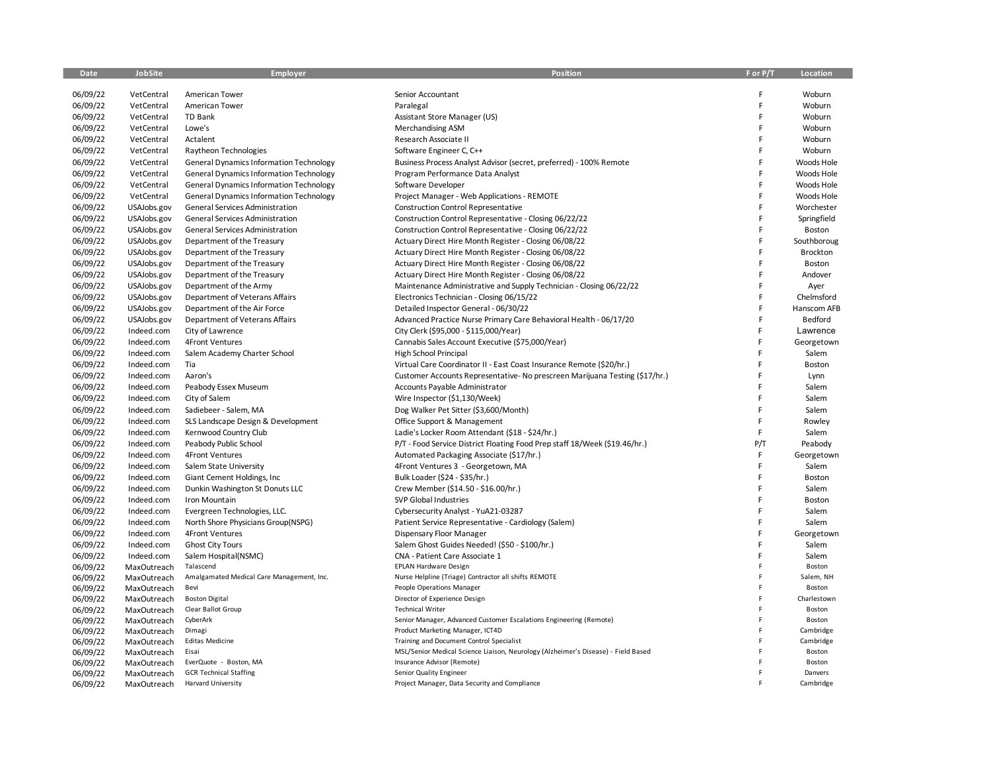| <b>Date</b>          | <b>JobSite</b>             | <b>Employer</b>                                | <b>Position</b>                                                                                        | F or P/T | Location         |
|----------------------|----------------------------|------------------------------------------------|--------------------------------------------------------------------------------------------------------|----------|------------------|
|                      |                            |                                                |                                                                                                        |          |                  |
| 06/09/22             | VetCentral                 | <b>American Tower</b>                          | Senior Accountant                                                                                      | F        | Woburn           |
| 06/09/22             | VetCentral                 | American Tower                                 | Paralegal                                                                                              | F        | Woburn           |
| 06/09/22             | VetCentral                 | TD Bank                                        | Assistant Store Manager (US)                                                                           | F        | Woburn           |
| 06/09/22             | VetCentral                 | Lowe's                                         | <b>Merchandising ASM</b>                                                                               | F        | Woburn           |
| 06/09/22             | VetCentral                 | Actalent                                       | Research Associate II                                                                                  | F        | Woburn           |
| 06/09/22             | VetCentral                 | Raytheon Technologies                          | Software Engineer C, C++                                                                               | F        | Woburn           |
| 06/09/22             | VetCentral                 | <b>General Dynamics Information Technology</b> | Business Process Analyst Advisor (secret, preferred) - 100% Remote                                     | F        | Woods Hole       |
| 06/09/22             | VetCentral                 | <b>General Dynamics Information Technology</b> | Program Performance Data Analyst                                                                       | F        | Woods Hole       |
| 06/09/22             | VetCentral                 | <b>General Dynamics Information Technology</b> | Software Developer                                                                                     | F        | Woods Hole       |
| 06/09/22             | VetCentral                 | <b>General Dynamics Information Technology</b> | Project Manager - Web Applications - REMOTE                                                            | F        | Woods Hole       |
| 06/09/22             | USAJobs.gov                | General Services Administration                | <b>Construction Control Representative</b>                                                             | F        | Worchester       |
| 06/09/22             | USAJobs.gov                | <b>General Services Administration</b>         | Construction Control Representative - Closing 06/22/22                                                 | F        | Springfield      |
| 06/09/22             | USAJobs.gov                | <b>General Services Administration</b>         | Construction Control Representative - Closing 06/22/22                                                 | F        | Boston           |
| 06/09/22             | USAJobs.gov                | Department of the Treasury                     | Actuary Direct Hire Month Register - Closing 06/08/22                                                  | F        | Southboroug      |
| 06/09/22             | USAJobs.gov                | Department of the Treasury                     | Actuary Direct Hire Month Register - Closing 06/08/22                                                  | F        | Brockton         |
| 06/09/22             | USAJobs.gov                | Department of the Treasury                     | Actuary Direct Hire Month Register - Closing 06/08/22                                                  | F        | Boston           |
| 06/09/22             | USAJobs.gov                | Department of the Treasury                     | Actuary Direct Hire Month Register - Closing 06/08/22                                                  | F        | Andover          |
| 06/09/22             | USAJobs.gov                | Department of the Army                         | Maintenance Administrative and Supply Technician - Closing 06/22/22                                    | F        | Ayer             |
| 06/09/22             | USAJobs.gov                | Department of Veterans Affairs                 | Electronics Technician - Closing 06/15/22                                                              | F        | Chelmsford       |
| 06/09/22             | USAJobs.gov                | Department of the Air Force                    | Detailed Inspector General - 06/30/22                                                                  | F        | Hanscom AFB      |
| 06/09/22             | USAJobs.gov                | Department of Veterans Affairs                 | Advanced Practice Nurse Primary Care Behavioral Health - 06/17/20                                      | F        | Bedford          |
| 06/09/22             | Indeed.com                 | City of Lawrence                               | City Clerk (\$95,000 - \$115,000/Year)                                                                 | F        | Lawrence         |
| 06/09/22             | Indeed.com                 | <b>4Front Ventures</b>                         | Cannabis Sales Account Executive (\$75,000/Year)                                                       | F        | Georgetown       |
| 06/09/22             | Indeed.com                 | Salem Academy Charter School                   | High School Principal                                                                                  | F        | Salem            |
| 06/09/22             | Indeed.com                 | Tia                                            | Virtual Care Coordinator II - East Coast Insurance Remote (\$20/hr.)                                   | F        | Boston           |
| 06/09/22             | Indeed.com                 | Aaron's                                        | Customer Accounts Representative- No prescreen Marijuana Testing (\$17/hr.)                            | F        | Lynn             |
| 06/09/22             | Indeed.com                 | Peabody Essex Museum                           | Accounts Payable Administrator                                                                         | F        | Salem            |
| 06/09/22             | Indeed.com                 | City of Salem                                  | Wire Inspector (\$1,130/Week)                                                                          | F        | Salem            |
| 06/09/22             | Indeed.com                 | Sadiebeer - Salem, MA                          | Dog Walker Pet Sitter (\$3,600/Month)                                                                  | F        | Salem            |
| 06/09/22             | Indeed.com                 | SLS Landscape Design & Development             | Office Support & Management                                                                            | F        | Rowley           |
| 06/09/22             | Indeed.com                 | Kernwood Country Club                          | Ladie's Locker Room Attendant (\$18 - \$24/hr.)                                                        | F        | Salem            |
| 06/09/22             | Indeed.com                 | Peabody Public School                          | P/T - Food Service District Floating Food Prep staff 18/Week (\$19.46/hr.)                             | P/T      | Peabody          |
| 06/09/22             | Indeed.com                 | <b>4Front Ventures</b>                         | Automated Packaging Associate (\$17/hr.)                                                               | F        | Georgetown       |
| 06/09/22             | Indeed.com                 | Salem State University                         | 4Front Ventures 3 - Georgetown, MA                                                                     | F        | Salem            |
|                      |                            |                                                |                                                                                                        | F        |                  |
| 06/09/22             | Indeed.com                 | Giant Cement Holdings, Inc.                    | Bulk Loader (\$24 - \$35/hr.)                                                                          | F        | Boston           |
| 06/09/22             | Indeed.com                 | Dunkin Washington St Donuts LLC                | Crew Member (\$14.50 - \$16.00/hr.)                                                                    | F        | Salem            |
| 06/09/22             | Indeed.com                 | Iron Mountain                                  | SVP Global Industries                                                                                  |          | Boston           |
| 06/09/22             | Indeed.com                 | Evergreen Technologies, LLC.                   | Cybersecurity Analyst - YuA21-03287                                                                    | F        | Salem            |
| 06/09/22             | Indeed.com                 | North Shore Physicians Group(NSPG)             | Patient Service Representative - Cardiology (Salem)                                                    | F        | Salem            |
| 06/09/22             | Indeed.com                 | <b>4Front Ventures</b>                         | Dispensary Floor Manager                                                                               | F        | Georgetown       |
| 06/09/22             | Indeed.com                 | <b>Ghost City Tours</b>                        | Salem Ghost Guides Needed! (\$50 - \$100/hr.)                                                          | F        | Salem            |
| 06/09/22             | Indeed.com                 | Salem Hospital(NSMC)                           | CNA - Patient Care Associate 1                                                                         | Ë        | Salem            |
| 06/09/22             | MaxOutreach                | Talascend                                      | <b>EPLAN Hardware Design</b>                                                                           | F        | Boston           |
| 06/09/22             | MaxOutreach                | Amalgamated Medical Care Management, Inc.      | Nurse Helpline (Triage) Contractor all shifts REMOTE                                                   | F        | Salem, NH        |
| 06/09/22             | MaxOutreach                | Bevi                                           | People Operations Manager                                                                              | F<br>F   | Boston           |
| 06/09/22             | MaxOutreach                | <b>Boston Digital</b>                          | Director of Experience Design                                                                          | F        | Charlestown      |
| 06/09/22             | MaxOutreach                | Clear Ballot Group                             | <b>Technical Writer</b>                                                                                | F        | Boston<br>Boston |
| 06/09/22             | MaxOutreach                | CyberArk<br>Dimagi                             | Senior Manager, Advanced Customer Escalations Engineering (Remote)<br>Product Marketing Manager, ICT4D |          | Cambridge        |
| 06/09/22             | MaxOutreach                | <b>Editas Medicine</b>                         | Training and Document Control Specialist                                                               |          | Cambridge        |
| 06/09/22             | MaxOutreach                | Eisai                                          | MSL/Senior Medical Science Liaison, Neurology (Alzheimer's Disease) - Field Based                      |          | Boston           |
| 06/09/22<br>06/09/22 | MaxOutreach<br>MaxOutreach | EverQuote - Boston, MA                         | Insurance Advisor (Remote)                                                                             |          | Boston           |
| 06/09/22             | MaxOutreach                | <b>GCR Technical Staffing</b>                  | Senior Quality Engineer                                                                                | F        | Danvers          |
| 06/09/22             | MaxOutreach                | Harvard University                             | Project Manager, Data Security and Compliance                                                          | F        | Cambridge        |
|                      |                            |                                                |                                                                                                        |          |                  |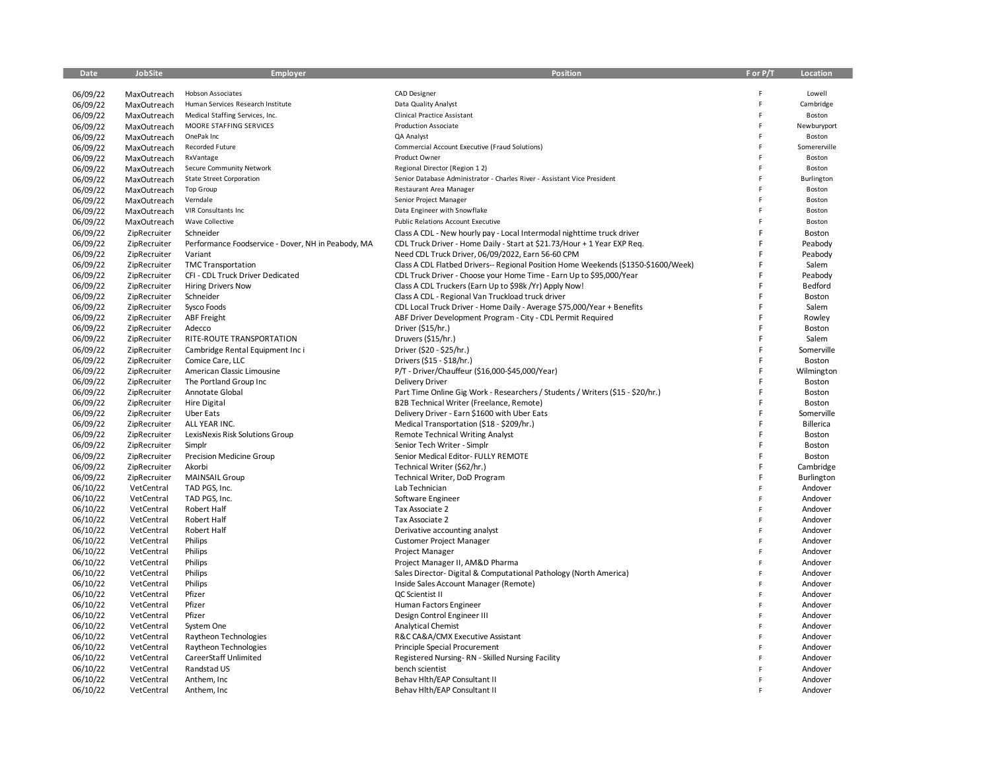| Date     | JobSite      | <b>Employer</b>                                    | Position                                                                           | F or P/T | Location     |
|----------|--------------|----------------------------------------------------|------------------------------------------------------------------------------------|----------|--------------|
|          |              |                                                    |                                                                                    |          |              |
| 06/09/22 | MaxOutreach  | <b>Hobson Associates</b>                           | <b>CAD Designer</b>                                                                | F        | Lowell       |
| 06/09/22 | MaxOutreach  | Human Services Research Institute                  | Data Quality Analyst                                                               | F        | Cambridge    |
| 06/09/22 | MaxOutreach  | Medical Staffing Services, Inc.                    | <b>Clinical Practice Assistant</b>                                                 | F        | Boston       |
| 06/09/22 | MaxOutreach  | MOORE STAFFING SERVICES                            | <b>Production Associate</b>                                                        | F        | Newburyport  |
| 06/09/22 | MaxOutreach  | OnePak Inc                                         | QA Analyst                                                                         | F        | Boston       |
| 06/09/22 | MaxOutreach  | Recorded Future                                    | Commercial Account Executive (Fraud Solutions)                                     | F        | Somererville |
| 06/09/22 | MaxOutreach  | RxVantage                                          | Product Owner                                                                      | F        | Boston       |
| 06/09/22 | MaxOutreach  | Secure Community Network                           | Regional Director (Region 12)                                                      | F        | Boston       |
| 06/09/22 | MaxOutreach  | <b>State Street Corporation</b>                    | Senior Database Administrator - Charles River - Assistant Vice President           | F        | Burlington   |
| 06/09/22 | MaxOutreach  | Top Group                                          | Restaurant Area Manager                                                            | F        | Boston       |
| 06/09/22 | MaxOutreach  | Verndale                                           | Senior Project Manager                                                             | F        | Boston       |
| 06/09/22 | MaxOutreach  | VIR Consultants Inc                                | Data Engineer with Snowflake                                                       | F        | Boston       |
| 06/09/22 | MaxOutreach  | <b>Wave Collective</b>                             | <b>Public Relations Account Executive</b>                                          | F        | Boston       |
| 06/09/22 | ZipRecruiter | Schneider                                          | Class A CDL - New hourly pay - Local Intermodal nighttime truck driver             | F        | Boston       |
| 06/09/22 | ZipRecruiter | Performance Foodservice - Dover, NH in Peabody, MA | CDL Truck Driver - Home Daily - Start at \$21.73/Hour + 1 Year EXP Req.            | F        | Peabody      |
| 06/09/22 | ZipRecruiter | Variant                                            | Need CDL Truck Driver, 06/09/2022, Earn 56-60 CPM                                  | F        | Peabody      |
| 06/09/22 | ZipRecruiter | <b>TMC Transportation</b>                          | Class A CDL Flatbed Drivers-- Regional Position Home Weekends (\$1350-\$1600/Week) | F        | Salem        |
| 06/09/22 | ZipRecruiter | CFI - CDL Truck Driver Dedicated                   | CDL Truck Driver - Choose your Home Time - Earn Up to \$95,000/Year                | F        | Peabody      |
| 06/09/22 | ZipRecruiter | <b>Hiring Drivers Now</b>                          | Class A CDL Truckers (Earn Up to \$98k /Yr) Apply Now!                             | F        | Bedford      |
| 06/09/22 | ZipRecruiter | Schneider                                          | Class A CDL - Regional Van Truckload truck driver                                  | F        | Boston       |
| 06/09/22 | ZipRecruiter | Sysco Foods                                        | CDL Local Truck Driver - Home Daily - Average \$75,000/Year + Benefits             | F        | Salem        |
| 06/09/22 | ZipRecruiter | <b>ABF</b> Freight                                 | ABF Driver Development Program - City - CDL Permit Required                        | F        | Rowley       |
| 06/09/22 | ZipRecruiter | Adecco                                             | Driver (\$15/hr.)                                                                  | F        | Boston       |
| 06/09/22 | ZipRecruiter | RITE-ROUTE TRANSPORTATION                          | Druvers (\$15/hr.)                                                                 | F        | Salem        |
| 06/09/22 | ZipRecruiter | Cambridge Rental Equipment Inc i                   | Driver (\$20 - \$25/hr.)                                                           | F        | Somerville   |
| 06/09/22 | ZipRecruiter | Comice Care, LLC                                   | Drivers (\$15 - \$18/hr.)                                                          | F        | Boston       |
| 06/09/22 | ZipRecruiter | American Classic Limousine                         | P/T - Driver/Chauffeur (\$16,000-\$45,000/Year)                                    | F        | Wilmington   |
| 06/09/22 | ZipRecruiter | The Portland Group Inc                             | <b>Delivery Driver</b>                                                             | F        | Boston       |
| 06/09/22 | ZipRecruiter | Annotate Global                                    | Part Time Online Gig Work - Researchers / Students / Writers (\$15 - \$20/hr.)     | F        | Boston       |
| 06/09/22 | ZipRecruiter | <b>Hire Digital</b>                                | B2B Technical Writer (Freelance, Remote)                                           | F        | Boston       |
| 06/09/22 | ZipRecruiter | <b>Uber Eats</b>                                   | Delivery Driver - Earn \$1600 with Uber Eats                                       | F        | Somerville   |
| 06/09/22 | ZipRecruiter | ALL YEAR INC.                                      | Medical Transportation (\$18 - \$209/hr.)                                          | F        | Billerica    |
| 06/09/22 | ZipRecruiter | LexisNexis Risk Solutions Group                    | <b>Remote Technical Writing Analyst</b>                                            | F        | Boston       |
| 06/09/22 | ZipRecruiter | Simplr                                             | Senior Tech Writer - Simplr                                                        | F        | Boston       |
| 06/09/22 | ZipRecruiter | Precision Medicine Group                           | Senior Medical Editor- FULLY REMOTE                                                | F        | Boston       |
| 06/09/22 | ZipRecruiter | Akorbi                                             | Technical Writer (\$62/hr.)                                                        | F        | Cambridge    |
| 06/09/22 | ZipRecruiter | <b>MAINSAIL Group</b>                              | Technical Writer, DoD Program                                                      | F        | Burlington   |
| 06/10/22 | VetCentral   | TAD PGS, Inc.                                      | Lab Technician                                                                     | F        | Andover      |
| 06/10/22 | VetCentral   | TAD PGS, Inc.                                      | Software Engineer                                                                  | F        | Andover      |
| 06/10/22 | VetCentral   | Robert Half                                        | Tax Associate 2                                                                    | F        | Andover      |
| 06/10/22 | VetCentral   | Robert Half                                        | Tax Associate 2                                                                    | F        | Andover      |
| 06/10/22 | VetCentral   | Robert Half                                        | Derivative accounting analyst                                                      | F        | Andover      |
| 06/10/22 | VetCentral   | Philips                                            | <b>Customer Project Manager</b>                                                    | F        | Andover      |
| 06/10/22 | VetCentral   | Philips                                            | Project Manager                                                                    | F        | Andover      |
| 06/10/22 | VetCentral   | Philips                                            | Project Manager II, AM&D Pharma                                                    | F        | Andover      |
| 06/10/22 | VetCentral   | Philips                                            | Sales Director- Digital & Computational Pathology (North America)                  | F        | Andover      |
| 06/10/22 | VetCentral   | Philips                                            | Inside Sales Account Manager (Remote)                                              | F        | Andover      |
| 06/10/22 | VetCentral   | Pfizer                                             | QC Scientist II                                                                    | F        | Andover      |
| 06/10/22 | VetCentral   | Pfizer                                             | Human Factors Engineer                                                             | F        | Andover      |
| 06/10/22 | VetCentral   | Pfizer                                             | Design Control Engineer III                                                        | F        | Andover      |
| 06/10/22 | VetCentral   | System One                                         | Analytical Chemist                                                                 | F        | Andover      |
| 06/10/22 | VetCentral   | Raytheon Technologies                              | R&C CA&A/CMX Executive Assistant                                                   | F        | Andover      |
| 06/10/22 | VetCentral   | Raytheon Technologies                              | Principle Special Procurement                                                      | F        | Andover      |
| 06/10/22 | VetCentral   | CareerStaff Unlimited                              | Registered Nursing-RN - Skilled Nursing Facility                                   | F        | Andover      |
| 06/10/22 | VetCentral   | Randstad US                                        | bench scientist                                                                    | F        | Andover      |
| 06/10/22 | VetCentral   | Anthem, Inc.                                       | Behav Hlth/EAP Consultant II                                                       | F        | Andover      |
| 06/10/22 | VetCentral   | Anthem, Inc.                                       | Behav Hlth/EAP Consultant II                                                       |          | Andover      |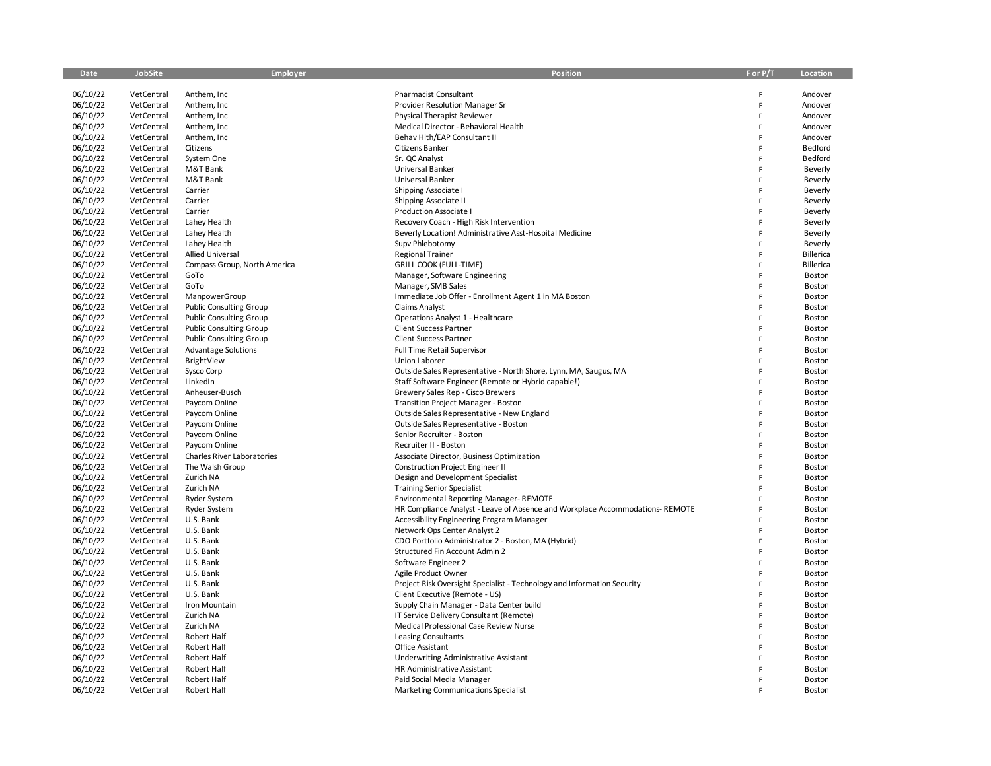| Date                 | JobSite                  | Employer                       | Position                                                                                                  | F or P/T | Location           |
|----------------------|--------------------------|--------------------------------|-----------------------------------------------------------------------------------------------------------|----------|--------------------|
|                      |                          |                                |                                                                                                           |          |                    |
| 06/10/22             | VetCentral               | Anthem, Inc.                   | <b>Pharmacist Consultant</b>                                                                              | F        | Andover            |
| 06/10/22<br>06/10/22 | VetCentral<br>VetCentral | Anthem, Inc.<br>Anthem, Inc.   | <b>Provider Resolution Manager Sr</b><br><b>Physical Therapist Reviewer</b>                               | F<br>F   | Andover<br>Andover |
| 06/10/22             | VetCentral               | Anthem, Inc                    | Medical Director - Behavioral Health                                                                      |          | Andover            |
| 06/10/22             | VetCentral               | Anthem, Inc.                   | Behav Hith/EAP Consultant II                                                                              | F        | Andover            |
| 06/10/22             | VetCentral               | Citizens                       | Citizens Banker                                                                                           | F        | Bedford            |
| 06/10/22             | VetCentral               | System One                     | Sr. QC Analyst                                                                                            | F        | Bedford            |
| 06/10/22             | VetCentral               | M&T Bank                       | Universal Banker                                                                                          |          | Beverly            |
| 06/10/22             | VetCentral               | M&T Bank                       | Universal Banker                                                                                          | F        | Beverly            |
| 06/10/22             | VetCentral               | Carrier                        | Shipping Associate                                                                                        | F        | Beverly            |
| 06/10/22             | VetCentral               | Carrier                        | Shipping Associate II                                                                                     | E        | Beverly            |
| 06/10/22             | VetCentral               | Carrier                        | Production Associate I                                                                                    | E        | Beverly            |
| 06/10/22             | VetCentral               | Lahey Health                   | Recovery Coach - High Risk Intervention                                                                   | F        | Beverly            |
| 06/10/22             | VetCentral               | Lahey Health                   | Beverly Location! Administrative Asst-Hospital Medicine                                                   | F        | Beverly            |
| 06/10/22             | VetCentral               | Lahey Health                   | Supv Phlebotomy                                                                                           | F        | Beverly            |
| 06/10/22             | VetCentral               | <b>Allied Universal</b>        | <b>Regional Trainer</b>                                                                                   | F        | <b>Billerica</b>   |
| 06/10/22             | VetCentral               | Compass Group, North America   | <b>GRILL COOK (FULL-TIME)</b>                                                                             | F        | <b>Billerica</b>   |
| 06/10/22             | VetCentral               | GoTo                           | Manager, Software Engineering                                                                             | F        | Boston             |
| 06/10/22             | VetCentral               | GoTo                           | Manager, SMB Sales                                                                                        |          | Boston             |
| 06/10/22             | VetCentral               | ManpowerGroup                  | Immediate Job Offer - Enrollment Agent 1 in MA Boston                                                     | F        | Boston             |
| 06/10/22             | VetCentral               | <b>Public Consulting Group</b> | Claims Analyst                                                                                            |          | Boston             |
| 06/10/22             | VetCentral               | <b>Public Consulting Group</b> | Operations Analyst 1 - Healthcare                                                                         |          | Boston             |
| 06/10/22             | VetCentral               | <b>Public Consulting Group</b> | <b>Client Success Partner</b>                                                                             | F        | Boston             |
| 06/10/22             | VetCentral               | <b>Public Consulting Group</b> | <b>Client Success Partner</b>                                                                             | F        | Boston             |
| 06/10/22             | VetCentral               | <b>Advantage Solutions</b>     | Full Time Retail Supervisor                                                                               |          | Boston             |
| 06/10/22             | VetCentral               | BrightView                     | Union Laborer                                                                                             |          | Boston             |
| 06/10/22             | VetCentral               | Sysco Corp                     | Outside Sales Representative - North Shore, Lynn, MA, Saugus, MA                                          |          | Boston             |
| 06/10/22             | VetCentral               | LinkedIn                       | Staff Software Engineer (Remote or Hybrid capable!)                                                       | F        | Boston             |
| 06/10/22             | VetCentral               | Anheuser-Busch                 | Brewery Sales Rep - Cisco Brewers                                                                         | F        | Boston             |
| 06/10/22             | VetCentral               | Paycom Online                  | <b>Transition Project Manager - Boston</b>                                                                | E        | Boston             |
| 06/10/22             | VetCentral               | Paycom Online                  | Outside Sales Representative - New England                                                                |          | Boston             |
| 06/10/22             | VetCentral               | Paycom Online                  | Outside Sales Representative - Boston                                                                     | F        | Boston             |
| 06/10/22             | VetCentral               | Paycom Online                  | Senior Recruiter - Boston                                                                                 | F        | Boston             |
| 06/10/22             | VetCentral               | Paycom Online                  | Recruiter II - Boston                                                                                     |          | Boston             |
| 06/10/22             | VetCentral               | Charles River Laboratories     | Associate Director, Business Optimization                                                                 |          | Boston             |
| 06/10/22             | VetCentral               | The Walsh Group                | <b>Construction Project Engineer II</b>                                                                   | F        | Boston             |
| 06/10/22             | VetCentral               | Zurich NA                      | Design and Development Specialist                                                                         | F        | Boston             |
| 06/10/22             | VetCentral               | Zurich NA                      | <b>Training Senior Specialist</b>                                                                         |          | Boston             |
| 06/10/22             | VetCentral               | Ryder System                   | <b>Environmental Reporting Manager-REMOTE</b>                                                             |          | Boston             |
| 06/10/22             | VetCentral               | Ryder System                   | HR Compliance Analyst - Leave of Absence and Workplace Accommodations-REMOTE                              |          | Boston             |
| 06/10/22             | VetCentral               | U.S. Bank                      | <b>Accessibility Engineering Program Manager</b>                                                          |          | Boston             |
| 06/10/22             | VetCentral               | U.S. Bank                      | Network Ops Center Analyst 2                                                                              |          | Boston             |
| 06/10/22             | VetCentral               | U.S. Bank                      | CDO Portfolio Administrator 2 - Boston, MA (Hybrid)                                                       | F        | Boston             |
| 06/10/22             | VetCentral               | U.S. Bank                      | Structured Fin Account Admin 2                                                                            | F        | Boston             |
| 06/10/22             | VetCentral               | U.S. Bank                      | Software Engineer 2                                                                                       |          | Boston             |
| 06/10/22<br>06/10/22 | VetCentral<br>VetCentral | U.S. Bank<br>U.S. Bank         | Agile Product Owner                                                                                       | F        | Boston<br>Boston   |
| 06/10/22             | VetCentral               | U.S. Bank                      | Project Risk Oversight Specialist - Technology and Information Security<br>Client Executive (Remote - US) |          | Boston             |
| 06/10/22             | VetCentral               | Iron Mountain                  | Supply Chain Manager - Data Center build                                                                  |          | Boston             |
| 06/10/22             | VetCentral               | Zurich NA                      | IT Service Delivery Consultant (Remote)                                                                   | F        | Boston             |
| 06/10/22             | VetCentral               | Zurich NA                      | Medical Professional Case Review Nurse                                                                    | F        | Boston             |
| 06/10/22             | VetCentral               | Robert Half                    | <b>Leasing Consultants</b>                                                                                |          | Boston             |
| 06/10/22             | VetCentral               | <b>Robert Half</b>             | Office Assistant                                                                                          |          | Boston             |
| 06/10/22             | VetCentral               | <b>Robert Half</b>             | Underwriting Administrative Assistant                                                                     | F        | Boston             |
| 06/10/22             | VetCentral               | Robert Half                    | HR Administrative Assistant                                                                               |          | Boston             |
| 06/10/22             | VetCentral               | Robert Half                    | Paid Social Media Manager                                                                                 |          | Boston             |
| 06/10/22             | VetCentral               | Robert Half                    | Marketing Communications Specialist                                                                       |          | Boston             |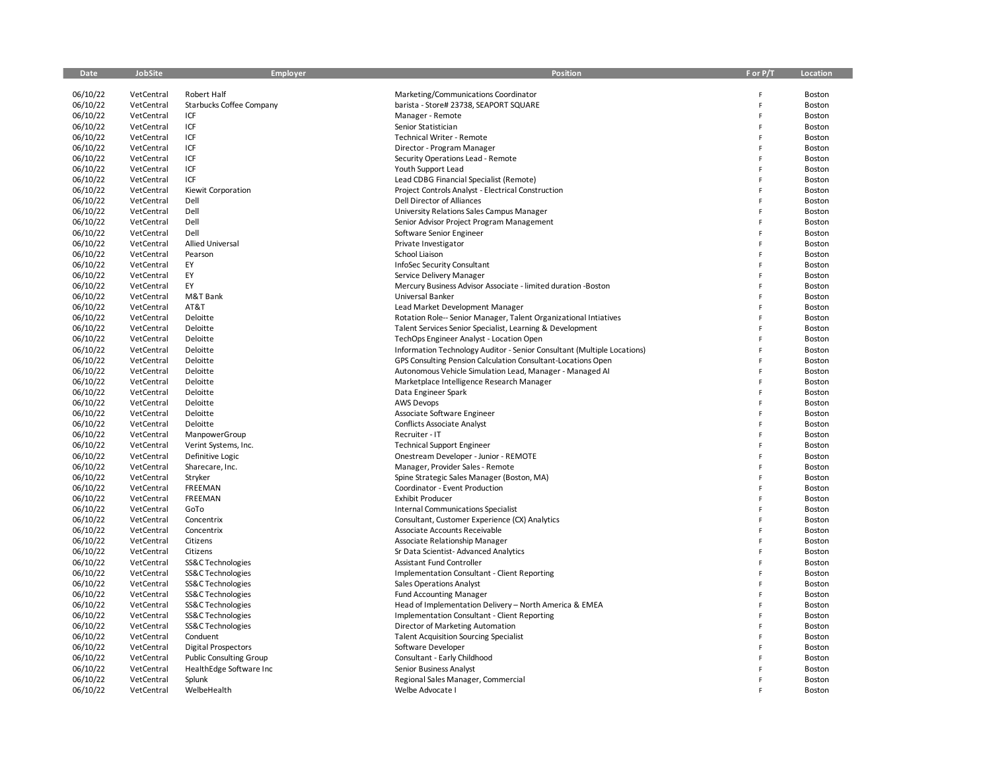| Date     | <b>JobSite</b> | Employer                       | Position                                                                | F or P/T | Location |
|----------|----------------|--------------------------------|-------------------------------------------------------------------------|----------|----------|
|          |                |                                |                                                                         |          |          |
| 06/10/22 | VetCentral     | Robert Half                    | Marketing/Communications Coordinator                                    | F        | Boston   |
| 06/10/22 | VetCentral     | Starbucks Coffee Company       | barista - Store# 23738, SEAPORT SQUARE                                  | F        | Boston   |
| 06/10/22 | VetCentral     | ICF                            | Manager - Remote                                                        | F        | Boston   |
| 06/10/22 | VetCentral     | ICF                            | Senior Statistician                                                     | F        | Boston   |
| 06/10/22 | VetCentral     | ICF                            | Technical Writer - Remote                                               | F        | Boston   |
| 06/10/22 | VetCentral     | ICF                            | Director - Program Manager                                              | F        | Boston   |
| 06/10/22 | VetCentral     | ICF                            | Security Operations Lead - Remote                                       | F        | Boston   |
| 06/10/22 | VetCentral     | ICF                            | Youth Support Lead                                                      | F        | Boston   |
| 06/10/22 | VetCentral     | ICF                            | Lead CDBG Financial Specialist (Remote)                                 | F        | Boston   |
| 06/10/22 | VetCentral     |                                | Project Controls Analyst - Electrical Construction                      | F        |          |
|          |                | Kiewit Corporation             |                                                                         |          | Boston   |
| 06/10/22 | VetCentral     | Dell                           | Dell Director of Alliances                                              | F<br>F   | Boston   |
| 06/10/22 | VetCentral     | Dell                           | University Relations Sales Campus Manager                               |          | Boston   |
| 06/10/22 | VetCentral     | Dell                           | Senior Advisor Project Program Management                               | F        | Boston   |
| 06/10/22 | VetCentral     | Dell                           | Software Senior Engineer                                                | F        | Boston   |
| 06/10/22 | VetCentral     | <b>Allied Universal</b>        | Private Investigator                                                    | F        | Boston   |
| 06/10/22 | VetCentral     | Pearson                        | School Liaison                                                          | F        | Boston   |
| 06/10/22 | VetCentral     | EY                             | InfoSec Security Consultant                                             | F        | Boston   |
| 06/10/22 | VetCentral     | EY                             | Service Delivery Manager                                                | F        | Boston   |
| 06/10/22 | VetCentral     | EY                             | Mercury Business Advisor Associate - limited duration -Boston           | F        | Boston   |
| 06/10/22 | VetCentral     | M&T Bank                       | Universal Banker                                                        | F        | Boston   |
| 06/10/22 | VetCentral     | AT&T                           | Lead Market Development Manager                                         | F        | Boston   |
| 06/10/22 | VetCentral     | Deloitte                       | Rotation Role-- Senior Manager, Talent Organizational Intiatives        | F        | Boston   |
| 06/10/22 | VetCentral     | Deloitte                       | Talent Services Senior Specialist, Learning & Development               | F        | Boston   |
| 06/10/22 | VetCentral     | Deloitte                       | TechOps Engineer Analyst - Location Open                                | F        | Boston   |
| 06/10/22 | VetCentral     | Deloitte                       | Information Technology Auditor - Senior Consultant (Multiple Locations) | F        | Boston   |
| 06/10/22 | VetCentral     | Deloitte                       | GPS Consulting Pension Calculation Consultant-Locations Open            | F        | Boston   |
| 06/10/22 | VetCentral     | Deloitte                       | Autonomous Vehicle Simulation Lead, Manager - Managed Al                | F        | Boston   |
| 06/10/22 | VetCentral     | Deloitte                       | Marketplace Intelligence Research Manager                               | F        | Boston   |
| 06/10/22 | VetCentral     | Deloitte                       | Data Engineer Spark                                                     | F        | Boston   |
| 06/10/22 | VetCentral     | Deloitte                       | <b>AWS Devops</b>                                                       | F        | Boston   |
| 06/10/22 | VetCentral     | Deloitte                       | Associate Software Engineer                                             | F        | Boston   |
| 06/10/22 | VetCentral     | Deloitte                       | <b>Conflicts Associate Analyst</b>                                      | F        | Boston   |
| 06/10/22 | VetCentral     | ManpowerGroup                  | Recruiter - IT                                                          | F        | Boston   |
| 06/10/22 | VetCentral     | Verint Systems, Inc.           | <b>Technical Support Engineer</b>                                       | F        | Boston   |
| 06/10/22 | VetCentral     | Definitive Logic               | Onestream Developer - Junior - REMOTE                                   | F        | Boston   |
| 06/10/22 | VetCentral     | Sharecare, Inc.                | Manager, Provider Sales - Remote                                        | F        | Boston   |
| 06/10/22 | VetCentral     | Stryker                        | Spine Strategic Sales Manager (Boston, MA)                              | F        | Boston   |
| 06/10/22 | VetCentral     | FREEMAN                        | Coordinator - Event Production                                          | F        | Boston   |
| 06/10/22 | VetCentral     | FREEMAN                        | <b>Exhibit Producer</b>                                                 | F        | Boston   |
| 06/10/22 | VetCentral     | GoTo                           | <b>Internal Communications Specialist</b>                               | F        | Boston   |
| 06/10/22 | VetCentral     | Concentrix                     | Consultant, Customer Experience (CX) Analytics                          | F        | Boston   |
| 06/10/22 | VetCentral     | Concentrix                     | Associate Accounts Receivable                                           | F        | Boston   |
| 06/10/22 | VetCentral     | Citizens                       |                                                                         | F        |          |
| 06/10/22 |                |                                | Associate Relationship Manager                                          | F        | Boston   |
| 06/10/22 | VetCentral     | Citizens                       | Sr Data Scientist-Advanced Analytics                                    | F        | Boston   |
|          | VetCentral     | SS&C Technologies              | Assistant Fund Controller                                               |          | Boston   |
| 06/10/22 | VetCentral     | SS&C Technologies              | <b>Implementation Consultant - Client Reporting</b>                     | F<br>F   | Boston   |
| 06/10/22 | VetCentral     | SS&C Technologies              | Sales Operations Analyst                                                |          | Boston   |
| 06/10/22 | VetCentral     | SS&C Technologies              | <b>Fund Accounting Manager</b>                                          | F        | Boston   |
| 06/10/22 | VetCentral     | SS&C Technologies              | Head of Implementation Delivery - North America & EMEA                  | F        | Boston   |
| 06/10/22 | VetCentral     | SS&C Technologies              | <b>Implementation Consultant - Client Reporting</b>                     | F        | Boston   |
| 06/10/22 | VetCentral     | SS&C Technologies              | Director of Marketing Automation                                        | F        | Boston   |
| 06/10/22 | VetCentral     | Conduent                       | <b>Talent Acquisition Sourcing Specialist</b>                           | F        | Boston   |
| 06/10/22 | VetCentral     | <b>Digital Prospectors</b>     | Software Developer                                                      | F        | Boston   |
| 06/10/22 | VetCentral     | <b>Public Consulting Group</b> | Consultant - Early Childhood                                            | F        | Boston   |
| 06/10/22 | VetCentral     | HealthEdge Software Inc        | Senior Business Analyst                                                 | F        | Boston   |
| 06/10/22 | VetCentral     | Splunk                         | Regional Sales Manager, Commercial                                      | F        | Boston   |
| 06/10/22 | VetCentral     | WelbeHealth                    | Welbe Advocate I                                                        |          | Boston   |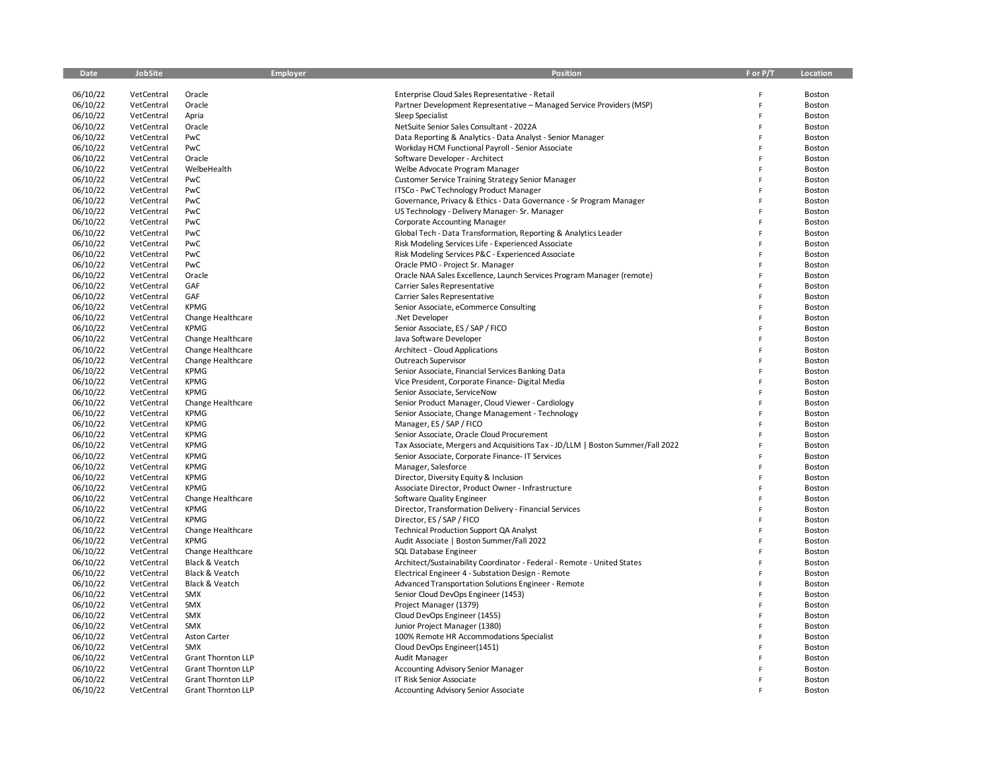| Date                 | JobSite                  | Employer                   | Position                                                                                                        | F or P/T | Location         |
|----------------------|--------------------------|----------------------------|-----------------------------------------------------------------------------------------------------------------|----------|------------------|
|                      |                          |                            |                                                                                                                 |          |                  |
| 06/10/22             | VetCentral               | Oracle                     | Enterprise Cloud Sales Representative - Retail                                                                  |          | Boston           |
| 06/10/22             | VetCentral               | Oracle                     | Partner Development Representative - Managed Service Providers (MSP)                                            | F        | Boston           |
| 06/10/22             | VetCentral               | Apria<br>Oracle            | Sleep Specialist                                                                                                | F        | Boston           |
| 06/10/22<br>06/10/22 | VetCentral<br>VetCentral | PwC                        | NetSuite Senior Sales Consultant - 2022A                                                                        | F        | Boston<br>Boston |
| 06/10/22             | VetCentral               | PwC                        | Data Reporting & Analytics - Data Analyst - Senior Manager<br>Workday HCM Functional Payroll - Senior Associate |          | Boston           |
| 06/10/22             | VetCentral               | Oracle                     | Software Developer - Architect                                                                                  |          | Boston           |
| 06/10/22             | VetCentral               | WelbeHealth                | Welbe Advocate Program Manager                                                                                  |          | Boston           |
| 06/10/22             | VetCentral               | PwC                        | Customer Service Training Strategy Senior Manager                                                               | F        | Boston           |
| 06/10/22             | VetCentral               | PwC                        | ITSCo - PwC Technology Product Manager                                                                          | F        | Boston           |
| 06/10/22             | VetCentral               | PwC                        | Governance, Privacy & Ethics - Data Governance - Sr Program Manager                                             |          | Boston           |
| 06/10/22             | VetCentral               | PwC                        | US Technology - Delivery Manager- Sr. Manager                                                                   |          | Boston           |
| 06/10/22             | VetCentral               | PwC                        | <b>Corporate Accounting Manager</b>                                                                             | F        | Boston           |
| 06/10/22             | VetCentral               | PwC                        | Global Tech - Data Transformation, Reporting & Analytics Leader                                                 | E        | Boston           |
| 06/10/22             | VetCentral               | PwC                        | Risk Modeling Services Life - Experienced Associate                                                             | F        | Boston           |
| 06/10/22             | VetCentral               | PwC                        | Risk Modeling Services P&C - Experienced Associate                                                              | F        | Boston           |
| 06/10/22             | VetCentral               | PwC                        | Oracle PMO - Project Sr. Manager                                                                                | F        | Boston           |
| 06/10/22             | VetCentral               | Oracle                     | Oracle NAA Sales Excellence, Launch Services Program Manager (remote)                                           |          | Boston           |
| 06/10/22             | VetCentral               | GAF                        | Carrier Sales Representative                                                                                    |          | Boston           |
| 06/10/22             | VetCentral               | GAF                        | Carrier Sales Representative                                                                                    |          | Boston           |
| 06/10/22             | VetCentral               | <b>KPMG</b>                | Senior Associate, eCommerce Consulting                                                                          |          | Boston           |
| 06/10/22             | VetCentral               | Change Healthcare          | .Net Developer                                                                                                  |          | Boston           |
| 06/10/22             | VetCentral               | <b>KPMG</b>                | Senior Associate, ES / SAP / FICO                                                                               | F        | Boston           |
| 06/10/22             | VetCentral               | Change Healthcare          | Java Software Developer                                                                                         |          | Boston           |
| 06/10/22             | VetCentral               | Change Healthcare          | Architect - Cloud Applications                                                                                  |          | Boston           |
| 06/10/22             | VetCentral               | Change Healthcare          | Outreach Supervisor                                                                                             |          | Boston           |
| 06/10/22             | VetCentral               | <b>KPMG</b>                | Senior Associate, Financial Services Banking Data                                                               | F        | Boston           |
| 06/10/22<br>06/10/22 | VetCentral<br>VetCentral | <b>KPMG</b><br><b>KPMG</b> | Vice President, Corporate Finance- Digital Media                                                                | F        | Boston<br>Boston |
| 06/10/22             | VetCentral               | Change Healthcare          | Senior Associate, ServiceNow<br>Senior Product Manager, Cloud Viewer - Cardiology                               | E        | Boston           |
| 06/10/22             | VetCentral               | <b>KPMG</b>                | Senior Associate, Change Management - Technology                                                                |          | Boston           |
| 06/10/22             | VetCentral               | <b>KPMG</b>                | Manager, ES / SAP / FICO                                                                                        | F        | Boston           |
| 06/10/22             | VetCentral               | <b>KPMG</b>                | Senior Associate, Oracle Cloud Procurement                                                                      | F        | Boston           |
| 06/10/22             | VetCentral               | <b>KPMG</b>                | Tax Associate, Mergers and Acquisitions Tax - JD/LLM   Boston Summer/Fall 2022                                  |          | Boston           |
| 06/10/22             | VetCentral               | <b>KPMG</b>                | Senior Associate, Corporate Finance- IT Services                                                                |          | Boston           |
| 06/10/22             | VetCentral               | <b>KPMG</b>                | Manager, Salesforce                                                                                             | F        | Boston           |
| 06/10/22             | VetCentral               | <b>KPMG</b>                | Director, Diversity Equity & Inclusion                                                                          | F        | Boston           |
| 06/10/22             | VetCentral               | <b>KPMG</b>                | Associate Director, Product Owner - Infrastructure                                                              |          | Boston           |
| 06/10/22             | VetCentral               | Change Healthcare          | Software Quality Engineer                                                                                       | F        | Boston           |
| 06/10/22             | VetCentral               | <b>KPMG</b>                | Director, Transformation Delivery - Financial Services                                                          |          | Boston           |
| 06/10/22             | VetCentral               | <b>KPMG</b>                | Director, ES / SAP / FICO                                                                                       | F        | Boston           |
| 06/10/22             | VetCentral               | Change Healthcare          | <b>Technical Production Support QA Analyst</b>                                                                  |          | Boston           |
| 06/10/22             | VetCentral               | <b>KPMG</b>                | Audit Associate   Boston Summer/Fall 2022                                                                       | F        | Boston           |
| 06/10/22             | VetCentral               | Change Healthcare          | SQL Database Engineer                                                                                           | F        | Boston           |
| 06/10/22             | VetCentral               | <b>Black &amp; Veatch</b>  | Architect/Sustainability Coordinator - Federal - Remote - United States                                         |          | Boston           |
| 06/10/22             | VetCentral               | Black & Veatch             | Electrical Engineer 4 - Substation Design - Remote                                                              |          | Boston           |
| 06/10/22             | VetCentral               | Black & Veatch             | Advanced Transportation Solutions Engineer - Remote                                                             | F        | Boston           |
| 06/10/22             | VetCentral               | <b>SMX</b>                 | Senior Cloud DevOps Engineer (1453)                                                                             |          | Boston           |
| 06/10/22             | VetCentral               | SMX                        | Project Manager (1379)                                                                                          |          | Boston           |
| 06/10/22             | VetCentral               | SMX                        | Cloud DevOps Engineer (1455)                                                                                    | F        | Boston           |
| 06/10/22             | VetCentral               | SMX                        | Junior Project Manager (1380)                                                                                   | F        | Boston           |
| 06/10/22<br>06/10/22 | VetCentral               | Aston Carter<br><b>SMX</b> | 100% Remote HR Accommodations Specialist                                                                        |          | Boston           |
| 06/10/22             | VetCentral<br>VetCentral | <b>Grant Thornton LLP</b>  | Cloud DevOps Engineer(1451)<br>Audit Manager                                                                    | F        | Boston<br>Boston |
| 06/10/22             | VetCentral               | <b>Grant Thornton LLP</b>  | <b>Accounting Advisory Senior Manager</b>                                                                       |          | Boston           |
| 06/10/22             | VetCentral               | <b>Grant Thornton LLP</b>  | IT Risk Senior Associate                                                                                        |          | Boston           |
| 06/10/22             | VetCentral               | <b>Grant Thornton LLP</b>  | <b>Accounting Advisory Senior Associate</b>                                                                     |          | Boston           |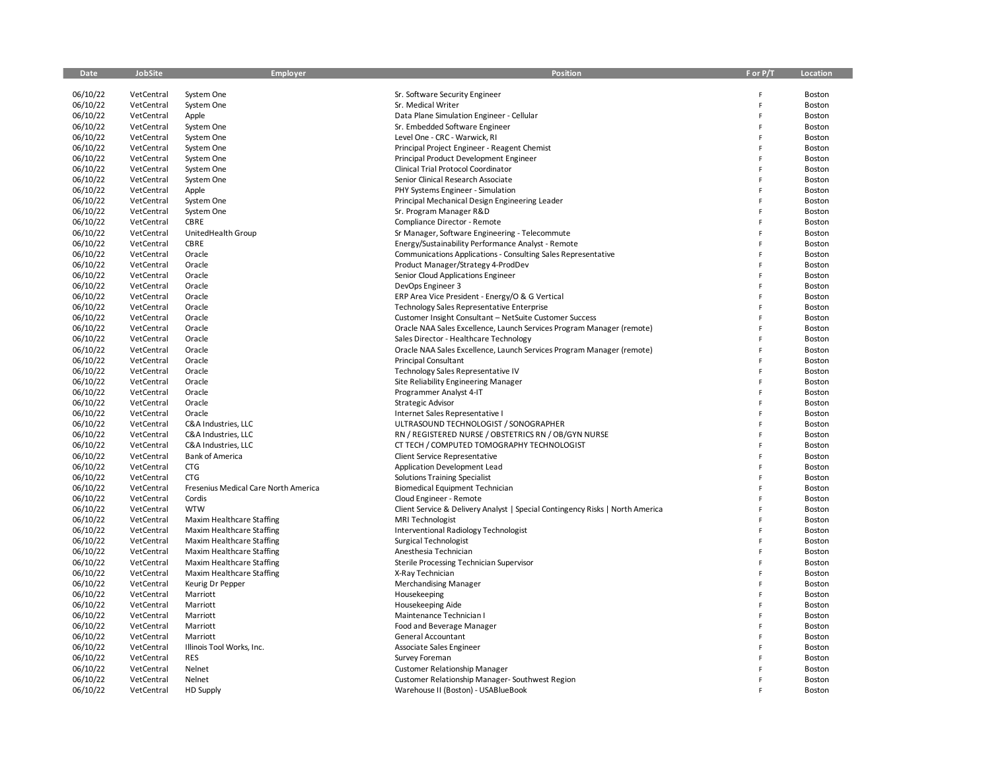| <b>Date</b>          | JobSite                  | Employer                             | Position                                                                      | F or P/T | Location         |
|----------------------|--------------------------|--------------------------------------|-------------------------------------------------------------------------------|----------|------------------|
|                      |                          |                                      |                                                                               |          |                  |
| 06/10/22             | VetCentral               | System One                           | Sr. Software Security Engineer                                                |          | Boston           |
| 06/10/22             | VetCentral               | System One                           | Sr. Medical Writer                                                            | F<br>F   | Boston           |
| 06/10/22<br>06/10/22 | VetCentral               | Apple                                | Data Plane Simulation Engineer - Cellular                                     |          | Boston<br>Boston |
| 06/10/22             | VetCentral<br>VetCentral | System One<br>System One             | Sr. Embedded Software Engineer<br>Level One - CRC - Warwick, RI               |          | Boston           |
| 06/10/22             | VetCentral               | System One                           | Principal Project Engineer - Reagent Chemist                                  | F        | Boston           |
| 06/10/22             | VetCentral               | System One                           | Principal Product Development Engineer                                        |          | Boston           |
| 06/10/22             | VetCentral               | System One                           | Clinical Trial Protocol Coordinator                                           |          | Boston           |
| 06/10/22             | VetCentral               | System One                           | Senior Clinical Research Associate                                            | F        | Boston           |
| 06/10/22             | VetCentral               | Apple                                | PHY Systems Engineer - Simulation                                             | F        | Boston           |
| 06/10/22             | VetCentral               | System One                           | Principal Mechanical Design Engineering Leader                                |          | Boston           |
| 06/10/22             | VetCentral               | System One                           | Sr. Program Manager R&D                                                       | E        | Boston           |
| 06/10/22             | VetCentral               | CBRE                                 | Compliance Director - Remote                                                  | F        | Boston           |
| 06/10/22             | VetCentral               | UnitedHealth Group                   | Sr Manager, Software Engineering - Telecommute                                | p        | Boston           |
| 06/10/22             | VetCentral               | CBRE                                 | Energy/Sustainability Performance Analyst - Remote                            |          | Boston           |
| 06/10/22             | VetCentral               | Oracle                               | Communications Applications - Consulting Sales Representative                 | E        | Boston           |
| 06/10/22             | VetCentral               | Oracle                               | Product Manager/Strategy 4-ProdDev                                            | F        | Boston           |
| 06/10/22             | VetCentral               | Oracle                               | Senior Cloud Applications Engineer                                            |          | Boston           |
| 06/10/22             | VetCentral               | Oracle                               | DevOps Engineer 3                                                             | F        | Boston           |
| 06/10/22             | VetCentral               | Oracle                               | ERP Area Vice President - Energy/O & G Vertical                               | F        | Boston           |
| 06/10/22             | VetCentral               | Oracle                               | Technology Sales Representative Enterprise                                    | F        | Boston           |
| 06/10/22             | VetCentral               | Oracle                               | Customer Insight Consultant - NetSuite Customer Success                       |          | Boston           |
| 06/10/22             | VetCentral               | Oracle                               | Oracle NAA Sales Excellence, Launch Services Program Manager (remote)         |          | Boston           |
| 06/10/22             | VetCentral               | Oracle                               | Sales Director - Healthcare Technology                                        |          | Boston           |
| 06/10/22             | VetCentral               | Oracle                               | Oracle NAA Sales Excellence, Launch Services Program Manager (remote)         |          | Boston           |
| 06/10/22             | VetCentral               | Oracle                               | <b>Principal Consultant</b>                                                   |          | Boston           |
| 06/10/22             | VetCentral               | Oracle                               | Technology Sales Representative IV                                            |          | Boston           |
| 06/10/22             | VetCentral               | Oracle                               | Site Reliability Engineering Manager                                          |          | Boston           |
| 06/10/22             | VetCentral               | Oracle                               | Programmer Analyst 4-IT                                                       |          | Boston           |
| 06/10/22             | VetCentral               | Oracle                               | <b>Strategic Advisor</b>                                                      |          | Boston           |
| 06/10/22             | VetCentral               | Oracle                               | Internet Sales Representative I                                               |          | Boston           |
| 06/10/22             | VetCentral               | C&A Industries, LLC                  | ULTRASOUND TECHNOLOGIST / SONOGRAPHER                                         | F        | Boston           |
| 06/10/22             | VetCentral               | C&A Industries, LLC                  | RN / REGISTERED NURSE / OBSTETRICS RN / OB/GYN NURSE                          | F        | Boston           |
| 06/10/22             | VetCentral               | C&A Industries, LLC                  | CT TECH / COMPUTED TOMOGRAPHY TECHNOLOGIST                                    | F        | Boston           |
| 06/10/22             | VetCentral               | <b>Bank of America</b>               | Client Service Representative                                                 |          | Boston           |
| 06/10/22             | VetCentral               | <b>CTG</b>                           | Application Development Lead                                                  | F        | Boston           |
| 06/10/22             | VetCentral               | <b>CTG</b>                           | <b>Solutions Training Specialist</b>                                          | F        | Boston           |
| 06/10/22             | VetCentral               | Fresenius Medical Care North America | <b>Biomedical Equipment Technician</b>                                        |          | Boston           |
| 06/10/22             | VetCentral               | Cordis                               | Cloud Engineer - Remote                                                       |          | Boston           |
| 06/10/22             | VetCentral               | <b>WTW</b>                           | Client Service & Delivery Analyst   Special Contingency Risks   North America | F        | Boston           |
| 06/10/22             | VetCentral               | Maxim Healthcare Staffing            | MRI Technologist                                                              | F<br>F   | Boston           |
| 06/10/22             | VetCentral               | Maxim Healthcare Staffing            | Interventional Radiology Technologist                                         |          | Boston           |
| 06/10/22             | VetCentral               | Maxim Healthcare Staffing            | Surgical Technologist                                                         | F<br>F   | Boston           |
| 06/10/22<br>06/10/22 | VetCentral<br>VetCentral | Maxim Healthcare Staffing            | Anesthesia Technician                                                         |          | Boston<br>Boston |
| 06/10/22             |                          | Maxim Healthcare Staffing            | Sterile Processing Technician Supervisor                                      |          |                  |
| 06/10/22             | VetCentral<br>VetCentral | Maxim Healthcare Staffing            | X-Ray Technician                                                              |          | Boston<br>Boston |
| 06/10/22             | VetCentral               | Keurig Dr Pepper<br>Marriott         | Merchandising Manager<br>Housekeeping                                         |          | Boston           |
| 06/10/22             | VetCentral               | Marriott                             | Housekeeping Aide                                                             |          | Boston           |
| 06/10/22             | VetCentral               | Marriott                             | Maintenance Technician I                                                      |          | Boston           |
| 06/10/22             | VetCentral               | Marriott                             | Food and Beverage Manager                                                     |          | Boston           |
| 06/10/22             | VetCentral               | Marriott                             | General Accountant                                                            |          | Boston           |
| 06/10/22             | VetCentral               | Illinois Tool Works, Inc.            | Associate Sales Engineer                                                      |          | Boston           |
| 06/10/22             | VetCentral               | <b>RES</b>                           | Survey Foreman                                                                | F        | Boston           |
| 06/10/22             | VetCentral               | Nelnet                               | <b>Customer Relationship Manager</b>                                          | F        | Boston           |
| 06/10/22             | VetCentral               | Nelnet                               | Customer Relationship Manager- Southwest Region                               |          | Boston           |
| 06/10/22             | VetCentral               | <b>HD Supply</b>                     | Warehouse II (Boston) - USABlueBook                                           | F        | Boston           |
|                      |                          |                                      |                                                                               |          |                  |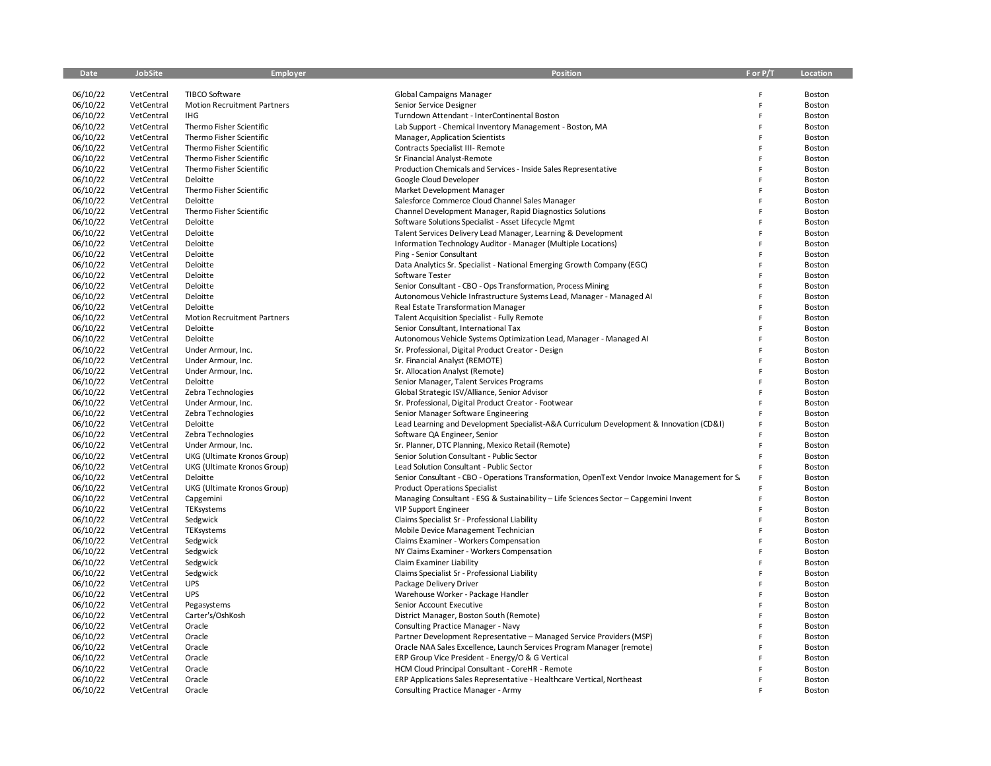| Date     | JobSite    | Employer                           | Position                                                                                       | F or P/T | Location         |
|----------|------------|------------------------------------|------------------------------------------------------------------------------------------------|----------|------------------|
|          |            |                                    |                                                                                                |          |                  |
| 06/10/22 | VetCentral | <b>TIBCO Software</b>              | Global Campaigns Manager                                                                       | F        | Boston           |
| 06/10/22 | VetCentral | <b>Motion Recruitment Partners</b> | Senior Service Designer                                                                        | F        | Boston           |
| 06/10/22 | VetCentral | <b>IHG</b>                         | Turndown Attendant - InterContinental Boston                                                   | F        | Boston           |
| 06/10/22 | VetCentral | Thermo Fisher Scientific           | Lab Support - Chemical Inventory Management - Boston, MA                                       | F        | Boston           |
| 06/10/22 | VetCentral | Thermo Fisher Scientific           | Manager, Application Scientists                                                                | F        | Boston           |
| 06/10/22 | VetCentral | Thermo Fisher Scientific           | Contracts Specialist III- Remote                                                               | F        | Boston           |
| 06/10/22 | VetCentral | Thermo Fisher Scientific           | Sr Financial Analyst-Remote                                                                    | F        | Boston           |
| 06/10/22 | VetCentral | Thermo Fisher Scientific           | Production Chemicals and Services - Inside Sales Representative                                | F        | Boston           |
| 06/10/22 | VetCentral | Deloitte                           | Google Cloud Developer                                                                         | F        | Boston           |
| 06/10/22 | VetCentral | Thermo Fisher Scientific           | Market Development Manager                                                                     | F        | Boston           |
| 06/10/22 | VetCentral | Deloitte                           | Salesforce Commerce Cloud Channel Sales Manager                                                | F        | Boston           |
| 06/10/22 | VetCentral | Thermo Fisher Scientific           | Channel Development Manager, Rapid Diagnostics Solutions                                       | F        | Boston           |
| 06/10/22 | VetCentral | Deloitte                           | Software Solutions Specialist - Asset Lifecycle Mgmt                                           | F        | Boston           |
| 06/10/22 | VetCentral | Deloitte                           | Talent Services Delivery Lead Manager, Learning & Development                                  | F        | Boston           |
| 06/10/22 | VetCentral | Deloitte                           | Information Technology Auditor - Manager (Multiple Locations)                                  | F        | Boston           |
| 06/10/22 | VetCentral | Deloitte                           | Ping - Senior Consultant                                                                       | F        | Boston           |
| 06/10/22 | VetCentral | Deloitte                           | Data Analytics Sr. Specialist - National Emerging Growth Company (EGC)                         | F        | Boston           |
| 06/10/22 | VetCentral | Deloitte                           | Software Tester                                                                                | F        | Boston           |
| 06/10/22 | VetCentral | Deloitte                           | Senior Consultant - CBO - Ops Transformation, Process Mining                                   | F        | Boston           |
| 06/10/22 | VetCentral | Deloitte                           | Autonomous Vehicle Infrastructure Systems Lead, Manager - Managed AI                           | F        | Boston           |
| 06/10/22 | VetCentral | Deloitte                           | Real Estate Transformation Manager                                                             | F        | Boston           |
| 06/10/22 | VetCentral | <b>Motion Recruitment Partners</b> | <b>Talent Acquisition Specialist - Fully Remote</b>                                            | F        | Boston           |
| 06/10/22 | VetCentral | Deloitte                           | Senior Consultant, International Tax                                                           | F        | Boston           |
| 06/10/22 | VetCentral | Deloitte                           | Autonomous Vehicle Systems Optimization Lead, Manager - Managed AI                             | F        | Boston           |
| 06/10/22 | VetCentral | Under Armour, Inc.                 | Sr. Professional, Digital Product Creator - Design                                             | F        | Boston           |
| 06/10/22 | VetCentral | Under Armour, Inc.                 | Sr. Financial Analyst (REMOTE)                                                                 | F        | Boston           |
| 06/10/22 | VetCentral | Under Armour, Inc.                 | Sr. Allocation Analyst (Remote)                                                                | F        | Boston           |
| 06/10/22 | VetCentral | Deloitte                           | Senior Manager, Talent Services Programs                                                       | F        | Boston           |
| 06/10/22 | VetCentral | Zebra Technologies                 | Global Strategic ISV/Alliance, Senior Advisor                                                  | F        | Boston           |
| 06/10/22 | VetCentral | Under Armour, Inc.                 | Sr. Professional, Digital Product Creator - Footwear                                           | F        | Boston           |
| 06/10/22 | VetCentral | Zebra Technologies                 | Senior Manager Software Engineering                                                            | F        | Boston           |
| 06/10/22 | VetCentral | Deloitte                           | Lead Learning and Development Specialist-A&A Curriculum Development & Innovation (CD&I)        | F        | Boston           |
| 06/10/22 | VetCentral | Zebra Technologies                 | Software QA Engineer, Senior                                                                   | F        | Boston           |
| 06/10/22 | VetCentral | Under Armour, Inc.                 | Sr. Planner, DTC Planning, Mexico Retail (Remote)                                              | F        | Boston           |
| 06/10/22 | VetCentral | UKG (Ultimate Kronos Group)        | Senior Solution Consultant - Public Sector                                                     | F        | Boston           |
| 06/10/22 | VetCentral | UKG (Ultimate Kronos Group)        | Lead Solution Consultant - Public Sector                                                       | F        | Boston           |
| 06/10/22 | VetCentral | Deloitte                           | Senior Consultant - CBO - Operations Transformation, OpenText Vendor Invoice Management for S. | F        | Boston           |
| 06/10/22 | VetCentral | UKG (Ultimate Kronos Group)        | <b>Product Operations Specialist</b>                                                           | F        | Boston           |
| 06/10/22 | VetCentral | Capgemini                          | Managing Consultant - ESG & Sustainability - Life Sciences Sector - Capgemini Invent           | F        | Boston           |
| 06/10/22 | VetCentral | TEKsystems                         | <b>VIP Support Engineer</b>                                                                    | F        | Boston           |
| 06/10/22 | VetCentral | Sedgwick                           | Claims Specialist Sr - Professional Liability                                                  | F        | Boston           |
| 06/10/22 | VetCentral | TEKsystems                         | Mobile Device Management Technician                                                            | F        | Boston           |
| 06/10/22 | VetCentral | Sedgwick                           | Claims Examiner - Workers Compensation                                                         | F        | Boston           |
| 06/10/22 | VetCentral |                                    |                                                                                                | F        |                  |
| 06/10/22 | VetCentral | Sedgwick<br>Sedgwick               | NY Claims Examiner - Workers Compensation<br>Claim Examiner Liability                          | F        | Boston<br>Boston |
|          |            |                                    |                                                                                                | F        |                  |
| 06/10/22 | VetCentral | Sedgwick                           | Claims Specialist Sr - Professional Liability                                                  |          | Boston           |
| 06/10/22 | VetCentral | <b>UPS</b>                         | Package Delivery Driver                                                                        | F        | Boston           |
| 06/10/22 | VetCentral | <b>UPS</b>                         | Warehouse Worker - Package Handler                                                             | F        | Boston           |
| 06/10/22 | VetCentral | Pegasystems                        | Senior Account Executive                                                                       | F        | Boston           |
| 06/10/22 | VetCentral | Carter's/OshKosh                   | District Manager, Boston South (Remote)                                                        | F        | Boston           |
| 06/10/22 | VetCentral | Oracle                             | Consulting Practice Manager - Navy                                                             | F        | Boston           |
| 06/10/22 | VetCentral | Oracle                             | Partner Development Representative - Managed Service Providers (MSP)                           | F        | Boston           |
| 06/10/22 | VetCentral | Oracle                             | Oracle NAA Sales Excellence, Launch Services Program Manager (remote)                          | F        | Boston           |
| 06/10/22 | VetCentral | Oracle                             | ERP Group Vice President - Energy/O & G Vertical                                               | F        | Boston           |
| 06/10/22 | VetCentral | Oracle                             | HCM Cloud Principal Consultant - CoreHR - Remote                                               | F        | Boston           |
| 06/10/22 | VetCentral | Oracle                             | ERP Applications Sales Representative - Healthcare Vertical, Northeast                         | F        | Boston           |
| 06/10/22 | VetCentral | Oracle                             | Consulting Practice Manager - Army                                                             | F        | Boston           |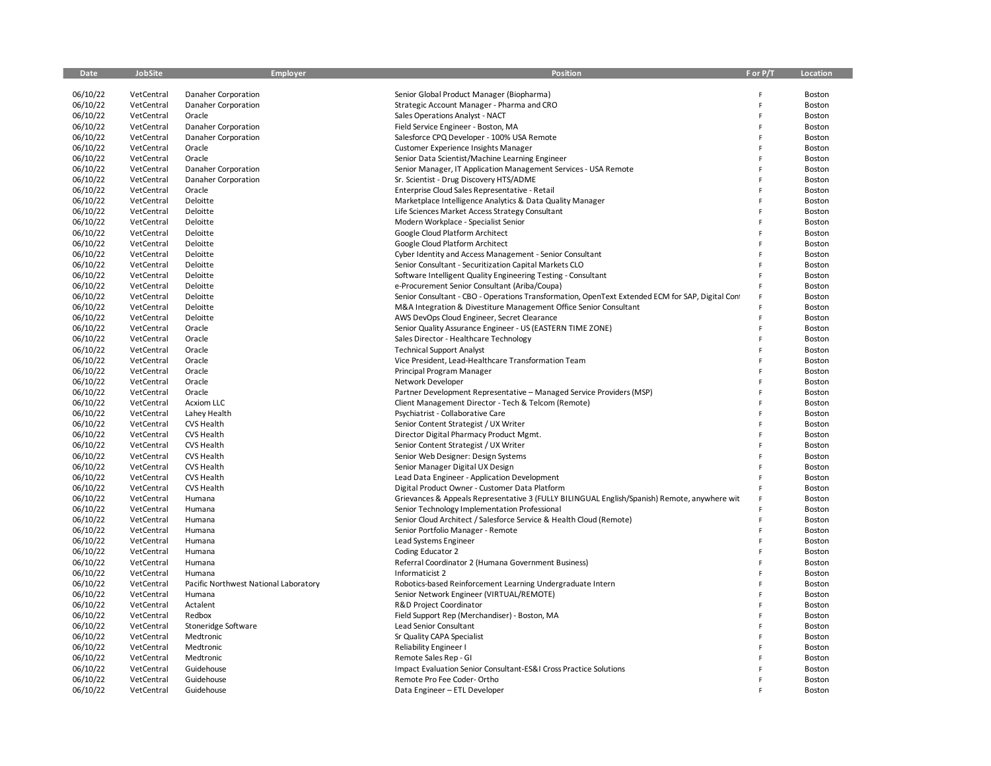| Date                 | JobSite                  | Employer                                   | <b>Position</b>                                                                                              | F or P/T | Location         |
|----------------------|--------------------------|--------------------------------------------|--------------------------------------------------------------------------------------------------------------|----------|------------------|
|                      |                          |                                            |                                                                                                              |          |                  |
| 06/10/22             | VetCentral               | Danaher Corporation                        | Senior Global Product Manager (Biopharma)                                                                    | F        | Boston           |
| 06/10/22             | VetCentral               | Danaher Corporation                        | Strategic Account Manager - Pharma and CRO                                                                   | F        | Boston           |
| 06/10/22             | VetCentral               | Oracle                                     | Sales Operations Analyst - NACT                                                                              | F        | Boston           |
| 06/10/22             | VetCentral               | Danaher Corporation                        | Field Service Engineer - Boston, MA                                                                          | F        | Boston           |
| 06/10/22             | VetCentral               | Danaher Corporation                        | Salesforce CPQ Developer - 100% USA Remote                                                                   | F        | Boston           |
| 06/10/22             | VetCentral               | Oracle                                     | Customer Experience Insights Manager                                                                         | F<br>F   | Boston           |
| 06/10/22             | VetCentral               | Oracle                                     | Senior Data Scientist/Machine Learning Engineer                                                              |          | Boston           |
| 06/10/22             | VetCentral<br>VetCentral | Danaher Corporation<br>Danaher Corporation | Senior Manager, IT Application Management Services - USA Remote                                              | F<br>F   | Boston<br>Boston |
| 06/10/22<br>06/10/22 | VetCentral               | Oracle                                     | Sr. Scientist - Drug Discovery HTS/ADME<br>Enterprise Cloud Sales Representative - Retail                    | F        | Boston           |
| 06/10/22             | VetCentral               | Deloitte                                   |                                                                                                              | F        | Boston           |
| 06/10/22             | VetCentral               | Deloitte                                   | Marketplace Intelligence Analytics & Data Quality Manager<br>Life Sciences Market Access Strategy Consultant | F        | Boston           |
| 06/10/22             | VetCentral               | Deloitte                                   | Modern Workplace - Specialist Senior                                                                         | F        | Boston           |
| 06/10/22             | VetCentral               | Deloitte                                   | Google Cloud Platform Architect                                                                              | F        | Boston           |
| 06/10/22             | VetCentral               | Deloitte                                   | Google Cloud Platform Architect                                                                              | F        | Boston           |
| 06/10/22             | VetCentral               | Deloitte                                   | Cyber Identity and Access Management - Senior Consultant                                                     | F        | Boston           |
| 06/10/22             | VetCentral               | Deloitte                                   | Senior Consultant - Securitization Capital Markets CLO                                                       | F        | Boston           |
| 06/10/22             | VetCentral               | Deloitte                                   | Software Intelligent Quality Engineering Testing - Consultant                                                | F        | Boston           |
| 06/10/22             | VetCentral               | Deloitte                                   | e-Procurement Senior Consultant (Ariba/Coupa)                                                                | F        | Boston           |
| 06/10/22             | VetCentral               | Deloitte                                   | Senior Consultant - CBO - Operations Transformation, OpenText Extended ECM for SAP, Digital Con              | F        | Boston           |
| 06/10/22             | VetCentral               | Deloitte                                   | M&A Integration & Divestiture Management Office Senior Consultant                                            |          | Boston           |
| 06/10/22             | VetCentral               | Deloitte                                   | AWS DevOps Cloud Engineer, Secret Clearance                                                                  | F        | Boston           |
| 06/10/22             | VetCentral               | Oracle                                     | Senior Quality Assurance Engineer - US (EASTERN TIME ZONE)                                                   | F        | Boston           |
| 06/10/22             | VetCentral               | Oracle                                     | Sales Director - Healthcare Technology                                                                       | F        | Boston           |
| 06/10/22             | VetCentral               | Oracle                                     | <b>Technical Support Analyst</b>                                                                             | F        | Boston           |
| 06/10/22             | VetCentral               | Oracle                                     | Vice President, Lead-Healthcare Transformation Team                                                          | F        | Boston           |
| 06/10/22             | VetCentral               | Oracle                                     | Principal Program Manager                                                                                    | F        | Boston           |
| 06/10/22             | VetCentral               | Oracle                                     | Network Developer                                                                                            | F        | Boston           |
| 06/10/22             | VetCentral               | Oracle                                     | Partner Development Representative - Managed Service Providers (MSP)                                         | F        | Boston           |
| 06/10/22             | VetCentral               | <b>Acxiom LLC</b>                          | Client Management Director - Tech & Telcom (Remote)                                                          | F        | Boston           |
| 06/10/22             | VetCentral               | Lahey Health                               | Psychiatrist - Collaborative Care                                                                            | F        | Boston           |
| 06/10/22             | VetCentral               | <b>CVS Health</b>                          | Senior Content Strategist / UX Writer                                                                        | F        | Boston           |
| 06/10/22             | VetCentral               | <b>CVS Health</b>                          | Director Digital Pharmacy Product Mgmt.                                                                      | F        | Boston           |
| 06/10/22             | VetCentral               | CVS Health                                 | Senior Content Strategist / UX Writer                                                                        | F        | Boston           |
| 06/10/22             | VetCentral               | <b>CVS Health</b>                          | Senior Web Designer: Design Systems                                                                          | F        | Boston           |
| 06/10/22             | VetCentral               | <b>CVS Health</b>                          | Senior Manager Digital UX Design                                                                             | F        | Boston           |
| 06/10/22             | VetCentral               | <b>CVS Health</b>                          | Lead Data Engineer - Application Development                                                                 | F        | Boston           |
| 06/10/22             | VetCentral               | <b>CVS Health</b>                          | Digital Product Owner - Customer Data Platform                                                               |          | Boston           |
| 06/10/22             | VetCentral               | Humana                                     | Grievances & Appeals Representative 3 (FULLY BILINGUAL English/Spanish) Remote, anywhere wit                 | F        | Boston           |
| 06/10/22             | VetCentral               | Humana                                     | Senior Technology Implementation Professional                                                                | F        | Boston           |
| 06/10/22             | VetCentral               | Humana                                     | Senior Cloud Architect / Salesforce Service & Health Cloud (Remote)                                          | F        | Boston           |
| 06/10/22             | VetCentral               | Humana                                     | Senior Portfolio Manager - Remote                                                                            | F        | Boston           |
| 06/10/22             | VetCentral               | Humana                                     | Lead Systems Engineer                                                                                        | F        | Boston           |
| 06/10/22             | VetCentral               | Humana                                     | Coding Educator 2                                                                                            | F        | Boston           |
| 06/10/22             | VetCentral               | Humana                                     | Referral Coordinator 2 (Humana Government Business)                                                          | F        | Boston           |
| 06/10/22             | VetCentral               | Humana                                     | Informaticist 2                                                                                              | F        | Boston           |
| 06/10/22             | VetCentral               | Pacific Northwest National Laboratory      | Robotics-based Reinforcement Learning Undergraduate Intern                                                   | F        | Boston           |
| 06/10/22             | VetCentral               | Humana                                     | Senior Network Engineer (VIRTUAL/REMOTE)                                                                     | F        | Boston           |
| 06/10/22             | VetCentral               | Actalent                                   | R&D Project Coordinator                                                                                      | F        | Boston           |
| 06/10/22             | VetCentral               | Redbox                                     | Field Support Rep (Merchandiser) - Boston, MA                                                                | F        | Boston           |
| 06/10/22             | VetCentral               | Stoneridge Software                        | Lead Senior Consultant                                                                                       | F        | Boston           |
| 06/10/22             | VetCentral               | Medtronic                                  | Sr Quality CAPA Specialist                                                                                   | F        | Boston           |
| 06/10/22             | VetCentral               | Medtronic                                  | Reliability Engineer I                                                                                       | F        | Boston           |
| 06/10/22             | VetCentral               | Medtronic                                  | Remote Sales Rep - GI                                                                                        | F        | Boston           |
| 06/10/22             | VetCentral               | Guidehouse                                 | Impact Evaluation Senior Consultant-ES&I Cross Practice Solutions                                            |          | Boston           |
| 06/10/22             | VetCentral               | Guidehouse                                 | Remote Pro Fee Coder-Ortho                                                                                   | F        | Boston           |
| 06/10/22             | VetCentral               | Guidehouse                                 | Data Engineer - ETL Developer                                                                                |          | Boston           |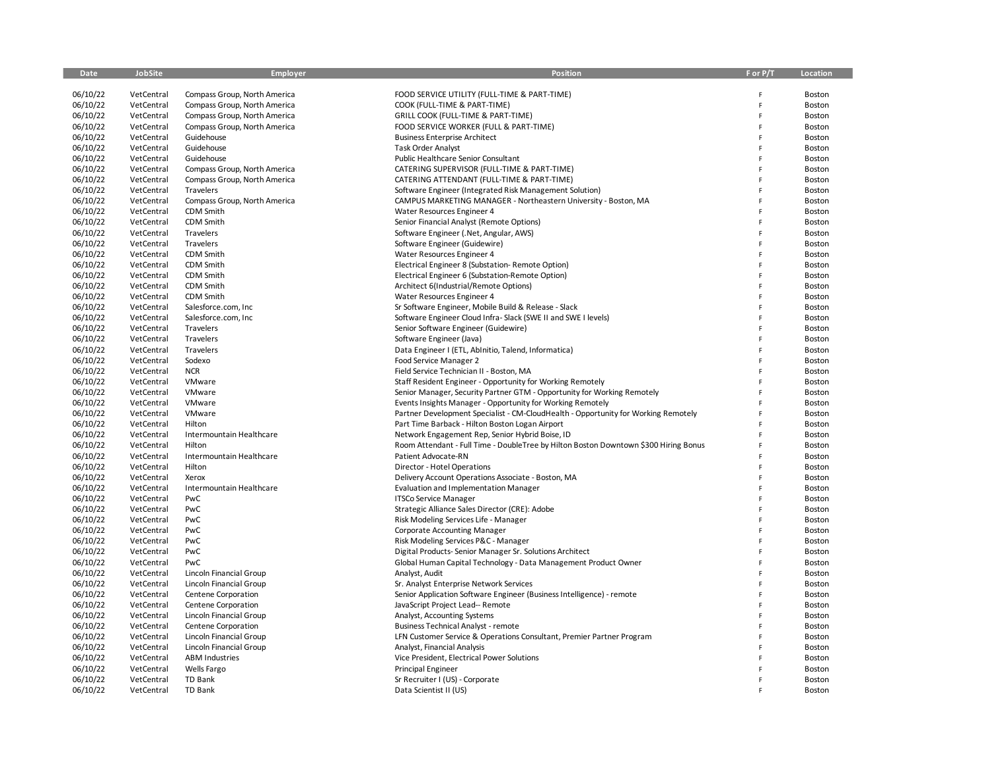| Date                 | <b>JobSite</b>           | <b>Employer</b>                            | <b>Position</b>                                                                      | For P/T | Location         |
|----------------------|--------------------------|--------------------------------------------|--------------------------------------------------------------------------------------|---------|------------------|
|                      |                          |                                            |                                                                                      |         |                  |
| 06/10/22             | VetCentral               | Compass Group, North America               | FOOD SERVICE UTILITY (FULL-TIME & PART-TIME)                                         | F       | Boston           |
| 06/10/22             | VetCentral               | Compass Group, North America               | COOK (FULL-TIME & PART-TIME)                                                         | F       | Boston           |
| 06/10/22             | VetCentral               | Compass Group, North America               | GRILL COOK (FULL-TIME & PART-TIME)                                                   | F<br>F  | Boston           |
| 06/10/22             | VetCentral               | Compass Group, North America               | FOOD SERVICE WORKER (FULL & PART-TIME)                                               |         | Boston           |
| 06/10/22<br>06/10/22 | VetCentral               | Guidehouse                                 | <b>Business Enterprise Architect</b>                                                 | F<br>F  | Boston           |
|                      | VetCentral               | Guidehouse                                 | <b>Task Order Analyst</b>                                                            | F       | Boston           |
| 06/10/22<br>06/10/22 | VetCentral               | Guidehouse<br>Compass Group, North America | Public Healthcare Senior Consultant<br>CATERING SUPERVISOR (FULL-TIME & PART-TIME)   | F       | Boston           |
| 06/10/22             | VetCentral<br>VetCentral | Compass Group, North America               | CATERING ATTENDANT (FULL-TIME & PART-TIME)                                           | F       | Boston<br>Boston |
| 06/10/22             | VetCentral               | Travelers                                  | Software Engineer (Integrated Risk Management Solution)                              | F       | Boston           |
| 06/10/22             | VetCentral               | Compass Group, North America               | CAMPUS MARKETING MANAGER - Northeastern University - Boston, MA                      | F       | Boston           |
| 06/10/22             | VetCentral               | CDM Smith                                  | Water Resources Engineer 4                                                           | F       | Boston           |
| 06/10/22             | VetCentral               | CDM Smith                                  | Senior Financial Analyst (Remote Options)                                            | F       | Boston           |
| 06/10/22             | VetCentral               | Travelers                                  | Software Engineer (.Net, Angular, AWS)                                               | F       | Boston           |
| 06/10/22             | VetCentral               | Travelers                                  | Software Engineer (Guidewire)                                                        | F       | Boston           |
| 06/10/22             | VetCentral               | CDM Smith                                  | Water Resources Engineer 4                                                           | F       | Boston           |
| 06/10/22             | VetCentral               | CDM Smith                                  | Electrical Engineer 8 (Substation-Remote Option)                                     | F       | Boston           |
| 06/10/22             | VetCentral               | CDM Smith                                  | Electrical Engineer 6 (Substation-Remote Option)                                     | F       | Boston           |
| 06/10/22             | VetCentral               | CDM Smith                                  | Architect 6(Industrial/Remote Options)                                               | F       | Boston           |
| 06/10/22             | VetCentral               | CDM Smith                                  | Water Resources Engineer 4                                                           | F       | Boston           |
| 06/10/22             | VetCentral               | Salesforce.com, Inc.                       | Sr Software Engineer, Mobile Build & Release - Slack                                 | F       | Boston           |
| 06/10/22             | VetCentral               | Salesforce.com, Inc                        | Software Engineer Cloud Infra-Slack (SWE II and SWE I levels)                        | F       | Boston           |
| 06/10/22             | VetCentral               | Travelers                                  | Senior Software Engineer (Guidewire)                                                 | F       | Boston           |
| 06/10/22             | VetCentral               | Travelers                                  | Software Engineer (Java)                                                             | F       | Boston           |
| 06/10/22             | VetCentral               | Travelers                                  | Data Engineer I (ETL, AbInitio, Talend, Informatica)                                 | F       | Boston           |
| 06/10/22             | VetCentral               | Sodexo                                     | Food Service Manager 2                                                               | F       | Boston           |
| 06/10/22             | VetCentral               | <b>NCR</b>                                 | Field Service Technician II - Boston, MA                                             | F       | Boston           |
| 06/10/22             | VetCentral               | VMware                                     | Staff Resident Engineer - Opportunity for Working Remotely                           | F       | Boston           |
| 06/10/22             | VetCentral               | VMware                                     | Senior Manager, Security Partner GTM - Opportunity for Working Remotely              | F       | Boston           |
| 06/10/22             | VetCentral               | VMware                                     | Events Insights Manager - Opportunity for Working Remotely                           | F       | Boston           |
| 06/10/22             | VetCentral               | VMware                                     | Partner Development Specialist - CM-CloudHealth - Opportunity for Working Remotely   | F       | Boston           |
| 06/10/22             | VetCentral               | Hilton                                     | Part Time Barback - Hilton Boston Logan Airport                                      | F       | Boston           |
| 06/10/22             | VetCentral               | Intermountain Healthcare                   | Network Engagement Rep, Senior Hybrid Boise, ID                                      | F       | Boston           |
| 06/10/22             | VetCentral               | Hilton                                     | Room Attendant - Full Time - DoubleTree by Hilton Boston Downtown \$300 Hiring Bonus | F       | Boston           |
| 06/10/22             | VetCentral               | Intermountain Healthcare                   | Patient Advocate-RN                                                                  | F       | Boston           |
| 06/10/22             | VetCentral               | Hilton                                     | Director - Hotel Operations                                                          | F       | Boston           |
| 06/10/22             | VetCentral               | Xerox                                      | Delivery Account Operations Associate - Boston, MA                                   | F       | Boston           |
| 06/10/22             | VetCentral               | Intermountain Healthcare                   | Evaluation and Implementation Manager                                                | F       | Boston           |
| 06/10/22             | VetCentral               | PwC                                        | <b>ITSCo Service Manager</b>                                                         | F       | Boston           |
| 06/10/22             | VetCentral               | PwC                                        | Strategic Alliance Sales Director (CRE): Adobe                                       | F       | Boston           |
| 06/10/22             | VetCentral               | PwC                                        | Risk Modeling Services Life - Manager                                                | F       | Boston           |
| 06/10/22             | VetCentral               | PwC                                        | <b>Corporate Accounting Manager</b>                                                  | F       | Boston           |
| 06/10/22             | VetCentral               | PwC                                        | Risk Modeling Services P&C - Manager                                                 | F       | Boston           |
| 06/10/22             | VetCentral               | PwC                                        | Digital Products-Senior Manager Sr. Solutions Architect                              | F       | Boston           |
| 06/10/22             | VetCentral               | PwC                                        | Global Human Capital Technology - Data Management Product Owner                      | F       | Boston           |
| 06/10/22             | VetCentral               | Lincoln Financial Group                    | Analyst, Audit                                                                       | F       | Boston           |
| 06/10/22             | VetCentral               | Lincoln Financial Group                    | Sr. Analyst Enterprise Network Services                                              | F       | Boston           |
| 06/10/22             | VetCentral               | Centene Corporation                        | Senior Application Software Engineer (Business Intelligence) - remote                | F       | Boston           |
| 06/10/22             | VetCentral               | Centene Corporation                        | JavaScript Project Lead-- Remote                                                     | F       | Boston           |
| 06/10/22             | VetCentral               | Lincoln Financial Group                    | Analyst, Accounting Systems                                                          | F       | Boston           |
| 06/10/22             | VetCentral               | Centene Corporation                        | <b>Business Technical Analyst - remote</b>                                           | F       | <b>Boston</b>    |
| 06/10/22             | VetCentral               | Lincoln Financial Group                    | LFN Customer Service & Operations Consultant, Premier Partner Program                | F       | Boston           |
| 06/10/22             | VetCentral               | Lincoln Financial Group                    | Analyst, Financial Analysis                                                          | F       | Boston           |
| 06/10/22             | VetCentral               | <b>ABM Industries</b>                      | Vice President, Electrical Power Solutions                                           | F       | Boston           |
| 06/10/22<br>06/10/22 | VetCentral               | <b>Wells Fargo</b>                         | <b>Principal Engineer</b>                                                            | F<br>F  | Boston           |
| 06/10/22             | VetCentral<br>VetCentral | <b>TD Bank</b><br>TD Bank                  | Sr Recruiter I (US) - Corporate<br>Data Scientist II (US)                            | F       | Boston<br>Boston |
|                      |                          |                                            |                                                                                      |         |                  |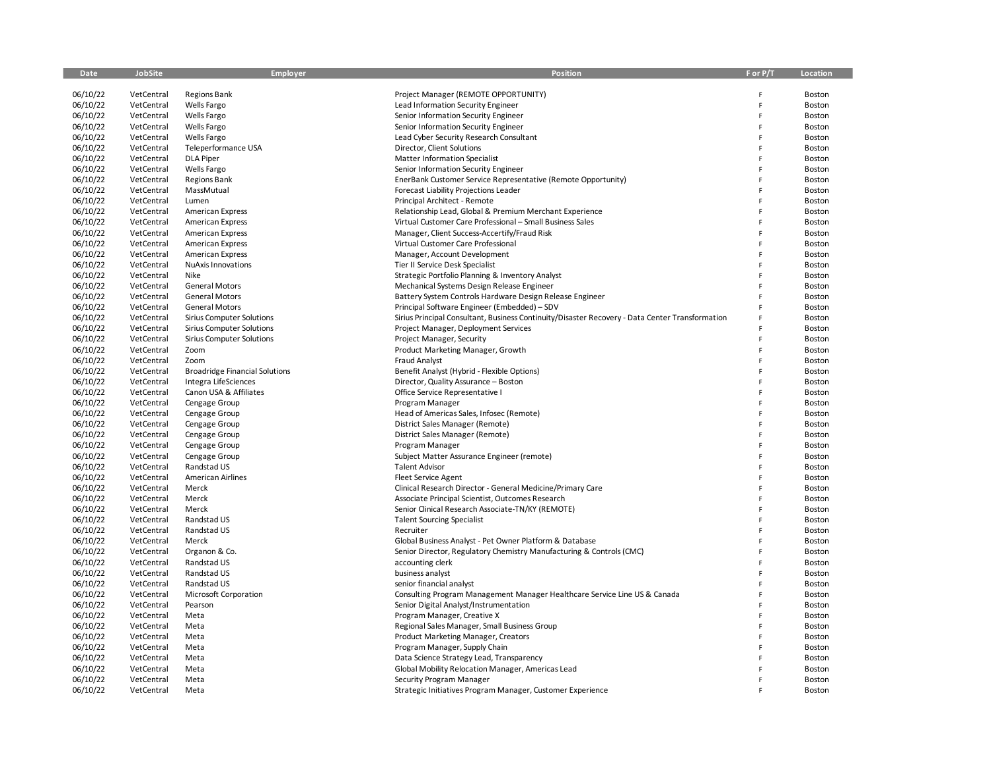| Date     | JobSite    | Employer                              | Position                                                                                        | F or P/T | Location |
|----------|------------|---------------------------------------|-------------------------------------------------------------------------------------------------|----------|----------|
|          |            |                                       |                                                                                                 |          |          |
| 06/10/22 | VetCentral | <b>Regions Bank</b>                   | Project Manager (REMOTE OPPORTUNITY)                                                            | F        | Boston   |
| 06/10/22 | VetCentral | Wells Fargo                           | Lead Information Security Engineer                                                              | Ë        | Boston   |
| 06/10/22 | VetCentral | Wells Fargo                           | Senior Information Security Engineer                                                            | F        | Boston   |
| 06/10/22 | VetCentral | <b>Wells Fargo</b>                    | Senior Information Security Engineer                                                            | Ë        | Boston   |
| 06/10/22 | VetCentral | <b>Wells Fargo</b>                    | Lead Cyber Security Research Consultant                                                         | F        | Boston   |
| 06/10/22 | VetCentral | Teleperformance USA                   | Director, Client Solutions                                                                      | Ë        | Boston   |
| 06/10/22 | VetCentral | <b>DLA Piper</b>                      | <b>Matter Information Specialist</b>                                                            | Ë        | Boston   |
| 06/10/22 | VetCentral | Wells Fargo                           | Senior Information Security Engineer                                                            | Ë        | Boston   |
| 06/10/22 | VetCentral | <b>Regions Bank</b>                   | EnerBank Customer Service Representative (Remote Opportunity)                                   | Ë        | Boston   |
| 06/10/22 | VetCentral | MassMutual                            | Forecast Liability Projections Leader                                                           | Ë        | Boston   |
| 06/10/22 | VetCentral | Lumen                                 | Principal Architect - Remote                                                                    | Ē        | Boston   |
| 06/10/22 | VetCentral |                                       |                                                                                                 | Ë        |          |
|          |            | <b>American Express</b>               | Relationship Lead, Global & Premium Merchant Experience                                         | Ė        | Boston   |
| 06/10/22 | VetCentral | <b>American Express</b>               | Virtual Customer Care Professional - Small Business Sales                                       |          | Boston   |
| 06/10/22 | VetCentral | <b>American Express</b>               | Manager, Client Success-Accertify/Fraud Risk                                                    | Ë<br>Ė   | Boston   |
| 06/10/22 | VetCentral | <b>American Express</b>               | Virtual Customer Care Professional                                                              |          | Boston   |
| 06/10/22 | VetCentral | <b>American Express</b>               | Manager, Account Development                                                                    | F        | Boston   |
| 06/10/22 | VetCentral | <b>NuAxis Innovations</b>             | Tier II Service Desk Specialist                                                                 | F        | Boston   |
| 06/10/22 | VetCentral | Nike                                  | Strategic Portfolio Planning & Inventory Analyst                                                | Ë        | Boston   |
| 06/10/22 | VetCentral | <b>General Motors</b>                 | Mechanical Systems Design Release Engineer                                                      | F        | Boston   |
| 06/10/22 | VetCentral | <b>General Motors</b>                 | Battery System Controls Hardware Design Release Engineer                                        | Ë        | Boston   |
| 06/10/22 | VetCentral | <b>General Motors</b>                 | Principal Software Engineer (Embedded) - SDV                                                    | Ë        | Boston   |
| 06/10/22 | VetCentral | Sirius Computer Solutions             | Sirius Principal Consultant, Business Continuity/Disaster Recovery - Data Center Transformation | F        | Boston   |
| 06/10/22 | VetCentral | <b>Sirius Computer Solutions</b>      | Project Manager, Deployment Services                                                            | Ë        | Boston   |
| 06/10/22 | VetCentral | Sirius Computer Solutions             | Project Manager, Security                                                                       | Ë        | Boston   |
| 06/10/22 | VetCentral | Zoom                                  | Product Marketing Manager, Growth                                                               | Ë        | Boston   |
| 06/10/22 | VetCentral | Zoom                                  | Fraud Analyst                                                                                   | Ė        | Boston   |
| 06/10/22 | VetCentral | <b>Broadridge Financial Solutions</b> | Benefit Analyst (Hybrid - Flexible Options)                                                     | Ë        | Boston   |
| 06/10/22 | VetCentral | Integra LifeSciences                  | Director, Quality Assurance - Boston                                                            | Ë        | Boston   |
| 06/10/22 | VetCentral | Canon USA & Affiliates                | Office Service Representative I                                                                 | Ë        | Boston   |
| 06/10/22 | VetCentral | Cengage Group                         | Program Manager                                                                                 | Ë        | Boston   |
| 06/10/22 | VetCentral | Cengage Group                         | Head of Americas Sales, Infosec (Remote)                                                        | Ë        | Boston   |
| 06/10/22 | VetCentral | Cengage Group                         | District Sales Manager (Remote)                                                                 | Ë        | Boston   |
| 06/10/22 | VetCentral | Cengage Group                         | District Sales Manager (Remote)                                                                 | Ë        | Boston   |
| 06/10/22 | VetCentral | Cengage Group                         | Program Manager                                                                                 | Ë        | Boston   |
| 06/10/22 | VetCentral | Cengage Group                         | Subject Matter Assurance Engineer (remote)                                                      | Ė        | Boston   |
| 06/10/22 | VetCentral | Randstad US                           | <b>Talent Advisor</b>                                                                           | Ë        | Boston   |
| 06/10/22 | VetCentral | <b>American Airlines</b>              | Fleet Service Agent                                                                             |          | Boston   |
| 06/10/22 | VetCentral | Merck                                 | Clinical Research Director - General Medicine/Primary Care                                      | Ë        | Boston   |
| 06/10/22 | VetCentral | Merck                                 | Associate Principal Scientist, Outcomes Research                                                | Ë        | Boston   |
| 06/10/22 | VetCentral | Merck                                 | Senior Clinical Research Associate-TN/KY (REMOTE)                                               | Ë        | Boston   |
| 06/10/22 | VetCentral | Randstad US                           | <b>Talent Sourcing Specialist</b>                                                               |          | Boston   |
| 06/10/22 | VetCentral | Randstad US                           | Recruiter                                                                                       | Ë        | Boston   |
| 06/10/22 | VetCentral | Merck                                 | Global Business Analyst - Pet Owner Platform & Database                                         | Ë        | Boston   |
| 06/10/22 | VetCentral | Organon & Co.                         | Senior Director, Regulatory Chemistry Manufacturing & Controls (CMC)                            | Ë        | Boston   |
| 06/10/22 | VetCentral | Randstad US                           | accounting clerk                                                                                | F        | Boston   |
| 06/10/22 | VetCentral | Randstad US                           | business analyst                                                                                | Ë        | Boston   |
| 06/10/22 | VetCentral | Randstad US                           | senior financial analyst                                                                        | F        | Boston   |
| 06/10/22 | VetCentral | Microsoft Corporation                 | Consulting Program Management Manager Healthcare Service Line US & Canada                       | Ë        | Boston   |
| 06/10/22 | VetCentral | Pearson                               | Senior Digital Analyst/Instrumentation                                                          | Ë        | Boston   |
| 06/10/22 | VetCentral | Meta                                  | Program Manager, Creative X                                                                     | Ë        | Boston   |
| 06/10/22 | VetCentral | Meta                                  | Regional Sales Manager, Small Business Group                                                    | Ë        | Boston   |
| 06/10/22 | VetCentral | Meta                                  | Product Marketing Manager, Creators                                                             |          | Boston   |
| 06/10/22 | VetCentral | Meta                                  | Program Manager, Supply Chain                                                                   | F        | Boston   |
| 06/10/22 | VetCentral | Meta                                  | Data Science Strategy Lead, Transparency                                                        |          | Boston   |
| 06/10/22 | VetCentral | Meta                                  | Global Mobility Relocation Manager, Americas Lead                                               |          | Boston   |
| 06/10/22 | VetCentral | Meta                                  | Security Program Manager                                                                        |          | Boston   |
| 06/10/22 | VetCentral | Meta                                  | Strategic Initiatives Program Manager, Customer Experience                                      |          | Boston   |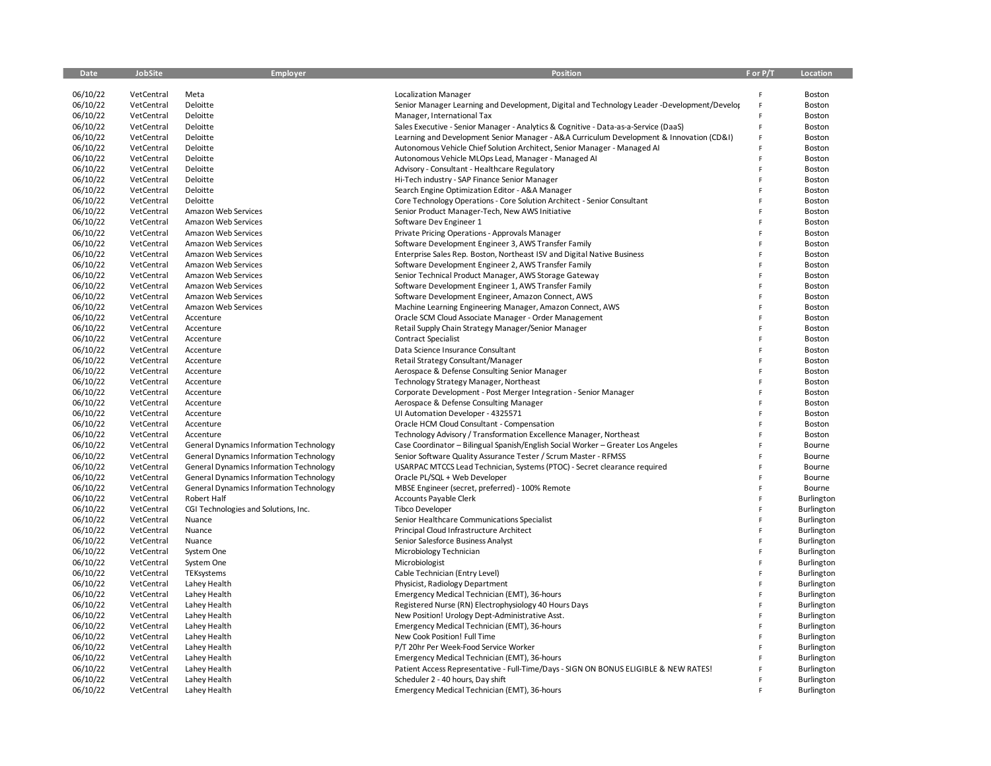| Date     | JobSite    | Employer                                       | <b>Position</b>                                                                             | For P/T | Location   |
|----------|------------|------------------------------------------------|---------------------------------------------------------------------------------------------|---------|------------|
| 06/10/22 | VetCentral | Meta                                           | <b>Localization Manager</b>                                                                 | F       | Boston     |
| 06/10/22 | VetCentral | Deloitte                                       | Senior Manager Learning and Development, Digital and Technology Leader -Development/Develor | F       | Boston     |
| 06/10/22 | VetCentral | Deloitte                                       | Manager, International Tax                                                                  | F       | Boston     |
| 06/10/22 | VetCentral | Deloitte                                       | Sales Executive - Senior Manager - Analytics & Cognitive - Data-as-a-Service (DaaS)         | F       | Boston     |
| 06/10/22 | VetCentral | Deloitte                                       | Learning and Development Senior Manager - A&A Curriculum Development & Innovation (CD&I)    | F       | Boston     |
| 06/10/22 | VetCentral | Deloitte                                       | Autonomous Vehicle Chief Solution Architect, Senior Manager - Managed AI                    | F       | Boston     |
| 06/10/22 | VetCentral | Deloitte                                       | Autonomous Vehicle MLOps Lead, Manager - Managed AI                                         | F       | Boston     |
| 06/10/22 | VetCentral | Deloitte                                       | Advisory - Consultant - Healthcare Regulatory                                               | F       | Boston     |
| 06/10/22 | VetCentral | Deloitte                                       | Hi-Tech industry - SAP Finance Senior Manager                                               | F       | Boston     |
| 06/10/22 | VetCentral | Deloitte                                       | Search Engine Optimization Editor - A&A Manager                                             | F       | Boston     |
| 06/10/22 | VetCentral | Deloitte                                       | Core Technology Operations - Core Solution Architect - Senior Consultant                    | F       | Boston     |
| 06/10/22 | VetCentral | Amazon Web Services                            | Senior Product Manager-Tech, New AWS Initiative                                             |         | Boston     |
| 06/10/22 | VetCentral | Amazon Web Services                            | Software Dev Engineer 1                                                                     | F       | Boston     |
| 06/10/22 | VetCentral | Amazon Web Services                            | Private Pricing Operations - Approvals Manager                                              | F       | Boston     |
| 06/10/22 | VetCentral | Amazon Web Services                            | Software Development Engineer 3, AWS Transfer Family                                        | F       | Boston     |
| 06/10/22 | VetCentral | Amazon Web Services                            | Enterprise Sales Rep. Boston, Northeast ISV and Digital Native Business                     | F       | Boston     |
| 06/10/22 | VetCentral | Amazon Web Services                            | Software Development Engineer 2, AWS Transfer Family                                        | F       | Boston     |
| 06/10/22 | VetCentral | Amazon Web Services                            | Senior Technical Product Manager, AWS Storage Gateway                                       | F       | Boston     |
| 06/10/22 | VetCentral | Amazon Web Services                            | Software Development Engineer 1, AWS Transfer Family                                        | F       | Boston     |
| 06/10/22 | VetCentral | Amazon Web Services                            | Software Development Engineer, Amazon Connect, AWS                                          | F       | Boston     |
| 06/10/22 | VetCentral | Amazon Web Services                            | Machine Learning Engineering Manager, Amazon Connect, AWS                                   | F       | Boston     |
| 06/10/22 | VetCentral | Accenture                                      | Oracle SCM Cloud Associate Manager - Order Management                                       | F       | Boston     |
| 06/10/22 | VetCentral | Accenture                                      | Retail Supply Chain Strategy Manager/Senior Manager                                         |         | Boston     |
| 06/10/22 | VetCentral | Accenture                                      | <b>Contract Specialist</b>                                                                  |         | Boston     |
| 06/10/22 | VetCentral | Accenture                                      | Data Science Insurance Consultant                                                           | F       | Boston     |
| 06/10/22 | VetCentral | Accenture                                      | Retail Strategy Consultant/Manager                                                          | F       | Boston     |
| 06/10/22 | VetCentral | Accenture                                      | Aerospace & Defense Consulting Senior Manager                                               |         | Boston     |
| 06/10/22 | VetCentral | Accenture                                      | Technology Strategy Manager, Northeast                                                      | F       | Boston     |
| 06/10/22 | VetCentral | Accenture                                      | Corporate Development - Post Merger Integration - Senior Manager                            | F       | Boston     |
| 06/10/22 | VetCentral | Accenture                                      | Aerospace & Defense Consulting Manager                                                      | E       | Boston     |
| 06/10/22 | VetCentral | Accenture                                      | UI Automation Developer - 4325571                                                           | F       | Boston     |
| 06/10/22 | VetCentral | Accenture                                      | Oracle HCM Cloud Consultant - Compensation                                                  | F       | Boston     |
| 06/10/22 | VetCentral | Accenture                                      | Technology Advisory / Transformation Excellence Manager, Northeast                          | F       | Boston     |
| 06/10/22 | VetCentral | <b>General Dynamics Information Technology</b> | Case Coordinator - Bilingual Spanish/English Social Worker - Greater Los Angeles            | F       | Bourne     |
| 06/10/22 | VetCentral | <b>General Dynamics Information Technology</b> | Senior Software Quality Assurance Tester / Scrum Master - RFMSS                             | F       | Bourne     |
| 06/10/22 | VetCentral | <b>General Dynamics Information Technology</b> | USARPAC MTCCS Lead Technician, Systems (PTOC) - Secret clearance required                   | F       | Bourne     |
| 06/10/22 | VetCentral | <b>General Dynamics Information Technology</b> | Oracle PL/SQL + Web Developer                                                               | F       | Bourne     |
| 06/10/22 | VetCentral | <b>General Dynamics Information Technology</b> | MBSE Engineer (secret, preferred) - 100% Remote                                             | F       | Bourne     |
| 06/10/22 | VetCentral | Robert Half                                    | Accounts Payable Clerk                                                                      | F       | Burlington |
| 06/10/22 | VetCentral | CGI Technologies and Solutions, Inc.           | Tibco Developer                                                                             | F       | Burlington |
| 06/10/22 | VetCentral | Nuance                                         | Senior Healthcare Communications Specialist                                                 |         | Burlington |
| 06/10/22 | VetCentral | Nuance                                         | Principal Cloud Infrastructure Architect                                                    | F       | Burlington |
| 06/10/22 | VetCentral | Nuance                                         | Senior Salesforce Business Analyst                                                          | F       | Burlington |
| 06/10/22 | VetCentral | System One                                     | Microbiology Technician                                                                     | F       | Burlington |
| 06/10/22 | VetCentral | System One                                     | Microbiologist                                                                              | F       | Burlington |
| 06/10/22 | VetCentral | TEKsystems                                     | Cable Technician (Entry Level)                                                              | F       | Burlington |
| 06/10/22 | VetCentral | Lahey Health                                   | Physicist, Radiology Department                                                             | F       | Burlington |
| 06/10/22 | VetCentral | Lahey Health                                   | Emergency Medical Technician (EMT), 36-hours                                                | F       | Burlington |
| 06/10/22 | VetCentral | Lahey Health                                   | Registered Nurse (RN) Electrophysiology 40 Hours Days                                       | F       | Burlington |
| 06/10/22 | VetCentral | Lahey Health                                   | New Position! Urology Dept-Administrative Asst.                                             | F       | Burlington |
| 06/10/22 | VetCentral | Lahey Health                                   | Emergency Medical Technician (EMT), 36-hours                                                | F       | Burlington |
| 06/10/22 | VetCentral | Lahey Health                                   | New Cook Position! Full Time                                                                | F       | Burlington |
| 06/10/22 | VetCentral | Lahey Health                                   | P/T 20hr Per Week-Food Service Worker                                                       |         | Burlington |
| 06/10/22 | VetCentral | Lahey Health                                   | Emergency Medical Technician (EMT), 36-hours                                                | F       | Burlington |
| 06/10/22 | VetCentral | Lahey Health                                   | Patient Access Representative - Full-Time/Days - SIGN ON BONUS ELIGIBLE & NEW RATES!        | F       | Burlington |
| 06/10/22 | VetCentral | Lahey Health                                   | Scheduler 2 - 40 hours, Day shift                                                           |         | Burlington |
| 06/10/22 | VetCentral | Lahey Health                                   | Emergency Medical Technician (EMT), 36-hours                                                |         | Burlington |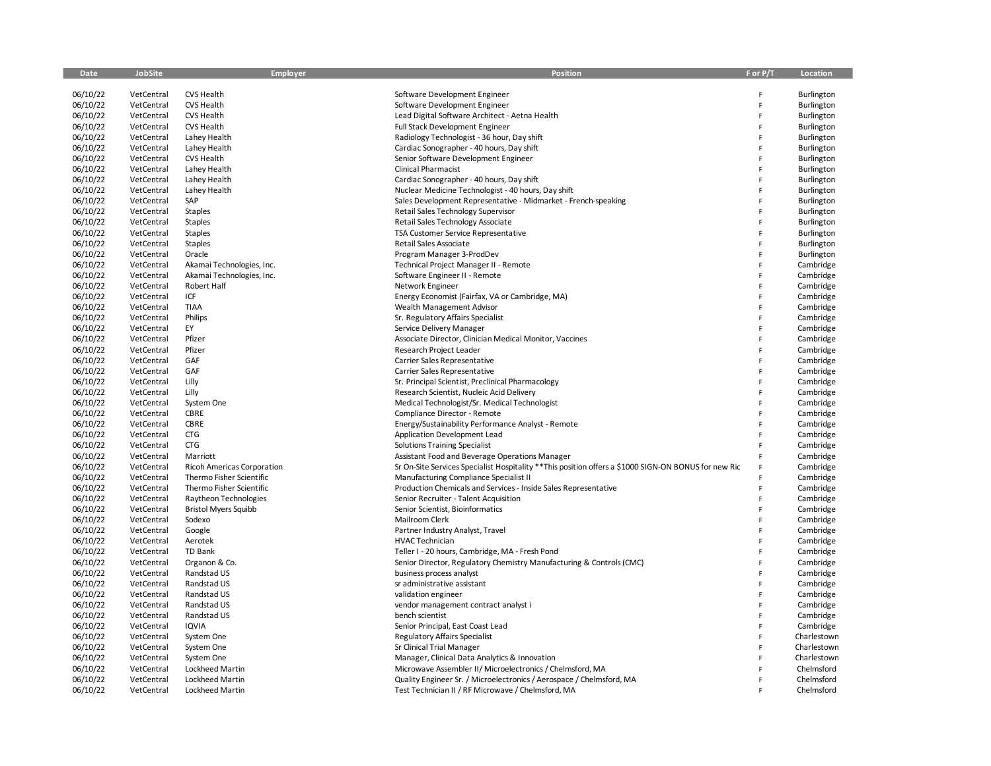| Date                 | JobSite    | Employer                          | <b>Position</b>                                                                                       | For P/T | Location    |
|----------------------|------------|-----------------------------------|-------------------------------------------------------------------------------------------------------|---------|-------------|
|                      |            |                                   |                                                                                                       |         |             |
| 06/10/22             | VetCentral | <b>CVS Health</b>                 | Software Development Engineer                                                                         | F       | Burlington  |
| 06/10/22             | VetCentral | <b>CVS Health</b>                 | Software Development Engineer                                                                         | F       | Burlington  |
| 06/10/22             | VetCentral | <b>CVS Health</b>                 | Lead Digital Software Architect - Aetna Health                                                        | F       | Burlington  |
| 06/10/22             | VetCentral | <b>CVS Health</b>                 | Full Stack Development Engineer                                                                       | F       | Burlington  |
| 06/10/22             | VetCentral | Lahey Health                      | Radiology Technologist - 36 hour, Day shift                                                           | F       | Burlington  |
| 06/10/22             | VetCentral | Lahey Health                      | Cardiac Sonographer - 40 hours, Day shift                                                             | F       | Burlington  |
| 06/10/22             | VetCentral | <b>CVS Health</b>                 | Senior Software Development Engineer                                                                  | F       | Burlington  |
| 06/10/22             | VetCentral | Lahey Health                      | <b>Clinical Pharmacist</b>                                                                            | Ë       | Burlington  |
| 06/10/22             | VetCentral | Lahey Health                      | Cardiac Sonographer - 40 hours, Day shift                                                             |         | Burlington  |
| 06/10/22             | VetCentral | Lahey Health                      | Nuclear Medicine Technologist - 40 hours, Day shift                                                   | Ë       | Burlington  |
| 06/10/22             | VetCentral | SAP                               | Sales Development Representative - Midmarket - French-speaking                                        | F       | Burlington  |
| 06/10/22             | VetCentral | <b>Staples</b>                    | Retail Sales Technology Supervisor                                                                    | Ë       | Burlington  |
| 06/10/22             | VetCentral | <b>Staples</b>                    | Retail Sales Technology Associate                                                                     | Ë       | Burlington  |
| 06/10/22             | VetCentral | <b>Staples</b>                    | TSA Customer Service Representative                                                                   | F       | Burlington  |
| 06/10/22             | VetCentral | Staples                           | Retail Sales Associate                                                                                | F       | Burlington  |
| 06/10/22             | VetCentral | Oracle                            | Program Manager 3-ProdDev                                                                             |         | Burlington  |
| 06/10/22             | VetCentral | Akamai Technologies, Inc.         | Technical Project Manager II - Remote                                                                 | Ë       | Cambridge   |
| 06/10/22             | VetCentral | Akamai Technologies, Inc.         | Software Engineer II - Remote                                                                         | F       | Cambridge   |
| 06/10/22             | VetCentral | Robert Half                       | Network Engineer                                                                                      | Ë       | Cambridge   |
| 06/10/22             | VetCentral | ICF                               | Energy Economist (Fairfax, VA or Cambridge, MA)                                                       |         | Cambridge   |
| 06/10/22             | VetCentral | <b>TIAA</b>                       | Wealth Management Advisor                                                                             | Ë       | Cambridge   |
| 06/10/22             | VetCentral | Philips                           | Sr. Regulatory Affairs Specialist                                                                     | F       | Cambridge   |
| 06/10/22             | VetCentral | EY                                | Service Delivery Manager                                                                              |         | Cambridge   |
| 06/10/22             | VetCentral | Pfizer                            | Associate Director, Clinician Medical Monitor, Vaccines                                               | Ë       | Cambridge   |
| 06/10/22             | VetCentral | Pfizer                            | Research Project Leader                                                                               | F       | Cambridge   |
| 06/10/22             | VetCentral | GAF                               | Carrier Sales Representative                                                                          | F       | Cambridge   |
| 06/10/22             | VetCentral | GAF                               | Carrier Sales Representative                                                                          |         | Cambridge   |
| 06/10/22             | VetCentral | Lilly                             | Sr. Principal Scientist, Preclinical Pharmacology                                                     | Ë       | Cambridge   |
| 06/10/22             | VetCentral | Lilly                             | Research Scientist, Nucleic Acid Delivery                                                             | F       | Cambridge   |
| 06/10/22             | VetCentral | System One                        | Medical Technologist/Sr. Medical Technologist                                                         |         | Cambridge   |
| 06/10/22             | VetCentral | CBRE                              | Compliance Director - Remote                                                                          |         | Cambridge   |
| 06/10/22             | VetCentral | CBRE                              | Energy/Sustainability Performance Analyst - Remote                                                    | F       | Cambridge   |
| 06/10/22             | VetCentral | <b>CTG</b>                        | Application Development Lead                                                                          | F       | Cambridge   |
|                      |            | <b>CTG</b>                        |                                                                                                       |         |             |
| 06/10/22<br>06/10/22 | VetCentral |                                   | <b>Solutions Training Specialist</b>                                                                  |         | Cambridge   |
| 06/10/22             | VetCentral | Marriott                          | Assistant Food and Beverage Operations Manager                                                        | F       | Cambridge   |
|                      | VetCentral | <b>Ricoh Americas Corporation</b> | Sr On-Site Services Specialist Hospitality ** This position offers a \$1000 SIGN-ON BONUS for new Ric | F       | Cambridge   |
| 06/10/22             | VetCentral | Thermo Fisher Scientific          | Manufacturing Compliance Specialist II                                                                |         | Cambridge   |
| 06/10/22             | VetCentral | Thermo Fisher Scientific          | Production Chemicals and Services - Inside Sales Representative                                       | F       | Cambridge   |
| 06/10/22             | VetCentral | Raytheon Technologies             | Senior Recruiter - Talent Acquisition                                                                 | F       | Cambridge   |
| 06/10/22             | VetCentral | <b>Bristol Myers Squibb</b>       | Senior Scientist, Bioinformatics                                                                      | F       | Cambridge   |
| 06/10/22             | VetCentral | Sodexo                            | Mailroom Clerk                                                                                        | Ė       | Cambridge   |
| 06/10/22             | VetCentral | Google                            | Partner Industry Analyst, Travel                                                                      |         | Cambridge   |
| 06/10/22             | VetCentral | Aerotek                           | <b>HVAC Technician</b>                                                                                | F       | Cambridge   |
| 06/10/22             | VetCentral | TD Bank                           | Teller I - 20 hours, Cambridge, MA - Fresh Pond                                                       |         | Cambridge   |
| 06/10/22             | VetCentral | Organon & Co.                     | Senior Director, Regulatory Chemistry Manufacturing & Controls (CMC)                                  |         | Cambridge   |
| 06/10/22             | VetCentral | Randstad US                       | business process analyst                                                                              |         | Cambridge   |
| 06/10/22             | VetCentral | Randstad US                       | sr administrative assistant                                                                           |         | Cambridge   |
| 06/10/22             | VetCentral | Randstad US                       | validation engineer                                                                                   | F       | Cambridge   |
| 06/10/22             | VetCentral | Randstad US                       | vendor management contract analyst i                                                                  |         | Cambridge   |
| 06/10/22             | VetCentral | Randstad US                       | bench scientist                                                                                       |         | Cambridge   |
| 06/10/22             | VetCentral | IQVIA                             | Senior Principal, East Coast Lead                                                                     |         | Cambridge   |
| 06/10/22             | VetCentral | System One                        | <b>Regulatory Affairs Specialist</b>                                                                  |         | Charlestown |
| 06/10/22             | VetCentral | System One                        | Sr Clinical Trial Manager                                                                             |         | Charlestown |
| 06/10/22             | VetCentral | System One                        | Manager, Clinical Data Analytics & Innovation                                                         | Ë       | Charlestown |
| 06/10/22             | VetCentral | Lockheed Martin                   | Microwave Assembler II/ Microelectronics / Chelmsford, MA                                             |         | Chelmsford  |
| 06/10/22             | VetCentral | Lockheed Martin                   | Quality Engineer Sr. / Microelectronics / Aerospace / Chelmsford, MA                                  |         | Chelmsford  |
| 06/10/22             | VetCentral | Lockheed Martin                   | Test Technician II / RF Microwave / Chelmsford, MA                                                    |         | Chelmsford  |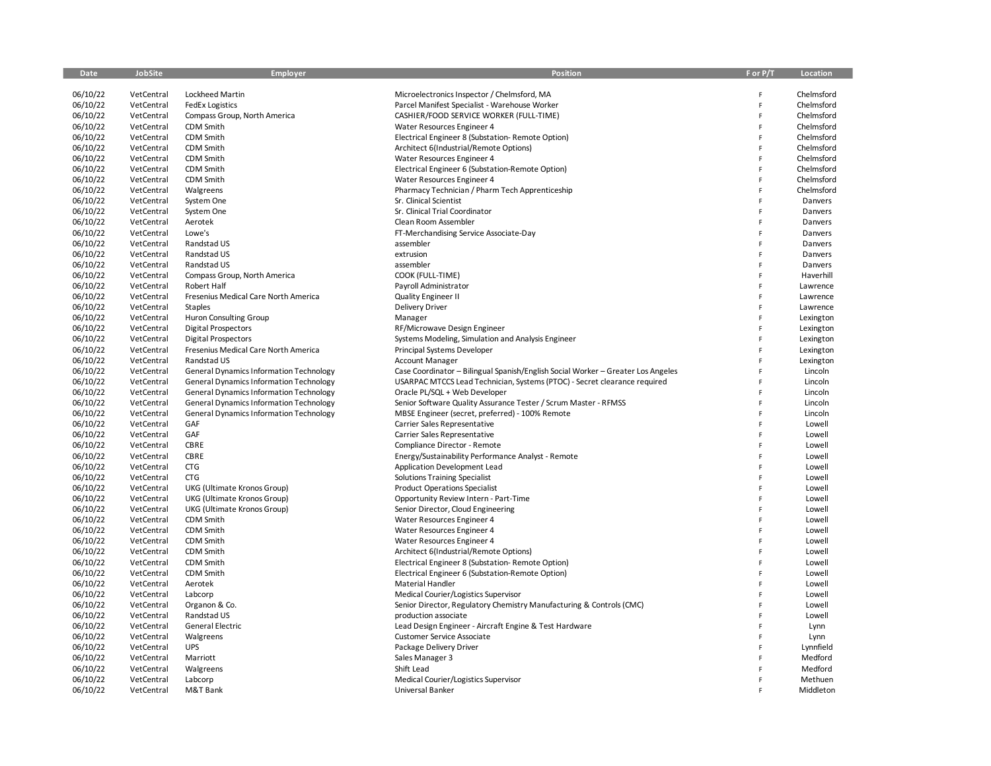| Date                 | JobSite                  | <b>Employer</b>                                       | <b>Position</b>                                                                  | F or P/T | Location             |
|----------------------|--------------------------|-------------------------------------------------------|----------------------------------------------------------------------------------|----------|----------------------|
|                      |                          |                                                       |                                                                                  |          |                      |
| 06/10/22             | VetCentral               | Lockheed Martin                                       | Microelectronics Inspector / Chelmsford, MA                                      | F        | Chelmsford           |
| 06/10/22             | VetCentral               | <b>FedEx Logistics</b>                                | Parcel Manifest Specialist - Warehouse Worker                                    | F        | Chelmsford           |
| 06/10/22             | VetCentral               | Compass Group, North America                          | CASHIER/FOOD SERVICE WORKER (FULL-TIME)                                          | F        | Chelmsford           |
| 06/10/22             | VetCentral               | <b>CDM Smith</b>                                      | Water Resources Engineer 4                                                       | F        | Chelmsford           |
| 06/10/22             | VetCentral               | CDM Smith                                             | Electrical Engineer 8 (Substation-Remote Option)                                 | F        | Chelmsford           |
| 06/10/22             | VetCentral               | CDM Smith                                             | Architect 6(Industrial/Remote Options)                                           | F        | Chelmsford           |
| 06/10/22             | VetCentral               | <b>CDM Smith</b>                                      | Water Resources Engineer 4                                                       | F        | Chelmsford           |
| 06/10/22             | VetCentral               | <b>CDM Smith</b>                                      | Electrical Engineer 6 (Substation-Remote Option)                                 | F        | Chelmsford           |
| 06/10/22             | VetCentral               | CDM Smith                                             | Water Resources Engineer 4                                                       | F        | Chelmsford           |
| 06/10/22             | VetCentral               | Walgreens                                             | Pharmacy Technician / Pharm Tech Apprenticeship                                  | F        | Chelmsford           |
| 06/10/22             | VetCentral               | System One                                            | Sr. Clinical Scientist                                                           | F        | Danvers              |
| 06/10/22             | VetCentral               | System One                                            | Sr. Clinical Trial Coordinator                                                   | F        | Danvers              |
| 06/10/22             | VetCentral               | Aerotek                                               | Clean Room Assembler                                                             | F        | Danvers              |
| 06/10/22             | VetCentral               | Lowe's                                                | FT-Merchandising Service Associate-Day                                           | F        | Danvers              |
| 06/10/22             | VetCentral               | Randstad US                                           | assembler                                                                        | F        | Danvers              |
| 06/10/22             | VetCentral               | Randstad US                                           | extrusion                                                                        |          | Danvers              |
| 06/10/22             | VetCentral               | Randstad US                                           | assembler                                                                        | F        | Danvers              |
| 06/10/22             | VetCentral               | Compass Group, North America                          | COOK (FULL-TIME)                                                                 | F        | Haverhill            |
| 06/10/22             | VetCentral               | Robert Half                                           | Payroll Administrator                                                            | F        | Lawrence             |
| 06/10/22             | VetCentral               | Fresenius Medical Care North America                  | <b>Quality Engineer II</b>                                                       |          | Lawrence             |
| 06/10/22             | VetCentral               | <b>Staples</b>                                        | <b>Delivery Driver</b>                                                           | F        | Lawrence             |
| 06/10/22             | VetCentral               | Huron Consulting Group                                | Manager                                                                          |          | Lexington            |
| 06/10/22             | VetCentral               | <b>Digital Prospectors</b>                            | RF/Microwave Design Engineer                                                     | F        | Lexington            |
| 06/10/22             | VetCentral               | <b>Digital Prospectors</b>                            | Systems Modeling, Simulation and Analysis Engineer                               | F        | Lexington            |
| 06/10/22             | VetCentral               | Fresenius Medical Care North America                  | Principal Systems Developer                                                      | F        | Lexington            |
| 06/10/22<br>06/10/22 | VetCentral               | Randstad US                                           | <b>Account Manager</b>                                                           |          | Lexington<br>Lincoln |
|                      | VetCentral               | <b>General Dynamics Information Technology</b>        | Case Coordinator - Bilingual Spanish/English Social Worker - Greater Los Angeles | F        |                      |
| 06/10/22             | VetCentral               | <b>General Dynamics Information Technology</b>        | USARPAC MTCCS Lead Technician, Systems (PTOC) - Secret clearance required        | F        | Lincoln              |
| 06/10/22             | VetCentral<br>VetCentral | <b>General Dynamics Information Technology</b>        | Oracle PL/SQL + Web Developer                                                    | F        | Lincoln<br>Lincoln   |
| 06/10/22             |                          | <b>General Dynamics Information Technology</b>        | Senior Software Quality Assurance Tester / Scrum Master - RFMSS                  | F        |                      |
| 06/10/22<br>06/10/22 | VetCentral<br>VetCentral | <b>General Dynamics Information Technology</b><br>GAF | MBSE Engineer (secret, preferred) - 100% Remote                                  | F        | Lincoln<br>Lowell    |
| 06/10/22             | VetCentral               | GAF                                                   | Carrier Sales Representative                                                     | F        | Lowell               |
| 06/10/22             | VetCentral               | CBRE                                                  | Carrier Sales Representative<br>Compliance Director - Remote                     |          | Lowell               |
| 06/10/22             | VetCentral               | CBRE                                                  | Energy/Sustainability Performance Analyst - Remote                               |          | Lowell               |
| 06/10/22             | VetCentral               | CTG                                                   | Application Development Lead                                                     |          | Lowell               |
| 06/10/22             | VetCentral               | <b>CTG</b>                                            | <b>Solutions Training Specialist</b>                                             | F        | Lowell               |
| 06/10/22             | VetCentral               | UKG (Ultimate Kronos Group)                           | <b>Product Operations Specialist</b>                                             | F        | Lowell               |
| 06/10/22             | VetCentral               | UKG (Ultimate Kronos Group)                           | Opportunity Review Intern - Part-Time                                            | F        | Lowell               |
| 06/10/22             | VetCentral               | UKG (Ultimate Kronos Group)                           | Senior Director, Cloud Engineering                                               | F        | Lowell               |
| 06/10/22             | VetCentral               | CDM Smith                                             | Water Resources Engineer 4                                                       |          | Lowell               |
| 06/10/22             | VetCentral               | CDM Smith                                             | Water Resources Engineer 4                                                       | F        | Lowell               |
| 06/10/22             | VetCentral               | CDM Smith                                             | Water Resources Engineer 4                                                       | F        | Lowell               |
| 06/10/22             | VetCentral               | CDM Smith                                             | Architect 6(Industrial/Remote Options)                                           | F        | Lowell               |
| 06/10/22             | VetCentral               | <b>CDM Smith</b>                                      | Electrical Engineer 8 (Substation-Remote Option)                                 | F        | Lowell               |
| 06/10/22             | VetCentral               | CDM Smith                                             | Electrical Engineer 6 (Substation-Remote Option)                                 | F        | Lowell               |
| 06/10/22             | VetCentral               | Aerotek                                               | <b>Material Handler</b>                                                          | F        | Lowell               |
| 06/10/22             | VetCentral               | Labcorp                                               | Medical Courier/Logistics Supervisor                                             | F        | Lowell               |
| 06/10/22             | VetCentral               | Organon & Co.                                         | Senior Director, Regulatory Chemistry Manufacturing & Controls (CMC)             |          | Lowell               |
| 06/10/22             | VetCentral               | Randstad US                                           | production associate                                                             |          | Lowell               |
| 06/10/22             | VetCentral               | General Electric                                      | Lead Design Engineer - Aircraft Engine & Test Hardware                           |          | Lynn                 |
| 06/10/22             | VetCentral               | Walgreens                                             | <b>Customer Service Associate</b>                                                |          | Lynn                 |
| 06/10/22             | VetCentral               | <b>UPS</b>                                            | Package Delivery Driver                                                          | F        | Lynnfield            |
| 06/10/22             | VetCentral               | Marriott                                              | Sales Manager 3                                                                  | F        | Medford              |
| 06/10/22             | VetCentral               | Walgreens                                             | Shift Lead                                                                       | F        | Medford              |
| 06/10/22             | VetCentral               | Labcorp                                               | Medical Courier/Logistics Supervisor                                             | F        | Methuen              |
| 06/10/22             | VetCentral               | M&T Bank                                              | Universal Banker                                                                 |          | Middleton            |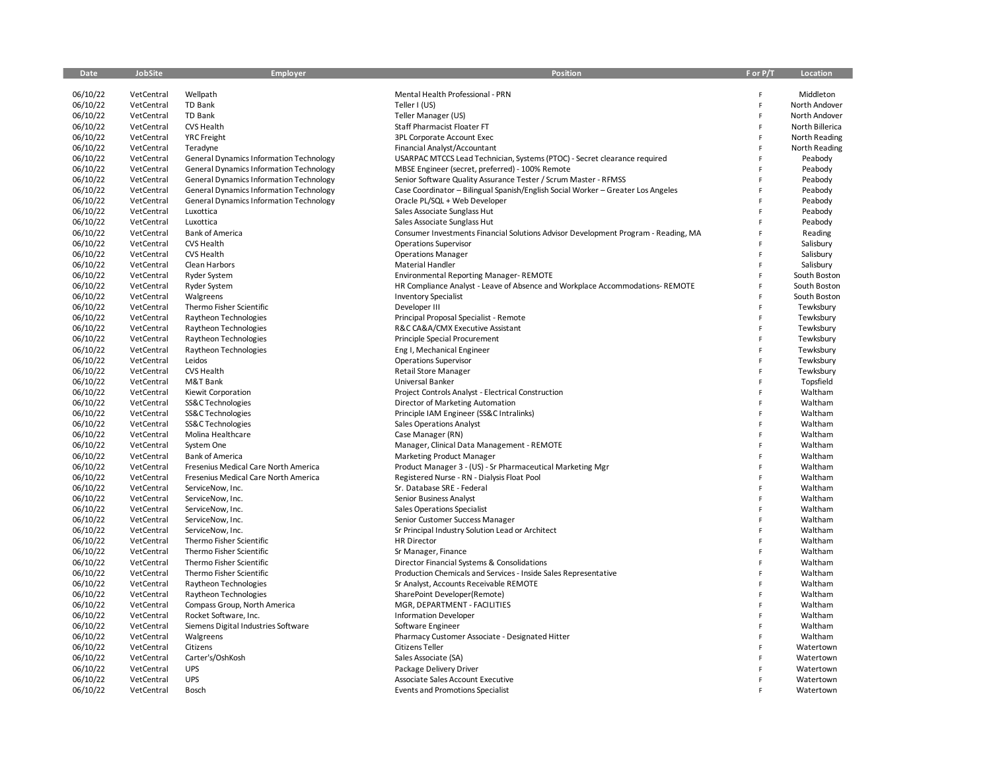| <b>Date</b> | <b>JobSite</b> | <b>Employer</b>                                | <b>Position</b>                                                                    | F or P/T | Location        |
|-------------|----------------|------------------------------------------------|------------------------------------------------------------------------------------|----------|-----------------|
|             |                |                                                |                                                                                    |          |                 |
| 06/10/22    | VetCentral     | Wellpath                                       | Mental Health Professional - PRN                                                   | F        | Middleton       |
| 06/10/22    | VetCentral     | TD Bank                                        | Teller I (US)                                                                      | Ë        | North Andover   |
| 06/10/22    | VetCentral     | TD Bank                                        | Teller Manager (US)                                                                | F        | North Andover   |
| 06/10/22    | VetCentral     | <b>CVS Health</b>                              | Staff Pharmacist Floater FT                                                        | F        | North Billerica |
| 06/10/22    | VetCentral     | <b>YRC</b> Freight                             | 3PL Corporate Account Exec                                                         | Ė.       | North Reading   |
| 06/10/22    | VetCentral     | Teradyne                                       | Financial Analyst/Accountant                                                       | Ē.       | North Reading   |
| 06/10/22    | VetCentral     | <b>General Dynamics Information Technology</b> | USARPAC MTCCS Lead Technician, Systems (PTOC) - Secret clearance required          | F        | Peabody         |
| 06/10/22    | VetCentral     | <b>General Dynamics Information Technology</b> | MBSE Engineer (secret, preferred) - 100% Remote                                    | Ė        | Peabody         |
| 06/10/22    | VetCentral     | <b>General Dynamics Information Technology</b> | Senior Software Quality Assurance Tester / Scrum Master - RFMSS                    |          | Peabody         |
| 06/10/22    | VetCentral     | <b>General Dynamics Information Technology</b> | Case Coordinator - Bilingual Spanish/English Social Worker - Greater Los Angeles   | F        | Peabody         |
| 06/10/22    | VetCentral     | General Dynamics Information Technology        | Oracle PL/SQL + Web Developer                                                      | Ë        | Peabody         |
| 06/10/22    | VetCentral     | Luxottica                                      | Sales Associate Sunglass Hut                                                       |          | Peabody         |
| 06/10/22    | VetCentral     | Luxottica                                      | Sales Associate Sunglass Hut                                                       |          | Peabody         |
| 06/10/22    | VetCentral     | <b>Bank of America</b>                         | Consumer Investments Financial Solutions Advisor Development Program - Reading, MA |          | Reading         |
| 06/10/22    | VetCentral     | <b>CVS Health</b>                              | <b>Operations Supervisor</b>                                                       |          | Salisbury       |
| 06/10/22    | VetCentral     | <b>CVS Health</b>                              | <b>Operations Manager</b>                                                          |          | Salisbury       |
| 06/10/22    | VetCentral     | Clean Harbors                                  | Material Handler                                                                   | Ė        | Salisbury       |
| 06/10/22    | VetCentral     | <b>Ryder System</b>                            | <b>Environmental Reporting Manager-REMOTE</b>                                      | F        | South Boston    |
| 06/10/22    | VetCentral     | <b>Ryder System</b>                            | HR Compliance Analyst - Leave of Absence and Workplace Accommodations-REMOTE       | Ë        | South Boston    |
| 06/10/22    | VetCentral     | Walgreens                                      | <b>Inventory Specialist</b>                                                        | Ë        | South Boston    |
| 06/10/22    | VetCentral     | Thermo Fisher Scientific                       | Developer III                                                                      | Ė        | Tewksbury       |
| 06/10/22    | VetCentral     | Raytheon Technologies                          | Principal Proposal Specialist - Remote                                             | F        | Tewksbury       |
| 06/10/22    | VetCentral     | Raytheon Technologies                          | R&C CA&A/CMX Executive Assistant                                                   |          | Tewksbury       |
| 06/10/22    | VetCentral     | Raytheon Technologies                          | Principle Special Procurement                                                      | F        | Tewksbury       |
| 06/10/22    | VetCentral     | Raytheon Technologies                          | Eng I, Mechanical Engineer                                                         | F        | Tewksbury       |
| 06/10/22    | VetCentral     | Leidos                                         | <b>Operations Supervisor</b>                                                       | F        | Tewksbury       |
| 06/10/22    | VetCentral     | <b>CVS Health</b>                              | <b>Retail Store Manager</b>                                                        | F        | Tewksbury       |
| 06/10/22    | VetCentral     | M&T Bank                                       | Universal Banker                                                                   | F        | Topsfield       |
| 06/10/22    | VetCentral     | Kiewit Corporation                             | Project Controls Analyst - Electrical Construction                                 | F        | Waltham         |
| 06/10/22    | VetCentral     | SS&C Technologies                              | Director of Marketing Automation                                                   | F        | Waltham         |
| 06/10/22    | VetCentral     | SS&C Technologies                              | Principle IAM Engineer (SS&C Intralinks)                                           | Ë        | Waltham         |
| 06/10/22    | VetCentral     | SS&C Technologies                              | Sales Operations Analyst                                                           | Ė        | Waltham         |
| 06/10/22    | VetCentral     | Molina Healthcare                              | Case Manager (RN)                                                                  | F        | Waltham         |
| 06/10/22    | VetCentral     | System One                                     | Manager, Clinical Data Management - REMOTE                                         | Ë        | Waltham         |
| 06/10/22    | VetCentral     | <b>Bank of America</b>                         | Marketing Product Manager                                                          | F        | Waltham         |
| 06/10/22    | VetCentral     | Fresenius Medical Care North America           | Product Manager 3 - (US) - Sr Pharmaceutical Marketing Mgr                         | F        | Waltham         |
| 06/10/22    | VetCentral     | Fresenius Medical Care North America           | Registered Nurse - RN - Dialysis Float Pool                                        | F        | Waltham         |
| 06/10/22    | VetCentral     | ServiceNow, Inc.                               | Sr. Database SRE - Federal                                                         |          | Waltham         |
| 06/10/22    | VetCentral     | ServiceNow, Inc.                               | Senior Business Analyst                                                            | F        | Waltham         |
| 06/10/22    | VetCentral     | ServiceNow, Inc.                               | Sales Operations Specialist                                                        | F        | Waltham         |
| 06/10/22    | VetCentral     | ServiceNow, Inc.                               | Senior Customer Success Manager                                                    | F        | Waltham         |
| 06/10/22    | VetCentral     | ServiceNow, Inc.                               | Sr Principal Industry Solution Lead or Architect                                   | F        | Waltham         |
| 06/10/22    | VetCentral     | Thermo Fisher Scientific                       | <b>HR Director</b>                                                                 | F        | Waltham         |
| 06/10/22    | VetCentral     | Thermo Fisher Scientific                       | Sr Manager, Finance                                                                | F        | Waltham         |
| 06/10/22    | VetCentral     | Thermo Fisher Scientific                       | Director Financial Systems & Consolidations                                        | Ë        | Waltham         |
| 06/10/22    | VetCentral     | Thermo Fisher Scientific                       | Production Chemicals and Services - Inside Sales Representative                    | F        | Waltham         |
| 06/10/22    | VetCentral     | Raytheon Technologies                          | Sr Analyst, Accounts Receivable REMOTE                                             | F        | Waltham         |
| 06/10/22    | VetCentral     | Raytheon Technologies                          | SharePoint Developer(Remote)                                                       | F        | Waltham         |
| 06/10/22    | VetCentral     | Compass Group, North America                   | MGR, DEPARTMENT - FACILITIES                                                       |          | Waltham         |
| 06/10/22    | VetCentral     | Rocket Software, Inc.                          | Information Developer                                                              | Ë        | Waltham         |
| 06/10/22    | VetCentral     | Siemens Digital Industries Software            | Software Engineer                                                                  | F        | Waltham         |
| 06/10/22    | VetCentral     | Walgreens                                      | Pharmacy Customer Associate - Designated Hitter                                    | F        | Waltham         |
| 06/10/22    | VetCentral     | Citizens                                       | <b>Citizens Teller</b>                                                             | Ë        | Watertown       |
| 06/10/22    | VetCentral     | Carter's/OshKosh                               | Sales Associate (SA)                                                               | F        | Watertown       |
| 06/10/22    | VetCentral     | <b>UPS</b>                                     | Package Delivery Driver                                                            | F        | Watertown       |
| 06/10/22    | VetCentral     | <b>UPS</b>                                     | Associate Sales Account Executive                                                  | F        | Watertown       |
| 06/10/22    | VetCentral     | Bosch                                          | <b>Events and Promotions Specialist</b>                                            | Ë        | Watertown       |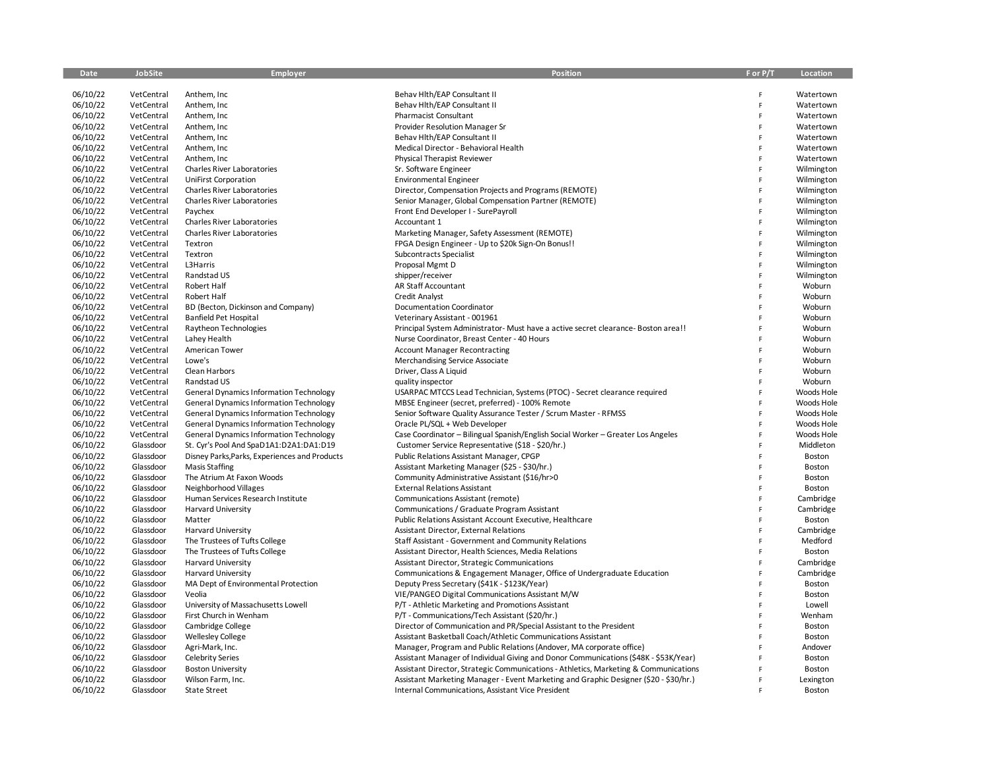| Date     | <b>JobSite</b> | <b>Employer</b>                                | <b>Position</b>                                                                      | F or P/T | Location   |
|----------|----------------|------------------------------------------------|--------------------------------------------------------------------------------------|----------|------------|
|          |                |                                                |                                                                                      |          |            |
| 06/10/22 | VetCentral     | Anthem. Inc.                                   | Behav Hith/EAP Consultant II                                                         | Ë        | Watertown  |
| 06/10/22 | VetCentral     | Anthem, Inc                                    | Behav Hlth/EAP Consultant II                                                         | Ë        | Watertown  |
| 06/10/22 | VetCentral     | Anthem, Inc.                                   | <b>Pharmacist Consultant</b>                                                         | F        | Watertown  |
| 06/10/22 | VetCentral     | Anthem, Inc                                    | Provider Resolution Manager Sr                                                       | Ë        | Watertown  |
| 06/10/22 | VetCentral     | Anthem, Inc                                    | Behav Hlth/EAP Consultant II                                                         | Ë        | Watertown  |
| 06/10/22 | VetCentral     | Anthem, Inc                                    | Medical Director - Behavioral Health                                                 | Ė        | Watertown  |
| 06/10/22 | VetCentral     | Anthem, Inc                                    | Physical Therapist Reviewer                                                          | Ë        | Watertown  |
| 06/10/22 | VetCentral     | <b>Charles River Laboratories</b>              | Sr. Software Engineer                                                                | Ë        | Wilmington |
| 06/10/22 | VetCentral     | UniFirst Corporation                           | <b>Environmental Engineer</b>                                                        | Ë        | Wilmington |
| 06/10/22 | VetCentral     | <b>Charles River Laboratories</b>              | Director, Compensation Projects and Programs (REMOTE)                                | F        | Wilmington |
| 06/10/22 | VetCentral     | Charles River Laboratories                     | Senior Manager, Global Compensation Partner (REMOTE)                                 | Ë        | Wilmington |
| 06/10/22 | VetCentral     | Paychex                                        | Front End Developer I - SurePayroll                                                  | F        | Wilmington |
| 06/10/22 | VetCentral     | <b>Charles River Laboratories</b>              | Accountant 1                                                                         | Ë        | Wilmington |
| 06/10/22 | VetCentral     | <b>Charles River Laboratories</b>              | Marketing Manager, Safety Assessment (REMOTE)                                        | F        | Wilmington |
| 06/10/22 | VetCentral     | Textron                                        | FPGA Design Engineer - Up to \$20k Sign-On Bonus!!                                   | F        | Wilmington |
| 06/10/22 | VetCentral     | Textron                                        | Subcontracts Specialist                                                              | Ë        | Wilmington |
|          |                |                                                |                                                                                      | Ë        |            |
| 06/10/22 | VetCentral     | L3Harris                                       | Proposal Mgmt D                                                                      | Ë        | Wilmington |
| 06/10/22 | VetCentral     | Randstad US                                    | shipper/receiver                                                                     | Ë        | Wilmington |
| 06/10/22 | VetCentral     | Robert Half                                    | AR Staff Accountant                                                                  |          | Woburn     |
| 06/10/22 | VetCentral     | <b>Robert Half</b>                             | <b>Credit Analyst</b>                                                                | Ë<br>Ė   | Woburn     |
| 06/10/22 | VetCentral     | BD (Becton, Dickinson and Company)             | Documentation Coordinator                                                            |          | Woburn     |
| 06/10/22 | VetCentral     | Banfield Pet Hospital                          | Veterinary Assistant - 001961                                                        | Ë        | Woburn     |
| 06/10/22 | VetCentral     | Raytheon Technologies                          | Principal System Administrator- Must have a active secret clearance- Boston area!!   | Ė        | Woburn     |
| 06/10/22 | VetCentral     | Lahey Health                                   | Nurse Coordinator, Breast Center - 40 Hours                                          | Ë        | Woburn     |
| 06/10/22 | VetCentral     | American Tower                                 | <b>Account Manager Recontracting</b>                                                 | Ë        | Woburn     |
| 06/10/22 | VetCentral     | Lowe's                                         | Merchandising Service Associate                                                      | Ë        | Woburn     |
| 06/10/22 | VetCentral     | Clean Harbors                                  | Driver, Class A Liquid                                                               | Ë        | Woburn     |
| 06/10/22 | VetCentral     | Randstad US                                    | quality inspector                                                                    | Ë        | Woburn     |
| 06/10/22 | VetCentral     | <b>General Dynamics Information Technology</b> | USARPAC MTCCS Lead Technician, Systems (PTOC) - Secret clearance required            | F        | Woods Hole |
| 06/10/22 | VetCentral     | <b>General Dynamics Information Technology</b> | MBSE Engineer (secret, preferred) - 100% Remote                                      | Ë        | Woods Hole |
| 06/10/22 | VetCentral     | <b>General Dynamics Information Technology</b> | Senior Software Quality Assurance Tester / Scrum Master - RFMSS                      | F        | Woods Hole |
| 06/10/22 | VetCentral     | <b>General Dynamics Information Technology</b> | Oracle PL/SQL + Web Developer                                                        | Ë        | Woods Hole |
| 06/10/22 | VetCentral     | <b>General Dynamics Information Technology</b> | Case Coordinator - Bilingual Spanish/English Social Worker - Greater Los Angeles     | Ë        | Woods Hole |
| 06/10/22 | Glassdoor      | St. Cyr's Pool And SpaD1A1:D2A1:DA1:D19        | Customer Service Representative (\$18 - \$20/hr.)                                    | Ë        | Middleton  |
| 06/10/22 | Glassdoor      | Disney Parks, Parks, Experiences and Products  | Public Relations Assistant Manager, CPGP                                             | Ë        | Boston     |
| 06/10/22 | Glassdoor      | <b>Masis Staffing</b>                          | Assistant Marketing Manager (\$25 - \$30/hr.)                                        | Ë        | Boston     |
| 06/10/22 | Glassdoor      | The Atrium At Faxon Woods                      | Community Administrative Assistant (\$16/hr>0                                        | Ë        | Boston     |
| 06/10/22 | Glassdoor      | Neighborhood Villages                          | <b>External Relations Assistant</b>                                                  |          | Boston     |
| 06/10/22 | Glassdoor      | Human Services Research Institute              | Communications Assistant (remote)                                                    | Ë        | Cambridge  |
| 06/10/22 | Glassdoor      | <b>Harvard University</b>                      | Communications / Graduate Program Assistant                                          | Ė        | Cambridge  |
| 06/10/22 | Glassdoor      | Matter                                         | Public Relations Assistant Account Executive, Healthcare                             | F        | Boston     |
| 06/10/22 | Glassdoor      | <b>Harvard University</b>                      | Assistant Director, External Relations                                               | Ë        | Cambridge  |
| 06/10/22 | Glassdoor      | The Trustees of Tufts College                  | Staff Assistant - Government and Community Relations                                 | Ë        | Medford    |
| 06/10/22 | Glassdoor      | The Trustees of Tufts College                  | Assistant Director, Health Sciences, Media Relations                                 | Ë        | Boston     |
| 06/10/22 | Glassdoor      | <b>Harvard University</b>                      | Assistant Director, Strategic Communications                                         | Ë        | Cambridge  |
| 06/10/22 | Glassdoor      | <b>Harvard University</b>                      | Communications & Engagement Manager, Office of Undergraduate Education               | Ë        | Cambridge  |
| 06/10/22 | Glassdoor      | MA Dept of Environmental Protection            | Deputy Press Secretary (\$41K - \$123K/Year)                                         | Ë        | Boston     |
| 06/10/22 | Glassdoor      | Veolia                                         | VIE/PANGEO Digital Communications Assistant M/W                                      | F        | Boston     |
| 06/10/22 | Glassdoor      | University of Massachusetts Lowell             | P/T - Athletic Marketing and Promotions Assistant                                    | Ė        | Lowell     |
| 06/10/22 | Glassdoor      | First Church in Wenham                         | P/T - Communications/Tech Assistant (\$20/hr.)                                       | F        | Wenham     |
| 06/10/22 | Glassdoor      | Cambridge College                              | Director of Communication and PR/Special Assistant to the President                  | Ë        | Boston     |
| 06/10/22 | Glassdoor      | Wellesley College                              | Assistant Basketball Coach/Athletic Communications Assistant                         | Ë        | Boston     |
| 06/10/22 | Glassdoor      | Agri-Mark, Inc.                                | Manager, Program and Public Relations (Andover, MA corporate office)                 |          | Andover    |
| 06/10/22 | Glassdoor      | <b>Celebrity Series</b>                        | Assistant Manager of Individual Giving and Donor Communications (\$48K - \$53K/Year) | Ë        | Boston     |
| 06/10/22 | Glassdoor      | <b>Boston University</b>                       | Assistant Director, Strategic Communications - Athletics, Marketing & Communications | Ë        | Boston     |
| 06/10/22 | Glassdoor      | Wilson Farm, Inc.                              | Assistant Marketing Manager - Event Marketing and Graphic Designer (\$20 - \$30/hr.) | F        | Lexington  |
| 06/10/22 | Glassdoor      | <b>State Street</b>                            | Internal Communications, Assistant Vice President                                    | Ė        | Boston     |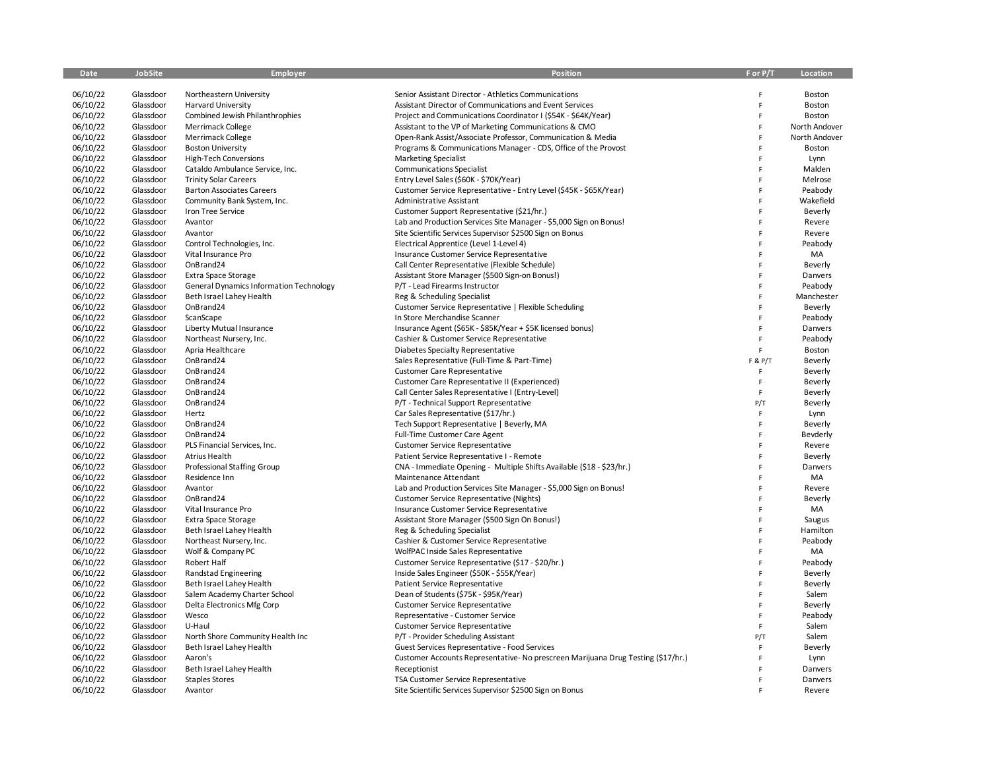| Date     | JobSite   | <b>Employer</b>                                | <b>Position</b>                                                                  | F or P/T | Location      |
|----------|-----------|------------------------------------------------|----------------------------------------------------------------------------------|----------|---------------|
|          |           |                                                |                                                                                  |          |               |
| 06/10/22 | Glassdoor | Northeastern University                        | Senior Assistant Director - Athletics Communications                             | F        | Boston        |
| 06/10/22 | Glassdoor | <b>Harvard University</b>                      | Assistant Director of Communications and Event Services                          | F        | Boston        |
| 06/10/22 | Glassdoor | Combined Jewish Philanthrophies                | Project and Communications Coordinator I (\$54K - \$64K/Year)                    | F        | Boston        |
| 06/10/22 | Glassdoor | Merrimack College                              | Assistant to the VP of Marketing Communications & CMO                            | F        | North Andover |
| 06/10/22 | Glassdoor | Merrimack College                              | Open-Rank Assist/Associate Professor, Communication & Media                      | F        | North Andover |
| 06/10/22 | Glassdoor | <b>Boston University</b>                       | Programs & Communications Manager - CDS, Office of the Provost                   | F        | Boston        |
| 06/10/22 | Glassdoor | <b>High-Tech Conversions</b>                   | <b>Marketing Specialist</b>                                                      | F        | Lynn          |
| 06/10/22 | Glassdoor | Cataldo Ambulance Service, Inc.                | <b>Communications Specialist</b>                                                 | F        | Malden        |
| 06/10/22 | Glassdoor | <b>Trinity Solar Careers</b>                   | Entry Level Sales (\$60K - \$70K/Year)                                           | F        | Melrose       |
| 06/10/22 | Glassdoor | <b>Barton Associates Careers</b>               | Customer Service Representative - Entry Level (\$45K - \$65K/Year)               | F        | Peabody       |
| 06/10/22 | Glassdoor | Community Bank System, Inc.                    | Administrative Assistant                                                         | F        | Wakefield     |
| 06/10/22 | Glassdoor | Iron Tree Service                              | Customer Support Representative (\$21/hr.)                                       |          | Beverly       |
| 06/10/22 | Glassdoor | Avantor                                        | Lab and Production Services Site Manager - \$5,000 Sign on Bonus!                | F        | Revere        |
| 06/10/22 | Glassdoor | Avantor                                        | Site Scientific Services Supervisor \$2500 Sign on Bonus                         |          | Revere        |
| 06/10/22 | Glassdoor | Control Technologies, Inc.                     | Electrical Apprentice (Level 1-Level 4)                                          |          | Peabody       |
| 06/10/22 | Glassdoor | Vital Insurance Pro                            | Insurance Customer Service Representative                                        |          | MA            |
| 06/10/22 | Glassdoor | OnBrand24                                      | Call Center Representative (Flexible Schedule)                                   | F        | Beverly       |
| 06/10/22 | Glassdoor | <b>Extra Space Storage</b>                     | Assistant Store Manager (\$500 Sign-on Bonus!)                                   | Ė        | Danvers       |
| 06/10/22 | Glassdoor | <b>General Dynamics Information Technology</b> | P/T - Lead Firearms Instructor                                                   | F        | Peabody       |
| 06/10/22 | Glassdoor | Beth Israel Lahey Health                       | Reg & Scheduling Specialist                                                      |          | Manchester    |
| 06/10/22 | Glassdoor | OnBrand24                                      | Customer Service Representative   Flexible Scheduling                            | F        | Beverly       |
| 06/10/22 | Glassdoor | ScanScape                                      | In Store Merchandise Scanner                                                     | F        | Peabody       |
| 06/10/22 |           |                                                |                                                                                  | F        |               |
|          | Glassdoor | Liberty Mutual Insurance                       | Insurance Agent (\$65K - \$85K/Year + \$5K licensed bonus)                       | F        | Danvers       |
| 06/10/22 | Glassdoor | Northeast Nursery, Inc.                        | Cashier & Customer Service Representative                                        | F        | Peabody       |
| 06/10/22 | Glassdoor | Apria Healthcare                               | Diabetes Specialty Representative                                                |          | Boston        |
| 06/10/22 | Glassdoor | OnBrand24                                      | Sales Representative (Full-Time & Part-Time)                                     | F & P/T  | Beverly       |
| 06/10/22 | Glassdoor | OnBrand24                                      | Customer Care Representative                                                     | F.       | Beverly       |
| 06/10/22 | Glassdoor | OnBrand24                                      | Customer Care Representative II (Experienced)                                    | F        | Beverly       |
| 06/10/22 | Glassdoor | OnBrand24                                      | Call Center Sales Representative I (Entry-Level)                                 | F        | Beverly       |
| 06/10/22 | Glassdoor | OnBrand24                                      | P/T - Technical Support Representative                                           | P/T      | Beverly       |
| 06/10/22 | Glassdoor | Hertz                                          | Car Sales Representative (\$17/hr.)                                              | F        | Lynn          |
| 06/10/22 | Glassdoor | OnBrand24                                      | Tech Support Representative   Beverly, MA                                        | F        | Beverly       |
| 06/10/22 | Glassdoor | OnBrand24                                      | Full-Time Customer Care Agent                                                    | F        | Bevderly      |
| 06/10/22 | Glassdoor | PLS Financial Services, Inc.                   | <b>Customer Service Representative</b>                                           |          | Revere        |
| 06/10/22 | Glassdoor | <b>Atrius Health</b>                           | Patient Service Representative I - Remote                                        |          | Beverly       |
| 06/10/22 | Glassdoor | Professional Staffing Group                    | CNA - Immediate Opening - Multiple Shifts Available (\$18 - \$23/hr.)            | F        | Danvers       |
| 06/10/22 | Glassdoor | Residence Inn                                  | Maintenance Attendant                                                            | F        | MA            |
| 06/10/22 | Glassdoor | Avantor                                        | Lab and Production Services Site Manager - \$5,000 Sign on Bonus!                |          | Revere        |
| 06/10/22 | Glassdoor | OnBrand24                                      | Customer Service Representative (Nights)                                         | F        | Beverly       |
| 06/10/22 | Glassdoor | Vital Insurance Pro                            | Insurance Customer Service Representative                                        | F        | MA            |
| 06/10/22 | Glassdoor | <b>Extra Space Storage</b>                     | Assistant Store Manager (\$500 Sign On Bonus!)                                   | F        | Saugus        |
| 06/10/22 | Glassdoor | Beth Israel Lahey Health                       | Reg & Scheduling Specialist                                                      | F        | Hamilton      |
| 06/10/22 | Glassdoor | Northeast Nursery, Inc.                        | Cashier & Customer Service Representative                                        | F        | Peabody       |
| 06/10/22 | Glassdoor | Wolf & Company PC                              | WolfPAC Inside Sales Representative                                              | F        | MA            |
| 06/10/22 | Glassdoor | Robert Half                                    | Customer Service Representative (\$17 - \$20/hr.)                                | F        | Peabody       |
| 06/10/22 | Glassdoor | Randstad Engineering                           | Inside Sales Engineer (\$50K - \$55K/Year)                                       | F        | Beverly       |
| 06/10/22 | Glassdoor | Beth Israel Lahey Health                       | Patient Service Representative                                                   | F        | Beverly       |
| 06/10/22 | Glassdoor | Salem Academy Charter School                   | Dean of Students (\$75K - \$95K/Year)                                            | F        | Salem         |
| 06/10/22 | Glassdoor | Delta Electronics Mfg Corp                     | <b>Customer Service Representative</b>                                           | F        | Beverly       |
| 06/10/22 | Glassdoor | Wesco                                          | Representative - Customer Service                                                | F        | Peabody       |
| 06/10/22 | Glassdoor | U-Haul                                         | Customer Service Representative                                                  | F        | Salem         |
| 06/10/22 | Glassdoor | North Shore Community Health Inc               | P/T - Provider Scheduling Assistant                                              | P/T      | Salem         |
| 06/10/22 | Glassdoor | Beth Israel Lahey Health                       | Guest Services Representative - Food Services                                    | F        | Beverly       |
| 06/10/22 | Glassdoor | Aaron's                                        | Customer Accounts Representative- No prescreen Marijuana Drug Testing (\$17/hr.) |          | Lynn          |
| 06/10/22 | Glassdoor | Beth Israel Lahey Health                       | Receptionist                                                                     |          | Danvers       |
|          | Glassdoor |                                                |                                                                                  |          | Danvers       |
| 06/10/22 | Glassdoor | <b>Staples Stores</b>                          | TSA Customer Service Representative                                              | F        |               |
| 06/10/22 |           | Avantor                                        | Site Scientific Services Supervisor \$2500 Sign on Bonus                         |          | Revere        |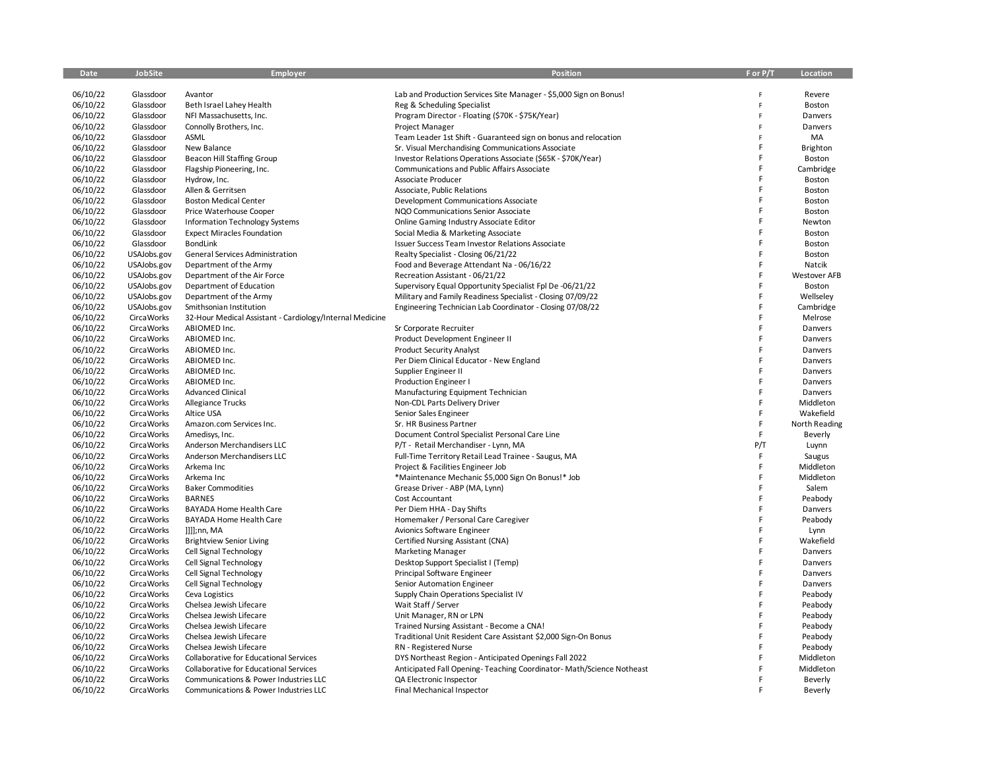| Date     | <b>JobSite</b>    | Employer                                                 | Position                                                            | F or P/T | Location            |
|----------|-------------------|----------------------------------------------------------|---------------------------------------------------------------------|----------|---------------------|
|          |                   |                                                          |                                                                     |          |                     |
| 06/10/22 | Glassdoor         | Avantor                                                  | Lab and Production Services Site Manager - \$5,000 Sign on Bonus!   | F        | Revere              |
| 06/10/22 | Glassdoor         | Beth Israel Lahey Health                                 | Reg & Scheduling Specialist                                         | F        | Boston              |
| 06/10/22 | Glassdoor         | NFI Massachusetts, Inc.                                  | Program Director - Floating (\$70K - \$75K/Year)                    | F        | Danvers             |
| 06/10/22 | Glassdoor         | Connolly Brothers, Inc.                                  | Project Manager                                                     | F        | Danvers             |
| 06/10/22 | Glassdoor         | ASML                                                     | Team Leader 1st Shift - Guaranteed sign on bonus and relocation     | F        | MA                  |
| 06/10/22 | Glassdoor         | New Balance                                              | Sr. Visual Merchandising Communications Associate                   | F        | Brighton            |
| 06/10/22 | Glassdoor         | <b>Beacon Hill Staffing Group</b>                        | Investor Relations Operations Associate (\$65K - \$70K/Year)        | F        | Boston              |
| 06/10/22 | Glassdoor         | Flagship Pioneering, Inc.                                | <b>Communications and Public Affairs Associate</b>                  | F        | Cambridge           |
| 06/10/22 | Glassdoor         | Hydrow, Inc.                                             | Associate Producer                                                  | F        | Boston              |
| 06/10/22 | Glassdoor         | Allen & Gerritsen                                        | Associate, Public Relations                                         | F        | Boston              |
| 06/10/22 | Glassdoor         | <b>Boston Medical Center</b>                             | Development Communications Associate                                | F        | Boston              |
| 06/10/22 | Glassdoor         | Price Waterhouse Cooper                                  | NQO Communications Senior Associate                                 | F        | Boston              |
| 06/10/22 | Glassdoor         | Information Technology Systems                           | Online Gaming Industry Associate Editor                             | F        | Newton              |
| 06/10/22 | Glassdoor         | <b>Expect Miracles Foundation</b>                        | Social Media & Marketing Associate                                  | F        | Boston              |
| 06/10/22 | Glassdoor         | <b>BondLink</b>                                          | Issuer Success Team Investor Relations Associate                    | F        | Boston              |
| 06/10/22 | USAJobs.gov       | General Services Administration                          | Realty Specialist - Closing 06/21/22                                | F        | Boston              |
| 06/10/22 | USAJobs.gov       | Department of the Army                                   | Food and Beverage Attendant Na - 06/16/22                           | F        | Natcik              |
| 06/10/22 | USAJobs.gov       | Department of the Air Force                              | Recreation Assistant - 06/21/22                                     | F        | <b>Westover AFB</b> |
| 06/10/22 | USAJobs.gov       | Department of Education                                  | Supervisory Equal Opportunity Specialist Fpl De -06/21/22           | F        | Boston              |
| 06/10/22 | USAJobs.gov       | Department of the Army                                   | Military and Family Readiness Specialist - Closing 07/09/22         | F        | Wellseley           |
| 06/10/22 | USAJobs.gov       | Smithsonian Institution                                  | Engineering Technician Lab Coordinator - Closing 07/08/22           | F        | Cambridge           |
| 06/10/22 | <b>CircaWorks</b> | 32-Hour Medical Assistant - Cardiology/Internal Medicine |                                                                     | F        | Melrose             |
| 06/10/22 | <b>CircaWorks</b> | ABIOMED Inc.                                             | Sr Corporate Recruiter                                              | F        | Danvers             |
| 06/10/22 | <b>CircaWorks</b> | ABIOMED Inc.                                             | Product Development Engineer II                                     | F        | Danvers             |
| 06/10/22 | <b>CircaWorks</b> | ABIOMED Inc.                                             | <b>Product Security Analyst</b>                                     | F        | Danvers             |
| 06/10/22 | <b>CircaWorks</b> | ABIOMED Inc.                                             | Per Diem Clinical Educator - New England                            | F        | Danvers             |
| 06/10/22 | <b>CircaWorks</b> | ABIOMED Inc.                                             | Supplier Engineer II                                                | F        | Danvers             |
| 06/10/22 | <b>CircaWorks</b> | ABIOMED Inc.                                             | Production Engineer I                                               | F        | Danvers             |
| 06/10/22 | <b>CircaWorks</b> | <b>Advanced Clinical</b>                                 | Manufacturing Equipment Technician                                  | F        | Danvers             |
| 06/10/22 | <b>CircaWorks</b> | <b>Allegiance Trucks</b>                                 | Non-CDL Parts Delivery Driver                                       | F        | Middleton           |
| 06/10/22 | <b>CircaWorks</b> | Altice USA                                               | Senior Sales Engineer                                               | F        | Wakefield           |
| 06/10/22 | <b>CircaWorks</b> | Amazon.com Services Inc.                                 | Sr. HR Business Partner                                             | F        | North Reading       |
| 06/10/22 | <b>CircaWorks</b> | Amedisys, Inc.                                           | Document Control Specialist Personal Care Line                      | F        | Beverly             |
| 06/10/22 | <b>CircaWorks</b> | Anderson Merchandisers LLC                               | P/T - Retail Merchandiser - Lynn, MA                                | P/T      | Luynn               |
| 06/10/22 | <b>CircaWorks</b> | Anderson Merchandisers LLC                               | Full-Time Territory Retail Lead Trainee - Saugus, MA                | F        | Saugus              |
| 06/10/22 | <b>CircaWorks</b> | Arkema Inc                                               | Project & Facilities Engineer Job                                   | F        | Middleton           |
| 06/10/22 | <b>CircaWorks</b> | Arkema Inc                                               | *Maintenance Mechanic \$5,000 Sign On Bonus!* Job                   | F        | Middleton           |
| 06/10/22 | <b>CircaWorks</b> | <b>Baker Commodities</b>                                 | Grease Driver - ABP (MA, Lynn)                                      | F        | Salem               |
| 06/10/22 | <b>CircaWorks</b> | <b>BARNES</b>                                            | Cost Accountant                                                     | F        | Peabody             |
| 06/10/22 | <b>CircaWorks</b> | <b>BAYADA Home Health Care</b>                           | Per Diem HHA - Day Shifts                                           | F        | Danvers             |
| 06/10/22 | <b>CircaWorks</b> | <b>BAYADA Home Health Care</b>                           | Homemaker / Personal Care Caregiver                                 | F        | Peabody             |
| 06/10/22 | <b>CircaWorks</b> | ]]]];nn, MA                                              | Avionics Software Engineer                                          | F        | Lynn                |
| 06/10/22 | <b>CircaWorks</b> | <b>Brightview Senior Living</b>                          | Certified Nursing Assistant (CNA)                                   | F        | Wakefield           |
| 06/10/22 | <b>CircaWorks</b> | Cell Signal Technology                                   | <b>Marketing Manager</b>                                            | F        | Danvers             |
| 06/10/22 | <b>CircaWorks</b> | Cell Signal Technology                                   | Desktop Support Specialist I (Temp)                                 | F        | Danvers             |
| 06/10/22 | <b>CircaWorks</b> | Cell Signal Technology                                   | Principal Software Engineer                                         | F        | Danvers             |
| 06/10/22 | <b>CircaWorks</b> | Cell Signal Technology                                   | Senior Automation Engineer                                          | F        | Danvers             |
| 06/10/22 | <b>CircaWorks</b> | Ceva Logistics                                           | Supply Chain Operations Specialist IV                               | F        | Peabody             |
| 06/10/22 | <b>CircaWorks</b> | Chelsea Jewish Lifecare                                  | Wait Staff / Server                                                 | F        | Peabody             |
| 06/10/22 | <b>CircaWorks</b> | Chelsea Jewish Lifecare                                  | Unit Manager, RN or LPN                                             | F        | Peabody             |
| 06/10/22 | <b>CircaWorks</b> | Chelsea Jewish Lifecare                                  | Trained Nursing Assistant - Become a CNA!                           | F        | Peabody             |
| 06/10/22 | <b>CircaWorks</b> | Chelsea Jewish Lifecare                                  | Traditional Unit Resident Care Assistant \$2,000 Sign-On Bonus      | F        | Peabody             |
| 06/10/22 | <b>CircaWorks</b> | Chelsea Jewish Lifecare                                  | RN - Registered Nurse                                               | F        | Peabody             |
| 06/10/22 | <b>CircaWorks</b> | Collaborative for Educational Services                   | DYS Northeast Region - Anticipated Openings Fall 2022               | F        | Middleton           |
| 06/10/22 | <b>CircaWorks</b> | Collaborative for Educational Services                   | Anticipated Fall Opening-Teaching Coordinator-Math/Science Notheast | F        | Middleton           |
| 06/10/22 | <b>CircaWorks</b> | Communications & Power Industries LLC                    | QA Electronic Inspector                                             | F        | Beverly             |
| 06/10/22 | <b>CircaWorks</b> | Communications & Power Industries LLC                    | Final Mechanical Inspector                                          | F        | Beverly             |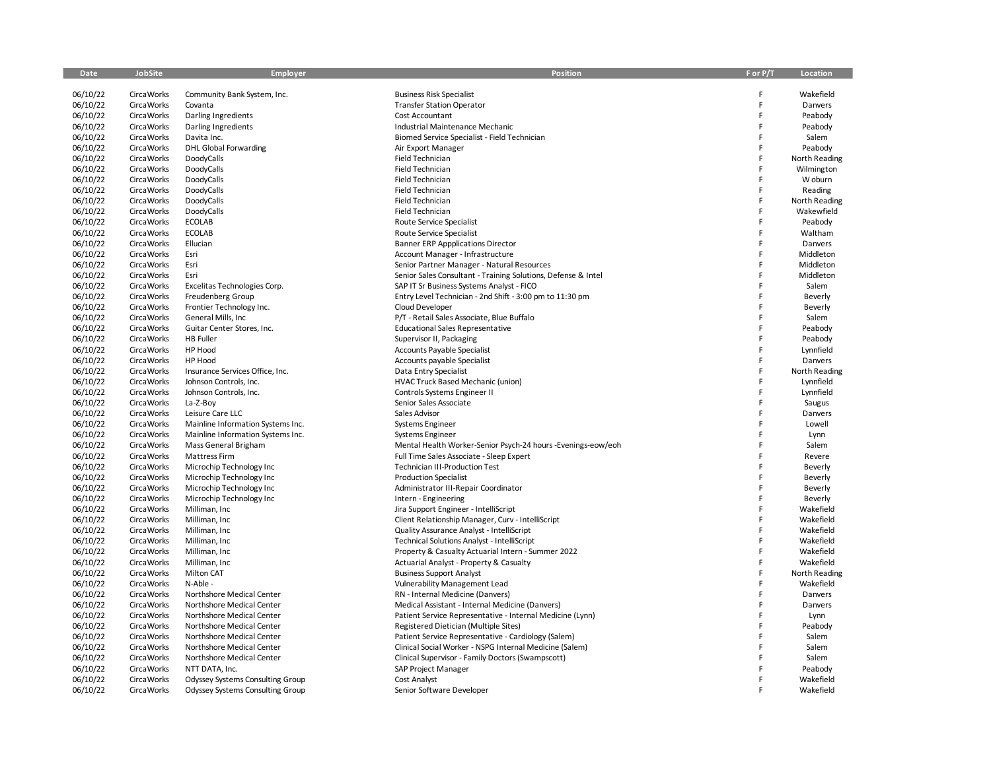| Date                 | JobSite                         | <b>Employer</b>                         | <b>Position</b>                                               | F or P/T | Location                    |
|----------------------|---------------------------------|-----------------------------------------|---------------------------------------------------------------|----------|-----------------------------|
|                      |                                 |                                         |                                                               |          |                             |
| 06/10/22             | CircaWorks                      | Community Bank System, Inc.             | <b>Business Risk Specialist</b>                               | F        | Wakefield                   |
| 06/10/22             | CircaWorks                      | Covanta                                 | <b>Transfer Station Operator</b>                              | F        | Danvers                     |
| 06/10/22             | CircaWorks                      | Darling Ingredients                     | Cost Accountant                                               | F<br>F   | Peabody                     |
| 06/10/22             | CircaWorks                      | Darling Ingredients                     | Industrial Maintenance Mechanic                               | F        | Peabody                     |
| 06/10/22             | CircaWorks                      | Davita Inc.                             | Biomed Service Specialist - Field Technician                  | F        | Salem                       |
| 06/10/22             | CircaWorks                      | <b>DHL Global Forwarding</b>            | Air Export Manager                                            | F        | Peabody                     |
| 06/10/22             | CircaWorks                      | DoodyCalls                              | <b>Field Technician</b>                                       | F        | North Reading               |
| 06/10/22             | CircaWorks                      | DoodyCalls                              | <b>Field Technician</b>                                       | F        | Wilmington<br>W oburn       |
| 06/10/22             | CircaWorks                      | DoodyCalls                              | Field Technician                                              | F        |                             |
| 06/10/22             | CircaWorks<br><b>CircaWorks</b> | DoodyCalls                              | <b>Field Technician</b><br><b>Field Technician</b>            | F        | Reading                     |
| 06/10/22             | CircaWorks                      | DoodyCalls                              | <b>Field Technician</b>                                       | F        | North Reading<br>Wakewfield |
| 06/10/22             | CircaWorks                      | DoodyCalls                              |                                                               | F        |                             |
| 06/10/22<br>06/10/22 | CircaWorks                      | ECOLAB<br><b>ECOLAB</b>                 | Route Service Specialist<br>Route Service Specialist          | Ë        | Peabody<br>Waltham          |
| 06/10/22             | CircaWorks                      | Ellucian                                | <b>Banner ERP Appplications Director</b>                      | F        | Danvers                     |
| 06/10/22             | CircaWorks                      | Esri                                    | Account Manager - Infrastructure                              | F        | Middleton                   |
| 06/10/22             | CircaWorks                      | Esri                                    | Senior Partner Manager - Natural Resources                    | F        | Middleton                   |
| 06/10/22             | CircaWorks                      | Esri                                    | Senior Sales Consultant - Training Solutions, Defense & Intel | F        | Middleton                   |
| 06/10/22             | <b>CircaWorks</b>               | Excelitas Technologies Corp.            | SAP IT Sr Business Systems Analyst - FICO                     | F        | Salem                       |
| 06/10/22             | CircaWorks                      | Freudenberg Group                       | Entry Level Technician - 2nd Shift - 3:00 pm to 11:30 pm      | F        | Beverly                     |
| 06/10/22             | CircaWorks                      | Frontier Technology Inc.                | Cloud Developer                                               | F        | Beverly                     |
| 06/10/22             | CircaWorks                      | General Mills, Inc.                     | P/T - Retail Sales Associate, Blue Buffalo                    | F        | Salem                       |
| 06/10/22             | CircaWorks                      | Guitar Center Stores, Inc.              | <b>Educational Sales Representative</b>                       | F        | Peabody                     |
| 06/10/22             | CircaWorks                      | <b>HB Fuller</b>                        | Supervisor II, Packaging                                      | F        | Peabody                     |
| 06/10/22             | CircaWorks                      | HP Hood                                 | <b>Accounts Payable Specialist</b>                            | Ë        | Lynnfield                   |
| 06/10/22             | CircaWorks                      | HP Hood                                 | Accounts payable Specialist                                   | F        | Danvers                     |
| 06/10/22             | <b>CircaWorks</b>               | Insurance Services Office, Inc.         | Data Entry Specialist                                         | F        | North Reading               |
| 06/10/22             | CircaWorks                      | Johnson Controls, Inc.                  | HVAC Truck Based Mechanic (union)                             | F        | Lynnfield                   |
| 06/10/22             | <b>Circa Works</b>              | Johnson Controls, Inc.                  | Controls Systems Engineer II                                  | F        | Lynnfield                   |
| 06/10/22             | <b>CircaWorks</b>               | La-Z-Boy                                | Senior Sales Associate                                        | F        | Saugus                      |
| 06/10/22             | CircaWorks                      | Leisure Care LLC                        | Sales Advisor                                                 | F        | Danvers                     |
| 06/10/22             | CircaWorks                      | Mainline Information Systems Inc.       | <b>Systems Engineer</b>                                       | F        | Lowell                      |
| 06/10/22             | <b>CircaWorks</b>               | Mainline Information Systems Inc.       | Systems Engineer                                              | F        | Lynn                        |
| 06/10/22             | CircaWorks                      | Mass General Brigham                    | Mental Health Worker-Senior Psych-24 hours -Evenings-eow/eoh  | F        | Salem                       |
| 06/10/22             | CircaWorks                      | <b>Mattress Firm</b>                    | Full Time Sales Associate - Sleep Expert                      | F        | Revere                      |
| 06/10/22             | CircaWorks                      | Microchip Technology Inc                | <b>Technician III-Production Test</b>                         | Ë        | Beverly                     |
| 06/10/22             | <b>CircaWorks</b>               | Microchip Technology Inc                | <b>Production Specialist</b>                                  | Ë        | Beverly                     |
| 06/10/22             | CircaWorks                      | Microchip Technology Inc                | Administrator III-Repair Coordinator                          | F        | Beverly                     |
| 06/10/22             | CircaWorks                      | Microchip Technology Inc                | Intern - Engineering                                          | F        | Beverly                     |
| 06/10/22             | <b>CircaWorks</b>               | Milliman, Inc                           | Jira Support Engineer - IntelliScript                         | F        | Wakefield                   |
| 06/10/22             | CircaWorks                      | Milliman, Inc                           | Client Relationship Manager, Curv - IntelliScript             | F        | Wakefield                   |
| 06/10/22             | CircaWorks                      | Milliman, Inc                           | Quality Assurance Analyst - IntelliScript                     | F        | Wakefield                   |
| 06/10/22             | CircaWorks                      | Milliman, Inc                           | Technical Solutions Analyst - IntelliScript                   | F        | Wakefield                   |
| 06/10/22             | CircaWorks                      | Milliman, Inc                           | Property & Casualty Actuarial Intern - Summer 2022            | F        | Wakefield                   |
| 06/10/22             | CircaWorks                      | Milliman, Inc                           | Actuarial Analyst - Property & Casualty                       | F        | Wakefield                   |
| 06/10/22             | CircaWorks                      | <b>Milton CAT</b>                       | <b>Business Support Analyst</b>                               | F        | North Reading               |
| 06/10/22             | CircaWorks                      | N-Able -                                | Vulnerability Management Lead                                 | Ë        | Wakefield                   |
| 06/10/22             | <b>CircaWorks</b>               | Northshore Medical Center               | RN - Internal Medicine (Danvers)                              | F        | Danvers                     |
| 06/10/22             | CircaWorks                      | Northshore Medical Center               | Medical Assistant - Internal Medicine (Danvers)               | F        | Danvers                     |
| 06/10/22             | CircaWorks                      | Northshore Medical Center               | Patient Service Representative - Internal Medicine (Lynn)     | F        | Lynn                        |
| 06/10/22             | <b>CircaWorks</b>               | Northshore Medical Center               | Registered Dietician (Multiple Sites)                         | F        | Peabody                     |
| 06/10/22             | CircaWorks                      | Northshore Medical Center               | Patient Service Representative - Cardiology (Salem)           | F        | Salem                       |
| 06/10/22             | CircaWorks                      | Northshore Medical Center               | Clinical Social Worker - NSPG Internal Medicine (Salem)       | F<br>Ë   | Salem                       |
| 06/10/22             | CircaWorks                      | Northshore Medical Center               | Clinical Supervisor - Family Doctors (Swampscott)             | F        | Salem                       |
| 06/10/22             | CircaWorks                      | NTT DATA, Inc.                          | SAP Project Manager                                           | Ë        | Peabody                     |
| 06/10/22<br>06/10/22 | CircaWorks<br>CircaWorks        | <b>Odyssey Systems Consulting Group</b> | Cost Analyst                                                  |          | Wakefield                   |
|                      |                                 | <b>Odyssey Systems Consulting Group</b> | Senior Software Developer                                     |          | Wakefield                   |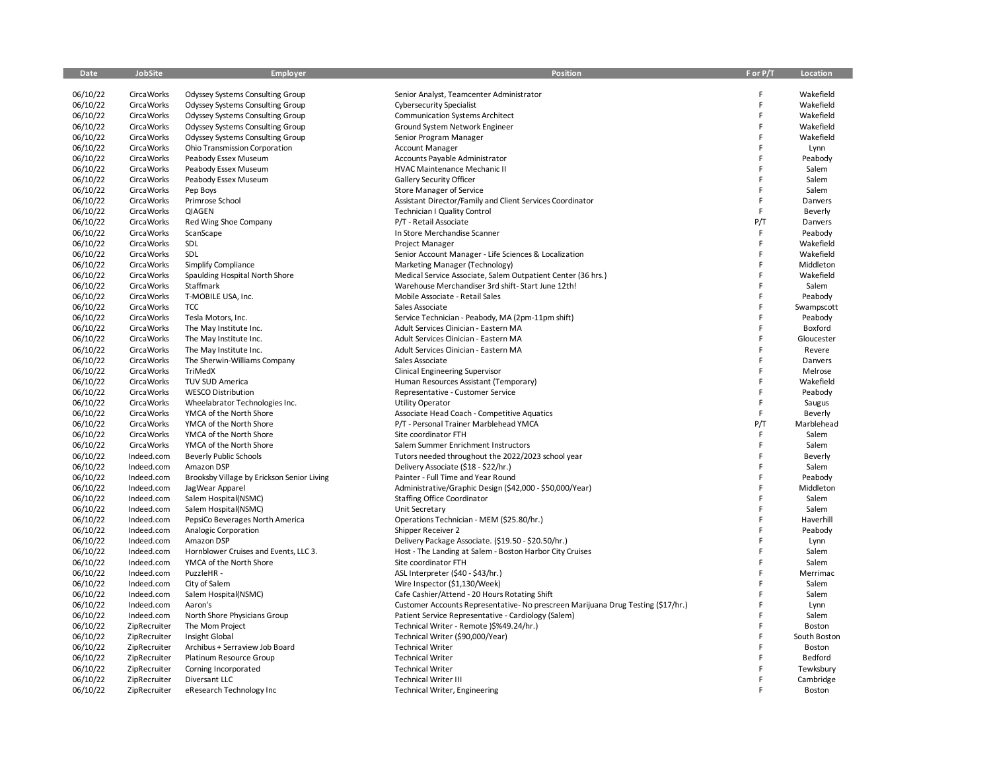| Date     | JobSite           | Employer                                   | <b>Position</b>                                                                  | F or P/T | Location       |
|----------|-------------------|--------------------------------------------|----------------------------------------------------------------------------------|----------|----------------|
|          |                   |                                            |                                                                                  |          |                |
| 06/10/22 | <b>CircaWorks</b> | <b>Odyssey Systems Consulting Group</b>    | Senior Analyst, Teamcenter Administrator                                         | F        | Wakefield      |
| 06/10/22 | <b>CircaWorks</b> | <b>Odyssey Systems Consulting Group</b>    | <b>Cybersecurity Specialist</b>                                                  | E.       | Wakefield      |
| 06/10/22 | <b>CircaWorks</b> | <b>Odyssey Systems Consulting Group</b>    | <b>Communication Systems Architect</b>                                           | F        | Wakefield      |
| 06/10/22 | <b>CircaWorks</b> | <b>Odyssey Systems Consulting Group</b>    | Ground System Network Engineer                                                   | F        | Wakefield      |
| 06/10/22 | <b>CircaWorks</b> | <b>Odyssey Systems Consulting Group</b>    | Senior Program Manager                                                           | F        | Wakefield      |
| 06/10/22 | <b>CircaWorks</b> | Ohio Transmission Corporation              | <b>Account Manager</b>                                                           | F        | Lynn           |
| 06/10/22 | <b>CircaWorks</b> | Peabody Essex Museum                       | Accounts Payable Administrator                                                   | F        | Peabody        |
|          |                   |                                            |                                                                                  | F        |                |
| 06/10/22 | <b>CircaWorks</b> | Peabody Essex Museum                       | HVAC Maintenance Mechanic II                                                     | F        | Salem<br>Salem |
| 06/10/22 | <b>CircaWorks</b> | Peabody Essex Museum                       | <b>Gallery Security Officer</b>                                                  |          |                |
| 06/10/22 | <b>CircaWorks</b> | Pep Boys                                   | Store Manager of Service                                                         | F        | Salem          |
| 06/10/22 | <b>CircaWorks</b> | Primrose School                            | Assistant Director/Family and Client Services Coordinator                        | F        | Danvers        |
| 06/10/22 | CircaWorks        | QIAGEN                                     | <b>Technician I Quality Control</b>                                              | F        | Beverly        |
| 06/10/22 | <b>CircaWorks</b> | Red Wing Shoe Company                      | P/T - Retail Associate                                                           | P/T      | Danvers        |
| 06/10/22 | <b>CircaWorks</b> | ScanScape                                  | In Store Merchandise Scanner                                                     | F        | Peabody        |
| 06/10/22 | <b>CircaWorks</b> | SDL                                        | Project Manager                                                                  | F.       | Wakefield      |
| 06/10/22 | <b>CircaWorks</b> | SDL                                        | Senior Account Manager - Life Sciences & Localization                            | F        | Wakefield      |
| 06/10/22 | <b>CircaWorks</b> | <b>Simplify Compliance</b>                 | Marketing Manager (Technology)                                                   | F        | Middleton      |
| 06/10/22 | <b>CircaWorks</b> | Spaulding Hospital North Shore             | Medical Service Associate, Salem Outpatient Center (36 hrs.)                     | F        | Wakefield      |
| 06/10/22 | <b>CircaWorks</b> | Staffmark                                  | Warehouse Merchandiser 3rd shift-Start June 12th!                                | F        | Salem          |
| 06/10/22 | <b>CircaWorks</b> | T-MOBILE USA, Inc.                         | Mobile Associate - Retail Sales                                                  | F        | Peabody        |
| 06/10/22 | <b>CircaWorks</b> | <b>TCC</b>                                 | Sales Associate                                                                  | F        | Swampscott     |
| 06/10/22 | <b>CircaWorks</b> | Tesla Motors, Inc.                         | Service Technician - Peabody, MA (2pm-11pm shift)                                | F        | Peabody        |
| 06/10/22 | <b>CircaWorks</b> | The May Institute Inc.                     | Adult Services Clinician - Eastern MA                                            | Ë        | Boxford        |
| 06/10/22 | <b>CircaWorks</b> | The May Institute Inc.                     | Adult Services Clinician - Eastern MA                                            | F        | Gloucester     |
| 06/10/22 | <b>CircaWorks</b> | The May Institute Inc.                     | Adult Services Clinician - Eastern MA                                            | F        | Revere         |
| 06/10/22 | <b>CircaWorks</b> | The Sherwin-Williams Company               | Sales Associate                                                                  | F        | Danvers        |
| 06/10/22 | <b>CircaWorks</b> | TriMedX                                    | Clinical Engineering Supervisor                                                  | F        | Melrose        |
| 06/10/22 | <b>CircaWorks</b> | <b>TUV SUD America</b>                     | Human Resources Assistant (Temporary)                                            | F        | Wakefield      |
| 06/10/22 | <b>CircaWorks</b> | <b>WESCO Distribution</b>                  | Representative - Customer Service                                                | F        | Peabody        |
| 06/10/22 | <b>CircaWorks</b> |                                            |                                                                                  | F.       |                |
|          |                   | Wheelabrator Technologies Inc.             | <b>Utility Operator</b>                                                          | F        | Saugus         |
| 06/10/22 | <b>CircaWorks</b> | YMCA of the North Shore                    | Associate Head Coach - Competitive Aquatics                                      |          | Beverly        |
| 06/10/22 | <b>CircaWorks</b> | YMCA of the North Shore                    | P/T - Personal Trainer Marblehead YMCA                                           | P/T      | Marblehead     |
| 06/10/22 | <b>CircaWorks</b> | YMCA of the North Shore                    | Site coordinator FTH                                                             | F        | Salem          |
| 06/10/22 | <b>CircaWorks</b> | YMCA of the North Shore                    | Salem Summer Enrichment Instructors                                              | F        | Salem          |
| 06/10/22 | Indeed.com        | <b>Beverly Public Schools</b>              | Tutors needed throughout the 2022/2023 school year                               | F        | <b>Beverly</b> |
| 06/10/22 | Indeed.com        | Amazon DSP                                 | Delivery Associate (\$18 - \$22/hr.)                                             | F        | Salem          |
| 06/10/22 | Indeed.com        | Brooksby Village by Erickson Senior Living | Painter - Full Time and Year Round                                               | F        | Peabody        |
| 06/10/22 | Indeed.com        | JagWear Apparel                            | Administrative/Graphic Design (\$42,000 - \$50,000/Year)                         | F        | Middleton      |
| 06/10/22 | Indeed.com        | Salem Hospital(NSMC)                       | <b>Staffing Office Coordinator</b>                                               | F        | Salem          |
| 06/10/22 | Indeed.com        | Salem Hospital(NSMC)                       | Unit Secretary                                                                   | F        | Salem          |
| 06/10/22 | Indeed.com        | PepsiCo Beverages North America            | Operations Technician - MEM (\$25.80/hr.)                                        | F        | Haverhill      |
| 06/10/22 | Indeed.com        | Analogic Corporation                       | Shipper Receiver 2                                                               | F        | Peabody        |
| 06/10/22 | Indeed.com        | Amazon DSP                                 | Delivery Package Associate. (\$19.50 - \$20.50/hr.)                              | Ë        | Lynn           |
| 06/10/22 | Indeed.com        | Hornblower Cruises and Events, LLC 3.      | Host - The Landing at Salem - Boston Harbor City Cruises                         | F        | Salem          |
| 06/10/22 | Indeed.com        | YMCA of the North Shore                    | Site coordinator FTH                                                             | F        | Salem          |
| 06/10/22 | Indeed.com        | PuzzleHR -                                 | ASL Interpreter (\$40 - \$43/hr.)                                                | F        | Merrimac       |
| 06/10/22 | Indeed.com        | City of Salem                              | Wire Inspector (\$1,130/Week)                                                    | F        | Salem          |
| 06/10/22 | Indeed.com        | Salem Hospital(NSMC)                       | Cafe Cashier/Attend - 20 Hours Rotating Shift                                    | F        | Salem          |
| 06/10/22 | Indeed.com        | Aaron's                                    | Customer Accounts Representative- No prescreen Marijuana Drug Testing (\$17/hr.) | Ë        | Lynn           |
| 06/10/22 | Indeed.com        | North Shore Physicians Group               | Patient Service Representative - Cardiology (Salem)                              | E        | Salem          |
| 06/10/22 | ZipRecruiter      | The Mom Project                            | Technical Writer - Remote )\$%49.24/hr.)                                         | F        | Boston         |
| 06/10/22 | ZipRecruiter      | Insight Global                             | Technical Writer (\$90,000/Year)                                                 | F        | South Boston   |
| 06/10/22 | ZipRecruiter      | Archibus + Serraview Job Board             | <b>Technical Writer</b>                                                          | F        | Boston         |
| 06/10/22 | ZipRecruiter      | Platinum Resource Group                    | <b>Technical Writer</b>                                                          | F        | Bedford        |
| 06/10/22 |                   |                                            | <b>Technical Writer</b>                                                          | F        | Tewksbury      |
| 06/10/22 | ZipRecruiter      | Corning Incorporated                       |                                                                                  | F        |                |
|          | ZipRecruiter      | Diversant LLC                              | <b>Technical Writer III</b>                                                      |          | Cambridge      |
| 06/10/22 | ZipRecruiter      | eResearch Technology Inc                   | <b>Technical Writer, Engineering</b>                                             |          | Boston         |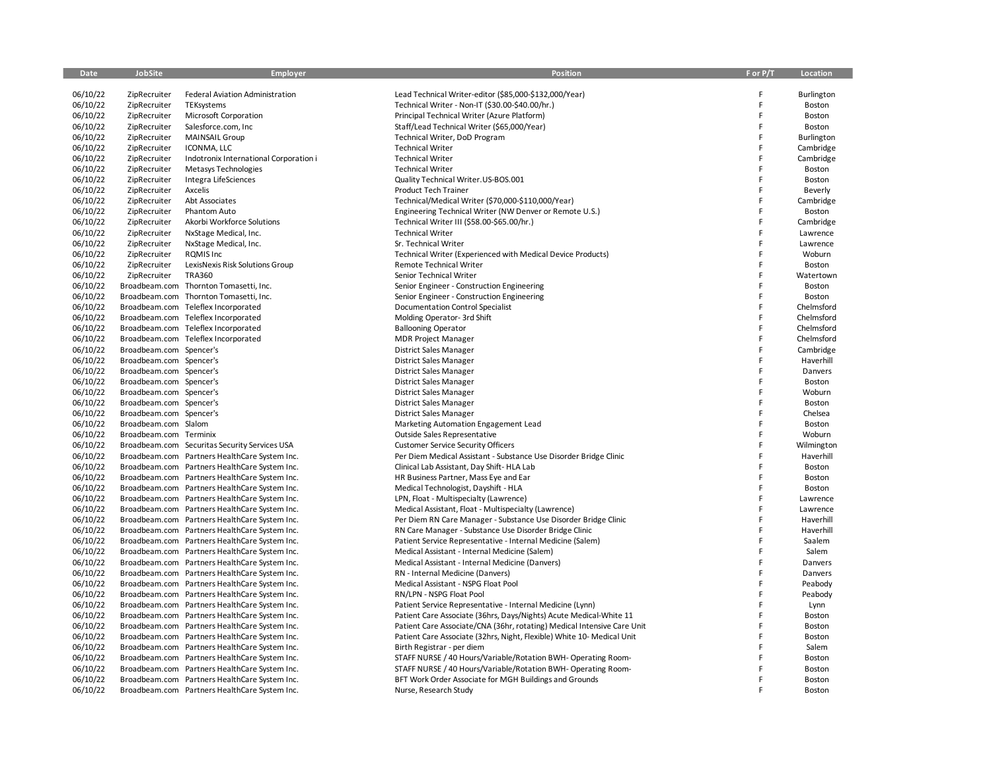| Date                 | JobSite                 | Employer                                                                                       | Position                                                                                    | F or P/T | Location        |
|----------------------|-------------------------|------------------------------------------------------------------------------------------------|---------------------------------------------------------------------------------------------|----------|-----------------|
| 06/10/22             | ZipRecruiter            | Federal Aviation Administration                                                                | Lead Technical Writer-editor (\$85,000-\$132,000/Year)                                      |          | Burlington      |
| 06/10/22             | ZipRecruiter            | TEKsystems                                                                                     | Technical Writer - Non-IT (\$30.00-\$40.00/hr.)                                             | F        | Boston          |
| 06/10/22             | ZipRecruiter            | Microsoft Corporation                                                                          | Principal Technical Writer (Azure Platform)                                                 |          | Boston          |
| 06/10/22             | ZipRecruiter            | Salesforce.com, Inc                                                                            | Staff/Lead Technical Writer (\$65,000/Year)                                                 |          | Boston          |
| 06/10/22             | ZipRecruiter            | <b>MAINSAIL Group</b>                                                                          | Technical Writer, DoD Program                                                               |          | Burlington      |
| 06/10/22             | ZipRecruiter            | ICONMA, LLC                                                                                    | <b>Technical Writer</b>                                                                     |          | Cambridge       |
| 06/10/22             | ZipRecruiter            | Indotronix International Corporation i                                                         | <b>Technical Writer</b>                                                                     |          | Cambridge       |
| 06/10/22             | ZipRecruiter            | Metasys Technologies                                                                           | <b>Technical Writer</b>                                                                     | E        | Boston          |
| 06/10/22             | ZipRecruiter            | Integra LifeSciences                                                                           | Quality Technical Writer.US-BOS.001                                                         | F        | Boston          |
| 06/10/22             | ZipRecruiter            | Axcelis                                                                                        | <b>Product Tech Trainer</b>                                                                 | E        | Beverly         |
| 06/10/22             | ZipRecruiter            | Abt Associates                                                                                 | Technical/Medical Writer (\$70,000-\$110,000/Year)                                          |          | Cambridge       |
| 06/10/22             | ZipRecruiter            | Phantom Auto                                                                                   | Engineering Technical Writer (NW Denver or Remote U.S.)                                     | E        | Boston          |
| 06/10/22             | ZipRecruiter            | Akorbi Workforce Solutions                                                                     | Technical Writer III (\$58.00-\$65.00/hr.)                                                  | F        | Cambridge       |
| 06/10/22             | ZipRecruiter            | NxStage Medical, Inc.                                                                          | <b>Technical Writer</b>                                                                     | E        | Lawrence        |
| 06/10/22             | ZipRecruiter            | NxStage Medical, Inc.                                                                          | Sr. Technical Writer                                                                        |          | Lawrence        |
| 06/10/22             | ZipRecruiter            | RQMIS Inc                                                                                      | Technical Writer (Experienced with Medical Device Products)                                 | F        | Woburn          |
| 06/10/22             | ZipRecruiter            | LexisNexis Risk Solutions Group                                                                | Remote Technical Writer                                                                     |          | Boston          |
| 06/10/22             | ZipRecruiter            | <b>TRA360</b>                                                                                  | Senior Technical Writer                                                                     |          | Watertown       |
| 06/10/22             |                         | Broadbeam.com Thornton Tomasetti, Inc.                                                         | Senior Engineer - Construction Engineering                                                  |          | Boston          |
| 06/10/22             |                         | Broadbeam.com Thornton Tomasetti, Inc.                                                         | Senior Engineer - Construction Engineering                                                  |          | Boston          |
| 06/10/22             |                         | Broadbeam.com Teleflex Incorporated                                                            | <b>Documentation Control Specialist</b>                                                     | F        | Chelmsford      |
| 06/10/22             |                         | Broadbeam.com Teleflex Incorporated                                                            | Molding Operator- 3rd Shift                                                                 |          | Chelmsford      |
| 06/10/22             |                         | Broadbeam.com Teleflex Incorporated                                                            | <b>Ballooning Operator</b>                                                                  |          | Chelmsford      |
| 06/10/22             |                         | Broadbeam.com Teleflex Incorporated                                                            | <b>MDR Project Manager</b>                                                                  |          | Chelmsford      |
| 06/10/22             | Broadbeam.com Spencer's |                                                                                                | <b>District Sales Manager</b>                                                               |          | Cambridge       |
| 06/10/22             | Broadbeam.com Spencer's |                                                                                                | <b>District Sales Manager</b>                                                               |          | Haverhill       |
| 06/10/22             | Broadbeam.com Spencer's |                                                                                                | <b>District Sales Manager</b>                                                               |          | Danvers         |
| 06/10/22             | Broadbeam.com Spencer's |                                                                                                | <b>District Sales Manager</b>                                                               |          | Boston          |
| 06/10/22             | Broadbeam.com Spencer's |                                                                                                | <b>District Sales Manager</b>                                                               | E        | Woburn          |
| 06/10/22             | Broadbeam.com Spencer's |                                                                                                | <b>District Sales Manager</b>                                                               |          | Boston          |
| 06/10/22             | Broadbeam.com Spencer's |                                                                                                | <b>District Sales Manager</b>                                                               | E        | Chelsea         |
| 06/10/22             | Broadbeam.com Slalom    |                                                                                                | Marketing Automation Engagement Lead                                                        | F        | Boston          |
| 06/10/22             | Broadbeam.com Terminix  |                                                                                                | Outside Sales Representative                                                                | F        | Woburn          |
| 06/10/22             |                         | Broadbeam.com Securitas Security Services USA                                                  | <b>Customer Service Security Officers</b>                                                   |          | Wilmington      |
| 06/10/22             |                         | Broadbeam.com Partners HealthCare System Inc.                                                  | Per Diem Medical Assistant - Substance Use Disorder Bridge Clinic                           |          | Haverhill       |
| 06/10/22             |                         | Broadbeam.com Partners HealthCare System Inc.                                                  | Clinical Lab Assistant, Day Shift-HLA Lab                                                   |          | Boston          |
| 06/10/22             |                         | Broadbeam.com Partners HealthCare System Inc.                                                  | HR Business Partner, Mass Eye and Ear                                                       |          | Boston          |
| 06/10/22             |                         | Broadbeam.com Partners HealthCare System Inc.                                                  | Medical Technologist, Dayshift - HLA                                                        |          | Boston          |
| 06/10/22             |                         | Broadbeam.com Partners HealthCare System Inc.                                                  | LPN, Float - Multispecialty (Lawrence)                                                      |          | Lawrence        |
| 06/10/22             |                         | Broadbeam.com Partners HealthCare System Inc.                                                  | Medical Assistant, Float - Multispecialty (Lawrence)                                        |          | Lawrence        |
| 06/10/22             |                         | Broadbeam.com Partners HealthCare System Inc.                                                  | Per Diem RN Care Manager - Substance Use Disorder Bridge Clinic                             |          | Haverhill       |
| 06/10/22             |                         | Broadbeam.com Partners HealthCare System Inc.                                                  | RN Care Manager - Substance Use Disorder Bridge Clinic                                      |          | Haverhill       |
| 06/10/22             |                         | Broadbeam.com Partners HealthCare System Inc.                                                  | Patient Service Representative - Internal Medicine (Salem)                                  |          | Saalem          |
| 06/10/22             |                         | Broadbeam.com Partners HealthCare System Inc.                                                  | Medical Assistant - Internal Medicine (Salem)                                               |          | Salem           |
| 06/10/22             |                         | Broadbeam.com Partners HealthCare System Inc.                                                  | Medical Assistant - Internal Medicine (Danvers)                                             |          | Danvers         |
| 06/10/22             |                         | Broadbeam.com Partners HealthCare System Inc.                                                  | RN - Internal Medicine (Danvers)                                                            |          | Danvers         |
| 06/10/22             |                         | Broadbeam.com Partners HealthCare System Inc.                                                  | Medical Assistant - NSPG Float Pool                                                         |          | Peabody         |
| 06/10/22             |                         | Broadbeam.com Partners HealthCare System Inc.                                                  | RN/LPN - NSPG Float Pool                                                                    |          | Peabody         |
| 06/10/22             |                         | Broadbeam.com Partners HealthCare System Inc.                                                  | Patient Service Representative - Internal Medicine (Lynn)                                   | F        | Lynn            |
| 06/10/22             |                         | Broadbeam.com Partners HealthCare System Inc.                                                  | Patient Care Associate (36hrs, Days/Nights) Acute Medical-White 11                          |          | Boston          |
| 06/10/22             |                         | Broadbeam.com Partners HealthCare System Inc.                                                  | Patient Care Associate/CNA (36hr, rotating) Medical Intensive Care Unit                     | Е        | Boston          |
| 06/10/22<br>06/10/22 |                         | Broadbeam.com Partners HealthCare System Inc.                                                  | Patient Care Associate (32hrs, Night, Flexible) White 10- Medical Unit                      |          | Boston          |
| 06/10/22             |                         | Broadbeam.com Partners HealthCare System Inc.<br>Broadbeam.com Partners HealthCare System Inc. | Birth Registrar - per diem<br>STAFF NURSE / 40 Hours/Variable/Rotation BWH- Operating Room- |          | Salem<br>Boston |
| 06/10/22             |                         | Broadbeam.com Partners HealthCare System Inc.                                                  | STAFF NURSE / 40 Hours/Variable/Rotation BWH- Operating Room-                               |          | Boston          |
| 06/10/22             |                         | Broadbeam.com Partners HealthCare System Inc.                                                  | BFT Work Order Associate for MGH Buildings and Grounds                                      |          | Boston          |
| 06/10/22             |                         | Broadbeam.com Partners HealthCare System Inc.                                                  | Nurse, Research Study                                                                       |          | Boston          |
|                      |                         |                                                                                                |                                                                                             |          |                 |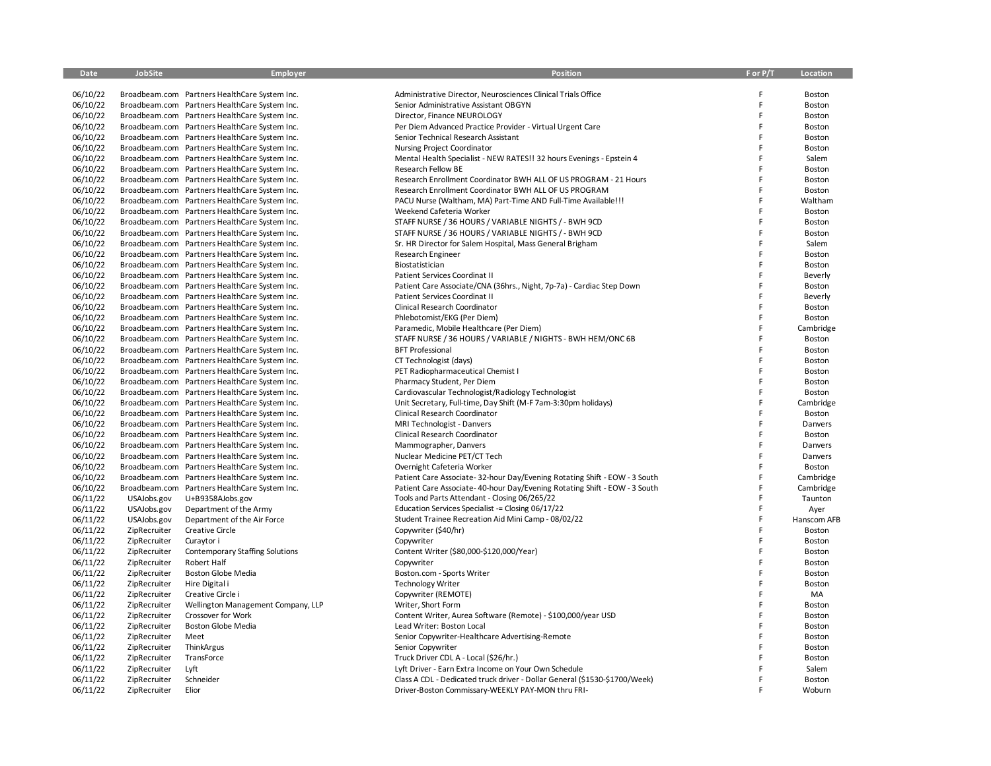| Date                 | <b>JobSite</b>               | Employer                                                                                       | <b>Position</b>                                                            | F or P/T | Location          |
|----------------------|------------------------------|------------------------------------------------------------------------------------------------|----------------------------------------------------------------------------|----------|-------------------|
| 06/10/22             |                              | Broadbeam.com Partners HealthCare System Inc.                                                  | Administrative Director, Neurosciences Clinical Trials Office              | F        | Boston            |
| 06/10/22             |                              | Broadbeam.com Partners HealthCare System Inc.                                                  | Senior Administrative Assistant OBGYN                                      | F        | Boston            |
| 06/10/22             |                              | Broadbeam.com Partners HealthCare System Inc.                                                  | Director, Finance NEUROLOGY                                                | E        | Boston            |
| 06/10/22             |                              | Broadbeam.com Partners HealthCare System Inc.                                                  | Per Diem Advanced Practice Provider - Virtual Urgent Care                  | F        | Boston            |
| 06/10/22             |                              | Broadbeam.com Partners HealthCare System Inc.                                                  | Senior Technical Research Assistant                                        |          | Boston            |
| 06/10/22             |                              | Broadbeam.com Partners HealthCare System Inc.                                                  | Nursing Project Coordinator                                                |          | Boston            |
| 06/10/22             |                              | Broadbeam.com Partners HealthCare System Inc.                                                  | Mental Health Specialist - NEW RATES!! 32 hours Evenings - Epstein 4       |          | Salem             |
| 06/10/22             |                              | Broadbeam.com Partners HealthCare System Inc.                                                  | <b>Research Fellow BE</b>                                                  |          | Boston            |
| 06/10/22             |                              | Broadbeam.com Partners HealthCare System Inc.                                                  | Research Enrollment Coordinator BWH ALL OF US PROGRAM - 21 Hours           |          | Boston            |
| 06/10/22             |                              | Broadbeam.com Partners HealthCare System Inc.                                                  | Research Enrollment Coordinator BWH ALL OF US PROGRAM                      |          | Boston            |
| 06/10/22             |                              | Broadbeam.com Partners HealthCare System Inc.                                                  | PACU Nurse (Waltham, MA) Part-Time AND Full-Time Available!!!              |          | Waltham           |
| 06/10/22             |                              | Broadbeam.com Partners HealthCare System Inc.                                                  | Weekend Cafeteria Worker                                                   |          | Boston            |
| 06/10/22             |                              | Broadbeam.com Partners HealthCare System Inc.                                                  | STAFF NURSE / 36 HOURS / VARIABLE NIGHTS / - BWH 9CD                       |          | Boston            |
| 06/10/22             |                              | Broadbeam.com Partners HealthCare System Inc.                                                  | STAFF NURSE / 36 HOURS / VARIABLE NIGHTS / - BWH 9CD                       |          | Boston            |
| 06/10/22             |                              | Broadbeam.com Partners HealthCare System Inc.                                                  | Sr. HR Director for Salem Hospital, Mass General Brigham                   |          | Salem             |
| 06/10/22             |                              | Broadbeam.com Partners HealthCare System Inc.                                                  | <b>Research Engineer</b>                                                   |          | Boston            |
| 06/10/22             |                              | Broadbeam.com Partners HealthCare System Inc.                                                  | Biostatistician                                                            |          | Boston            |
| 06/10/22             |                              | Broadbeam.com Partners HealthCare System Inc.                                                  | Patient Services Coordinat II                                              |          | Beverly           |
| 06/10/22             |                              | Broadbeam.com Partners HealthCare System Inc.                                                  | Patient Care Associate/CNA (36hrs., Night, 7p-7a) - Cardiac Step Down      |          | Boston            |
| 06/10/22<br>06/10/22 |                              | Broadbeam.com Partners HealthCare System Inc.                                                  | Patient Services Coordinat II<br>Clinical Research Coordinator             |          | Beverly<br>Boston |
| 06/10/22             |                              | Broadbeam.com Partners HealthCare System Inc.<br>Broadbeam.com Partners HealthCare System Inc. | Phlebotomist/EKG (Per Diem)                                                |          | Boston            |
| 06/10/22             |                              | Broadbeam.com Partners HealthCare System Inc.                                                  | Paramedic, Mobile Healthcare (Per Diem)                                    |          | Cambridge         |
| 06/10/22             |                              | Broadbeam.com Partners HealthCare System Inc.                                                  | STAFF NURSE / 36 HOURS / VARIABLE / NIGHTS - BWH HEM/ONC 6B                |          | Boston            |
| 06/10/22             |                              | Broadbeam.com Partners HealthCare System Inc.                                                  | <b>BFT Professional</b>                                                    | E        | Boston            |
| 06/10/22             |                              | Broadbeam.com Partners HealthCare System Inc.                                                  | CT Technologist (days)                                                     |          | Boston            |
| 06/10/22             |                              | Broadbeam.com Partners HealthCare System Inc.                                                  | PET Radiopharmaceutical Chemist I                                          | F        | Boston            |
| 06/10/22             |                              | Broadbeam.com Partners HealthCare System Inc.                                                  | Pharmacy Student, Per Diem                                                 | F        | Boston            |
| 06/10/22             |                              | Broadbeam.com Partners HealthCare System Inc.                                                  | Cardiovascular Technologist/Radiology Technologist                         | E        | Boston            |
| 06/10/22             |                              | Broadbeam.com Partners HealthCare System Inc.                                                  | Unit Secretary, Full-time, Day Shift (M-F 7am-3:30pm holidays)             |          | Cambridge         |
| 06/10/22             |                              | Broadbeam.com Partners HealthCare System Inc.                                                  | Clinical Research Coordinator                                              |          | Boston            |
| 06/10/22             |                              | Broadbeam.com Partners HealthCare System Inc.                                                  | MRI Technologist - Danvers                                                 |          | Danvers           |
| 06/10/22             |                              | Broadbeam.com Partners HealthCare System Inc.                                                  | Clinical Research Coordinator                                              |          | Boston            |
| 06/10/22             |                              | Broadbeam.com Partners HealthCare System Inc.                                                  | Mammographer, Danvers                                                      |          | Danvers           |
| 06/10/22             |                              | Broadbeam.com Partners HealthCare System Inc.                                                  | Nuclear Medicine PET/CT Tech                                               |          | Danvers           |
| 06/10/22             |                              | Broadbeam.com Partners HealthCare System Inc.                                                  | Overnight Cafeteria Worker                                                 |          | Boston            |
| 06/10/22             |                              | Broadbeam.com Partners HealthCare System Inc.                                                  | Patient Care Associate-32-hour Day/Evening Rotating Shift - EOW - 3 South  |          | Cambridge         |
| 06/10/22             |                              | Broadbeam.com Partners HealthCare System Inc.                                                  | Patient Care Associate-40-hour Day/Evening Rotating Shift - EOW - 3 South  |          | Cambridge         |
| 06/11/22             | USAJobs.gov                  | U+B9358AJobs.gov                                                                               | Tools and Parts Attendant - Closing 06/265/22                              |          | Taunton           |
| 06/11/22             | USAJobs.gov                  | Department of the Army                                                                         | Education Services Specialist -= Closing 06/17/22                          |          | Ayer              |
| 06/11/22             | USAJobs.gov                  | Department of the Air Force                                                                    | Student Trainee Recreation Aid Mini Camp - 08/02/22                        |          | Hanscom AFB       |
| 06/11/22             | ZipRecruiter                 | Creative Circle                                                                                | Copywriter (\$40/hr)                                                       |          | Boston<br>Boston  |
| 06/11/22<br>06/11/22 | ZipRecruiter                 | Curaytor i                                                                                     | Copywriter<br>Content Writer (\$80,000-\$120,000/Year)                     |          | Boston            |
| 06/11/22             | ZipRecruiter<br>ZipRecruiter | <b>Contemporary Staffing Solutions</b><br>Robert Half                                          | Copywriter                                                                 |          | Boston            |
| 06/11/22             | ZipRecruiter                 | <b>Boston Globe Media</b>                                                                      | Boston.com - Sports Writer                                                 |          | Boston            |
| 06/11/22             | ZipRecruiter                 | Hire Digital i                                                                                 | <b>Technology Writer</b>                                                   |          | Boston            |
| 06/11/22             | ZipRecruiter                 | Creative Circle i                                                                              | Copywriter (REMOTE)                                                        |          | MA                |
| 06/11/22             | ZipRecruiter                 | Wellington Management Company, LLP                                                             | Writer, Short Form                                                         |          | Boston            |
| 06/11/22             | ZipRecruiter                 | <b>Crossover for Work</b>                                                                      | Content Writer, Aurea Software (Remote) - \$100,000/year USD               | F        | Boston            |
| 06/11/22             | ZipRecruiter                 | <b>Boston Globe Media</b>                                                                      | Lead Writer: Boston Local                                                  | F        | Boston            |
| 06/11/22             | ZipRecruiter                 | Meet                                                                                           | Senior Copywriter-Healthcare Advertising-Remote                            | E        | Boston            |
| 06/11/22             | ZipRecruiter                 | ThinkArgus                                                                                     | Senior Copywriter                                                          |          | Boston            |
| 06/11/22             | ZipRecruiter                 | TransForce                                                                                     | Truck Driver CDL A - Local (\$26/hr.)                                      |          | Boston            |
| 06/11/22             | ZipRecruiter                 | Lyft                                                                                           | Lyft Driver - Earn Extra Income on Your Own Schedule                       |          | Salem             |
| 06/11/22             | ZipRecruiter                 | Schneider                                                                                      | Class A CDL - Dedicated truck driver - Dollar General (\$1530-\$1700/Week) |          | Boston            |
| 06/11/22             | ZipRecruiter                 | Elior                                                                                          | Driver-Boston Commissary-WEEKLY PAY-MON thru FRI-                          |          | Woburn            |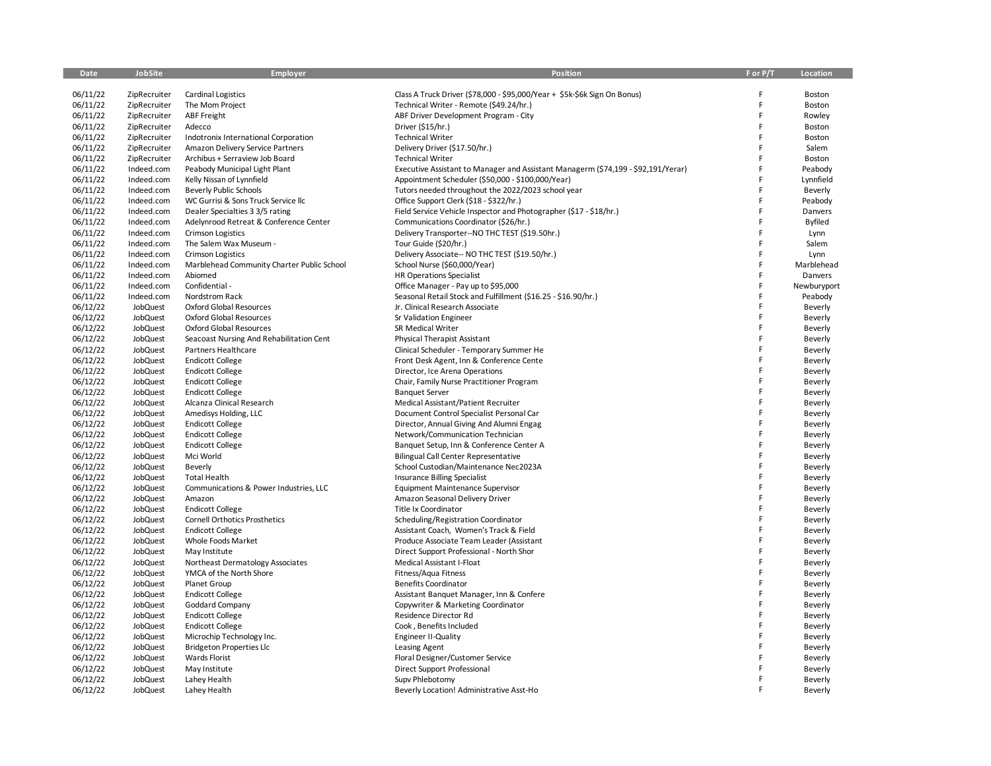| Date                 | JobSite              | <b>Employer</b>                                      | <b>Position</b>                                                                   | F or P/T    | Location           |
|----------------------|----------------------|------------------------------------------------------|-----------------------------------------------------------------------------------|-------------|--------------------|
|                      |                      |                                                      |                                                                                   |             |                    |
| 06/11/22             | ZipRecruiter         | <b>Cardinal Logistics</b>                            | Class A Truck Driver (\$78,000 - \$95,000/Year + \$5k-\$6k Sign On Bonus)         | E           | Boston             |
| 06/11/22             | ZipRecruiter         | The Mom Project                                      | Technical Writer - Remote (\$49.24/hr.)                                           | F           | Boston             |
| 06/11/22             | ZipRecruiter         | <b>ABF</b> Freight                                   | ABF Driver Development Program - City                                             | E           | Rowley             |
| 06/11/22             | ZipRecruiter         | Adecco                                               | Driver (\$15/hr.)                                                                 | F           | Boston             |
| 06/11/22             | ZipRecruiter         | Indotronix International Corporation                 | <b>Technical Writer</b>                                                           | F           | Boston             |
| 06/11/22             | ZipRecruiter         | Amazon Delivery Service Partners                     | Delivery Driver (\$17.50/hr.)                                                     | F           | Salem              |
| 06/11/22             | ZipRecruiter         | Archibus + Serraview Job Board                       | <b>Technical Writer</b>                                                           | F           | Boston             |
| 06/11/22             | Indeed.com           | Peabody Municipal Light Plant                        | Executive Assistant to Manager and Assistant Managerm (\$74,199 - \$92,191/Yerar) | F           | Peabody            |
| 06/11/22             | Indeed.com           | Kelly Nissan of Lynnfield                            | Appointment Scheduler (\$50,000 - \$100,000/Year)                                 | F<br>E      | Lynnfield          |
| 06/11/22             | Indeed.com           | <b>Beverly Public Schools</b>                        | Tutors needed throughout the 2022/2023 school year                                |             | Beverly            |
| 06/11/22             | Indeed.com           | WC Gurrisi & Sons Truck Service Ilc                  | Office Support Clerk (\$18 - \$322/hr.)                                           | F           | Peabody            |
| 06/11/22             | Indeed.com           | Dealer Specialties 3 3/5 rating                      | Field Service Vehicle Inspector and Photographer (\$17 - \$18/hr.)                | F<br>F      | Danvers            |
| 06/11/22             | Indeed.com           | Adelynrood Retreat & Conference Center               | Communications Coordinator (\$26/hr.)                                             | F           | <b>Byfiled</b>     |
| 06/11/22             | Indeed.com           | <b>Crimson Logistics</b>                             | Delivery Transporter--NO THC TEST (\$19.50hr.)                                    |             | Lynn               |
| 06/11/22             | Indeed.com           | The Salem Wax Museum -                               | Tour Guide (\$20/hr.)                                                             | F<br>F      | Salem              |
| 06/11/22             | Indeed.com           | <b>Crimson Logistics</b>                             | Delivery Associate-- NO THC TEST (\$19.50/hr.)                                    |             | Lynn               |
| 06/11/22             | Indeed.com           | Marblehead Community Charter Public School           | School Nurse (\$60,000/Year)                                                      | F           | Marblehead         |
| 06/11/22             | Indeed.com           | Abiomed                                              | <b>HR Operations Specialist</b>                                                   | F<br>F.     | Danvers            |
| 06/11/22             | Indeed.com           | Confidential -                                       | Office Manager - Pay up to \$95,000                                               | F           | Newburyport        |
| 06/11/22             | Indeed.com           | Nordstrom Rack                                       | Seasonal Retail Stock and Fulfillment (\$16.25 - \$16.90/hr.)                     | F           | Peabody            |
| 06/12/22             | JobQuest             | Oxford Global Resources                              | Jr. Clinical Research Associate                                                   | F           | Beverly            |
| 06/12/22             | JobQuest             | Oxford Global Resources                              | Sr Validation Engineer                                                            | F.          | Beverly            |
| 06/12/22<br>06/12/22 | JobQuest             | <b>Oxford Global Resources</b>                       | SR Medical Writer                                                                 | F           | Beverly            |
| 06/12/22             | JobQuest             | Seacoast Nursing And Rehabilitation Cent             | Physical Therapist Assistant                                                      | F           | Beverly            |
| 06/12/22             | JobQuest             | Partners Healthcare                                  | Clinical Scheduler - Temporary Summer He                                          | $\mathsf F$ | Beverly            |
| 06/12/22             | JobQuest             | <b>Endicott College</b>                              | Front Desk Agent, Inn & Conference Cente                                          | F           | Beverly            |
| 06/12/22             | JobQuest<br>JobQuest | <b>Endicott College</b><br><b>Endicott College</b>   | Director, Ice Arena Operations                                                    | F           | Beverly<br>Beverly |
|                      |                      |                                                      | Chair, Family Nurse Practitioner Program                                          | F           |                    |
| 06/12/22<br>06/12/22 | JobQuest<br>JobQuest | <b>Endicott College</b><br>Alcanza Clinical Research | <b>Banquet Server</b><br>Medical Assistant/Patient Recruiter                      | F           | Beverly<br>Beverly |
| 06/12/22             | JobQuest             | Amedisys Holding, LLC                                | Document Control Specialist Personal Car                                          | F           | Beverly            |
| 06/12/22             | JobQuest             | <b>Endicott College</b>                              | Director, Annual Giving And Alumni Engag                                          | F           | Beverly            |
| 06/12/22             | JobQuest             | <b>Endicott College</b>                              | Network/Communication Technician                                                  | F           | Beverly            |
| 06/12/22             | JobQuest             | <b>Endicott College</b>                              | Banquet Setup, Inn & Conference Center A                                          | F           | Beverly            |
| 06/12/22             | JobQuest             | Mci World                                            | <b>Bilingual Call Center Representative</b>                                       | F           | Beverly            |
| 06/12/22             | JobQuest             | Beverly                                              | School Custodian/Maintenance Nec2023A                                             | F           | Beverly            |
| 06/12/22             | JobQuest             | <b>Total Health</b>                                  | <b>Insurance Billing Specialist</b>                                               | $\mathsf F$ | Beverly            |
| 06/12/22             | JobQuest             | Communications & Power Industries, LLC               | <b>Equipment Maintenance Supervisor</b>                                           | F           | Beverly            |
| 06/12/22             | JobQuest             | Amazon                                               | Amazon Seasonal Delivery Driver                                                   | F           | Beverly            |
| 06/12/22             | JobQuest             | <b>Endicott College</b>                              | Title Ix Coordinator                                                              | F           | Beverly            |
| 06/12/22             | JobQuest             | <b>Cornell Orthotics Prosthetics</b>                 | Scheduling/Registration Coordinator                                               | F           | Beverly            |
| 06/12/22             | JobQuest             | <b>Endicott College</b>                              | Assistant Coach, Women's Track & Field                                            | F           | Beverly            |
| 06/12/22             | JobQuest             | Whole Foods Market                                   | Produce Associate Team Leader (Assistant                                          | F           | Beverly            |
| 06/12/22             | JobQuest             | May Institute                                        | Direct Support Professional - North Shor                                          | F           | Beverly            |
| 06/12/22             | JobQuest             | Northeast Dermatology Associates                     | Medical Assistant I-Float                                                         | E           | Beverly            |
| 06/12/22             | JobQuest             | YMCA of the North Shore                              | Fitness/Aqua Fitness                                                              | E           | Beverly            |
| 06/12/22             | JobQuest             | <b>Planet Group</b>                                  | <b>Benefits Coordinator</b>                                                       | F           | Beverly            |
| 06/12/22             | JobQuest             | <b>Endicott College</b>                              | Assistant Banquet Manager, Inn & Confere                                          | F           | Beverly            |
| 06/12/22             | JobQuest             | Goddard Company                                      | Copywriter & Marketing Coordinator                                                | E           | Beverly            |
| 06/12/22             | JobQuest             | <b>Endicott College</b>                              | Residence Director Rd                                                             | F           | Beverly            |
| 06/12/22             | JobQuest             | <b>Endicott College</b>                              | Cook, Benefits Included                                                           | F           | Beverly            |
| 06/12/22             | JobQuest             | Microchip Technology Inc.                            | Engineer II-Quality                                                               | F           | Beverly            |
| 06/12/22             | JobQuest             | <b>Bridgeton Properties Llc</b>                      | <b>Leasing Agent</b>                                                              | F           | Beverly            |
| 06/12/22             | JobQuest             | <b>Wards Florist</b>                                 | Floral Designer/Customer Service                                                  | F           | Beverly            |
| 06/12/22             | JobQuest             | May Institute                                        | Direct Support Professional                                                       | F           | Beverly            |
| 06/12/22             | JobQuest             | Lahey Health                                         | Supv Phlebotomy                                                                   | F           | Beverly            |
| 06/12/22             | JobQuest             | Lahey Health                                         | Beverly Location! Administrative Asst-Ho                                          | F           | Beverly            |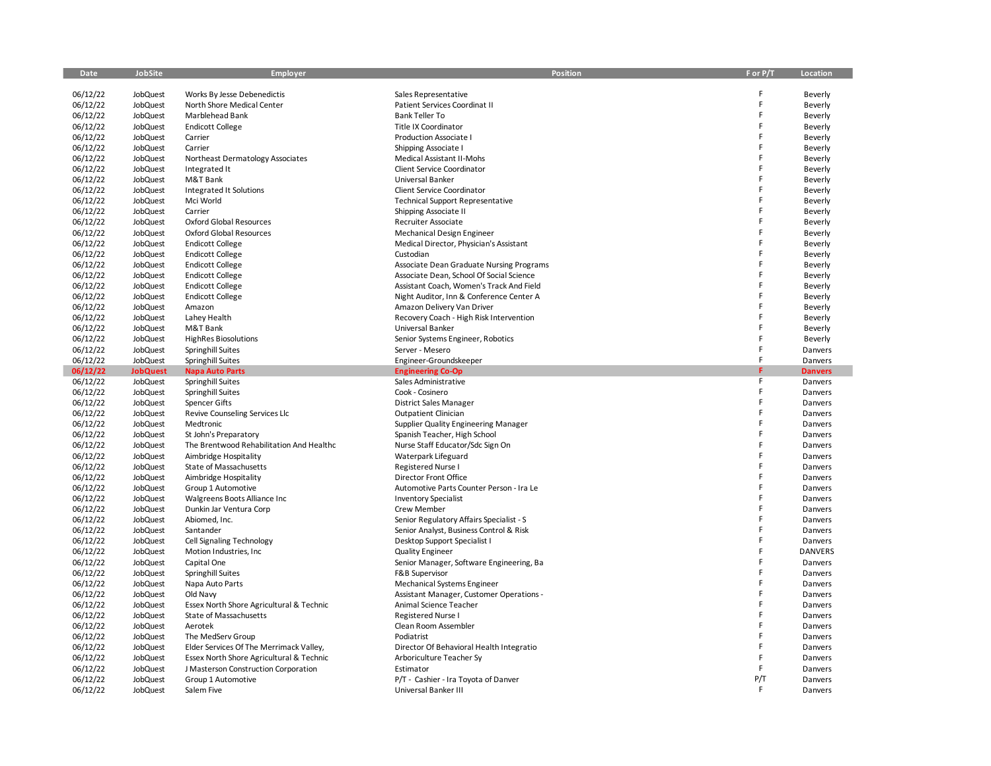| Date     | JobSite         | <b>Employer</b>                          | <b>Position</b>                          | F or P/T | Location       |
|----------|-----------------|------------------------------------------|------------------------------------------|----------|----------------|
|          |                 |                                          |                                          |          |                |
| 06/12/22 | JobQuest        | Works By Jesse Debenedictis              | Sales Representative                     | F        | Beverly        |
| 06/12/22 | JobQuest        | North Shore Medical Center               | Patient Services Coordinat II            | Ë        | Beverly        |
| 06/12/22 | JobQuest        | Marblehead Bank                          | Bank Teller To                           | F        | Beverly        |
| 06/12/22 | JobQuest        | <b>Endicott College</b>                  | Title IX Coordinator                     | F        | Beverly        |
| 06/12/22 | JobQuest        | Carrier                                  | Production Associate I                   | Ë        | Beverly        |
| 06/12/22 | JobQuest        | Carrier                                  | Shipping Associate I                     | F        | Beverly        |
|          | JobQuest        |                                          |                                          | Ë        |                |
| 06/12/22 |                 | Northeast Dermatology Associates         | Medical Assistant II-Mohs                | F        | Beverly        |
| 06/12/22 | JobQuest        | Integrated It                            | <b>Client Service Coordinator</b>        | Ë        | Beverly        |
| 06/12/22 | JobQuest        | M&T Bank                                 | Universal Banker                         |          | Beverly        |
| 06/12/22 | JobQuest        | Integrated It Solutions                  | Client Service Coordinator               | Ë        | Beverly        |
| 06/12/22 | JobQuest        | Mci World                                | <b>Technical Support Representative</b>  | F        | Beverly        |
| 06/12/22 | JobQuest        | Carrier                                  | Shipping Associate II                    | Ë        | Beverly        |
| 06/12/22 | JobQuest        | <b>Oxford Global Resources</b>           | Recruiter Associate                      | Ë        | Beverly        |
| 06/12/22 | JobQuest        | <b>Oxford Global Resources</b>           | Mechanical Design Engineer               | Ë        | Beverly        |
| 06/12/22 | JobQuest        | <b>Endicott College</b>                  | Medical Director, Physician's Assistant  | F        | Beverly        |
| 06/12/22 | JobQuest        | <b>Endicott College</b>                  | Custodian                                | Ë        | Beverly        |
| 06/12/22 | JobQuest        | <b>Endicott College</b>                  | Associate Dean Graduate Nursing Programs | F        | Beverly        |
| 06/12/22 | JobQuest        | <b>Endicott College</b>                  | Associate Dean, School Of Social Science | F        | Beverly        |
| 06/12/22 | JobQuest        | <b>Endicott College</b>                  | Assistant Coach, Women's Track And Field | Ë        | Beverly        |
| 06/12/22 | JobQuest        | <b>Endicott College</b>                  | Night Auditor, Inn & Conference Center A | Ë        | Beverly        |
| 06/12/22 | JobQuest        | Amazon                                   | Amazon Delivery Van Driver               | F        | Beverly        |
| 06/12/22 | JobQuest        | Lahey Health                             | Recovery Coach - High Risk Intervention  | Ë        | Beverly        |
| 06/12/22 | JobQuest        | M&T Bank                                 | Universal Banker                         | F        | Beverly        |
| 06/12/22 | JobQuest        | <b>HighRes Biosolutions</b>              | Senior Systems Engineer, Robotics        | F        | Beverly        |
|          |                 |                                          |                                          | F        |                |
| 06/12/22 | JobQuest        | Springhill Suites                        | Server - Mesero                          | F        | Danvers        |
| 06/12/22 | JobQuest        | Springhill Suites                        | Engineer-Groundskeeper                   |          | Danvers        |
| 06/12/22 | <b>JobQuest</b> | <b>Napa Auto Parts</b>                   | <b>Engineering Co-Op</b>                 |          | <b>Danvers</b> |
| 06/12/22 | JobQuest        | Springhill Suites                        | Sales Administrative                     | F        | Danvers        |
| 06/12/22 | JobQuest        | Springhill Suites                        | Cook - Cosinero                          | F        | Danvers        |
| 06/12/22 | JobQuest        | Spencer Gifts                            | <b>District Sales Manager</b>            | F        | Danvers        |
| 06/12/22 | JobQuest        | Revive Counseling Services Llc           | <b>Outpatient Clinician</b>              | Ė        | Danvers        |
| 06/12/22 | JobQuest        | Medtronic                                | Supplier Quality Engineering Manager     | F        | Danvers        |
| 06/12/22 | JobQuest        | St John's Preparatory                    | Spanish Teacher, High School             | F        | Danvers        |
| 06/12/22 | JobQuest        | The Brentwood Rehabilitation And Healthc | Nurse Staff Educator/Sdc Sign On         | Ë        | Danvers        |
| 06/12/22 | JobQuest        | Aimbridge Hospitality                    | Waterpark Lifeguard                      | F        | Danvers        |
| 06/12/22 | JobQuest        | State of Massachusetts                   | Registered Nurse I                       | Ë        | Danvers        |
| 06/12/22 | JobQuest        | Aimbridge Hospitality                    | Director Front Office                    | F        | Danvers        |
| 06/12/22 | JobQuest        | Group 1 Automotive                       | Automotive Parts Counter Person - Ira Le | F        | Danvers        |
| 06/12/22 | JobQuest        | Walgreens Boots Alliance Inc             | <b>Inventory Specialist</b>              | F        | Danvers        |
| 06/12/22 | JobQuest        | Dunkin Jar Ventura Corp                  | Crew Member                              | F        | Danvers        |
| 06/12/22 | JobQuest        | Abiomed, Inc.                            | Senior Regulatory Affairs Specialist - S | F        | Danvers        |
| 06/12/22 | JobQuest        | Santander                                | Senior Analyst, Business Control & Risk  | Ë        | Danvers        |
| 06/12/22 | JobQuest        | Cell Signaling Technology                | Desktop Support Specialist I             | F        | Danvers        |
| 06/12/22 | JobQuest        | Motion Industries, Inc.                  | <b>Quality Engineer</b>                  | Ë        | <b>DANVERS</b> |
|          |                 |                                          |                                          | F        |                |
| 06/12/22 | JobQuest        | Capital One                              | Senior Manager, Software Engineering, Ba | F        | Danvers        |
| 06/12/22 | JobQuest        | Springhill Suites                        | <b>F&amp;B Supervisor</b>                | F        | Danvers        |
| 06/12/22 | JobQuest        | Napa Auto Parts                          | <b>Mechanical Systems Engineer</b>       |          | Danvers        |
| 06/12/22 | JobQuest        | Old Navy                                 | Assistant Manager, Customer Operations - | F        | Danvers        |
| 06/12/22 | JobQuest        | Essex North Shore Agricultural & Technic | Animal Science Teacher                   | F        | Danvers        |
| 06/12/22 | JobQuest        | State of Massachusetts                   | Registered Nurse I                       | F        | Danvers        |
| 06/12/22 | JobQuest        | Aerotek                                  | Clean Room Assembler                     | F        | Danvers        |
| 06/12/22 | JobQuest        | The MedServ Group                        | Podiatrist                               | F        | Danvers        |
| 06/12/22 | JobQuest        | Elder Services Of The Merrimack Valley,  | Director Of Behavioral Health Integratio | F        | Danvers        |
| 06/12/22 | JobQuest        | Essex North Shore Agricultural & Technic | Arboriculture Teacher Sy                 | F        | Danvers        |
| 06/12/22 | JobQuest        | J Masterson Construction Corporation     | Estimator                                | F        | Danvers        |
| 06/12/22 | JobQuest        | Group 1 Automotive                       | P/T - Cashier - Ira Toyota of Danver     | P/T      | Danvers        |
| 06/12/22 | JobQuest        | Salem Five                               | Universal Banker III                     | F        | Danvers        |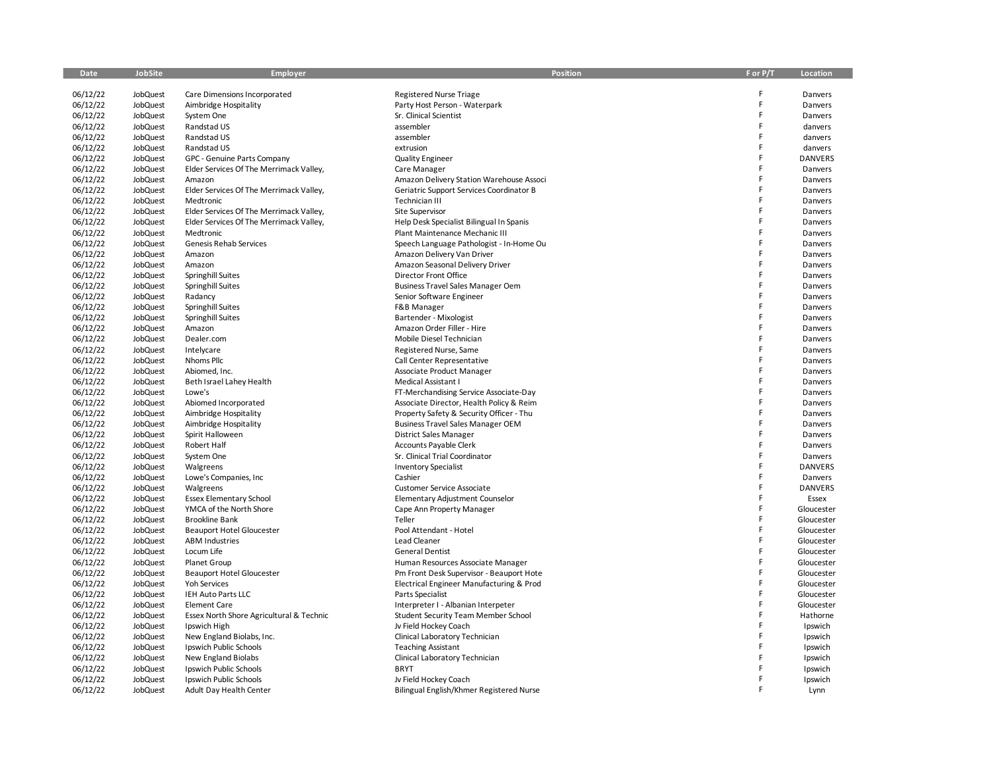| Date                 | JobSite              | Employer                                                 | Position                                                                   | F or P/T | Location                 |
|----------------------|----------------------|----------------------------------------------------------|----------------------------------------------------------------------------|----------|--------------------------|
|                      |                      |                                                          |                                                                            |          |                          |
| 06/12/22             | JobQuest             | Care Dimensions Incorporated                             | <b>Registered Nurse Triage</b>                                             | F        | Danvers                  |
| 06/12/22             | JobQuest             | Aimbridge Hospitality                                    | Party Host Person - Waterpark                                              | F        | Danvers                  |
| 06/12/22             | JobQuest             | System One                                               | Sr. Clinical Scientist                                                     | F        | Danvers                  |
| 06/12/22             | JobQuest             | Randstad US                                              | assembler                                                                  | F        | danvers                  |
| 06/12/22             | JobQuest             | Randstad US                                              | assembler                                                                  | F        | danvers                  |
| 06/12/22             | JobQuest             | Randstad US                                              | extrusion                                                                  | F        | danvers                  |
| 06/12/22             | JobQuest             | GPC - Genuine Parts Company                              | <b>Quality Engineer</b>                                                    | F        | <b>DANVERS</b>           |
| 06/12/22             | JobQuest             | Elder Services Of The Merrimack Valley,                  | Care Manager                                                               | F        | Danvers                  |
| 06/12/22             | JobQuest             | Amazon                                                   | Amazon Delivery Station Warehouse Associ                                   | F        | Danvers                  |
| 06/12/22             | JobQuest             | Elder Services Of The Merrimack Valley,                  | Geriatric Support Services Coordinator B                                   | F        | Danvers                  |
| 06/12/22             | JobQuest             | Medtronic                                                | Technician III                                                             | F        | Danvers                  |
| 06/12/22             | JobQuest             | Elder Services Of The Merrimack Valley,                  | Site Supervisor                                                            | F        | Danvers                  |
| 06/12/22             | JobQuest             | Elder Services Of The Merrimack Valley,                  | Help Desk Specialist Bilingual In Spanis                                   | F        | Danvers                  |
| 06/12/22             | JobQuest             | Medtronic                                                | Plant Maintenance Mechanic III                                             | F        | Danvers                  |
| 06/12/22             | JobQuest             | Genesis Rehab Services                                   | Speech Language Pathologist - In-Home Ou                                   | F        | Danvers                  |
| 06/12/22             | JobQuest             | Amazon                                                   | Amazon Delivery Van Driver                                                 | F        | Danvers                  |
| 06/12/22             | JobQuest             | Amazon                                                   | Amazon Seasonal Delivery Driver                                            | F        | Danvers                  |
| 06/12/22             | JobQuest             | <b>Springhill Suites</b>                                 | Director Front Office                                                      | F        | Danvers                  |
| 06/12/22             | JobQuest             | Springhill Suites                                        | Business Travel Sales Manager Oem                                          | F        | Danvers                  |
| 06/12/22             | JobQuest             | Radancy                                                  | Senior Software Engineer                                                   | F        | Danvers                  |
| 06/12/22             | JobQuest             | Springhill Suites                                        | F&B Manager                                                                | F        | Danvers                  |
| 06/12/22             | JobQuest             | Springhill Suites                                        | Bartender - Mixologist                                                     | F        | Danvers                  |
| 06/12/22             | JobQuest             | Amazon                                                   | Amazon Order Filler - Hire                                                 | F        | Danvers                  |
| 06/12/22             | JobQuest             | Dealer.com                                               | Mobile Diesel Technician                                                   | F        | Danvers                  |
| 06/12/22             | JobQuest             | Intelycare                                               | Registered Nurse, Same                                                     | F        | Danvers                  |
| 06/12/22             | JobQuest             | Nhoms Pllc                                               | Call Center Representative                                                 | F        | Danvers                  |
| 06/12/22             | JobQuest             | Abiomed, Inc.                                            | Associate Product Manager                                                  | F        | Danvers                  |
| 06/12/22             | JobQuest             | Beth Israel Lahey Health                                 | Medical Assistant I                                                        | F        | Danvers                  |
| 06/12/22             | JobQuest             | Lowe's                                                   | FT-Merchandising Service Associate-Day                                     | F        | Danvers                  |
| 06/12/22             | JobQuest             | Abiomed Incorporated                                     | Associate Director, Health Policy & Reim                                   | F        | Danvers                  |
| 06/12/22             | JobQuest             | Aimbridge Hospitality                                    | Property Safety & Security Officer - Thu                                   | F        | Danvers                  |
| 06/12/22             | JobQuest             | Aimbridge Hospitality                                    | <b>Business Travel Sales Manager OEM</b>                                   | F        | Danvers                  |
| 06/12/22             | JobQuest             | Spirit Halloween                                         | District Sales Manager                                                     | F        | Danvers                  |
| 06/12/22             | JobQuest             | Robert Half                                              | Accounts Payable Clerk                                                     | F        | Danvers                  |
| 06/12/22             | JobQuest             | System One                                               | Sr. Clinical Trial Coordinator                                             | F        | Danvers                  |
| 06/12/22             | JobQuest             | Walgreens                                                | <b>Inventory Specialist</b>                                                | F        | <b>DANVERS</b>           |
| 06/12/22             | JobQuest             | Lowe's Companies, Inc                                    | Cashier                                                                    | F<br>F   | Danvers                  |
| 06/12/22             | JobQuest             | Walgreens                                                | <b>Customer Service Associate</b>                                          | F        | <b>DANVERS</b>           |
| 06/12/22             | JobQuest             | <b>Essex Elementary School</b>                           | Elementary Adjustment Counselor                                            | F        | Essex                    |
| 06/12/22             | JobQuest             | YMCA of the North Shore                                  | Cape Ann Property Manager                                                  | F        | Gloucester               |
| 06/12/22             | JobQuest             | <b>Brookline Bank</b>                                    | Teller                                                                     | F        | Gloucester               |
| 06/12/22             | JobQuest             | <b>Beauport Hotel Gloucester</b>                         | Pool Attendant - Hotel                                                     | F        | Gloucester               |
| 06/12/22             | JobQuest             | <b>ABM Industries</b>                                    | Lead Cleaner                                                               | F        | Gloucester               |
| 06/12/22             | JobQuest             | Locum Life                                               | <b>General Dentist</b>                                                     | F        | Gloucester               |
| 06/12/22             | JobQuest             | Planet Group                                             | Human Resources Associate Manager                                          | F        | Gloucester               |
| 06/12/22             | JobQuest             | <b>Beauport Hotel Gloucester</b>                         | Pm Front Desk Supervisor - Beauport Hote                                   | F        | Gloucester               |
| 06/12/22<br>06/12/22 | JobQuest<br>JobQuest | <b>Yoh Services</b><br>IEH Auto Parts LLC                | Electrical Engineer Manufacturing & Prod<br>Parts Specialist               | F        | Gloucester<br>Gloucester |
|                      |                      | <b>Element Care</b>                                      |                                                                            | F        |                          |
| 06/12/22             | JobQuest             |                                                          | Interpreter I - Albanian Interpeter<br>Student Security Team Member School | F        | Gloucester               |
| 06/12/22<br>06/12/22 | JobQuest<br>JobQuest | Essex North Shore Agricultural & Technic<br>Ipswich High | Jv Field Hockey Coach                                                      | F        | Hathorne<br>Ipswich      |
| 06/12/22             | JobQuest             | New England Biolabs, Inc.                                | Clinical Laboratory Technician                                             | F        | Ipswich                  |
| 06/12/22             | JobQuest             | Ipswich Public Schools                                   | <b>Teaching Assistant</b>                                                  | F        | Ipswich                  |
| 06/12/22             | JobQuest             | New England Biolabs                                      | Clinical Laboratory Technician                                             | F        | Ipswich                  |
| 06/12/22             | JobQuest             | Ipswich Public Schools                                   | <b>BRYT</b>                                                                | F        | Ipswich                  |
| 06/12/22             | JobQuest             | Ipswich Public Schools                                   | Jv Field Hockey Coach                                                      | F        | Ipswich                  |
| 06/12/22             | JobQuest             | Adult Day Health Center                                  | Bilingual English/Khmer Registered Nurse                                   | F        | Lynn                     |
|                      |                      |                                                          |                                                                            |          |                          |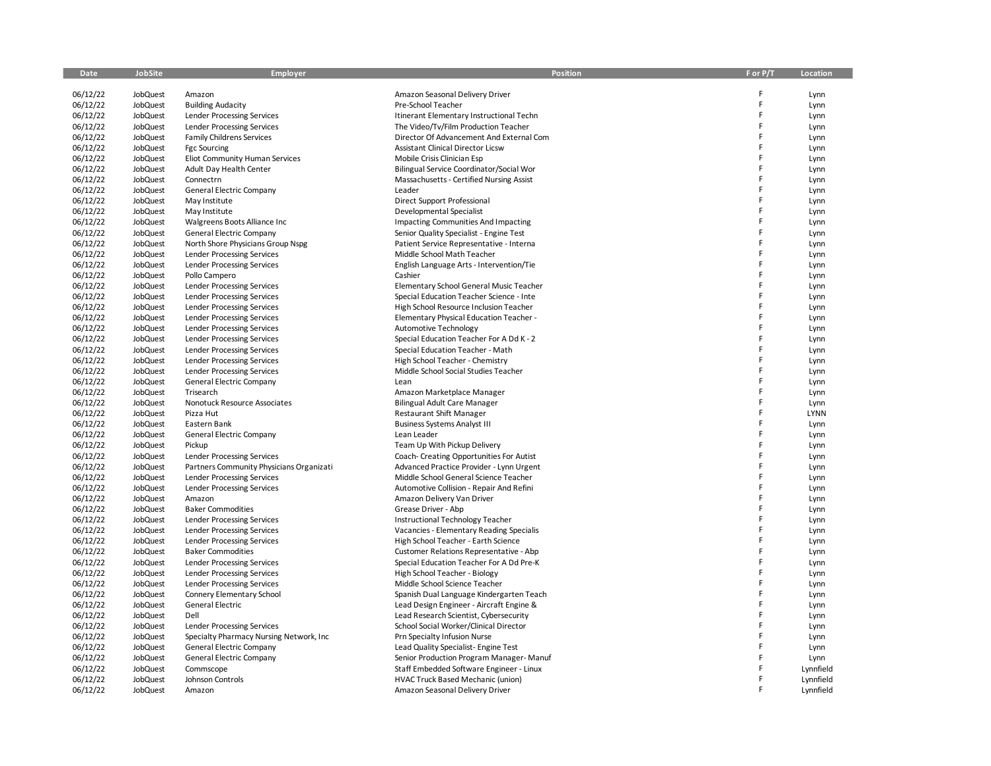| Date     | <b>JobSite</b>  | <b>Employer</b>                          | <b>Position</b>                          | F or P/T | Location          |
|----------|-----------------|------------------------------------------|------------------------------------------|----------|-------------------|
|          |                 |                                          |                                          |          |                   |
| 06/12/22 | JobQuest        | Amazon                                   | Amazon Seasonal Delivery Driver          | F        | Lynn              |
| 06/12/22 | JobQuest        | <b>Building Audacity</b>                 | Pre-School Teacher                       | F        | Lynn              |
| 06/12/22 | JobQuest        | Lender Processing Services               | Itinerant Elementary Instructional Techn | F        | Lynn              |
| 06/12/22 | JobQuest        | <b>Lender Processing Services</b>        | The Video/Tv/Film Production Teacher     | F        | Lynn              |
| 06/12/22 | JobQuest        | <b>Family Childrens Services</b>         | Director Of Advancement And External Com | F        | Lynn              |
| 06/12/22 | JobQuest        | <b>Fgc Sourcing</b>                      | Assistant Clinical Director Licsw        | F        | Lynn              |
| 06/12/22 | JobQuest        | Eliot Community Human Services           | Mobile Crisis Clinician Esp              | F        | Lynn              |
| 06/12/22 | JobQuest        | Adult Day Health Center                  | Bilingual Service Coordinator/Social Wor | F        | Lynn              |
| 06/12/22 | JobQuest        | Connectrn                                | Massachusetts - Certified Nursing Assist | F        | Lynn              |
| 06/12/22 | JobQuest        | <b>General Electric Company</b>          | Leader                                   | F        | Lynn              |
| 06/12/22 | JobQuest        | May Institute                            | Direct Support Professional              | F        | Lynn              |
| 06/12/22 | JobQuest        | May Institute                            | Developmental Specialist                 | F        | Lynn              |
| 06/12/22 | JobQuest        | Walgreens Boots Alliance Inc             | Impacting Communities And Impacting      | F        | Lynn              |
| 06/12/22 | JobQuest        | <b>General Electric Company</b>          | Senior Quality Specialist - Engine Test  | F        | Lynn              |
| 06/12/22 | JobQuest        | North Shore Physicians Group Nspg        | Patient Service Representative - Interna | F        | Lynn              |
| 06/12/22 | JobQuest        | <b>Lender Processing Services</b>        | Middle School Math Teacher               | F        | Lynn              |
| 06/12/22 | JobQuest        | <b>Lender Processing Services</b>        | English Language Arts - Intervention/Tie | F        | Lynn              |
| 06/12/22 | JobQuest        | Pollo Campero                            | Cashier                                  | F        | Lynn              |
| 06/12/22 | JobQuest        | <b>Lender Processing Services</b>        | Elementary School General Music Teacher  | F        | Lynn              |
| 06/12/22 |                 |                                          |                                          | F        |                   |
|          | JobQuest        | <b>Lender Processing Services</b>        | Special Education Teacher Science - Inte | F        | Lynn              |
| 06/12/22 | JobQuest        | <b>Lender Processing Services</b>        | High School Resource Inclusion Teacher   | F        | Lynn              |
| 06/12/22 | JobQuest        | Lender Processing Services               | Elementary Physical Education Teacher -  | F        | Lynn              |
| 06/12/22 | JobQuest        | <b>Lender Processing Services</b>        | Automotive Technology                    | F        | Lynn              |
| 06/12/22 | JobQuest        | <b>Lender Processing Services</b>        | Special Education Teacher For A Dd K - 2 |          | Lynn              |
| 06/12/22 | JobQuest        | <b>Lender Processing Services</b>        | Special Education Teacher - Math         | F        | Lynn              |
| 06/12/22 | JobQuest        | <b>Lender Processing Services</b>        | High School Teacher - Chemistry          | F        | Lynn              |
| 06/12/22 | JobQuest        | <b>Lender Processing Services</b>        | Middle School Social Studies Teacher     | F        | Lynn              |
| 06/12/22 | JobQuest        | <b>General Electric Company</b>          | Lean                                     | F        | Lynn              |
| 06/12/22 | JobQuest        | Trisearch                                | Amazon Marketplace Manager               | F        | Lynn              |
| 06/12/22 | JobQuest        | Nonotuck Resource Associates             | <b>Bilingual Adult Care Manager</b>      | F        | Lynn              |
| 06/12/22 | JobQuest        | Pizza Hut                                | <b>Restaurant Shift Manager</b>          | F        | LYNN              |
| 06/12/22 | JobQuest        | Eastern Bank                             | <b>Business Systems Analyst III</b>      | F        | Lynn              |
| 06/12/22 | JobQuest        | General Electric Company                 | Lean Leader                              | F        | Lynn              |
| 06/12/22 | JobQuest        | Pickup                                   | Team Up With Pickup Delivery             | F        | Lynn              |
| 06/12/22 | JobQuest        | <b>Lender Processing Services</b>        | Coach- Creating Opportunities For Autist | F        | Lynn              |
| 06/12/22 | JobQuest        | Partners Community Physicians Organizati | Advanced Practice Provider - Lynn Urgent | F        | Lynn              |
| 06/12/22 | JobQuest        | <b>Lender Processing Services</b>        | Middle School General Science Teacher    | F        | Lynn              |
| 06/12/22 | JobQuest        | <b>Lender Processing Services</b>        | Automotive Collision - Repair And Refini | F        | Lynn              |
| 06/12/22 | JobQuest        | Amazon                                   | Amazon Delivery Van Driver               | F        | Lynn              |
| 06/12/22 | JobQuest        | <b>Baker Commodities</b>                 | Grease Driver - Abp                      | F        | Lynn              |
| 06/12/22 | JobQuest        | <b>Lender Processing Services</b>        | Instructional Technology Teacher         | F        | Lynn              |
| 06/12/22 | JobQuest        | <b>Lender Processing Services</b>        | Vacancies - Elementary Reading Specialis | F        | Lynn              |
| 06/12/22 | JobQuest        | Lender Processing Services               | High School Teacher - Earth Science      | F        | Lynn              |
| 06/12/22 | JobQuest        | <b>Baker Commodities</b>                 | Customer Relations Representative - Abp  | F        | Lynn              |
| 06/12/22 | JobQuest        | <b>Lender Processing Services</b>        | Special Education Teacher For A Dd Pre-K | F        | Lynn              |
| 06/12/22 | JobQuest        | <b>Lender Processing Services</b>        | High School Teacher - Biology            | F        | Lynn              |
| 06/12/22 | JobQuest        | <b>Lender Processing Services</b>        | Middle School Science Teacher            | F        | Lynn              |
| 06/12/22 | JobQuest        | Connery Elementary School                | Spanish Dual Language Kindergarten Teach | F        | Lynn              |
| 06/12/22 | JobQuest        | <b>General Electric</b>                  | Lead Design Engineer - Aircraft Engine & | F        | Lynn              |
| 06/12/22 | JobQuest        | Dell                                     | Lead Research Scientist, Cybersecurity   | F        | Lynn              |
| 06/12/22 | JobQuest        | <b>Lender Processing Services</b>        | School Social Worker/Clinical Director   | F        | Lynn              |
| 06/12/22 | JobQuest        | Specialty Pharmacy Nursing Network, Inc  | Prn Specialty Infusion Nurse             | F        | Lynn              |
| 06/12/22 | JobQuest        | <b>General Electric Company</b>          | Lead Quality Specialist- Engine Test     | F        | Lynn              |
| 06/12/22 | JobQuest        | General Electric Company                 | Senior Production Program Manager- Manuf | F        |                   |
| 06/12/22 |                 |                                          |                                          |          | Lynn<br>Lynnfield |
|          | JobQuest        | Commscope                                | Staff Embedded Software Engineer - Linux | F        |                   |
| 06/12/22 | JobQuest        | Johnson Controls                         | HVAC Truck Based Mechanic (union)        | F        | Lynnfield         |
| 06/12/22 | <b>JobQuest</b> | Amazon                                   | Amazon Seasonal Delivery Driver          |          | Lynnfield         |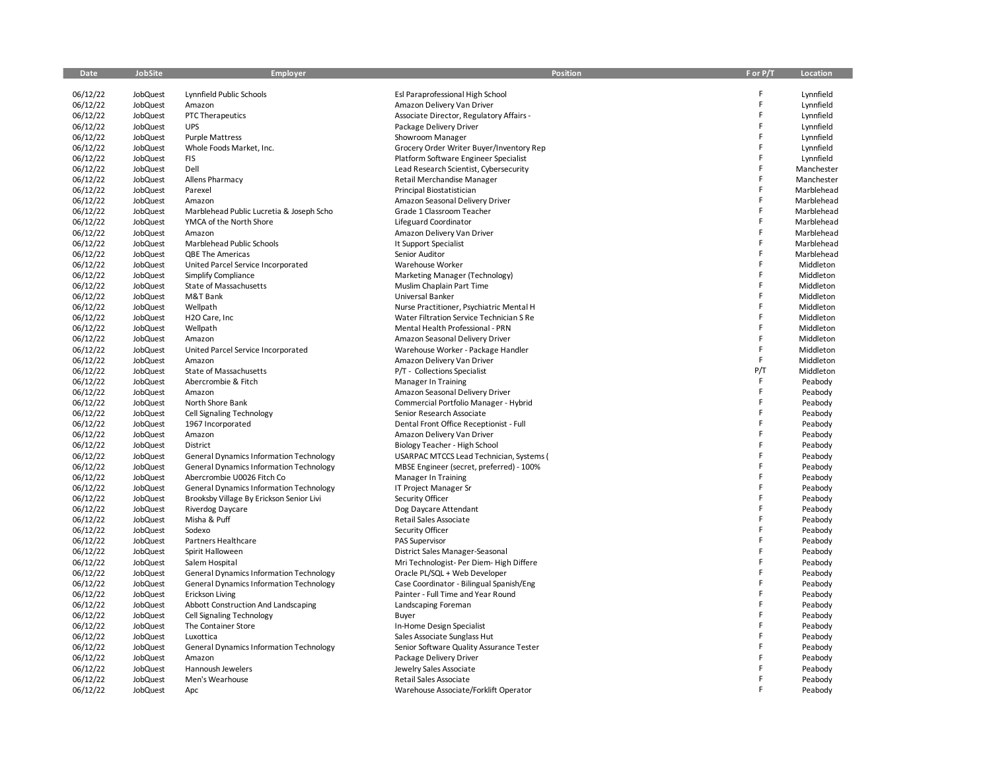| Date     | <b>JobSite</b> | <b>Employer</b>                                | Position                                 | F or P/T | Location   |
|----------|----------------|------------------------------------------------|------------------------------------------|----------|------------|
|          |                |                                                |                                          |          |            |
| 06/12/22 | JobQuest       | Lynnfield Public Schools                       | Esl Paraprofessional High School         | F        | Lynnfield  |
| 06/12/22 | JobQuest       | Amazon                                         | Amazon Delivery Van Driver               | F        | Lynnfield  |
| 06/12/22 | JobQuest       | PTC Therapeutics                               | Associate Director, Regulatory Affairs - | F        | Lynnfield  |
| 06/12/22 | JobQuest       | <b>UPS</b>                                     | Package Delivery Driver                  | F        | Lynnfield  |
| 06/12/22 | JobQuest       | <b>Purple Mattress</b>                         | Showroom Manager                         | F        | Lynnfield  |
| 06/12/22 | JobQuest       | Whole Foods Market, Inc.                       | Grocery Order Writer Buyer/Inventory Rep | F        | Lynnfield  |
| 06/12/22 | JobQuest       | <b>FIS</b>                                     | Platform Software Engineer Specialist    | F        | Lynnfield  |
| 06/12/22 | JobQuest       | Dell                                           | Lead Research Scientist, Cybersecurity   | F        | Manchester |
| 06/12/22 | JobQuest       | Allens Pharmacy                                | Retail Merchandise Manager               | F        | Manchester |
| 06/12/22 | JobQuest       | Parexel                                        | Principal Biostatistician                | F        | Marblehead |
| 06/12/22 | JobQuest       | Amazon                                         | Amazon Seasonal Delivery Driver          | F        | Marblehead |
| 06/12/22 | JobQuest       | Marblehead Public Lucretia & Joseph Scho       | Grade 1 Classroom Teacher                | F        | Marblehead |
| 06/12/22 | JobQuest       | YMCA of the North Shore                        | Lifeguard Coordinator                    | F        | Marblehead |
| 06/12/22 | JobQuest       | Amazon                                         | Amazon Delivery Van Driver               | F        | Marblehead |
| 06/12/22 | JobQuest       | Marblehead Public Schools                      | It Support Specialist                    | F        | Marblehead |
| 06/12/22 | JobQuest       | <b>QBE The Americas</b>                        | Senior Auditor                           | F        | Marblehead |
| 06/12/22 | JobQuest       | United Parcel Service Incorporated             | Warehouse Worker                         | F        | Middleton  |
| 06/12/22 | JobQuest       | Simplify Compliance                            | Marketing Manager (Technology)           | F        | Middleton  |
| 06/12/22 | JobQuest       | State of Massachusetts                         | Muslim Chaplain Part Time                | F        | Middleton  |
| 06/12/22 | JobQuest       | M&T Bank                                       | Universal Banker                         | F        | Middleton  |
| 06/12/22 | JobQuest       | Wellpath                                       | Nurse Practitioner, Psychiatric Mental H | F        | Middleton  |
| 06/12/22 | JobQuest       | H <sub>2</sub> O Care, Inc                     | Water Filtration Service Technician S Re | F        | Middleton  |
| 06/12/22 | JobQuest       | Wellpath                                       | Mental Health Professional - PRN         | F        | Middleton  |
| 06/12/22 | JobQuest       | Amazon                                         | Amazon Seasonal Delivery Driver          | F        | Middleton  |
| 06/12/22 | JobQuest       | United Parcel Service Incorporated             | Warehouse Worker - Package Handler       | F        | Middleton  |
| 06/12/22 | JobQuest       | Amazon                                         | Amazon Delivery Van Driver               | F        | Middleton  |
| 06/12/22 | JobQuest       | State of Massachusetts                         | P/T - Collections Specialist             | P/T      | Middleton  |
| 06/12/22 | JobQuest       | Abercrombie & Fitch                            | Manager In Training                      | F        | Peabody    |
| 06/12/22 | JobQuest       | Amazon                                         | Amazon Seasonal Delivery Driver          | F        | Peabody    |
| 06/12/22 | JobQuest       | North Shore Bank                               | Commercial Portfolio Manager - Hybrid    | F        | Peabody    |
| 06/12/22 | JobQuest       | <b>Cell Signaling Technology</b>               | Senior Research Associate                | F        | Peabody    |
| 06/12/22 | JobQuest       | 1967 Incorporated                              | Dental Front Office Receptionist - Full  | F        | Peabody    |
| 06/12/22 | JobQuest       | Amazon                                         | Amazon Delivery Van Driver               | F        | Peabody    |
| 06/12/22 | JobQuest       | District                                       | Biology Teacher - High School            | F        | Peabody    |
| 06/12/22 | JobQuest       | <b>General Dynamics Information Technology</b> | USARPAC MTCCS Lead Technician, Systems ( | F        | Peabody    |
| 06/12/22 | JobQuest       | <b>General Dynamics Information Technology</b> | MBSE Engineer (secret, preferred) - 100% | F        | Peabody    |
| 06/12/22 | JobQuest       | Abercrombie U0026 Fitch Co                     | Manager In Training                      | F        | Peabody    |
| 06/12/22 | JobQuest       | <b>General Dynamics Information Technology</b> | IT Project Manager Sr                    | F        | Peabody    |
| 06/12/22 | JobQuest       | Brooksby Village By Erickson Senior Livi       | Security Officer                         | F        | Peabody    |
| 06/12/22 | JobQuest       | Riverdog Daycare                               | Dog Daycare Attendant                    | F        | Peabody    |
| 06/12/22 | JobQuest       | Misha & Puff                                   | Retail Sales Associate                   | F        | Peabody    |
| 06/12/22 | JobQuest       | Sodexo                                         | Security Officer                         | F        | Peabody    |
| 06/12/22 | JobQuest       | Partners Healthcare                            | <b>PAS Supervisor</b>                    | F        | Peabody    |
| 06/12/22 | JobQuest       | Spirit Halloween                               | District Sales Manager-Seasonal          | F        | Peabody    |
| 06/12/22 | JobQuest       | Salem Hospital                                 | Mri Technologist- Per Diem- High Differe | F        | Peabody    |
| 06/12/22 | JobQuest       | <b>General Dynamics Information Technology</b> | Oracle PL/SQL + Web Developer            | F        | Peabody    |
| 06/12/22 | JobQuest       | <b>General Dynamics Information Technology</b> | Case Coordinator - Bilingual Spanish/Eng | F        | Peabody    |
| 06/12/22 | JobQuest       | Erickson Living                                | Painter - Full Time and Year Round       | F        | Peabody    |
| 06/12/22 | JobQuest       | Abbott Construction And Landscaping            | Landscaping Foreman                      | F        | Peabody    |
| 06/12/22 | JobQuest       | Cell Signaling Technology                      | Buyer                                    | F        | Peabody    |
| 06/12/22 | JobQuest       | The Container Store                            | In-Home Design Specialist                | F        | Peabody    |
| 06/12/22 | JobQuest       | Luxottica                                      | Sales Associate Sunglass Hut             | F        | Peabody    |
| 06/12/22 | JobQuest       | <b>General Dynamics Information Technology</b> | Senior Software Quality Assurance Tester | F        | Peabody    |
| 06/12/22 | JobQuest       | Amazon                                         | Package Delivery Driver                  | F        | Peabody    |
| 06/12/22 | JobQuest       | Hannoush Jewelers                              | Jewelry Sales Associate                  | F        | Peabody    |
| 06/12/22 | JobQuest       | Men's Wearhouse                                | Retail Sales Associate                   | F        | Peabody    |
| 06/12/22 | JobQuest       | Apc                                            | Warehouse Associate/Forklift Operator    | F        | Peabody    |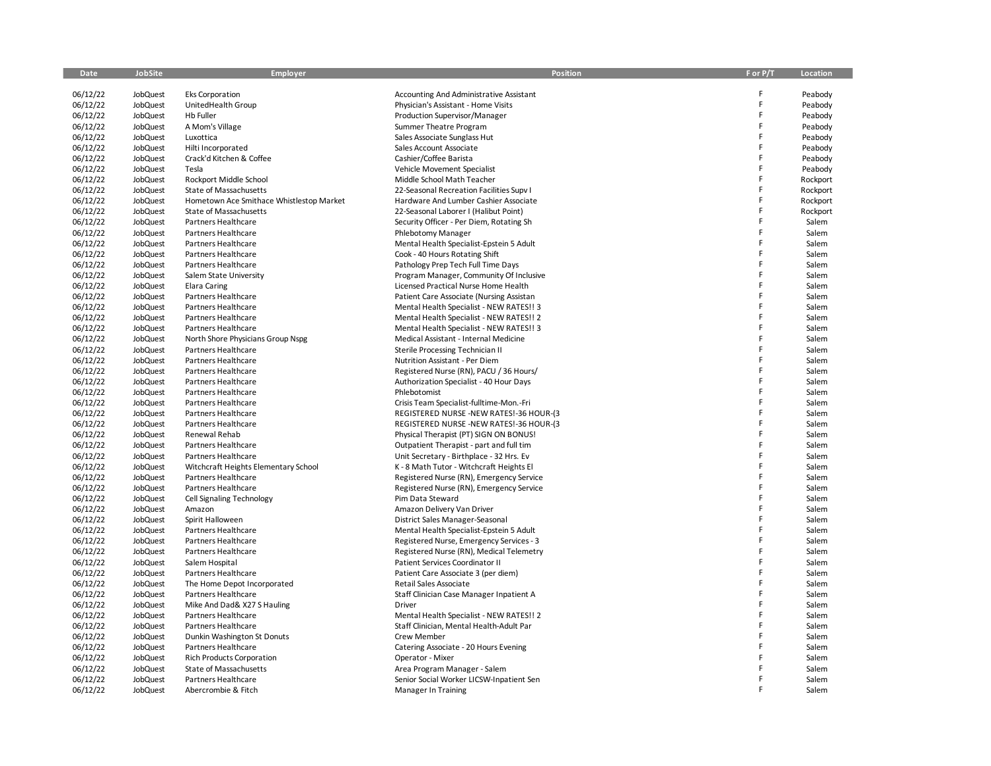| Date     | JobSite  | Employer                                 | Position                                 | F or P/T | Location |
|----------|----------|------------------------------------------|------------------------------------------|----------|----------|
|          |          |                                          |                                          |          |          |
| 06/12/22 | JobQuest | <b>Eks Corporation</b>                   | Accounting And Administrative Assistant  | F        | Peabody  |
| 06/12/22 | JobQuest | UnitedHealth Group                       | Physician's Assistant - Home Visits      | F        | Peabody  |
| 06/12/22 | JobQuest | <b>Hb Fuller</b>                         | Production Supervisor/Manager            | F        | Peabody  |
| 06/12/22 | JobQuest | A Mom's Village                          | Summer Theatre Program                   | F        | Peabody  |
| 06/12/22 | JobQuest | Luxottica                                | Sales Associate Sunglass Hut             | F        | Peabody  |
| 06/12/22 | JobQuest | Hilti Incorporated                       | Sales Account Associate                  | F        | Peabody  |
| 06/12/22 | JobQuest | Crack'd Kitchen & Coffee                 | Cashier/Coffee Barista                   | F        | Peabody  |
| 06/12/22 | JobQuest | Tesla                                    | Vehicle Movement Specialist              | F        | Peabody  |
| 06/12/22 | JobQuest | Rockport Middle School                   | Middle School Math Teacher               | F        | Rockport |
| 06/12/22 | JobQuest | State of Massachusetts                   | 22-Seasonal Recreation Facilities Supv I | F        | Rockport |
| 06/12/22 | JobQuest | Hometown Ace Smithace Whistlestop Market | Hardware And Lumber Cashier Associate    | F        | Rockport |
| 06/12/22 | JobQuest | State of Massachusetts                   | 22-Seasonal Laborer I (Halibut Point)    | F        | Rockport |
| 06/12/22 | JobQuest | Partners Healthcare                      | Security Officer - Per Diem, Rotating Sh | F        | Salem    |
| 06/12/22 | JobQuest | Partners Healthcare                      | Phlebotomy Manager                       | F        | Salem    |
| 06/12/22 | JobQuest | Partners Healthcare                      | Mental Health Specialist-Epstein 5 Adult | F        | Salem    |
| 06/12/22 | JobQuest | Partners Healthcare                      | Cook - 40 Hours Rotating Shift           | F        | Salem    |
| 06/12/22 | JobQuest | Partners Healthcare                      | Pathology Prep Tech Full Time Days       | F        | Salem    |
| 06/12/22 | JobQuest | Salem State University                   | Program Manager, Community Of Inclusive  | F        | Salem    |
| 06/12/22 | JobQuest | Elara Caring                             | Licensed Practical Nurse Home Health     | F        | Salem    |
| 06/12/22 | JobQuest | Partners Healthcare                      | Patient Care Associate (Nursing Assistan | F        | Salem    |
| 06/12/22 | JobQuest | Partners Healthcare                      | Mental Health Specialist - NEW RATES!! 3 | F        | Salem    |
| 06/12/22 | JobQuest | Partners Healthcare                      | Mental Health Specialist - NEW RATES!! 2 | F        | Salem    |
| 06/12/22 | JobQuest | Partners Healthcare                      | Mental Health Specialist - NEW RATES!! 3 | F        | Salem    |
| 06/12/22 | JobQuest | North Shore Physicians Group Nspg        | Medical Assistant - Internal Medicine    | F        | Salem    |
| 06/12/22 | JobQuest | Partners Healthcare                      | Sterile Processing Technician II         | F        | Salem    |
| 06/12/22 | JobQuest | Partners Healthcare                      | Nutrition Assistant - Per Diem           | F        | Salem    |
| 06/12/22 | JobQuest | Partners Healthcare                      | Registered Nurse (RN), PACU / 36 Hours/  | F        | Salem    |
|          |          |                                          |                                          | F        |          |
| 06/12/22 | JobQuest | Partners Healthcare                      | Authorization Specialist - 40 Hour Days  | F        | Salem    |
| 06/12/22 | JobQuest | Partners Healthcare                      | Phlebotomist                             | F        | Salem    |
| 06/12/22 | JobQuest | Partners Healthcare                      | Crisis Team Specialist-fulltime-Mon.-Fri | F        | Salem    |
| 06/12/22 | JobQuest | Partners Healthcare                      | REGISTERED NURSE -NEW RATES!-36 HOUR-(3  | F        | Salem    |
| 06/12/22 | JobQuest | Partners Healthcare                      | REGISTERED NURSE -NEW RATES!-36 HOUR-(3  | F        | Salem    |
| 06/12/22 | JobQuest | Renewal Rehab                            | Physical Therapist (PT) SIGN ON BONUS!   | F        | Salem    |
| 06/12/22 | JobQuest | Partners Healthcare                      | Outpatient Therapist - part and full tim | F        | Salem    |
| 06/12/22 | JobQuest | Partners Healthcare                      | Unit Secretary - Birthplace - 32 Hrs. Ev |          | Salem    |
| 06/12/22 | JobQuest | Witchcraft Heights Elementary School     | K - 8 Math Tutor - Witchcraft Heights El | F        | Salem    |
| 06/12/22 | JobQuest | Partners Healthcare                      | Registered Nurse (RN), Emergency Service | F        | Salem    |
| 06/12/22 | JobQuest | Partners Healthcare                      | Registered Nurse (RN), Emergency Service | F        | Salem    |
| 06/12/22 | JobQuest | Cell Signaling Technology                | Pim Data Steward                         | F        | Salem    |
| 06/12/22 | JobQuest | Amazon                                   | Amazon Delivery Van Driver               | F        | Salem    |
| 06/12/22 | JobQuest | Spirit Halloween                         | District Sales Manager-Seasonal          | F        | Salem    |
| 06/12/22 | JobQuest | Partners Healthcare                      | Mental Health Specialist-Epstein 5 Adult | F        | Salem    |
| 06/12/22 | JobQuest | Partners Healthcare                      | Registered Nurse, Emergency Services - 3 | F        | Salem    |
| 06/12/22 | JobQuest | Partners Healthcare                      | Registered Nurse (RN), Medical Telemetry | F        | Salem    |
| 06/12/22 | JobQuest | Salem Hospital                           | Patient Services Coordinator II          | F        | Salem    |
| 06/12/22 | JobQuest | Partners Healthcare                      | Patient Care Associate 3 (per diem)      | F        | Salem    |
| 06/12/22 | JobQuest | The Home Depot Incorporated              | Retail Sales Associate                   | F        | Salem    |
| 06/12/22 | JobQuest | Partners Healthcare                      | Staff Clinician Case Manager Inpatient A | F        | Salem    |
| 06/12/22 | JobQuest | Mike And Dad& X27 S Hauling              | Driver                                   | F        | Salem    |
| 06/12/22 | JobQuest | Partners Healthcare                      | Mental Health Specialist - NEW RATES!! 2 | F        | Salem    |
| 06/12/22 | JobQuest | Partners Healthcare                      | Staff Clinician, Mental Health-Adult Par | F        | Salem    |
| 06/12/22 | JobQuest | Dunkin Washington St Donuts              | <b>Crew Member</b>                       | F        | Salem    |
| 06/12/22 | JobQuest | Partners Healthcare                      | Catering Associate - 20 Hours Evening    | F        | Salem    |
| 06/12/22 | JobQuest | <b>Rich Products Corporation</b>         | Operator - Mixer                         | F        | Salem    |
| 06/12/22 | JobQuest | State of Massachusetts                   | Area Program Manager - Salem             | F        | Salem    |
| 06/12/22 | JobQuest | Partners Healthcare                      | Senior Social Worker LICSW-Inpatient Sen | F        | Salem    |
| 06/12/22 | JobQuest | Abercrombie & Fitch                      | Manager In Training                      |          | Salem    |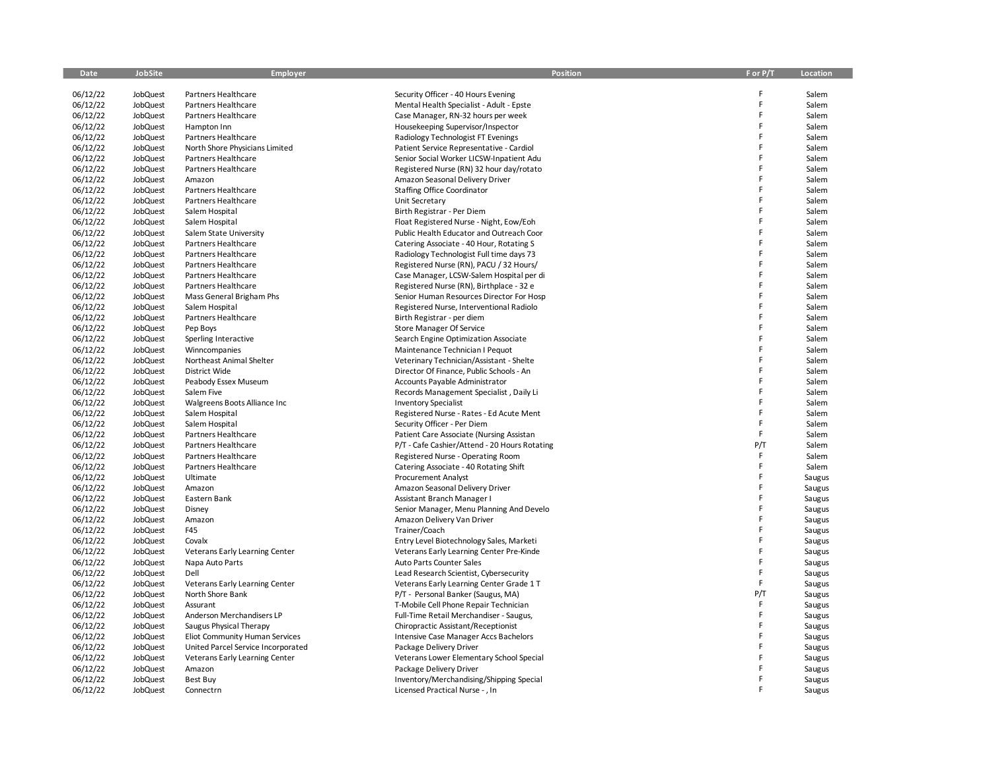| Date                 | JobSite              | Employer                                              | Position                                                                             | F or P/T | Location         |
|----------------------|----------------------|-------------------------------------------------------|--------------------------------------------------------------------------------------|----------|------------------|
|                      |                      |                                                       |                                                                                      |          |                  |
| 06/12/22             | JobQuest             | Partners Healthcare                                   | Security Officer - 40 Hours Evening                                                  | F        | Salem            |
| 06/12/22             | JobQuest             | Partners Healthcare                                   | Mental Health Specialist - Adult - Epste                                             | F<br>E   | Salem            |
| 06/12/22             | JobQuest             | Partners Healthcare                                   | Case Manager, RN-32 hours per week                                                   | F        | Salem            |
| 06/12/22             | JobQuest             | Hampton Inn                                           | Housekeeping Supervisor/Inspector                                                    | F        | Salem            |
| 06/12/22<br>06/12/22 | JobQuest<br>JobQuest | Partners Healthcare<br>North Shore Physicians Limited | Radiology Technologist FT Evenings<br>Patient Service Representative - Cardiol       | F        | Salem<br>Salem   |
| 06/12/22             | JobQuest             | Partners Healthcare                                   | Senior Social Worker LICSW-Inpatient Adu                                             |          | Salem            |
| 06/12/22             | JobQuest             | Partners Healthcare                                   | Registered Nurse (RN) 32 hour day/rotato                                             | F        | Salem            |
| 06/12/22             | JobQuest             | Amazon                                                | Amazon Seasonal Delivery Driver                                                      |          | Salem            |
| 06/12/22             | JobQuest             | Partners Healthcare                                   | <b>Staffing Office Coordinator</b>                                                   |          | Salem            |
| 06/12/22             | JobQuest             | Partners Healthcare                                   | Unit Secretary                                                                       |          | Salem            |
| 06/12/22             | JobQuest             | Salem Hospital                                        | Birth Registrar - Per Diem                                                           |          | Salem            |
| 06/12/22             | JobQuest             | Salem Hospital                                        | Float Registered Nurse - Night, Eow/Eoh                                              |          | Salem            |
| 06/12/22             | JobQuest             | Salem State University                                | Public Health Educator and Outreach Coor                                             |          | Salem            |
| 06/12/22             | JobQuest             | Partners Healthcare                                   | Catering Associate - 40 Hour, Rotating S                                             |          | Salem            |
| 06/12/22             | JobQuest             | Partners Healthcare                                   | Radiology Technologist Full time days 73                                             | E        | Salem            |
| 06/12/22             | JobQuest             | Partners Healthcare                                   | Registered Nurse (RN), PACU / 32 Hours/                                              |          | Salem            |
| 06/12/22             | JobQuest             | Partners Healthcare                                   | Case Manager, LCSW-Salem Hospital per di                                             | E        | Salem            |
| 06/12/22             | JobQuest             | Partners Healthcare                                   | Registered Nurse (RN), Birthplace - 32 e                                             | F        | Salem            |
| 06/12/22             | JobQuest             | Mass General Brigham Phs                              | Senior Human Resources Director For Hosp                                             | E        | Salem            |
| 06/12/22             | JobQuest             | Salem Hospital                                        | Registered Nurse, Interventional Radiolo                                             | F        | Salem            |
| 06/12/22             | JobQuest             | Partners Healthcare                                   | Birth Registrar - per diem                                                           | E        | Salem            |
| 06/12/22             | JobQuest             | Pep Boys                                              | <b>Store Manager Of Service</b>                                                      | E        | Salem            |
| 06/12/22             | JobQuest             | Sperling Interactive                                  | Search Engine Optimization Associate                                                 | F        | Salem            |
| 06/12/22             | JobQuest             | Winncompanies                                         | Maintenance Technician I Pequot                                                      |          | Salem            |
| 06/12/22<br>06/12/22 | JobQuest<br>JobQuest | Northeast Animal Shelter<br>District Wide             | Veterinary Technician/Assistant - Shelte<br>Director Of Finance, Public Schools - An |          | Salem<br>Salem   |
| 06/12/22             | JobQuest             | Peabody Essex Museum                                  | Accounts Payable Administrator                                                       |          | Salem            |
| 06/12/22             | JobQuest             | Salem Five                                            | Records Management Specialist, Daily Li                                              | F        | Salem            |
| 06/12/22             | JobQuest             | Walgreens Boots Alliance Inc                          | <b>Inventory Specialist</b>                                                          |          | Salem            |
| 06/12/22             | JobQuest             | Salem Hospital                                        | Registered Nurse - Rates - Ed Acute Ment                                             |          | Salem            |
| 06/12/22             | JobQuest             | Salem Hospital                                        | Security Officer - Per Diem                                                          | F        | Salem            |
| 06/12/22             | JobQuest             | Partners Healthcare                                   | Patient Care Associate (Nursing Assistan                                             | F        | Salem            |
| 06/12/22             | JobQuest             | Partners Healthcare                                   | P/T - Cafe Cashier/Attend - 20 Hours Rotating                                        | P/T      | Salem            |
| 06/12/22             | JobQuest             | Partners Healthcare                                   | Registered Nurse - Operating Room                                                    | F        | Salem            |
| 06/12/22             | JobQuest             | Partners Healthcare                                   | Catering Associate - 40 Rotating Shift                                               | E        | Salem            |
| 06/12/22             | JobQuest             | Ultimate                                              | <b>Procurement Analyst</b>                                                           | E        | Saugus           |
| 06/12/22             | JobQuest             | Amazon                                                | Amazon Seasonal Delivery Driver                                                      |          | Saugus           |
| 06/12/22             | JobQuest             | Eastern Bank                                          | Assistant Branch Manager I                                                           | E        | Saugus           |
| 06/12/22             | JobQuest             | Disney                                                | Senior Manager, Menu Planning And Develo                                             | E        | Saugus           |
| 06/12/22             | JobQuest             | Amazon                                                | Amazon Delivery Van Driver                                                           | E        | Saugus           |
| 06/12/22             | JobQuest             | F45                                                   | Trainer/Coach                                                                        | E        | Saugus           |
| 06/12/22             | JobQuest             | Covalx                                                | Entry Level Biotechnology Sales, Marketi                                             | F        | Saugus           |
| 06/12/22             | JobQuest             | Veterans Early Learning Center                        | Veterans Early Learning Center Pre-Kinde                                             | F<br>E   | Saugus           |
| 06/12/22             | JobQuest             | Napa Auto Parts                                       | Auto Parts Counter Sales                                                             | E        | Saugus           |
| 06/12/22             | JobQuest             | Dell                                                  | Lead Research Scientist, Cybersecurity                                               | E        | Saugus           |
| 06/12/22             | JobQuest             | Veterans Early Learning Center                        | Veterans Early Learning Center Grade 1 T                                             | P/T      | Saugus           |
| 06/12/22<br>06/12/22 | JobQuest<br>JobQuest | North Shore Bank                                      | P/T - Personal Banker (Saugus, MA)<br>T-Mobile Cell Phone Repair Technician          | F        | Saugus           |
| 06/12/22             |                      | Assurant                                              |                                                                                      | E        | Saugus           |
| 06/12/22             | JobQuest<br>JobQuest | Anderson Merchandisers LP<br>Saugus Physical Therapy  | Full-Time Retail Merchandiser - Saugus,<br>Chiropractic Assistant/Receptionist       |          | Saugus<br>Saugus |
| 06/12/22             | JobQuest             | Eliot Community Human Services                        | Intensive Case Manager Accs Bachelors                                                |          | Saugus           |
| 06/12/22             | JobQuest             | United Parcel Service Incorporated                    | Package Delivery Driver                                                              |          | Saugus           |
| 06/12/22             | JobQuest             | <b>Veterans Early Learning Center</b>                 | Veterans Lower Elementary School Special                                             |          | Saugus           |
| 06/12/22             | JobQuest             | Amazon                                                | Package Delivery Driver                                                              |          | Saugus           |
| 06/12/22             | JobQuest             | <b>Best Buy</b>                                       | Inventory/Merchandising/Shipping Special                                             |          | Saugus           |
| 06/12/22             | JobQuest             | Connectrn                                             | Licensed Practical Nurse - , In                                                      | E        | Saugus           |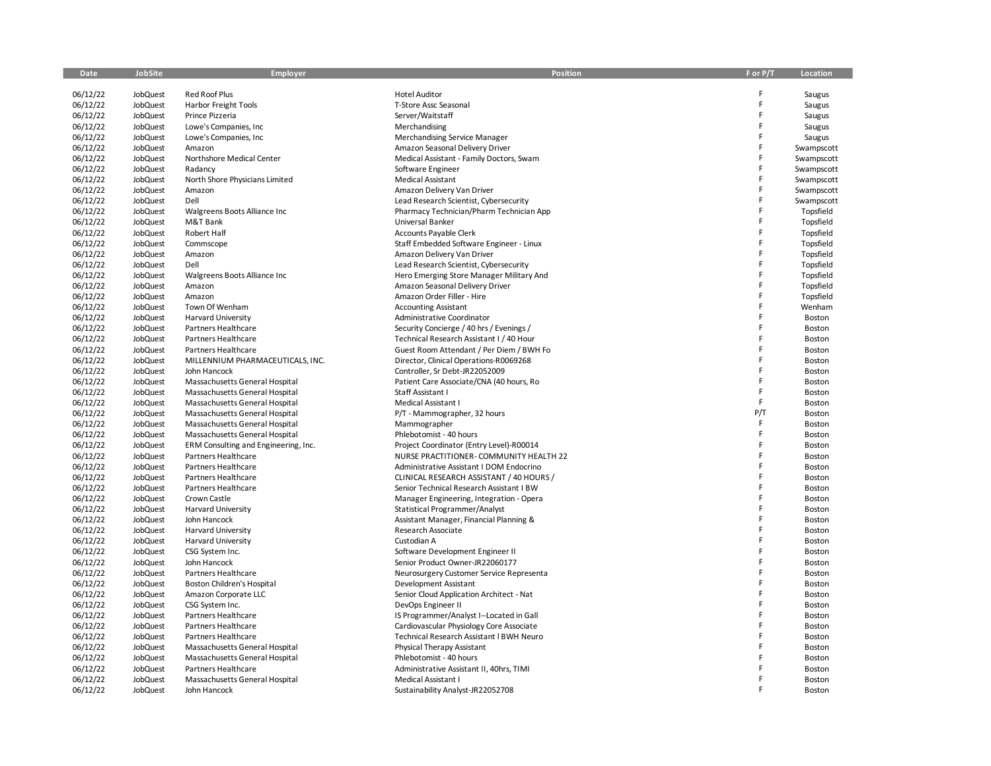| Date     | <b>JobSite</b> | <b>Employer</b>                      | <b>Position</b>                          | F or P/T | Location   |
|----------|----------------|--------------------------------------|------------------------------------------|----------|------------|
|          |                |                                      |                                          |          |            |
| 06/12/22 | JobQuest       | <b>Red Roof Plus</b>                 | <b>Hotel Auditor</b>                     | F        | Saugus     |
| 06/12/22 | JobQuest       | Harbor Freight Tools                 | T-Store Assc Seasonal                    | F        | Saugus     |
| 06/12/22 | JobQuest       | Prince Pizzeria                      | Server/Waitstaff                         | F        | Saugus     |
| 06/12/22 | JobQuest       | Lowe's Companies, Inc.               | Merchandising                            | F        | Saugus     |
| 06/12/22 | JobQuest       | Lowe's Companies, Inc.               | Merchandising Service Manager            | F        | Saugus     |
| 06/12/22 | JobQuest       | Amazon                               | Amazon Seasonal Delivery Driver          | F        | Swampscott |
| 06/12/22 | JobQuest       | Northshore Medical Center            | Medical Assistant - Family Doctors, Swam | F        | Swampscott |
| 06/12/22 | JobQuest       | Radancy                              | Software Engineer                        | F        | Swampscott |
| 06/12/22 | JobQuest       | North Shore Physicians Limited       | <b>Medical Assistant</b>                 | F        | Swampscott |
| 06/12/22 | JobQuest       | Amazon                               | Amazon Delivery Van Driver               | F        | Swampscott |
| 06/12/22 | JobQuest       | Dell                                 | Lead Research Scientist, Cybersecurity   | F        | Swampscott |
| 06/12/22 | JobQuest       | Walgreens Boots Alliance Inc         | Pharmacy Technician/Pharm Technician App | F        | Topsfield  |
| 06/12/22 | JobQuest       | M&T Bank                             | Universal Banker                         | F        | Topsfield  |
| 06/12/22 | JobQuest       | Robert Half                          | <b>Accounts Payable Clerk</b>            | F        | Topsfield  |
| 06/12/22 | JobQuest       | Commscope                            | Staff Embedded Software Engineer - Linux | F        | Topsfield  |
| 06/12/22 | JobQuest       | Amazon                               | Amazon Delivery Van Driver               | F        | Topsfield  |
| 06/12/22 | JobQuest       | Dell                                 | Lead Research Scientist, Cybersecurity   | F        | Topsfield  |
| 06/12/22 | JobQuest       | Walgreens Boots Alliance Inc         | Hero Emerging Store Manager Military And | F        | Topsfield  |
| 06/12/22 | JobQuest       | Amazon                               | Amazon Seasonal Delivery Driver          | F        | Topsfield  |
| 06/12/22 | JobQuest       | Amazon                               | Amazon Order Filler - Hire               | F        | Topsfield  |
| 06/12/22 | JobQuest       | Town Of Wenham                       | <b>Accounting Assistant</b>              | F        | Wenham     |
| 06/12/22 | JobQuest       | <b>Harvard University</b>            | Administrative Coordinator               | F        | Boston     |
| 06/12/22 | JobQuest       | Partners Healthcare                  | Security Concierge / 40 hrs / Evenings / | F        | Boston     |
| 06/12/22 | JobQuest       | Partners Healthcare                  | Technical Research Assistant I / 40 Hour | F        | Boston     |
| 06/12/22 | JobQuest       | Partners Healthcare                  | Guest Room Attendant / Per Diem / BWH Fo | F        | Boston     |
| 06/12/22 | JobQuest       | MILLENNIUM PHARMACEUTICALS, INC.     | Director, Clinical Operations-R0069268   | F        | Boston     |
| 06/12/22 | JobQuest       | John Hancock                         | Controller, Sr Debt-JR22052009           | F        | Boston     |
| 06/12/22 | JobQuest       | Massachusetts General Hospital       | Patient Care Associate/CNA (40 hours, Ro | F        | Boston     |
| 06/12/22 | JobQuest       | Massachusetts General Hospital       | Staff Assistant I                        | F        | Boston     |
| 06/12/22 | JobQuest       | Massachusetts General Hospital       | Medical Assistant I                      | F        | Boston     |
| 06/12/22 | JobQuest       | Massachusetts General Hospital       | P/T - Mammographer, 32 hours             | P/T      | Boston     |
| 06/12/22 | JobQuest       | Massachusetts General Hospital       | Mammographer                             | F        | Boston     |
| 06/12/22 | JobQuest       | Massachusetts General Hospital       | Phlebotomist - 40 hours                  | F        | Boston     |
| 06/12/22 | JobQuest       | ERM Consulting and Engineering, Inc. | Project Coordinator (Entry Level)-R00014 | F        | Boston     |
| 06/12/22 | JobQuest       | Partners Healthcare                  | NURSE PRACTITIONER- COMMUNITY HEALTH 22  | F        | Boston     |
| 06/12/22 | JobQuest       | Partners Healthcare                  | Administrative Assistant I DOM Endocrino | F        | Boston     |
| 06/12/22 | JobQuest       | Partners Healthcare                  | CLINICAL RESEARCH ASSISTANT / 40 HOURS / | F        | Boston     |
| 06/12/22 | JobQuest       | Partners Healthcare                  | Senior Technical Research Assistant I BW | F        | Boston     |
| 06/12/22 | JobQuest       | Crown Castle                         | Manager Engineering, Integration - Opera | F        | Boston     |
| 06/12/22 | JobQuest       | <b>Harvard University</b>            | Statistical Programmer/Analyst           | F        | Boston     |
| 06/12/22 | JobQuest       | John Hancock                         | Assistant Manager, Financial Planning &  | F        | Boston     |
| 06/12/22 | JobQuest       | <b>Harvard University</b>            | Research Associate                       | F        | Boston     |
| 06/12/22 | JobQuest       | <b>Harvard University</b>            | Custodian A                              | F        | Boston     |
| 06/12/22 | JobQuest       | CSG System Inc.                      | Software Development Engineer II         | F        | Boston     |
| 06/12/22 | JobQuest       | John Hancock                         | Senior Product Owner-JR22060177          | F        | Boston     |
| 06/12/22 | JobQuest       | Partners Healthcare                  | Neurosurgery Customer Service Representa | F        | Boston     |
| 06/12/22 | JobQuest       | <b>Boston Children's Hospital</b>    | Development Assistant                    | F        | Boston     |
| 06/12/22 | JobQuest       | Amazon Corporate LLC                 | Senior Cloud Application Architect - Nat | F        | Boston     |
| 06/12/22 | JobQuest       | CSG System Inc.                      | DevOps Engineer II                       | F        | Boston     |
| 06/12/22 | JobQuest       | <b>Partners Healthcare</b>           | IS Programmer/Analyst I--Located in Gall | F        | Boston     |
| 06/12/22 | JobQuest       | <b>Partners Healthcare</b>           | Cardiovascular Physiology Core Associate | F        | Boston     |
| 06/12/22 | JobQuest       | Partners Healthcare                  | Technical Research Assistant I BWH Neuro | F        | Boston     |
| 06/12/22 | JobQuest       | Massachusetts General Hospital       | Physical Therapy Assistant               | F        | Boston     |
| 06/12/22 | JobQuest       | Massachusetts General Hospital       | Phlebotomist - 40 hours                  | F        | Boston     |
| 06/12/22 | JobQuest       | Partners Healthcare                  | Administrative Assistant II, 40hrs, TIMI |          | Boston     |
| 06/12/22 | JobQuest       | Massachusetts General Hospital       | Medical Assistant I                      | F        | Boston     |
| 06/12/22 | JobQuest       | John Hancock                         | Sustainability Analyst-JR22052708        |          | Boston     |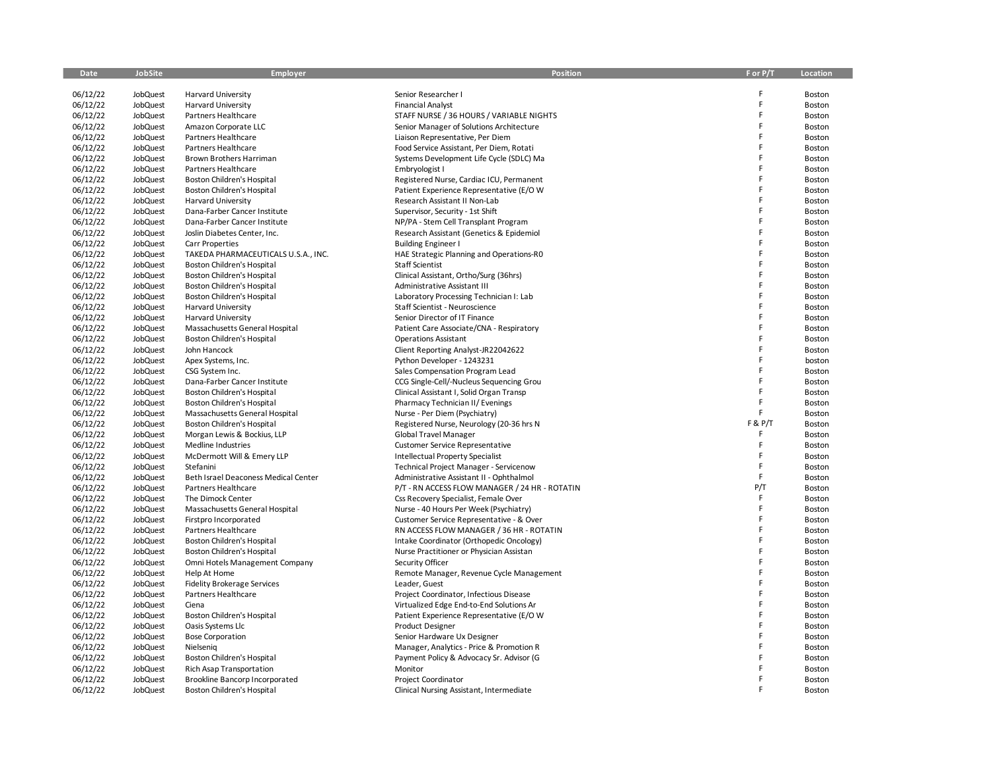| Date                 | <b>JobSite</b>       | Employer                                          | <b>Position</b>                                                                      | F or P/T  | Location         |
|----------------------|----------------------|---------------------------------------------------|--------------------------------------------------------------------------------------|-----------|------------------|
|                      |                      |                                                   |                                                                                      |           |                  |
| 06/12/22             | JobQuest             | <b>Harvard University</b>                         | Senior Researcher I                                                                  | F         | Boston           |
| 06/12/22             | JobQuest             | <b>Harvard University</b>                         | <b>Financial Analyst</b>                                                             | F         | Boston           |
| 06/12/22             | JobQuest             | Partners Healthcare                               | STAFF NURSE / 36 HOURS / VARIABLE NIGHTS                                             | F         | Boston           |
| 06/12/22             | JobQuest             | Amazon Corporate LLC                              | Senior Manager of Solutions Architecture                                             | F         | Boston           |
| 06/12/22             | JobQuest             | Partners Healthcare                               | Liaison Representative, Per Diem                                                     | Ë         | Boston           |
| 06/12/22             | JobQuest             | Partners Healthcare                               | Food Service Assistant, Per Diem, Rotati                                             | Ë         | Boston           |
| 06/12/22<br>06/12/22 | JobQuest             | <b>Brown Brothers Harriman</b>                    | Systems Development Life Cycle (SDLC) Ma                                             | E         | Boston           |
| 06/12/22             | JobQuest<br>JobQuest | Partners Healthcare<br>Boston Children's Hospital | Embryologist I                                                                       | F         | Boston<br>Boston |
| 06/12/22             | JobQuest             | Boston Children's Hospital                        | Registered Nurse, Cardiac ICU, Permanent<br>Patient Experience Representative (E/O W | F         | Boston           |
| 06/12/22             | JobQuest             | <b>Harvard University</b>                         | Research Assistant II Non-Lab                                                        | F         | Boston           |
| 06/12/22             | JobQuest             | Dana-Farber Cancer Institute                      | Supervisor, Security - 1st Shift                                                     | F         | Boston           |
| 06/12/22             | JobQuest             | Dana-Farber Cancer Institute                      | NP/PA - Stem Cell Transplant Program                                                 | F         | Boston           |
| 06/12/22             | JobQuest             | Joslin Diabetes Center, Inc.                      | Research Assistant (Genetics & Epidemiol                                             | F         | Boston           |
| 06/12/22             | JobQuest             | <b>Carr Properties</b>                            | <b>Building Engineer I</b>                                                           | F         | Boston           |
| 06/12/22             | JobQuest             | TAKEDA PHARMACEUTICALS U.S.A., INC.               | HAE Strategic Planning and Operations-RO                                             | F         | Boston           |
| 06/12/22             | JobQuest             | Boston Children's Hospital                        | <b>Staff Scientist</b>                                                               | Ë         | Boston           |
| 06/12/22             | JobQuest             | Boston Children's Hospital                        | Clinical Assistant, Ortho/Surg (36hrs)                                               | F         | Boston           |
| 06/12/22             | JobQuest             | Boston Children's Hospital                        | Administrative Assistant III                                                         | Ė         | Boston           |
| 06/12/22             | JobQuest             | <b>Boston Children's Hospital</b>                 | Laboratory Processing Technician I: Lab                                              | F         | Boston           |
| 06/12/22             | JobQuest             | <b>Harvard University</b>                         | Staff Scientist - Neuroscience                                                       | E         | Boston           |
| 06/12/22             | JobQuest             | <b>Harvard University</b>                         | Senior Director of IT Finance                                                        | E         | Boston           |
| 06/12/22             | JobQuest             | Massachusetts General Hospital                    | Patient Care Associate/CNA - Respiratory                                             |           | Boston           |
| 06/12/22             | JobQuest             | Boston Children's Hospital                        | <b>Operations Assistant</b>                                                          | Ë         | Boston           |
| 06/12/22             | JobQuest             | John Hancock                                      | Client Reporting Analyst-JR22042622                                                  | F         | Boston           |
| 06/12/22             | JobQuest             | Apex Systems, Inc.                                | Python Developer - 1243231                                                           | Ë         | boston           |
| 06/12/22             | JobQuest             | CSG System Inc.                                   | Sales Compensation Program Lead                                                      | F         | Boston           |
| 06/12/22             | JobQuest             | Dana-Farber Cancer Institute                      | CCG Single-Cell/-Nucleus Sequencing Grou                                             | F         | Boston           |
| 06/12/22             | JobQuest             | Boston Children's Hospital                        | Clinical Assistant I, Solid Organ Transp                                             | F         | Boston           |
| 06/12/22             | JobQuest             | Boston Children's Hospital                        | Pharmacy Technician II/ Evenings                                                     | F         | Boston           |
| 06/12/22             | JobQuest             | Massachusetts General Hospital                    | Nurse - Per Diem (Psychiatry)                                                        | E         | Boston           |
| 06/12/22             | JobQuest             | <b>Boston Children's Hospital</b>                 | Registered Nurse, Neurology (20-36 hrs N                                             | F & P/T   | Boston           |
| 06/12/22             | JobQuest             | Morgan Lewis & Bockius, LLP                       | Global Travel Manager                                                                | F.        | Boston           |
| 06/12/22             | JobQuest             | Medline Industries                                | <b>Customer Service Representative</b>                                               | E         | Boston           |
| 06/12/22             | JobQuest             | McDermott Will & Emery LLP                        | <b>Intellectual Property Specialist</b>                                              | Ë<br>F    | Boston           |
| 06/12/22             | JobQuest             | Stefanini                                         | Technical Project Manager - Servicenow                                               |           | Boston           |
| 06/12/22             | JobQuest             | Beth Israel Deaconess Medical Center              | Administrative Assistant II - Ophthalmol                                             | F.<br>P/T | Boston           |
| 06/12/22             | JobQuest             | Partners Healthcare                               | P/T - RN ACCESS FLOW MANAGER / 24 HR - ROTATIN                                       | F         | Boston           |
| 06/12/22             | JobQuest             | The Dimock Center                                 | Css Recovery Specialist, Female Over                                                 | F         | Boston           |
| 06/12/22<br>06/12/22 | JobQuest<br>JobQuest | Massachusetts General Hospital                    | Nurse - 40 Hours Per Week (Psychiatry)                                               | F         | Boston<br>Boston |
| 06/12/22             | JobQuest             | Firstpro Incorporated<br>Partners Healthcare      | Customer Service Representative - & Over<br>RN ACCESS FLOW MANAGER / 36 HR - ROTATIN | F         | Boston           |
| 06/12/22             | JobQuest             | Boston Children's Hospital                        | Intake Coordinator (Orthopedic Oncology)                                             | F         | Boston           |
| 06/12/22             | JobQuest             | Boston Children's Hospital                        | Nurse Practitioner or Physician Assistan                                             | F         | Boston           |
| 06/12/22             | JobQuest             | Omni Hotels Management Company                    | Security Officer                                                                     | F         | Boston           |
| 06/12/22             | JobQuest             | Help At Home                                      | Remote Manager, Revenue Cycle Management                                             | F         | Boston           |
| 06/12/22             | JobQuest             | <b>Fidelity Brokerage Services</b>                | Leader, Guest                                                                        | Ë         | Boston           |
| 06/12/22             | JobQuest             | Partners Healthcare                               | Project Coordinator, Infectious Disease                                              | F         | Boston           |
| 06/12/22             | JobQuest             | Ciena                                             | Virtualized Edge End-to-End Solutions Ar                                             | Ë         | Boston           |
| 06/12/22             | JobQuest             | <b>Boston Children's Hospital</b>                 | Patient Experience Representative (E/O W                                             | F         | Boston           |
| 06/12/22             | JobQuest             | Oasis Systems Llc                                 | <b>Product Designer</b>                                                              | Ë         | Boston           |
| 06/12/22             | JobQuest             | <b>Bose Corporation</b>                           | Senior Hardware Ux Designer                                                          | E         | Boston           |
| 06/12/22             | JobQuest             | Nielsenig                                         | Manager, Analytics - Price & Promotion R                                             | Ë         | Boston           |
| 06/12/22             | JobQuest             | Boston Children's Hospital                        | Payment Policy & Advocacy Sr. Advisor (G                                             | Ë         | Boston           |
| 06/12/22             | JobQuest             | Rich Asap Transportation                          | Monitor                                                                              | Ë         | Boston           |
| 06/12/22             | JobQuest             | Brookline Bancorp Incorporated                    | Project Coordinator                                                                  | F         | Boston           |
| 06/12/22             | JobQuest             | Boston Children's Hospital                        | Clinical Nursing Assistant, Intermediate                                             | F         | Boston           |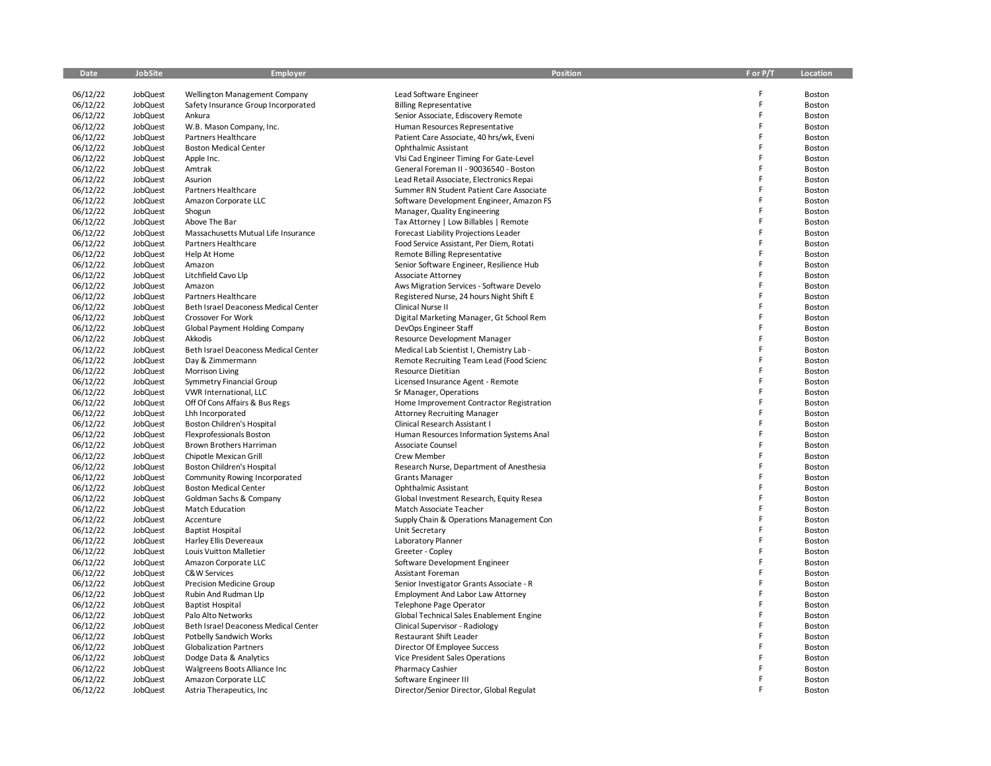| Date     | <b>JobSite</b> | <b>Employer</b>                      | <b>Position</b>                          | F or P/T | Location |
|----------|----------------|--------------------------------------|------------------------------------------|----------|----------|
|          |                |                                      |                                          |          |          |
| 06/12/22 | JobQuest       | Wellington Management Company        | Lead Software Engineer                   | E        | Boston   |
| 06/12/22 | JobQuest       | Safety Insurance Group Incorporated  | <b>Billing Representative</b>            | F        | Boston   |
| 06/12/22 | JobQuest       | Ankura                               | Senior Associate, Ediscovery Remote      | F        | Boston   |
| 06/12/22 | JobQuest       | W.B. Mason Company, Inc.             | Human Resources Representative           | F        | Boston   |
| 06/12/22 | JobQuest       | Partners Healthcare                  | Patient Care Associate, 40 hrs/wk, Eveni | F        | Boston   |
| 06/12/22 | JobQuest       | <b>Boston Medical Center</b>         | Ophthalmic Assistant                     | F        | Boston   |
| 06/12/22 | JobQuest       | Apple Inc.                           | VIsi Cad Engineer Timing For Gate-Level  | F        | Boston   |
| 06/12/22 | JobQuest       | Amtrak                               | General Foreman II - 90036540 - Boston   | F        | Boston   |
| 06/12/22 | JobQuest       | Asurion                              | Lead Retail Associate, Electronics Repai | F        | Boston   |
| 06/12/22 | JobQuest       | <b>Partners Healthcare</b>           | Summer RN Student Patient Care Associate | F        | Boston   |
| 06/12/22 | JobQuest       | Amazon Corporate LLC                 | Software Development Engineer, Amazon FS | F        | Boston   |
| 06/12/22 | JobQuest       | Shogun                               | Manager, Quality Engineering             | F        | Boston   |
| 06/12/22 | JobQuest       | Above The Bar                        | Tax Attorney   Low Billables   Remote    | F        | Boston   |
| 06/12/22 | JobQuest       | Massachusetts Mutual Life Insurance  | Forecast Liability Projections Leader    | F        | Boston   |
| 06/12/22 | JobQuest       | Partners Healthcare                  | Food Service Assistant, Per Diem, Rotati | F        | Boston   |
| 06/12/22 | JobQuest       | Help At Home                         | Remote Billing Representative            | F        | Boston   |
| 06/12/22 | JobQuest       | Amazon                               | Senior Software Engineer, Resilience Hub | E        | Boston   |
| 06/12/22 | JobQuest       | Litchfield Cavo Llp                  | Associate Attorney                       | F        | Boston   |
| 06/12/22 | JobQuest       | Amazon                               | Aws Migration Services - Software Develo | F        | Boston   |
| 06/12/22 | JobQuest       | Partners Healthcare                  | Registered Nurse, 24 hours Night Shift E | F        | Boston   |
| 06/12/22 | JobQuest       | Beth Israel Deaconess Medical Center | Clinical Nurse II                        | F        | Boston   |
| 06/12/22 | JobQuest       | Crossover For Work                   | Digital Marketing Manager, Gt School Rem | F        | Boston   |
| 06/12/22 | JobQuest       | Global Payment Holding Company       | DevOps Engineer Staff                    | F        | Boston   |
| 06/12/22 | JobQuest       | Akkodis                              | Resource Development Manager             | E        | Boston   |
| 06/12/22 | JobQuest       | Beth Israel Deaconess Medical Center | Medical Lab Scientist I, Chemistry Lab - | F        | Boston   |
| 06/12/22 | JobQuest       | Day & Zimmermann                     | Remote Recruiting Team Lead (Food Scienc | F        | Boston   |
| 06/12/22 | JobQuest       | Morrison Living                      | Resource Dietitian                       | F        | Boston   |
| 06/12/22 | JobQuest       | Symmetry Financial Group             | Licensed Insurance Agent - Remote        | F        | Boston   |
| 06/12/22 | JobQuest       | VWR International, LLC               | Sr Manager, Operations                   | F        | Boston   |
| 06/12/22 | JobQuest       | Off Of Cons Affairs & Bus Regs       | Home Improvement Contractor Registration | F        | Boston   |
| 06/12/22 | JobQuest       | Lhh Incorporated                     | <b>Attorney Recruiting Manager</b>       | F        | Boston   |
| 06/12/22 | JobQuest       | Boston Children's Hospital           | Clinical Research Assistant I            | F        | Boston   |
| 06/12/22 | JobQuest       | Flexprofessionals Boston             | Human Resources Information Systems Anal | F        | Boston   |
| 06/12/22 | JobQuest       | Brown Brothers Harriman              | Associate Counsel                        | F        | Boston   |
| 06/12/22 | JobQuest       | Chipotle Mexican Grill               | <b>Crew Member</b>                       | F        | Boston   |
| 06/12/22 | JobQuest       | Boston Children's Hospital           | Research Nurse, Department of Anesthesia | F        | Boston   |
| 06/12/22 | JobQuest       | Community Rowing Incorporated        | <b>Grants Manager</b>                    | F        | Boston   |
| 06/12/22 | JobQuest       | <b>Boston Medical Center</b>         | Ophthalmic Assistant                     | F        | Boston   |
| 06/12/22 | JobQuest       | Goldman Sachs & Company              | Global Investment Research, Equity Resea | F        | Boston   |
| 06/12/22 | JobQuest       | Match Education                      | Match Associate Teacher                  | E        | Boston   |
| 06/12/22 | JobQuest       | Accenture                            | Supply Chain & Operations Management Con | F        | Boston   |
| 06/12/22 | JobQuest       | <b>Baptist Hospital</b>              | Unit Secretary                           | F        | Boston   |
| 06/12/22 | JobQuest       | Harley Ellis Devereaux               | Laboratory Planner                       | F        | Boston   |
| 06/12/22 | JobQuest       | Louis Vuitton Malletier              | Greeter - Copley                         | F        | Boston   |
| 06/12/22 | JobQuest       | Amazon Corporate LLC                 | Software Development Engineer            | F        | Boston   |
| 06/12/22 | JobQuest       | C&W Services                         | Assistant Foreman                        | F        | Boston   |
| 06/12/22 | JobQuest       | Precision Medicine Group             | Senior Investigator Grants Associate - R | F        | Boston   |
| 06/12/22 | JobQuest       | Rubin And Rudman Llp                 | <b>Employment And Labor Law Attorney</b> | F        | Boston   |
| 06/12/22 | JobQuest       | <b>Baptist Hospital</b>              | Telephone Page Operator                  | F        | Boston   |
| 06/12/22 | JobQuest       | Palo Alto Networks                   | Global Technical Sales Enablement Engine | E        | Boston   |
| 06/12/22 | JobQuest       | Beth Israel Deaconess Medical Center | Clinical Supervisor - Radiology          | F        | Boston   |
| 06/12/22 | JobQuest       | <b>Potbelly Sandwich Works</b>       | Restaurant Shift Leader                  | F        | Boston   |
| 06/12/22 | JobQuest       | <b>Globalization Partners</b>        | Director Of Employee Success             | F        | Boston   |
| 06/12/22 | JobQuest       | Dodge Data & Analytics               | Vice President Sales Operations          | F        | Boston   |
| 06/12/22 | JobQuest       | Walgreens Boots Alliance Inc         | <b>Pharmacy Cashier</b>                  |          | Boston   |
| 06/12/22 | JobQuest       | Amazon Corporate LLC                 | Software Engineer III                    | F        | Boston   |
| 06/12/22 | JobQuest       | Astria Therapeutics, Inc.            | Director/Senior Director, Global Regulat | E        | Boston   |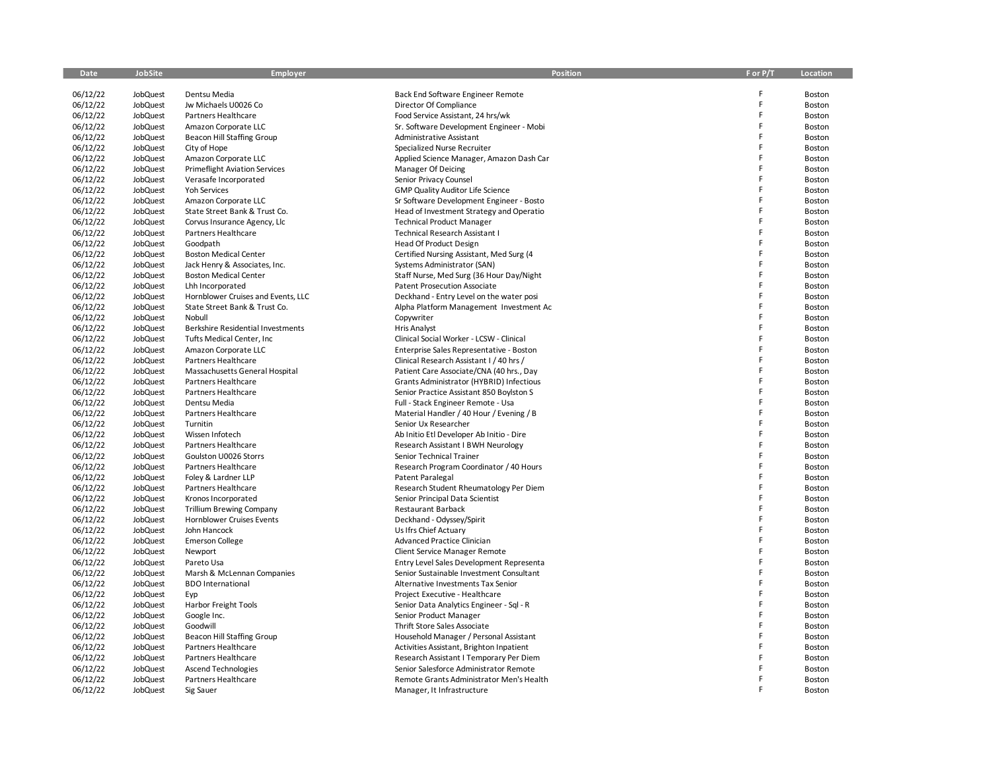| Date     | <b>JobSite</b>       | Employer                                 | Position                                 | F or P/T | Location |
|----------|----------------------|------------------------------------------|------------------------------------------|----------|----------|
|          |                      |                                          |                                          |          |          |
| 06/12/22 | JobQuest             | Dentsu Media                             | Back End Software Engineer Remote        | F        | Boston   |
| 06/12/22 | JobQuest             | Jw Michaels U0026 Co                     | Director Of Compliance                   | F        | Boston   |
| 06/12/22 | JobQuest             | Partners Healthcare                      | Food Service Assistant, 24 hrs/wk        | F        | Boston   |
| 06/12/22 | JobQuest             | Amazon Corporate LLC                     | Sr. Software Development Engineer - Mobi | F        | Boston   |
| 06/12/22 | JobQuest             | Beacon Hill Staffing Group               | Administrative Assistant                 | F        | Boston   |
| 06/12/22 | JobQuest             | City of Hope                             | Specialized Nurse Recruiter              | F        | Boston   |
| 06/12/22 | <b>JobQuest</b>      | Amazon Corporate LLC                     | Applied Science Manager, Amazon Dash Car | F        | Boston   |
| 06/12/22 | JobQuest             | <b>Primeflight Aviation Services</b>     | Manager Of Deicing                       | F        | Boston   |
| 06/12/22 | JobQuest             | Verasafe Incorporated                    | Senior Privacy Counsel                   | F        | Boston   |
| 06/12/22 | JobQuest             | <b>Yoh Services</b>                      | <b>GMP Quality Auditor Life Science</b>  | F        | Boston   |
| 06/12/22 | JobQuest             | Amazon Corporate LLC                     | Sr Software Development Engineer - Bosto | F        | Boston   |
| 06/12/22 | JobQuest             | State Street Bank & Trust Co.            | Head of Investment Strategy and Operatio | F        | Boston   |
| 06/12/22 | JobQuest             | Corvus Insurance Agency, Llc             | <b>Technical Product Manager</b>         | F        | Boston   |
| 06/12/22 | JobQuest             | Partners Healthcare                      | Technical Research Assistant I           | F        | Boston   |
| 06/12/22 | JobQuest             | Goodpath                                 | <b>Head Of Product Design</b>            | F        | Boston   |
| 06/12/22 | JobQuest             | <b>Boston Medical Center</b>             | Certified Nursing Assistant, Med Surg (4 | F        | Boston   |
| 06/12/22 | JobQuest             | Jack Henry & Associates, Inc.            | Systems Administrator (SAN)              | F        | Boston   |
| 06/12/22 | JobQuest             | <b>Boston Medical Center</b>             | Staff Nurse, Med Surg (36 Hour Day/Night | F        | Boston   |
| 06/12/22 | JobQuest             | Lhh Incorporated                         | <b>Patent Prosecution Associate</b>      | F        | Boston   |
| 06/12/22 | JobQuest             | Hornblower Cruises and Events, LLC       | Deckhand - Entry Level on the water posi | F        | Boston   |
| 06/12/22 | JobQuest             | State Street Bank & Trust Co.            | Alpha Platform Management Investment Ac  | F        | Boston   |
| 06/12/22 | JobQuest             | Nobull                                   | Copywriter                               | F        | Boston   |
| 06/12/22 | JobQuest             | <b>Berkshire Residential Investments</b> | <b>Hris Analyst</b>                      | F        | Boston   |
| 06/12/22 | JobQuest             | Tufts Medical Center, Inc.               | Clinical Social Worker - LCSW - Clinical | F        | Boston   |
| 06/12/22 | JobQuest             | Amazon Corporate LLC                     | Enterprise Sales Representative - Boston | F        | Boston   |
| 06/12/22 | JobQuest             | Partners Healthcare                      | Clinical Research Assistant I / 40 hrs / | F        | Boston   |
| 06/12/22 | JobQuest             | Massachusetts General Hospital           | Patient Care Associate/CNA (40 hrs., Day | F        | Boston   |
| 06/12/22 |                      | Partners Healthcare                      | Grants Administrator (HYBRID) Infectious | F        | Boston   |
| 06/12/22 | JobQuest<br>JobQuest | Partners Healthcare                      | Senior Practice Assistant 850 Boylston S | F        | Boston   |
| 06/12/22 |                      | Dentsu Media                             |                                          | F        |          |
|          | JobQuest             |                                          | Full - Stack Engineer Remote - Usa       | F        | Boston   |
| 06/12/22 | JobQuest             | Partners Healthcare                      | Material Handler / 40 Hour / Evening / B | F        | Boston   |
| 06/12/22 | JobQuest             | Turnitin                                 | Senior Ux Researcher                     | F        | Boston   |
| 06/12/22 | JobQuest             | Wissen Infotech                          | Ab Initio Etl Developer Ab Initio - Dire | F        | Boston   |
| 06/12/22 | JobQuest             | Partners Healthcare                      | Research Assistant I BWH Neurology       | F        | Boston   |
| 06/12/22 | JobQuest             | Goulston U0026 Storrs                    | Senior Technical Trainer                 | F        | Boston   |
| 06/12/22 | JobQuest             | Partners Healthcare                      | Research Program Coordinator / 40 Hours  | F        | Boston   |
| 06/12/22 | <b>JobQuest</b>      | Foley & Lardner LLP                      | Patent Paralegal                         | F        | Boston   |
| 06/12/22 | JobQuest             | Partners Healthcare                      | Research Student Rheumatology Per Diem   | F        | Boston   |
| 06/12/22 | JobQuest             | Kronos Incorporated                      | Senior Principal Data Scientist          |          | Boston   |
| 06/12/22 | JobQuest             | <b>Trillium Brewing Company</b>          | <b>Restaurant Barback</b>                | F        | Boston   |
| 06/12/22 | JobQuest             | <b>Hornblower Cruises Events</b>         | Deckhand - Odyssey/Spirit                | F        | Boston   |
| 06/12/22 | JobQuest             | John Hancock                             | Us Ifrs Chief Actuary                    | F        | Boston   |
| 06/12/22 | JobQuest             | <b>Emerson College</b>                   | Advanced Practice Clinician              | F        | Boston   |
| 06/12/22 | JobQuest             | Newport                                  | Client Service Manager Remote            | F        | Boston   |
| 06/12/22 | JobQuest             | Pareto Usa                               | Entry Level Sales Development Representa | F        | Boston   |
| 06/12/22 | JobQuest             | Marsh & McLennan Companies               | Senior Sustainable Investment Consultant | F        | Boston   |
| 06/12/22 | JobQuest             | <b>BDO</b> International                 | Alternative Investments Tax Senior       | F        | Boston   |
| 06/12/22 | JobQuest             | Eyp                                      | Project Executive - Healthcare           | F        | Boston   |
| 06/12/22 | JobQuest             | Harbor Freight Tools                     | Senior Data Analytics Engineer - Sql - R | F        | Boston   |
| 06/12/22 | JobQuest             | Google Inc.                              | Senior Product Manager                   |          | Boston   |
| 06/12/22 | JobQuest             | Goodwill                                 | Thrift Store Sales Associate             | F        | Boston   |
| 06/12/22 | <b>JobQuest</b>      | <b>Beacon Hill Staffing Group</b>        | Household Manager / Personal Assistant   | F        | Boston   |
| 06/12/22 | JobQuest             | Partners Healthcare                      | Activities Assistant, Brighton Inpatient |          | Boston   |
| 06/12/22 | JobQuest             | Partners Healthcare                      | Research Assistant I Temporary Per Diem  |          | Boston   |
| 06/12/22 | JobQuest             | <b>Ascend Technologies</b>               | Senior Salesforce Administrator Remote   |          | Boston   |
| 06/12/22 | JobQuest             | Partners Healthcare                      | Remote Grants Administrator Men's Health |          | Boston   |
| 06/12/22 | <b>JobQuest</b>      | Sig Sauer                                | Manager, It Infrastructure               | F        | Boston   |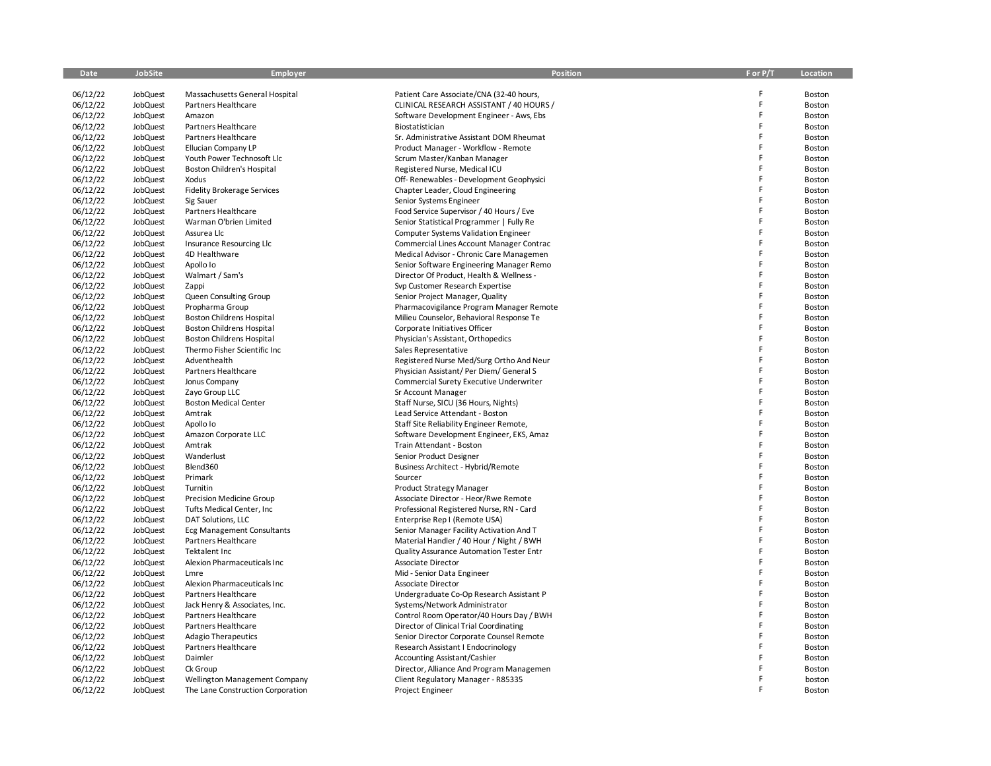| Date                 | <b>JobSite</b>       | Employer                             | Position                                                            | F or P/T | Location         |
|----------------------|----------------------|--------------------------------------|---------------------------------------------------------------------|----------|------------------|
|                      |                      |                                      |                                                                     |          |                  |
| 06/12/22             | JobQuest             | Massachusetts General Hospital       | Patient Care Associate/CNA (32-40 hours,                            | F        | Boston           |
| 06/12/22             | JobQuest             | <b>Partners Healthcare</b>           | CLINICAL RESEARCH ASSISTANT / 40 HOURS /                            | F        | Boston           |
| 06/12/22             | JobQuest             | Amazon                               | Software Development Engineer - Aws, Ebs                            | F        | Boston           |
| 06/12/22             | JobQuest             | Partners Healthcare                  | Biostatistician                                                     | F        | Boston           |
| 06/12/22             | JobQuest             | Partners Healthcare                  | Sr. Administrative Assistant DOM Rheumat                            | Ë        | Boston           |
| 06/12/22             | JobQuest             | <b>Ellucian Company LP</b>           | Product Manager - Workflow - Remote                                 | Ë        | Boston           |
| 06/12/22             | JobQuest             | Youth Power Technosoft Llc           | Scrum Master/Kanban Manager                                         | Ë        | Boston           |
| 06/12/22             | JobQuest             | Boston Children's Hospital           | Registered Nurse, Medical ICU                                       | F        | Boston           |
| 06/12/22<br>06/12/22 | JobQuest             | Xodus                                | Off- Renewables - Development Geophysici                            | F        | Boston<br>Boston |
|                      | JobQuest             | <b>Fidelity Brokerage Services</b>   | Chapter Leader, Cloud Engineering                                   | F        |                  |
| 06/12/22<br>06/12/22 | JobQuest<br>JobQuest | Sig Sauer<br>Partners Healthcare     | Senior Systems Engineer<br>Food Service Supervisor / 40 Hours / Eve | F        | Boston<br>Boston |
| 06/12/22             | JobQuest             | Warman O'brien Limited               | Senior Statistical Programmer   Fully Re                            | Ë        | Boston           |
| 06/12/22             | JobQuest             | Assurea Llc                          | <b>Computer Systems Validation Engineer</b>                         | F        | Boston           |
| 06/12/22             | JobQuest             | Insurance Resourcing Llc             | Commercial Lines Account Manager Contrac                            | F        | Boston           |
| 06/12/22             | JobQuest             | 4D Healthware                        | Medical Advisor - Chronic Care Managemen                            | F        | Boston           |
| 06/12/22             | JobQuest             | Apollo Io                            | Senior Software Engineering Manager Remo                            | F        | Boston           |
| 06/12/22             | JobQuest             | Walmart / Sam's                      | Director Of Product, Health & Wellness -                            | F        | Boston           |
| 06/12/22             | JobQuest             | Zappi                                | Svp Customer Research Expertise                                     | Ė        | Boston           |
| 06/12/22             | JobQuest             | Queen Consulting Group               | Senior Project Manager, Quality                                     | F        | Boston           |
| 06/12/22             | JobQuest             | Propharma Group                      | Pharmacovigilance Program Manager Remote                            | Ė        | Boston           |
| 06/12/22             | JobQuest             | <b>Boston Childrens Hospital</b>     | Milieu Counselor, Behavioral Response Te                            | F        | Boston           |
| 06/12/22             | JobQuest             | <b>Boston Childrens Hospital</b>     | Corporate Initiatives Officer                                       | E        | Boston           |
| 06/12/22             | JobQuest             | <b>Boston Childrens Hospital</b>     | Physician's Assistant, Orthopedics                                  | Ë        | Boston           |
| 06/12/22             | JobQuest             | Thermo Fisher Scientific Inc         | Sales Representative                                                | F        | Boston           |
| 06/12/22             | JobQuest             | Adventhealth                         | Registered Nurse Med/Surg Ortho And Neur                            | F        | Boston           |
| 06/12/22             | JobQuest             | Partners Healthcare                  | Physician Assistant/Per Diem/General S                              | F        | Boston           |
| 06/12/22             | JobQuest             | Jonus Company                        | Commercial Surety Executive Underwriter                             | F        | Boston           |
| 06/12/22             | JobQuest             | Zayo Group LLC                       | Sr Account Manager                                                  | F        | Boston           |
| 06/12/22             | JobQuest             | <b>Boston Medical Center</b>         | Staff Nurse, SICU (36 Hours, Nights)                                | F        | Boston           |
| 06/12/22             | JobQuest             | Amtrak                               | Lead Service Attendant - Boston                                     | F        | Boston           |
| 06/12/22             | JobQuest             | Apollo Io                            | Staff Site Reliability Engineer Remote,                             | F        | Boston           |
| 06/12/22             | JobQuest             | Amazon Corporate LLC                 | Software Development Engineer, EKS, Amaz                            | Ë        | Boston           |
| 06/12/22             | JobQuest             | Amtrak                               | Train Attendant - Boston                                            | E        | Boston           |
| 06/12/22             | JobQuest             | Wanderlust                           | Senior Product Designer                                             | Ë        | Boston           |
| 06/12/22             | JobQuest             | Blend360                             | <b>Business Architect - Hybrid/Remote</b>                           | E        | Boston           |
| 06/12/22             | JobQuest             | Primark                              | Sourcer                                                             | F        | Boston           |
| 06/12/22             | JobQuest             | Turnitin                             | <b>Product Strategy Manager</b>                                     | E        | Boston           |
| 06/12/22             | JobQuest             | <b>Precision Medicine Group</b>      | Associate Director - Heor/Rwe Remote                                | F        | Boston           |
| 06/12/22             | JobQuest             | Tufts Medical Center, Inc.           | Professional Registered Nurse, RN - Card                            | Ë        | Boston           |
| 06/12/22             | JobQuest             | DAT Solutions, LLC                   | Enterprise Rep I (Remote USA)                                       | Ë        | Boston           |
| 06/12/22             | JobQuest             | <b>Ecg Management Consultants</b>    | Senior Manager Facility Activation And T                            | Ë        | Boston           |
| 06/12/22             | JobQuest             | Partners Healthcare                  | Material Handler / 40 Hour / Night / BWH                            | F        | Boston           |
| 06/12/22             | JobQuest             | Tektalent Inc                        | Quality Assurance Automation Tester Entr                            | F        | Boston           |
| 06/12/22             | JobQuest             | Alexion Pharmaceuticals Inc          | Associate Director                                                  | Ë        | Boston           |
| 06/12/22             | JobQuest             | Lmre                                 | Mid - Senior Data Engineer                                          | Ë        | Boston           |
| 06/12/22             | JobQuest             | Alexion Pharmaceuticals Inc          | Associate Director                                                  | F        | Boston           |
| 06/12/22             | JobQuest             | Partners Healthcare                  | Undergraduate Co-Op Research Assistant P                            | Ë        | Boston           |
| 06/12/22             | JobQuest             | Jack Henry & Associates, Inc.        | Systems/Network Administrator                                       | Ë        | Boston           |
| 06/12/22             | JobQuest             | Partners Healthcare                  | Control Room Operator/40 Hours Day / BWH                            | F        | Boston           |
| 06/12/22             | JobQuest             | Partners Healthcare                  | Director of Clinical Trial Coordinating                             | F        | Boston           |
| 06/12/22             | JobQuest             | <b>Adagio Therapeutics</b>           | Senior Director Corporate Counsel Remote                            | F        | Boston           |
| 06/12/22             | JobQuest             | Partners Healthcare                  | Research Assistant I Endocrinology                                  | Ë        | Boston           |
| 06/12/22             | JobQuest             | Daimler                              | <b>Accounting Assistant/Cashier</b>                                 | F        | Boston           |
| 06/12/22             | JobQuest             | Ck Group                             | Director, Alliance And Program Managemen                            | E        | Boston           |
| 06/12/22             | JobQuest             | <b>Wellington Management Company</b> | Client Regulatory Manager - R85335                                  | F        | boston           |
| 06/12/22             | JobQuest             | The Lane Construction Corporation    | Project Engineer                                                    | F        | Boston           |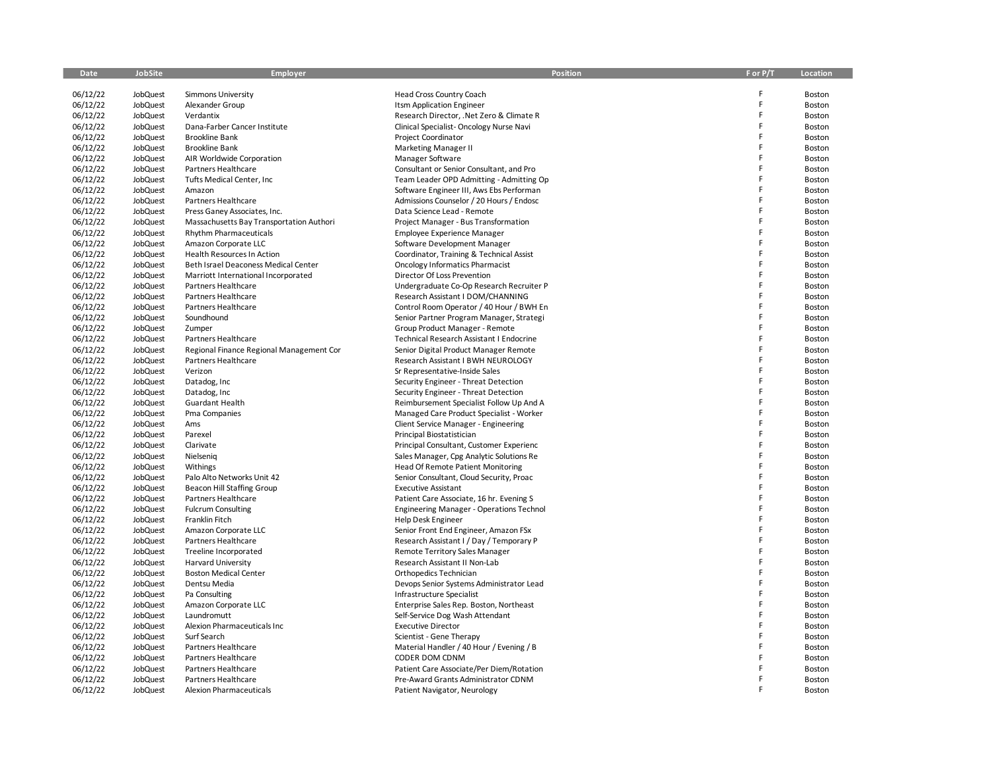| Date     | JobSite         | <b>Employer</b>                          | <b>Position</b>                           | F or P/T | Location         |
|----------|-----------------|------------------------------------------|-------------------------------------------|----------|------------------|
|          |                 |                                          |                                           |          |                  |
| 06/12/22 | JobQuest        | Simmons University                       | Head Cross Country Coach                  | F        | Boston           |
| 06/12/22 | JobQuest        | Alexander Group                          | Itsm Application Engineer                 | F        | Boston           |
| 06/12/22 | JobQuest        | Verdantix                                | Research Director, . Net Zero & Climate R | F        | Boston           |
| 06/12/22 | JobQuest        | Dana-Farber Cancer Institute             | Clinical Specialist-Oncology Nurse Navi   | F        | Boston           |
| 06/12/22 | JobQuest        | <b>Brookline Bank</b>                    | <b>Project Coordinator</b>                | F        | Boston           |
| 06/12/22 | JobQuest        | <b>Brookline Bank</b>                    | <b>Marketing Manager II</b>               | F        | Boston           |
| 06/12/22 | JobQuest        | AIR Worldwide Corporation                | Manager Software                          | F        | Boston           |
| 06/12/22 | JobQuest        | Partners Healthcare                      | Consultant or Senior Consultant, and Pro  | F        | Boston           |
| 06/12/22 | JobQuest        | Tufts Medical Center, Inc                | Team Leader OPD Admitting - Admitting Op  | F        | Boston           |
| 06/12/22 | JobQuest        | Amazon                                   | Software Engineer III, Aws Ebs Performan  | F        | Boston           |
| 06/12/22 | JobQuest        | Partners Healthcare                      | Admissions Counselor / 20 Hours / Endosc  | F        | Boston           |
| 06/12/22 | JobQuest        | Press Ganey Associates, Inc.             | Data Science Lead - Remote                | F        | Boston           |
| 06/12/22 | JobQuest        | Massachusetts Bay Transportation Authori | Project Manager - Bus Transformation      | F        | Boston           |
| 06/12/22 | JobQuest        | <b>Rhythm Pharmaceuticals</b>            | Employee Experience Manager               | F        | Boston           |
| 06/12/22 | JobQuest        | Amazon Corporate LLC                     | Software Development Manager              | F        | Boston           |
| 06/12/22 | JobQuest        | Health Resources In Action               | Coordinator, Training & Technical Assist  | F        | Boston           |
| 06/12/22 | JobQuest        | Beth Israel Deaconess Medical Center     | Oncology Informatics Pharmacist           | F        | Boston           |
| 06/12/22 | JobQuest        | Marriott International Incorporated      | Director Of Loss Prevention               | F        | Boston           |
| 06/12/22 | JobQuest        | Partners Healthcare                      | Undergraduate Co-Op Research Recruiter P  | F        | Boston           |
| 06/12/22 | JobQuest        | Partners Healthcare                      | Research Assistant I DOM/CHANNING         | F        | Boston           |
| 06/12/22 | JobQuest        | Partners Healthcare                      | Control Room Operator / 40 Hour / BWH En  | F        | Boston           |
| 06/12/22 | JobQuest        | Soundhound                               | Senior Partner Program Manager, Strategi  | F        | Boston           |
| 06/12/22 | JobQuest        | Zumper                                   | Group Product Manager - Remote            |          | Boston           |
| 06/12/22 | JobQuest        | Partners Healthcare                      | Technical Research Assistant I Endocrine  | F        | Boston           |
| 06/12/22 | JobQuest        | Regional Finance Regional Management Cor | Senior Digital Product Manager Remote     | F        | Boston           |
| 06/12/22 | JobQuest        | Partners Healthcare                      | Research Assistant I BWH NEUROLOGY        | F        |                  |
| 06/12/22 | JobQuest        | Verizon                                  |                                           | F        | Boston<br>Boston |
|          |                 |                                          | Sr Representative-Inside Sales            | F        |                  |
| 06/12/22 | JobQuest        | Datadog, Inc                             | Security Engineer - Threat Detection      | F        | Boston           |
| 06/12/22 | JobQuest        | Datadog, Inc                             | Security Engineer - Threat Detection      | F        | Boston           |
| 06/12/22 | JobQuest        | <b>Guardant Health</b>                   | Reimbursement Specialist Follow Up And A  |          | Boston           |
| 06/12/22 | JobQuest        | Pma Companies                            | Managed Care Product Specialist - Worker  | F        | Boston           |
| 06/12/22 | JobQuest        | Ams                                      | Client Service Manager - Engineering      | F        | Boston           |
| 06/12/22 | JobQuest        | Parexel                                  | Principal Biostatistician                 | F        | Boston           |
| 06/12/22 | JobQuest        | Clarivate                                | Principal Consultant, Customer Experienc  | F        | Boston           |
| 06/12/22 | JobQuest        | Nielsenig                                | Sales Manager, Cpg Analytic Solutions Re  | F        | Boston           |
| 06/12/22 | JobQuest        | Withings                                 | Head Of Remote Patient Monitoring         |          | Boston           |
| 06/12/22 | JobQuest        | Palo Alto Networks Unit 42               | Senior Consultant, Cloud Security, Proac  | F        | Boston           |
| 06/12/22 | JobQuest        | <b>Beacon Hill Staffing Group</b>        | <b>Executive Assistant</b>                |          | Boston           |
| 06/12/22 | JobQuest        | Partners Healthcare                      | Patient Care Associate, 16 hr. Evening S  | F        | Boston           |
| 06/12/22 | JobQuest        | <b>Fulcrum Consulting</b>                | Engineering Manager - Operations Technol  | F        | Boston           |
| 06/12/22 | JobQuest        | Franklin Fitch                           | Help Desk Engineer                        | F        | Boston           |
| 06/12/22 | JobQuest        | Amazon Corporate LLC                     | Senior Front End Engineer, Amazon FSx     | F        | Boston           |
| 06/12/22 | JobQuest        | Partners Healthcare                      | Research Assistant I / Day / Temporary P  | F        | Boston           |
| 06/12/22 | JobQuest        | Treeline Incorporated                    | <b>Remote Territory Sales Manager</b>     |          | Boston           |
| 06/12/22 | JobQuest        | <b>Harvard University</b>                | Research Assistant II Non-Lab             | F        | Boston           |
| 06/12/22 | JobQuest        | <b>Boston Medical Center</b>             | Orthopedics Technician                    | F        | Boston           |
| 06/12/22 | JobQuest        | Dentsu Media                             | Devops Senior Systems Administrator Lead  | F        | Boston           |
| 06/12/22 | JobQuest        | Pa Consulting                            | Infrastructure Specialist                 | F        | Boston           |
| 06/12/22 | JobQuest        | Amazon Corporate LLC                     | Enterprise Sales Rep. Boston, Northeast   |          | Boston           |
| 06/12/22 | JobQuest        | Laundromutt                              | Self-Service Dog Wash Attendant           |          | Boston           |
| 06/12/22 | JobQuest        | Alexion Pharmaceuticals Inc              | <b>Executive Director</b>                 | F        | Boston           |
| 06/12/22 | JobQuest        | Surf Search                              | Scientist - Gene Therapy                  | F        | Boston           |
| 06/12/22 | JobQuest        | Partners Healthcare                      | Material Handler / 40 Hour / Evening / B  |          | Boston           |
| 06/12/22 | JobQuest        | Partners Healthcare                      | <b>CODER DOM CDNM</b>                     | F        | Boston           |
| 06/12/22 | JobQuest        | Partners Healthcare                      | Patient Care Associate/Per Diem/Rotation  |          | Boston           |
| 06/12/22 | <b>JobQuest</b> | Partners Healthcare                      | Pre-Award Grants Administrator CDNM       | F        | Boston           |
| 06/12/22 | JobQuest        | <b>Alexion Pharmaceuticals</b>           | Patient Navigator, Neurology              |          | Boston           |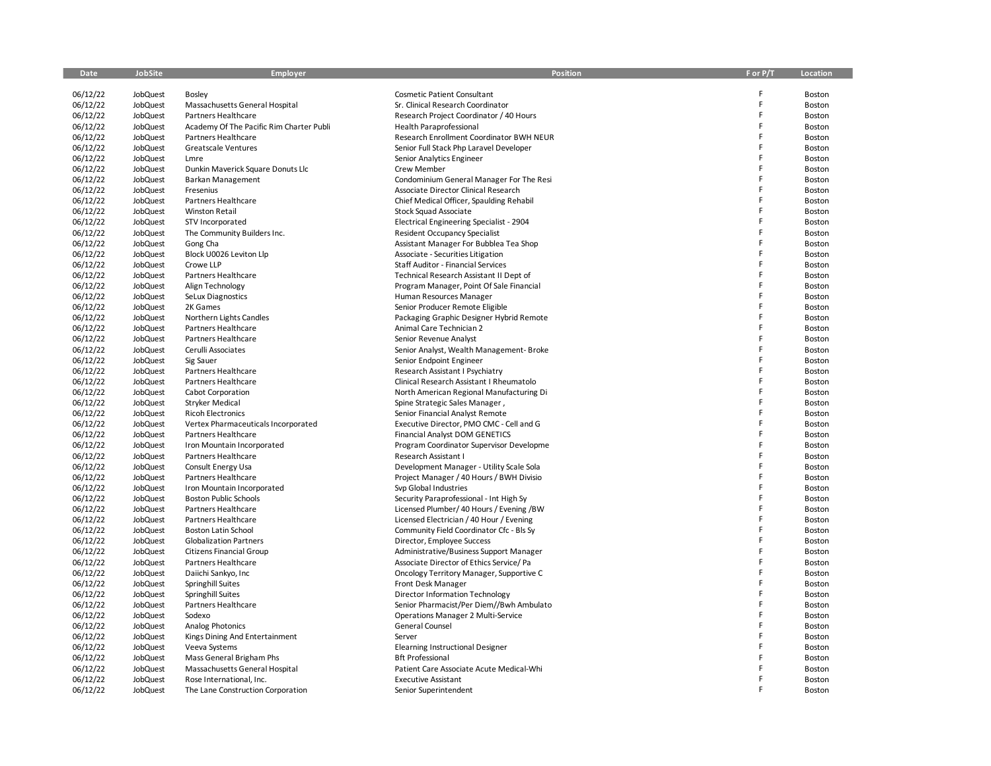| Date                 | <b>JobSite</b>       | <b>Employer</b>                                            | <b>Position</b>                                                            | F or P/T | Location         |
|----------------------|----------------------|------------------------------------------------------------|----------------------------------------------------------------------------|----------|------------------|
|                      |                      |                                                            |                                                                            |          |                  |
| 06/12/22             | JobQuest             | Bosley                                                     | <b>Cosmetic Patient Consultant</b>                                         | F        | Boston           |
| 06/12/22             | JobQuest             | Massachusetts General Hospital                             | Sr. Clinical Research Coordinator                                          | F<br>F   | Boston           |
| 06/12/22             | JobQuest             | Partners Healthcare                                        | Research Project Coordinator / 40 Hours                                    |          | Boston           |
| 06/12/22             | JobQuest             | Academy Of The Pacific Rim Charter Publi                   | Health Paraprofessional                                                    | F<br>F   | Boston           |
| 06/12/22             | JobQuest             | Partners Healthcare                                        | Research Enrollment Coordinator BWH NEUR                                   |          | Boston           |
| 06/12/22             | JobQuest             | Greatscale Ventures                                        | Senior Full Stack Php Laravel Developer                                    | F        | Boston           |
| 06/12/22             | JobQuest             | Lmre                                                       | Senior Analytics Engineer                                                  | F        | Boston           |
| 06/12/22             | JobQuest             | Dunkin Maverick Square Donuts Llc                          | Crew Member                                                                | F        | Boston           |
| 06/12/22             | JobQuest             | Barkan Management                                          | Condominium General Manager For The Resi                                   | F        | Boston           |
| 06/12/22             | JobQuest             | Fresenius                                                  | Associate Director Clinical Research                                       | F<br>F   | Boston           |
| 06/12/22             | JobQuest             | Partners Healthcare                                        | Chief Medical Officer, Spaulding Rehabil                                   |          | Boston           |
| 06/12/22             | JobQuest             | <b>Winston Retail</b>                                      | Stock Squad Associate                                                      | F        | Boston           |
| 06/12/22             | JobQuest             | STV Incorporated                                           | Electrical Engineering Specialist - 2904                                   | F<br>F   | Boston           |
| 06/12/22             | JobQuest             | The Community Builders Inc.                                | <b>Resident Occupancy Specialist</b>                                       | F        | Boston           |
| 06/12/22             | JobQuest             | Gong Cha                                                   | Assistant Manager For Bubblea Tea Shop                                     | F        | Boston           |
| 06/12/22             | JobQuest             | Block U0026 Leviton Llp                                    | Associate - Securities Litigation                                          | F        | Boston           |
| 06/12/22             | JobQuest             | Crowe LLP                                                  | Staff Auditor - Financial Services                                         | F        | Boston           |
| 06/12/22             | JobQuest             | Partners Healthcare                                        | Technical Research Assistant II Dept of                                    | F        | Boston           |
| 06/12/22             | JobQuest             | Align Technology                                           | Program Manager, Point Of Sale Financial                                   | F        | Boston           |
| 06/12/22             | JobQuest             | <b>SeLux Diagnostics</b>                                   | Human Resources Manager                                                    | F        | Boston           |
| 06/12/22             | JobQuest             | 2K Games                                                   | Senior Producer Remote Eligible                                            | F        | Boston           |
| 06/12/22             | JobQuest             | Northern Lights Candles                                    | Packaging Graphic Designer Hybrid Remote                                   | F        | Boston           |
| 06/12/22             | JobQuest             | Partners Healthcare                                        | Animal Care Technician 2                                                   | F        | Boston           |
| 06/12/22             | JobQuest             | Partners Healthcare                                        | Senior Revenue Analyst                                                     | F        | Boston           |
| 06/12/22             | JobQuest             | Cerulli Associates                                         | Senior Analyst, Wealth Management- Broke                                   | F        | Boston           |
| 06/12/22             | JobQuest             | Sig Sauer                                                  | Senior Endpoint Engineer                                                   | F        | Boston           |
| 06/12/22             | JobQuest             | Partners Healthcare                                        | Research Assistant I Psychiatry                                            | F        | Boston           |
| 06/12/22             | JobQuest             | Partners Healthcare                                        | Clinical Research Assistant I Rheumatolo                                   | F        | Boston           |
| 06/12/22             | JobQuest             | Cabot Corporation                                          | North American Regional Manufacturing Di                                   | F        | Boston           |
| 06/12/22             | JobQuest             | Stryker Medical                                            | Spine Strategic Sales Manager,                                             | F        | Boston           |
| 06/12/22             | JobQuest             | <b>Ricoh Electronics</b>                                   | Senior Financial Analyst Remote                                            | F        | Boston           |
| 06/12/22<br>06/12/22 | JobQuest             | Vertex Pharmaceuticals Incorporated<br>Partners Healthcare | Executive Director, PMO CMC - Cell and G<br>Financial Analyst DOM GENETICS | F        | Boston<br>Boston |
| 06/12/22             | JobQuest<br>JobQuest | Iron Mountain Incorporated                                 | Program Coordinator Supervisor Developme                                   | F        | Boston           |
| 06/12/22             |                      | Partners Healthcare                                        | Research Assistant I                                                       | F        | Boston           |
| 06/12/22             | JobQuest<br>JobQuest | Consult Energy Usa                                         | Development Manager - Utility Scale Sola                                   | F        | Boston           |
| 06/12/22             | JobQuest             | Partners Healthcare                                        | Project Manager / 40 Hours / BWH Divisio                                   | F        | Boston           |
| 06/12/22             | JobQuest             | Iron Mountain Incorporated                                 | Svp Global Industries                                                      | E        | Boston           |
| 06/12/22             | JobQuest             | <b>Boston Public Schools</b>                               | Security Paraprofessional - Int High Sy                                    | F        | Boston           |
| 06/12/22             | JobQuest             | Partners Healthcare                                        | Licensed Plumber/ 40 Hours / Evening /BW                                   | F        | Boston           |
| 06/12/22             | JobQuest             | Partners Healthcare                                        | Licensed Electrician / 40 Hour / Evening                                   | F        | Boston           |
| 06/12/22             | JobQuest             | Boston Latin School                                        | Community Field Coordinator Cfc - Bls Sy                                   | F        | Boston           |
| 06/12/22             | JobQuest             | <b>Globalization Partners</b>                              | Director, Employee Success                                                 | F        | Boston           |
| 06/12/22             | JobQuest             | <b>Citizens Financial Group</b>                            | Administrative/Business Support Manager                                    | F        | Boston           |
| 06/12/22             | JobQuest             | Partners Healthcare                                        | Associate Director of Ethics Service/ Pa                                   | F        | Boston           |
| 06/12/22             | JobQuest             | Daiichi Sankyo, Inc                                        | Oncology Territory Manager, Supportive C                                   | F        | Boston           |
| 06/12/22             | JobQuest             | Springhill Suites                                          | Front Desk Manager                                                         | F        | Boston           |
| 06/12/22             | JobQuest             | <b>Springhill Suites</b>                                   | Director Information Technology                                            | F        | Boston           |
| 06/12/22             | JobQuest             | Partners Healthcare                                        | Senior Pharmacist/Per Diem//Bwh Ambulato                                   | F        | Boston           |
| 06/12/22             | JobQuest             | Sodexo                                                     | <b>Operations Manager 2 Multi-Service</b>                                  | F        | Boston           |
| 06/12/22             | JobQuest             | Analog Photonics                                           | General Counsel                                                            | F        | Boston           |
| 06/12/22             | JobQuest             | Kings Dining And Entertainment                             | Server                                                                     | F        | Boston           |
| 06/12/22             | JobQuest             | Veeva Systems                                              | Elearning Instructional Designer                                           | F        | Boston           |
| 06/12/22             | JobQuest             | Mass General Brigham Phs                                   | <b>Bft Professional</b>                                                    | F        | Boston           |
| 06/12/22             | JobQuest             | Massachusetts General Hospital                             | Patient Care Associate Acute Medical-Whi                                   | E        | Boston           |
| 06/12/22             | JobQuest             | Rose International, Inc.                                   | <b>Executive Assistant</b>                                                 | F        | Boston           |
| 06/12/22             | JobQuest             | The Lane Construction Corporation                          | Senior Superintendent                                                      | E        | Boston           |
|                      |                      |                                                            |                                                                            |          |                  |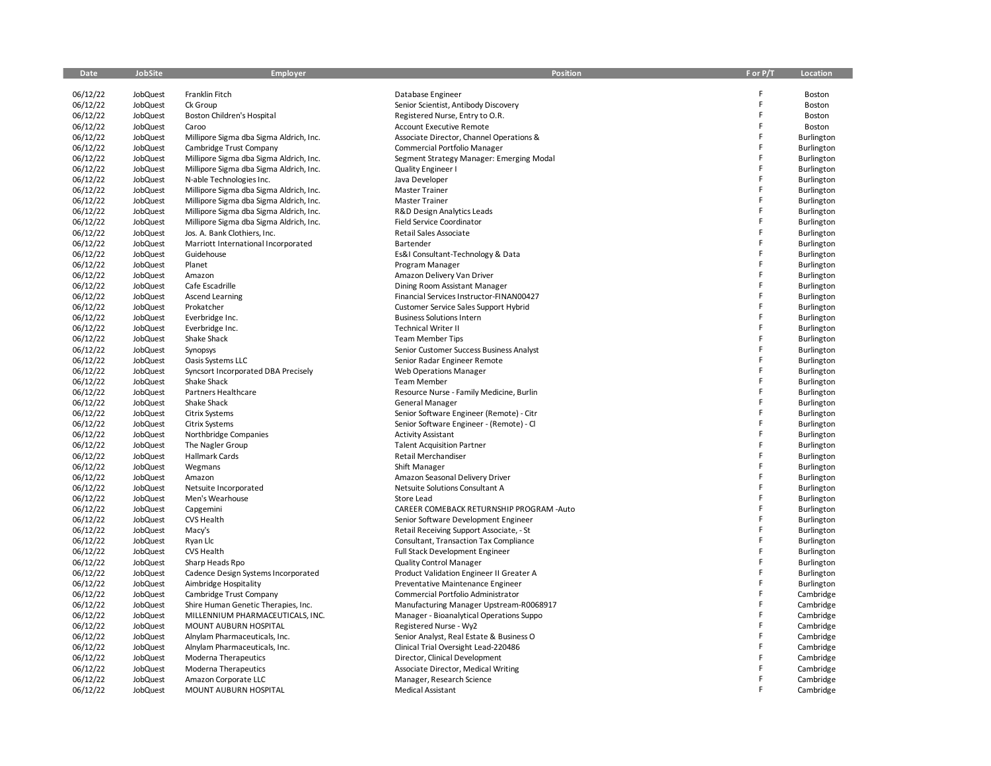| Date                 | <b>JobSite</b>       | <b>Employer</b>                           | <b>Position</b>                                          | F or P/T | Location                 |
|----------------------|----------------------|-------------------------------------------|----------------------------------------------------------|----------|--------------------------|
|                      |                      |                                           |                                                          |          |                          |
| 06/12/22             | JobQuest             | Franklin Fitch                            | Database Engineer                                        | F        | Boston                   |
| 06/12/22             | JobQuest             | Ck Group                                  | Senior Scientist, Antibody Discovery                     | F        | Boston                   |
| 06/12/22             | JobQuest             | Boston Children's Hospital                | Registered Nurse, Entry to O.R.                          | F        | Boston                   |
| 06/12/22             | JobQuest             | Caroo                                     | <b>Account Executive Remote</b>                          | F        | Boston                   |
| 06/12/22             | JobQuest             | Millipore Sigma dba Sigma Aldrich, Inc.   | Associate Director, Channel Operations &                 | F        | Burlington               |
| 06/12/22             | JobQuest             | Cambridge Trust Company                   | Commercial Portfolio Manager                             | F        | Burlington               |
| 06/12/22             | JobQuest             | Millipore Sigma dba Sigma Aldrich, Inc.   | Segment Strategy Manager: Emerging Modal                 | F        | Burlington               |
| 06/12/22             | JobQuest             | Millipore Sigma dba Sigma Aldrich, Inc.   | Quality Engineer I                                       | F<br>F   | Burlington               |
| 06/12/22             | JobQuest             | N-able Technologies Inc.                  | Java Developer                                           |          | Burlington               |
| 06/12/22             | JobQuest             | Millipore Sigma dba Sigma Aldrich, Inc.   | <b>Master Trainer</b>                                    | F        | Burlington               |
| 06/12/22             | JobQuest             | Millipore Sigma dba Sigma Aldrich, Inc.   | <b>Master Trainer</b>                                    | F        | Burlington               |
| 06/12/22             | JobQuest             | Millipore Sigma dba Sigma Aldrich, Inc.   | R&D Design Analytics Leads                               | F        | Burlington               |
| 06/12/22             | JobQuest             | Millipore Sigma dba Sigma Aldrich, Inc.   | Field Service Coordinator                                | F        | Burlington               |
| 06/12/22             | JobQuest             | Jos. A. Bank Clothiers, Inc.              | Retail Sales Associate                                   | F        | Burlington               |
| 06/12/22             | JobQuest             | Marriott International Incorporated       | Bartender                                                | F        | Burlington               |
| 06/12/22             | JobQuest             | Guidehouse                                | Es&I Consultant-Technology & Data                        | F        | Burlington               |
| 06/12/22             | JobQuest             | Planet                                    | Program Manager                                          | F<br>F   | Burlington               |
| 06/12/22             | JobQuest             | Amazon                                    | Amazon Delivery Van Driver                               |          | Burlington               |
| 06/12/22             | JobQuest             | Cafe Escadrille                           | Dining Room Assistant Manager                            | F<br>F   | Burlington               |
| 06/12/22             | JobQuest             | <b>Ascend Learning</b>                    | Financial Services Instructor-FINAN00427                 |          | Burlington               |
| 06/12/22             | JobQuest             | Prokatcher                                | Customer Service Sales Support Hybrid                    | F<br>F.  | Burlington               |
| 06/12/22             | JobQuest             | Everbridge Inc.                           | <b>Business Solutions Intern</b>                         | F        | Burlington               |
| 06/12/22             | JobQuest             | Everbridge Inc.                           | <b>Technical Writer II</b>                               | F        | Burlington               |
| 06/12/22             | JobQuest             | Shake Shack                               | <b>Team Member Tips</b>                                  | F        | Burlington               |
| 06/12/22             | JobQuest             | Synopsys                                  | Senior Customer Success Business Analyst                 | F        | Burlington               |
| 06/12/22             | JobQuest             | Oasis Systems LLC                         | Senior Radar Engineer Remote                             | F        | Burlington               |
| 06/12/22             | JobQuest             | Syncsort Incorporated DBA Precisely       | <b>Web Operations Manager</b>                            | F        | Burlington               |
| 06/12/22             | JobQuest             | Shake Shack                               | <b>Team Member</b>                                       | F        | Burlington               |
| 06/12/22             | JobQuest             | Partners Healthcare                       | Resource Nurse - Family Medicine, Burlin                 | F        | Burlington               |
| 06/12/22             | JobQuest             | Shake Shack                               | <b>General Manager</b>                                   | F        | Burlington               |
| 06/12/22             | JobQuest             | <b>Citrix Systems</b>                     | Senior Software Engineer (Remote) - Citr                 | F        | Burlington               |
| 06/12/22             | JobQuest             | <b>Citrix Systems</b>                     | Senior Software Engineer - (Remote) - Cl                 | F.       | Burlington               |
| 06/12/22<br>06/12/22 | JobQuest<br>JobQuest | Northbridge Companies                     | <b>Activity Assistant</b>                                | F        | Burlington               |
| 06/12/22             |                      | The Nagler Group<br><b>Hallmark Cards</b> | <b>Talent Acquisition Partner</b><br>Retail Merchandiser | F        | Burlington               |
| 06/12/22             | JobQuest<br>JobQuest | Wegmans                                   | Shift Manager                                            | F        | Burlington<br>Burlington |
| 06/12/22             | JobQuest             | Amazon                                    | Amazon Seasonal Delivery Driver                          | F        | Burlington               |
| 06/12/22             | JobQuest             | Netsuite Incorporated                     | Netsuite Solutions Consultant A                          | F        | Burlington               |
| 06/12/22             | JobQuest             | Men's Wearhouse                           | Store Lead                                               | F        | Burlington               |
| 06/12/22             | JobQuest             | Capgemini                                 | CAREER COMEBACK RETURNSHIP PROGRAM -Auto                 | F        | Burlington               |
| 06/12/22             | JobQuest             | <b>CVS Health</b>                         | Senior Software Development Engineer                     | F        | Burlington               |
| 06/12/22             | JobQuest             | Macy's                                    | Retail Receiving Support Associate, - St                 | F        | Burlington               |
| 06/12/22             | JobQuest             | Ryan Llc                                  | Consultant, Transaction Tax Compliance                   | F        | Burlington               |
| 06/12/22             | JobQuest             | <b>CVS Health</b>                         | Full Stack Development Engineer                          | F        | Burlington               |
| 06/12/22             | JobQuest             | Sharp Heads Rpo                           | <b>Quality Control Manager</b>                           | F        | Burlington               |
| 06/12/22             | JobQuest             | Cadence Design Systems Incorporated       | Product Validation Engineer II Greater A                 | F        | Burlington               |
| 06/12/22             | JobQuest             | Aimbridge Hospitality                     | Preventative Maintenance Engineer                        | F        | Burlington               |
| 06/12/22             | JobQuest             | Cambridge Trust Company                   | Commercial Portfolio Administrator                       | F        | Cambridge                |
| 06/12/22             | JobQuest             | Shire Human Genetic Therapies, Inc.       | Manufacturing Manager Upstream-R0068917                  | F        | Cambridge                |
| 06/12/22             | JobQuest             | MILLENNIUM PHARMACEUTICALS, INC.          | Manager - Bioanalytical Operations Suppo                 | F        | Cambridge                |
| 06/12/22             | JobQuest             | MOUNT AUBURN HOSPITAL                     | Registered Nurse - Wy2                                   | F        | Cambridge                |
| 06/12/22             | JobQuest             | Alnylam Pharmaceuticals, Inc.             | Senior Analyst, Real Estate & Business O                 | F        | Cambridge                |
| 06/12/22             | JobQuest             | Alnylam Pharmaceuticals, Inc.             | Clinical Trial Oversight Lead-220486                     | F        | Cambridge                |
| 06/12/22             | JobQuest             | Moderna Therapeutics                      | Director, Clinical Development                           | F        | Cambridge                |
| 06/12/22             | JobQuest             | Moderna Therapeutics                      | Associate Director, Medical Writing                      | F        | Cambridge                |
| 06/12/22             | JobQuest             | Amazon Corporate LLC                      | Manager, Research Science                                | F        | Cambridge                |
| 06/12/22             | JobQuest             | MOUNT AUBURN HOSPITAL                     | <b>Medical Assistant</b>                                 | F        | Cambridge                |
|                      |                      |                                           |                                                          |          |                          |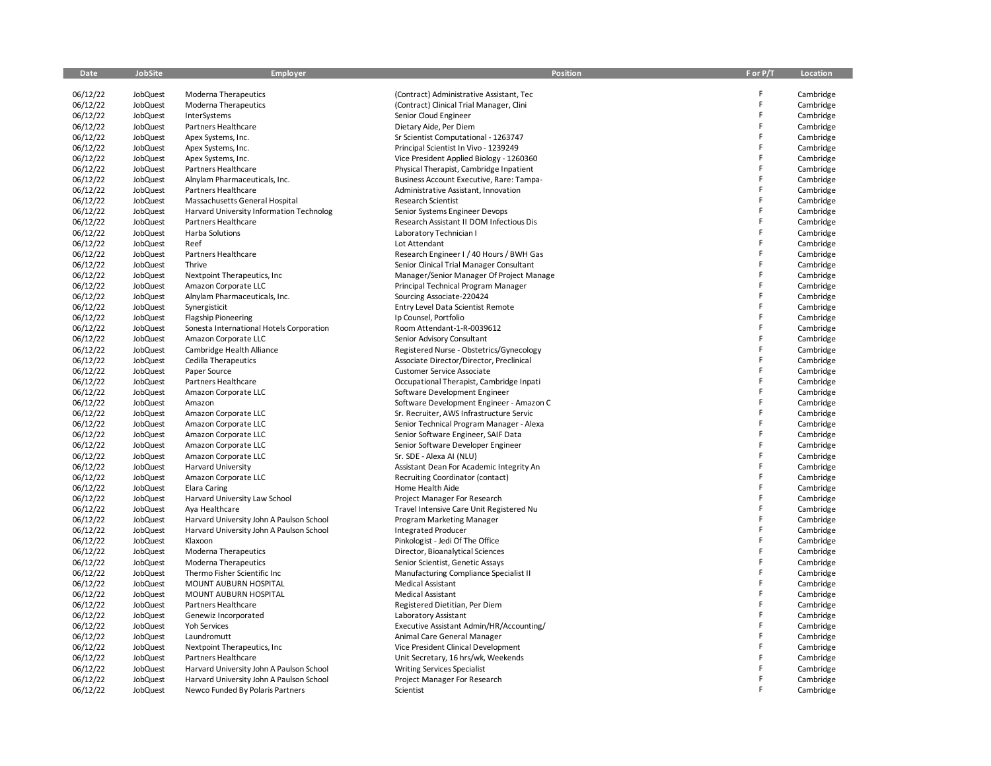| Date                 | JobSite              | Employer                                             | Position                                                                             | F or P/T | Location               |
|----------------------|----------------------|------------------------------------------------------|--------------------------------------------------------------------------------------|----------|------------------------|
| 06/12/22             | JobQuest             |                                                      |                                                                                      | F        |                        |
| 06/12/22             | JobQuest             | Moderna Therapeutics<br>Moderna Therapeutics         | (Contract) Administrative Assistant, Tec<br>(Contract) Clinical Trial Manager, Clini | F        | Cambridge<br>Cambridge |
| 06/12/22             | JobQuest             | InterSystems                                         | Senior Cloud Engineer                                                                | E        | Cambridge              |
| 06/12/22             | JobQuest             | Partners Healthcare                                  | Dietary Aide, Per Diem                                                               | F        | Cambridge              |
| 06/12/22             | JobQuest             | Apex Systems, Inc.                                   | Sr Scientist Computational - 1263747                                                 | F        | Cambridge              |
| 06/12/22             | JobQuest             | Apex Systems, Inc.                                   | Principal Scientist In Vivo - 1239249                                                | F        | Cambridge              |
| 06/12/22             | JobQuest             | Apex Systems, Inc.                                   | Vice President Applied Biology - 1260360                                             |          | Cambridge              |
| 06/12/22             | JobQuest             | Partners Healthcare                                  | Physical Therapist, Cambridge Inpatient                                              | F        | Cambridge              |
| 06/12/22             | JobQuest             | Alnylam Pharmaceuticals, Inc.                        | Business Account Executive, Rare: Tampa-                                             |          | Cambridge              |
| 06/12/22             | JobQuest             | Partners Healthcare                                  | Administrative Assistant, Innovation                                                 | E        | Cambridge              |
| 06/12/22             | JobQuest             | Massachusetts General Hospital                       | <b>Research Scientist</b>                                                            |          | Cambridge              |
| 06/12/22             | JobQuest             | Harvard University Information Technolog             | Senior Systems Engineer Devops                                                       | E        | Cambridge              |
| 06/12/22             | JobQuest             | Partners Healthcare                                  | Research Assistant II DOM Infectious Dis                                             | F        | Cambridge              |
| 06/12/22             | JobQuest             | Harba Solutions                                      | Laboratory Technician I                                                              | E        | Cambridge              |
| 06/12/22             | JobQuest             | Reef                                                 | Lot Attendant                                                                        | E        | Cambridge              |
| 06/12/22             | JobQuest             | Partners Healthcare                                  | Research Engineer I / 40 Hours / BWH Gas                                             | E        | Cambridge              |
| 06/12/22             | JobQuest             | Thrive                                               | Senior Clinical Trial Manager Consultant                                             | E        | Cambridge              |
| 06/12/22             | JobQuest             | Nextpoint Therapeutics, Inc.                         | Manager/Senior Manager Of Project Manage                                             | F        | Cambridge              |
| 06/12/22             | JobQuest             | Amazon Corporate LLC                                 | Principal Technical Program Manager                                                  | F        | Cambridge              |
| 06/12/22             | JobQuest             | Alnylam Pharmaceuticals, Inc.                        | Sourcing Associate-220424                                                            | F        | Cambridge              |
| 06/12/22             | JobQuest             | Synergisticit                                        | <b>Entry Level Data Scientist Remote</b>                                             | E        | Cambridge              |
| 06/12/22             | JobQuest             | <b>Flagship Pioneering</b>                           | Ip Counsel, Portfolio                                                                | F        | Cambridge              |
| 06/12/22             | JobQuest             | Sonesta International Hotels Corporation             | Room Attendant-1-R-0039612                                                           | F        | Cambridge              |
| 06/12/22             | JobQuest             | Amazon Corporate LLC                                 | Senior Advisory Consultant                                                           | F        | Cambridge              |
| 06/12/22             | JobQuest             | Cambridge Health Alliance                            | Registered Nurse - Obstetrics/Gynecology                                             | F        | Cambridge              |
| 06/12/22             | JobQuest             | <b>Cedilla Therapeutics</b>                          | Associate Director/Director, Preclinical                                             |          | Cambridge              |
| 06/12/22             | JobQuest             | Paper Source                                         | <b>Customer Service Associate</b>                                                    |          | Cambridge              |
| 06/12/22             | JobQuest             | Partners Healthcare                                  | Occupational Therapist, Cambridge Inpati                                             |          | Cambridge              |
| 06/12/22             | JobQuest             | Amazon Corporate LLC                                 | Software Development Engineer                                                        |          | Cambridge              |
| 06/12/22             | JobQuest             | Amazon                                               | Software Development Engineer - Amazon C                                             |          | Cambridge              |
| 06/12/22             | JobQuest             | Amazon Corporate LLC                                 | Sr. Recruiter, AWS Infrastructure Servic                                             | F        | Cambridge              |
| 06/12/22             | JobQuest             | Amazon Corporate LLC                                 | Senior Technical Program Manager - Alexa                                             | E        | Cambridge              |
| 06/12/22             | JobQuest             | Amazon Corporate LLC                                 | Senior Software Engineer, SAIF Data                                                  | F        | Cambridge              |
| 06/12/22             | JobQuest             | Amazon Corporate LLC                                 | Senior Software Developer Engineer                                                   | F        | Cambridge              |
| 06/12/22             | JobQuest             | Amazon Corporate LLC                                 | Sr. SDE - Alexa AI (NLU)                                                             | E        | Cambridge              |
| 06/12/22             | JobQuest             | Harvard University                                   | Assistant Dean For Academic Integrity An                                             | E        | Cambridge              |
| 06/12/22             | JobQuest             | Amazon Corporate LLC                                 | Recruiting Coordinator (contact)                                                     | F        | Cambridge              |
| 06/12/22             | JobQuest             | <b>Elara Caring</b>                                  | Home Health Aide                                                                     | F        | Cambridge              |
| 06/12/22             | JobQuest             | Harvard University Law School                        | Project Manager For Research                                                         | F        | Cambridge              |
| 06/12/22             | JobQuest             | Aya Healthcare                                       | Travel Intensive Care Unit Registered Nu                                             | E        | Cambridge              |
| 06/12/22             | JobQuest             | Harvard University John A Paulson School             | Program Marketing Manager                                                            | F        | Cambridge              |
| 06/12/22             | JobQuest             | Harvard University John A Paulson School             | <b>Integrated Producer</b>                                                           | F        | Cambridge              |
| 06/12/22             | JobQuest             | Klaxoon                                              | Pinkologist - Jedi Of The Office                                                     | F        | Cambridge              |
| 06/12/22             | JobQuest             | Moderna Therapeutics                                 | Director, Bioanalytical Sciences                                                     |          | Cambridge              |
| 06/12/22             | JobQuest<br>JobQuest | Moderna Therapeutics<br>Thermo Fisher Scientific Inc | Senior Scientist, Genetic Assays                                                     |          | Cambridge              |
| 06/12/22<br>06/12/22 | JobQuest             | MOUNT AUBURN HOSPITAL                                | Manufacturing Compliance Specialist II<br><b>Medical Assistant</b>                   |          | Cambridge<br>Cambridge |
| 06/12/22             | JobQuest             | MOUNT AUBURN HOSPITAL                                | <b>Medical Assistant</b>                                                             | F        | Cambridge              |
| 06/12/22             | JobQuest             | Partners Healthcare                                  | Registered Dietitian, Per Diem                                                       |          | Cambridge              |
| 06/12/22             | JobQuest             | Genewiz Incorporated                                 | Laboratory Assistant                                                                 |          | Cambridge              |
| 06/12/22             | JobQuest             | <b>Yoh Services</b>                                  | Executive Assistant Admin/HR/Accounting/                                             | E        | Cambridge              |
| 06/12/22             | JobQuest             | Laundromutt                                          | Animal Care General Manager                                                          | E        | Cambridge              |
| 06/12/22             | JobQuest             | Nextpoint Therapeutics, Inc                          | Vice President Clinical Development                                                  |          | Cambridge              |
| 06/12/22             | JobQuest             | Partners Healthcare                                  | Unit Secretary, 16 hrs/wk, Weekends                                                  | F        | Cambridge              |
| 06/12/22             | JobQuest             | Harvard University John A Paulson School             | <b>Writing Services Specialist</b>                                                   | F        | Cambridge              |
| 06/12/22             | JobQuest             | Harvard University John A Paulson School             | Project Manager For Research                                                         | F        | Cambridge              |
| 06/12/22             | JobQuest             | Newco Funded By Polaris Partners                     | Scientist                                                                            |          | Cambridge              |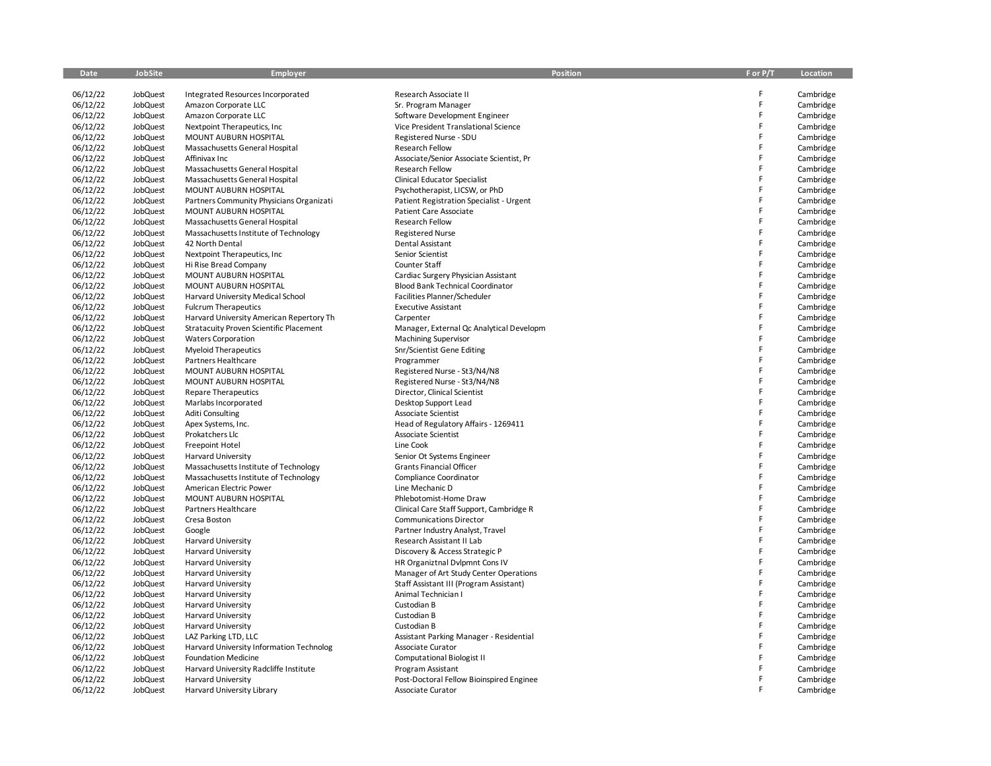| Date                 | <b>JobSite</b>       | <b>Employer</b>                                | <b>Position</b>                                                                | For P/T | Location               |
|----------------------|----------------------|------------------------------------------------|--------------------------------------------------------------------------------|---------|------------------------|
|                      |                      |                                                |                                                                                |         |                        |
| 06/12/22             | JobQuest             | Integrated Resources Incorporated              | Research Associate II                                                          | F       | Cambridge              |
| 06/12/22             | JobQuest             | Amazon Corporate LLC                           | Sr. Program Manager                                                            | F<br>F  | Cambridge              |
| 06/12/22             | JobQuest             | Amazon Corporate LLC                           | Software Development Engineer                                                  |         | Cambridge              |
| 06/12/22             | JobQuest             | Nextpoint Therapeutics, Inc.                   | Vice President Translational Science                                           | F<br>F  | Cambridge              |
| 06/12/22             | JobQuest             | MOUNT AUBURN HOSPITAL                          | Registered Nurse - SDU                                                         |         | Cambridge              |
| 06/12/22             | JobQuest             | Massachusetts General Hospital                 | Research Fellow                                                                | F       | Cambridge              |
| 06/12/22             | JobQuest             | Affinivax Inc                                  | Associate/Senior Associate Scientist, Pr                                       | F       | Cambridge              |
| 06/12/22             | JobQuest             | Massachusetts General Hospital                 | Research Fellow                                                                | F       | Cambridge              |
| 06/12/22             | JobQuest             | Massachusetts General Hospital                 | <b>Clinical Educator Specialist</b>                                            | F       | Cambridge              |
| 06/12/22             | JobQuest             | MOUNT AUBURN HOSPITAL                          | Psychotherapist, LICSW, or PhD                                                 | F<br>F  | Cambridge              |
| 06/12/22             | JobQuest             | Partners Community Physicians Organizati       | Patient Registration Specialist - Urgent                                       | F       | Cambridge              |
| 06/12/22             | JobQuest             | MOUNT AUBURN HOSPITAL                          | Patient Care Associate                                                         | F       | Cambridge              |
| 06/12/22             | JobQuest             | Massachusetts General Hospital                 | <b>Research Fellow</b>                                                         | F       | Cambridge              |
| 06/12/22             | JobQuest             | Massachusetts Institute of Technology          | <b>Registered Nurse</b>                                                        | F       | Cambridge              |
| 06/12/22<br>06/12/22 | JobQuest             | 42 North Dental                                | Dental Assistant<br>Senior Scientist                                           | F       | Cambridge              |
| 06/12/22             | JobQuest             | Nextpoint Therapeutics, Inc.                   |                                                                                | F       | Cambridge              |
| 06/12/22             | JobQuest             | Hi Rise Bread Company<br>MOUNT AUBURN HOSPITAL | Counter Staff                                                                  | F       | Cambridge<br>Cambridge |
| 06/12/22             | JobQuest<br>JobQuest | MOUNT AUBURN HOSPITAL                          | Cardiac Surgery Physician Assistant<br><b>Blood Bank Technical Coordinator</b> | F       | Cambridge              |
| 06/12/22             | JobQuest             | Harvard University Medical School              | Facilities Planner/Scheduler                                                   | F       | Cambridge              |
| 06/12/22             | JobQuest             | <b>Fulcrum Therapeutics</b>                    | <b>Executive Assistant</b>                                                     | F       | Cambridge              |
| 06/12/22             | JobQuest             | Harvard University American Repertory Th       | Carpenter                                                                      | F       | Cambridge              |
| 06/12/22             | JobQuest             | <b>Stratacuity Proven Scientific Placement</b> | Manager, External Qc Analytical Developm                                       | F       | Cambridge              |
| 06/12/22             | JobQuest             | <b>Waters Corporation</b>                      | <b>Machining Supervisor</b>                                                    | F       | Cambridge              |
| 06/12/22             | JobQuest             | <b>Myeloid Therapeutics</b>                    | Snr/Scientist Gene Editing                                                     | F       | Cambridge              |
| 06/12/22             | JobQuest             | Partners Healthcare                            | Programmer                                                                     | F       | Cambridge              |
| 06/12/22             | JobQuest             | MOUNT AUBURN HOSPITAL                          | Registered Nurse - St3/N4/N8                                                   | F       | Cambridge              |
| 06/12/22             | JobQuest             | MOUNT AUBURN HOSPITAL                          | Registered Nurse - St3/N4/N8                                                   | F       | Cambridge              |
| 06/12/22             | JobQuest             | <b>Repare Therapeutics</b>                     | Director, Clinical Scientist                                                   | F       | Cambridge              |
| 06/12/22             | JobQuest             | Marlabs Incorporated                           | Desktop Support Lead                                                           | F       | Cambridge              |
| 06/12/22             | JobQuest             | Aditi Consulting                               | Associate Scientist                                                            | F       | Cambridge              |
| 06/12/22             | JobQuest             | Apex Systems, Inc.                             | Head of Regulatory Affairs - 1269411                                           | F       | Cambridge              |
| 06/12/22             | JobQuest             | Prokatchers Llc                                | Associate Scientist                                                            | F       | Cambridge              |
| 06/12/22             | JobQuest             | Freepoint Hotel                                | Line Cook                                                                      | F       | Cambridge              |
| 06/12/22             | JobQuest             | Harvard University                             | Senior Ot Systems Engineer                                                     | F       | Cambridge              |
| 06/12/22             | JobQuest             | Massachusetts Institute of Technology          | <b>Grants Financial Officer</b>                                                | F       | Cambridge              |
| 06/12/22             | JobQuest             | Massachusetts Institute of Technology          | Compliance Coordinator                                                         | F       | Cambridge              |
| 06/12/22             | JobQuest             | American Electric Power                        | Line Mechanic D                                                                | F       | Cambridge              |
| 06/12/22             | JobQuest             | MOUNT AUBURN HOSPITAL                          | Phlebotomist-Home Draw                                                         | F       | Cambridge              |
| 06/12/22             | JobQuest             | Partners Healthcare                            | Clinical Care Staff Support, Cambridge R                                       | F       | Cambridge              |
| 06/12/22             | JobQuest             | Cresa Boston                                   | <b>Communications Director</b>                                                 | F       | Cambridge              |
| 06/12/22             | JobQuest             | Google                                         | Partner Industry Analyst, Travel                                               | F       | Cambridge              |
| 06/12/22             | JobQuest             | <b>Harvard University</b>                      | Research Assistant II Lab                                                      | F       | Cambridge              |
| 06/12/22             | JobQuest             | <b>Harvard University</b>                      | Discovery & Access Strategic P                                                 | F       | Cambridge              |
| 06/12/22             | JobQuest             | <b>Harvard University</b>                      | HR Organiztnal Dvlpmnt Cons IV                                                 | F       | Cambridge              |
| 06/12/22             | JobQuest             | <b>Harvard University</b>                      | Manager of Art Study Center Operations                                         | F       | Cambridge              |
| 06/12/22             | JobQuest             | <b>Harvard University</b>                      | Staff Assistant III (Program Assistant)                                        | F       | Cambridge              |
| 06/12/22             | JobQuest             | <b>Harvard University</b>                      | Animal Technician I                                                            | F       | Cambridge              |
| 06/12/22             | JobQuest             | <b>Harvard University</b>                      | Custodian B                                                                    | F       | Cambridge              |
| 06/12/22             | JobQuest             | <b>Harvard University</b>                      | Custodian B                                                                    | F       | Cambridge              |
| 06/12/22             | JobQuest             | <b>Harvard University</b>                      | Custodian B                                                                    | F       | Cambridge              |
| 06/12/22             | JobQuest             | LAZ Parking LTD, LLC                           | Assistant Parking Manager - Residential                                        | F       | Cambridge              |
| 06/12/22             | JobQuest             | Harvard University Information Technolog       | Associate Curator                                                              | F       | Cambridge              |
| 06/12/22             | JobQuest             | <b>Foundation Medicine</b>                     | <b>Computational Biologist II</b>                                              | F       | Cambridge              |
| 06/12/22             | JobQuest             | Harvard University Radcliffe Institute         | Program Assistant                                                              | F       | Cambridge              |
| 06/12/22             | JobQuest             | <b>Harvard University</b>                      | Post-Doctoral Fellow Bioinspired Enginee                                       | F       | Cambridge              |
| 06/12/22             | JobQuest             | Harvard University Library                     | Associate Curator                                                              | F       | Cambridge              |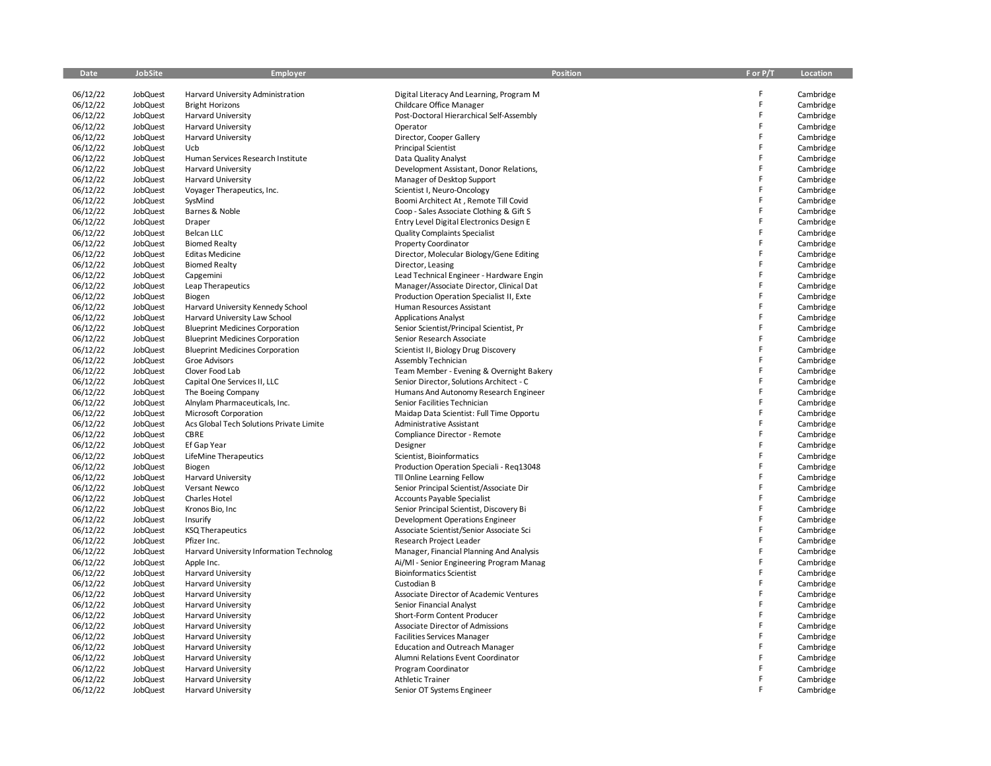| Date     | <b>JobSite</b> | Employer                                 | Position                                 | F or P/T | Location  |
|----------|----------------|------------------------------------------|------------------------------------------|----------|-----------|
|          |                |                                          |                                          |          |           |
| 06/12/22 | JobQuest       | Harvard University Administration        | Digital Literacy And Learning, Program M | F        | Cambridge |
| 06/12/22 | JobQuest       | <b>Bright Horizons</b>                   | Childcare Office Manager                 | F        | Cambridge |
| 06/12/22 | JobQuest       | <b>Harvard University</b>                | Post-Doctoral Hierarchical Self-Assembly | F        | Cambridge |
| 06/12/22 | JobQuest       | <b>Harvard University</b>                | Operator                                 | F        | Cambridge |
| 06/12/22 | JobQuest       | <b>Harvard University</b>                | Director, Cooper Gallery                 | F        | Cambridge |
| 06/12/22 | JobQuest       | Ucb                                      | <b>Principal Scientist</b>               | F        | Cambridge |
| 06/12/22 | JobQuest       | Human Services Research Institute        | Data Quality Analyst                     | F        | Cambridge |
| 06/12/22 | JobQuest       | <b>Harvard University</b>                | Development Assistant, Donor Relations,  | F        | Cambridge |
| 06/12/22 | JobQuest       | <b>Harvard University</b>                | Manager of Desktop Support               | F        | Cambridge |
| 06/12/22 | JobQuest       | Voyager Therapeutics, Inc.               | Scientist I, Neuro-Oncology              | F        | Cambridge |
| 06/12/22 | JobQuest       | SysMind                                  | Boomi Architect At, Remote Till Covid    | F        | Cambridge |
| 06/12/22 | JobQuest       | Barnes & Noble                           | Coop - Sales Associate Clothing & Gift S | F        | Cambridge |
| 06/12/22 | JobQuest       | Draper                                   | Entry Level Digital Electronics Design E | F        | Cambridge |
| 06/12/22 | JobQuest       | <b>Belcan LLC</b>                        | <b>Quality Complaints Specialist</b>     | F        | Cambridge |
| 06/12/22 | JobQuest       | <b>Biomed Realty</b>                     | Property Coordinator                     | F        | Cambridge |
| 06/12/22 | JobQuest       | <b>Editas Medicine</b>                   | Director, Molecular Biology/Gene Editing | F        | Cambridge |
| 06/12/22 | JobQuest       | <b>Biomed Realty</b>                     | Director, Leasing                        | F        | Cambridge |
| 06/12/22 | JobQuest       | Capgemini                                | Lead Technical Engineer - Hardware Engin | F        | Cambridge |
| 06/12/22 | JobQuest       | Leap Therapeutics                        | Manager/Associate Director, Clinical Dat | F        | Cambridge |
| 06/12/22 | JobQuest       | Biogen                                   | Production Operation Specialist II, Exte | F        | Cambridge |
| 06/12/22 | JobQuest       | Harvard University Kennedy School        | Human Resources Assistant                | F        | Cambridge |
| 06/12/22 | JobQuest       | Harvard University Law School            | <b>Applications Analyst</b>              | F        | Cambridge |
| 06/12/22 | JobQuest       | <b>Blueprint Medicines Corporation</b>   | Senior Scientist/Principal Scientist, Pr | F        | Cambridge |
| 06/12/22 | JobQuest       | <b>Blueprint Medicines Corporation</b>   | Senior Research Associate                | F        | Cambridge |
| 06/12/22 | JobQuest       | <b>Blueprint Medicines Corporation</b>   | Scientist II, Biology Drug Discovery     | F        | Cambridge |
| 06/12/22 | JobQuest       | Groe Advisors                            | Assembly Technician                      | F        | Cambridge |
| 06/12/22 | JobQuest       | Clover Food Lab                          | Team Member - Evening & Overnight Bakery | F        | Cambridge |
| 06/12/22 | JobQuest       | Capital One Services II, LLC             | Senior Director, Solutions Architect - C | F        | Cambridge |
| 06/12/22 | JobQuest       | The Boeing Company                       | Humans And Autonomy Research Engineer    | F        | Cambridge |
| 06/12/22 | JobQuest       | Alnylam Pharmaceuticals, Inc.            | Senior Facilities Technician             | F        | Cambridge |
| 06/12/22 | JobQuest       | <b>Microsoft Corporation</b>             | Maidap Data Scientist: Full Time Opportu | F        | Cambridge |
| 06/12/22 | JobQuest       | Acs Global Tech Solutions Private Limite | Administrative Assistant                 | F        | Cambridge |
| 06/12/22 | JobQuest       | CBRE                                     | Compliance Director - Remote             | F        | Cambridge |
| 06/12/22 | JobQuest       | Ef Gap Year                              | Designer                                 | F        | Cambridge |
| 06/12/22 | JobQuest       | LifeMine Therapeutics                    | Scientist, Bioinformatics                | F        | Cambridge |
| 06/12/22 | JobQuest       | Biogen                                   | Production Operation Speciali - Reg13048 | F        | Cambridge |
| 06/12/22 | JobQuest       | <b>Harvard University</b>                | Tll Online Learning Fellow               | F        | Cambridge |
| 06/12/22 | JobQuest       | Versant Newco                            | Senior Principal Scientist/Associate Dir | F        | Cambridge |
| 06/12/22 | JobQuest       | Charles Hotel                            | Accounts Payable Specialist              | F        | Cambridge |
| 06/12/22 | JobQuest       | Kronos Bio, Inc                          | Senior Principal Scientist, Discovery Bi | F        | Cambridge |
| 06/12/22 | JobQuest       | Insurify                                 | Development Operations Engineer          | F        | Cambridge |
| 06/12/22 | JobQuest       | <b>KSQ Therapeutics</b>                  | Associate Scientist/Senior Associate Sci | F        | Cambridge |
| 06/12/22 | JobQuest       | Pfizer Inc.                              | Research Project Leader                  | F        | Cambridge |
| 06/12/22 | JobQuest       | Harvard University Information Technolog | Manager, Financial Planning And Analysis | F        | Cambridge |
| 06/12/22 | JobQuest       | Apple Inc.                               | Ai/MI - Senior Engineering Program Manag | F        | Cambridge |
| 06/12/22 | JobQuest       | <b>Harvard University</b>                | <b>Bioinformatics Scientist</b>          | F        | Cambridge |
| 06/12/22 | JobQuest       | <b>Harvard University</b>                | Custodian B                              | F        | Cambridge |
| 06/12/22 | JobQuest       | <b>Harvard University</b>                | Associate Director of Academic Ventures  | F        | Cambridge |
| 06/12/22 | JobQuest       | <b>Harvard University</b>                | Senior Financial Analyst                 | F        | Cambridge |
| 06/12/22 | JobQuest       | <b>Harvard University</b>                | Short-Form Content Producer              | F        | Cambridge |
| 06/12/22 | JobQuest       | <b>Harvard University</b>                | Associate Director of Admissions         | F        | Cambridge |
| 06/12/22 | JobQuest       | <b>Harvard University</b>                | <b>Facilities Services Manager</b>       | F        | Cambridge |
| 06/12/22 | JobQuest       | <b>Harvard University</b>                | <b>Education and Outreach Manager</b>    | F        | Cambridge |
| 06/12/22 | JobQuest       | <b>Harvard University</b>                | Alumni Relations Event Coordinator       | F        | Cambridge |
| 06/12/22 | JobQuest       | <b>Harvard University</b>                | Program Coordinator                      | F        | Cambridge |
| 06/12/22 | JobQuest       | <b>Harvard University</b>                | <b>Athletic Trainer</b>                  | F        | Cambridge |
| 06/12/22 | JobQuest       | <b>Harvard University</b>                | Senior OT Systems Engineer               | F        | Cambridge |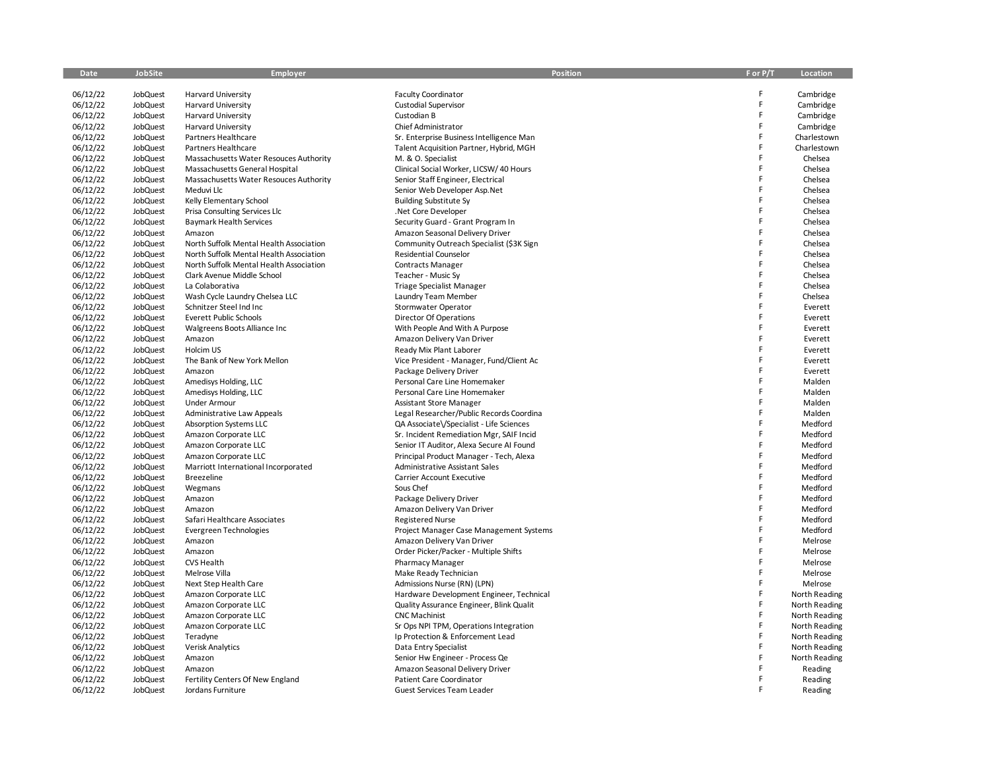| F<br>06/12/22<br>JobQuest<br><b>Harvard University</b><br><b>Faculty Coordinator</b><br>Cambridge<br>F<br>06/12/22<br>JobQuest<br><b>Harvard University</b><br>Custodial Supervisor<br>Cambridge<br>F<br>06/12/22<br>JobQuest<br><b>Harvard University</b><br>Custodian B<br>Cambridge<br>F<br>06/12/22<br>JobQuest<br><b>Harvard University</b><br>Chief Administrator<br>Cambridge<br>F<br>06/12/22<br>JobQuest<br>Sr. Enterprise Business Intelligence Man<br>Charlestown<br>Partners Healthcare<br>06/12/22<br>F<br>JobQuest<br>Talent Acquisition Partner, Hybrid, MGH<br>Charlestown<br>Partners Healthcare<br>F<br>06/12/22<br>JobQuest<br>Massachusetts Water Resouces Authority<br>M. & O. Specialist<br>Chelsea<br>F<br>06/12/22<br>Clinical Social Worker, LICSW/ 40 Hours<br>JobQuest<br>Massachusetts General Hospital<br>Chelsea<br>F<br>06/12/22<br>Chelsea<br>JobQuest<br>Massachusetts Water Resouces Authority<br>Senior Staff Engineer, Electrical<br>F<br>06/12/22<br>JobQuest<br>Meduvi Llc<br>Senior Web Developer Asp.Net<br>Chelsea<br>F<br>06/12/22<br>Kelly Elementary School<br>JobQuest<br><b>Building Substitute Sy</b><br>Chelsea<br>F<br>06/12/22<br>JobQuest<br>Prisa Consulting Services Llc<br>.Net Core Developer<br>Chelsea<br>F<br>06/12/22<br>JobQuest<br><b>Baymark Health Services</b><br>Security Guard - Grant Program In<br>Chelsea<br>F<br>06/12/22<br>JobQuest<br>Amazon<br>Amazon Seasonal Delivery Driver<br>Chelsea<br>F<br>06/12/22<br>JobQuest<br>North Suffolk Mental Health Association<br>Community Outreach Specialist (\$3K Sign<br>Chelsea<br>F<br>06/12/22<br>JobQuest<br>North Suffolk Mental Health Association<br><b>Residential Counselor</b><br>Chelsea<br>F<br>06/12/22<br>JobQuest<br>North Suffolk Mental Health Association<br><b>Contracts Manager</b><br>Chelsea<br>F<br>06/12/22<br>JobQuest<br>Clark Avenue Middle School<br>Teacher - Music Sy<br>Chelsea<br>F<br>06/12/22<br>JobQuest<br>La Colaborativa<br><b>Triage Specialist Manager</b><br>Chelsea<br>F<br>06/12/22<br>JobQuest<br>Wash Cycle Laundry Chelsea LLC<br>Laundry Team Member<br>Chelsea<br>F<br>06/12/22<br>JobQuest<br>Schnitzer Steel Ind Inc<br>Stormwater Operator<br>Everett<br>F<br>06/12/22<br>Director Of Operations<br>JobQuest<br>Everett Public Schools<br>Everett<br>F<br>06/12/22<br>JobQuest<br>Walgreens Boots Alliance Inc<br>With People And With A Purpose<br>Everett<br>F<br>06/12/22<br>JobQuest<br>Amazon Delivery Van Driver<br>Amazon<br>Everett<br>F<br>06/12/22<br>JobQuest<br>Holcim US<br>Ready Mix Plant Laborer<br>Everett<br>F<br>06/12/22<br>JobQuest<br>The Bank of New York Mellon<br>Vice President - Manager, Fund/Client Ac<br>Everett<br>F<br>06/12/22<br>JobQuest<br>Amazon<br>Package Delivery Driver<br>Everett<br>Ë<br>06/12/22<br>JobQuest<br>Amedisys Holding, LLC<br>Personal Care Line Homemaker<br>Malden<br>F<br>06/12/22<br>JobQuest<br>Amedisys Holding, LLC<br>Personal Care Line Homemaker<br>Malden<br>F<br>06/12/22<br>JobQuest<br>Under Armour<br><b>Assistant Store Manager</b><br>Malden<br>F<br>06/12/22<br>JobQuest<br>Legal Researcher/Public Records Coordina<br>Malden<br>Administrative Law Appeals<br>F<br>06/12/22<br>Medford<br>JobQuest<br><b>Absorption Systems LLC</b><br>QA Associate \/ Specialist - Life Sciences<br>F<br>06/12/22<br>JobQuest<br>Amazon Corporate LLC<br>Sr. Incident Remediation Mgr, SAIF Incid<br>Medford<br>F<br>06/12/22<br>JobQuest<br>Amazon Corporate LLC<br>Senior IT Auditor, Alexa Secure AI Found<br>Medford<br>F<br>06/12/22<br>Medford<br>JobQuest<br>Amazon Corporate LLC<br>Principal Product Manager - Tech, Alexa<br>F<br>06/12/22<br>Medford<br>JobQuest<br>Marriott International Incorporated<br><b>Administrative Assistant Sales</b><br>F<br>06/12/22<br>JobQuest<br><b>Carrier Account Executive</b><br>Medford<br>Breezeline<br>F<br>06/12/22<br>Wegmans<br>Sous Chef<br>Medford<br>JobQuest<br>F<br>06/12/22<br>JobQuest<br>Amazon<br>Package Delivery Driver<br>Medford<br>F<br>06/12/22<br>Medford<br>JobQuest<br>Amazon<br>Amazon Delivery Van Driver<br>F<br>06/12/22<br>JobQuest<br>Safari Healthcare Associates<br><b>Registered Nurse</b><br>Medford<br>Ë<br>06/12/22<br>JobQuest<br>Evergreen Technologies<br>Project Manager Case Management Systems<br>Medford<br>06/12/22<br>F<br>JobQuest<br>Amazon<br>Amazon Delivery Van Driver<br>Melrose<br>F<br>06/12/22<br>JobQuest<br>Order Picker/Packer - Multiple Shifts<br>Amazon<br>Melrose<br>F<br>06/12/22<br>JobQuest<br>CVS Health<br>Pharmacy Manager<br>Melrose<br>06/12/22<br>F<br>JobQuest<br>Make Ready Technician<br>Melrose<br>Melrose Villa<br>F<br>06/12/22<br>JobQuest<br>Next Step Health Care<br>Admissions Nurse (RN) (LPN)<br>Melrose<br>F<br>06/12/22<br>JobQuest<br>Amazon Corporate LLC<br>Hardware Development Engineer, Technical<br>North Reading<br>F<br>06/12/22<br>JobQuest<br>Amazon Corporate LLC<br>Quality Assurance Engineer, Blink Qualit<br>North Reading<br>F<br>06/12/22<br>JobQuest<br>Amazon Corporate LLC<br><b>CNC Machinist</b><br>North Reading<br>06/12/22<br>JobQuest<br>Amazon Corporate LLC<br>Sr Ops NPI TPM, Operations Integration<br>North Reading<br>06/12/22<br>JobQuest<br>Ip Protection & Enforcement Lead<br>F<br>North Reading<br>Teradyne<br>06/12/22<br>JobQuest<br><b>Verisk Analytics</b><br>Data Entry Specialist<br>North Reading<br>06/12/22<br>JobQuest<br>Amazon<br>Senior Hw Engineer - Process Qe<br>North Reading<br>06/12/22<br>JobQuest<br>Amazon Seasonal Delivery Driver<br>Amazon<br>Reading<br>F<br>06/12/22<br>JobQuest<br>Fertility Centers Of New England<br>Patient Care Coordinator<br>Reading<br>06/12/22<br>JobQuest<br>Jordans Furniture<br>Guest Services Team Leader<br>Reading | Date | <b>JobSite</b> | <b>Employer</b> | <b>Position</b> | F or P/T | Location |
|----------------------------------------------------------------------------------------------------------------------------------------------------------------------------------------------------------------------------------------------------------------------------------------------------------------------------------------------------------------------------------------------------------------------------------------------------------------------------------------------------------------------------------------------------------------------------------------------------------------------------------------------------------------------------------------------------------------------------------------------------------------------------------------------------------------------------------------------------------------------------------------------------------------------------------------------------------------------------------------------------------------------------------------------------------------------------------------------------------------------------------------------------------------------------------------------------------------------------------------------------------------------------------------------------------------------------------------------------------------------------------------------------------------------------------------------------------------------------------------------------------------------------------------------------------------------------------------------------------------------------------------------------------------------------------------------------------------------------------------------------------------------------------------------------------------------------------------------------------------------------------------------------------------------------------------------------------------------------------------------------------------------------------------------------------------------------------------------------------------------------------------------------------------------------------------------------------------------------------------------------------------------------------------------------------------------------------------------------------------------------------------------------------------------------------------------------------------------------------------------------------------------------------------------------------------------------------------------------------------------------------------------------------------------------------------------------------------------------------------------------------------------------------------------------------------------------------------------------------------------------------------------------------------------------------------------------------------------------------------------------------------------------------------------------------------------------------------------------------------------------------------------------------------------------------------------------------------------------------------------------------------------------------------------------------------------------------------------------------------------------------------------------------------------------------------------------------------------------------------------------------------------------------------------------------------------------------------------------------------------------------------------------------------------------------------------------------------------------------------------------------------------------------------------------------------------------------------------------------------------------------------------------------------------------------------------------------------------------------------------------------------------------------------------------------------------------------------------------------------------------------------------------------------------------------------------------------------------------------------------------------------------------------------------------------------------------------------------------------------------------------------------------------------------------------------------------------------------------------------------------------------------------------------------------------------------------------------------------------------------------------------------------------------------------------------------------------------------------------------------------------------------------------------------------------------------------------------------------------------------------------------------------------------------------------------------------------------------------------------------------------------------------------------------------------------------------------------------------------------------------------------------------------------------------------------------------------------------------------------------------------------------------------------------------------------------------------------------------------------------------------------------------------------------------------------------------------------------------------------------------------------------------------------------------------------------------------------------------------------------------------------------------------------------------------------------------------------------------------------------------------------------------------------|------|----------------|-----------------|-----------------|----------|----------|
|                                                                                                                                                                                                                                                                                                                                                                                                                                                                                                                                                                                                                                                                                                                                                                                                                                                                                                                                                                                                                                                                                                                                                                                                                                                                                                                                                                                                                                                                                                                                                                                                                                                                                                                                                                                                                                                                                                                                                                                                                                                                                                                                                                                                                                                                                                                                                                                                                                                                                                                                                                                                                                                                                                                                                                                                                                                                                                                                                                                                                                                                                                                                                                                                                                                                                                                                                                                                                                                                                                                                                                                                                                                                                                                                                                                                                                                                                                                                                                                                                                                                                                                                                                                                                                                                                                                                                                                                                                                                                                                                                                                                                                                                                                                                                                                                                                                                                                                                                                                                                                                                                                                                                                                                                                                                                                                                                                                                                                                                                                                                                                                                                                                                                                                                                                                        |      |                |                 |                 |          |          |
|                                                                                                                                                                                                                                                                                                                                                                                                                                                                                                                                                                                                                                                                                                                                                                                                                                                                                                                                                                                                                                                                                                                                                                                                                                                                                                                                                                                                                                                                                                                                                                                                                                                                                                                                                                                                                                                                                                                                                                                                                                                                                                                                                                                                                                                                                                                                                                                                                                                                                                                                                                                                                                                                                                                                                                                                                                                                                                                                                                                                                                                                                                                                                                                                                                                                                                                                                                                                                                                                                                                                                                                                                                                                                                                                                                                                                                                                                                                                                                                                                                                                                                                                                                                                                                                                                                                                                                                                                                                                                                                                                                                                                                                                                                                                                                                                                                                                                                                                                                                                                                                                                                                                                                                                                                                                                                                                                                                                                                                                                                                                                                                                                                                                                                                                                                                        |      |                |                 |                 |          |          |
|                                                                                                                                                                                                                                                                                                                                                                                                                                                                                                                                                                                                                                                                                                                                                                                                                                                                                                                                                                                                                                                                                                                                                                                                                                                                                                                                                                                                                                                                                                                                                                                                                                                                                                                                                                                                                                                                                                                                                                                                                                                                                                                                                                                                                                                                                                                                                                                                                                                                                                                                                                                                                                                                                                                                                                                                                                                                                                                                                                                                                                                                                                                                                                                                                                                                                                                                                                                                                                                                                                                                                                                                                                                                                                                                                                                                                                                                                                                                                                                                                                                                                                                                                                                                                                                                                                                                                                                                                                                                                                                                                                                                                                                                                                                                                                                                                                                                                                                                                                                                                                                                                                                                                                                                                                                                                                                                                                                                                                                                                                                                                                                                                                                                                                                                                                                        |      |                |                 |                 |          |          |
|                                                                                                                                                                                                                                                                                                                                                                                                                                                                                                                                                                                                                                                                                                                                                                                                                                                                                                                                                                                                                                                                                                                                                                                                                                                                                                                                                                                                                                                                                                                                                                                                                                                                                                                                                                                                                                                                                                                                                                                                                                                                                                                                                                                                                                                                                                                                                                                                                                                                                                                                                                                                                                                                                                                                                                                                                                                                                                                                                                                                                                                                                                                                                                                                                                                                                                                                                                                                                                                                                                                                                                                                                                                                                                                                                                                                                                                                                                                                                                                                                                                                                                                                                                                                                                                                                                                                                                                                                                                                                                                                                                                                                                                                                                                                                                                                                                                                                                                                                                                                                                                                                                                                                                                                                                                                                                                                                                                                                                                                                                                                                                                                                                                                                                                                                                                        |      |                |                 |                 |          |          |
|                                                                                                                                                                                                                                                                                                                                                                                                                                                                                                                                                                                                                                                                                                                                                                                                                                                                                                                                                                                                                                                                                                                                                                                                                                                                                                                                                                                                                                                                                                                                                                                                                                                                                                                                                                                                                                                                                                                                                                                                                                                                                                                                                                                                                                                                                                                                                                                                                                                                                                                                                                                                                                                                                                                                                                                                                                                                                                                                                                                                                                                                                                                                                                                                                                                                                                                                                                                                                                                                                                                                                                                                                                                                                                                                                                                                                                                                                                                                                                                                                                                                                                                                                                                                                                                                                                                                                                                                                                                                                                                                                                                                                                                                                                                                                                                                                                                                                                                                                                                                                                                                                                                                                                                                                                                                                                                                                                                                                                                                                                                                                                                                                                                                                                                                                                                        |      |                |                 |                 |          |          |
|                                                                                                                                                                                                                                                                                                                                                                                                                                                                                                                                                                                                                                                                                                                                                                                                                                                                                                                                                                                                                                                                                                                                                                                                                                                                                                                                                                                                                                                                                                                                                                                                                                                                                                                                                                                                                                                                                                                                                                                                                                                                                                                                                                                                                                                                                                                                                                                                                                                                                                                                                                                                                                                                                                                                                                                                                                                                                                                                                                                                                                                                                                                                                                                                                                                                                                                                                                                                                                                                                                                                                                                                                                                                                                                                                                                                                                                                                                                                                                                                                                                                                                                                                                                                                                                                                                                                                                                                                                                                                                                                                                                                                                                                                                                                                                                                                                                                                                                                                                                                                                                                                                                                                                                                                                                                                                                                                                                                                                                                                                                                                                                                                                                                                                                                                                                        |      |                |                 |                 |          |          |
|                                                                                                                                                                                                                                                                                                                                                                                                                                                                                                                                                                                                                                                                                                                                                                                                                                                                                                                                                                                                                                                                                                                                                                                                                                                                                                                                                                                                                                                                                                                                                                                                                                                                                                                                                                                                                                                                                                                                                                                                                                                                                                                                                                                                                                                                                                                                                                                                                                                                                                                                                                                                                                                                                                                                                                                                                                                                                                                                                                                                                                                                                                                                                                                                                                                                                                                                                                                                                                                                                                                                                                                                                                                                                                                                                                                                                                                                                                                                                                                                                                                                                                                                                                                                                                                                                                                                                                                                                                                                                                                                                                                                                                                                                                                                                                                                                                                                                                                                                                                                                                                                                                                                                                                                                                                                                                                                                                                                                                                                                                                                                                                                                                                                                                                                                                                        |      |                |                 |                 |          |          |
|                                                                                                                                                                                                                                                                                                                                                                                                                                                                                                                                                                                                                                                                                                                                                                                                                                                                                                                                                                                                                                                                                                                                                                                                                                                                                                                                                                                                                                                                                                                                                                                                                                                                                                                                                                                                                                                                                                                                                                                                                                                                                                                                                                                                                                                                                                                                                                                                                                                                                                                                                                                                                                                                                                                                                                                                                                                                                                                                                                                                                                                                                                                                                                                                                                                                                                                                                                                                                                                                                                                                                                                                                                                                                                                                                                                                                                                                                                                                                                                                                                                                                                                                                                                                                                                                                                                                                                                                                                                                                                                                                                                                                                                                                                                                                                                                                                                                                                                                                                                                                                                                                                                                                                                                                                                                                                                                                                                                                                                                                                                                                                                                                                                                                                                                                                                        |      |                |                 |                 |          |          |
|                                                                                                                                                                                                                                                                                                                                                                                                                                                                                                                                                                                                                                                                                                                                                                                                                                                                                                                                                                                                                                                                                                                                                                                                                                                                                                                                                                                                                                                                                                                                                                                                                                                                                                                                                                                                                                                                                                                                                                                                                                                                                                                                                                                                                                                                                                                                                                                                                                                                                                                                                                                                                                                                                                                                                                                                                                                                                                                                                                                                                                                                                                                                                                                                                                                                                                                                                                                                                                                                                                                                                                                                                                                                                                                                                                                                                                                                                                                                                                                                                                                                                                                                                                                                                                                                                                                                                                                                                                                                                                                                                                                                                                                                                                                                                                                                                                                                                                                                                                                                                                                                                                                                                                                                                                                                                                                                                                                                                                                                                                                                                                                                                                                                                                                                                                                        |      |                |                 |                 |          |          |
|                                                                                                                                                                                                                                                                                                                                                                                                                                                                                                                                                                                                                                                                                                                                                                                                                                                                                                                                                                                                                                                                                                                                                                                                                                                                                                                                                                                                                                                                                                                                                                                                                                                                                                                                                                                                                                                                                                                                                                                                                                                                                                                                                                                                                                                                                                                                                                                                                                                                                                                                                                                                                                                                                                                                                                                                                                                                                                                                                                                                                                                                                                                                                                                                                                                                                                                                                                                                                                                                                                                                                                                                                                                                                                                                                                                                                                                                                                                                                                                                                                                                                                                                                                                                                                                                                                                                                                                                                                                                                                                                                                                                                                                                                                                                                                                                                                                                                                                                                                                                                                                                                                                                                                                                                                                                                                                                                                                                                                                                                                                                                                                                                                                                                                                                                                                        |      |                |                 |                 |          |          |
|                                                                                                                                                                                                                                                                                                                                                                                                                                                                                                                                                                                                                                                                                                                                                                                                                                                                                                                                                                                                                                                                                                                                                                                                                                                                                                                                                                                                                                                                                                                                                                                                                                                                                                                                                                                                                                                                                                                                                                                                                                                                                                                                                                                                                                                                                                                                                                                                                                                                                                                                                                                                                                                                                                                                                                                                                                                                                                                                                                                                                                                                                                                                                                                                                                                                                                                                                                                                                                                                                                                                                                                                                                                                                                                                                                                                                                                                                                                                                                                                                                                                                                                                                                                                                                                                                                                                                                                                                                                                                                                                                                                                                                                                                                                                                                                                                                                                                                                                                                                                                                                                                                                                                                                                                                                                                                                                                                                                                                                                                                                                                                                                                                                                                                                                                                                        |      |                |                 |                 |          |          |
|                                                                                                                                                                                                                                                                                                                                                                                                                                                                                                                                                                                                                                                                                                                                                                                                                                                                                                                                                                                                                                                                                                                                                                                                                                                                                                                                                                                                                                                                                                                                                                                                                                                                                                                                                                                                                                                                                                                                                                                                                                                                                                                                                                                                                                                                                                                                                                                                                                                                                                                                                                                                                                                                                                                                                                                                                                                                                                                                                                                                                                                                                                                                                                                                                                                                                                                                                                                                                                                                                                                                                                                                                                                                                                                                                                                                                                                                                                                                                                                                                                                                                                                                                                                                                                                                                                                                                                                                                                                                                                                                                                                                                                                                                                                                                                                                                                                                                                                                                                                                                                                                                                                                                                                                                                                                                                                                                                                                                                                                                                                                                                                                                                                                                                                                                                                        |      |                |                 |                 |          |          |
|                                                                                                                                                                                                                                                                                                                                                                                                                                                                                                                                                                                                                                                                                                                                                                                                                                                                                                                                                                                                                                                                                                                                                                                                                                                                                                                                                                                                                                                                                                                                                                                                                                                                                                                                                                                                                                                                                                                                                                                                                                                                                                                                                                                                                                                                                                                                                                                                                                                                                                                                                                                                                                                                                                                                                                                                                                                                                                                                                                                                                                                                                                                                                                                                                                                                                                                                                                                                                                                                                                                                                                                                                                                                                                                                                                                                                                                                                                                                                                                                                                                                                                                                                                                                                                                                                                                                                                                                                                                                                                                                                                                                                                                                                                                                                                                                                                                                                                                                                                                                                                                                                                                                                                                                                                                                                                                                                                                                                                                                                                                                                                                                                                                                                                                                                                                        |      |                |                 |                 |          |          |
|                                                                                                                                                                                                                                                                                                                                                                                                                                                                                                                                                                                                                                                                                                                                                                                                                                                                                                                                                                                                                                                                                                                                                                                                                                                                                                                                                                                                                                                                                                                                                                                                                                                                                                                                                                                                                                                                                                                                                                                                                                                                                                                                                                                                                                                                                                                                                                                                                                                                                                                                                                                                                                                                                                                                                                                                                                                                                                                                                                                                                                                                                                                                                                                                                                                                                                                                                                                                                                                                                                                                                                                                                                                                                                                                                                                                                                                                                                                                                                                                                                                                                                                                                                                                                                                                                                                                                                                                                                                                                                                                                                                                                                                                                                                                                                                                                                                                                                                                                                                                                                                                                                                                                                                                                                                                                                                                                                                                                                                                                                                                                                                                                                                                                                                                                                                        |      |                |                 |                 |          |          |
|                                                                                                                                                                                                                                                                                                                                                                                                                                                                                                                                                                                                                                                                                                                                                                                                                                                                                                                                                                                                                                                                                                                                                                                                                                                                                                                                                                                                                                                                                                                                                                                                                                                                                                                                                                                                                                                                                                                                                                                                                                                                                                                                                                                                                                                                                                                                                                                                                                                                                                                                                                                                                                                                                                                                                                                                                                                                                                                                                                                                                                                                                                                                                                                                                                                                                                                                                                                                                                                                                                                                                                                                                                                                                                                                                                                                                                                                                                                                                                                                                                                                                                                                                                                                                                                                                                                                                                                                                                                                                                                                                                                                                                                                                                                                                                                                                                                                                                                                                                                                                                                                                                                                                                                                                                                                                                                                                                                                                                                                                                                                                                                                                                                                                                                                                                                        |      |                |                 |                 |          |          |
|                                                                                                                                                                                                                                                                                                                                                                                                                                                                                                                                                                                                                                                                                                                                                                                                                                                                                                                                                                                                                                                                                                                                                                                                                                                                                                                                                                                                                                                                                                                                                                                                                                                                                                                                                                                                                                                                                                                                                                                                                                                                                                                                                                                                                                                                                                                                                                                                                                                                                                                                                                                                                                                                                                                                                                                                                                                                                                                                                                                                                                                                                                                                                                                                                                                                                                                                                                                                                                                                                                                                                                                                                                                                                                                                                                                                                                                                                                                                                                                                                                                                                                                                                                                                                                                                                                                                                                                                                                                                                                                                                                                                                                                                                                                                                                                                                                                                                                                                                                                                                                                                                                                                                                                                                                                                                                                                                                                                                                                                                                                                                                                                                                                                                                                                                                                        |      |                |                 |                 |          |          |
|                                                                                                                                                                                                                                                                                                                                                                                                                                                                                                                                                                                                                                                                                                                                                                                                                                                                                                                                                                                                                                                                                                                                                                                                                                                                                                                                                                                                                                                                                                                                                                                                                                                                                                                                                                                                                                                                                                                                                                                                                                                                                                                                                                                                                                                                                                                                                                                                                                                                                                                                                                                                                                                                                                                                                                                                                                                                                                                                                                                                                                                                                                                                                                                                                                                                                                                                                                                                                                                                                                                                                                                                                                                                                                                                                                                                                                                                                                                                                                                                                                                                                                                                                                                                                                                                                                                                                                                                                                                                                                                                                                                                                                                                                                                                                                                                                                                                                                                                                                                                                                                                                                                                                                                                                                                                                                                                                                                                                                                                                                                                                                                                                                                                                                                                                                                        |      |                |                 |                 |          |          |
|                                                                                                                                                                                                                                                                                                                                                                                                                                                                                                                                                                                                                                                                                                                                                                                                                                                                                                                                                                                                                                                                                                                                                                                                                                                                                                                                                                                                                                                                                                                                                                                                                                                                                                                                                                                                                                                                                                                                                                                                                                                                                                                                                                                                                                                                                                                                                                                                                                                                                                                                                                                                                                                                                                                                                                                                                                                                                                                                                                                                                                                                                                                                                                                                                                                                                                                                                                                                                                                                                                                                                                                                                                                                                                                                                                                                                                                                                                                                                                                                                                                                                                                                                                                                                                                                                                                                                                                                                                                                                                                                                                                                                                                                                                                                                                                                                                                                                                                                                                                                                                                                                                                                                                                                                                                                                                                                                                                                                                                                                                                                                                                                                                                                                                                                                                                        |      |                |                 |                 |          |          |
|                                                                                                                                                                                                                                                                                                                                                                                                                                                                                                                                                                                                                                                                                                                                                                                                                                                                                                                                                                                                                                                                                                                                                                                                                                                                                                                                                                                                                                                                                                                                                                                                                                                                                                                                                                                                                                                                                                                                                                                                                                                                                                                                                                                                                                                                                                                                                                                                                                                                                                                                                                                                                                                                                                                                                                                                                                                                                                                                                                                                                                                                                                                                                                                                                                                                                                                                                                                                                                                                                                                                                                                                                                                                                                                                                                                                                                                                                                                                                                                                                                                                                                                                                                                                                                                                                                                                                                                                                                                                                                                                                                                                                                                                                                                                                                                                                                                                                                                                                                                                                                                                                                                                                                                                                                                                                                                                                                                                                                                                                                                                                                                                                                                                                                                                                                                        |      |                |                 |                 |          |          |
|                                                                                                                                                                                                                                                                                                                                                                                                                                                                                                                                                                                                                                                                                                                                                                                                                                                                                                                                                                                                                                                                                                                                                                                                                                                                                                                                                                                                                                                                                                                                                                                                                                                                                                                                                                                                                                                                                                                                                                                                                                                                                                                                                                                                                                                                                                                                                                                                                                                                                                                                                                                                                                                                                                                                                                                                                                                                                                                                                                                                                                                                                                                                                                                                                                                                                                                                                                                                                                                                                                                                                                                                                                                                                                                                                                                                                                                                                                                                                                                                                                                                                                                                                                                                                                                                                                                                                                                                                                                                                                                                                                                                                                                                                                                                                                                                                                                                                                                                                                                                                                                                                                                                                                                                                                                                                                                                                                                                                                                                                                                                                                                                                                                                                                                                                                                        |      |                |                 |                 |          |          |
|                                                                                                                                                                                                                                                                                                                                                                                                                                                                                                                                                                                                                                                                                                                                                                                                                                                                                                                                                                                                                                                                                                                                                                                                                                                                                                                                                                                                                                                                                                                                                                                                                                                                                                                                                                                                                                                                                                                                                                                                                                                                                                                                                                                                                                                                                                                                                                                                                                                                                                                                                                                                                                                                                                                                                                                                                                                                                                                                                                                                                                                                                                                                                                                                                                                                                                                                                                                                                                                                                                                                                                                                                                                                                                                                                                                                                                                                                                                                                                                                                                                                                                                                                                                                                                                                                                                                                                                                                                                                                                                                                                                                                                                                                                                                                                                                                                                                                                                                                                                                                                                                                                                                                                                                                                                                                                                                                                                                                                                                                                                                                                                                                                                                                                                                                                                        |      |                |                 |                 |          |          |
|                                                                                                                                                                                                                                                                                                                                                                                                                                                                                                                                                                                                                                                                                                                                                                                                                                                                                                                                                                                                                                                                                                                                                                                                                                                                                                                                                                                                                                                                                                                                                                                                                                                                                                                                                                                                                                                                                                                                                                                                                                                                                                                                                                                                                                                                                                                                                                                                                                                                                                                                                                                                                                                                                                                                                                                                                                                                                                                                                                                                                                                                                                                                                                                                                                                                                                                                                                                                                                                                                                                                                                                                                                                                                                                                                                                                                                                                                                                                                                                                                                                                                                                                                                                                                                                                                                                                                                                                                                                                                                                                                                                                                                                                                                                                                                                                                                                                                                                                                                                                                                                                                                                                                                                                                                                                                                                                                                                                                                                                                                                                                                                                                                                                                                                                                                                        |      |                |                 |                 |          |          |
|                                                                                                                                                                                                                                                                                                                                                                                                                                                                                                                                                                                                                                                                                                                                                                                                                                                                                                                                                                                                                                                                                                                                                                                                                                                                                                                                                                                                                                                                                                                                                                                                                                                                                                                                                                                                                                                                                                                                                                                                                                                                                                                                                                                                                                                                                                                                                                                                                                                                                                                                                                                                                                                                                                                                                                                                                                                                                                                                                                                                                                                                                                                                                                                                                                                                                                                                                                                                                                                                                                                                                                                                                                                                                                                                                                                                                                                                                                                                                                                                                                                                                                                                                                                                                                                                                                                                                                                                                                                                                                                                                                                                                                                                                                                                                                                                                                                                                                                                                                                                                                                                                                                                                                                                                                                                                                                                                                                                                                                                                                                                                                                                                                                                                                                                                                                        |      |                |                 |                 |          |          |
|                                                                                                                                                                                                                                                                                                                                                                                                                                                                                                                                                                                                                                                                                                                                                                                                                                                                                                                                                                                                                                                                                                                                                                                                                                                                                                                                                                                                                                                                                                                                                                                                                                                                                                                                                                                                                                                                                                                                                                                                                                                                                                                                                                                                                                                                                                                                                                                                                                                                                                                                                                                                                                                                                                                                                                                                                                                                                                                                                                                                                                                                                                                                                                                                                                                                                                                                                                                                                                                                                                                                                                                                                                                                                                                                                                                                                                                                                                                                                                                                                                                                                                                                                                                                                                                                                                                                                                                                                                                                                                                                                                                                                                                                                                                                                                                                                                                                                                                                                                                                                                                                                                                                                                                                                                                                                                                                                                                                                                                                                                                                                                                                                                                                                                                                                                                        |      |                |                 |                 |          |          |
|                                                                                                                                                                                                                                                                                                                                                                                                                                                                                                                                                                                                                                                                                                                                                                                                                                                                                                                                                                                                                                                                                                                                                                                                                                                                                                                                                                                                                                                                                                                                                                                                                                                                                                                                                                                                                                                                                                                                                                                                                                                                                                                                                                                                                                                                                                                                                                                                                                                                                                                                                                                                                                                                                                                                                                                                                                                                                                                                                                                                                                                                                                                                                                                                                                                                                                                                                                                                                                                                                                                                                                                                                                                                                                                                                                                                                                                                                                                                                                                                                                                                                                                                                                                                                                                                                                                                                                                                                                                                                                                                                                                                                                                                                                                                                                                                                                                                                                                                                                                                                                                                                                                                                                                                                                                                                                                                                                                                                                                                                                                                                                                                                                                                                                                                                                                        |      |                |                 |                 |          |          |
|                                                                                                                                                                                                                                                                                                                                                                                                                                                                                                                                                                                                                                                                                                                                                                                                                                                                                                                                                                                                                                                                                                                                                                                                                                                                                                                                                                                                                                                                                                                                                                                                                                                                                                                                                                                                                                                                                                                                                                                                                                                                                                                                                                                                                                                                                                                                                                                                                                                                                                                                                                                                                                                                                                                                                                                                                                                                                                                                                                                                                                                                                                                                                                                                                                                                                                                                                                                                                                                                                                                                                                                                                                                                                                                                                                                                                                                                                                                                                                                                                                                                                                                                                                                                                                                                                                                                                                                                                                                                                                                                                                                                                                                                                                                                                                                                                                                                                                                                                                                                                                                                                                                                                                                                                                                                                                                                                                                                                                                                                                                                                                                                                                                                                                                                                                                        |      |                |                 |                 |          |          |
|                                                                                                                                                                                                                                                                                                                                                                                                                                                                                                                                                                                                                                                                                                                                                                                                                                                                                                                                                                                                                                                                                                                                                                                                                                                                                                                                                                                                                                                                                                                                                                                                                                                                                                                                                                                                                                                                                                                                                                                                                                                                                                                                                                                                                                                                                                                                                                                                                                                                                                                                                                                                                                                                                                                                                                                                                                                                                                                                                                                                                                                                                                                                                                                                                                                                                                                                                                                                                                                                                                                                                                                                                                                                                                                                                                                                                                                                                                                                                                                                                                                                                                                                                                                                                                                                                                                                                                                                                                                                                                                                                                                                                                                                                                                                                                                                                                                                                                                                                                                                                                                                                                                                                                                                                                                                                                                                                                                                                                                                                                                                                                                                                                                                                                                                                                                        |      |                |                 |                 |          |          |
|                                                                                                                                                                                                                                                                                                                                                                                                                                                                                                                                                                                                                                                                                                                                                                                                                                                                                                                                                                                                                                                                                                                                                                                                                                                                                                                                                                                                                                                                                                                                                                                                                                                                                                                                                                                                                                                                                                                                                                                                                                                                                                                                                                                                                                                                                                                                                                                                                                                                                                                                                                                                                                                                                                                                                                                                                                                                                                                                                                                                                                                                                                                                                                                                                                                                                                                                                                                                                                                                                                                                                                                                                                                                                                                                                                                                                                                                                                                                                                                                                                                                                                                                                                                                                                                                                                                                                                                                                                                                                                                                                                                                                                                                                                                                                                                                                                                                                                                                                                                                                                                                                                                                                                                                                                                                                                                                                                                                                                                                                                                                                                                                                                                                                                                                                                                        |      |                |                 |                 |          |          |
|                                                                                                                                                                                                                                                                                                                                                                                                                                                                                                                                                                                                                                                                                                                                                                                                                                                                                                                                                                                                                                                                                                                                                                                                                                                                                                                                                                                                                                                                                                                                                                                                                                                                                                                                                                                                                                                                                                                                                                                                                                                                                                                                                                                                                                                                                                                                                                                                                                                                                                                                                                                                                                                                                                                                                                                                                                                                                                                                                                                                                                                                                                                                                                                                                                                                                                                                                                                                                                                                                                                                                                                                                                                                                                                                                                                                                                                                                                                                                                                                                                                                                                                                                                                                                                                                                                                                                                                                                                                                                                                                                                                                                                                                                                                                                                                                                                                                                                                                                                                                                                                                                                                                                                                                                                                                                                                                                                                                                                                                                                                                                                                                                                                                                                                                                                                        |      |                |                 |                 |          |          |
|                                                                                                                                                                                                                                                                                                                                                                                                                                                                                                                                                                                                                                                                                                                                                                                                                                                                                                                                                                                                                                                                                                                                                                                                                                                                                                                                                                                                                                                                                                                                                                                                                                                                                                                                                                                                                                                                                                                                                                                                                                                                                                                                                                                                                                                                                                                                                                                                                                                                                                                                                                                                                                                                                                                                                                                                                                                                                                                                                                                                                                                                                                                                                                                                                                                                                                                                                                                                                                                                                                                                                                                                                                                                                                                                                                                                                                                                                                                                                                                                                                                                                                                                                                                                                                                                                                                                                                                                                                                                                                                                                                                                                                                                                                                                                                                                                                                                                                                                                                                                                                                                                                                                                                                                                                                                                                                                                                                                                                                                                                                                                                                                                                                                                                                                                                                        |      |                |                 |                 |          |          |
|                                                                                                                                                                                                                                                                                                                                                                                                                                                                                                                                                                                                                                                                                                                                                                                                                                                                                                                                                                                                                                                                                                                                                                                                                                                                                                                                                                                                                                                                                                                                                                                                                                                                                                                                                                                                                                                                                                                                                                                                                                                                                                                                                                                                                                                                                                                                                                                                                                                                                                                                                                                                                                                                                                                                                                                                                                                                                                                                                                                                                                                                                                                                                                                                                                                                                                                                                                                                                                                                                                                                                                                                                                                                                                                                                                                                                                                                                                                                                                                                                                                                                                                                                                                                                                                                                                                                                                                                                                                                                                                                                                                                                                                                                                                                                                                                                                                                                                                                                                                                                                                                                                                                                                                                                                                                                                                                                                                                                                                                                                                                                                                                                                                                                                                                                                                        |      |                |                 |                 |          |          |
|                                                                                                                                                                                                                                                                                                                                                                                                                                                                                                                                                                                                                                                                                                                                                                                                                                                                                                                                                                                                                                                                                                                                                                                                                                                                                                                                                                                                                                                                                                                                                                                                                                                                                                                                                                                                                                                                                                                                                                                                                                                                                                                                                                                                                                                                                                                                                                                                                                                                                                                                                                                                                                                                                                                                                                                                                                                                                                                                                                                                                                                                                                                                                                                                                                                                                                                                                                                                                                                                                                                                                                                                                                                                                                                                                                                                                                                                                                                                                                                                                                                                                                                                                                                                                                                                                                                                                                                                                                                                                                                                                                                                                                                                                                                                                                                                                                                                                                                                                                                                                                                                                                                                                                                                                                                                                                                                                                                                                                                                                                                                                                                                                                                                                                                                                                                        |      |                |                 |                 |          |          |
|                                                                                                                                                                                                                                                                                                                                                                                                                                                                                                                                                                                                                                                                                                                                                                                                                                                                                                                                                                                                                                                                                                                                                                                                                                                                                                                                                                                                                                                                                                                                                                                                                                                                                                                                                                                                                                                                                                                                                                                                                                                                                                                                                                                                                                                                                                                                                                                                                                                                                                                                                                                                                                                                                                                                                                                                                                                                                                                                                                                                                                                                                                                                                                                                                                                                                                                                                                                                                                                                                                                                                                                                                                                                                                                                                                                                                                                                                                                                                                                                                                                                                                                                                                                                                                                                                                                                                                                                                                                                                                                                                                                                                                                                                                                                                                                                                                                                                                                                                                                                                                                                                                                                                                                                                                                                                                                                                                                                                                                                                                                                                                                                                                                                                                                                                                                        |      |                |                 |                 |          |          |
|                                                                                                                                                                                                                                                                                                                                                                                                                                                                                                                                                                                                                                                                                                                                                                                                                                                                                                                                                                                                                                                                                                                                                                                                                                                                                                                                                                                                                                                                                                                                                                                                                                                                                                                                                                                                                                                                                                                                                                                                                                                                                                                                                                                                                                                                                                                                                                                                                                                                                                                                                                                                                                                                                                                                                                                                                                                                                                                                                                                                                                                                                                                                                                                                                                                                                                                                                                                                                                                                                                                                                                                                                                                                                                                                                                                                                                                                                                                                                                                                                                                                                                                                                                                                                                                                                                                                                                                                                                                                                                                                                                                                                                                                                                                                                                                                                                                                                                                                                                                                                                                                                                                                                                                                                                                                                                                                                                                                                                                                                                                                                                                                                                                                                                                                                                                        |      |                |                 |                 |          |          |
|                                                                                                                                                                                                                                                                                                                                                                                                                                                                                                                                                                                                                                                                                                                                                                                                                                                                                                                                                                                                                                                                                                                                                                                                                                                                                                                                                                                                                                                                                                                                                                                                                                                                                                                                                                                                                                                                                                                                                                                                                                                                                                                                                                                                                                                                                                                                                                                                                                                                                                                                                                                                                                                                                                                                                                                                                                                                                                                                                                                                                                                                                                                                                                                                                                                                                                                                                                                                                                                                                                                                                                                                                                                                                                                                                                                                                                                                                                                                                                                                                                                                                                                                                                                                                                                                                                                                                                                                                                                                                                                                                                                                                                                                                                                                                                                                                                                                                                                                                                                                                                                                                                                                                                                                                                                                                                                                                                                                                                                                                                                                                                                                                                                                                                                                                                                        |      |                |                 |                 |          |          |
|                                                                                                                                                                                                                                                                                                                                                                                                                                                                                                                                                                                                                                                                                                                                                                                                                                                                                                                                                                                                                                                                                                                                                                                                                                                                                                                                                                                                                                                                                                                                                                                                                                                                                                                                                                                                                                                                                                                                                                                                                                                                                                                                                                                                                                                                                                                                                                                                                                                                                                                                                                                                                                                                                                                                                                                                                                                                                                                                                                                                                                                                                                                                                                                                                                                                                                                                                                                                                                                                                                                                                                                                                                                                                                                                                                                                                                                                                                                                                                                                                                                                                                                                                                                                                                                                                                                                                                                                                                                                                                                                                                                                                                                                                                                                                                                                                                                                                                                                                                                                                                                                                                                                                                                                                                                                                                                                                                                                                                                                                                                                                                                                                                                                                                                                                                                        |      |                |                 |                 |          |          |
|                                                                                                                                                                                                                                                                                                                                                                                                                                                                                                                                                                                                                                                                                                                                                                                                                                                                                                                                                                                                                                                                                                                                                                                                                                                                                                                                                                                                                                                                                                                                                                                                                                                                                                                                                                                                                                                                                                                                                                                                                                                                                                                                                                                                                                                                                                                                                                                                                                                                                                                                                                                                                                                                                                                                                                                                                                                                                                                                                                                                                                                                                                                                                                                                                                                                                                                                                                                                                                                                                                                                                                                                                                                                                                                                                                                                                                                                                                                                                                                                                                                                                                                                                                                                                                                                                                                                                                                                                                                                                                                                                                                                                                                                                                                                                                                                                                                                                                                                                                                                                                                                                                                                                                                                                                                                                                                                                                                                                                                                                                                                                                                                                                                                                                                                                                                        |      |                |                 |                 |          |          |
|                                                                                                                                                                                                                                                                                                                                                                                                                                                                                                                                                                                                                                                                                                                                                                                                                                                                                                                                                                                                                                                                                                                                                                                                                                                                                                                                                                                                                                                                                                                                                                                                                                                                                                                                                                                                                                                                                                                                                                                                                                                                                                                                                                                                                                                                                                                                                                                                                                                                                                                                                                                                                                                                                                                                                                                                                                                                                                                                                                                                                                                                                                                                                                                                                                                                                                                                                                                                                                                                                                                                                                                                                                                                                                                                                                                                                                                                                                                                                                                                                                                                                                                                                                                                                                                                                                                                                                                                                                                                                                                                                                                                                                                                                                                                                                                                                                                                                                                                                                                                                                                                                                                                                                                                                                                                                                                                                                                                                                                                                                                                                                                                                                                                                                                                                                                        |      |                |                 |                 |          |          |
|                                                                                                                                                                                                                                                                                                                                                                                                                                                                                                                                                                                                                                                                                                                                                                                                                                                                                                                                                                                                                                                                                                                                                                                                                                                                                                                                                                                                                                                                                                                                                                                                                                                                                                                                                                                                                                                                                                                                                                                                                                                                                                                                                                                                                                                                                                                                                                                                                                                                                                                                                                                                                                                                                                                                                                                                                                                                                                                                                                                                                                                                                                                                                                                                                                                                                                                                                                                                                                                                                                                                                                                                                                                                                                                                                                                                                                                                                                                                                                                                                                                                                                                                                                                                                                                                                                                                                                                                                                                                                                                                                                                                                                                                                                                                                                                                                                                                                                                                                                                                                                                                                                                                                                                                                                                                                                                                                                                                                                                                                                                                                                                                                                                                                                                                                                                        |      |                |                 |                 |          |          |
|                                                                                                                                                                                                                                                                                                                                                                                                                                                                                                                                                                                                                                                                                                                                                                                                                                                                                                                                                                                                                                                                                                                                                                                                                                                                                                                                                                                                                                                                                                                                                                                                                                                                                                                                                                                                                                                                                                                                                                                                                                                                                                                                                                                                                                                                                                                                                                                                                                                                                                                                                                                                                                                                                                                                                                                                                                                                                                                                                                                                                                                                                                                                                                                                                                                                                                                                                                                                                                                                                                                                                                                                                                                                                                                                                                                                                                                                                                                                                                                                                                                                                                                                                                                                                                                                                                                                                                                                                                                                                                                                                                                                                                                                                                                                                                                                                                                                                                                                                                                                                                                                                                                                                                                                                                                                                                                                                                                                                                                                                                                                                                                                                                                                                                                                                                                        |      |                |                 |                 |          |          |
|                                                                                                                                                                                                                                                                                                                                                                                                                                                                                                                                                                                                                                                                                                                                                                                                                                                                                                                                                                                                                                                                                                                                                                                                                                                                                                                                                                                                                                                                                                                                                                                                                                                                                                                                                                                                                                                                                                                                                                                                                                                                                                                                                                                                                                                                                                                                                                                                                                                                                                                                                                                                                                                                                                                                                                                                                                                                                                                                                                                                                                                                                                                                                                                                                                                                                                                                                                                                                                                                                                                                                                                                                                                                                                                                                                                                                                                                                                                                                                                                                                                                                                                                                                                                                                                                                                                                                                                                                                                                                                                                                                                                                                                                                                                                                                                                                                                                                                                                                                                                                                                                                                                                                                                                                                                                                                                                                                                                                                                                                                                                                                                                                                                                                                                                                                                        |      |                |                 |                 |          |          |
|                                                                                                                                                                                                                                                                                                                                                                                                                                                                                                                                                                                                                                                                                                                                                                                                                                                                                                                                                                                                                                                                                                                                                                                                                                                                                                                                                                                                                                                                                                                                                                                                                                                                                                                                                                                                                                                                                                                                                                                                                                                                                                                                                                                                                                                                                                                                                                                                                                                                                                                                                                                                                                                                                                                                                                                                                                                                                                                                                                                                                                                                                                                                                                                                                                                                                                                                                                                                                                                                                                                                                                                                                                                                                                                                                                                                                                                                                                                                                                                                                                                                                                                                                                                                                                                                                                                                                                                                                                                                                                                                                                                                                                                                                                                                                                                                                                                                                                                                                                                                                                                                                                                                                                                                                                                                                                                                                                                                                                                                                                                                                                                                                                                                                                                                                                                        |      |                |                 |                 |          |          |
|                                                                                                                                                                                                                                                                                                                                                                                                                                                                                                                                                                                                                                                                                                                                                                                                                                                                                                                                                                                                                                                                                                                                                                                                                                                                                                                                                                                                                                                                                                                                                                                                                                                                                                                                                                                                                                                                                                                                                                                                                                                                                                                                                                                                                                                                                                                                                                                                                                                                                                                                                                                                                                                                                                                                                                                                                                                                                                                                                                                                                                                                                                                                                                                                                                                                                                                                                                                                                                                                                                                                                                                                                                                                                                                                                                                                                                                                                                                                                                                                                                                                                                                                                                                                                                                                                                                                                                                                                                                                                                                                                                                                                                                                                                                                                                                                                                                                                                                                                                                                                                                                                                                                                                                                                                                                                                                                                                                                                                                                                                                                                                                                                                                                                                                                                                                        |      |                |                 |                 |          |          |
|                                                                                                                                                                                                                                                                                                                                                                                                                                                                                                                                                                                                                                                                                                                                                                                                                                                                                                                                                                                                                                                                                                                                                                                                                                                                                                                                                                                                                                                                                                                                                                                                                                                                                                                                                                                                                                                                                                                                                                                                                                                                                                                                                                                                                                                                                                                                                                                                                                                                                                                                                                                                                                                                                                                                                                                                                                                                                                                                                                                                                                                                                                                                                                                                                                                                                                                                                                                                                                                                                                                                                                                                                                                                                                                                                                                                                                                                                                                                                                                                                                                                                                                                                                                                                                                                                                                                                                                                                                                                                                                                                                                                                                                                                                                                                                                                                                                                                                                                                                                                                                                                                                                                                                                                                                                                                                                                                                                                                                                                                                                                                                                                                                                                                                                                                                                        |      |                |                 |                 |          |          |
|                                                                                                                                                                                                                                                                                                                                                                                                                                                                                                                                                                                                                                                                                                                                                                                                                                                                                                                                                                                                                                                                                                                                                                                                                                                                                                                                                                                                                                                                                                                                                                                                                                                                                                                                                                                                                                                                                                                                                                                                                                                                                                                                                                                                                                                                                                                                                                                                                                                                                                                                                                                                                                                                                                                                                                                                                                                                                                                                                                                                                                                                                                                                                                                                                                                                                                                                                                                                                                                                                                                                                                                                                                                                                                                                                                                                                                                                                                                                                                                                                                                                                                                                                                                                                                                                                                                                                                                                                                                                                                                                                                                                                                                                                                                                                                                                                                                                                                                                                                                                                                                                                                                                                                                                                                                                                                                                                                                                                                                                                                                                                                                                                                                                                                                                                                                        |      |                |                 |                 |          |          |
|                                                                                                                                                                                                                                                                                                                                                                                                                                                                                                                                                                                                                                                                                                                                                                                                                                                                                                                                                                                                                                                                                                                                                                                                                                                                                                                                                                                                                                                                                                                                                                                                                                                                                                                                                                                                                                                                                                                                                                                                                                                                                                                                                                                                                                                                                                                                                                                                                                                                                                                                                                                                                                                                                                                                                                                                                                                                                                                                                                                                                                                                                                                                                                                                                                                                                                                                                                                                                                                                                                                                                                                                                                                                                                                                                                                                                                                                                                                                                                                                                                                                                                                                                                                                                                                                                                                                                                                                                                                                                                                                                                                                                                                                                                                                                                                                                                                                                                                                                                                                                                                                                                                                                                                                                                                                                                                                                                                                                                                                                                                                                                                                                                                                                                                                                                                        |      |                |                 |                 |          |          |
|                                                                                                                                                                                                                                                                                                                                                                                                                                                                                                                                                                                                                                                                                                                                                                                                                                                                                                                                                                                                                                                                                                                                                                                                                                                                                                                                                                                                                                                                                                                                                                                                                                                                                                                                                                                                                                                                                                                                                                                                                                                                                                                                                                                                                                                                                                                                                                                                                                                                                                                                                                                                                                                                                                                                                                                                                                                                                                                                                                                                                                                                                                                                                                                                                                                                                                                                                                                                                                                                                                                                                                                                                                                                                                                                                                                                                                                                                                                                                                                                                                                                                                                                                                                                                                                                                                                                                                                                                                                                                                                                                                                                                                                                                                                                                                                                                                                                                                                                                                                                                                                                                                                                                                                                                                                                                                                                                                                                                                                                                                                                                                                                                                                                                                                                                                                        |      |                |                 |                 |          |          |
|                                                                                                                                                                                                                                                                                                                                                                                                                                                                                                                                                                                                                                                                                                                                                                                                                                                                                                                                                                                                                                                                                                                                                                                                                                                                                                                                                                                                                                                                                                                                                                                                                                                                                                                                                                                                                                                                                                                                                                                                                                                                                                                                                                                                                                                                                                                                                                                                                                                                                                                                                                                                                                                                                                                                                                                                                                                                                                                                                                                                                                                                                                                                                                                                                                                                                                                                                                                                                                                                                                                                                                                                                                                                                                                                                                                                                                                                                                                                                                                                                                                                                                                                                                                                                                                                                                                                                                                                                                                                                                                                                                                                                                                                                                                                                                                                                                                                                                                                                                                                                                                                                                                                                                                                                                                                                                                                                                                                                                                                                                                                                                                                                                                                                                                                                                                        |      |                |                 |                 |          |          |
|                                                                                                                                                                                                                                                                                                                                                                                                                                                                                                                                                                                                                                                                                                                                                                                                                                                                                                                                                                                                                                                                                                                                                                                                                                                                                                                                                                                                                                                                                                                                                                                                                                                                                                                                                                                                                                                                                                                                                                                                                                                                                                                                                                                                                                                                                                                                                                                                                                                                                                                                                                                                                                                                                                                                                                                                                                                                                                                                                                                                                                                                                                                                                                                                                                                                                                                                                                                                                                                                                                                                                                                                                                                                                                                                                                                                                                                                                                                                                                                                                                                                                                                                                                                                                                                                                                                                                                                                                                                                                                                                                                                                                                                                                                                                                                                                                                                                                                                                                                                                                                                                                                                                                                                                                                                                                                                                                                                                                                                                                                                                                                                                                                                                                                                                                                                        |      |                |                 |                 |          |          |
|                                                                                                                                                                                                                                                                                                                                                                                                                                                                                                                                                                                                                                                                                                                                                                                                                                                                                                                                                                                                                                                                                                                                                                                                                                                                                                                                                                                                                                                                                                                                                                                                                                                                                                                                                                                                                                                                                                                                                                                                                                                                                                                                                                                                                                                                                                                                                                                                                                                                                                                                                                                                                                                                                                                                                                                                                                                                                                                                                                                                                                                                                                                                                                                                                                                                                                                                                                                                                                                                                                                                                                                                                                                                                                                                                                                                                                                                                                                                                                                                                                                                                                                                                                                                                                                                                                                                                                                                                                                                                                                                                                                                                                                                                                                                                                                                                                                                                                                                                                                                                                                                                                                                                                                                                                                                                                                                                                                                                                                                                                                                                                                                                                                                                                                                                                                        |      |                |                 |                 |          |          |
|                                                                                                                                                                                                                                                                                                                                                                                                                                                                                                                                                                                                                                                                                                                                                                                                                                                                                                                                                                                                                                                                                                                                                                                                                                                                                                                                                                                                                                                                                                                                                                                                                                                                                                                                                                                                                                                                                                                                                                                                                                                                                                                                                                                                                                                                                                                                                                                                                                                                                                                                                                                                                                                                                                                                                                                                                                                                                                                                                                                                                                                                                                                                                                                                                                                                                                                                                                                                                                                                                                                                                                                                                                                                                                                                                                                                                                                                                                                                                                                                                                                                                                                                                                                                                                                                                                                                                                                                                                                                                                                                                                                                                                                                                                                                                                                                                                                                                                                                                                                                                                                                                                                                                                                                                                                                                                                                                                                                                                                                                                                                                                                                                                                                                                                                                                                        |      |                |                 |                 |          |          |
|                                                                                                                                                                                                                                                                                                                                                                                                                                                                                                                                                                                                                                                                                                                                                                                                                                                                                                                                                                                                                                                                                                                                                                                                                                                                                                                                                                                                                                                                                                                                                                                                                                                                                                                                                                                                                                                                                                                                                                                                                                                                                                                                                                                                                                                                                                                                                                                                                                                                                                                                                                                                                                                                                                                                                                                                                                                                                                                                                                                                                                                                                                                                                                                                                                                                                                                                                                                                                                                                                                                                                                                                                                                                                                                                                                                                                                                                                                                                                                                                                                                                                                                                                                                                                                                                                                                                                                                                                                                                                                                                                                                                                                                                                                                                                                                                                                                                                                                                                                                                                                                                                                                                                                                                                                                                                                                                                                                                                                                                                                                                                                                                                                                                                                                                                                                        |      |                |                 |                 |          |          |
|                                                                                                                                                                                                                                                                                                                                                                                                                                                                                                                                                                                                                                                                                                                                                                                                                                                                                                                                                                                                                                                                                                                                                                                                                                                                                                                                                                                                                                                                                                                                                                                                                                                                                                                                                                                                                                                                                                                                                                                                                                                                                                                                                                                                                                                                                                                                                                                                                                                                                                                                                                                                                                                                                                                                                                                                                                                                                                                                                                                                                                                                                                                                                                                                                                                                                                                                                                                                                                                                                                                                                                                                                                                                                                                                                                                                                                                                                                                                                                                                                                                                                                                                                                                                                                                                                                                                                                                                                                                                                                                                                                                                                                                                                                                                                                                                                                                                                                                                                                                                                                                                                                                                                                                                                                                                                                                                                                                                                                                                                                                                                                                                                                                                                                                                                                                        |      |                |                 |                 |          |          |
|                                                                                                                                                                                                                                                                                                                                                                                                                                                                                                                                                                                                                                                                                                                                                                                                                                                                                                                                                                                                                                                                                                                                                                                                                                                                                                                                                                                                                                                                                                                                                                                                                                                                                                                                                                                                                                                                                                                                                                                                                                                                                                                                                                                                                                                                                                                                                                                                                                                                                                                                                                                                                                                                                                                                                                                                                                                                                                                                                                                                                                                                                                                                                                                                                                                                                                                                                                                                                                                                                                                                                                                                                                                                                                                                                                                                                                                                                                                                                                                                                                                                                                                                                                                                                                                                                                                                                                                                                                                                                                                                                                                                                                                                                                                                                                                                                                                                                                                                                                                                                                                                                                                                                                                                                                                                                                                                                                                                                                                                                                                                                                                                                                                                                                                                                                                        |      |                |                 |                 |          |          |
|                                                                                                                                                                                                                                                                                                                                                                                                                                                                                                                                                                                                                                                                                                                                                                                                                                                                                                                                                                                                                                                                                                                                                                                                                                                                                                                                                                                                                                                                                                                                                                                                                                                                                                                                                                                                                                                                                                                                                                                                                                                                                                                                                                                                                                                                                                                                                                                                                                                                                                                                                                                                                                                                                                                                                                                                                                                                                                                                                                                                                                                                                                                                                                                                                                                                                                                                                                                                                                                                                                                                                                                                                                                                                                                                                                                                                                                                                                                                                                                                                                                                                                                                                                                                                                                                                                                                                                                                                                                                                                                                                                                                                                                                                                                                                                                                                                                                                                                                                                                                                                                                                                                                                                                                                                                                                                                                                                                                                                                                                                                                                                                                                                                                                                                                                                                        |      |                |                 |                 |          |          |
|                                                                                                                                                                                                                                                                                                                                                                                                                                                                                                                                                                                                                                                                                                                                                                                                                                                                                                                                                                                                                                                                                                                                                                                                                                                                                                                                                                                                                                                                                                                                                                                                                                                                                                                                                                                                                                                                                                                                                                                                                                                                                                                                                                                                                                                                                                                                                                                                                                                                                                                                                                                                                                                                                                                                                                                                                                                                                                                                                                                                                                                                                                                                                                                                                                                                                                                                                                                                                                                                                                                                                                                                                                                                                                                                                                                                                                                                                                                                                                                                                                                                                                                                                                                                                                                                                                                                                                                                                                                                                                                                                                                                                                                                                                                                                                                                                                                                                                                                                                                                                                                                                                                                                                                                                                                                                                                                                                                                                                                                                                                                                                                                                                                                                                                                                                                        |      |                |                 |                 |          |          |
|                                                                                                                                                                                                                                                                                                                                                                                                                                                                                                                                                                                                                                                                                                                                                                                                                                                                                                                                                                                                                                                                                                                                                                                                                                                                                                                                                                                                                                                                                                                                                                                                                                                                                                                                                                                                                                                                                                                                                                                                                                                                                                                                                                                                                                                                                                                                                                                                                                                                                                                                                                                                                                                                                                                                                                                                                                                                                                                                                                                                                                                                                                                                                                                                                                                                                                                                                                                                                                                                                                                                                                                                                                                                                                                                                                                                                                                                                                                                                                                                                                                                                                                                                                                                                                                                                                                                                                                                                                                                                                                                                                                                                                                                                                                                                                                                                                                                                                                                                                                                                                                                                                                                                                                                                                                                                                                                                                                                                                                                                                                                                                                                                                                                                                                                                                                        |      |                |                 |                 |          |          |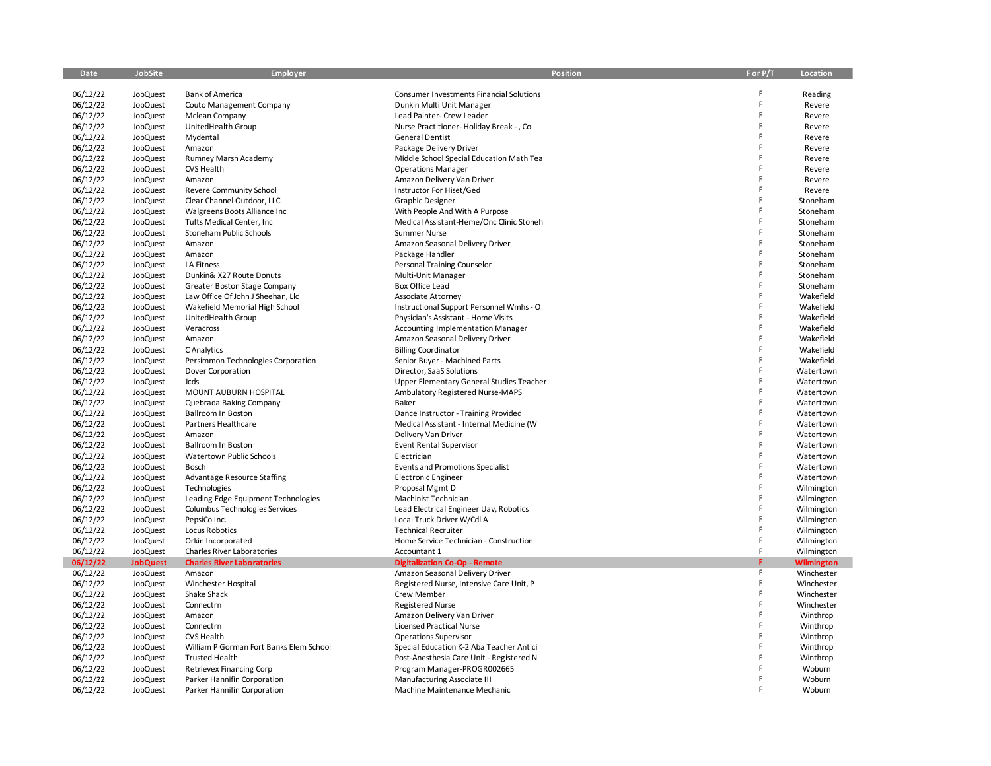| Date     | JobSite         | Employer                                | Position                                        | F or P/T | Location          |
|----------|-----------------|-----------------------------------------|-------------------------------------------------|----------|-------------------|
| 06/12/22 | JobQuest        | <b>Bank of America</b>                  | <b>Consumer Investments Financial Solutions</b> | F        | Reading           |
| 06/12/22 | JobQuest        | Couto Management Company                | Dunkin Multi Unit Manager                       | F        | Revere            |
| 06/12/22 | JobQuest        | <b>Mclean Company</b>                   | Lead Painter- Crew Leader                       | F        | Revere            |
| 06/12/22 | JobQuest        | UnitedHealth Group                      | Nurse Practitioner- Holiday Break - , Co        | F        | Revere            |
| 06/12/22 | JobQuest        | Mydental                                | <b>General Dentist</b>                          | F        | Revere            |
| 06/12/22 | JobQuest        | Amazon                                  | Package Delivery Driver                         | F        | Revere            |
| 06/12/22 | JobQuest        | Rumney Marsh Academy                    | Middle School Special Education Math Tea        | F        | Revere            |
| 06/12/22 | JobQuest        | <b>CVS Health</b>                       | <b>Operations Manager</b>                       | F        | Revere            |
| 06/12/22 | JobQuest        | Amazon                                  | Amazon Delivery Van Driver                      | F        | Revere            |
| 06/12/22 | JobQuest        | Revere Community School                 | Instructor For Hiset/Ged                        | F        | Revere            |
| 06/12/22 | JobQuest        | Clear Channel Outdoor, LLC              | Graphic Designer                                | F        | Stoneham          |
| 06/12/22 | JobQuest        | Walgreens Boots Alliance Inc            | With People And With A Purpose                  | F        | Stoneham          |
| 06/12/22 | JobQuest        | Tufts Medical Center, Inc.              | Medical Assistant-Heme/Onc Clinic Stoneh        | F        | Stoneham          |
| 06/12/22 | JobQuest        | Stoneham Public Schools                 | Summer Nurse                                    | F        | Stoneham          |
| 06/12/22 | JobQuest        | Amazon                                  | Amazon Seasonal Delivery Driver                 | F        | Stoneham          |
| 06/12/22 | JobQuest        | Amazon                                  | Package Handler                                 | F        | Stoneham          |
| 06/12/22 | JobQuest        | <b>LA Fitness</b>                       | Personal Training Counselor                     | F        | Stoneham          |
| 06/12/22 | JobQuest        | Dunkin& X27 Route Donuts                | Multi-Unit Manager                              | F        | Stoneham          |
| 06/12/22 | JobQuest        | Greater Boston Stage Company            | Box Office Lead                                 | F        | Stoneham          |
| 06/12/22 | JobQuest        | Law Office Of John J Sheehan, Llc       | Associate Attorney                              | F        | Wakefield         |
| 06/12/22 | JobQuest        | Wakefield Memorial High School          | Instructional Support Personnel Wmhs - O        | F        | Wakefield         |
| 06/12/22 | JobQuest        | UnitedHealth Group                      | Physician's Assistant - Home Visits             | F        | Wakefield         |
| 06/12/22 | JobQuest        | Veracross                               | <b>Accounting Implementation Manager</b>        | F        | Wakefield         |
| 06/12/22 | JobQuest        | Amazon                                  | Amazon Seasonal Delivery Driver                 | E        | Wakefield         |
| 06/12/22 | JobQuest        | C Analytics                             | <b>Billing Coordinator</b>                      | F        | Wakefield         |
| 06/12/22 | JobQuest        | Persimmon Technologies Corporation      | Senior Buyer - Machined Parts                   | F        | Wakefield         |
| 06/12/22 | JobQuest        | Dover Corporation                       | Director, SaaS Solutions                        | F        | Watertown         |
| 06/12/22 | JobQuest        | Jcds                                    | Upper Elementary General Studies Teacher        | F        | Watertown         |
| 06/12/22 | JobQuest        | MOUNT AUBURN HOSPITAL                   | Ambulatory Registered Nurse-MAPS                | F        | Watertown         |
| 06/12/22 | JobQuest        | Quebrada Baking Company                 | Baker                                           | F        | Watertown         |
| 06/12/22 | JobQuest        | <b>Ballroom In Boston</b>               | Dance Instructor - Training Provided            | F        | Watertown         |
| 06/12/22 | JobQuest        | Partners Healthcare                     | Medical Assistant - Internal Medicine (W        | F        | Watertown         |
| 06/12/22 | JobQuest        | Amazon                                  | Delivery Van Driver                             | F        | Watertown         |
| 06/12/22 | JobQuest        | <b>Ballroom In Boston</b>               | <b>Event Rental Supervisor</b>                  | F        | Watertown         |
| 06/12/22 | JobQuest        | Watertown Public Schools                | Electrician                                     | F        | Watertown         |
| 06/12/22 | JobQuest        | Bosch                                   | <b>Events and Promotions Specialist</b>         | F        | Watertown         |
| 06/12/22 | JobQuest        | Advantage Resource Staffing             | <b>Electronic Engineer</b>                      | E        | Watertown         |
| 06/12/22 | JobQuest        | Technologies                            | Proposal Mgmt D                                 | F        | Wilmington        |
| 06/12/22 | JobQuest        | Leading Edge Equipment Technologies     | Machinist Technician                            | F        | Wilmington        |
| 06/12/22 | JobQuest        | Columbus Technologies Services          | Lead Electrical Engineer Uav, Robotics          | F        | Wilmington        |
| 06/12/22 | JobQuest        | PepsiCo Inc.                            | Local Truck Driver W/Cdl A                      | F        | Wilmington        |
| 06/12/22 | JobQuest        | Locus Robotics                          | <b>Technical Recruiter</b>                      | F        | Wilmington        |
| 06/12/22 | JobQuest        | Orkin Incorporated                      | Home Service Technician - Construction          | F        | Wilmington        |
| 06/12/22 | JobQuest        | <b>Charles River Laboratories</b>       | Accountant 1                                    | F        | Wilmington        |
| 06/12/22 | <b>JobQuest</b> | <b>Charles River Laboratories</b>       | <b>Digitalization Co-Op - Remote</b>            | F        | <b>Wilmington</b> |
| 06/12/22 | JobQuest        | Amazon                                  | Amazon Seasonal Delivery Driver                 | F        | Winchester        |
| 06/12/22 | JobQuest        | Winchester Hospital                     | Registered Nurse, Intensive Care Unit, P        | F        | Winchester        |
| 06/12/22 | JobQuest        | Shake Shack                             | Crew Member                                     | F        | Winchester        |
| 06/12/22 | JobQuest        | Connectrn                               | <b>Registered Nurse</b>                         | F        | Winchester        |
| 06/12/22 | JobQuest        | Amazon                                  | Amazon Delivery Van Driver                      | F        | Winthrop          |
| 06/12/22 | JobQuest        | Connectrn                               | <b>Licensed Practical Nurse</b>                 | F        | Winthrop          |
| 06/12/22 | JobQuest        | <b>CVS Health</b>                       | <b>Operations Supervisor</b>                    | F        | Winthrop          |
| 06/12/22 | JobQuest        | William P Gorman Fort Banks Elem School | Special Education K-2 Aba Teacher Antici        | F        | Winthrop          |
| 06/12/22 | JobQuest        | <b>Trusted Health</b>                   | Post-Anesthesia Care Unit - Registered N        | F        | Winthrop          |
| 06/12/22 | JobQuest        | <b>Retrievex Financing Corp</b>         | Program Manager-PROGR002665                     | F        | Woburn            |
| 06/12/22 | JobQuest        | Parker Hannifin Corporation             | Manufacturing Associate III                     | F        | Woburn            |
| 06/12/22 | JobQuest        | Parker Hannifin Corporation             | Machine Maintenance Mechanic                    |          | Woburn            |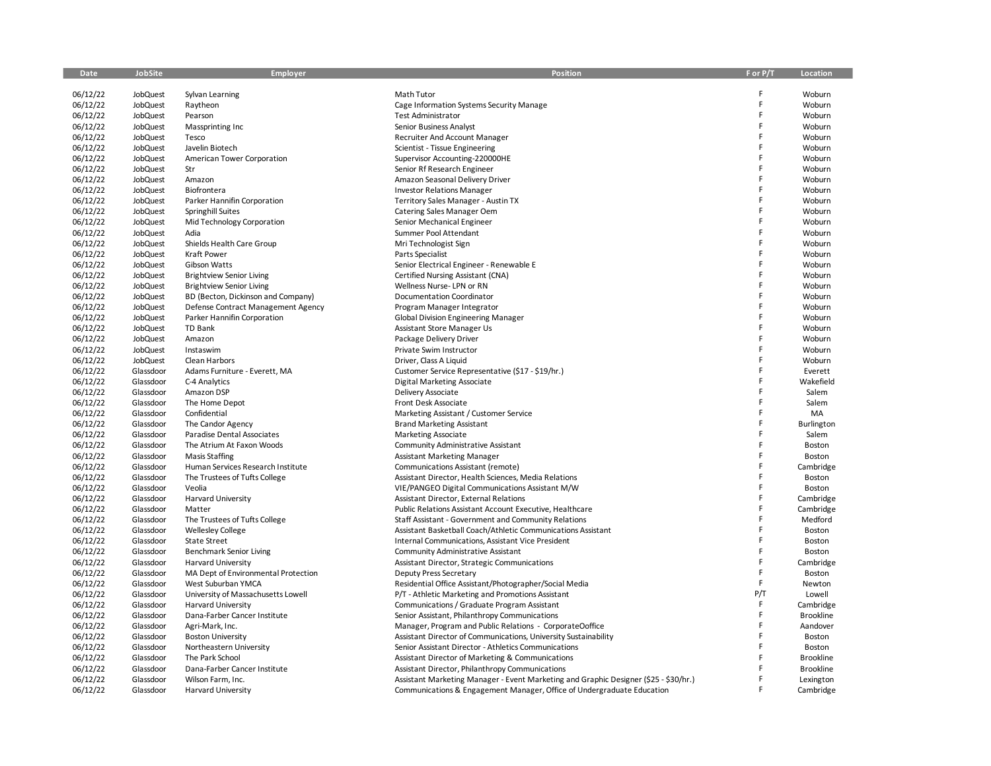| Date     | JobSite   | Employer                            | Position                                                                             | F or P/T | Location         |
|----------|-----------|-------------------------------------|--------------------------------------------------------------------------------------|----------|------------------|
|          |           |                                     |                                                                                      |          |                  |
| 06/12/22 | JobQuest  | Sylvan Learning                     | Math Tutor                                                                           | F        | Woburn           |
| 06/12/22 | JobQuest  | Raytheon                            | Cage Information Systems Security Manage                                             | F        | Woburn           |
| 06/12/22 | JobQuest  | Pearson                             | <b>Test Administrator</b>                                                            | F        | Woburn           |
| 06/12/22 | JobQuest  | Massprinting Inc                    | Senior Business Analyst                                                              | F        | Woburn           |
| 06/12/22 | JobQuest  | Tesco                               | <b>Recruiter And Account Manager</b>                                                 | F        | Woburn           |
| 06/12/22 | JobQuest  | Javelin Biotech                     | Scientist - Tissue Engineering                                                       | F        | Woburn           |
| 06/12/22 | JobQuest  | American Tower Corporation          | Supervisor Accounting-220000HE                                                       | F        | Woburn           |
| 06/12/22 | JobQuest  | Str                                 | Senior Rf Research Engineer                                                          | F        | Woburn           |
| 06/12/22 | JobQuest  | Amazon                              | Amazon Seasonal Delivery Driver                                                      | F        | Woburn           |
| 06/12/22 | JobQuest  | Biofrontera                         | <b>Investor Relations Manager</b>                                                    | F        | Woburn           |
| 06/12/22 | JobQuest  | Parker Hannifin Corporation         | Territory Sales Manager - Austin TX                                                  | F        | Woburn           |
| 06/12/22 | JobQuest  | Springhill Suites                   | Catering Sales Manager Oem                                                           | F        | Woburn           |
| 06/12/22 | JobQuest  | Mid Technology Corporation          | Senior Mechanical Engineer                                                           | F        | Woburn           |
| 06/12/22 | JobQuest  | Adia                                | Summer Pool Attendant                                                                | F        | Woburn           |
| 06/12/22 | JobQuest  | Shields Health Care Group           | Mri Technologist Sign                                                                | F        | Woburn           |
| 06/12/22 | JobQuest  | Kraft Power                         | Parts Specialist                                                                     | F        | Woburn           |
| 06/12/22 | JobQuest  | Gibson Watts                        | Senior Electrical Engineer - Renewable E                                             | F        | Woburn           |
| 06/12/22 | JobQuest  | <b>Brightview Senior Living</b>     | Certified Nursing Assistant (CNA)                                                    | F        | Woburn           |
| 06/12/22 | JobQuest  | <b>Brightview Senior Living</b>     | Wellness Nurse- LPN or RN                                                            | F        | Woburn           |
| 06/12/22 | JobQuest  | BD (Becton, Dickinson and Company)  | <b>Documentation Coordinator</b>                                                     | F        | Woburn           |
| 06/12/22 | JobQuest  | Defense Contract Management Agency  | Program Manager Integrator                                                           | F        | Woburn           |
| 06/12/22 | JobQuest  | Parker Hannifin Corporation         | <b>Global Division Engineering Manager</b>                                           | F        | Woburn           |
| 06/12/22 | JobQuest  | <b>TD Bank</b>                      | Assistant Store Manager Us                                                           | F        | Woburn           |
| 06/12/22 | JobQuest  | Amazon                              | Package Delivery Driver                                                              | F        | Woburn           |
| 06/12/22 | JobQuest  | Instaswim                           | Private Swim Instructor                                                              | F        | Woburn           |
| 06/12/22 | JobQuest  | Clean Harbors                       | Driver, Class A Liquid                                                               | F        | Woburn           |
| 06/12/22 | Glassdoor | Adams Furniture - Everett, MA       | Customer Service Representative (\$17 - \$19/hr.)                                    | F        | Everett          |
| 06/12/22 | Glassdoor | C-4 Analytics                       |                                                                                      | F        | Wakefield        |
| 06/12/22 | Glassdoor | Amazon DSP                          | <b>Digital Marketing Associate</b><br>Delivery Associate                             | F        | Salem            |
|          |           |                                     | Front Desk Associate                                                                 | F        | Salem            |
| 06/12/22 | Glassdoor | The Home Depot                      |                                                                                      | F        |                  |
| 06/12/22 | Glassdoor | Confidential                        | Marketing Assistant / Customer Service                                               | F        | MA               |
| 06/12/22 | Glassdoor | The Candor Agency                   | <b>Brand Marketing Assistant</b>                                                     | F        | Burlington       |
| 06/12/22 | Glassdoor | Paradise Dental Associates          | Marketing Associate                                                                  | F        | Salem            |
| 06/12/22 | Glassdoor | The Atrium At Faxon Woods           | Community Administrative Assistant                                                   | F        | Boston           |
| 06/12/22 | Glassdoor | <b>Masis Staffing</b>               | <b>Assistant Marketing Manager</b>                                                   | F        | Boston           |
| 06/12/22 | Glassdoor | Human Services Research Institute   | Communications Assistant (remote)                                                    |          | Cambridge        |
| 06/12/22 | Glassdoor | The Trustees of Tufts College       | Assistant Director, Health Sciences, Media Relations                                 | F<br>F   | Boston           |
| 06/12/22 | Glassdoor | Veolia                              | VIE/PANGEO Digital Communications Assistant M/W                                      |          | Boston           |
| 06/12/22 | Glassdoor | Harvard University                  | Assistant Director, External Relations                                               | F        | Cambridge        |
| 06/12/22 | Glassdoor | Matter                              | Public Relations Assistant Account Executive, Healthcare                             | F        | Cambridge        |
| 06/12/22 | Glassdoor | The Trustees of Tufts College       | Staff Assistant - Government and Community Relations                                 | F        | Medford          |
| 06/12/22 | Glassdoor | <b>Wellesley College</b>            | Assistant Basketball Coach/Athletic Communications Assistant                         | F        | Boston           |
| 06/12/22 | Glassdoor | <b>State Street</b>                 | Internal Communications, Assistant Vice President                                    | F        | Boston           |
| 06/12/22 | Glassdoor | <b>Benchmark Senior Living</b>      | Community Administrative Assistant                                                   | F        | Boston           |
| 06/12/22 | Glassdoor | <b>Harvard University</b>           | Assistant Director, Strategic Communications                                         | F        | Cambridge        |
| 06/12/22 | Glassdoor | MA Dept of Environmental Protection | Deputy Press Secretary                                                               | F        | Boston           |
| 06/12/22 | Glassdoor | West Suburban YMCA                  | Residential Office Assistant/Photographer/Social Media                               | F.       | Newton           |
| 06/12/22 | Glassdoor | University of Massachusetts Lowell  | P/T - Athletic Marketing and Promotions Assistant                                    | P/T      | Lowell           |
| 06/12/22 | Glassdoor | <b>Harvard University</b>           | Communications / Graduate Program Assistant                                          | F        | Cambridge        |
| 06/12/22 | Glassdoor | Dana-Farber Cancer Institute        | Senior Assistant, Philanthropy Communications                                        | F        | <b>Brookline</b> |
| 06/12/22 | Glassdoor | Agri-Mark, Inc.                     | Manager, Program and Public Relations - CorporateOoffice                             | F        | Aandover         |
| 06/12/22 | Glassdoor | <b>Boston University</b>            | Assistant Director of Communications, University Sustainability                      | F        | Boston           |
| 06/12/22 | Glassdoor | Northeastern University             | Senior Assistant Director - Athletics Communications                                 | F        | Boston           |
| 06/12/22 | Glassdoor | The Park School                     | Assistant Director of Marketing & Communications                                     | F        | <b>Brookline</b> |
| 06/12/22 | Glassdoor | Dana-Farber Cancer Institute        | Assistant Director, Philanthropy Communications                                      | F        | <b>Brookline</b> |
| 06/12/22 | Glassdoor | Wilson Farm, Inc.                   | Assistant Marketing Manager - Event Marketing and Graphic Designer (\$25 - \$30/hr.) | F        | Lexington        |
| 06/12/22 | Glassdoor | <b>Harvard University</b>           | Communications & Engagement Manager, Office of Undergraduate Education               | F        | Cambridge        |